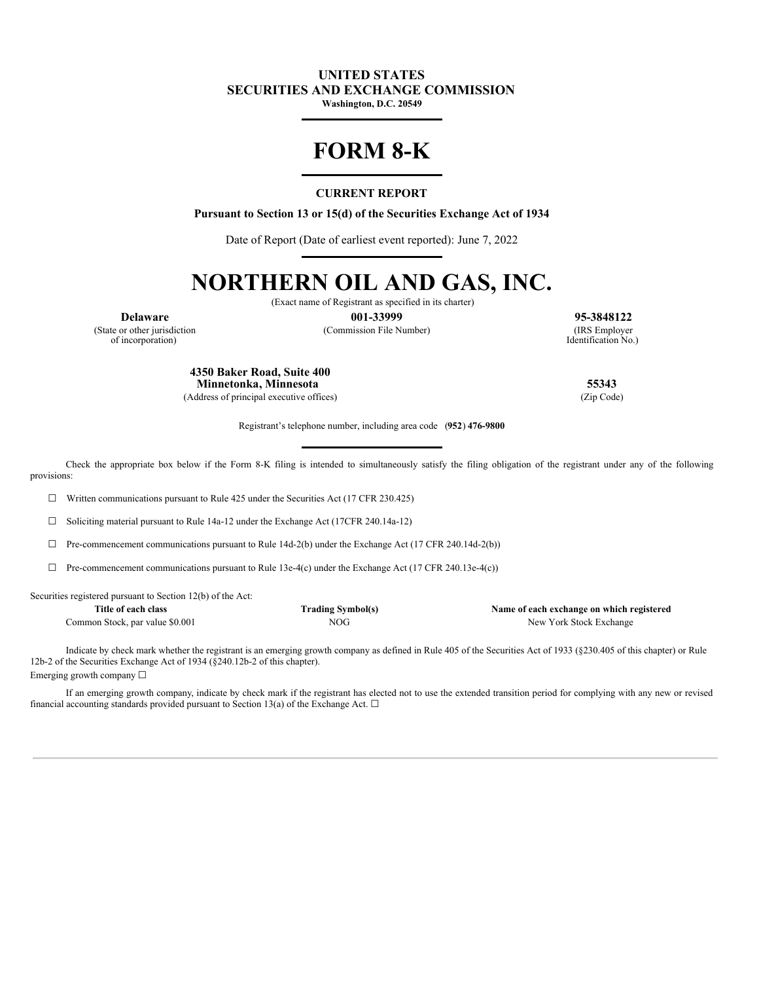## **UNITED STATES SECURITIES AND EXCHANGE COMMISSION**

**Washington, D.C. 20549**

# **FORM 8-K**

## **CURRENT REPORT**

**Pursuant to Section 13 or 15(d) of the Securities Exchange Act of 1934**

Date of Report (Date of earliest event reported): June 7, 2022

# **NORTHERN OIL AND GAS, INC.**

(Exact name of Registrant as specified in its charter)

(State or other jurisdiction of incorporation)

(Commission File Number) (IRS Employer

**Delaware 001-33999 95-3848122**

Identification No.)

**4350 Baker Road, Suite 400 Minnetonka, Minnesota 55343**

(Address of principal executive offices) (Zip Code)

Registrant's telephone number, including area code (**952**) **476-9800**

Check the appropriate box below if the Form 8-K filing is intended to simultaneously satisfy the filing obligation of the registrant under any of the following provisions:

☐ Written communications pursuant to Rule 425 under the Securities Act (17 CFR 230.425)

 $\Box$  Soliciting material pursuant to Rule 14a-12 under the Exchange Act (17CFR 240.14a-12)

 $\Box$  Pre-commencement communications pursuant to Rule 14d-2(b) under the Exchange Act (17 CFR 240.14d-2(b))

 $\Box$  Pre-commencement communications pursuant to Rule 13e-4(c) under the Exchange Act (17 CFR 240.13e-4(c))

Securities registered pursuant to Section 12(b) of the Act:

| Title of each class             | <b>Trading Symbol(s)</b> | Name of each exchange on which registered |
|---------------------------------|--------------------------|-------------------------------------------|
| Common Stock, par value \$0.001 | NOG                      | New York Stock Exchange                   |

Indicate by check mark whether the registrant is an emerging growth company as defined in Rule 405 of the Securities Act of 1933 (§230.405 of this chapter) or Rule 12b-2 of the Securities Exchange Act of 1934 (§240.12b-2 of this chapter). Emerging growth company ☐

If an emerging growth company, indicate by check mark if the registrant has elected not to use the extended transition period for complying with any new or revised financial accounting standards provided pursuant to Section 13(a) of the Exchange Act.  $\Box$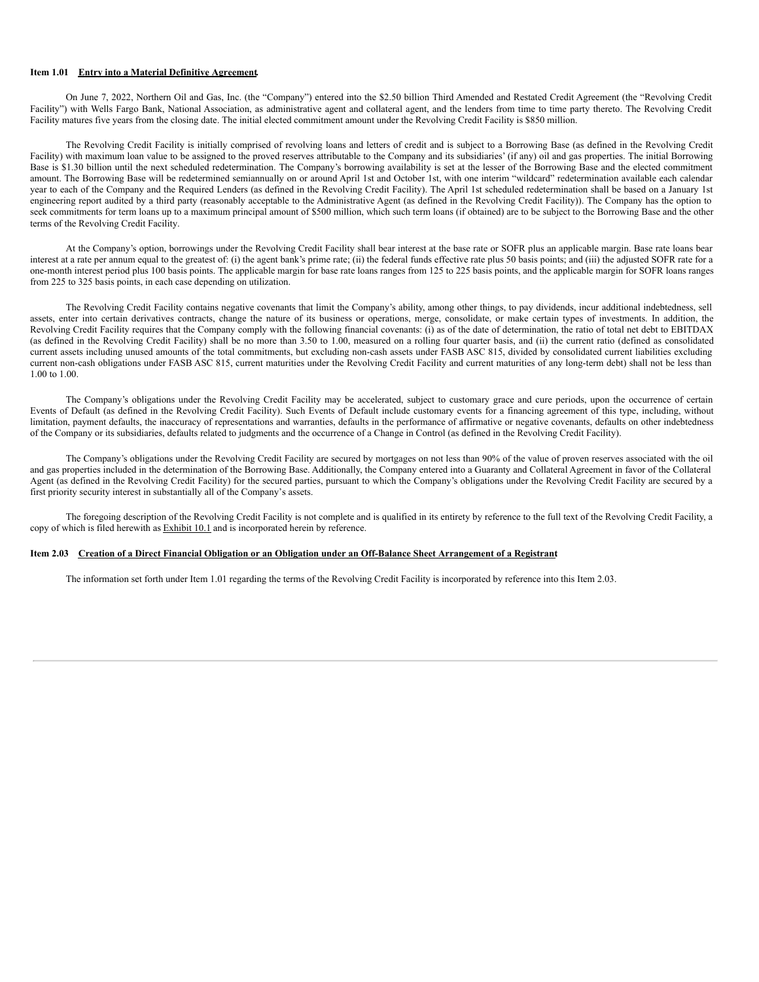#### **Item 1.01 Entry into a Material Definitive Agreement.**

On June 7, 2022, Northern Oil and Gas, Inc. (the "Company") entered into the \$2.50 billion Third Amended and Restated Credit Agreement (the "Revolving Credit Facility") with Wells Fargo Bank, National Association, as administrative agent and collateral agent, and the lenders from time to time party thereto. The Revolving Credit Facility matures five years from the closing date. The initial elected commitment amount under the Revolving Credit Facility is \$850 million.

The Revolving Credit Facility is initially comprised of revolving loans and letters of credit and is subject to a Borrowing Base (as defined in the Revolving Credit Facility) with maximum loan value to be assigned to the proved reserves attributable to the Company and its subsidiaries' (if any) oil and gas properties. The initial Borrowing Base is \$1.30 billion until the next scheduled redetermination. The Company's borrowing availability is set at the lesser of the Borrowing Base and the elected commitment amount. The Borrowing Base will be redetermined semiannually on or around April 1st and October 1st, with one interim "wildcard" redetermination available each calendar year to each of the Company and the Required Lenders (as defined in the Revolving Credit Facility). The April 1st scheduled redetermination shall be based on a January 1st engineering report audited by a third party (reasonably acceptable to the Administrative Agent (as defined in the Revolving Credit Facility)). The Company has the option to seek commitments for term loans up to a maximum principal amount of \$500 million, which such term loans (if obtained) are to be subject to the Borrowing Base and the other terms of the Revolving Credit Facility.

At the Company's option, borrowings under the Revolving Credit Facility shall bear interest at the base rate or SOFR plus an applicable margin. Base rate loans bear interest at a rate per annum equal to the greatest of: (i) the agent bank's prime rate; (ii) the federal funds effective rate plus 50 basis points; and (iii) the adjusted SOFR rate for a one-month interest period plus 100 basis points. The applicable margin for base rate loans ranges from 125 to 225 basis points, and the applicable margin for SOFR loans ranges from 225 to 325 basis points, in each case depending on utilization.

The Revolving Credit Facility contains negative covenants that limit the Company's ability, among other things, to pay dividends, incur additional indebtedness, sell assets, enter into certain derivatives contracts, change the nature of its business or operations, merge, consolidate, or make certain types of investments. In addition, the Revolving Credit Facility requires that the Company comply with the following financial covenants: (i) as of the date of determination, the ratio of total net debt to EBITDAX (as defined in the Revolving Credit Facility) shall be no more than 3.50 to 1.00, measured on a rolling four quarter basis, and (ii) the current ratio (defined as consolidated current assets including unused amounts of the total commitments, but excluding non-cash assets under FASB ASC 815, divided by consolidated current liabilities excluding current non-cash obligations under FASB ASC 815, current maturities under the Revolving Credit Facility and current maturities of any long-term debt) shall not be less than 1.00 to 1.00.

The Company's obligations under the Revolving Credit Facility may be accelerated, subject to customary grace and cure periods, upon the occurrence of certain Events of Default (as defined in the Revolving Credit Facility). Such Events of Default include customary events for a financing agreement of this type, including, without limitation, payment defaults, the inaccuracy of representations and warranties, defaults in the performance of affirmative or negative covenants, defaults on other indebtedness of the Company or its subsidiaries, defaults related to judgments and the occurrence of a Change in Control (as defined in the Revolving Credit Facility).

The Company's obligations under the Revolving Credit Facility are secured by mortgages on not less than 90% of the value of proven reserves associated with the oil and gas properties included in the determination of the Borrowing Base. Additionally, the Company entered into a Guaranty and Collateral Agreement in favor of the Collateral Agent (as defined in the Revolving Credit Facility) for the secured parties, pursuant to which the Company's obligations under the Revolving Credit Facility are secured by a first priority security interest in substantially all of the Company's assets.

The foregoing description of the Revolving Credit Facility is not complete and is qualified in its entirety by reference to the full text of the Revolving Credit Facility, a copy of which is filed herewith as Exhibit 10.1 and is incorporated herein by reference.

#### Item 2.03 Creation of a Direct Financial Obligation or an Obligation under an Off-Balance Sheet Arrangement of a Registrant

The information set forth under Item 1.01 regarding the terms of the Revolving Credit Facility is incorporated by reference into this Item 2.03.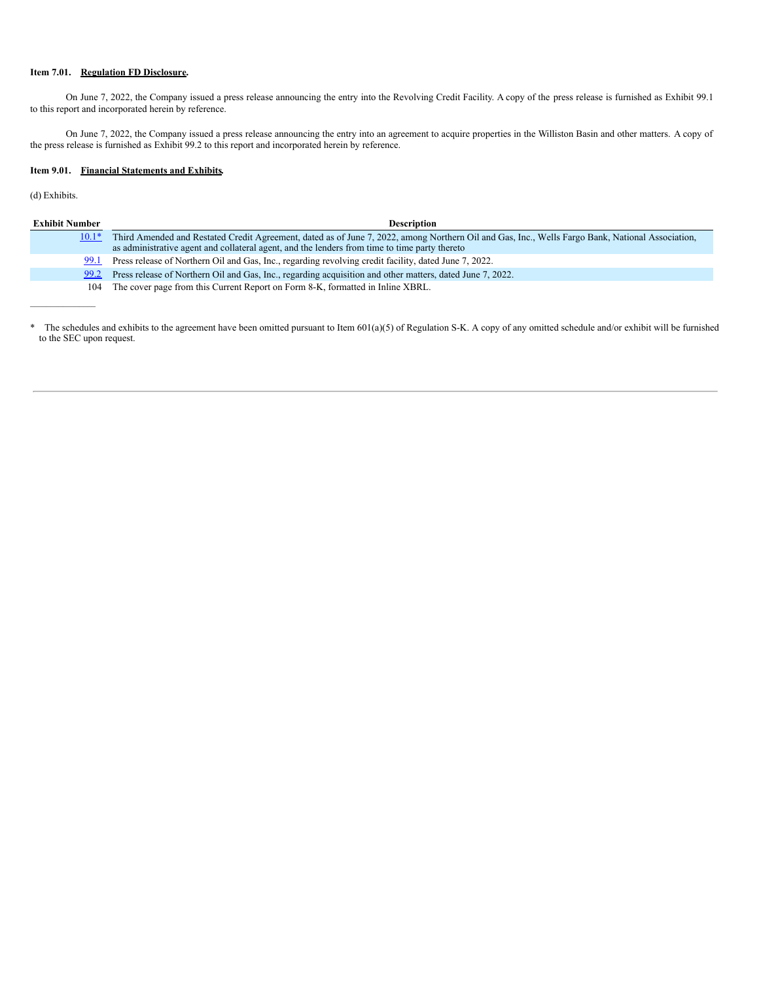### **Item 7.01. Regulation FD Disclosure.**

On June 7, 2022, the Company issued a press release announcing the entry into the Revolving Credit Facility. A copy of the press release is furnished as Exhibit 99.1 to this report and incorporated herein by reference.

On June 7, 2022, the Company issued a press release announcing the entry into an agreement to acquire properties in the Williston Basin and other matters. A copy of the press release is furnished as Exhibit 99.2 to this report and incorporated herein by reference.

## **Item 9.01. Financial Statements and Exhibits.**

(d) Exhibits.

 $\mathcal{L}_\text{max}$ 

| <b>Exhibit Number</b> | <b>Description</b>                                                                                                                                                                                                                                |  |
|-----------------------|---------------------------------------------------------------------------------------------------------------------------------------------------------------------------------------------------------------------------------------------------|--|
| $10.1*$               | Third Amended and Restated Credit Agreement, dated as of June 7, 2022, among Northern Oil and Gas, Inc., Wells Fargo Bank, National Association,<br>as administrative agent and collateral agent, and the lenders from time to time party thereto |  |
| 99.1                  | Press release of Northern Oil and Gas, Inc., regarding revolving credit facility, dated June 7, 2022.                                                                                                                                             |  |
| 99.2                  | Press release of Northern Oil and Gas, Inc., regarding acquisition and other matters, dated June 7, 2022.                                                                                                                                         |  |
| 104                   | The cover page from this Current Report on Form 8-K, formatted in Inline XBRL.                                                                                                                                                                    |  |

\* The schedules and exhibits to the agreement have been omitted pursuant to Item 601(a)(5) of Regulation S-K. A copy of any omitted schedule and/or exhibit will be furnished to the SEC upon request.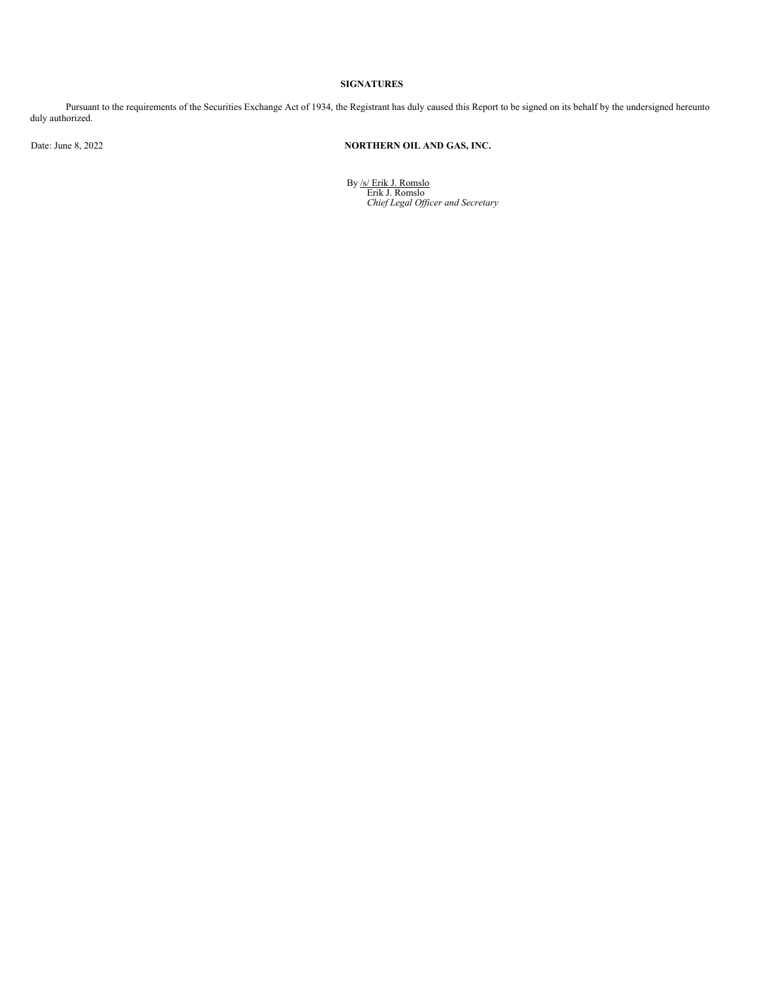## **SIGNATURES**

Pursuant to the requirements of the Securities Exchange Act of 1934, the Registrant has duly caused this Report to be signed on its behalf by the undersigned hereunto duly authorized.

## Date: June 8, 2022 **NORTHERN OIL AND GAS, INC.**

By /s/ Erik J. Romslo Erik J. Romslo *Chief Legal Of icer and Secretary*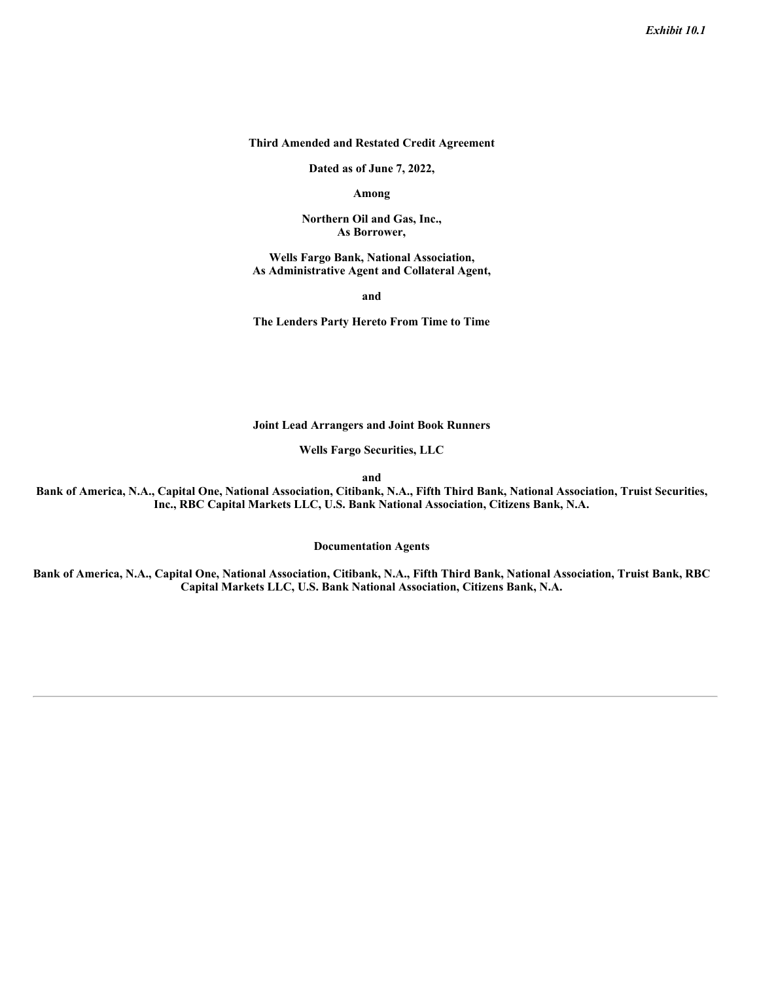**Third Amended and Restated Credit Agreement**

**Dated as of June 7, 2022,**

**Among**

**Northern Oil and Gas, Inc., As Borrower,**

**Wells Fargo Bank, National Association, As Administrative Agent and Collateral Agent,**

**and**

**The Lenders Party Hereto From Time to Time**

**Joint Lead Arrangers and Joint Book Runners**

**Wells Fargo Securities, LLC**

**and**

Bank of America, N.A., Capital One, National Association, Citibank, N.A., Fifth Third Bank, National Association, Truist Securities, **Inc., RBC Capital Markets LLC, U.S. Bank National Association, Citizens Bank, N.A.**

**Documentation Agents**

Bank of America, N.A., Capital One, National Association, Citibank, N.A., Fifth Third Bank, National Association, Truist Bank, RBC **Capital Markets LLC, U.S. Bank National Association, Citizens Bank, N.A.**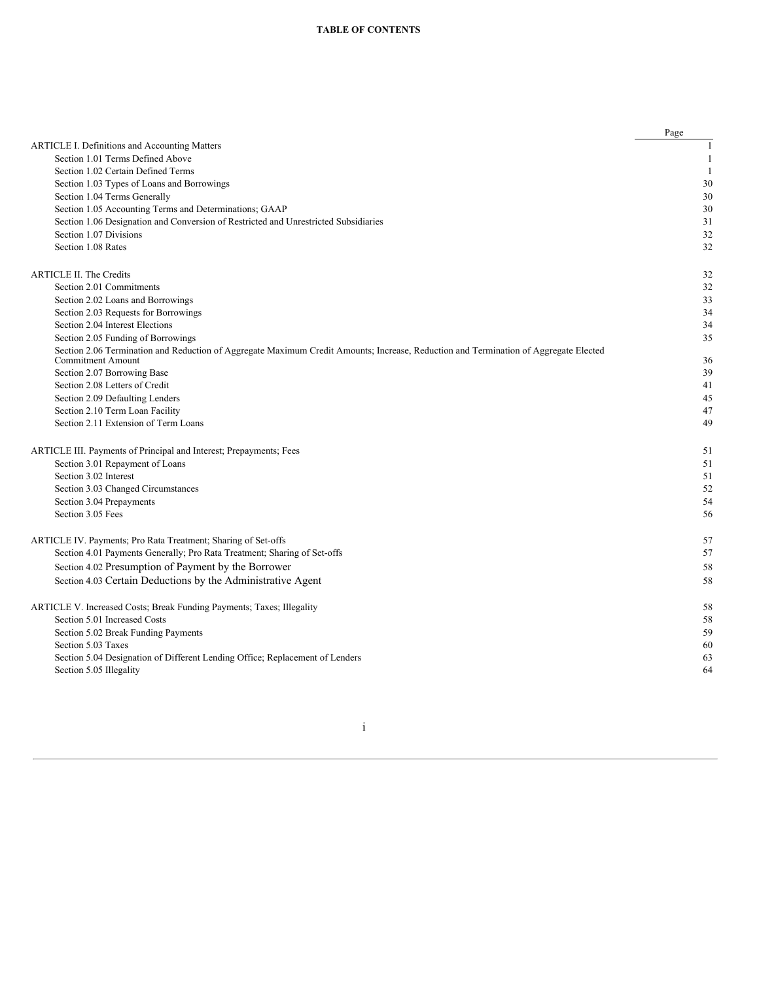## **TABLE OF CONTENTS**

|                                                                                                                                                           | Page |
|-----------------------------------------------------------------------------------------------------------------------------------------------------------|------|
| ARTICLE I. Definitions and Accounting Matters                                                                                                             | 1    |
| Section 1.01 Terms Defined Above                                                                                                                          | 1    |
| Section 1.02 Certain Defined Terms                                                                                                                        | 1    |
| Section 1.03 Types of Loans and Borrowings                                                                                                                | 30   |
| Section 1.04 Terms Generally                                                                                                                              | 30   |
| Section 1.05 Accounting Terms and Determinations; GAAP                                                                                                    | 30   |
| Section 1.06 Designation and Conversion of Restricted and Unrestricted Subsidiaries                                                                       | 31   |
| Section 1.07 Divisions                                                                                                                                    | 32   |
| Section 1.08 Rates                                                                                                                                        | 32   |
| <b>ARTICLE II. The Credits</b>                                                                                                                            | 32   |
| Section 2.01 Commitments                                                                                                                                  | 32   |
| Section 2.02 Loans and Borrowings                                                                                                                         | 33   |
| Section 2.03 Requests for Borrowings                                                                                                                      | 34   |
| Section 2.04 Interest Elections                                                                                                                           | 34   |
| Section 2.05 Funding of Borrowings                                                                                                                        | 35   |
| Section 2.06 Termination and Reduction of Aggregate Maximum Credit Amounts; Increase, Reduction and Termination of Aggregate Elected<br>Commitment Amount | 36   |
| Section 2.07 Borrowing Base                                                                                                                               | 39   |
| Section 2.08 Letters of Credit                                                                                                                            | 41   |
| Section 2.09 Defaulting Lenders                                                                                                                           | 45   |
| Section 2.10 Term Loan Facility                                                                                                                           | 47   |
| Section 2.11 Extension of Term Loans                                                                                                                      | 49   |
| ARTICLE III. Payments of Principal and Interest; Prepayments; Fees                                                                                        | 51   |
| Section 3.01 Repayment of Loans                                                                                                                           | 51   |
| Section 3.02 Interest                                                                                                                                     | 51   |
| Section 3.03 Changed Circumstances                                                                                                                        | 52   |
| Section 3.04 Prepayments                                                                                                                                  | 54   |
| Section 3.05 Fees                                                                                                                                         | 56   |
| ARTICLE IV. Payments; Pro Rata Treatment; Sharing of Set-offs                                                                                             | 57   |
| Section 4.01 Payments Generally; Pro Rata Treatment; Sharing of Set-offs                                                                                  | 57   |
| Section 4.02 Presumption of Payment by the Borrower                                                                                                       | 58   |
| Section 4.03 Certain Deductions by the Administrative Agent                                                                                               | 58   |
| ARTICLE V. Increased Costs; Break Funding Payments; Taxes; Illegality                                                                                     | 58   |
| Section 5.01 Increased Costs                                                                                                                              | 58   |
| Section 5.02 Break Funding Payments                                                                                                                       | 59   |
| Section 5.03 Taxes                                                                                                                                        | 60   |
| Section 5.04 Designation of Different Lending Office; Replacement of Lenders                                                                              | 63   |
| Section 5.05 Illegality                                                                                                                                   | 64   |

## i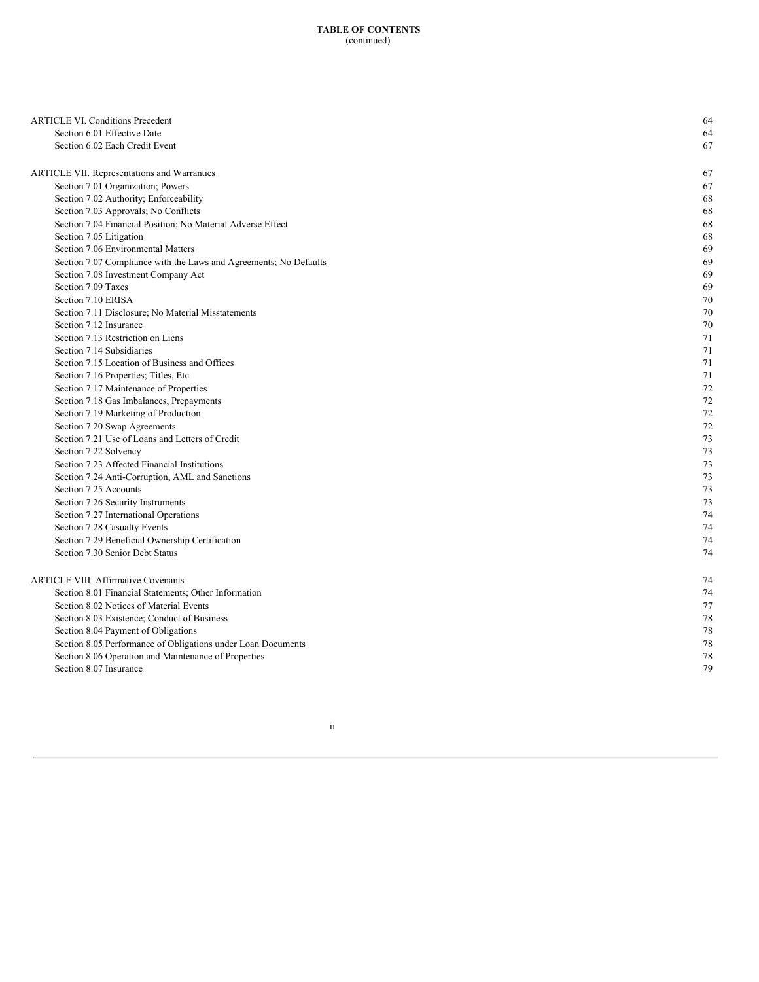#### **TABLE OF CONTENTS** (continued)

| <b>ARTICLE VI. Conditions Precedent</b>                           | 64 |
|-------------------------------------------------------------------|----|
| Section 6.01 Effective Date                                       | 64 |
| Section 6.02 Each Credit Event                                    | 67 |
| ARTICLE VII. Representations and Warranties                       | 67 |
| Section 7.01 Organization; Powers                                 | 67 |
| Section 7.02 Authority; Enforceability                            | 68 |
| Section 7.03 Approvals; No Conflicts                              | 68 |
| Section 7.04 Financial Position; No Material Adverse Effect       | 68 |
| Section 7.05 Litigation                                           | 68 |
| Section 7.06 Environmental Matters                                | 69 |
| Section 7.07 Compliance with the Laws and Agreements; No Defaults | 69 |
| Section 7.08 Investment Company Act                               | 69 |
| Section 7.09 Taxes                                                | 69 |
| Section 7.10 ERISA                                                | 70 |
| Section 7.11 Disclosure; No Material Misstatements                | 70 |
| Section 7.12 Insurance                                            | 70 |
| Section 7.13 Restriction on Liens                                 | 71 |
| Section 7.14 Subsidiaries                                         | 71 |
| Section 7.15 Location of Business and Offices                     | 71 |
| Section 7.16 Properties; Titles, Etc.                             | 71 |
| Section 7.17 Maintenance of Properties                            | 72 |
| Section 7.18 Gas Imbalances, Prepayments                          | 72 |
| Section 7.19 Marketing of Production                              | 72 |
| Section 7.20 Swap Agreements                                      | 72 |
| Section 7.21 Use of Loans and Letters of Credit                   | 73 |
| Section 7.22 Solvency                                             | 73 |
| Section 7.23 Affected Financial Institutions                      | 73 |
| Section 7.24 Anti-Corruption, AML and Sanctions                   | 73 |
| Section 7.25 Accounts                                             | 73 |
| Section 7.26 Security Instruments                                 | 73 |
| Section 7.27 International Operations                             | 74 |
| Section 7.28 Casualty Events                                      | 74 |
| Section 7.29 Beneficial Ownership Certification                   | 74 |
| Section 7.30 Senior Debt Status                                   | 74 |
| <b>ARTICLE VIII. Affirmative Covenants</b>                        | 74 |
| Section 8.01 Financial Statements; Other Information              | 74 |
| Section 8.02 Notices of Material Events                           | 77 |
| Section 8.03 Existence; Conduct of Business                       | 78 |
| Section 8.04 Payment of Obligations                               | 78 |
| Section 8.05 Performance of Obligations under Loan Documents      | 78 |
| Section 8.06 Operation and Maintenance of Properties              | 78 |
| Section 8.07 Insurance                                            | 79 |

ii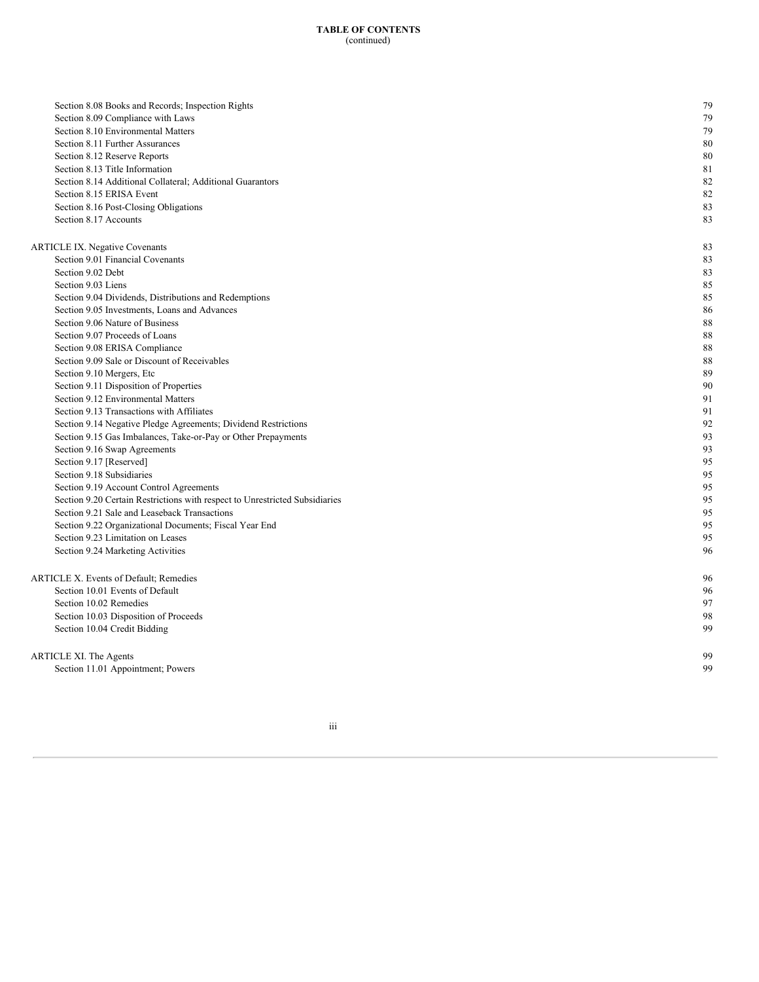#### **TABLE OF CONTENTS** (continued)

|                                       | Section 8.08 Books and Records; Inspection Rights                           | 79 |
|---------------------------------------|-----------------------------------------------------------------------------|----|
|                                       | Section 8.09 Compliance with Laws                                           | 79 |
|                                       | Section 8.10 Environmental Matters                                          | 79 |
|                                       | Section 8.11 Further Assurances                                             | 80 |
|                                       | Section 8.12 Reserve Reports                                                | 80 |
|                                       | Section 8.13 Title Information                                              | 81 |
|                                       | Section 8.14 Additional Collateral; Additional Guarantors                   | 82 |
|                                       | Section 8.15 ERISA Event                                                    | 82 |
|                                       | Section 8.16 Post-Closing Obligations                                       | 83 |
| Section 8.17 Accounts                 |                                                                             | 83 |
| <b>ARTICLE IX. Negative Covenants</b> |                                                                             | 83 |
|                                       | Section 9.01 Financial Covenants                                            | 83 |
| Section 9.02 Debt                     |                                                                             | 83 |
| Section 9.03 Liens                    |                                                                             | 85 |
|                                       | Section 9.04 Dividends, Distributions and Redemptions                       | 85 |
|                                       | Section 9.05 Investments, Loans and Advances                                | 86 |
|                                       | Section 9.06 Nature of Business                                             | 88 |
|                                       | Section 9.07 Proceeds of Loans                                              | 88 |
|                                       | Section 9.08 ERISA Compliance                                               | 88 |
|                                       | Section 9.09 Sale or Discount of Receivables                                | 88 |
|                                       | Section 9.10 Mergers, Etc                                                   | 89 |
|                                       | Section 9.11 Disposition of Properties                                      | 90 |
|                                       | Section 9.12 Environmental Matters                                          | 91 |
|                                       | Section 9.13 Transactions with Affiliates                                   | 91 |
|                                       | Section 9.14 Negative Pledge Agreements; Dividend Restrictions              | 92 |
|                                       | Section 9.15 Gas Imbalances, Take-or-Pay or Other Prepayments               | 93 |
|                                       | Section 9.16 Swap Agreements                                                | 93 |
| Section 9.17 [Reserved]               |                                                                             | 95 |
| Section 9.18 Subsidiaries             |                                                                             | 95 |
|                                       | Section 9.19 Account Control Agreements                                     | 95 |
|                                       | Section 9.20 Certain Restrictions with respect to Unrestricted Subsidiaries | 95 |
|                                       | Section 9.21 Sale and Leaseback Transactions                                | 95 |
|                                       | Section 9.22 Organizational Documents; Fiscal Year End                      | 95 |
|                                       | Section 9.23 Limitation on Leases                                           | 95 |
|                                       | Section 9.24 Marketing Activities                                           | 96 |
|                                       | <b>ARTICLE X. Events of Default; Remedies</b>                               | 96 |
|                                       | Section 10.01 Events of Default                                             | 96 |
| Section 10.02 Remedies                |                                                                             | 97 |
|                                       | Section 10.03 Disposition of Proceeds                                       | 98 |
|                                       | Section 10.04 Credit Bidding                                                | 99 |
| <b>ARTICLE XI. The Agents</b>         |                                                                             | 99 |
|                                       | Section 11.01 Appointment; Powers                                           | 99 |
|                                       |                                                                             |    |

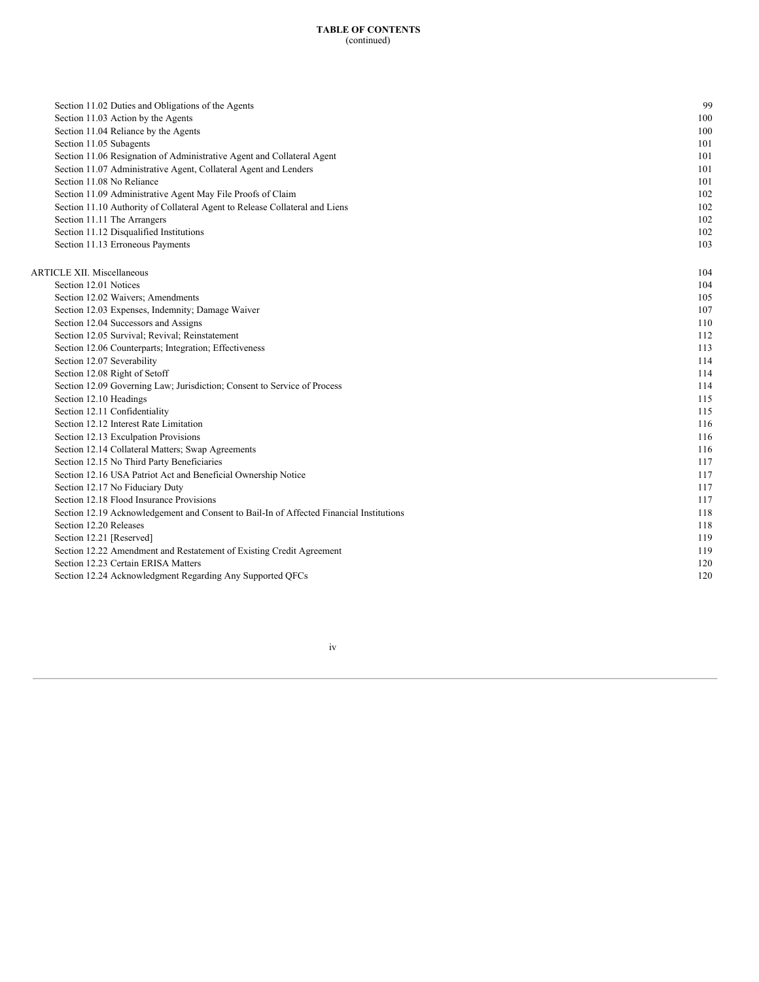#### **TABLE OF CONTENTS** (continued)

| Section 11.02 Duties and Obligations of the Agents                                      | 99  |
|-----------------------------------------------------------------------------------------|-----|
| Section 11.03 Action by the Agents                                                      | 100 |
| Section 11.04 Reliance by the Agents                                                    | 100 |
| Section 11.05 Subagents                                                                 | 101 |
| Section 11.06 Resignation of Administrative Agent and Collateral Agent                  | 101 |
| Section 11.07 Administrative Agent, Collateral Agent and Lenders                        | 101 |
| Section 11.08 No Reliance                                                               | 101 |
| Section 11.09 Administrative Agent May File Proofs of Claim                             | 102 |
| Section 11.10 Authority of Collateral Agent to Release Collateral and Liens             | 102 |
| Section 11.11 The Arrangers                                                             | 102 |
| Section 11.12 Disqualified Institutions                                                 | 102 |
| Section 11.13 Erroneous Payments                                                        | 103 |
|                                                                                         |     |
| <b>ARTICLE XII. Miscellaneous</b>                                                       | 104 |
| Section 12.01 Notices                                                                   | 104 |
| Section 12.02 Waivers; Amendments                                                       | 105 |
| Section 12.03 Expenses, Indemnity; Damage Waiver                                        | 107 |
| Section 12.04 Successors and Assigns                                                    | 110 |
| Section 12.05 Survival; Revival; Reinstatement                                          | 112 |
| Section 12.06 Counterparts; Integration; Effectiveness                                  | 113 |
| Section 12.07 Severability                                                              | 114 |
| Section 12.08 Right of Setoff                                                           | 114 |
| Section 12.09 Governing Law; Jurisdiction; Consent to Service of Process                | 114 |
| Section 12.10 Headings                                                                  | 115 |
| Section 12.11 Confidentiality                                                           | 115 |
| Section 12.12 Interest Rate Limitation                                                  | 116 |
| Section 12.13 Exculpation Provisions                                                    | 116 |
| Section 12.14 Collateral Matters; Swap Agreements                                       | 116 |
| Section 12.15 No Third Party Beneficiaries                                              | 117 |
| Section 12.16 USA Patriot Act and Beneficial Ownership Notice                           | 117 |
| Section 12.17 No Fiduciary Duty                                                         | 117 |
| Section 12.18 Flood Insurance Provisions                                                | 117 |
| Section 12.19 Acknowledgement and Consent to Bail-In of Affected Financial Institutions | 118 |
| Section 12.20 Releases                                                                  | 118 |
| Section 12.21 [Reserved]                                                                | 119 |
| Section 12.22 Amendment and Restatement of Existing Credit Agreement                    | 119 |
| Section 12.23 Certain ERISA Matters                                                     | 120 |
| Section 12.24 Acknowledgment Regarding Any Supported QFCs                               | 120 |
|                                                                                         |     |

## iv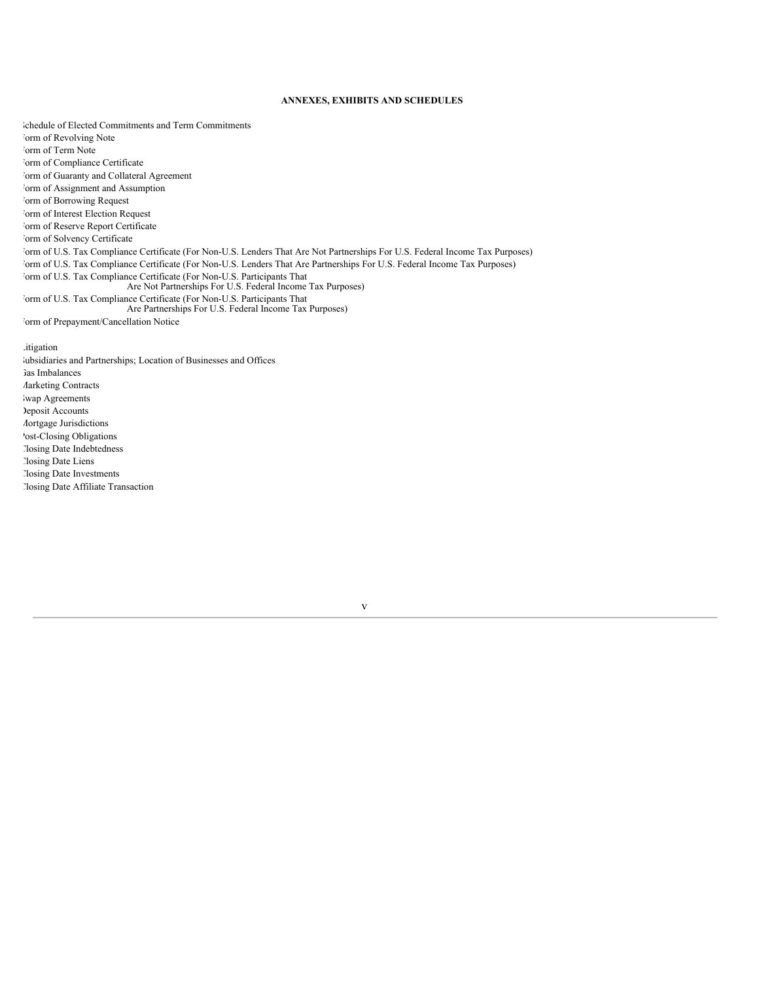## **ANNEXES, EXHIBITS AND SCHEDULES**

v

chedule of Elected Commitments and Term Commitments orm of Revolving Note orm of Term Note 'orm of Compliance Certificate orm of Guaranty and Collateral Agreement orm of Assignment and Assumption orm of Borrowing Request orm of Interest Election Request orm of Reserve Report Certificate orm of Solvency Certificate Form of U.S. Tax Compliance Certificate (For Non-U.S. Lenders That Are Not Partnerships For U.S. Federal Income Tax Purposes) Form of U.S. Tax Compliance Certificate (For Non-U.S. Lenders That Are Partnerships For U.S. Federal Income Tax Purposes) orm of U.S. Tax Compliance Certificate (For Non-U.S. Participants That Are Not Partnerships For U.S. Federal Income Tax Purposes) Form of U.S. Tax Compliance Certificate (For Non-U.S. Participants That Are Partnerships For U.S. Federal Income Tax Purposes) orm of Prepayment/Cancellation Notice **itigation** 

ubsidiaries and Partnerships; Location of Businesses and Offices das Imbalances Marketing Contracts wap Agreements Deposit Accounts Mortgage Jurisdictions 'ost-Closing Obligations **Closing Date Indebtedness Closing Date Liens Tosing Date Investments** Closing Date Affiliate Transaction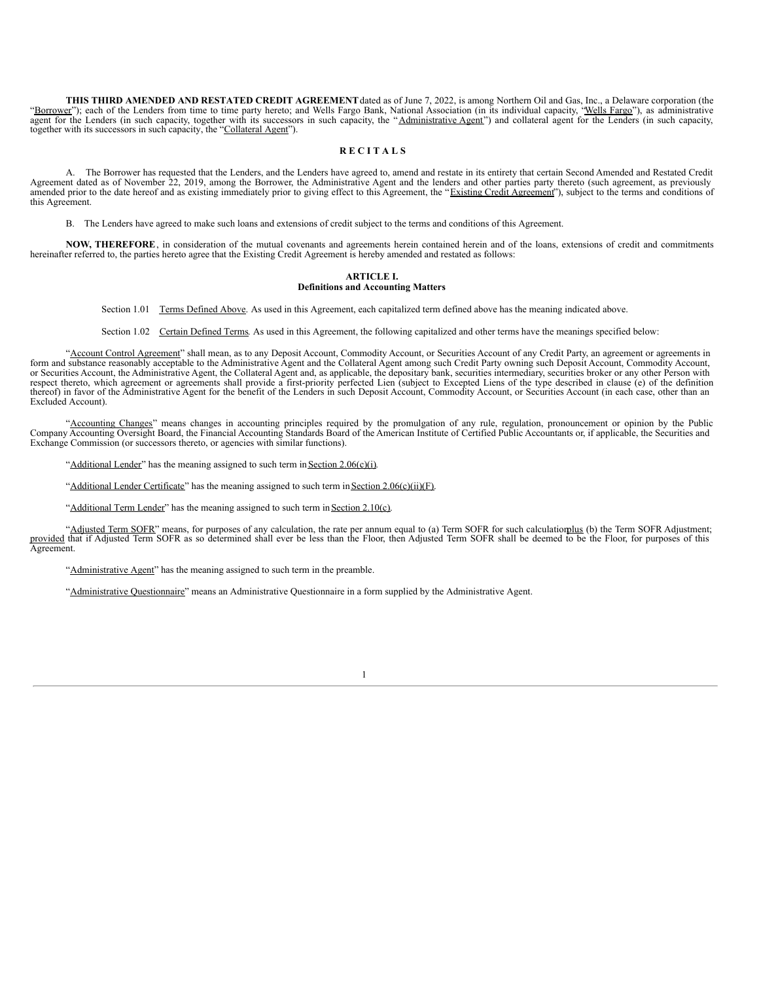**THIS THIRD AMENDED AND RESTATED CREDIT AGREEMENT** dated as of June 7, 2022, is among Northern Oil and Gas, Inc., a Delaware corporation (the "Borrower"); each of the Lenders from time to time party hereto; and Wells Fargo together with its successors in such capacity, the "Collateral Agent").

#### **R E C I T A L S**

A. The Borrower has requested that the Lenders, and the Lenders have agreed to, amend and restate in its entirety that certain Second Amended and Restated Credit Agreement dated as of November 22, 2019, among the Borrower, the Administrative Agent and the lenders and other parties party thereto (such agreement, as previously amended prior to the date hereof and as existing immediat this Agreement.

B. The Lenders have agreed to make such loans and extensions of credit subject to the terms and conditions of this Agreement.

**NOW, THEREFORE**, in consideration of the mutual covenants and agreements herein contained herein and of the loans, extensions of credit and commitments hereinafter referred to, the parties hereto agree that the Existing Credit Agreement is hereby amended and restated as follows:

#### **ARTICLE I. Definitions and Accounting Matters**

Section 1.01 Terms Defined Above. As used in this Agreement, each capitalized term defined above has the meaning indicated above.

Section 1.02 Certain Defined Terms. As used in this Agreement, the following capitalized and other terms have the meanings specified below:

"Account Control Agreement" shall mean, as to any Deposit Account, Commodity Account, or Securities Account of any Credit Party, an agreement or agreements in form and substance reasonably acceptable to the Administrative Agent and the Collateral Agent among such Credit Party owning such Deposit Account, Commodity Account, and the Administrative Agent, the Collateral Agent and, respect thereto, which agreement or agreements shall provide a first-priority perfected Lien (subject to Excepted Liens of the type described in clause (e) of the definition thereof) in favor of the Administrative Agent for the benefit of the Lenders in such Deposit Account, Commodity Account, or Securities Account (in each case, other than an Excluded Account).

"Accounting Changes" means changes in accounting principles required by the promulgation of any rule, regulation, pronouncement or opinion by the Public<br>Company Accounting Oversight Board, the Financial Accounting Standard Exchange Commission (or successors thereto, or agencies with similar functions).

"Additional Lender" has the meaning assigned to such term in Section 2.06(c)(i).

"Additional Lender Certificate" has the meaning assigned to such term in Section 2.06(c)(ii)(F).

"Additional Term Lender" has the meaning assigned to such term inSection 2.10(c).

"Adjusted Term SOFR" means, for purposes of any calculation, the rate per annum equal to (a) Term SOFR for such calculationplus (b) the Term SOFR Adjustment; provided that if Adjusted Term SOFR as so determined shall ever be less than the Floor, then Adjusted Term SOFR shall be deemed to be the Floor, for purposes of this Agreement.

"Administrative Agent" has the meaning assigned to such term in the preamble.

"Administrative Questionnaire" means an Administrative Questionnaire in a form supplied by the Administrative Agent.

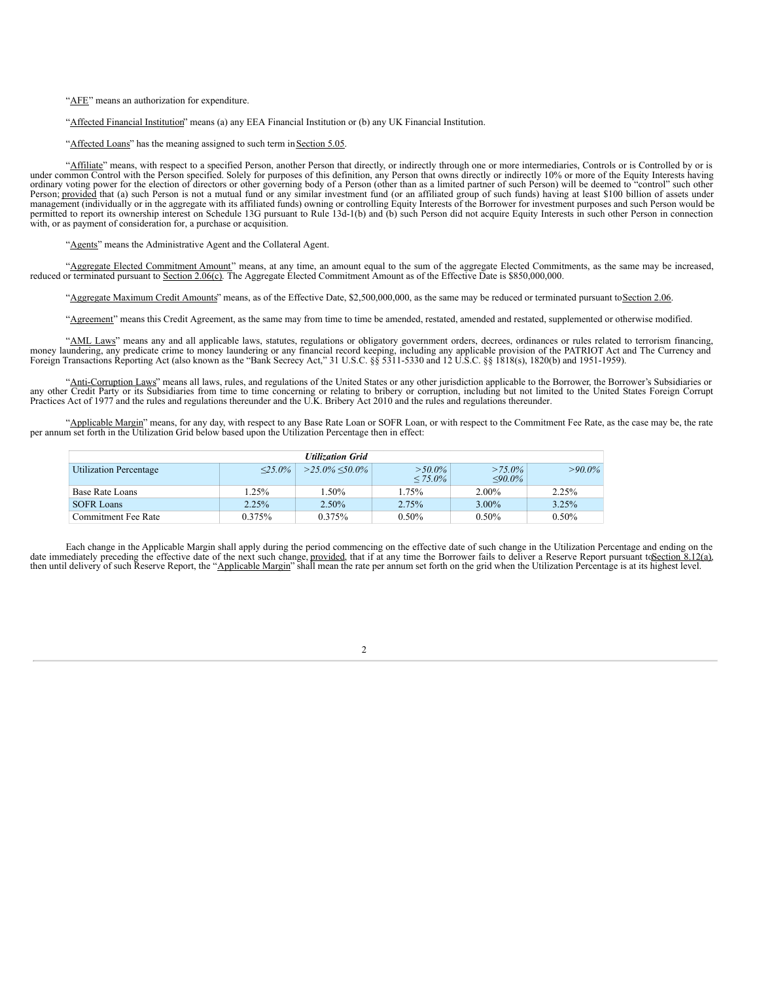"AFE" means an authorization for expenditure.

"Affected Financial Institution" means (a) any EEA Financial Institution or (b) any UK Financial Institution.

"Affected Loans" has the meaning assigned to such term in Section 5.05.

"Affiliate" means, with respect to a specified Person, another Person that directly, or indirectly through one or more intermediaries, Controls or is Controlled by or is under common Control with the Person specified. Solely for purposes of this definition, any Person that owns directly or indirectly 10% or more of the Equity Interests having<br>ordinary voting power for the election of direc management (individually or in the aggregate with its affiliated funds) owning or controlling Equity Interests of the Borrower for investment purposes and such Person would be permitted to report its ownership interest on with, or as payment of consideration for, a purchase or acquisition.

"Agents" means the Administrative Agent and the Collateral Agent.

"Aggregate Elected Commitment Amount" means, at any time, an amount equal to the sum of the aggregate Elected Commitments, as the same may be increased, reduced or terminated pursuant to Section 2.06(c). The Aggregate Elec

"Aggregate Maximum Credit Amounts" means, as of the Effective Date, \$2,500,000,000, as the same may be reduced or terminated pursuant to Section 2.06.

"Agreement" means this Credit Agreement, as the same may from time to time be amended, restated, amended and restated, supplemented or otherwise modified.

"AML Laws" means any and all applicable laws, statutes, regulations or obligatory government orders, decrees, ordinances or rules related to terrorism financing, money laundering, any predicate crime to money laundering or

"Anti-Corruption Laws" means all laws, rules, and regulations of the United States or any other jurisdiction applicable to the Borrower, the Borrower's Subsidiaries or<br>any other Credit Party or its Subsidiaries from time t

"Applicable Margin" means, for any day, with respect to any Base Rate Loan or SOFR Loan, or with respect to the Commitment Fee Rate, as the case may be, the rate per annum set forth in the Utilization Grid below based upon the Utilization Percentage then in effect:

| <b>Utilization Grid</b> |               |                       |            |               |           |
|-------------------------|---------------|-----------------------|------------|---------------|-----------|
| Utilization Percentage  | $\leq 25.0\%$ | $>25.0\% \leq 50.0\%$ | $> 50.0\%$ | $>75.0\%$     | $>90.0\%$ |
|                         |               |                       | $< 75.0\%$ | $\leq 90.0\%$ |           |
| <b>Base Rate Loans</b>  | $1.25\%$      | .50%                  | 1.75%      | 2.00%         | 2.25%     |
| <b>SOFR Loans</b>       | $2.25\%$      | 2.50%                 | 2.75%      | $3.00\%$      | $3.25\%$  |
| Commitment Fee Rate     | 0.375%        | 0.375%                | $0.50\%$   | $0.50\%$      | $0.50\%$  |

Each change in the Applicable Margin shall apply during the period commencing on the effective date of such change in the Utilization Percentage and ending on the date immediately preceding the effective date of the next s

 $\mathfrak{D}$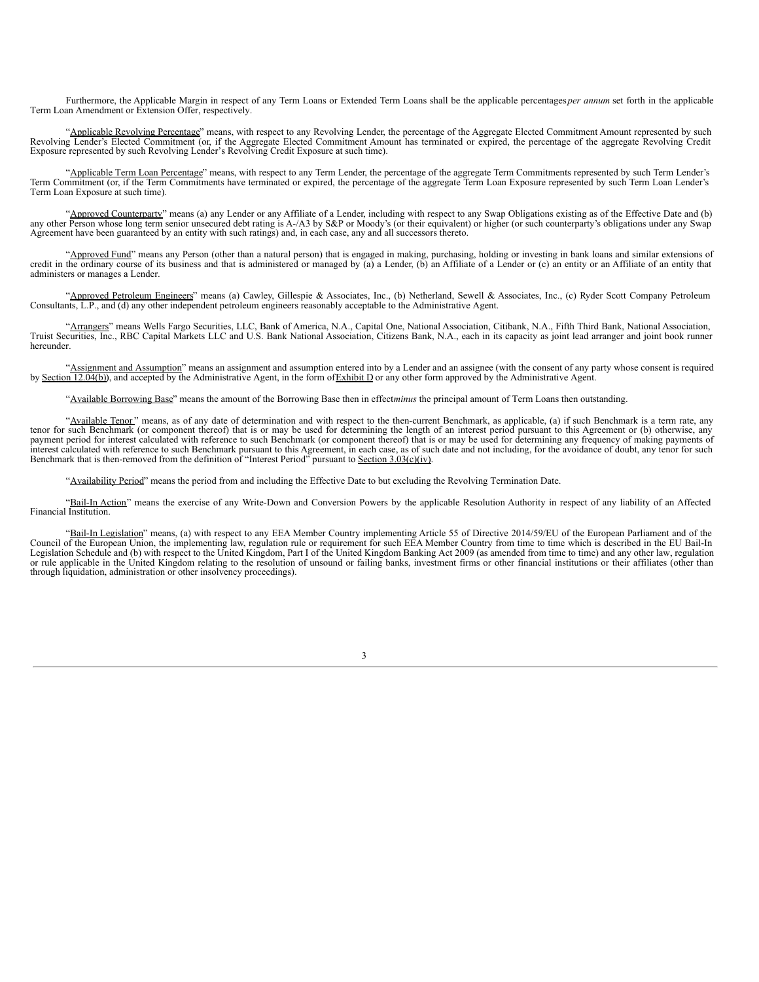Furthermore, the Applicable Margin in respect of any Term Loans or Extended Term Loans shall be the applicable percentages *per annum* set forth in the applicable Term Loan Amendment or Extension Offer, respectively.

"Applicable Revolving Percentage" means, with respect to any Revolving Lender, the percentage of the Aggregate Elected Commitment Amount represented by such Revolving Lender's Elected Commitment (or, if the Aggregate Elected Commitment Amount has terminated or expired, the percentage of the aggregate Revolving Credit Exposure represented by such Revolving Lender's Revolving Cr

"Applicable Term Loan Percentage" means, with respect to any Term Lender, the percentage of the aggregate Term Commitments represented by such Term Lender's Term Commitment (or, if the Term Commitments have terminated or expired, the percentage of the aggregate Term Loan Exposure represented by such Term Loan Lender's Term Loan Exposure at such time).

"Approved Counterparty" means (a) any Lender or any Affiliate of a Lender, including with respect to any Swap Obligations existing as of the Effective Date and (b) any other Person whose long term senior unsecured debt rating is A-/A3 by S&P or Moody's (or their equivalent) or higher (or such counterparty's obligations under any Swap Agreement have been guaranteed by an entity with s

"Approved Fund" means any Person (other than a natural person) that is engaged in making, purchasing, holding or investing in bank loans and similar extensions of credit in the ordinary course of its business and that is administered or managed by (a) a Lender, (b) an Affiliate of a Lender or (c) an entity or an Affiliate of an entity that administers or manages a Lender.

"Approved Petroleum Engineers" means (a) Cawley, Gillespie & Associates, Inc., (b) Netherland, Sewell & Associates, Inc., (c) Ryder Scott Company Petroleum Consultants, L.P., and (d) any other independent petroleum engineers reasonably acceptable to the Administrative Agent.

"Arrangers" means Wells Fargo Securities, LLC, Bank of America, N.A., Capital One, National Association, Citibank, N.A., Fifth Third Bank, National Association, Truist Securities, Inc., RBC Capital Markets LLC and U.S. Bank National Association, Citizens Bank, N.A., each in its capacity as joint lead arranger and joint book runner hereunder.

"Assignment and Assumption" means an assignment and assumption entered into by a Lender and an assignee (with the consent of any party whose consent is required<br>by Section 12.04(b)), and accepted by the Administrative Agen

"Available Borrowing Base" means the amount of the Borrowing Base then in effect*minus* the principal amount of Term Loans then outstanding.

"Available Tenor" means, as of any date of determination and with respect to the then-current Benchmark, as applicable, (a) if such Benchmark is a term rate, any tenor for such Benchmark (or component thereof) that is or m interest calculated with reference to such Benchmark pursuant to this Agreement, in each case, as of such date and not including, for the avoidance of doubt, any tenor for such<br>Benchmark that is then-removed from the defin

"Availability Period" means the period from and including the Effective Date to but excluding the Revolving Termination Date.

"Bail-In Action" means the exercise of any Write-Down and Conversion Powers by the applicable Resolution Authority in respect of any liability of an Affected Financial Institution.

"Bail-In Legislation" means, (a) with respect to any EEA Member Country implementing Article 55 of Directive 2014/59/EU of the European Parliament and of the Council of the European Union, the implementing law, regulation rule or requirement for such EEA Member Country from time to time which is described in the EU Bail-In Legislation Schedule and (b) with respect to the United Kingdom, Part I of the United Kingdom Banking Act 2009 (as amended from time to time) and any other law, regulation or rule applicable in the United Kingdom relating to the resolution of unsound or failing banks, investment firms or other financial institutions or their affiliates (other than through liquidation, administration or other insolvency proceedings).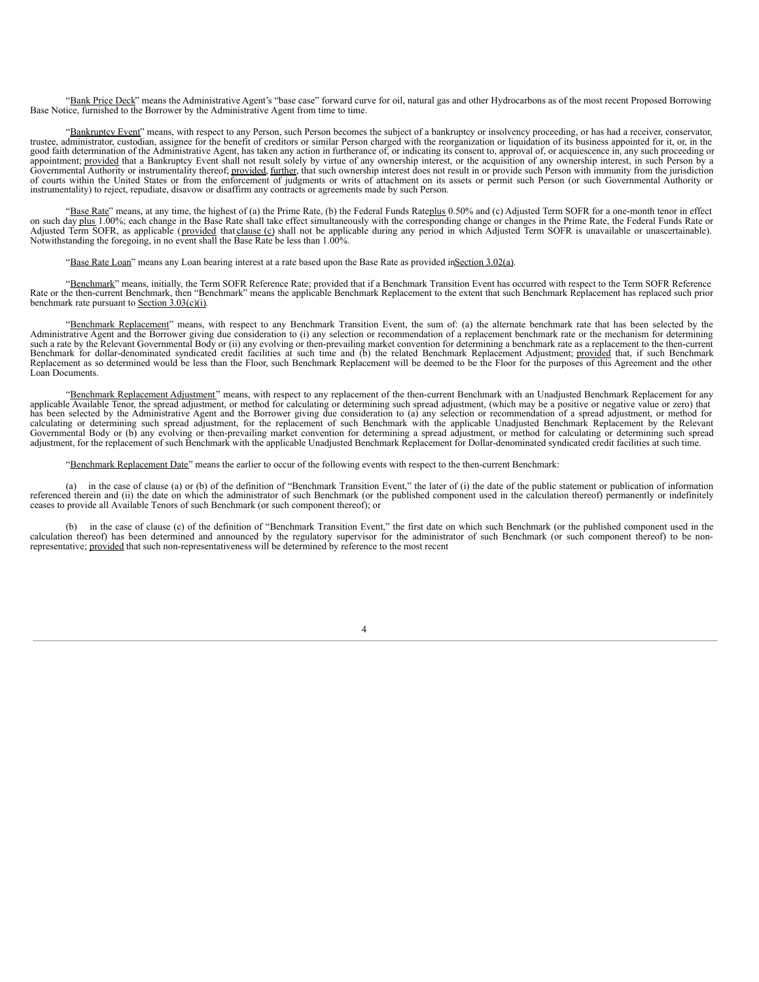"Bank Price Deck" means the Administrative Agent's "base case" forward curve for oil, natural gas and other Hydrocarbons as of the most recent Proposed Borrowing Base Notice, furnished to the Borrower by the Administrative Agent from time to time.

"Bankruptcy Event" means, with respect to any Person, such Person becomes the subject of a bankruptcy or insolvency proceeding, or has had a receiver, conservator, trustee, administrator, custodian, assignee for the benefit of creditors or similar Person charged with the reorganization or liquidation of its business appointed for it, or, in the good faith determination of the Administrative Agent, has taken any action in furtherance of, or indicating its consent to, approval of, or acquiescence in, any such proceeding or appointment; provided that a Bankruptcy Event shall not result solely by virtue of any ownership interest, or the acquisition of any ownership interest, in such Person by a Governmental Authority or instrumentality thereof; provided, further, that such ownership interest does not result in or provide such Person with immunity from the jurisdiction of courts within the United States or from th instrumentality) to reject, repudiate, disavow or disaffirm any contracts or agreements made by such Person.

"Base Rate" means, at any time, the highest of (a) the Prime Rate, (b) the Federal Funds Rateplus 0.50% and (c) Adjusted Term SOFR for a one-month tenor in effect<br>on such day plus 1.00%; each change in the Base Rate shall Adjusted Term SOFR, as applicable (provided that clause (c) shall not be applicable during any period in which Adjusted Term SOFR is unavailable or unascertainable).<br>Notwithstanding the foregoing, in no event shall the Bas

"Base Rate Loan" means any Loan bearing interest at a rate based upon the Base Rate as provided inSection 3.02(a).

"Benchmark" means, initially, the Term SOFR Reference Rate; provided that if a Benchmark Transition Event has occurred with respect to the Term SOFR Reference Rate or the then-current Benchmark, then "Benchmark" means the applicable Benchmark Replacement to the extent that such Benchmark Replacement has replaced such prior benchmark rate pursuant to Section  $3.03(c)(i)$ .

"Benchmark Replacement" means, with respect to any Benchmark Transition Event, the sum of: (a) the alternate benchmark rate that has been selected by the Administrative Agent and the Borrower giving due consideration to (i) any selection or recommendation of a replacement benchmark rate or the mechanism for determining<br>such a rate by the Relevant Governmental Body or (ii) a Benchmark for dollar-denominated syndicated credit facilities at such time and (b) the related Benchmark Replacement Adjustment; provided that, if such Benchmark Replacement as so determined would be less than the Floor, such Benchmark Replacement will be deemed to be the Floor for the purposes of this Agreement and the other Loan Documents.

"Benchmark Replacement Adjustment" means, with respect to any replacement of the then-current Benchmark with an Unadjusted Benchmark Replacement for any applicable Available Tenor, the spread adjustment, or method for calc

"Benchmark Replacement Date" means the earlier to occur of the following events with respect to the then-current Benchmark:

(a) in the case of clause (a) or (b) of the definition of "Benchmark Transition Event," the later of (i) the date of the public statement or publication of information referenced therein and (ii) the date on which the admi ceases to provide all Available Tenors of such Benchmark (or such component thereof); or

in the case of clause (c) of the definition of "Benchmark Transition Event," the first date on which such Benchmark (or the published component used in the calculation thereof) has been determined and announced by the regulatory supervisor for the administrator of such Benchmark (or such component thereof) to be nonrepresentative; provided that such non-representativeness will be determined by reference to the most recent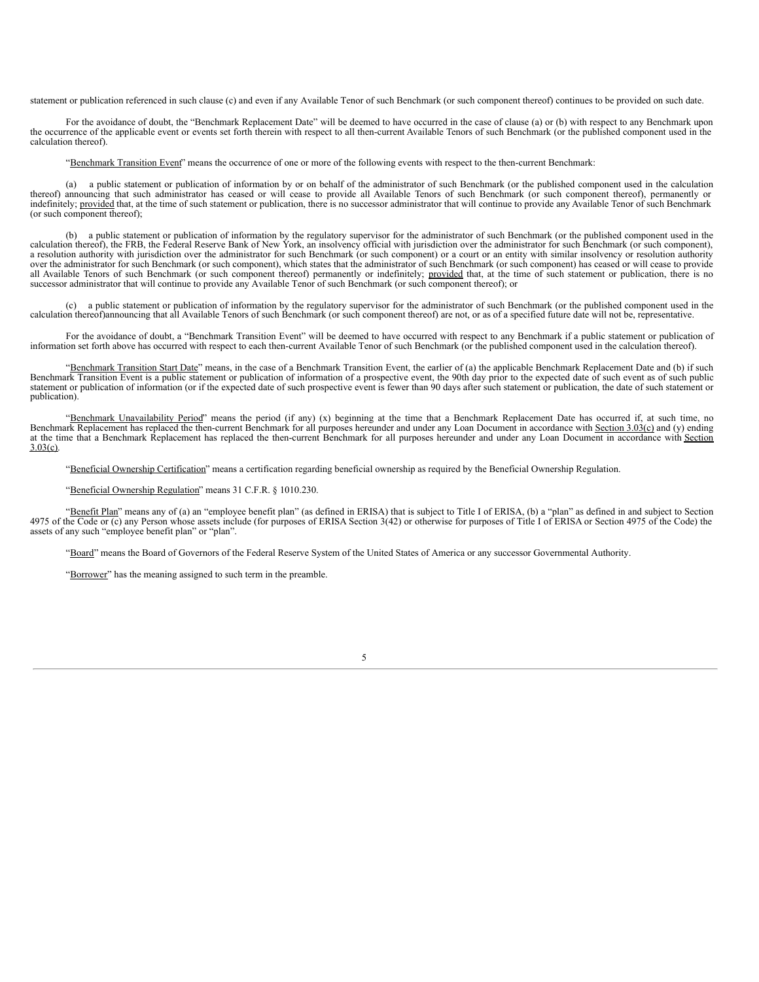statement or publication referenced in such clause (c) and even if any Available Tenor of such Benchmark (or such component thereof) continues to be provided on such date.

For the avoidance of doubt, the "Benchmark Replacement Date" will be deemed to have occurred in the case of clause (a) or (b) with respect to any Benchmark upon<br>the occurrence of the applicable event or events set forth th calculation thereof).

"Benchmark Transition Event" means the occurrence of one or more of the following events with respect to the then-current Benchmark:

(a) a public statement or publication of information by or on behalf of the administrator of such Benchmark (or the published component used in the calculation thereof) announcing that such administrator has ceased or will (or such component thereof);

(b) a public statement or publication of information by the regulatory supervisor for the administrator of such Benchmark (or the published component used in the calculation thereof), the FRB, the Federal Reserve Bank of New York, an insolvency official with jurisdiction over the administrator for such Benchmark (or such component), a resolution authority with jurisdiction over the administrator for such Benchmark (or such component) or a court or an entity with similar insolvency or resolution authority over the administrator for such Benchmark (or such component), which states that the administrator of such Benchmark (or such component) has ceased or will cease to provide all Available Tenors of such Benchmark (or such component thereof) permanently or indefinitely; provided that, at the time of such statement or publication, there is no successor administrator that will continue to provide

(c) a public statement or publication of information by the regulatory supervisor for the administrator of such Benchmark (or the published component used in the calculation thereof) announcing that all Available Tenors of

For the avoidance of doubt, a "Benchmark Transition Event" will be deemed to have occurred with respect to any Benchmark if a public statement or publication of information set forth above has occurred with respect to each then-current Available Tenor of such Benchmark (or the published component used in the calculation thereof).

"Benchmark Transition Start Date" means, in the case of a Benchmark Transition Event, the earlier of (a) the applicable Benchmark Replacement Date and (b) if such Benchmark Transition Event is a public statement or publica statement or publication of information (or if the expected date of such prospective event is fewer than 90 days after such statement or publication, the date of such statement or publication).

Benchmark Unavailability Period" means the period (if any) (x) beginning at the time that a Benchmark Replacement Date has occurred if, at such time, no Benchmark Replacement has replaced the then-current Benchmark for all purposes hereunder and under any Loan Document in accordance with Section 3.03(c) and (y) ending at the time that a Benchmark Replacement has replaced the then-current Benchmark for all purposes hereunder and under any Loan Document in accordance with Section 3.03(c).

"Beneficial Ownership Certification" means a certification regarding beneficial ownership as required by the Beneficial Ownership Regulation.

"Beneficial Ownership Regulation" means 31 C.F.R. § 1010.230.

"Benefit Plan" means any of (a) an "employee benefit plan" (as defined in ERISA) that is subject to Title I of ERISA, (b) a "plan" as defined in and subject to Section 4975 of the Code or (c) any Person whose assets includ assets of any such "employee benefit plan" or "plan".

"Board" means the Board of Governors of the Federal Reserve System of the United States of America or any successor Governmental Authority.

"Borrower" has the meaning assigned to such term in the preamble.

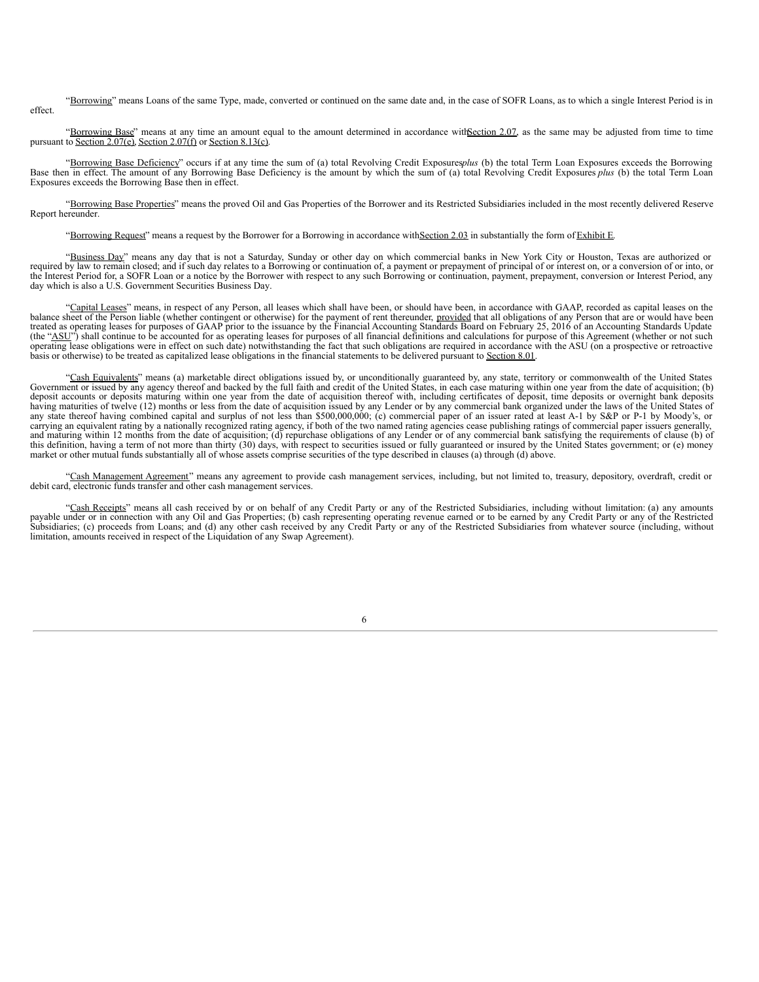"Borrowing" means Loans of the same Type, made, converted or continued on the same date and, in the case of SOFR Loans, as to which a single Interest Period is in effect.

"Borrowing Base" means at any time an amount equal to the amount determined in accordance with Section 2.07, as the same may be adjusted from time to time pursuant to Section 2.07(e), Section 2.07(f) or Section 8.13(c).

"Borrowing Base Deficiency" occurs if at any time the sum of (a) total Revolving Credit Exposuresplus (b) the total Term Loan Exposures exceeds the Borrowing Base then in effect. The amount of any Borrowing Base Deficiency is the amount by which the sum of (a) total Revolving Credit Exposures *plus* (b) the total Term Loan Exposures exceeds the Borrowing Base then in effect.

"Borrowing Base Properties" means the proved Oil and Gas Properties of the Borrower and its Restricted Subsidiaries included in the most recently delivered Reserve Report hereunder.

"Borrowing Request" means a request by the Borrower for a Borrowing in accordance withSection 2.03 in substantially the form of Exhibit E.

"Business Day" means any day that is not a Saturday, Sunday or other day on which commercial banks in New York City or Houston, Texas are authorized or required by law to remain closed; and if such day relates to a Borrowing or continuation of, a payment or prepayment of principal of or interest on, or a conversion of or into, or<br>the Interest Period for, a SOFR Loan or a day which is also a U.S. Government Securities Business Day.

"Capital Leases" means, in respect of any Person, all leases which shall have been, or should have been, in accordance with GAAP, recorded as capital leases on the balance sheet of the Person liable (whether contingent or otherwise) for the payment of rent thereunder, provided that all obligations of any Person that are or would have been treated as operating leases for purposes of GAAP prior to the issuance by the Financial Accounting Standards Board on February 25, 2016 of an Accounting Standards Update (the "ASU") shall continue to be accounted for as operating leases for purposes of all financial definitions and calculations for purpose of this Agreement (whether or not such operating lease obligations were in effect on such date) notwithstanding the fact that such obligations are required in accordance with the ASU (on a prospective or retroactive basis or otherwise) to be treated as capitalized lease obligations in the financial statements to be delivered pursuant to Section 8.01.

"Cash Equivalents" means (a) marketable direct obligations issued by, or unconditionally guaranteed by, any state, territory or commonwealth of the United States Government or issued by any agency thereof and backed by the having maturities of twelve (12) months or less from the date of acquisition issued by any Lender or by any commercial bank organized under the laws of the United States of any state thereof having combined capital and surplus of not less than \$500,000,000; (c) commercial paper of an issuer rated at least A-1 by S&P or P-1 by Moody's, or carrying an equivalent rating by a nationally recognized rating agency, if both of the two named rating agencies cease publishing ratings of commercial paper issuers generally, and maturing within 12 months from the date of acquisition; (d) repurchase obligations of any Lender or of any commercial bank satisfying the requirements of clause (b) of this definition, having a term of not more than thirty (30) days, with respect to securities issued or fully guaranteed or insured by the United States government; or (e) money market or other mutual funds substantially all of whose assets comprise securities of the type described in clauses (a) through (d) above.

"Cash Management Agreement" means any agreement to provide cash management services, including, but not limited to, treasury, depository, overdraft, credit or debit card, electronic funds transfer and other cash management services.

"Cash Receipts" means all cash received by or on behalf of any Credit Party or any of the Restricted Subsidiaries, including without limitation: (a) any amounts payable under or in connection with any Oil and Gas Properties; (b) cash representing operating revenue earned or to be earned by any Credit Party or any of the Restricted<br>Subsidiaries; (c) proceeds from Loans; and (d) any limitation, amounts received in respect of the Liquidation of any Swap Agreement).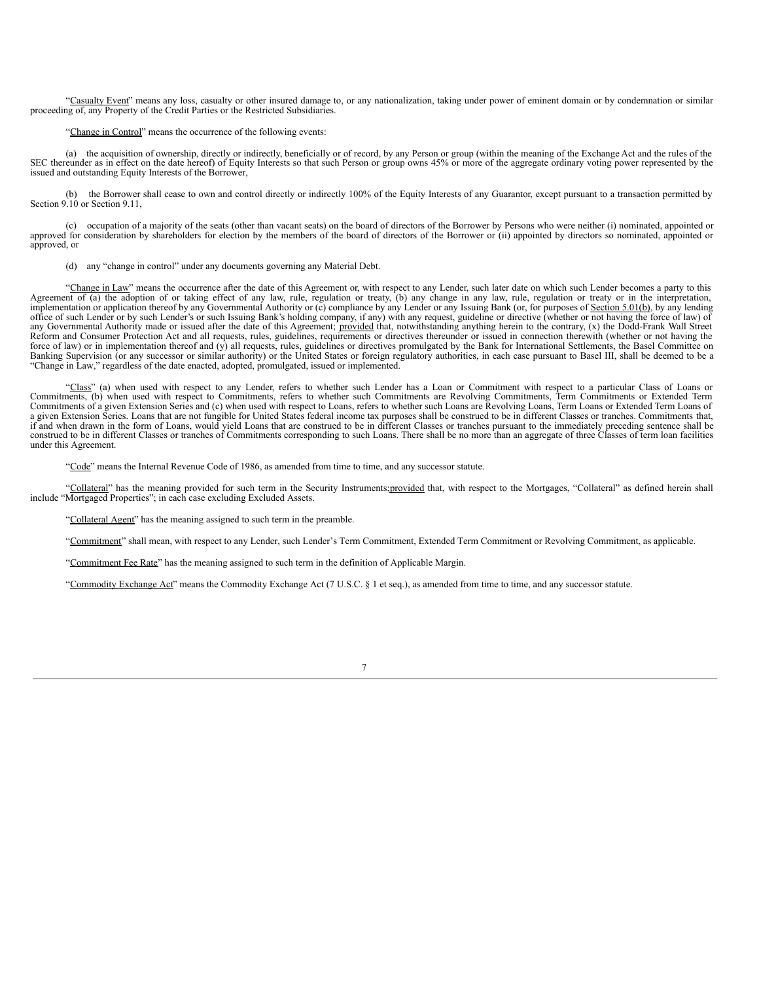"Casualty Event" means any loss, casualty or other insured damage to, or any nationalization, taking under power of eminent domain or by condemnation or similar proceeding of, any Property of the Credit Parties or the Restricted Subsidiaries.

"Change in Control" means the occurrence of the following events:

(a) the acquisition of ownership, directly or indirectly, beneficially or of record, by any Person or group (within the meaning of the Exchange Act and the rules of the SEC thereunder as in effect on the date hereof) of Equity Interests so that such Person or group owns 45% or more of the aggregate ordinary voting power represented by the issued and outstanding Equity Interests of the Borrower,

(b) the Borrower shall cease to own and control directly or indirectly 100% of the Equity Interests of any Guarantor, except pursuant to a transaction permitted by Section 9.10 or Section 9.11,

(c) occupation of a majority of the seats (other than vacant seats) on the board of directors of the Borrower by Persons who were neither (i) nominated, appointed or approved for consideration by shareholders for election by the members of the board of directors of the Borrower or (ii) appointed by directors so nominated, appointed or approved, or

(d) any "change in control" under any documents governing any Material Debt.

"Change in Law" means the occurrence after the date of this Agreement or, with respect to any Lender, such later date on which such Lender becomes a party to this Agreement of (a) the adoption of or taking effect of any law, rule, regulation or treaty, (b) any change in any law, rule, regulation or treaty or in the interpretation, implementation or application thereof by any Governm any Governmental Authority made or issued after the date of this Agreement; provided that, notwithstanding anything herein to the contrary, (x) the Dodd-Frank Wall Street Reform and Consumer Protection Act and all requests, rules, guidelines, requirements or directives thereunder or issued in connection therewith (whether or not having the force of law) or in implementation thereof and (y) all requests, rules, guidelines or directives promulgated by the Bank for International Settlements, the Basel Committee on Banking Supervision (or any successor or similar authority) or the United States or foreign regulatory authorities, in each case pursuant to Basel III, shall be deemed to be a<br>"Change in Law," regardless of the date enacte

"Class" (a) when used with respect to any Lender, refers to whether such Lender has a Loan or Commitment with respect to a particular Class of Loans or Commitments, (b) when used with respect to Commitments, refers to whet Commitments of a given Extension Series and (c) when used with respect to Loans, refers to whether such Loans are Revolving Loans, Term Loans or Extended Term Loans of a given Extension Series. Loans that are not fungible for United States federal income tax purposes shall be construed to be in different Classes or tranches. Commitments that, if and when drawn in the form of Loans, would construed to be in different Classes or tranches of Commitments corresponding to such Loans. There shall be no more than an aggregate of three Classes of term loan facilities under this Agreement.

"Code" means the Internal Revenue Code of 1986, as amended from time to time, and any successor statute.

"Collateral" has the meaning provided for such term in the Security Instruments;provided that, with respect to the Mortgages, "Collateral" as defined herein shall include "Mortgaged Properties"; in each case excluding Excluded Assets.

"Collateral Agent" has the meaning assigned to such term in the preamble.

"Commitment" shall mean, with respect to any Lender, such Lender's Term Commitment, Extended Term Commitment or Revolving Commitment, as applicable.

"Commitment Fee Rate" has the meaning assigned to such term in the definition of Applicable Margin.

"Commodity Exchange Act" means the Commodity Exchange Act (7 U.S.C. § 1 et seq.), as amended from time to time, and any successor statute.

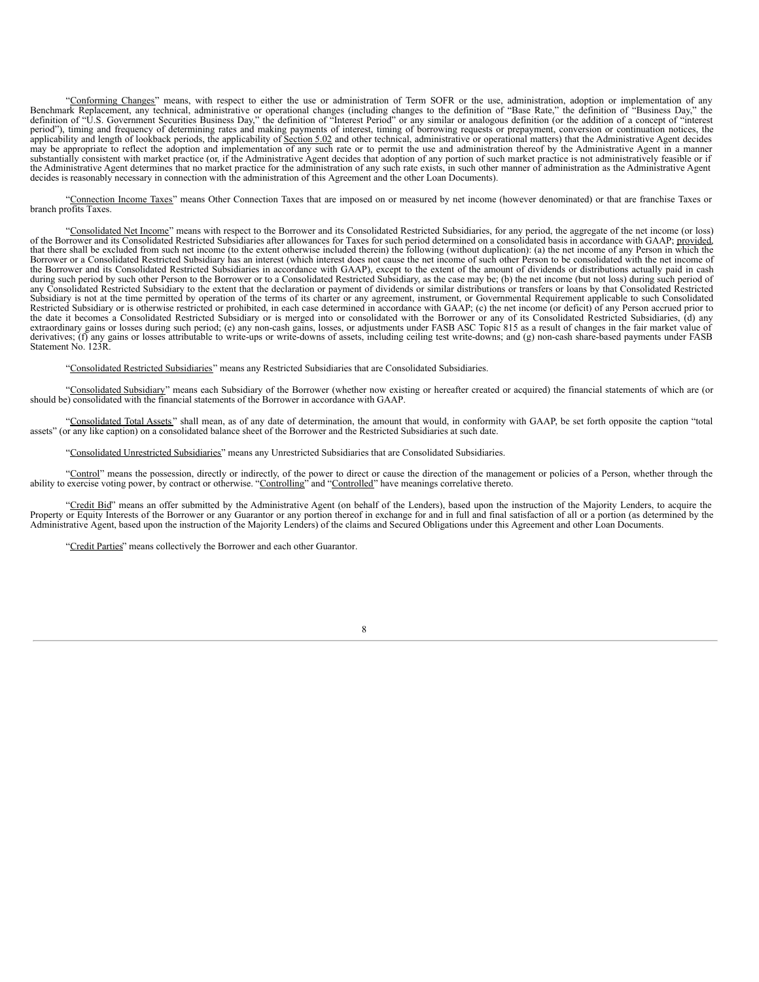"Conforming Changes" means, with respect to either the use or administration of Term SOFR or the use, administration, adoption or implementation of any Benchmark Replacement, any technical, administrative or operational ch period"), timing and frequency of determining rates and making payments of interest, timing of borrowing requests or prepayment, conversion or continuation notices, the applicability and length of lookback periods, the applicability of Section 5.02 and other technical, administrative or operational matters) that the Administrative Agent decides may be appropriate to reflect the adoption and implementation of any such rate or to permit the use and administration thereof by the Administrative Agent in a manner substantially consistent with market practice (or, if the Administrative Agent decides that adoption of any portion of such market practice is not administratively feasible or if<br>the Administrative Agent determines that no decides is reasonably necessary in connection with the administration of this Agreement and the other Loan Documents).

"Connection Income Taxes" means Other Connection Taxes that are imposed on or measured by net income (however denominated) or that are franchise Taxes or branch profits Taxes.

"Consolidated Net Income" means with respect to the Borrower and its Consolidated Restricted Subsidiaries, for any period, the aggregate of the net income (or loss) of the Borrower and its Consolidated Restricted Subsidiaries after allowances for Taxes for such period determined on a consolidated basis in accordance with GAAP; provided, In the Borrower and its Consortiated resulted Substituted substanties and incorporated therein) the following (without duplication): (a) the net income of any Person in which the that there shall be excluded from such net Borrower or a Consolidated Restricted Subsidiary has an interest (which interest does not cause the net income of such other Person to be consolidated with the net income of<br>the Borrower and its Consolidated Restricted Sub any Consolidated Restricted Subsidiary to the extent that the declaration or payment of dividends or similar distributions or transfers or loans by that Consolidated Restricted Subsidiary is not at the time permitted by op Restricted Subsidiary or is otherwise restricted or prohibited, in each case determined in accordance with GAAP; (c) the net income (or deficit) of any Person accrued prior to the date it becomes a Consolidated Restricted Subsidiary or is merged into or consolidated with the Borrower or any of its Consolidated Restricted Subsidiaries, (d) any extraordinary gains or losses during such period; (e) any non-cash gains, losses, or adjustments under FASB ASC Topic 815 as a result of changes in the fair market value of derivatives; (f) any gains or losses attributable to write-ups or write-downs of assets, including ceiling test write-downs; and (g) non-cash share-based payments under FASB Statement No. 123R.

"Consolidated Restricted Subsidiaries" means any Restricted Subsidiaries that are Consolidated Subsidiaries.

"Consolidated Subsidiary" means each Subsidiary of the Borrower (whether now existing or hereafter created or acquired) the financial statements of which are (or should be) consolidated with the financial statements of the Borrower in accordance with GAAP.

"Consolidated Total Assets" shall mean, as of any date of determination, the amount that would, in conformity with GAAP, be set forth opposite the caption "total assets" (or any like caption) on a consolidated balance sheet of the Borrower and the Restricted Subsidiaries at such date.

"Consolidated Unrestricted Subsidiaries" means any Unrestricted Subsidiaries that are Consolidated Subsidiaries.

"Control" means the possession, directly or indirectly, of the power to direct or cause the direction of the management or policies of a Person, whether through the ability to exercise voting power, by contract or otherwise. "Controlling" and "Controlled" have meanings correlative thereto.

"Credit Bid" means an offer submitted by the Administrative Agent (on behalf of the Lenders), based upon the instruction of the Majority Lenders, to acquire the Property or Equity Interests of the Borrower or any Guarantor Administrative Agent, based upon the instruction of the Majority Lenders) of the claims and Secured Obligations under this Agreement and other Loan Documents.

"Credit Parties" means collectively the Borrower and each other Guarantor.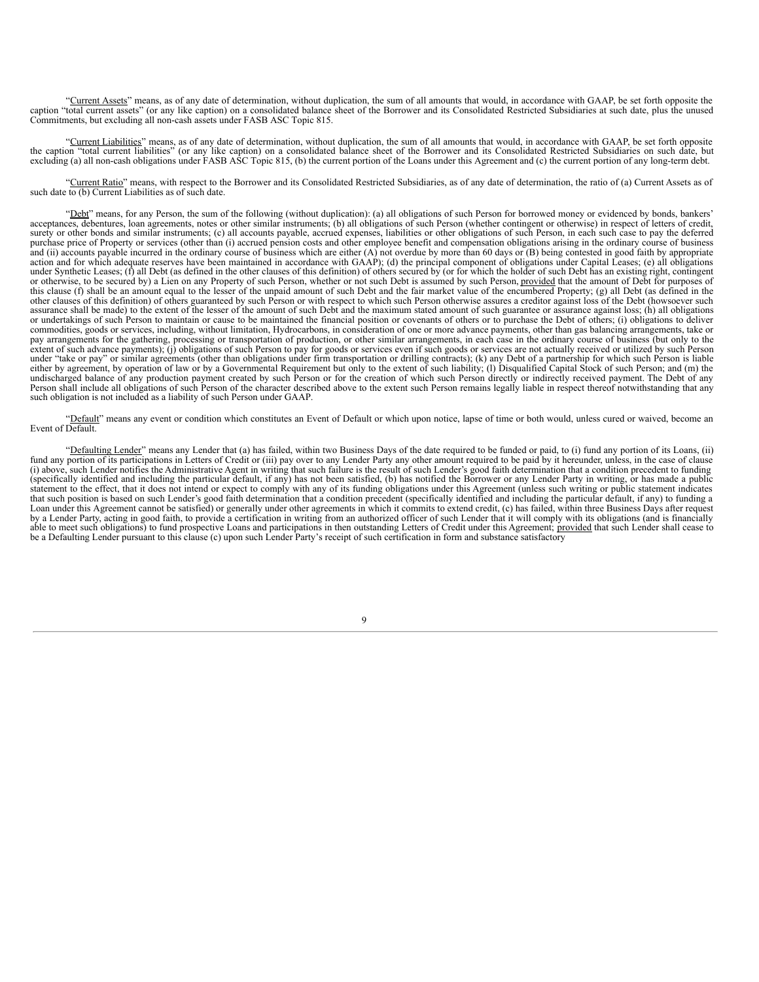"Current Assets" means, as of any date of determination, without duplication, the sum of all amounts that would, in accordance with GAAP, be set forth opposite the caption "total current assets" (or any like caption) on a consolidated balance sheet of the Borrower and its Consolidated Restricted Subsidiaries at such date, plus the unused Commitments, but excluding all non-cash assets under FASB ASC Topic 815.

"Current Liabilities" means, as of any date of determination, without duplication, the sum of all amounts that would, in accordance with GAAP, be set forth opposite the caption "total current liabilities" (or any like capt

Current Ratio" means, with respect to the Borrower and its Consolidated Restricted Subsidiaries, as of any date of determination, the ratio of (a) Current Assets as of such date to  $(b)$  Current Liabilities as of such date.

"Debt" means, for any Person, the sum of the following (without duplication): (a) all obligations of such Person for borrowed money or evidenced by bonds, bankers' acceptances, debentures, loan agreements, notes or other similar instruments; (b) all obligations of such Person (whether contingent or otherwise) in respect of letters of credit, surety or other bonds and similar instruments; (c) all accounts payable, accrued expenses, liabilities or other obligations of such Person, in each such case to pay the deferred purchase price of Property or services (othe and (ii) accounts payable incurred in the ordinary course of business which are either  $(A)$  not overdue by more than 60 days or  $(B)$  being contested in good faith by appropriate action and for which adequate reserves have been maintained in accordance with GAAP); (d) the principal component of obligations under Capital Leases; (e) all obligations under Synthetic Leases; (f) all Debt (as defined in the other clauses of this definition) of others secured by (or for which the holder of such Debt has an existing right, contingent or otherwise, to be secured by) a Lien on any Property of such Person, whether or not such Debt is assumed by such Person, provided that the amount of Debt for purposes of this clause (f) shall be an amount equal to the lesser of the unpaid amount of such Debt and the fair market value of the encumbered Property; (g) all Debt (as defined in the other clauses of this definition) of others guaranteed by such Person or with respect to which such Person otherwise assures a creditor against loss of the Debt (howsoever such assurance shall be made) to the extent of the lesser of the amount of such Debt and the maximum stated amount of such guarantee or assurance against loss; (h) all obligations or undertakings of such Person to maintain or cause to be maintained the financial position or covenants of others or to purchase the Debt of others; (i) obligations to deliver commodities, goods or services, including, without limitation, Hydrocarbons, in consideration of one or more advance payments, other than gas balancing arrangements, take or pay arrangements for the gathering, processing or transportation of production, or other similar arrangements, in each case in the ordinary course of business (but only to the extent of such advance payments); (j) obligations of such Person to pay for goods or services even if such goods or services are not actually received or utilized by such Person under "take or pay" or similar agreements (other than obligations under firm transportation or drilling contracts); (k) any Debt of a partnership for which such Person is liable either by agreement, by operation of law or by a Governmental Requirement but only to the extent of such liability; (1) Disqualified Capital Stock of such Person; and (m) the undischarged balance of any production payment created by such Person or for the creation of which such Person directly or indirectly received payment. The Debt of any<br>Person shall include all obligations of such Person of such obligation is not included as a liability of such Person under GAAP.

"Default" means any event or condition which constitutes an Event of Default or which upon notice, lapse of time or both would, unless cured or waived, become an Event of Default.

"Defaulting Lender" means any Lender that (a) has failed, within two Business Days of the date required to be funded or paid, to (i) fund any portion of its Loans, (ii) fund any portion of its participations in Letters of Credit or (iii) pay over to any Lender Party any other amount required to be paid by it hereunder, unless, in the case of clause (i) above, such Lender notifies the Admi (specifically identified and including the particular default, if any) has not been satisfied, (b) has notified the Borrower or any Lender Party in writing, or has made a public statement to the effect, that it does not in that such position is based on such Lender's good faith determination that a condition precedent (specifically identified and including the particular default, if any) to funding a<br>Loan under this Agreement cannot be satis by a Lender Party, acting in good faith, to provide a certification in writing from an authorized officer of such Lender that it will comply with its obligations (and is financially able to meet such obligations) to fund prospective Loans and participations in then outstanding Letters of Credit under this Agreement; provided that such Lender shall cease to be a Defaulting Lender pursuant to this clause (c) upon such Lender Party's receipt of such certification in form and substance satisfactory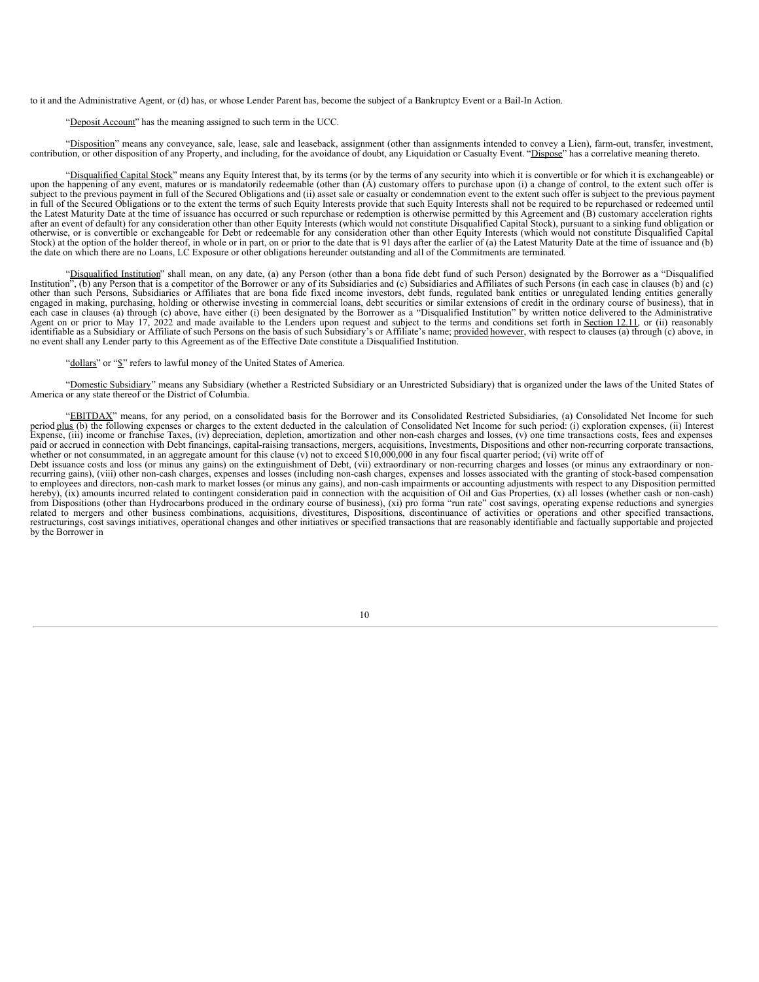to it and the Administrative Agent, or (d) has, or whose Lender Parent has, become the subject of a Bankruptcy Event or a Bail-In Action.

"Deposit Account" has the meaning assigned to such term in the UCC.

"Disposition" means any conveyance, sale, lease, sale and leaseback, assignment (other than assignments intended to convey a Lien), farm-out, transfer, investment, contribution, or other disposition of any Property, and including, for the avoidance of doubt, any Liquidation or Casualty Event. "Dispose" has a correlative meaning thereto.

"Disqualified Capital Stock" means any Equity Interest that, by its terms of by the terms of any security into which it is convertible or for which it is exchangeable) or upon the happening of any event, matures or is mand in full of the Secured Obligations or to the extent the terms of such Equity Interests provide that such Equity Interests shall not be required to be repurchased or redeemed until<br>the Latest Maturity Date at the time of is after an event of default) for any consideration other than other Equity Interests (which would not constitute Disqualified Capital Stock), pursuant to a sinking fund obligation or<br>otherwise, or is convertible or exchangea Stock) at the option of the holder thereof, in whole or in part, on or prior to the date that is 91 days after the earlier of (a) the Latest Maturity Date at the time of issuance and (b) the date on which there are no Loans, LC Exposure or other obligations hereunder outstanding and all of the Commitments are terminated.

Disqualified Institution" shall mean, on any date, (a) any Person (other than a bona fide debt fund of such Person) designated by the Borrower as a "Disqualified Institution", (b) any Person that is a competitor of the Borrower or any of its Subsidiaries and (c) Subsidiaries and Affiliates of such Persons (in each case in clauses (b) and (c) other than such Persons, Subsidiaries or Affiliates that are bona fide fixed income investors, debt funds, regulated bank entities or unregulated lending entities generally engaged in making, purchasing, holding or otherwise investing in commercial loans, debt securities or similar extensions of credit in the ordinary course of business), that in each case in clauses (a) through (c) above, ha no event shall any Lender party to this Agreement as of the Effective Date constitute a Disqualified Institution.

"dollars" or "\$" refers to lawful money of the United States of America.

"Domestic Subsidiary" means any Subsidiary (whether a Restricted Subsidiary or an Unrestricted Subsidiary) that is organized under the laws of the United States of America or any state thereof or the District of Columbia.

"EBITDAX" means, for any period, on a consolidated basis for the Borrower and its Consolidated Restricted Subsidiaries, (a) Consolidated Net Income for such period plus (b) the following expenses or charges to the extent deducted in the calculation of Consolidated Net Income for such period: (i) exploration expenses, (ii) Interest Expense, (iii) income or franchise Taxes, (iv) depreciation, depletion, amortization and other non-cash charges and losses, (v) one time transactions costs, fees and expenses paid or accrued in connection with Debt financings, capital-raising transactions, mergers, acquisitions, Investments, Dispositions and other non-recurring corporate transactions, whether or not consummated, in an aggregate amount for this clause (v) not to exceed \$10,000,000 in any four fiscal quarter period; (vi) write off of

Debt issuance costs and loss (or minus any gains) on the extinguishment of Debt, (vii) extraordinary or non-recurring charges and losses (or minus any extraordinary or nonrecurring gains), (viii) other non-cash charges, expenses and losses (including non-cash charges, expenses and losses associated with the granting of stock-based compensation to employees and directors, non-cash mark to market losses (or minus any gains), and non-cash impairments or accounting adjustments with respect to any Disposition permitted hereby), (ix) amounts incurred related to contingent consideration paid in connection with the acquisition of Oil and Gas Properties, (x) all losses (whether cash or non-cash) from Dispositions (other than Hydrocarbons pro related to mergers and other business combinations, acquisitions, divestitures, Dispositions, discontinuance of activities or operations and other specified transactions, restructurings, cost savings initiatives, operational changes and other initiatives or specified transactions that are reasonably identifiable and factually supportable and projected by the Borrower in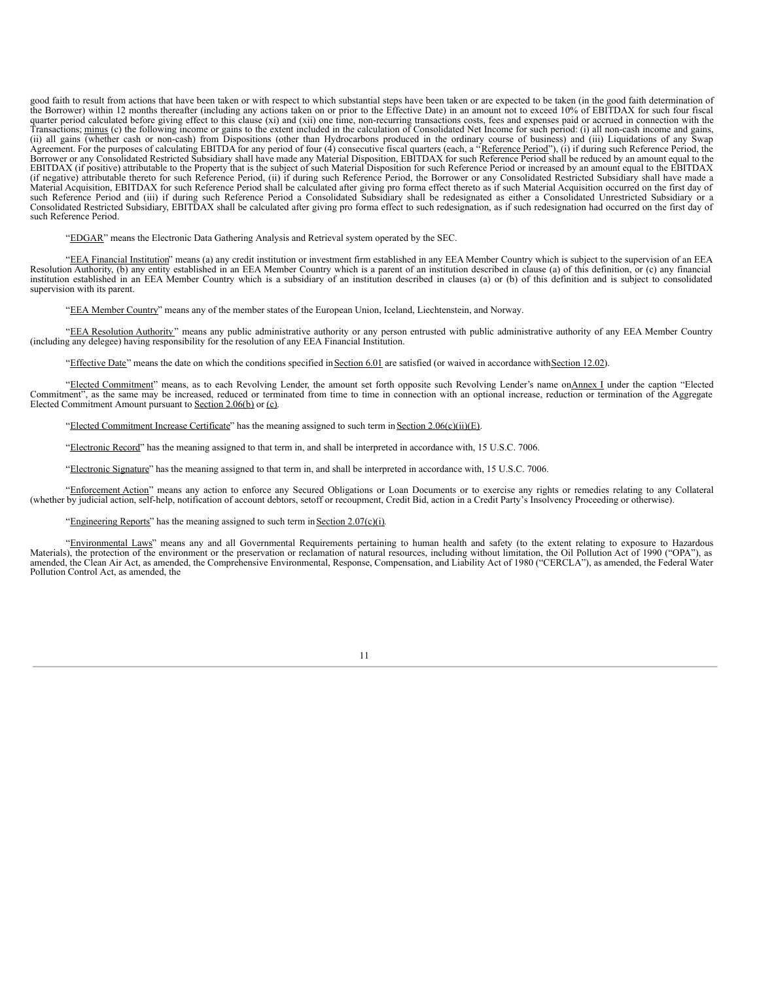good faith to result from actions that have been taken or with respect to which substantial steps have been taken or are expected to be taken (in the good faith determination of<br>the Borrower) within 12 months thereafter (i quarter period calculated before giving effect to this clause (xi) and (xii) one time, non-recurring transactions costs, fees and expenses paid or accrued in connection with the Transactions; minus (c) the following income or gains to the extent included in the calculation of Consolidated Net Income for such period: (i) all non-cash income and gains, (ii) all gains (whether cash or non-cash) from Dispositions (other than Hydrocarbons produced in the ordinary course of business) and (iii) Liquidations of any Swap Agreement. For the purposes of calculating EBITDA for any (if negative) attributable thereto for such Reference Period, (ii) if during such Reference Period, the Borrower or any Consolidated Restricted Subsidiary shall have made a<br>Material Acquisition, EBITDAX for such Reference such Reference Period and (iii) if during such Reference Period a Consolidated Subsidiary shall be redesignated as either a Consolidated Unrestricted Subsidiary or a<br>Consolidated Restricted Subsidiary, EBITDAX shall be cal such Reference Period.

"EDGAR" means the Electronic Data Gathering Analysis and Retrieval system operated by the SEC.

"EEA Financial Institution" means (a) any credit institution or investment firm established in any EEA Member Country which is subject to the supervision of an EEA Resolution Authority, (b) any entity established in an EEA Member Country which is a parent of an institution described in clause (a) of this definition, or (c) any financial institution established in an EEA Member Countr supervision with its parent.

"EEA Member Country" means any of the member states of the European Union, Iceland, Liechtenstein, and Norway.

"EEA Resolution Authority" means any public administrative authority or any person entrusted with public administrative authority of any EEA Member Country (including any delegee) having responsibility for the resolution of any EEA Financial Institution.

"Effective Date" means the date on which the conditions specified in Section 6.01 are satisfied (or waived in accordance with Section 12.02).

"Elected Commitment" means, as to each Revolving Lender, the amount set forth opposite such Revolving Lender's name onAnnex I under the caption "Elected Commitment", as the same may be increased, reduced or terminated from time to time in connection with an optional increase, reduction or termination of the Aggregate Elected Commitment Amount pursuant to Section 2.06(b) or (c).

"Elected Commitment Increase Certificate" has the meaning assigned to such term in Section 2.06(c)(ii)(E).

"Electronic Record" has the meaning assigned to that term in, and shall be interpreted in accordance with, 15 U.S.C. 7006.

"Electronic Signature" has the meaning assigned to that term in, and shall be interpreted in accordance with, 15 U.S.C. 7006.

"Enforcement Action" means any action to enforce any Secured Obligations or Loan Documents or to exercise any rights or remedies relating to any Collateral (whether by judicial action, self-help, notification of account de

"Engineering Reports" has the meaning assigned to such term in Section  $2.07(c)(i)$ .

"Environmental Laws" means any and all Governmental Requirements pertaining to human health and safety (to the extent relating to exposure to Hazardous Materials), the protection of the environment or the preservation or r amended, the Clean Air Act, as amended, the Comprehensive Environmental, Response, Compensation, and Liability Act of 1980 ("CERCLA"), as amended, the Federal Water Pollution Control Act, as amended, the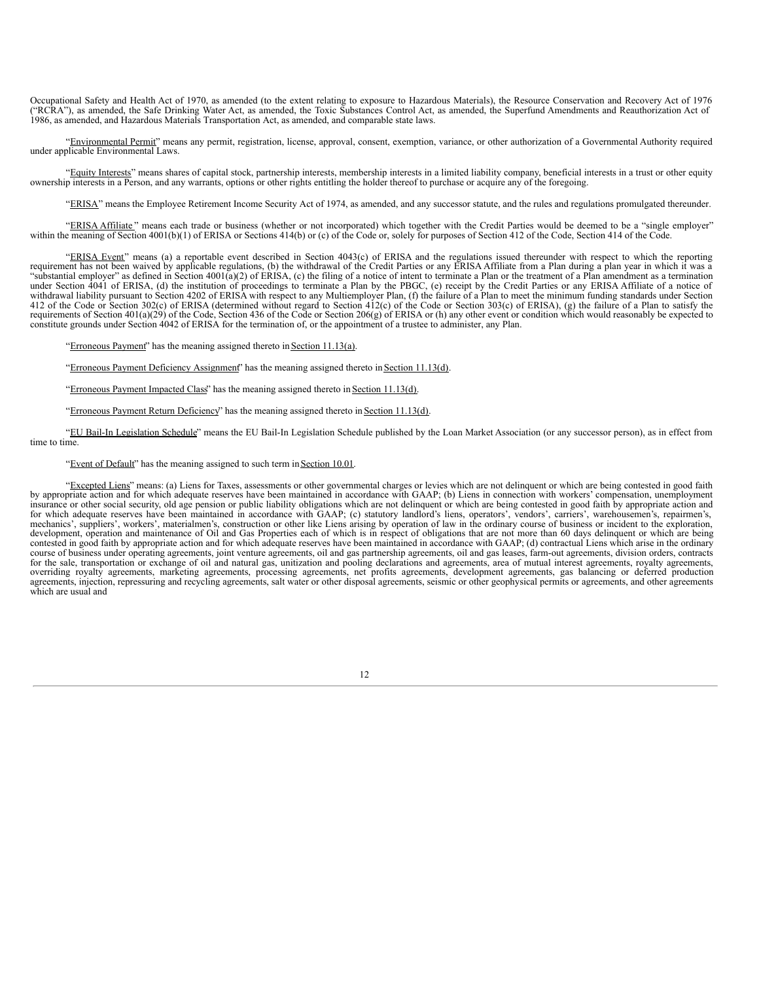Occupational Safety and Health Act of 1970, as amended (to the extent relating to exposure to Hazardous Materials), the Resource Conservation and Recovery Act of 1976 ("RCRA"), as amended, the Safe Drinking Water Act, as a

"Environmental Permit" means any permit, registration, license, approval, consent, exemption, variance, or other authorization of a Governmental Authority required under applicable Environmental Laws.

"Equity Interests" means shares of capital stock, partnership interests, membership interests in a limited liability company, beneficial interests in a trust or other equity ownership interests in a Person, and any warrants, options or other rights entitling the holder thereof to purchase or acquire any of the foregoing.

"ERISA" means the Employee Retirement Income Security Act of 1974, as amended, and any successor statute, and the rules and regulations promulgated thereunder.

"ERISA Affiliate" means each trade or business (whether or not incorporated) which together with the Credit Parties would be deemed to be a "single employer" within the meaning of Section 4001(b)(1) of ERISA or Sections 41

"ERISA Event" means (a) a reportable event described in Section 4043(c) of ERISA and the regulations issued thereunder with respect to which the reporting requirement has not been waived by applicable regulations, (b) the under Section 4041 of ERISA, (d) the institution of proceedings to terminate a Plan by the PBGC, (e) receipt by the Credit Parties or any ERISA Affiliate of a notice of withdrawal liability pursuant to Section 4202 of ERIS

"Erroneous Payment" has the meaning assigned thereto in Section 11.13(a).

"Erroneous Payment Deficiency Assignment" has the meaning assigned thereto in Section 11.13(d).

"Erroneous Payment Impacted Class" has the meaning assigned thereto in Section 11.13(d).

"Erroneous Payment Return Deficiency" has the meaning assigned thereto in Section 11.13(d).

"EU Bail-In Legislation Schedule" means the EU Bail-In Legislation Schedule published by the Loan Market Association (or any successor person), as in effect from time to time.

"Event of Default" has the meaning assigned to such term in Section 10.01.

"Excepted Liens" means: (a) Liens for Taxes, assessments or other governmental charges or levies which are not delinquent or which are being contested in good faith by appropriate action and for which adequate reserves have been maintained in accordance with GAAP; (b) Liens in connection with workers' compensation, unemployment insurance or other social security, old age pension or public liability obligations which are not delinquent or which are being contested in good faith by appropriate action and for which adequate reserves have been maintained in accordance with GAAP; (c) statutory landlord's liens, operators', vendors', carriers', warehousemen's, repairmen's, mechanics', suppliers', workers', materialmen's, construction or other like Liens arising by operation of law in the ordinary course of business or incident to the exploration, development, operation and maintenance of Oil and Gas Properties each of which is in respect of obligations that are not more than 60 days delinquent or which are being contested in good faith by appropriate action and for which adequate reserves have been maintained in accordance with GAAP; (d) contractual Liens which arise in the ordinary course of business under operating agreements, joint venture agreements, oil and gas partnership agreements, oil and gas leases, farm-out agreements, division orders, contracts for the sale, transportation or exchange of oil and natural gas, unitization and pooling declarations and agreements, area of mutual interest agreements, royalty agreements, overriding royalty agreements, marketing agreements, processing agreements, net profits agreements, development agreements, gas balancing or deferred production agreements, injection, repressuring and recycling agreements, salt water or other disposal agreements, seismic or other geophysical permits or agreements, and other agreements which are usual and

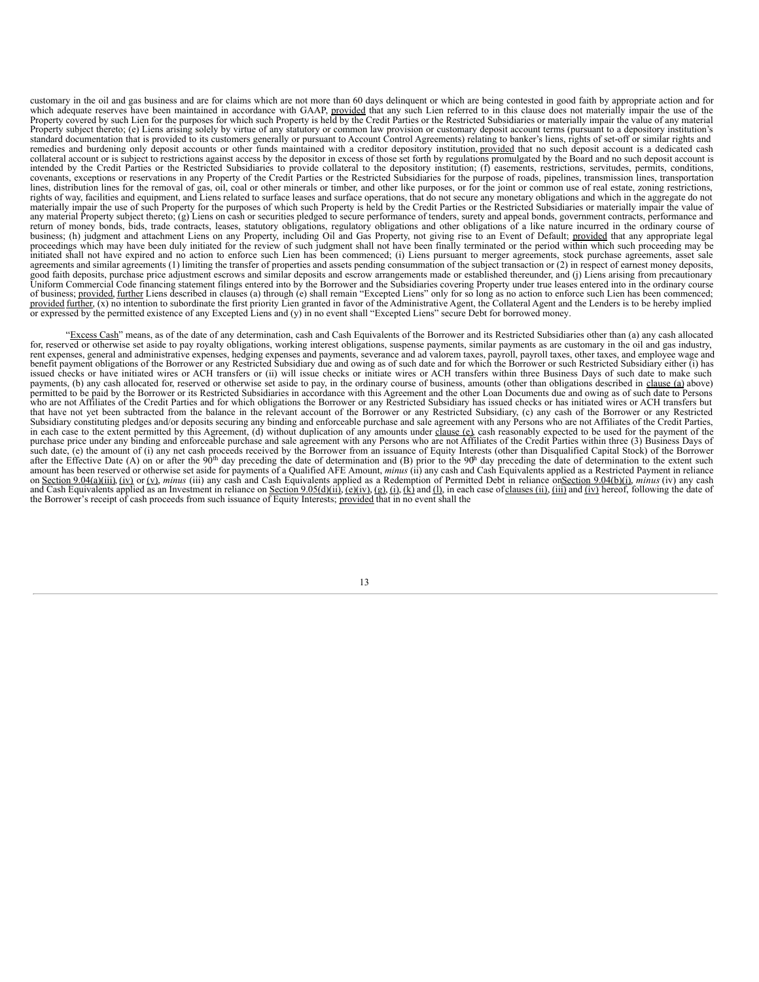customary in the oil and gas business and are for claims which are not more than 60 days delinquent or which are being contested in good faith by appropriate action and for which adequate reserves have been maintained in accordance with GAAP, provided that any such Lien referred to in this clause does not materially impair the use of the Peoperty covered by such Lien for the purposes for whic Property subject thereto; (e) Liens arising solely by virtue of any statutory or common law provision or customary deposit account terms (pursuant to a depository institution's standard documentation that is provided to its customers generally or pursuant to Account Control Agreements) relating to banker's liens, rights of set-off or similar rights and remedies and burdening only deposit accounts or other funds maintained with a creditor depository institution, provided that no such deposit account is a dedicated cash collateral account or is subject to restrictions agai covenants, exceptions or reservations in any Property of the Credit Parties or the Restricted Subsidiaries for the purpose of roads, pipelines, transmission lines, transportation lines, transportation lines, transportation rights of way, facilities and equipment, and Liens related to surface leases and surface operations, that do not secure any monetary obligations and which in the aggregate do not<br>materially impair the use of such Property any material Property subject thereto; (g) Liens on cash or securities pledged to secure performance of tenders, surety and appeal bonds, government contracts, performance and return of money bonds, bids, trade contracts, leases, statutory obligations, regulatory obligations and other obligations of a like nature incurred in the ordinary course of business; (h) judgment and attachment Liens on a proceedings which may have been duly initiated for the review of such judgment shall not have been finally terminated or the period within which such proceeding may be<br>initiated shall not have expired and no action to enfo agreements and similar agreements (1) limiting the transfer of properties and assets pending consummation of the subject transaction or (2) in respect of earnest money deposits, good faith deposits, purchase price adjustment escrows and similar deposits and escrow arrangements made or established thereunder, and (j) Liens arising from precautionary<br>Uniform Commercial Code financing statement filin of business; provided, further Liens described in clauses (a) through (e) shall remain "Excepted Liens" only for so long as no action to enforce such Lien has been commenced; provided further, (x) no intention to subordinate the first priority Lien granted in favor of the Administrative Agent, the Collateral Agent and the Lenders is to be hereby implied<br>or expressed by the permitted existence o

"Excess Cash" means, as of the date of any determination, cash and Cash Equivalents of the Borrower and its Restricted Subsidiaries other than (a) any cash allocated for, reserved or otherwise set aside to pay royalty obli rent expenses, general and administrative expenses, hedging expenses and payments, severance and ad valorem taxes, payroll, payroll taxes, other taxes, and employee wage and benefit payment obligations of the Borrower or any Restricted Subsidiary due and owing as of such date and for which the Borrower or such Restricted Subsidiary either (i) has issued checks or have initiated wires or ACH tr payments, (b) any cash allocated for, reserved or otherwise set aside to pay, in the ordinary course of business, amounts (other than obligations described in clause (a) above) permitted to be paid by the Borrower or its Restricted Subsidiaries in accordance with this Agreement and the other Loan Documents due and owing as of such date to Persons who are not Affiliates of the Credit Parties and for which obligations the Borrower or any Restricted Subsidiary has issued checks or has initiated wires or ACH transfers but that have not yet been subtracted from the balance in the relevant account of the Borrower or any Restricted Subsidiary, (c) any cash of the Borrower or any Restricted Subsidiary constituting pledges and/or deposits securi in each case to the extent permitted by this Agreement, (d) without duplication of any amounts under clause (e), cash reasonably expected to be used for the payment of the purchase price under any binding and enforceable p such date, (e) the amount of (i) any net cash proceeds received by the Borrower from an issuance of Equity Interests (other than Disqualified Capital Stock) of the Borrower after the Effective Date (A) on or after the 90<sup>th</sup> day preceding the date of determination and (B) prior to the 90<sup>th</sup> day preceding the date of determination to the extent such amount has been reserved or otherwise set a on Section 9.04(a)(iii), (iv) or (v), *minus* (iii) any cash and Cash Equivalents applied as a Redemption of Permitted Debt in reliance onSection 9.04(b)(i), *minus* (iv) any cash and Cash Equivalents applied as an Investment in reliance on <u>Section 9.05(d)(ii)</u>, (e)(iv), (g), (i), (k) and (l), in each case of clauses (ii), (iii) and (iv) hereof, following the date of the Borrower's receipt of cash <sup>th</sup> day preceding the date of determination and  $(R)$  prior to the  $90<sup>h</sup>$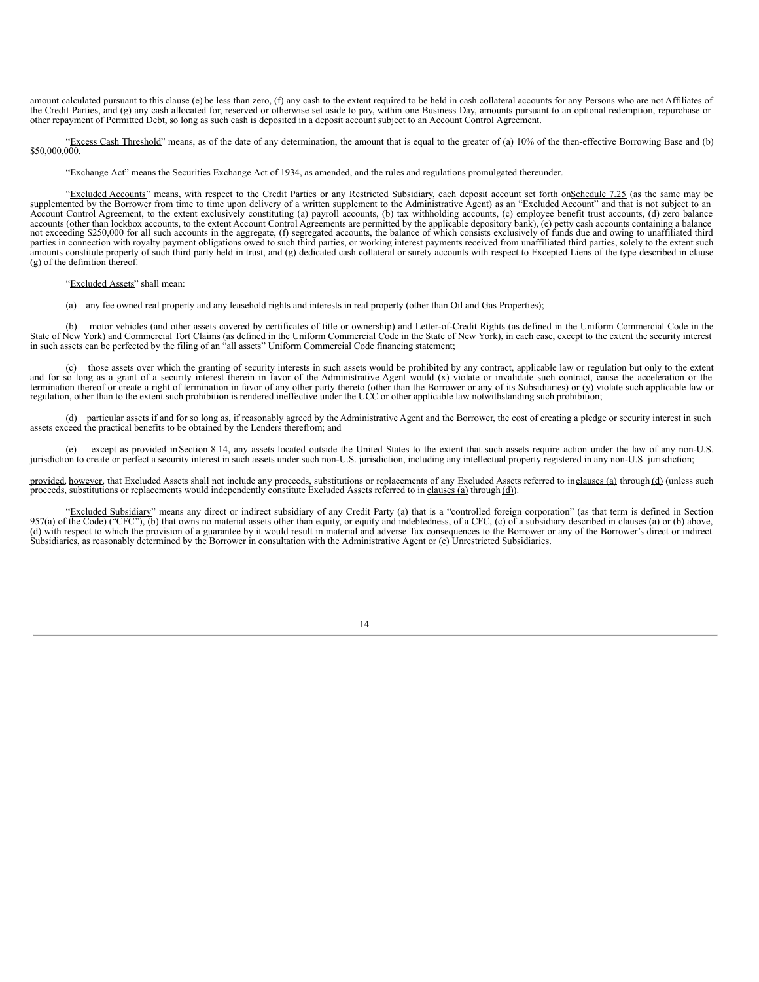amount calculated pursuant to this clause (e) be less than zero, (f) any cash to the extent required to be held in cash collateral accounts for any Persons who are not Affiliates of the Credit Parties, and (g) any cash allocated for, reserved or otherwise set aside to pay, within one Business Day, amounts pursuant to an optional redemption, repurchase or other repayment of Permitted Debt, so long as such cash is deposited in a deposit account subject to an Account Control Agreement.

"Excess Cash Threshold" means, as of the date of any determination, the amount that is equal to the greater of (a) 10% of the then-effective Borrowing Base and (b) \$50,000,000.

"Exchange Act" means the Securities Exchange Act of 1934, as amended, and the rules and regulations promulgated thereunder.

"Excluded Accounts" means, with respect to the Credit Parties or any Restricted Subsidiary, each deposit account set forth onSchedule 7.25 (as the same may be supplemented by the Borrower from time to time upon delivery of a written supplement to the Administrative Agent) as an "Excluded Account" and that is not subject to an<br>Account Control Agreement, to the extent exclusively accounts (other than lockbox accounts, to the extent Account Control Agreements are permitted by the applicable depository bank), (e) petty cash accounts containing a balance<br>not exceeding \$250,000 for all such accounts in parties in connection with royalty payment obligations owed to such third parties, or working interest payments received from unaffiliated third parties, solely to the extent such amounts constitute property of such third party held in trust, and (g) dedicated cash collateral or surety accounts with respect to Excepted Liens of the type described in clause (g) of the definition thereof.

#### "Excluded Assets" shall mean:

(a) any fee owned real property and any leasehold rights and interests in real property (other than Oil and Gas Properties);

(b) motor vehicles (and other assets covered by certificates of title or ownership) and Letter-of-Credit Rights (as defined in the Uniform Commercial Code in the State of New York) and Commercial Tort Claims (as defined in the Uniform Commercial Code in the State of New York), in each case, except to the extent the security interest in such assets can be perfected by the filing of an "all assets" Uniform Commercial Code financing statement;

(c) those assets over which the granting of security interests in such assets would be prohibited by any contract, applicable law or regulation but only to the extent and for so long as a grant of a security interest there termination thereof or create a right of termination in favor of any other party thereto (other than the Borrower or any of its Subsidiaries) or (y) violate such applicable law or<br>regulation, other than to the extent such

(d) particular assets if and for so long as, if reasonably agreed by the Administrative Agent and the Borrower, the cost of creating a pledge or security interest in such assets exceed the practical benefits to be obtained by the Lenders therefrom; and

(e) except as provided in Section 8.14, any assets located outside the United States to the extent that such assets require action under the law of any non-U.S. jurisdiction to create or perfect a security interest in such assets under such non-U.S. jurisdiction, including any intellectual property registered in any non-U.S. jurisdiction;

provided, however, that Excluded Assets shall not include any proceeds, substitutions or replacements of any Excluded Assets referred to inclauses (a) through (d) (unless such proceeds, substitutions or replacements would independently constitute Excluded Assets referred to in clauses (a) through (d)).

"Excluded Subsidiary" means any direct or indirect subsidiary of any Credit Party (a) that is a "controlled foreign corporation" (as that term is defined in Section 957(a) of the Code) ("CFC"), (b) that owns no material as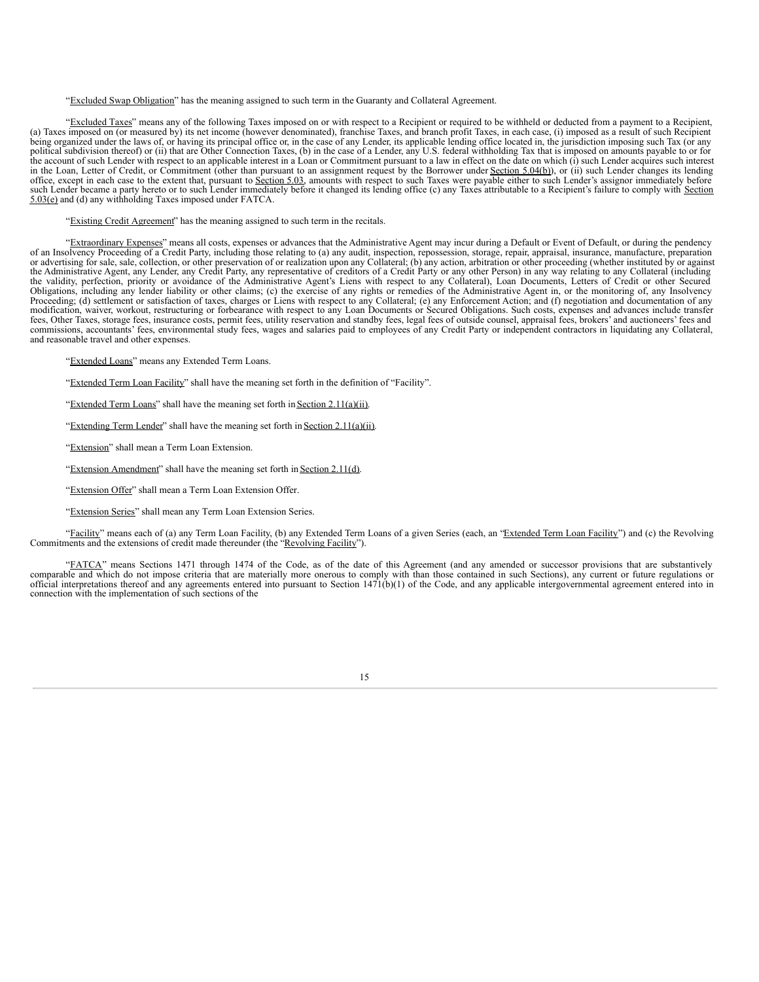"Excluded Swap Obligation" has the meaning assigned to such term in the Guaranty and Collateral Agreement.

"Excluded Taxes" means any of the following Taxes imposed on or with respect to a Recipient or required to be withheld or deducted from a payment to a Recipient, (a) Taxes imposed on (or measured by) its net income (howeve being organized under the laws of, or having its principal office or, in the case of any Lender, its applicable lending office located in, the jurisdiction imposing such Tax (or any political subdivision thereof) or (ii) t in the Loan, Letter of Credit, or Commitment (other than pursuant to an assignment request by the Borrower under Section 5.04(b)), or (ii) such Lender changes its lending office, except in each case to the extent that, pursuant to Section 5.03, amounts with respect to such Taxes were payable either to such Lender's assignor immediately before such Lender became a party hereto or to such Lender immediately before it changed its lending office (c) any Taxes attributable to a Recipient's failure to comply with Section 5.03(e) and (d) any withholding Taxes imposed under FATCA.

"Existing Credit Agreement" has the meaning assigned to such term in the recitals.

"Extraordinary Expenses" means all costs, expenses or advances that the Administrative Agent may incur during a Default or Event of Default, or during the pendency of an Insolvency Proceeding of a Credit Party, including those relating to (a) any audit, inspection, repossession, storage, repair, appraisal, insurance, manufacture, preparation or advertising for sale, sale, collection, the Administrative Agent, any Lender, any Credit Party, any representative of creditors of a Credit Party or any other Person) in any way relating to any Collateral (including<br>the validity, perfection, priority or avoidanc Proceeding; (d) settlement or satisfaction of taxes, charges or Liens with respect to any Collateral; (e) any Enforcement Action; and (f) negotiation and documentation of any modification, waiver, workout, restructuring or forbearance with respect to any Loan Documents or Secured Obligations. Such costs, expenses and advances include transfer fees, Other Taxes, storage fees, insurance costs, permit fees, utility reservation and standby fees, legal fees of outside counsel, appraisal fees, brokers' and auctioneers' fees and commissions, accountants' fees, environmental study fees, wages and salaries paid to employees of any Credit Party or independent contractors in liquidating any Collateral, and reasonable travel and other expenses.

"Extended Loans" means any Extended Term Loans.

"Extended Term Loan Facility" shall have the meaning set forth in the definition of "Facility".

"Extended Term Loans" shall have the meaning set forth in Section 2.11(a)(ii).

"Extending Term Lender" shall have the meaning set forth in Section 2.11(a)(ii).

"Extension" shall mean a Term Loan Extension.

"Extension Amendment" shall have the meaning set forth in Section 2.11(d).

"Extension Offer" shall mean a Term Loan Extension Offer.

"Extension Series" shall mean any Term Loan Extension Series.

"Facility" means each of (a) any Term Loan Facility, (b) any Extended Term Loans of a given Series (each, an "Extended Term Loan Facility") and (c) the Revolving Commitments and the extensions of credit made thereunder (the "Revolving Facility").

"FATCA" means Sections 1471 through 1474 of the Code, as of the date of this Agreement (and any amended or successor provisions that are substantively comparable and which do not impose criteria that are materially more onerous to comply with than those contained in such Sections), any current or future regulations or official interpretations thereof and any agreements entered into pursuant to Section 1471(b)(1) of the Code, and any applicable intergovernmental agreement entered into in connection with the implementation of such sections of the

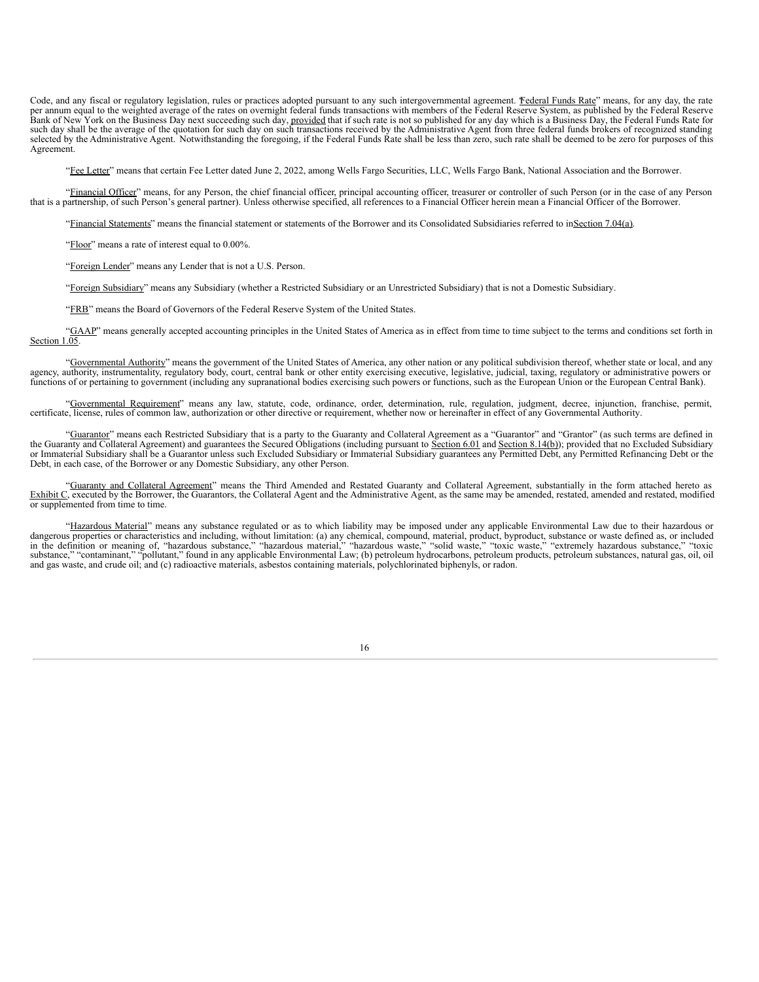Code, and any fiscal or regulatory legislation, rules or practices adopted pursuant to any such intergovernmental agreement. Federal Funds Rate" means, for any day, the rate per annum equal to the weighted average of the r such day shall be the average of the quotation for such day on such transactions received by the Administrative Agent from three federal funds brokers of recognized standing selected by the Administrative Agent. Notwithstanding the foregoing, if the Federal Funds Rate shall be less than zero, such rate shall be deemed to be zero for purposes of this Agreement.

"Fee Letter" means that certain Fee Letter dated June 2, 2022, among Wells Fargo Securities, LLC, Wells Fargo Bank, National Association and the Borrower.

"Financial Officer" means, for any Person, the chief financial officer, principal accounting officer, treasurer or controller of such Person (or in the case of any Person that is a partnership, of such Person's general partner). Unless otherwise specified, all references to a Financial Officer herein mean a Financial Officer of the Borrower.

"Financial Statements" means the financial statement or statements of the Borrower and its Consolidated Subsidiaries referred to inSection 7.04(a).

"Floor" means a rate of interest equal to 0.00%.

"Foreign Lender" means any Lender that is not a U.S. Person.

"Foreign Subsidiary" means any Subsidiary (whether a Restricted Subsidiary or an Unrestricted Subsidiary) that is not a Domestic Subsidiary.

"FRB" means the Board of Governors of the Federal Reserve System of the United States.

"GAAP" means generally accepted accounting principles in the United States of America as in effect from time to time subject to the terms and conditions set forth in Section  $1.\overline{05}$ .

"Governmental Authority" means the government of the United States of America, any other nation or any political subdivision thereof, whether state or local, and any agency, authority, instrumentality, regulatory body, court, central bank or other entity exercising executive, legislative, judicial, taxing, regulatory or administrative powers or functions of or pertaining to government (including any supranational bodies exercising such powers or functions, such as the European Union or the European Central Bank).

"Governmental Requirement" means any law, statute, code, ordinance, order, determination, rule, regulation, judgment, decree, injunction, franchise, permit, certificate, license, rules of common law, authorization or other directive or requirement, whether now or hereinafter in effect of any Governmental Authority.

"Guarantor" means each Restricted Subsidiary that is a party to the Guaranty and Collateral Agreement as a "Guarantor" and "Grantor" (as such terms are defined in the Guaranty and Collateral Agreement) and guarantees the S or Immaterial Subsidiary shall be a Guarantor unless such Excluded Subsidiary or Immaterial Subsidiary guarantees any Permitted Debt, any Permitted Refinancing Debt or the Debt, in each case, of the Borrower or any Domestic Subsidiary, any other Person.

"Guaranty and Collateral Agreement" means the Third Amended and Restated Guaranty and Collateral Agreement, substantially in the form attached hereto as Exhibit C, executed by the Borrower, the Guarantors, the Collateral A or supplemented from time to time.

"Hazardous Material" means any substance regulated or as to which liability may be imposed under any applicable Environmental Law due to their hazardous or dangerous properties or characteristics and including, without limitation: (a) any chemical, compound, material, product, byproduct, substance or waste defined as, or included in the definition or meaning of, "hazardous su and gas waste, and crude oil; and (c) radioactive materials, asbestos containing materials, polychlorinated biphenyls, or radon.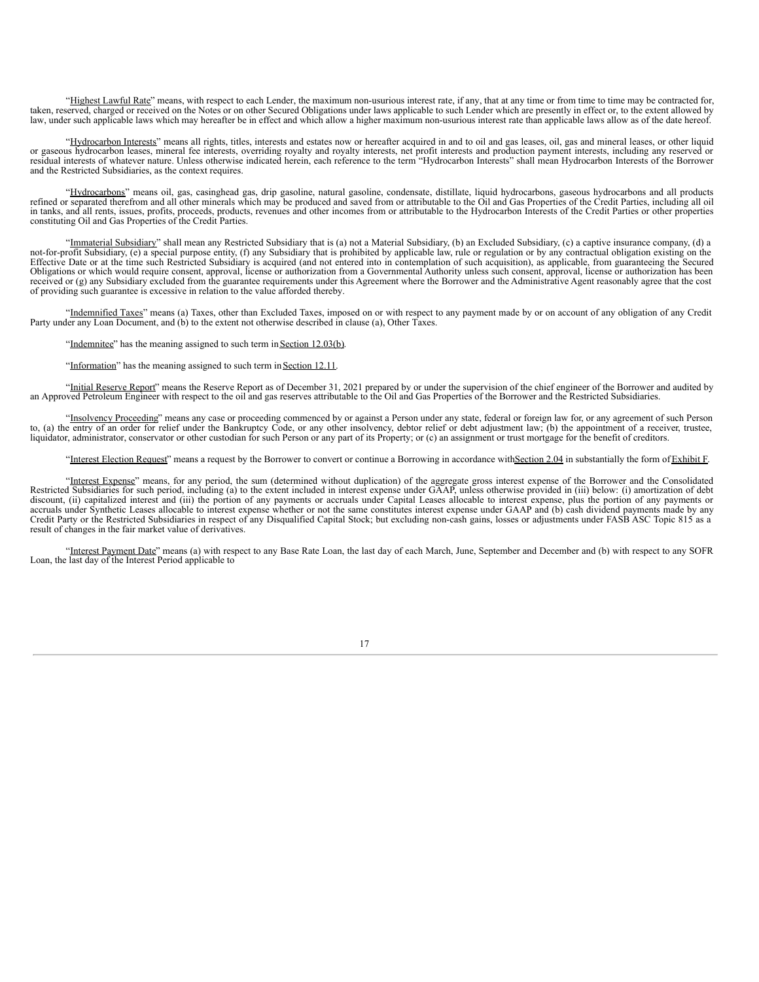"Highest Lawful Rate" means, with respect to each Lender, the maximum non-usurious interest rate, if any, that at any time or from time to time may be contracted for, taken, reserved, charged or received on the Notes or on other Secured Obligations under laws applicable to such Lender which are presently in effect or, to the extent allowed by law, under such applicable laws which may hereafter be in effect and which allow a higher maximum non-usurious interest rate than applicable laws allow as of the date hereof.

"Hydrocarbon Interests" means all rights, titles, interests and estates now or hereafter acquired in and to oil and gas leases, oil, gas and mineral leases, or other liquid or gaseous hydrocarbon leases, mineral fee interests, overriding royalty and royalty interests, net profit interests and production payment interests, including any reserved or<br>residual interests of whatever nature. Unless and the Restricted Subsidiaries, as the context requires.

"Hydrocarbons" means oil, gas, casinghead gas, drip gasoline, natural gasoline, condensate, distillate, liquid hydrocarbons, gaseous hydrocarbons and all products refined or separated therefrom and all other minerals which in tanks, and all rents, issues, profits, proceeds, products, revenues and other incomes from or attributable to the Hydrocarbon Interests of the Credit Parties or other properties constituting Oil and Gas Properties of the Credit Parties.

"Immaterial Subsidiary" shall mean any Restricted Subsidiary that is (a) not a Material Subsidiary, (b) an Excluded Subsidiary, (c) a captive insurance company, (d) a not-for-profit Subsidiary, (e) a special purpose entity, (f) any Subsidiary that is prohibited by applicable law, rule or regulation or by any contractual obligation existing on the Effective Date or at the time such Restricted Subsidiary is acquired (and not entered into in contemplation of such acquisition), as applicable, from guaranteeing the Secured Obligations or which would require consent, approval, license or authorization from a Governmental Authority unless such consent, approval, license or authorization has been received or (g) any Subsidiary excluded from the guarantee requirements under this Agreement where the Borrower and the Administrative Agent reasonably agree that the cost of providing such guarantee is excessive in relation to the value afforded thereby.

'Indemnified Taxes' means (a) Taxes, other than Excluded Taxes, imposed on or with respect to any payment made by or on account of any obligation of any Credit Party under any Loan Document, and (b) to the extent not otherwise described in clause (a), Other Taxes.

"Indemnitee" has the meaning assigned to such term inSection 12.03(b).

"Information" has the meaning assigned to such term inSection 12.11.

"Initial Reserve Report" means the Reserve Report as of December 31, 2021 prepared by or under the supervision of the chief engineer of the Borrower and audited by an Approved Petroleum Engineer with respect to the oil and

'Insolvency Proceeding" means any case or proceeding commenced by or against a Person under any state, federal or foreign law for, or any agreement of such Person to, (a) the entry of an order for relief under the Bankruptcy Code, or any other insolvency, debtor relief or debt adjustment law; (b) the appointment of a receiver, trustee, liquidator, administrator, conservator or other custodian for such Person or any part of its Property; or (c) an assignment or trust mortgage for the benefit of creditors.

"Interest Election Request" means a request by the Borrower to convert or continue a Borrowing in accordance withSection 2.04 in substantially the form of Exhibit F.

"Interest Expense" means, for any period, the sum (determined without duplication) of the aggregate gross interest expense of the Borrower and the Consolidated Restricted Subsidiaries for such period, including (a) to the extent included in interest expense under GAAP, unless otherwise provided in (iii) below: (i) amortization of debt discount, (ii) capitalized interest and (iii) the portion of any payments or accruals under Capital Leases allocable to interest expense, plus the portion of any payments or accruals under Synthetic Leases allocable to interest expense whether or not the same constitutes interest expense under GAAP and (b) cash dividend payments made by any Credit Party or the Restricted Subsidiaries in respect of any Disqualified Capital Stock; but excluding non-cash gains, losses or adjustments under FASB ASC Topic 815 as a result of changes in the fair market value of derivatives.

"Interest Payment Date" means (a) with respect to any Base Rate Loan, the last day of each March, June, September and December and (b) with respect to any SOFR Loan, the last day of the Interest Period applicable to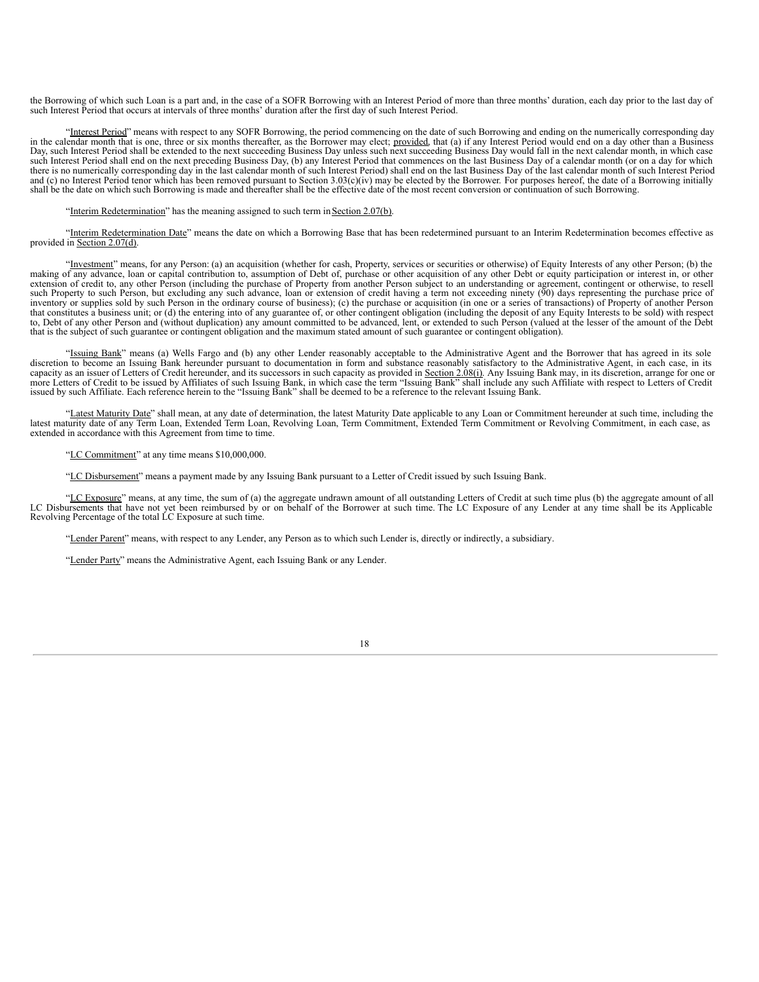the Borrowing of which such Loan is a part and, in the case of a SOFR Borrowing with an Interest Period of more than three months' duration, each day prior to the last day of such Interest Period that occurs at intervals of three months' duration after the first day of such Interest Period.

"Interest Period" means with respect to any SOFR Borrowing, the period commencing on the date of such Borrowing and ending on the numerically corresponding day in the calendar month that is one, three or six months thereafter, as the Borrower may elect; provided, that (a) if any Interest Period would end on a day other than a Business Day, such Interest Period shall be extended t such Interest Period shall end on the next preceding Business Day, (b) any Interest Period that commences on the last Business Day of a calendar month (or on a day for which there is no numerically corresponding day in the last calendar month of such Interest Period) shall end on the last Business Day of the last calendar month of such Interest Period and (c) no Interest Period tenor which has been removed pursuant to Section  $3.03(c)(iv)$  may be elected by the Borrower. For purposes hereof, the date of a Borrowing initially shall be the date on which such Borrowing is made and thereafter shall be the effective date of the most recent conversion or continuation of such Borrowing.

#### "Interim Redetermination" has the meaning assigned to such term in Section 2.07(b).

"Interim Redetermination Date" means the date on which a Borrowing Base that has been redetermined pursuant to an Interim Redetermination becomes effective as provided in Section 2.07(d).

"Investment" means, for any Person: (a) an acquisition (whether for cash, Property, services or securities or otherwise) of Equity Interests of any other Person; (b) the making of any advance, loan or capital contribution to, assumption of Debt of, purchase or other acquisition of any other Debt or equity participation or interest in, or other extension of credit to, any other Person (including the purchase of Property from another Person subject to an understanding or agreement, contingent or otherwise, to resell such Property to such Person, but excluding any such advance, loan or extension of credit having a term not exceeding ninety (90) days representing the purchase price of inventory or supplies sold by such Person in the ordinary course of business); (c) the purchase or acquisition (in one or a series of transactions) of Property of another Person that constitutes a business unit; or (d) the entering into of any guarantee of, or other contingent obligation (including the deposit of any Equity Interests to be sold) with respect to, Debt of any other Person and (without duplication) any amount committed to be advanced, lent, or extended to such Person (valued at the lesser of the amount of the Debt that is the subject of such guarantee or continge

"Issuing Bank" means (a) Wells Fargo and (b) any other Lender reasonably acceptable to the Administrative Agent and the Borrower that has agreed in its sole discretion to become an Issuing Bank hereunder pursuant to documentation in form and substance reasonably satisfactory to the Administrative Agent, in each case, in its capacity as an issuer of Letters of Credit hereunder, and its successors in such capacity as provided in Section 2.08(i). Any Issuing Bank may, in its discretion, arrange for one or more Letters of Credit to be issued by Affiliates of such Issuing Bank, in which case the term "Issuing Bank" shall include any such Affiliate with respect to Letters of Credit issued by such Affiliate. Each reference herein to the "Issuing Bank" shall be deemed to be a reference to the relevant Issuing Bank.

"Latest Maturity Date" shall mean, at any date of determination, the latest Maturity Date applicable to any Loan or Commitment hereunder at such time, including the latest maturity date of any Term Loan, Extended Term Loan, Revolving Loan, Term Commitment, Extended Term Commitment or Revolving Commitment, in each case, as extended in accordance with this Agreement from time to time.

"LC Commitment" at any time means \$10,000,000.

"LC Disbursement" means a payment made by any Issuing Bank pursuant to a Letter of Credit issued by such Issuing Bank.

"LC Exposure" means, at any time, the sum of (a) the aggregate undrawn amount of all outstanding Letters of Credit at such time plus (b) the aggregate amount of all<br>LC Disbursements that have not yet been reimbursed by or Revolving Percentage of the total LC Exposure at such time.

"Lender Parent" means, with respect to any Lender, any Person as to which such Lender is, directly or indirectly, a subsidiary.

"Lender Party" means the Administrative Agent, each Issuing Bank or any Lender.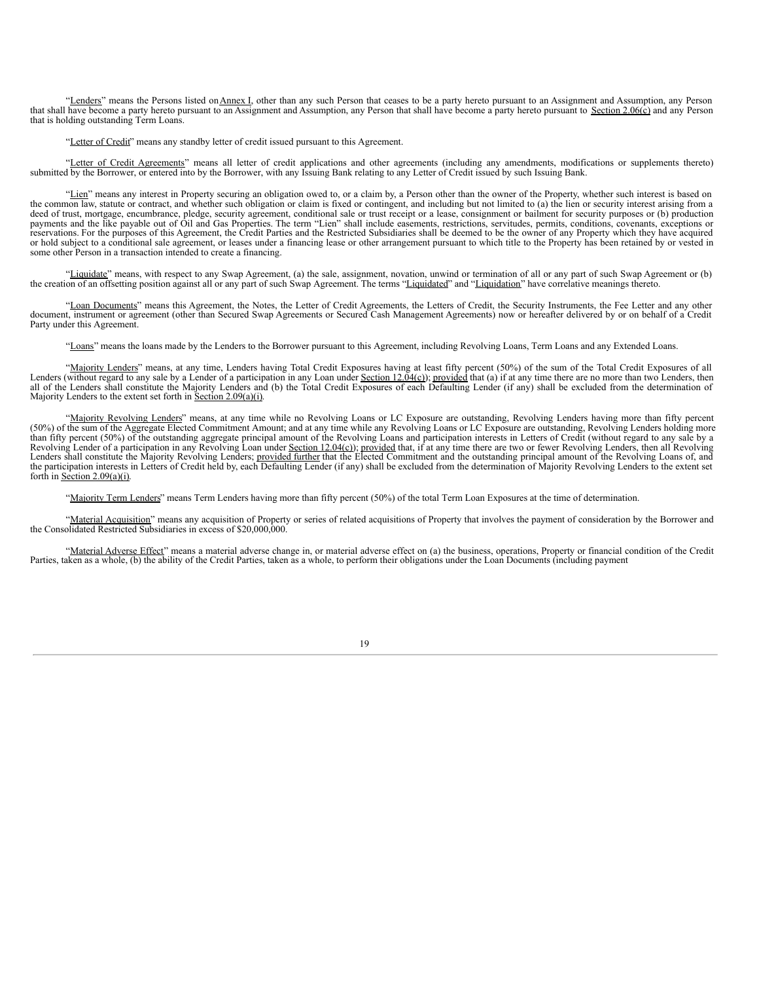"Lenders" means the Persons listed on Annex I, other than any such Person that ceases to be a party hereto pursuant to an Assignment and Assumption, any Person that shall have become a party hereto pursuant to an Assignment and Assumption, any Person that shall have become a party hereto pursuant to Section 2.06(c) and any Person that is holding outstanding Term Loans.

"Letter of Credit" means any standby letter of credit issued pursuant to this Agreement.

"Letter of Credit Agreements" means all letter of credit applications and other agreements (including any amendments, modifications or supplements thereto) submitted by the Borrower, or entered into by the Borrower, with a

"Lien" means any interest in Property securing an obligation owed to, or a claim by, a Person other than the owner of the Property, whether such interest is based on the common law, statute or contract, and whether such obligation or claim is fixed or contingent, and including but not limited to (a) the lien or security interest arising from a deed of trust, mortgage, encumbrance, pledge, security agreement, conditional sale or trust receipt or a lease, consignment or bailment for security purposes or (b) production deed of trust, mortgage, encumbrance, pledge, payments and the like payable out of Oil and Gas Properties. The term "Lien" shall include easements, restrictions, servitudes, permits, conditions, covenants, exceptions or<br>reservations. For the purposes of this Agreement or hold subject to a conditional sale agreement, or leases under a financing lease or other arrangement pursuant to which title to the Property has been retained by or vested in some other Person in a transaction intended to create a financing.

"Liquidate" means, with respect to any Swap Agreement, (a) the sale, assignment, novation, unwind or termination of all or any part of such Swap Agreement or (b) the creation of an offsetting position against all or any part of such Swap Agreement. The terms "Liquidated" and "Liquidation" have correlative meanings thereto.

"Loan Documents" means this Agreement, the Notes, the Letter of Credit Agreements, the Letters of Credit, the Security Instruments, the Fee Letter and any other document, instrument or agreement (other than Secured Swap Ag Party under this Agreement.

"Loans" means the loans made by the Lenders to the Borrower pursuant to this Agreement, including Revolving Loans, Term Loans and any Extended Loans.

"Majority Lenders" means, at any time, Lenders having Total Credit Exposures having at least fifty percent (50%) of the sum of the Total Credit Exposures of all<br>Lenders (without regard to any sale by a Lender of a particip Majority Lenders to the extent set forth in Section 2.09(a)(i).

'Majority Revolving Lenders" means, at any time while no Revolving Loans or LC Exposure are outstanding, Revolving Lenders having more than fifty percent (50%) of the sum of the Aggregate Elected Commitment Amount; and at any time while any Revolving Loans or LC Exposure are outstanding, Revolving Lenders holding more than fifty percent (50%) of the outstanding aggregate principal amount of the Revolving Loans and participation interests in Letters of Credit (without regard to any sale by a<br>Revolving Lender of a participation in any Rev Lenders shall constitute the Majority Revolving Lenders; provided further that the Elected Commitment and the outstanding principal amount of the Revolving Loans of, and<br>the participation interests in Letters of Credit hel forth in Section 2.09(a)(i).

"Majority Term Lenders" means Term Lenders having more than fifty percent (50%) of the total Term Loan Exposures at the time of determination.

"Material Acquisition" means any acquisition of Property or series of related acquisitions of Property that involves the payment of consideration by the Borrower and the Consolidated Restricted Subsidiaries in excess of \$2

"Material Adverse Effect" means a material adverse change in, or material adverse effect on (a) the business, operations, Property or financial condition of the Credit Parties, taken as a whole, (b) the ability of the Credit Parties, taken as a whole, to perform their obligations under the Loan Documents (including payment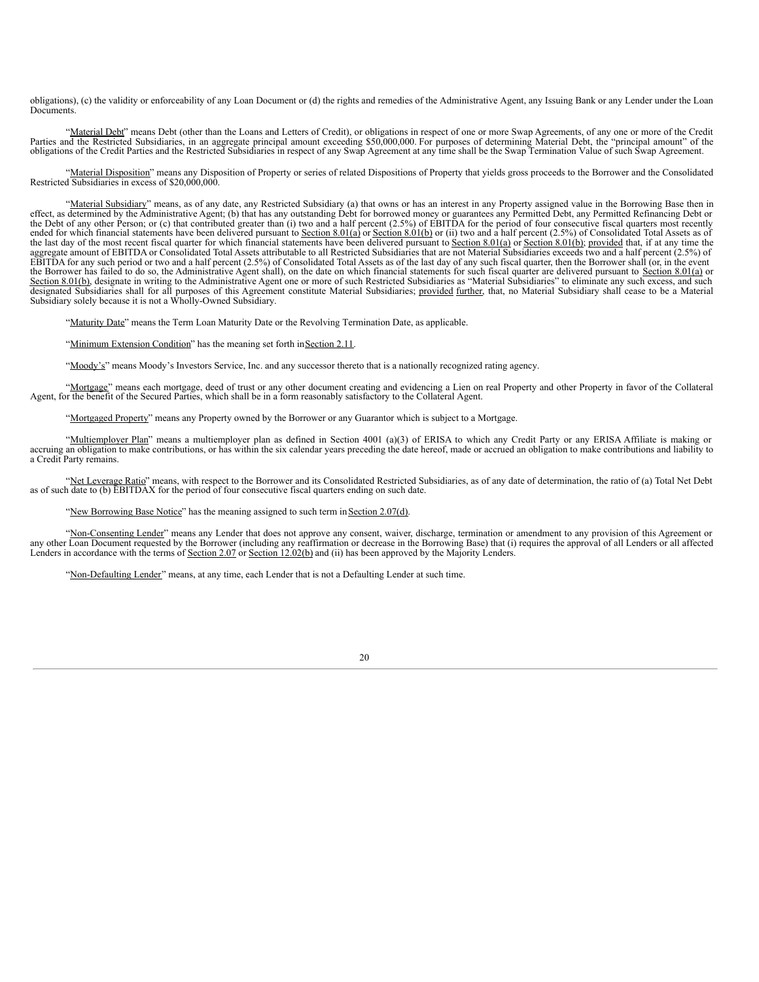obligations), (c) the validity or enforceability of any Loan Document or (d) the rights and remedies of the Administrative Agent, any Issuing Bank or any Lender under the Loan Documents.

"Material Debt" means Debt (other than the Loans and Letters of Credit), or obligations in respect of one or more Swap Agreements, of any one or more of the Credit Parties and the Restricted Subsidiaries, in an aggregate principal amount exceeding \$50,000,000. For purposes of determining Material Debt, the "principal amount" of the Chedit Parties and the Restricted Subsidiaries in re

"Material Disposition" means any Disposition of Property or series of related Dispositions of Property that yields gross proceeds to the Borrower and the Consolidated Restricted Subsidiaries in excess of \$20,000,000.

"Material Subsidiary" means, as of any date, any Restricted Subsidiary (a) that owns or has an interest in any Property assigned value in the Borrowing Base then in<br>effect, as determined by the Administrative Agent; (b) th the Debt of any other Person; or (c) that contributed greater than (i) two and a half percent (2.5%) of EBITDA for the period of four consecutive fiscal quarters most recently ended for which financial statements have been aggregate amount of EBITDA or Consolidated Total Assets attributable to all Restricted Subsidiaries that are not Material Subsidiaries exceeds two and a half percent (2.5%) of<br>EBITDA for any such period or two and a half p the Borrower has failed to do so, the Administrative Agent shall), on the date on which financial statements for such fiscal quarter are delivered pursuant to Section 8.01(a) or Section 8.01(b), designate in writing to the Administrative Agent one or more of such Restricted Subsidiaries as "Material Subsidiaries" to eliminate any such excess, and such edsignated Subsidiaries shall for all purposes Subsidiary solely because it is not a Wholly-Owned Subsidiary.

"Maturity Date" means the Term Loan Maturity Date or the Revolving Termination Date, as applicable.

"Minimum Extension Condition" has the meaning set forth inSection 2.11.

"Moody's" means Moody's Investors Service, Inc. and any successor thereto that is a nationally recognized rating agency.

"Mortgage" means each mortgage, deed of trust or any other document creating and evidencing a Lien on real Property and other Property in favor of the Collateral Agent, for the benefit of the Secured Parties, which shall b

"Mortgaged Property" means any Property owned by the Borrower or any Guarantor which is subject to a Mortgage.

"Multiemployer Plan" means a multiemployer plan as defined in Section 4001 (a)(3) of ERISA to which any Credit Party or any ERISA Affiliate is making or accruing an obligation to make contributions, or has within the six calendar years preceding the date hereof, made or accrued an obligation to make contributions and liability to a Credit Party remains.

"Net Leverage Ratio" means, with respect to the Borrower and its Consolidated Restricted Subsidiaries, as of any date of determination, the ratio of (a) Total Net Debt as of such date to (b) EBITDAX for the period of four consecutive fiscal quarters ending on such date.

"New Borrowing Base Notice" has the meaning assigned to such term in Section 2.07(d).

"Non-Consenting Lender" means any Lender that does not approve any consent, waiver, discharge, termination or amendment to any provision of this Agreement or any other Loan Document requested by the Borrower (including any reaffirmation or decrease in the Borrowing Base) that (i) requires the approval of all Lenders or all affected<br>Lenders in accordance with the terms of Sectio

"Non-Defaulting Lender" means, at any time, each Lender that is not a Defaulting Lender at such time.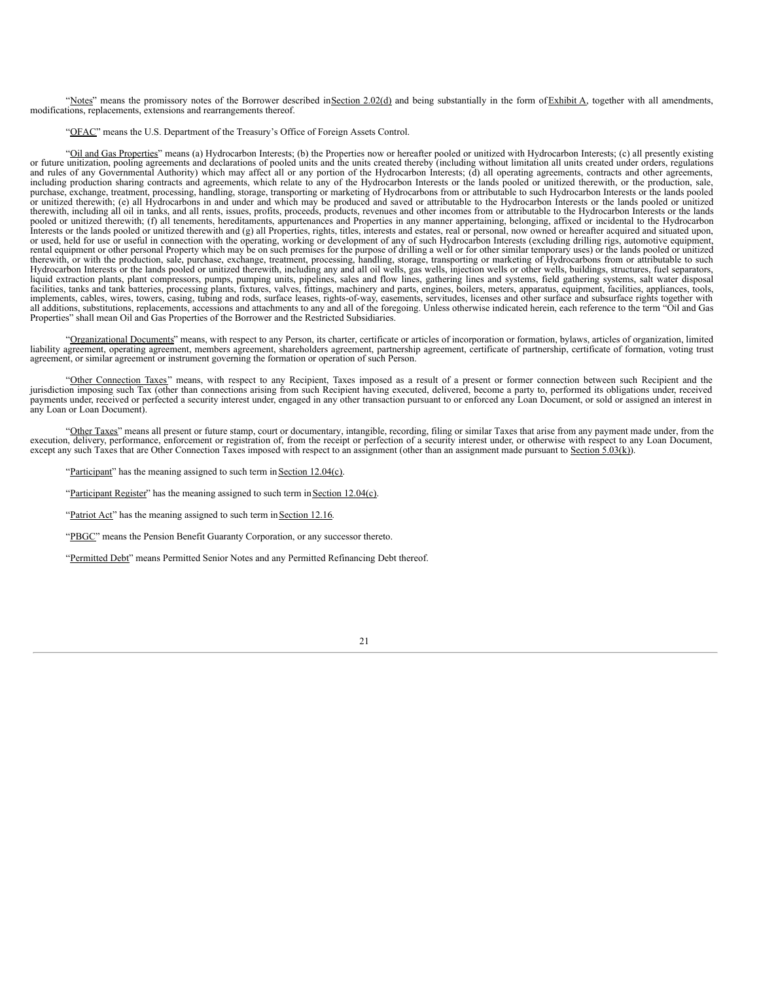"Notes" means the promissory notes of the Borrower described inSection 2.02(d) and being substantially in the form of Exhibit A, together with all amendments, modifications, replacements, extensions and rearrangements thereof.

"OFAC" means the U.S. Department of the Treasury's Office of Foreign Assets Control.

"Oil and Gas Properties" means (a) Hydrocarbon Interests; (b) the Properties now or hereafter pooled or unitized with Hydrocarbon Interests; (c) all presently existing or future unitization, pooling agreements and declarations of pooled units and the units created thereby (including without limitation all units created under orders, regulations and rules of any Governmental Authority) which may affect all or any portion of the Hydrocarbon Interests; (d) all operating agreements, contracts and other agreements, including production sharing contracts and agreements, which relate to any of the Hydrocarbon Interests or the lands pooled or unitized therewith, or the production, sale, purchase, exchange, treatment, processing, handling, storage, transporting or marketing of Hydrocarbons from or attributable to such Hydrocarbon Interests or the lands pooled<br>or unitized therewith; (e) all Hydrocarbons in therewith, including all oil in tanks, and all rents, issues, profits, proceeds, products, revenues and other incomes from or attributable to the Hydrocarbon Interests or the lands pooled or unitized therewith; (f) all tenements, hereditaments, appurtenances and Properties in any manner appertaining, belonging, affixed or incidental to the Hydrocarbon Interests or the lands pooled or unitized therewith and (g) all Properties, rights, titles, interests and estates, real or personal, now owned or hereafter acquired and situated upon, or used, held for use or useful in connection with the operating, working or development of any of such Hydrocarbon Interests (excluding drilling rigs, automotive equipment, rental equipment or other personal Property whic therewith, or with the production, sale, purchase, exchange, treatment, processing, handling, storage, transporting or marketing of Hydrocarbons from or attributable to such Hydrocarbon Interests or the lands pooled or uni all additions, substitutions, replacements, accessions and attachments to any and all of the foregoing. Unless otherwise indicated herein, each reference to the term "Oil and Gas Properties" shall mean Oil and Gas Properties of the Borrower and the Restricted Subsidiaries.

"Organizational Documents" means, with respect to any Person, its charter, certificate or articles of incorporation or formation, bylaws, articles of organization, limited liability agreement, operating agreement, members agreement, shareholders agreement, partnership agreement, certificate of partnership, certificate of formation, voting trust agreement, or similar agreement or instrument governing the formation or operation of such Person.

"Other Connection Taxes" means, with respect to any Recipient, Taxes imposed as a result of a present or former connection between such Recipient and the jurisdiction imposing such Tax (other than connections arising from such Recipient having executed, delivered, become a party to, performed its obligations under, received<br>payments under, received or perfected a security i any Loan or Loan Document).

"Other Taxes" means all present or future stamp, court or documentary, intangible, recording, filing or similar Taxes that arise from any payment made under, from the execution, delivery, performance, enforcement or registration of, from the receipt or perfection of a security interest under, or otherwise with respect to any Loan Document, except any such Taxes that are Other Connection Taxes imposed with respect to an assignment (other than an assignment made pursuant to Section 5.03(k)).

"Participant" has the meaning assigned to such term inSection 12.04(c).

"Participant Register" has the meaning assigned to such term in Section 12.04(c).

"Patriot Act" has the meaning assigned to such term in Section 12.16.

"PBGC" means the Pension Benefit Guaranty Corporation, or any successor thereto.

"Permitted Debt" means Permitted Senior Notes and any Permitted Refinancing Debt thereof.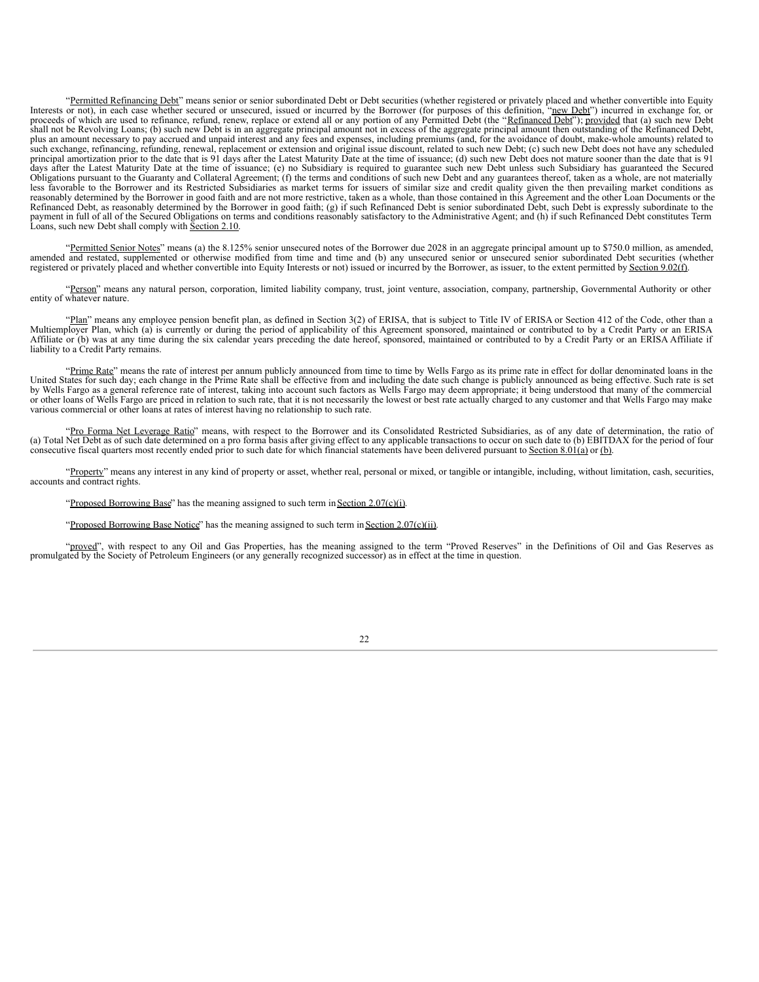"Permitted Refinancing Debt" means senior or senior subordinated Debt or Debt securities (whether registered or privately placed and whether convertible into Equity Interests or not), in each case whether secured or unsecured, issued or incurred by the Borrower (for purposes of this definition, "new Debt") incurred in exchange for, or proceeds of which are used to refinance, refund, r shall not be Revolving Loans; (b) such new Debt is in an aggregate principal amount not in excess of the aggregate principal amount then outstanding of the Refinanced Debt, plus an amount necessary to pay accrued and unpaid interest and any fees and expenses, including premiums (and, for the avoidance of doubt, make-whole amounts) related to such exchange, refinancing, refunding, renewal, replacement or extension and original issue discount, related to such new Debt; (c) such new Debt does not have any scheduled principal amortization prior to the date that is Obligations pursuant to the Guaranty and Collateral Agreement; (f) the terms and conditions of such new Debt and any guarantees thereof, taken as a whole, are not materially less favorable to the Borrower and its Restricte reasonably determined by the Borrower in good faith and are not more restrictive, taken as a whole, than those contained in this Agreement and the other Loan Documents or the<br>Refinanced Debt, as reasonably determined by th payment in full of all of the Secured Obligations on terms and conditions reasonably satisfactory to the Administrative Agent; and (h) if such Refinanced Debt constitutes Term Loans, such new Debt shall comply with Section 2.10.

Permitted Senior Notes" means (a) the 8.125% senior unsecured notes of the Borrower due 2028 in an aggregate principal amount up to \$750.0 million, as amended, amended and restated, supplemented or otherwise modified from time and time and (b) any unsecured senior or unsecured senior subordinated Debt securities (whether registered or privately placed and whether convertible into Equity Interests or not) issued or incurred by the Borrower, as issuer, to the extent permitted by Section 9.02(f).

Person" means any natural person, corporation, limited liability company, trust, joint venture, association, company, partnership, Governmental Authority or other entity of whatever nature.

"Plan" means any employee pension benefit plan, as defined in Section 3(2) of ERISA, that is subject to Title IV of ERISA or Section 412 of the Code, other than a Multiemployer Plan, which (a) is currently or during the pe Affiliate or (b) was at any time during the six calendar years preceding the date hereof, sponsored, maintained or contributed to by a Credit Party or an ERISA Affiliate if liability to a Credit Party remains.

"Prime Rate" means the rate of interest per annum publicly announced from time to time by Wells Fargo as its prime rate in effect for dollar denominated loans in the United States for such day; each change in the Prime Rate shall be effective from and including the date such change is publicly announced as being effective. Such rate is set by Wells Fargo as a general reference rate of interest, taking into account such factors as Wells Fargo may deem appropriate; it being understood that many of the commercial<br>or other loans of Wells Fargo are priced in rela various commercial or other loans at rates of interest having no relationship to such rate.

Pro Forma Net Leverage Ratio" means, with respect to the Borrower and its Consolidated Restricted Subsidiaries, as of any date of determination, the ratio of (a) Total Net Debt as of such date determined on a pro forma basis after giving effect to any applicable transactions to occur on such date to (b) EBITDAX for the period of four consecutive fiscal quarters most recently ended prior to such date for which financial statements have been delivered pursuant to Section 8.01(a) or (b).

"Property" means any interest in any kind of property or asset, whether real, personal or mixed, or tangible or intangible, including, without limitation, cash, securities, accounts and contract rights.

"Proposed Borrowing Base" has the meaning assigned to such term in Section 2.07(c)(i).

"Proposed Borrowing Base Notice" has the meaning assigned to such term in Section 2.07(c)(ii).

"proved", with respect to any Oil and Gas Properties, has the meaning assigned to the term "Proved Reserves" in the Definitions of Oil and Gas Reserves as promulgated by the Society of Petroleum Engineers (or any generally recognized successor) as in effect at the time in question.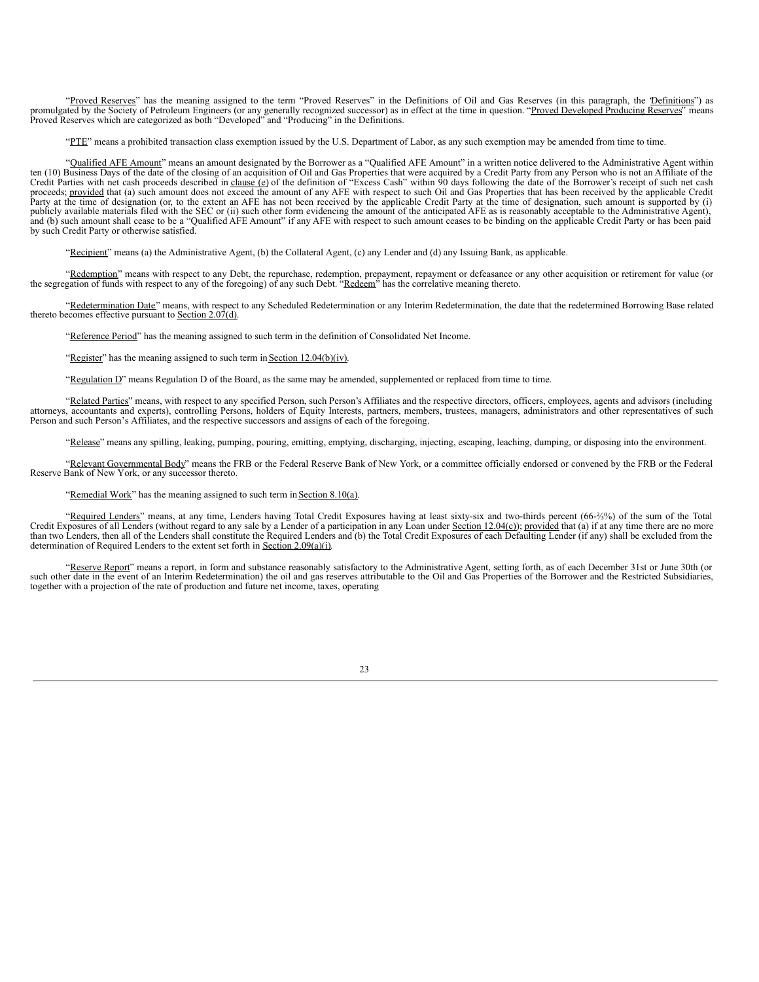"Proved Reserves" has the meaning assigned to the term "Proved Reserves" in the Definitions of Oil and Gas Reserves (in this paragraph, the "Definitions") as promulgated by the Society of Petroleum Engineers (or any generally recognized successor) as in effect at the time in question. "Proved Developed Producing Reserves" means<br>Proved Reserves which are categorized as both "Dev

"PTE" means a prohibited transaction class exemption issued by the U.S. Department of Labor, as any such exemption may be amended from time to time.

"Qualified AFE Amount" means an amount designated by the Borrower as a "Qualified AFE Amount" in a written notice delivered to the Administrative Agent within ten (10) Business Days of the date of the closing of an acquisition of Oil and Gas Properties that were acquired by a Credit Party from any Person who is not an Affiliate of the Credit Parties with net cash proceeds descri publicly available materials filed with the SEC or (ii) such other form evidencing the amount of the anticipated AFE as is reasonably acceptable to the Administrative Agent), and (b) such amount shall cease to be a "Qualif by such Credit Party or otherwise satisfied.

"Recipient" means (a) the Administrative Agent, (b) the Collateral Agent, (c) any Lender and (d) any Issuing Bank, as applicable.

"Redemption" means with respect to any Debt, the repurchase, redemption, prepayment, repayment or defeasance or any other acquisition or retirement for value (or the segregation of funds with respect to any of the foregoin

"Redetermination Date" means, with respect to any Scheduled Redetermination or any Interim Redetermination, the date that the redetermined Borrowing Base related thereto becomes effective pursuant to Section 2.07(d).

"Reference Period" has the meaning assigned to such term in the definition of Consolidated Net Income.

"Register" has the meaning assigned to such term in Section 12.04(b)(iv).

"Regulation D" means Regulation D of the Board, as the same may be amended, supplemented or replaced from time to time.

"Related Parties" means, with respect to any specified Person, such Person's Affiliates and the respective directors, officers, employees, agents and advisors (including attorneys, accountants and experts), controlling Persons, holders of Equity Interests, partners, members, trustees, managers, administrators and other representatives of such Person and such Person's Affiliates, and the respective successors and assigns of each of the foregoing.

"Release" means any spilling, leaking, pumping, pouring, emitting, emptying, discharging, injecting, escaping, leaching, dumping, or disposing into the environment.

"Relevant Governmental Body" means the FRB or the Federal Reserve Bank of New York, or a committee officially endorsed or convened by the FRB or the Federal Reserve Bank of New York, or any successor thereto.

"Remedial Work" has the meaning assigned to such term in Section 8.10(a).

"Required Lenders" means, at any time, Lenders having Total Credit Exposures having at least sixty-six and two-thirds percent (66-⅔%) of the sum of the Total Credit Exposures of all Lenders (without regard to any sale by a Lender of a participation in any Loan under Section 12.04(c)); provided that (a) if at any time there are no more than two Lenders, then all of the Lenders shall constitute the Required Lenders and (b) the Total Credit Exposures of each Defaulting Lender (if any) shall be excluded from the determination of Required Lenders to the extent set forth in Section 2.09(a)(i).

"Reserve Report" means a report, in form and substance reasonably satisfactory to the Administrative Agent, setting forth, as of each December 31st or June 30th (or such other date in the event of an Interim Redetermination) the oil and gas reserves attributable to the Oil and Gas Properties of the Borrower and the Restricted Subsidiaries, together with a projection of the rate of production and future net income, taxes, operating

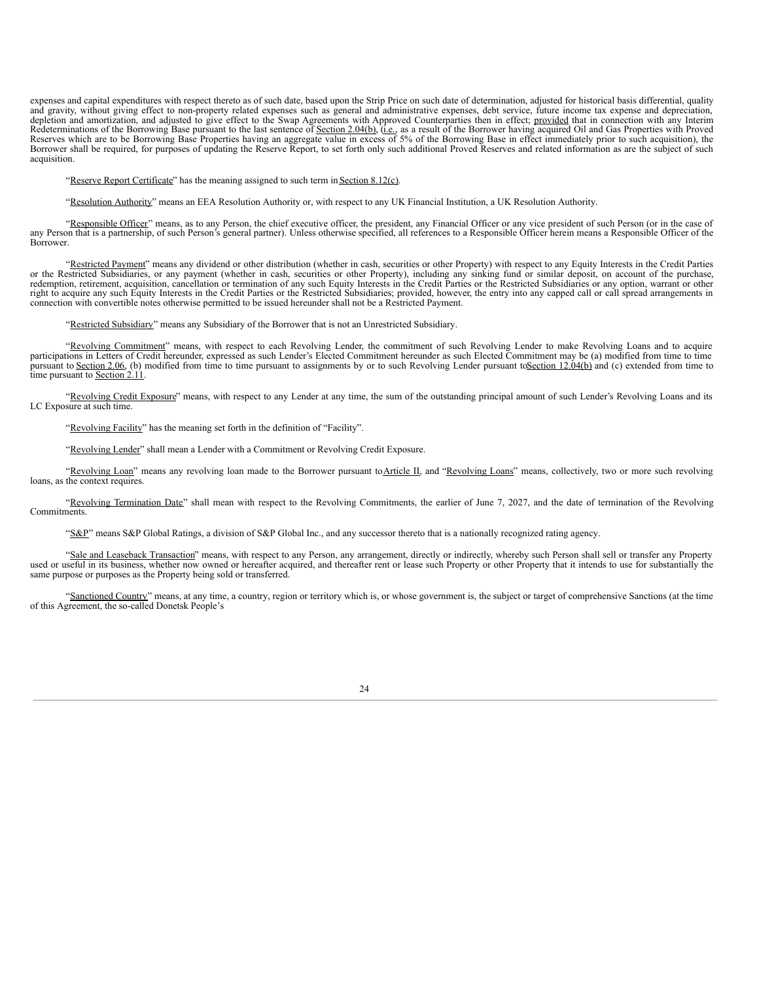expenses and capital expenditures with respect thereto as of such date, based upon the Strip Price on such date of determination, adjusted for historical basis differential, quality and gravity, without giving effect to non-property related expenses such as general and administrative expenses, debt service, future income tax expense and depreciation, depletion and amortization, and adjusted to give effect to the Swap Agreements with Approved Counterparties then in effect; provided that in connection with any Interim Redeterminations of the Borrowing Base pursuant to the last sentence of Section 2.04(b), (i.e., as a result of the Borrower having acquired Oil and Gas Properties with Proved<br>Reserves which are to be Borrowing Base Propert Borrower shall be required, for purposes of updating the Reserve Report, to set forth only such additional Proved Reserves and related information as are the subject of such acquisition.

"Reserve Report Certificate" has the meaning assigned to such term in Section  $8.12(c)$ .

"Resolution Authority" means an EEA Resolution Authority or, with respect to any UK Financial Institution, a UK Resolution Authority.

"Responsible Officer" means, as to any Person, the chief executive officer, the president, any Financial Officer or any vice president of such Person (or in the case of any Person that is a partnership, of such Person's ge Borrower.

"Restricted Payment" means any dividend or other distribution (whether in cash, securities or other Property) with respect to any Equity Interests in the Credit Parties or the Restricted Subsidiaries, or any payment (whether in cash, securities or other Property), including any sinking fund or similar deposit, on account of the purchase, redemption, retirement, acquisition, cancellation o right to acquire any such Equity Interests in the Credit Parties or the Restricted Subsidiaries; provided, however, the entry into any capped call or call spread arrangements in connection with convertible notes otherwise permitted to be issued hereunder shall not be a Restricted Payment.

"Restricted Subsidiary" means any Subsidiary of the Borrower that is not an Unrestricted Subsidiary.

"Revolving Commitment" means, with respect to each Revolving Lender, the commitment of such Revolving Lender to make Revolving Loans and to acquire participations in Letters of Credit hereunder, expressed as such Lender's Elected Commitment hereunder as such Elected Commitment may be (a) modified from time to time pursuant to Section 2.06, (b) modified from time to time pursuant to assignments by or to such Revolving Lender pursuant to Section 12.04(b) and (c) extended from time to time pursuant to Section 2.11.

"Revolving Credit Exposure" means, with respect to any Lender at any time, the sum of the outstanding principal amount of such Lender's Revolving Loans and its<br>LC Exposure at such time.

"Revolving Facility" has the meaning set forth in the definition of "Facility".

"Revolving Lender" shall mean a Lender with a Commitment or Revolving Credit Exposure.

"Revolving Loan" means any revolving loan made to the Borrower pursuant toArticle II, and "Revolving Loans" means, collectively, two or more such revolving loans, as the context requires.

"Revolving Termination Date" shall mean with respect to the Revolving Commitments, the earlier of June 7, 2027, and the date of termination of the Revolving Commitments.

"S&P" means S&P Global Ratings, a division of S&P Global Inc., and any successor thereto that is a nationally recognized rating agency.

"Sale and Leaseback Transaction" means, with respect to any Person, any arrangement, directly or indirectly, whereby such Person shall sell or transfer any Property used or useful in its business, whether now owned or hereafter acquired, and thereafter rent or lease such Property or other Property that it intends to use for substantially the same purpose or purposes as the Property being sold or transferred.

"Sanctioned Country" means, at any time, a country, region or territory which is, or whose government is, the subject or target of comprehensive Sanctions (at the time of this Agreement, the so-called Donetsk People's

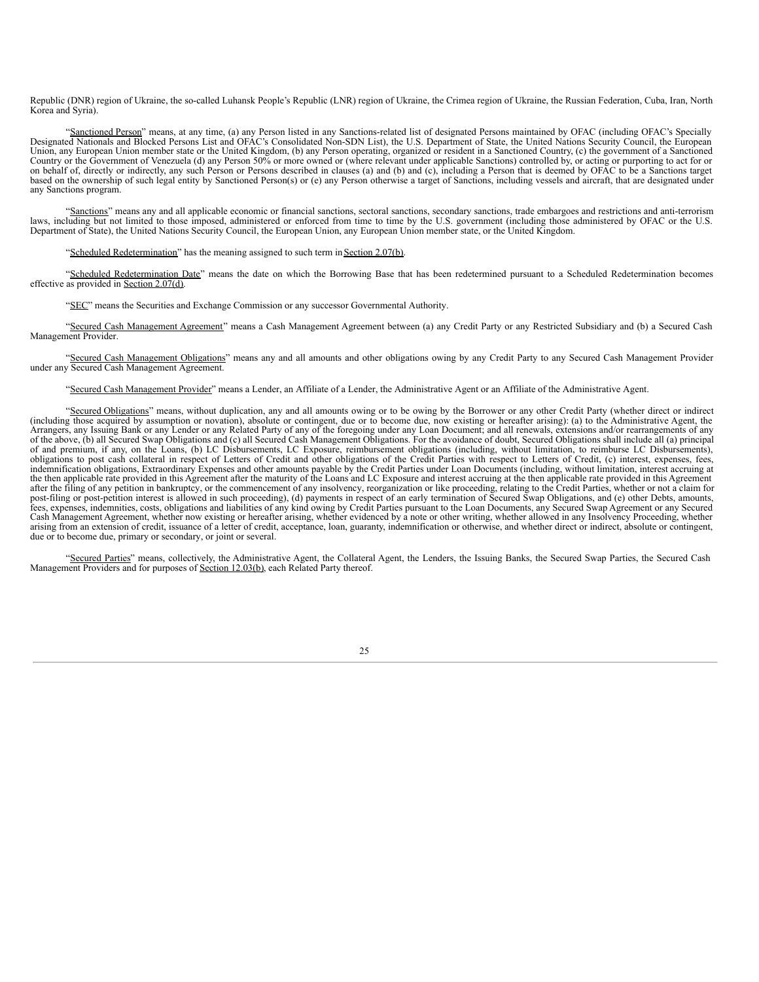Republic (DNR) region of Ukraine, the so-called Luhansk People's Republic (LNR) region of Ukraine, the Crimea region of Ukraine, the Russian Federation, Cuba, Iran, North Korea and Syria).

"Sanctioned Person" means, at any time, (a) any Person listed in any Sanctions-related list of designated Persons maintained by OFAC (including OFAC's Specially Designated Nationals and Blocked Persons List and OFAC's Consolidated Non-SDN List), the U.S. Department of State, the United Nations Security Council, the European Union, any European Union member state or the United Kingdom, (b) any Person operating, organized or resident in a Sanctioned Country, (c) the government of a Sanctioned<br>Country or the Government of Venezuela (d) any Perso on behalf of, directly or indirectly, any such Person or Persons described in clauses (a) and (b) and (c), including a Person that is deemed by OFAC to be a Sanctions target based on the ownership of such legal entity by Sanctioned Person(s) or (e) any Person otherwise a target of Sanctions, including vessels and aircraft, that are designated under any Sanctions program.

Sanctions" means any and all applicable economic or financial sanctions, sectoral sanctions, secondary sanctions, trade embargoes and restrictions and anti-terrorism laws, including but not limited to those imposed, administered or enforced from time to time by the U.S. government (including those administered by OFAC or the U.S. Department of State), the United Nations Security Council, the European Union, any European Union member state, or the United Kingdom.

"Scheduled Redetermination" has the meaning assigned to such term in Section 2.07(b).

"Scheduled Redetermination Date" means the date on which the Borrowing Base that has been redetermined pursuant to a Scheduled Redetermination becomes effective as provided in Section 2.07(d).

"SEC" means the Securities and Exchange Commission or any successor Governmental Authority.

"Secured Cash Management Agreement" means a Cash Management Agreement between (a) any Credit Party or any Restricted Subsidiary and (b) a Secured Cash Management Provider.

"Secured Cash Management Obligations" means any and all amounts and other obligations owing by any Credit Party to any Secured Cash Management Provider under any Secured Cash Management Agreement.

"Secured Cash Management Provider" means a Lender, an Affiliate of a Lender, the Administrative Agent or an Affiliate of the Administrative Agent.

"Secured Obligations" means, without duplication, any and all amounts owing or to be owing by the Borrower or any other Credit Party (whether direct or indirect (including those acquired by assumption or novation), absolute or contingent, due or to become due, now existing or hereafter arising): (a) to the Administrative Agent, the Arrangers, any Issuing Bank or any Lender or any Related Party of any of the foregoing under any Loan Document; and all renewals, extensions and/or rearrangements of any of the above, (b) all Secured Swap Obligations and ( obligations to post cash collateral in respect of Letters of Credit and other obligations of the Credit Parties with respect to Letters of Credit, (c) interest, expenses, fees, indemnification obligations, Extraordinary Expenses and other amounts payable by the Credit Parties under Loan Documents (including, without limitation, interest accruing at<br>the then applicable rate provided in this Agreem after the filing of any petition in bankruptcy, or the commencement of any insolvency, reorganization or like proceeding, relating to the Credit Parties, whether or not a claim for post-filing or post-petition interest is allowed in such proceeding), (d) payments in respect of an early termination of Secured Swap Obligations, and (e) other Debts, amounts, fees, expenses, indemnities, costs, obligatio Cash Management Agreement, whether now existing or hereafter arising, whether evidenced by a note or other writing, whether allowed in any Insolvency Proceeding, whether arising from an extension of credit, issuance of a l due or to become due, primary or secondary, or joint or several.

"Secured Parties" means, collectively, the Administrative Agent, the Collateral Agent, the Lenders, the Issuing Banks, the Secured Swap Parties, the Secured Cash Management Providers and for purposes of Section 12.03(b), each Related Party thereof.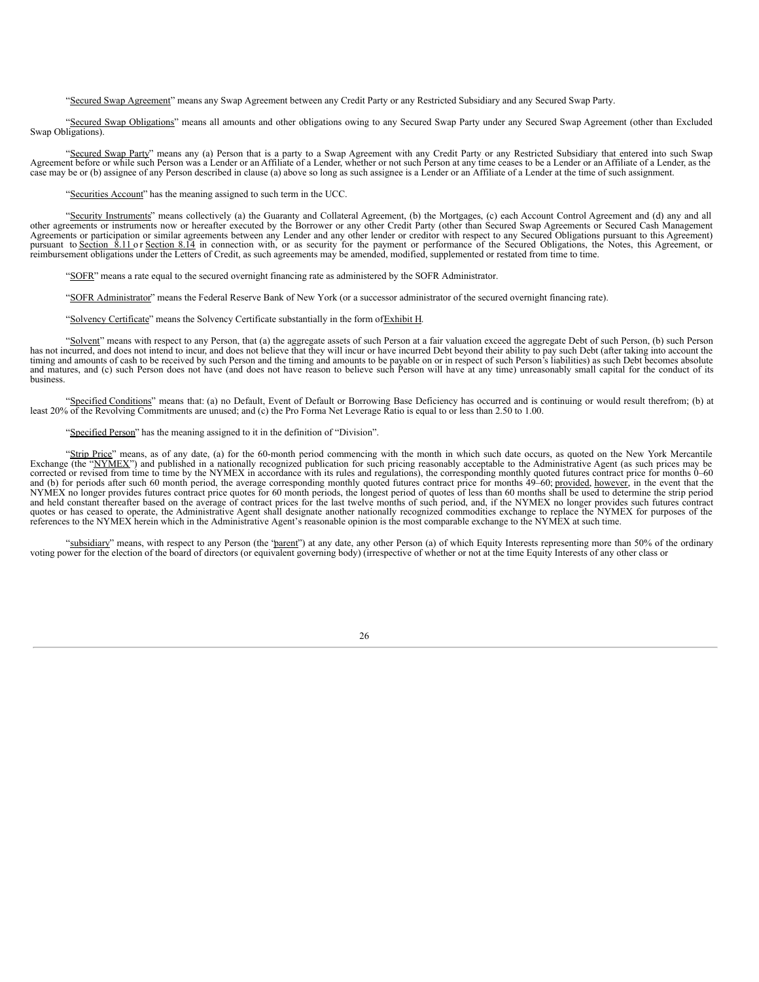"Secured Swap Agreement" means any Swap Agreement between any Credit Party or any Restricted Subsidiary and any Secured Swap Party.

"Secured Swap Obligations" means all amounts and other obligations owing to any Secured Swap Party under any Secured Swap Agreement (other than Excluded Swap Obligations).

"Secured Swap Party" means any (a) Person that is a party to a Swap Agreement with any Credit Party or any Restricted Subsidiary that entered into such Swap Agreement before or while such Person was a Lender or an Affiliate of a Lender, whether or not such Person at any time ceases to be a Lender or an Affiliate of a Lender, as the case may be or (b) assignee of any Person described in clause (a) above so long as such assignee is a Lender or an Affiliate of a Lender at the time of such assignment.

"Securities Account" has the meaning assigned to such term in the UCC.

"Security Instruments" means collectively (a) the Guaranty and Collateral Agreement, (b) the Mortgages, (c) each Account Control Agreement and (d) any and all<br>other agreements or instruments now or hereafter executed by th Agreements or participation or similar agreements between any Lender and any other lender or creditor with respect to any Secured Obligations pursuant to this Agreement) pursuant to Section 8.11 or Section 8.14 in connection with, or as security for the payment or performance of the Secured Obligations, the Notes, this Agreement, or reimbursement obligations under the Letters of Credit, as

"SOFR" means a rate equal to the secured overnight financing rate as administered by the SOFR Administrator.

"SOFR Administrator" means the Federal Reserve Bank of New York (or a successor administrator of the secured overnight financing rate).

"Solvency Certificate" means the Solvency Certificate substantially in the form of Exhibit H.

"Solvent" means with respect to any Person, that (a) the aggregate assets of such Person at a fair valuation exceed the aggregate Debt of such Person, (b) such Person has not incurred, and does not intend to incur, and does not believe that they will incur or have incurred Debt beyond their ability to pay such Debt (after taking into account the timing and amounts of cash to be received by such Person and the timing and amounts to be payable on or in respect of such Person's liabilities) as such Debt becomes absolute and matures, and (c) such Person does not have business.

"Specified Conditions" means that: (a) no Default, Event of Default or Borrowing Base Deficiency has occurred and is continuing or would result therefrom; (b) at least 20% of the Revolving Commitments are unused; and (c) t

#### "Specified Person" has the meaning assigned to it in the definition of "Division".

"Strip Price" means, as of any date, (a) for the 60-month period commencing with the month in which such date occurs, as quoted on the New York Mercantile Exchange (the "NYMEX") and published in a nationally recognized pub and (b) for periods after such 60 month period, the average corresponding monthly quoted futures contract price for months 49-60; provided, however, in the event that the NYMEX no longer provides futures contract price quotes for 60 month periods, the longest period of quotes of less than 60 months shall be used to determine the strip period and held constant thereafter based on the average of contract prices for the last twelve months of such period, and, if the NYMEX no longer provides such futures contract<br>quotes or has ceased to operate, the Administrative

"subsidiary" means, with respect to any Person (the "parent") at any date, any other Person (a) of which Equity Interests representing more than 50% of the ordinary voting power for the election of the board of directors (or equivalent governing body) (irrespective of whether or not at the time Equity Interests of any other class or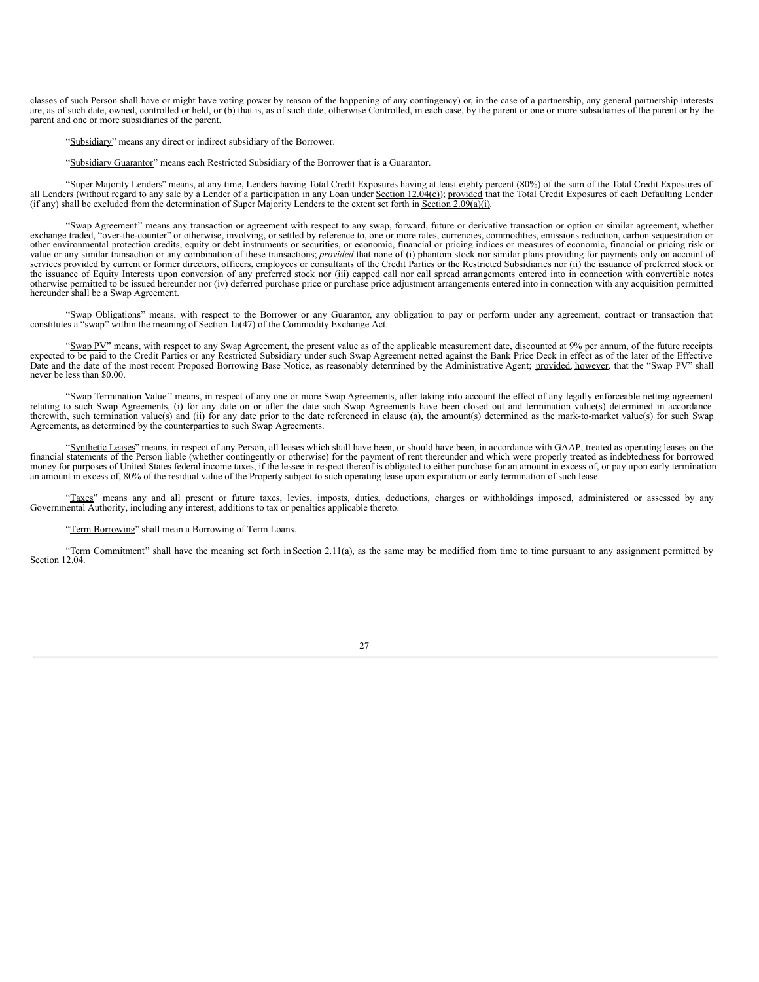classes of such Person shall have or might have voting power by reason of the happening of any contingency) or, in the case of a partnership, any general partnership interests are, as of such date, owned, controlled or hel parent and one or more subsidiaries of the parent.

"Subsidiary" means any direct or indirect subsidiary of the Borrower.

"Subsidiary Guarantor" means each Restricted Subsidiary of the Borrower that is a Guarantor.

"Super Majority Lenders" means, at any time, Lenders having Total Credit Exposures having at least eighty percent (80%) of the sum of the Total Credit Exposures of all Lenders (without regard to any sale by a Lender of a p

"Swap Agreement" means any transaction or agreement with respect to any swap, forward, future or derivative transaction or option or similar agreement, whether exchange traded, "over-the-counter" or otherwise, involving, o other environmental protection credits, equity or debt instruments or securities, or economic, financial or pricing indices or measures of economic, financial or pricing risk or value or any similar transaction or any combination of these transactions; *provided* that none of (i) phantom stock nor similar plans providing for payments only on account of services provided by current or former directors, officers, employees or consultants of the Credit Parties or the Restricted Subsidiaries nor (ii) the issuance of preferred stock or the issuance of Equity Interests upon conversion of any preferred stock nor (iii) capped call nor call spread arrangements entered into in connection with convertible notes otherwise permitted to be issued hereunder nor (iv) deferred purchase price or purchase price adjustment arrangements entered into in connection with any acquisition permitted hereunder shall be a Swap Agreement.

"Swap Obligations" means, with respect to the Borrower or any Guarantor, any obligation to pay or perform under any agreement, contract or transaction that constitutes a "swap" within the meaning of Section 1a(47) of the Commodity Exchange Act.

"Swap PV" means, with respect to any Swap Agreement, the present value as of the applicable measurement date, discounted at 9% per annum, of the future receipts expected to be paid to the Credit Parties or any Restricted Subsidiary under such Swap Agreement netted against the Bank Price Deck in effect as of the later of the Effective Date and the date of the most recent Proposed Borrowing Base Notice, as reasonably determined by the Administrative Agent; provided, however, that the "Swap PV" shall never be less than \$0.00.

"Swap Termination Value" means, in respect of any one or more Swap Agreements, after taking into account the effect of any legally enforceable netting agreement relating to such Swap Agreements, (i) for any date on or afte therewith, such termination value(s) and (ii) for any date prior to the date referenced in clause (a), the amount(s) determined as the mark-to-market value(s) for such Swap Agreements, as determined by the counterparties to such Swap Agreements.

"Synthetic Leases" means, in respect of any Person, all leases which shall have been, or should have been, in accordance with GAAP, treated as operating leases on the financial statements of the Person liable (whether contingently or otherwise) for the payment of rent thereunder and which were properly treated as indebtedness for borrowed money for purposes of United States federal income taxes, if the lessee in respect thereof is obligated to either purchase for an amount in excess of, or pay upon early termination an amount in excess of, 80% of the residual value of the Property subject to such operating lease upon expiration or early termination of such lease.

"Taxes" means any and all present or future taxes, levies, imposts, duties, deductions, charges or withholdings imposed, administered or assessed by any Governmental Authority, including any interest, additions to tax or penalties applicable thereto.

"Term Borrowing" shall mean a Borrowing of Term Loans.

"Term Commitment" shall have the meaning set forth in Section 2.11(a), as the same may be modified from time to time pursuant to any assignment permitted by Section 12.04.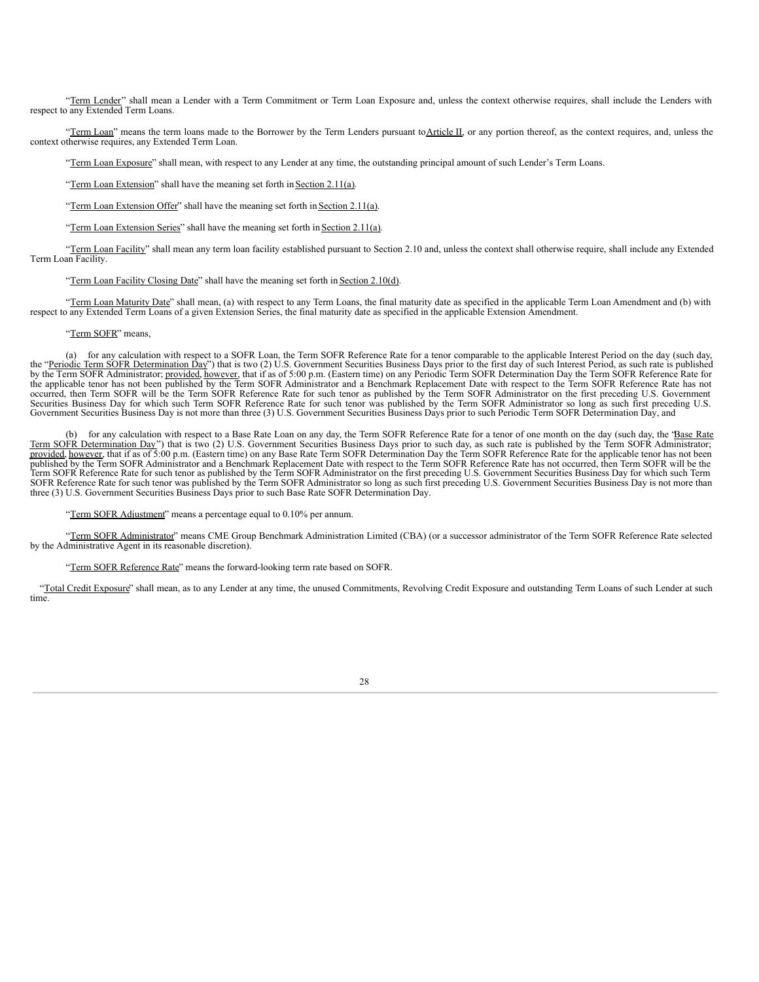"Term Lender" shall mean a Lender with a Term Commitment or Term Loan Exposure and, unless the context otherwise requires, shall include the Lenders with respect to any Extended Term Loans.

"Term Loan" means the term loans made to the Borrower by the Term Lenders pursuant to Article II, or any portion thereof, as the context requires, and, unless the context otherwise requires, any Extended Term Loan.

"Term Loan Exposure" shall mean, with respect to any Lender at any time, the outstanding principal amount of such Lender's Term Loans.

"Term Loan Extension" shall have the meaning set forth in Section 2.11(a).

"Term Loan Extension Offer" shall have the meaning set forth in Section 2.11(a).

"Term Loan Extension Series" shall have the meaning set forth in Section 2.11(a).

"Term Loan Facility" shall mean any term loan facility established pursuant to Section 2.10 and, unless the context shall otherwise require, shall include any Extended Term Loan Facility.

"Term Loan Facility Closing Date" shall have the meaning set forth in Section 2.10(d).

"Term Loan Maturity Date" shall mean, (a) with respect to any Term Loans, the final maturity date as specified in the applicable Term Loan Amendment and (b) with respect to any Extended Term Loans of a given Extension Series, the final maturity date as specified in the applicable Extension Amendment.

### "Term SOFR" means,

(a) for any calculation with respect to a SOFR Loan, the Term SOFR Reference Rate for a tenor comparable to the applicable Interest Period on the day (such day, the "Periodic Term SOFR Determination Day") that is two (2) U.S. Government Securities Business Days prior to the first day of such Interest Period, as such rate is published by the Term SOFR Administrator; provided, howev occurred, then Term SOFR will be the Term SOFR Reference Rate for such tenor as published by the Term SOFR Administrator on the first preceding U.S. Government<br>Securities Business Day for which such Term SOFR Reference Rat Government Securities Business Day is not more than three (3) U.S. Government Securities Business Days prior to such Periodic Term SOFR Determination Day, and

(b) for any calculation with respect to a Base Rate Loan on any day, the Term SOFR Reference Rate for a tenor of one month on the day (such day, the 'Base Rate Term SOFR Determination Day") that is two (2) U.S. Government provided, however, that if as of 5:00 p.m. (Eastern time) on any Base Rate Term SOFR Determination Day the Term SOFR Reference Rate for the applicable tenor has not been published by the Term SOFR Administrator and a Benchmark Replacement Date with respect to the Term SOFR Reference Rate has not occurred, then Term SOFR will be the Term SOFR Reference Rate for such tenor as published by the Term SOFR Administrator on the first preceding U.S. Government Securities Business Day for which such Term SOFR Reference Rate for such tenor was published by the Term SOFR Administrator so long as such first preceding U.S. Government Securities Business Day is not more than three (3) U.S. Government Securities Business Days prior to such Base Rate SOFR Determination Day.

"Term SOFR Adjustment" means a percentage equal to 0.10% per annum.

"Term SOFR Administrator" means CME Group Benchmark Administration Limited (CBA) (or a successor administrator of the Term SOFR Reference Rate selected by the Administrative Agent in its reasonable discretion).

"Term SOFR Reference Rate" means the forward-looking term rate based on SOFR.

"Total Credit Exposure" shall mean, as to any Lender at any time, the unused Commitments, Revolving Credit Exposure and outstanding Term Loans of such Lender at such time.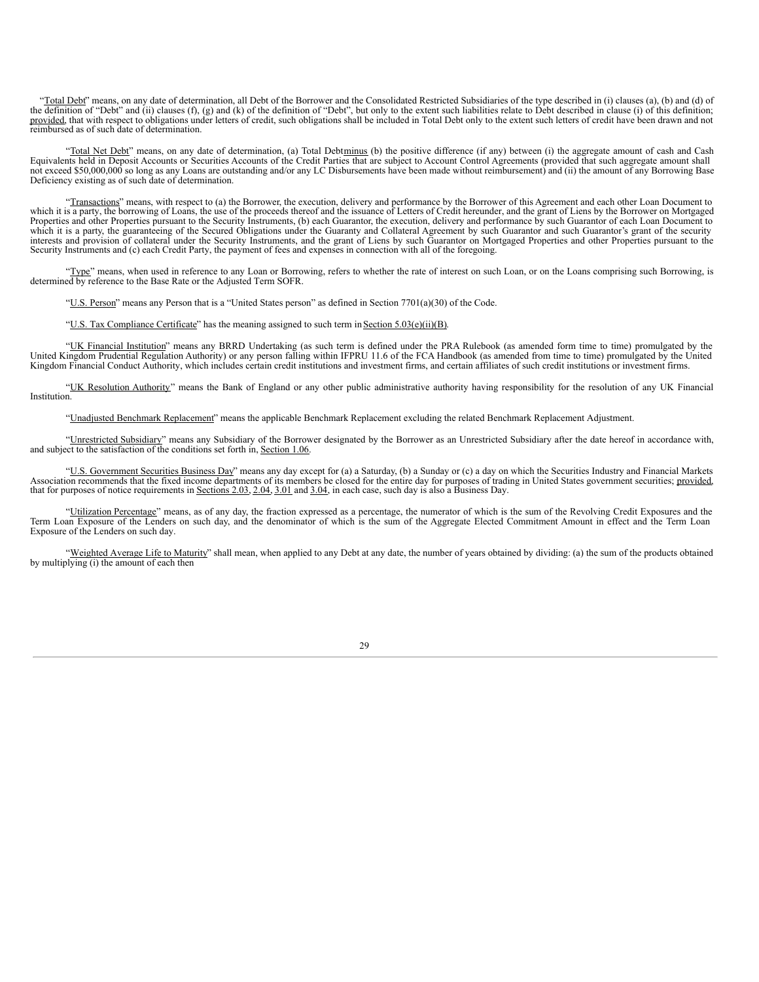"Total Debt" means, on any date of determination, all Debt of the Borrower and the Consolidated Restricted Subsidiaries of the type described in (i) clauses (a), (b) and (d) of the definition of "Debt" and (ii) clauses (f) provided, that with respect to obligations under letters of credit, such obligations shall be included in Total Debt only to the extent such letters of credit have been drawn and not reimbursed as of such date of determination.

"Total Net Debt" means, on any date of determination, (a) Total Debtminus (b) the positive difference (if any) between (i) the aggregate amount of cash and Cash<br>Equivalents held in Deposit Accounts or Securities Accounts o not exceed \$50,000,000 so long as any Loans are outstanding and/or any LC Disbursements have been made without reimbursement) and (ii) the amount of any Borrowing Base Deficiency existing as of such date of determination.

"Transactions" means, with respect to (a) the Borrower, the execution, delivery and performance by the Borrower of this Agreement and each other Loan Document to which it is a party, the borrowing of Loans, the use of the proceeds thereof and the issuance of Letters of Credit hereunder, and the grant of Liens by the Borrower on Mortgaged Properties and other Properties pursuant to the Security Instruments, (b) each Guarantor, the execution, delivery and performance by such Guarantor of each Loan Document to which it is a party, the guaranteeing of the Secured Obligations under the Guaranty and Collateral Agreement by such Guarantor and such Guarantor's grant of the security interests and provision of collateral under the Secu Security Instruments and (c) each Credit Party, the payment of fees and expenses in connection with all of the foregoing.

Type" means, when used in reference to any Loan or Borrowing, refers to whether the rate of interest on such Loan, or on the Loans comprising such Borrowing, is determined by reference to the Base Rate or the Adjusted Term SOFR.

"U.S. Person" means any Person that is a "United States person" as defined in Section 7701(a)(30) of the Code.

"U.S. Tax Compliance Certificate" has the meaning assigned to such term in Section  $5.03(e)(ii)(B)$ .

"UK Financial Institution" means any BRRD Undertaking (as such term is defined under the PRA Rulebook (as amended form time to time) promulgated by the United Kingdom Prudential Regulation Authority) or any person falling Kingdom Financial Conduct Authority, which includes certain credit institutions and investment firms, and certain affiliates of such credit institutions or investment firms.

"UK Resolution Authority" means the Bank of England or any other public administrative authority having responsibility for the resolution of any UK Financial Institution.

"Unadjusted Benchmark Replacement" means the applicable Benchmark Replacement excluding the related Benchmark Replacement Adjustment.

"Unrestricted Subsidiary" means any Subsidiary of the Borrower designated by the Borrower as an Unrestricted Subsidiary after the date hereof in accordance with, and subject to the satisfaction of the conditions set forth in, Section 1.06.

"U.S. Government Securities Business Day" means any day except for (a) a Saturday, (b) a Sunday or (c) a day on which the Securities Industry and Financial Markets Association recommends that the fixed income departments of its members be closed for the entire day for purposes of trading in United States government securities; provided, that for purposes of notice requirements in Sections 2.03, 2.04, 3.01 and 3.04, in each case, such day is also a Business Day.

"Utilization Percentage" means, as of any day, the fraction expressed as a percentage, the numerator of which is the sum of the Revolving Credit Exposures and the Term Loan Exposure of the Lenders on such day, and the deno Exposure of the Lenders on such day.

"Weighted Average Life to Maturity" shall mean, when applied to any Debt at any date, the number of years obtained by dividing: (a) the sum of the products obtained by multiplying (i) the amount of each then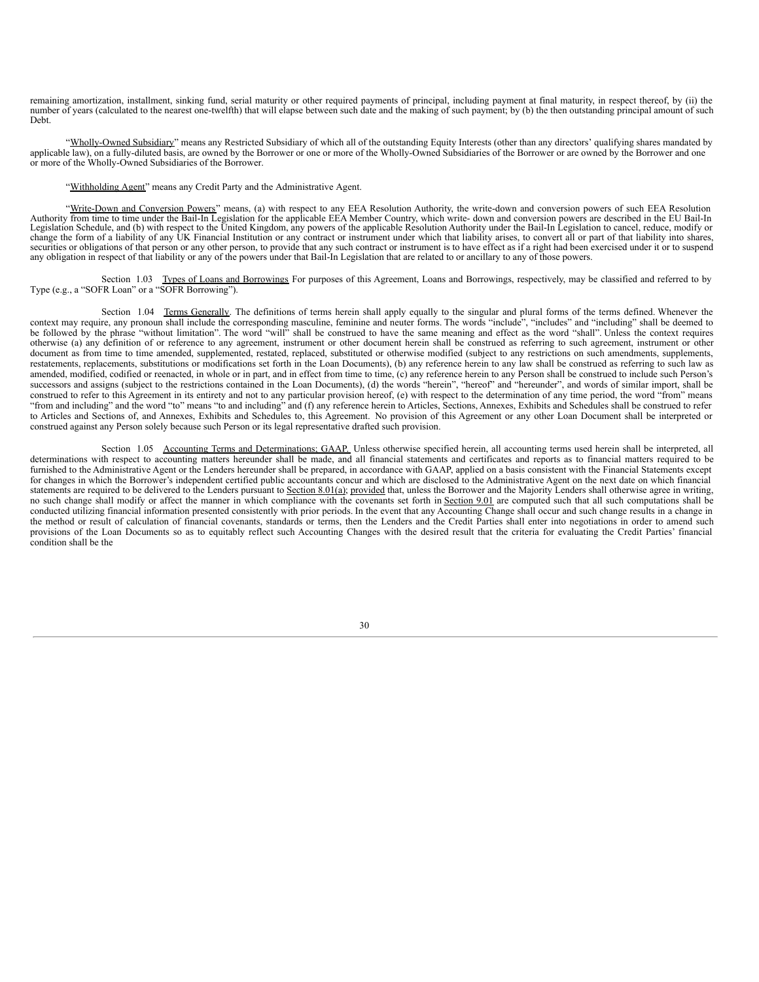remaining amortization, installment, sinking fund, serial maturity or other required payments of principal, including payment at final maturity, in respect thereof, by (ii) the number of years (calculated to the nearest one-twelfth) that will elapse between such date and the making of such payment; by (b) the then outstanding principal amount of such Debt.

"Wholly-Owned Subsidiary" means any Restricted Subsidiary of which all of the outstanding Equity Interests (other than any directors' qualifying shares mandated by applicable law), on a fully-diluted basis, are owned by the Borrower or one or more of the Wholly-Owned Subsidiaries of the Borrower or are owned by the Borrower and one or more of the Wholly-Owned Subsidiaries of the Borrower.

"Withholding Agent" means any Credit Party and the Administrative Agent.

"Write-Down and Conversion Powers" means, (a) with respect to any EEA Resolution Authority, the write-down and conversion powers of such EEA Resolution Authority from time to time under the Bail-In Legislation for the applicable EEA Member Country, which write- down and conversion powers are described in the EU Bail-In<br>Legislation Schedule, and (b) with respect to the Uni change the form of a liability of any UK Financial Institution or any contract or instrument under which that liability arises, to convert all or part of that liability into shares, securities or obligations of that person or any other person, to provide that any such contract or instrument is to have effect as if a right had been exercised under it or to suspend any obligation in respect of that liability or any of the powers under that Bail-In Legislation that are related to or ancillary to any of those powers.

Section 1.03 Types of Loans and Borrowings For purposes of this Agreement, Loans and Borrowings, respectively, may be classified and referred to by Type (e.g., a "SOFR Loan" or a "SOFR Borrowing").

Section 1.04 Terms Generally. The definitions of terms herein shall apply equally to the singular and plural forms of the terms defined. Whenever the context may require, any pronoun shall include the corresponding masculine, feminine and neuter forms. The words "include", "includes" and "including" shall be deemed to be followed by the phrase "without limitation". The word "will" shall be construed to have the same meaning and effect as the word "shall". Unless the context requires otherwise (a) any definition of or reference to any agreement, instrument or other document herein shall be construed as referring to such agreement, instrument or other document as from time to time amended, supplemented, restated, replaced, substituted or otherwise modified (subject to any restrictions on such amendments, supplements, restatements, replacements, substitutions or modifications set forth in the Loan Documents), (b) any reference herein to any law shall be construed as referring to such law as amended, modified, codified or reenacted, in whole or in part, and in effect from time to time, (c) any reference herein to any Person shall be construed to include such Person's successors and assigns (subject to the restrictions contained in the Loan Documents), (d) the words "herein", "hereof" and "hereunder", and words of similar import, shall be construed to refer to this Agreement in its entirety and not to any particular provision hereof, (e) with respect to the determination of any time period, the word "from" means "from and including" and the word "to" means "to and including" and (f) any reference herein to Articles, Sections, Annexes, Exhibits and Schedules shall be construed to refer to Articles and Sections of, and Annexes, Exhibits and Schedules to, this Agreement. No provision of this Agreement or any other Loan Document shall be interpreted or construed against any Person solely because such Person or its legal representative drafted such provision.

Section 1.05 Accounting Terms and Determinations; GAAP. Unless otherwise specified herein, all accounting terms used herein shall be interpreted, all determinations with respect to accounting matters hereunder shall be made, and all financial statements and certificates and reports as to financial matters required to be furnished to the Administrative Agent or the Lenders hereunder shall be prepared, in accordance with GAAP, applied on a basis consistent with the Financial Statements except for changes in which the Borrower's independent certified public accountants concur and which are disclosed to the Administrative Agent on the next date on which financial statements are required to be delivered to the Lenders pursuant to Section 8.01(a); provided that, unless the Borrower and the Majority Lenders shall otherwise agree in writing, no such change shall modify or affect the manner in which compliance with the covenants set forth in Section 9.01 are computed such that all such computations shall be conducted utilizing financial information presented consistently with prior periods. In the event that any Accounting Change shall occur and such change results in a change in the method or result of calculation of financial covenants, standards or terms, then the Lenders and the Credit Parties shall enter into negotiations in order to amend such provisions of the Loan Documents so as to equitably reflect such Accounting Changes with the desired result that the criteria for evaluating the Credit Parties' financial condition shall be the

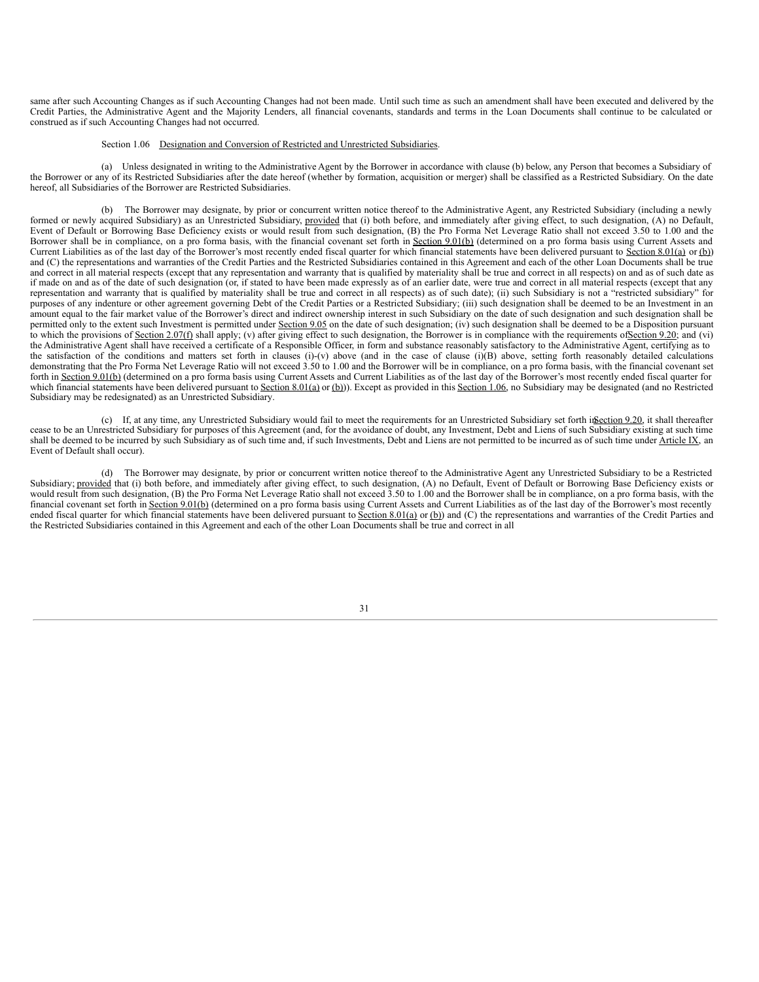same after such Accounting Changes as if such Accounting Changes had not been made. Until such time as such an amendment shall have been executed and delivered by the Credit Parties, the Administrative Agent and the Majority Lenders, all financial covenants, standards and terms in the Loan Documents shall continue to be calculated or construed as if such Accounting Changes had not occurred.

## Section 1.06 Designation and Conversion of Restricted and Unrestricted Subsidiaries.

(a) Unless designated in writing to the Administrative Agent by the Borrower in accordance with clause (b) below, any Person that becomes a Subsidiary of the Borrower or any of its Restricted Subsidiaries after the date hereof (whether by formation, acquisition or merger) shall be classified as a Restricted Subsidiary. On the date hereof, all Subsidiaries of the Borrower are Restricted Subsidiaries.

(b) The Borrower may designate, by prior or concurrent written notice thereof to the Administrative Agent, any Restricted Subsidiary (including a newly formed or newly acquired Subsidiary) as an Unrestricted Subsidiary, provided that (i) both before, and immediately after giving effect, to such designation, (A) no Default, Event of Default or Borrowing Base Deficiency exists or would result from such designation, (B) the Pro Forma Net Leverage Ratio shall not exceed 3.50 to 1.00 and the Borrower shall be in compliance, on a pro forma basis, with the financial covenant set forth in Section 9.01(b) (determined on a pro forma basis using Current Assets and Current Liabilities as of the last day of the Borrower's most recently ended fiscal quarter for which financial statements have been delivered pursuant to Section 8.01(a) or (b)) and (C) the representations and warranties of the Credit Parties and the Restricted Subsidiaries contained in this Agreement and each of the other Loan Documents shall be true and correct in all material respects (except that any representation and warranty that is qualified by materiality shall be true and correct in all respects) on and as of such date as if made on and as of the date of such designation (or, if stated to have been made expressly as of an earlier date, were true and correct in all material respects (except that any representation and warranty that is qualified by materiality shall be true and correct in all respects) as of such date); (ii) such Subsidiary is not a "restricted subsidiary" for purposes of any indenture or other agreement governing Debt of the Credit Parties or a Restricted Subsidiary; (iii) such designation shall be deemed to be an Investment in an amount equal to the fair market value of the Borrower's direct and indirect ownership interest in such Subsidiary on the date of such designation and such designation shall be permitted only to the extent such Investment is permitted under Section 9.05 on the date of such designation; (iv) such designation shall be deemed to be a Disposition pursuant to which the provisions of Section 2.07(f) shall apply; (v) after giving effect to such designation, the Borrower is in compliance with the requirements of Section 9.20; and (vi) the Administrative Agent shall have received a certificate of a Responsible Officer, in form and substance reasonably satisfactory to the Administrative Agent, certifying as to the satisfaction of the conditions and matters set forth in clauses (i)-(v) above (and in the case of clause (i)(B) above, setting forth reasonably detailed calculations demonstrating that the Pro Forma Net Leverage Ratio will not exceed 3.50 to 1.00 and the Borrower will be in compliance, on a pro forma basis, with the financial covenant set forth in Section 9.01(b) (determined on a pro forma basis using Current Assets and Current Liabilities as of the last day of the Borrower's most recently ended fiscal quarter for which financial statements have been delivered pursuant to Section 8.01(a) or (b))). Except as provided in this Section 1.06, no Subsidiary may be designated (and no Restricted Subsidiary may be redesignated) as an Unrestricted Subsidiary.

(c) If, at any time, any Unrestricted Subsidiary would fail to meet the requirements for an Unrestricted Subsidiary set forth inSection 9.20, it shall thereafter cease to be an Unrestricted Subsidiary for purposes of this Agreement (and, for the avoidance of doubt, any Investment, Debt and Liens of such Subsidiary existing at such time shall be deemed to be incurred by such Subsidiary as of such time and, if such Investments, Debt and Liens are not permitted to be incurred as of such time under Article IX, an Event of Default shall occur).

(d) The Borrower may designate, by prior or concurrent written notice thereof to the Administrative Agent any Unrestricted Subsidiary to be a Restricted Subsidiary; provided that (i) both before, and immediately after giving effect, to such designation, (A) no Default, Event of Default or Borrowing Base Deficiency exists or would result from such designation, (B) the Pro Forma Net Leverage Ratio shall not exceed 3.50 to 1.00 and the Borrower shall be in compliance, on a pro forma basis, with the financial covenant set forth in Section 9.01(b) (determined on a pro forma basis using Current Assets and Current Liabilities as of the last day of the Borrower's most recently ended fiscal quarter for which financial statements have been delivered pursuant to Section 8.01(a) or (b)) and (C) the representations and warranties of the Credit Parties and the Restricted Subsidiaries contained in this Agreement and each of the other Loan Documents shall be true and correct in all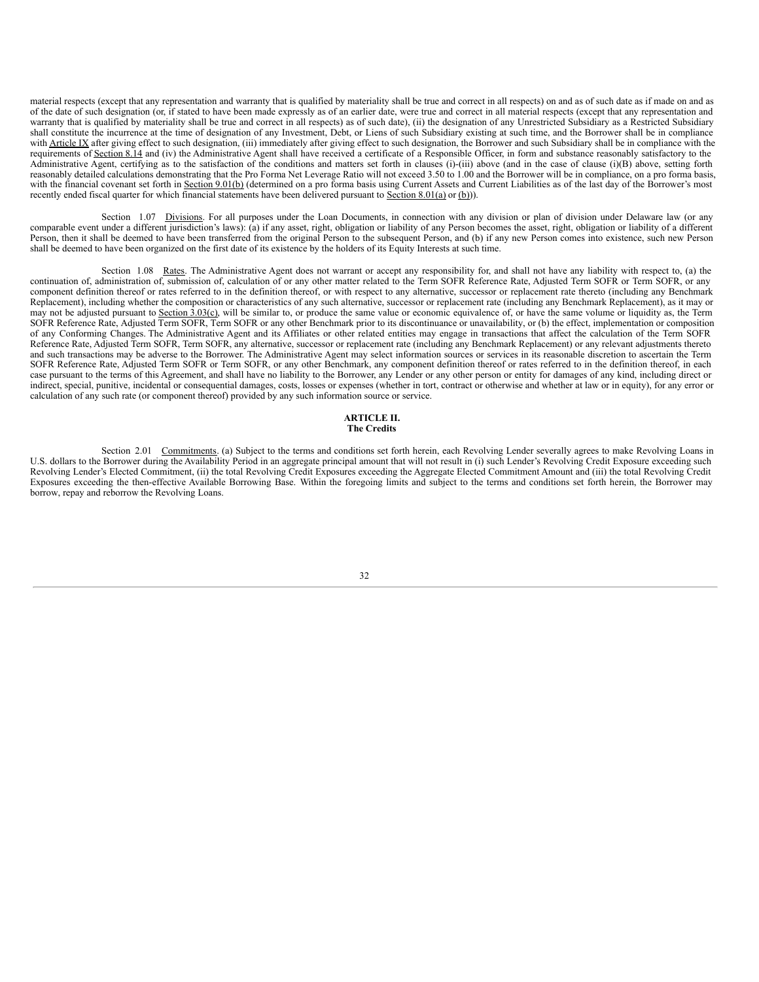material respects (except that any representation and warranty that is qualified by materiality shall be true and correct in all respects) on and as of such date as if made on and as of the date of such designation (or, if stated to have been made expressly as of an earlier date, were true and correct in all material respects (except that any representation and warranty that is qualified by materiality shall be true and correct in all respects) as of such date), (ii) the designation of any Unrestricted Subsidiary as a Restricted Subsidiary shall constitute the incurrence at the time of designation of any Investment, Debt, or Liens of such Subsidiary existing at such time, and the Borrower shall be in compliance with Article IX after giving effect to such designation, (iii) immediately after giving effect to such designation, the Borrower and such Subsidiary shall be in compliance with the requirements of Section 8.14 and (iv) the Administrative Agent shall have received a certificate of a Responsible Officer, in form and substance reasonably satisfactory to the Administrative Agent, certifying as to the satisfaction of the conditions and matters set forth in clauses (i)-(iii) above (and in the case of clause (i)(B) above, setting forth reasonably detailed calculations demonstrating that the Pro Forma Net Leverage Ratio will not exceed 3.50 to 1.00 and the Borrower will be in compliance, on a pro forma basis, with the financial covenant set forth in Section 9.01(b) (determined on a pro forma basis using Current Assets and Current Liabilities as of the last day of the Borrower's most recently ended fiscal quarter for which financial statements have been delivered pursuant to Section 8.01(a) or (b)).

Section 1.07 Divisions. For all purposes under the Loan Documents, in connection with any division or plan of division under Delaware law (or any comparable event under a different jurisdiction's laws): (a) if any asset, right, obligation or liability of any Person becomes the asset, right, obligation or liability of a different Person, then it shall be deemed to have been transferred from the original Person to the subsequent Person, and (b) if any new Person comes into existence, such new Person shall be deemed to have been organized on the first date of its existence by the holders of its Equity Interests at such time.

Section 1.08 Rates. The Administrative Agent does not warrant or accept any responsibility for, and shall not have any liability with respect to, (a) the continuation of, administration of, submission of, calculation of or any other matter related to the Term SOFR Reference Rate, Adjusted Term SOFR or Term SOFR, or any component definition thereof or rates referred to in the definition thereof, or with respect to any alternative, successor or replacement rate thereto (including any Benchmark Replacement), including whether the composition or characteristics of any such alternative, successor or replacement rate (including any Benchmark Replacement), as it may or may not be adjusted pursuant to Section 3.03(c), will be similar to, or produce the same value or economic equivalence of, or have the same volume or liquidity as, the Term SOFR Reference Rate, Adjusted Term SOFR, Term SOFR or any other Benchmark prior to its discontinuance or unavailability, or (b) the effect, implementation or composition of any Conforming Changes. The Administrative Agent and its Affiliates or other related entities may engage in transactions that affect the calculation of the Term SOFR Reference Rate, Adjusted Term SOFR, Term SOFR, any alternative, successor or replacement rate (including any Benchmark Replacement) or any relevant adjustments thereto and such transactions may be adverse to the Borrower. The Administrative Agent may select information sources or services in its reasonable discretion to ascertain the Term SOFR Reference Rate, Adjusted Term SOFR or Term SOFR, or any other Benchmark, any component definition thereof or rates referred to in the definition thereof, in each case pursuant to the terms of this Agreement, and shall have no liability to the Borrower, any Lender or any other person or entity for damages of any kind, including direct or indirect, special, punitive, incidental or consequential damages, costs, losses or expenses (whether in tort, contract or otherwise and whether at law or in equity), for any error or calculation of any such rate (or component thereof) provided by any such information source or service.

#### **ARTICLE II. The Credits**

Section 2.01 Commitments. (a) Subject to the terms and conditions set forth herein, each Revolving Lender severally agrees to make Revolving Loans in U.S. dollars to the Borrower during the Availability Period in an aggregate principal amount that will not result in (i) such Lender's Revolving Credit Exposure exceeding such Revolving Lender's Elected Commitment, (ii) the total Revolving Credit Exposures exceeding the Aggregate Elected Commitment Amount and (iii) the total Revolving Credit Exposures exceeding the then-effective Available Borrowing Base. Within the foregoing limits and subject to the terms and conditions set forth herein, the Borrower may borrow, repay and reborrow the Revolving Loans.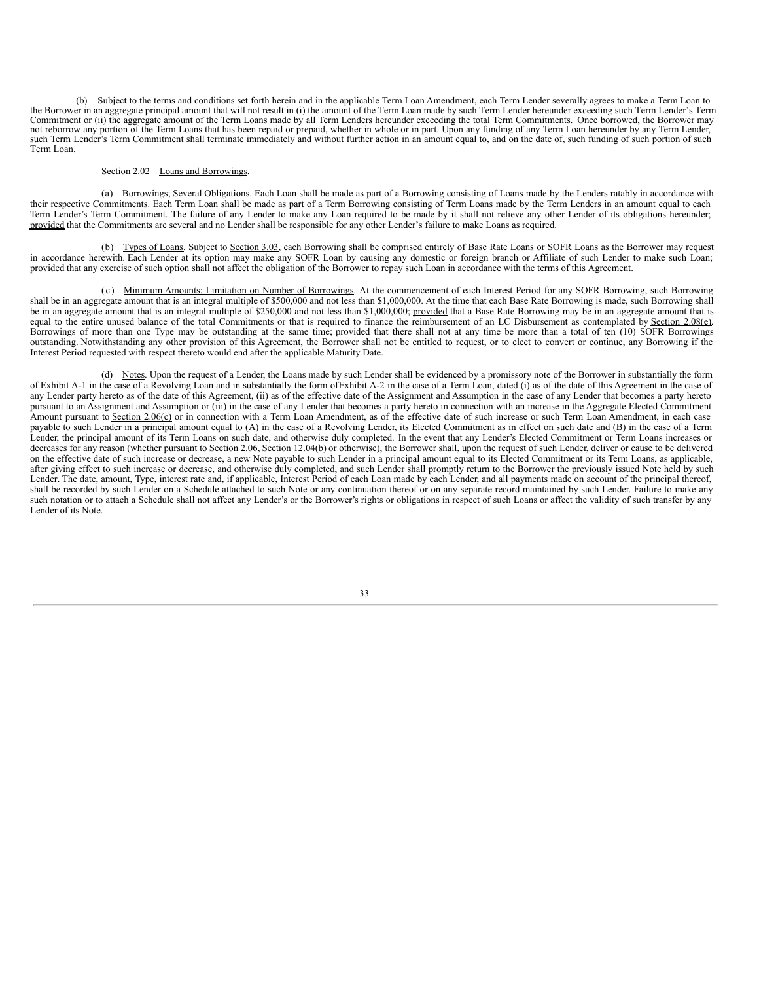(b) Subject to the terms and conditions set forth herein and in the applicable Term Loan Amendment, each Term Lender severally agrees to make a Term Loan to the Borrower in an aggregate principal amount that will not result in (i) the amount of the Term Loan made by such Term Lender hereunder exceeding such Term Lender's Term Commitment or (ii) the aggregate amount of the Term Loans made by all Term Lenders hereunder exceeding the total Term Commitments. Once borrowed, the Borrower may not reborrow any portion of the Term Loans that has been repaid or prepaid, whether in whole or in part. Upon any funding of any Term Loan hereunder by any Term Lender, such Term Lender's Term Commitment shall terminate immediately and without further action in an amount equal to, and on the date of, such funding of such portion of such Term Loan.

# Section 2.02 Loans and Borrowings.

(a) Borrowings; Several Obligations. Each Loan shall be made as part of a Borrowing consisting of Loans made by the Lenders ratably in accordance with their respective Commitments. Each Term Loan shall be made as part of a Term Borrowing consisting of Term Loans made by the Term Lenders in an amount equal to each Term Lender's Term Commitment. The failure of any Lender to make any Loan required to be made by it shall not relieve any other Lender of its obligations hereunder; provided that the Commitments are several and no Lender shall be responsible for any other Lender's failure to make Loans as required.

(b) Types of Loans. Subject to Section 3.03, each Borrowing shall be comprised entirely of Base Rate Loans or SOFR Loans as the Borrower may request in accordance herewith. Each Lender at its option may make any SOFR Loan by causing any domestic or foreign branch or Affiliate of such Lender to make such Loan; provided that any exercise of such option shall not affect the obligation of the Borrower to repay such Loan in accordance with the terms of this Agreement.

( c ) Minimum Amounts; Limitation on Number of Borrowings. At the commencement of each Interest Period for any SOFR Borrowing, such Borrowing shall be in an aggregate amount that is an integral multiple of \$500,000 and not less than \$1,000,000. At the time that each Base Rate Borrowing is made, such Borrowing shall be in an aggregate amount that is an integral multiple of \$250,000 and not less than \$1,000,000; provided that a Base Rate Borrowing may be in an aggregate amount that is equal to the entire unused balance of the total Commitments or that is required to finance the reimbursement of an LC Disbursement as contemplated by Section 2.08(e). Borrowings of more than one Type may be outstanding at the same time; provided that there shall not at any time be more than a total of ten (10) SOFR Borrowings outstanding. Notwithstanding any other provision of this Agreement, the Borrower shall not be entitled to request, or to elect to convert or continue, any Borrowing if the Interest Period requested with respect thereto would end after the applicable Maturity Date.

(d) Notes. Upon the request of a Lender, the Loans made by such Lender shall be evidenced by a promissory note of the Borrower in substantially the form of Exhibit A-1 in the case of a Revolving Loan and in substantially the form of Exhibit A-2 in the case of a Term Loan, dated (i) as of the date of this Agreement in the case of any Lender party hereto as of the date of this Agreement, (ii) as of the effective date of the Assignment and Assumption in the case of any Lender that becomes a party hereto pursuant to an Assignment and Assumption or (iii) in the case of any Lender that becomes a party hereto in connection with an increase in the Aggregate Elected Commitment Amount pursuant to Section 2.06(c) or in connection with a Term Loan Amendment, as of the effective date of such increase or such Term Loan Amendment, in each case payable to such Lender in a principal amount equal to (A) in the case of a Revolving Lender, its Elected Commitment as in effect on such date and (B) in the case of a Term Lender, the principal amount of its Term Loans on such date, and otherwise duly completed. In the event that any Lender's Elected Commitment or Term Loans increases or decreases for any reason (whether pursuant to Section 2.06, Section 12.04(b) or otherwise), the Borrower shall, upon the request of such Lender, deliver or cause to be delivered on the effective date of such increase or decrease, a new Note payable to such Lender in a principal amount equal to its Elected Commitment or its Term Loans, as applicable, after giving effect to such increase or decrease, and otherwise duly completed, and such Lender shall promptly return to the Borrower the previously issued Note held by such Lender. The date, amount, Type, interest rate and, if applicable, Interest Period of each Loan made by each Lender, and all payments made on account of the principal thereof, shall be recorded by such Lender on a Schedule attached to such Note or any continuation thereof or on any separate record maintained by such Lender. Failure to make any such notation or to attach a Schedule shall not affect any Lender's or the Borrower's rights or obligations in respect of such Loans or affect the validity of such transfer by any Lender of its Note.

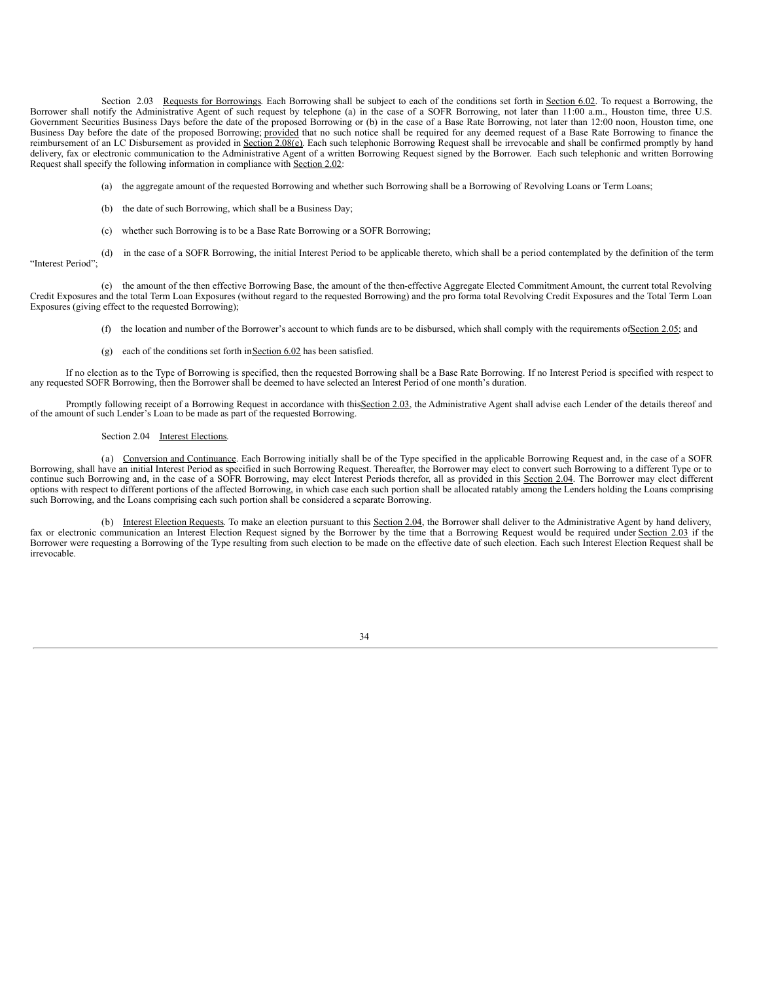Section 2.03 Requests for Borrowings. Each Borrowing shall be subject to each of the conditions set forth in Section 6.02. To request a Borrowing, the Borrower shall notify the Administrative Agent of such request by telephone (a) in the case of a SOFR Borrowing, not later than 11:00 a.m., Houston time, three U.S. Government Securities Business Days before the date of the proposed Borrowing or (b) in the case of a Base Rate Borrowing, not later than 12:00 noon, Houston time, one Business Day before the date of the proposed Borrowing; provided that no such notice shall be required for any deemed request of a Base Rate Borrowing to finance the reimbursement of an LC Disbursement as provided in Section 2.08(e). Each such telephonic Borrowing Request shall be irrevocable and shall be confirmed promptly by hand delivery, fax or electronic communication to the Administrative Agent of a written Borrowing Request signed by the Borrower. Each such telephonic and written Borrowing Request shall specify the following information in compliance with Section 2.02:

- (a) the aggregate amount of the requested Borrowing and whether such Borrowing shall be a Borrowing of Revolving Loans or Term Loans;
- (b) the date of such Borrowing, which shall be a Business Day;
- (c) whether such Borrowing is to be a Base Rate Borrowing or a SOFR Borrowing;

(d) in the case of a SOFR Borrowing, the initial Interest Period to be applicable thereto, which shall be a period contemplated by the definition of the term "Interest Period";

(e) the amount of the then effective Borrowing Base, the amount of the then-effective Aggregate Elected Commitment Amount, the current total Revolving Credit Exposures and the total Term Loan Exposures (without regard to the requested Borrowing) and the pro forma total Revolving Credit Exposures and the Total Term Loan Exposures (giving effect to the requested Borrowing);

- (f) the location and number of the Borrower's account to which funds are to be disbursed, which shall comply with the requirements ofSection 2.05; and
- (g) each of the conditions set forth inSection 6.02 has been satisfied.

If no election as to the Type of Borrowing is specified, then the requested Borrowing shall be a Base Rate Borrowing. If no Interest Period is specified with respect to any requested SOFR Borrowing, then the Borrower shall be deemed to have selected an Interest Period of one month's duration.

Promptly following receipt of a Borrowing Request in accordance with thisSection 2.03, the Administrative Agent shall advise each Lender of the details thereof and of the amount of such Lender's Loan to be made as part of the requested Borrowing.

# Section 2.04 Interest Elections.

(a) Conversion and Continuance. Each Borrowing initially shall be of the Type specified in the applicable Borrowing Request and, in the case of a SOFR Borrowing, shall have an initial Interest Period as specified in such Borrowing Request. Thereafter, the Borrower may elect to convert such Borrowing to a different Type or to continue such Borrowing and, in the case of a SOFR Borrowing, may elect Interest Periods therefor, all as provided in this Section 2.04. The Borrower may elect different options with respect to different portions of the affected Borrowing, in which case each such portion shall be allocated ratably among the Lenders holding the Loans comprising such Borrowing, and the Loans comprising each such portion shall be considered a separate Borrowing.

(b) Interest Election Requests. To make an election pursuant to this Section 2.04, the Borrower shall deliver to the Administrative Agent by hand delivery, fax or electronic communication an Interest Election Request signed by the Borrower by the time that a Borrowing Request would be required under Section 2.03 if the Borrower were requesting a Borrowing of the Type resulting from such election to be made on the effective date of such election. Each such Interest Election Request shall be irrevocable.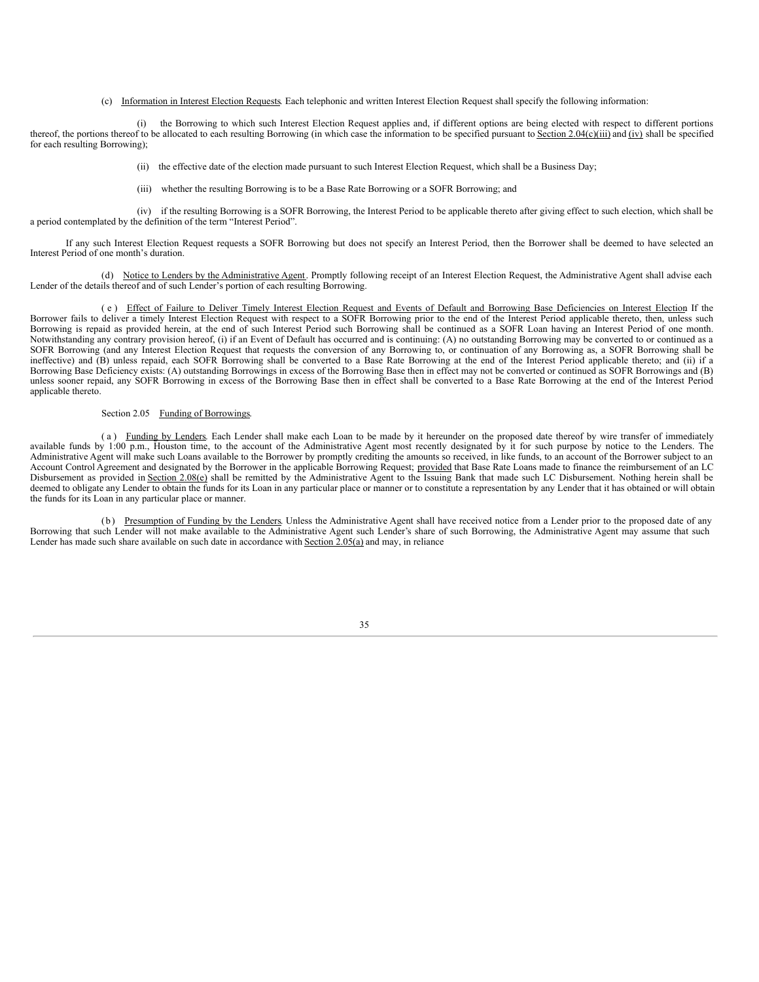(c) Information in Interest Election Requests. Each telephonic and written Interest Election Request shall specify the following information:

(i) the Borrowing to which such Interest Election Request applies and, if different options are being elected with respect to different portions thereof, the portions thereof to be allocated to each resulting Borrowing (in which case the information to be specified pursuant to Section 2.04(c)(iii) and (iv) shall be specified for each resulting Borrowing);

(ii) the effective date of the election made pursuant to such Interest Election Request, which shall be a Business Day;

(iii) whether the resulting Borrowing is to be a Base Rate Borrowing or a SOFR Borrowing; and

(iv) if the resulting Borrowing is a SOFR Borrowing, the Interest Period to be applicable thereto after giving effect to such election, which shall be a period contemplated by the definition of the term "Interest Period".

If any such Interest Election Request requests a SOFR Borrowing but does not specify an Interest Period, then the Borrower shall be deemed to have selected an Interest Period of one month's duration.

(d) Notice to Lenders by the Administrative Agent. Promptly following receipt of an Interest Election Request, the Administrative Agent shall advise each Lender of the details thereof and of such Lender's portion of each resulting Borrowing.

( e ) Effect of Failure to Deliver Timely Interest Election Request and Events of Default and Borrowing Base Deficiencies on Interest Election. If the Borrower fails to deliver a timely Interest Election Request with respect to a SOFR Borrowing prior to the end of the Interest Period applicable thereto, then, unless such Borrowing is repaid as provided herein, at the end of such Interest Period such Borrowing shall be continued as a SOFR Loan having an Interest Period of one month. Notwithstanding any contrary provision hereof, (i) if an Event of Default has occurred and is continuing: (A) no outstanding Borrowing may be converted to or continued as a SOFR Borrowing (and any Interest Election Request that requests the conversion of any Borrowing to, or continuation of any Borrowing as, a SOFR Borrowing shall be ineffective) and (B) unless repaid, each SOFR Borrowing shall be converted to a Base Rate Borrowing at the end of the Interest Period applicable thereto; and (ii) if a Borrowing Base Deficiency exists: (A) outstanding Borrowings in excess of the Borrowing Base then in effect may not be converted or continued as SOFR Borrowings and (B) unless sooner repaid, any SOFR Borrowing in excess of the Borrowing Base then in effect shall be converted to a Base Rate Borrowing at the end of the Interest Period applicable thereto.

# Section 2.05 Funding of Borrowings.

(a) Funding by Lenders. Each Lender shall make each Loan to be made by it hereunder on the proposed date thereof by wire transfer of immediately available funds by 1:00 p.m., Houston time, to the account of the Administrative Agent most recently designated by it for such purpose by notice to the Lenders. The Administrative Agent will make such Loans available to the Borrower by promptly crediting the amounts so received, in like funds, to an account of the Borrower subject to an Account Control Agreement and designated by the Borrower in the applicable Borrowing Request; provided that Base Rate Loans made to finance the reimbursement of an LC Disbursement as provided in Section 2.08(e) shall be remitted by the Administrative Agent to the Issuing Bank that made such LC Disbursement. Nothing herein shall be deemed to obligate any Lender to obtain the funds for its Loan in any particular place or manner or to constitute a representation by any Lender that it has obtained or will obtain the funds for its Loan in any particular place or manner.

(b) Presumption of Funding by the Lenders. Unless the Administrative Agent shall have received notice from a Lender prior to the proposed date of any Borrowing that such Lender will not make available to the Administrative Agent such Lender's share of such Borrowing, the Administrative Agent may assume that such Lender has made such share available on such date in accordance with **Section 2.05(a)** and may, in reliance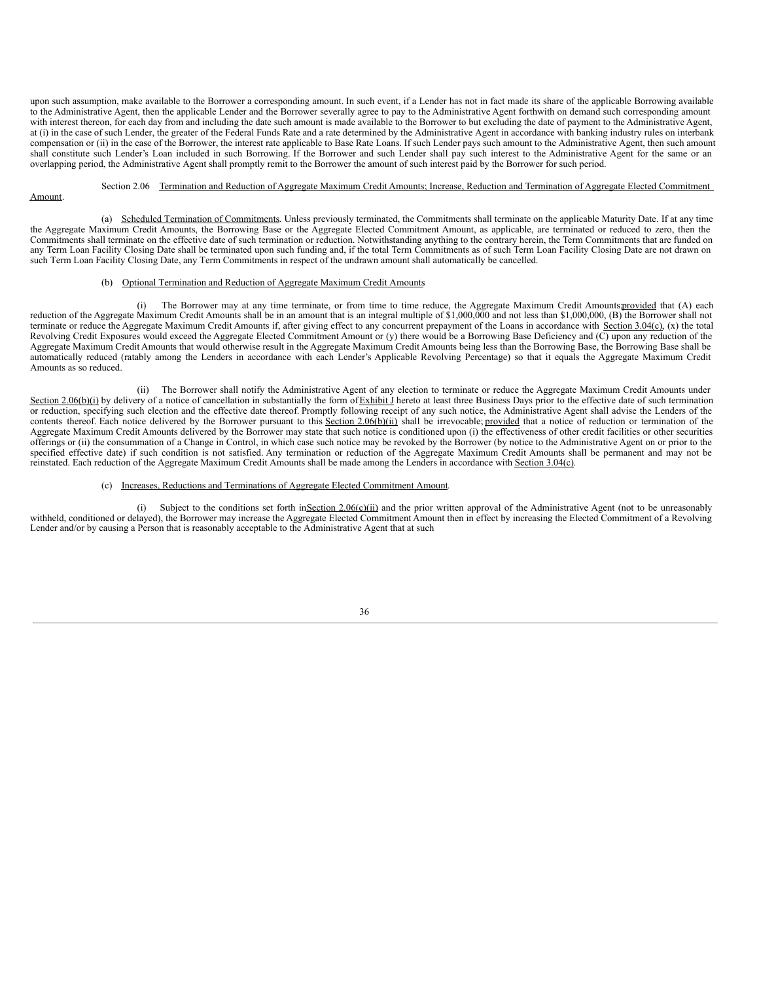upon such assumption, make available to the Borrower a corresponding amount. In such event, if a Lender has not in fact made its share of the applicable Borrowing available to the Administrative Agent, then the applicable Lender and the Borrower severally agree to pay to the Administrative Agent forthwith on demand such corresponding amount with interest thereon, for each day from and including the date such amount is made available to the Borrower to but excluding the date of payment to the Administrative Agent, at (i) in the case of such Lender, the greater of the Federal Funds Rate and a rate determined by the Administrative Agent in accordance with banking industry rules on interbank compensation or (ii) in the case of the Borrower, the interest rate applicable to Base Rate Loans. If such Lender pays such amount to the Administrative Agent, then such amount shall constitute such Lender's Loan included in such Borrowing. If the Borrower and such Lender shall pay such interest to the Administrative Agent for the same or an overlapping period, the Administrative Agent shall promptly remit to the Borrower the amount of such interest paid by the Borrower for such period.

# Section 2.06 Termination and Reduction of Aggregate Maximum Credit Amounts; Increase, Reduction and Termination of Aggregate Elected Commitment

Amount.

(a) Scheduled Termination of Commitments. Unless previously terminated, the Commitments shall terminate on the applicable Maturity Date. If at any time the Aggregate Maximum Credit Amounts, the Borrowing Base or the Aggregate Elected Commitment Amount, as applicable, are terminated or reduced to zero, then the Commitments shall terminate on the effective date of such termination or reduction. Notwithstanding anything to the contrary herein, the Term Commitments that are funded on any Term Loan Facility Closing Date shall be terminated upon such funding and, if the total Term Commitments as of such Term Loan Facility Closing Date are not drawn on such Term Loan Facility Closing Date, any Term Commitments in respect of the undrawn amount shall automatically be cancelled.

### (b) Optional Termination and Reduction of Aggregate Maximum Credit Amounts.

(i) The Borrower may at any time terminate, or from time to time reduce, the Aggregate Maximum Credit Amounts;provided that (A) each reduction of the Aggregate Maximum Credit Amounts shall be in an amount that is an integral multiple of \$1,000,000 and not less than \$1,000,000, (B) the Borrower shall not terminate or reduce the Aggregate Maximum Credit Amounts if, after giving effect to any concurrent prepayment of the Loans in accordance with Section 3.04(c), (x) the total Revolving Credit Exposures would exceed the Aggregate Elected Commitment Amount or (y) there would be a Borrowing Base Deficiency and (C) upon any reduction of the Aggregate Maximum Credit Amounts that would otherwise result in the Aggregate Maximum Credit Amounts being less than the Borrowing Base, the Borrowing Base shall be automatically reduced (ratably among the Lenders in accordance with each Lender's Applicable Revolving Percentage) so that it equals the Aggregate Maximum Credit Amounts as so reduced.

(ii) The Borrower shall notify the Administrative Agent of any election to terminate or reduce the Aggregate Maximum Credit Amounts under Section 2.06(b)(i) by delivery of a notice of cancellation in substantially the form of Exhibit I hereto at least three Business Days prior to the effective date of such termination or reduction, specifying such election and the effective date thereof. Promptly following receipt of any such notice, the Administrative Agent shall advise the Lenders of the contents thereof. Each notice delivered by the Borrower pursuant to this Section 2.06(b)(ii) shall be irrevocable; provided that a notice of reduction or termination of the Aggregate Maximum Credit Amounts delivered by the Borrower may state that such notice is conditioned upon (i) the effectiveness of other credit facilities or other securities offerings or (ii) the consummation of a Change in Control, in which case such notice may be revoked by the Borrower (by notice to the Administrative Agent on or prior to the specified effective date) if such condition is not satisfied. Any termination or reduction of the Aggregate Maximum Credit Amounts shall be permanent and may not be reinstated. Each reduction of the Aggregate Maximum Credit Amounts shall be made among the Lenders in accordance with Section 3.04(c).

# (c) Increases, Reductions and Terminations of Aggregate Elected Commitment Amount.

(i) Subject to the conditions set forth in Section 2.06(c)(ii) and the prior written approval of the Administrative Agent (not to be unreasonably withheld, conditioned or delayed), the Borrower may increase the Aggregate Elected Commitment Amount then in effect by increasing the Elected Commitment of a Revolving Lender and/or by causing a Person that is reasonably acceptable to the Administrative Agent that at such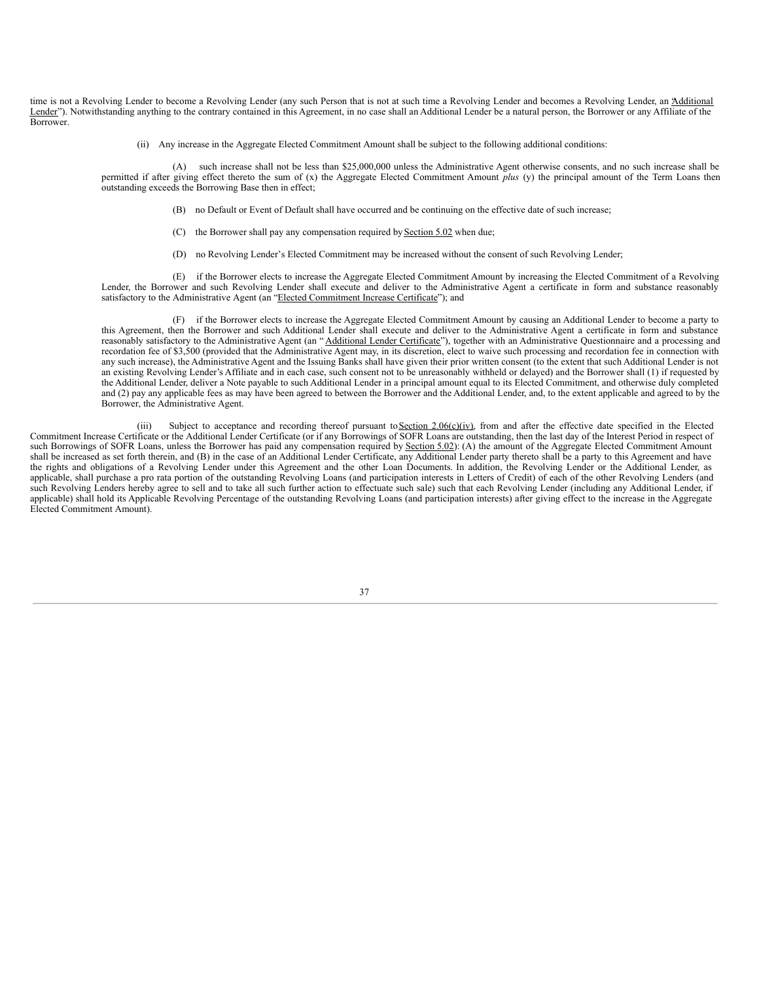time is not a Revolving Lender to become a Revolving Lender (any such Person that is not at such time a Revolving Lender and becomes a Revolving Lender, an Additional Lender"). Notwithstanding anything to the contrary contained in this Agreement, in no case shall an Additional Lender be a natural person, the Borrower or any Affiliate of the Borrower.

(ii) Any increase in the Aggregate Elected Commitment Amount shall be subject to the following additional conditions:

(A) such increase shall not be less than \$25,000,000 unless the Administrative Agent otherwise consents, and no such increase shall be permitted if after giving effect thereto the sum of (x) the Aggregate Elected Commitment Amount *plus* (y) the principal amount of the Term Loans then outstanding exceeds the Borrowing Base then in effect;

- (B) no Default or Event of Default shall have occurred and be continuing on the effective date of such increase;
- (C) the Borrower shall pay any compensation required by Section 5.02 when due;
- (D) no Revolving Lender's Elected Commitment may be increased without the consent of such Revolving Lender;

(E) if the Borrower elects to increase the Aggregate Elected Commitment Amount by increasing the Elected Commitment of a Revolving Lender, the Borrower and such Revolving Lender shall execute and deliver to the Administrative Agent a certificate in form and substance reasonably satisfactory to the Administrative Agent (an "Elected Commitment Increase Certificate"); and

(F) if the Borrower elects to increase the Aggregate Elected Commitment Amount by causing an Additional Lender to become a party to this Agreement, then the Borrower and such Additional Lender shall execute and deliver to the Administrative Agent a certificate in form and substance reasonably satisfactory to the Administrative Agent (an "*Additional Lender Certificate*"), together with an Administrative Questionnaire and a processing and recordation fee of \$3,500 (provided that the Administrative Agent may, in its discretion, elect to waive such processing and recordation fee in connection with any such increase), the Administrative Agent and the Issuing Banks shall have given their prior written consent (to the extent that such Additional Lender is not an existing Revolving Lender's Affiliate and in each case, such consent not to be unreasonably withheld or delayed) and the Borrower shall (1) if requested by the Additional Lender, deliver a Note payable to such Additional Lender in a principal amount equal to its Elected Commitment, and otherwise duly completed and (2) pay any applicable fees as may have been agreed to between the Borrower and the Additional Lender, and, to the extent applicable and agreed to by the Borrower, the Administrative Agent.

(iii) Subject to acceptance and recording thereof pursuant to Section  $2.06(c)(iv)$ , from and after the effective date specified in the Elected Commitment Increase Certificate or the Additional Lender Certificate (or if any Borrowings of SOFR Loans are outstanding, then the last day of the Interest Period in respect of such Borrowings of SOFR Loans, unless the Borrower has paid any compensation required by Section 5.02): (A) the amount of the Aggregate Elected Commitment Amount shall be increased as set forth therein, and (B) in the case of an Additional Lender Certificate, any Additional Lender party thereto shall be a party to this Agreement and have the rights and obligations of a Revolving Lender under this Agreement and the other Loan Documents. In addition, the Revolving Lender or the Additional Lender, as applicable, shall purchase a pro rata portion of the outstanding Revolving Loans (and participation interests in Letters of Credit) of each of the other Revolving Lenders (and such Revolving Lenders hereby agree to sell and to take all such further action to effectuate such sale) such that each Revolving Lender (including any Additional Lender, if applicable) shall hold its Applicable Revolving Percentage of the outstanding Revolving Loans (and participation interests) after giving effect to the increase in the Aggregate Elected Commitment Amount).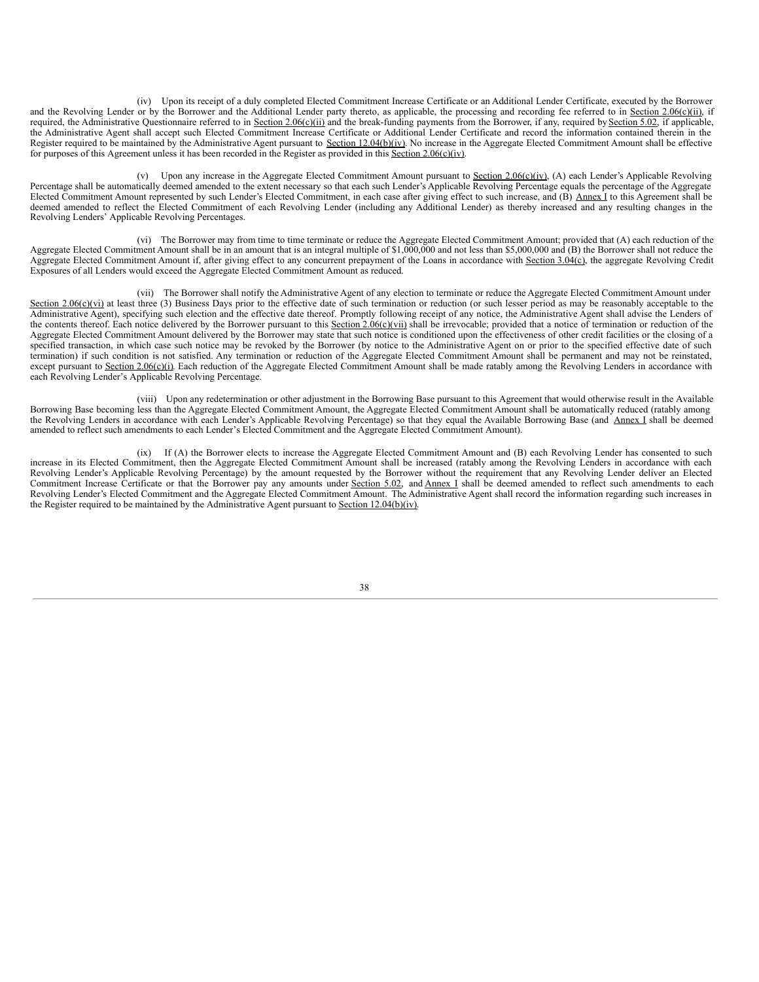(iv) Upon its receipt of a duly completed Elected Commitment Increase Certificate or an Additional Lender Certificate, executed by the Borrower and the Revolving Lender or by the Borrower and the Additional Lender party thereto, as applicable, the processing and recording fee referred to in Section 2.06(c)(ii), if required, the Administrative Questionnaire referred to in Section 2.06(c)(ii) and the break-funding payments from the Borrower, if any, required by Section 5.02, if applicable, the Administrative Agent shall accept such Elected Commitment Increase Certificate or Additional Lender Certificate and record the information contained therein in the Register required to be maintained by the Administrative Agent pursuant to Section 12.04(b)(iv). No increase in the Aggregate Elected Commitment Amount shall be effective for purposes of this Agreement unless it has been recorded in the Register as provided in this Section 2.06(c)(iv).

(v) Upon any increase in the Aggregate Elected Commitment Amount pursuant to Section 2.06(c)(iv), (A) each Lender's Applicable Revolving Percentage shall be automatically deemed amended to the extent necessary so that each such Lender's Applicable Revolving Percentage equals the percentage of the Aggregate Elected Commitment Amount represented by such Lender's Elected Commitment, in each case after giving effect to such increase, and (B) Annex I to this Agreement shall be deemed amended to reflect the Elected Commitment of each Revolving Lender (including any Additional Lender) as thereby increased and any resulting changes in the Revolving Lenders' Applicable Revolving Percentages.

(vi) The Borrower may from time to time terminate or reduce the Aggregate Elected Commitment Amount; provided that (A) each reduction of the Aggregate Elected Commitment Amount shall be in an amount that is an integral multiple of \$1,000,000 and not less than \$5,000,000 and (B) the Borrower shall not reduce the Aggregate Elected Commitment Amount if, after giving effect to any concurrent prepayment of the Loans in accordance with Section 3.04(c), the aggregate Revolving Credit Exposures of all Lenders would exceed the Aggregate Elected Commitment Amount as reduced.

(vii) The Borrower shall notify the Administrative Agent of any election to terminate or reduce the Aggregate Elected Commitment Amount under Section 2.06(c)(vi) at least three (3) Business Days prior to the effective date of such termination or reduction (or such lesser period as may be reasonably acceptable to the Administrative Agent), specifying such election and the effective date thereof. Promptly following receipt of any notice, the Administrative Agent shall advise the Lenders of the contents thereof. Each notice delivered by the Borrower pursuant to this Section 2.06(c)(vii) shall be irrevocable; provided that a notice of termination or reduction of the Aggregate Elected Commitment Amount delivered by the Borrower may state that such notice is conditioned upon the effectiveness of other credit facilities or the closing of a specified transaction, in which case such notice may be revoked by the Borrower (by notice to the Administrative Agent on or prior to the specified effective date of such termination) if such condition is not satisfied. Any termination or reduction of the Aggregate Elected Commitment Amount shall be permanent and may not be reinstated, except pursuant to Section 2.06(c)(i). Each reduction of the Aggregate Elected Commitment Amount shall be made ratably among the Revolving Lenders in accordance with each Revolving Lender's Applicable Revolving Percentage.

(viii) Upon any redetermination or other adjustment in the Borrowing Base pursuant to this Agreement that would otherwise result in the Available Borrowing Base becoming less than the Aggregate Elected Commitment Amount, the Aggregate Elected Commitment Amount shall be automatically reduced (ratably among the Revolving Lenders in accordance with each Lender's Applicable Revolving Percentage) so that they equal the Available Borrowing Base (and Annex I shall be deemed amended to reflect such amendments to each Lender's Elected Commitment and the Aggregate Elected Commitment Amount).

(ix) If (A) the Borrower elects to increase the Aggregate Elected Commitment Amount and (B) each Revolving Lender has consented to such increase in its Elected Commitment, then the Aggregate Elected Commitment Amount shall be increased (ratably among the Revolving Lenders in accordance with each Revolving Lender's Applicable Revolving Percentage) by the amount requested by the Borrower without the requirement that any Revolving Lender deliver an Elected Commitment Increase Certificate or that the Borrower pay any amounts under Section 5.02, and Annex I shall be deemed amended to reflect such amendments to each Revolving Lender's Elected Commitment and the Aggregate Elected Commitment Amount. The Administrative Agent shall record the information regarding such increases in the Register required to be maintained by the Administrative Agent pursuant to Section 12.04(b)(iv).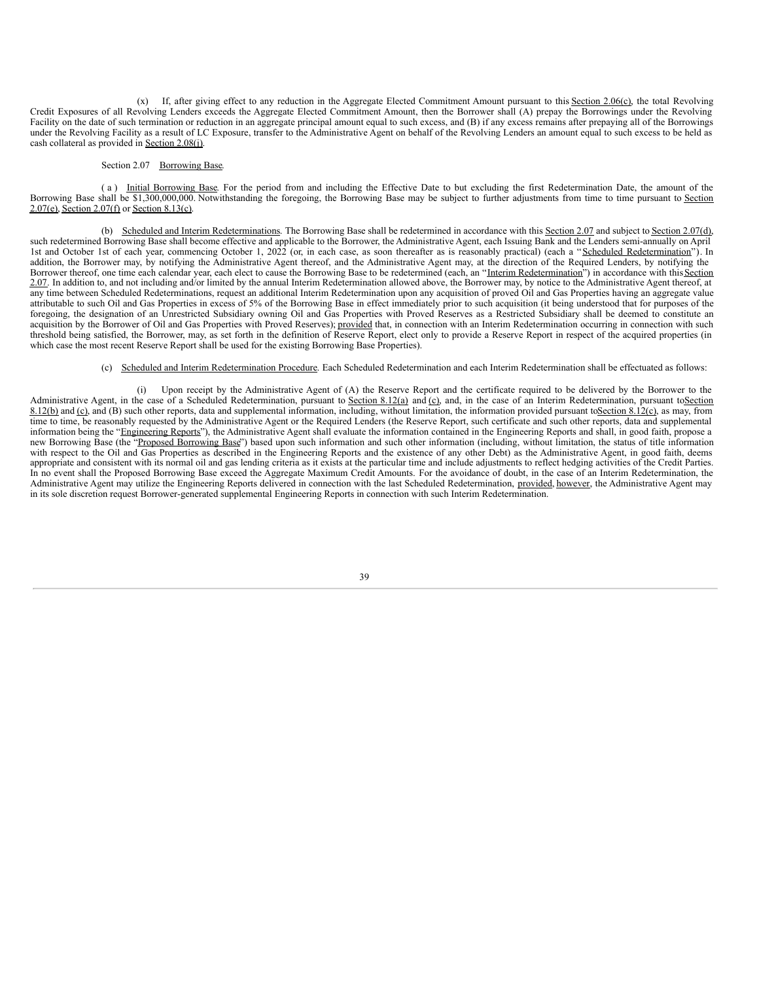(x) If, after giving effect to any reduction in the Aggregate Elected Commitment Amount pursuant to this Section 2.06(c), the total Revolving Credit Exposures of all Revolving Lenders exceeds the Aggregate Elected Commitment Amount, then the Borrower shall (A) prepay the Borrowings under the Revolving Facility on the date of such termination or reduction in an aggregate principal amount equal to such excess, and (B) if any excess remains after prepaying all of the Borrowings under the Revolving Facility as a result of LC Exposure, transfer to the Administrative Agent on behalf of the Revolving Lenders an amount equal to such excess to be held as cash collateral as provided in Section 2.08(j).

# Section 2.07 Borrowing Base.

( a ) Initial Borrowing Base. For the period from and including the Effective Date to but excluding the first Redetermination Date, the amount of the Borrowing Base shall be \$1,300,000,000. Notwithstanding the foregoing, the Borrowing Base may be subject to further adjustments from time to time pursuant to Section 2.07(e), Section 2.07(f) or Section 8.13(c).

(b) Scheduled and Interim Redeterminations. The Borrowing Base shall be redetermined in accordance with this Section 2.07 and subject to Section 2.07(d), such redetermined Borrowing Base shall become effective and applicable to the Borrower, the Administrative Agent, each Issuing Bank and the Lenders semi-annually on April 1st and October 1st of each year, commencing October 1, 2022 (or, in each case, as soon thereafter as is reasonably practical) (each a "Scheduled Redetermination"). In addition, the Borrower may, by notifying the Administrative Agent thereof, and the Administrative Agent may, at the direction of the Required Lenders, by notifying the Borrower thereof, one time each calendar year, each elect to cause the Borrowing Base to be redetermined (each, an "Interim Redetermination") in accordance with this Section 2.07. In addition to, and not including and/or limited by the annual Interim Redetermination allowed above, the Borrower may, by notice to the Administrative Agent thereof, at any time between Scheduled Redeterminations, request an additional Interim Redetermination upon any acquisition of proved Oil and Gas Properties having an aggregate value attributable to such Oil and Gas Properties in excess of 5% of the Borrowing Base in effect immediately prior to such acquisition (it being understood that for purposes of the foregoing, the designation of an Unrestricted Subsidiary owning Oil and Gas Properties with Proved Reserves as a Restricted Subsidiary shall be deemed to constitute an acquisition by the Borrower of Oil and Gas Properties with Proved Reserves); provided that, in connection with an Interim Redetermination occurring in connection with such threshold being satisfied, the Borrower, may, as set forth in the definition of Reserve Report, elect only to provide a Reserve Report in respect of the acquired properties (in which case the most recent Reserve Report shall be used for the existing Borrowing Base Properties).

# (c) Scheduled and Interim Redetermination Procedure. Each Scheduled Redetermination and each Interim Redetermination shall be effectuated as follows:

(i) Upon receipt by the Administrative Agent of (A) the Reserve Report and the certificate required to be delivered by the Borrower to the Administrative Agent, in the case of a Scheduled Redetermination, pursuant to Section 8.12(a) and (c), and, in the case of an Interim Redetermination, pursuant to Section  $8.12(b)$  and (c), and (B) such other reports, data and supplemental information, including, without limitation, the information provided pursuant toSection 8.12(c), as may, from time to time, be reasonably requested by the Administrative Agent or the Required Lenders (the Reserve Report, such certificate and such other reports, data and supplemental information being the "Engineering Reports"), the Administrative Agent shall evaluate the information contained in the Engineering Reports and shall, in good faith, propose a new Borrowing Base (the "Proposed Borrowing Base") based upon such information and such other information (including, without limitation, the status of title information with respect to the Oil and Gas Properties as described in the Engineering Reports and the existence of any other Debt) as the Administrative Agent, in good faith, deems appropriate and consistent with its normal oil and gas lending criteria as it exists at the particular time and include adjustments to reflect hedging activities of the Credit Parties. In no event shall the Proposed Borrowing Base exceed the Aggregate Maximum Credit Amounts. For the avoidance of doubt, in the case of an Interim Redetermination, the Administrative Agent may utilize the Engineering Reports delivered in connection with the last Scheduled Redetermination, provided, however, the Administrative Agent may in its sole discretion request Borrower-generated supplemental Engineering Reports in connection with such Interim Redetermination.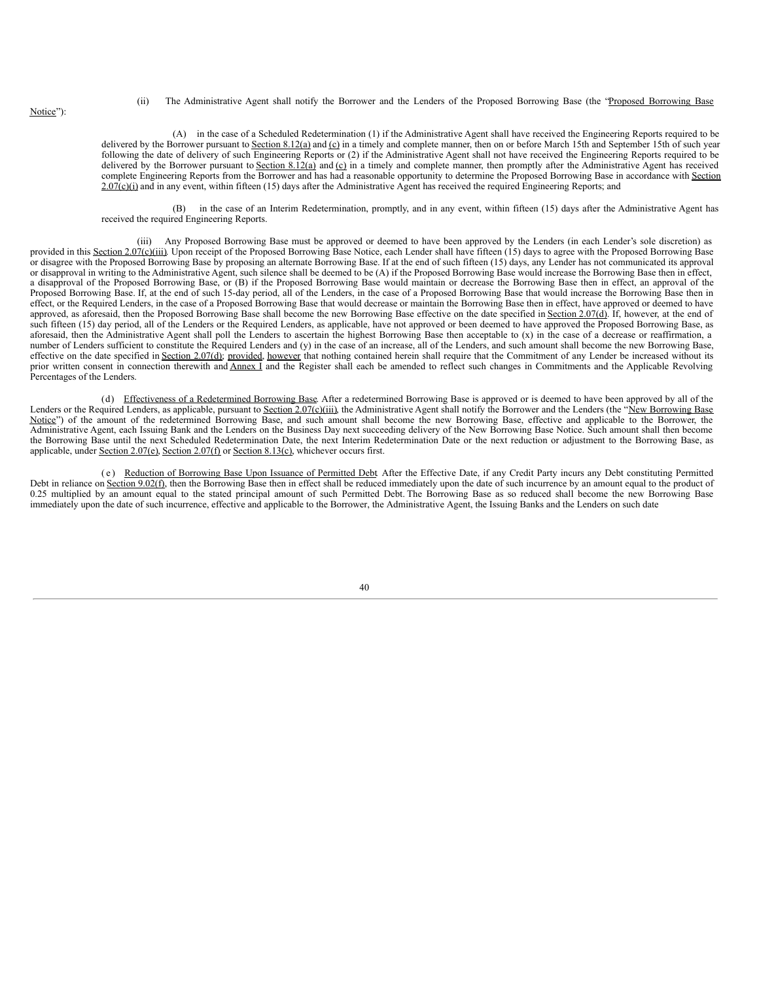Notice"):

(ii) The Administrative Agent shall notify the Borrower and the Lenders of the Proposed Borrowing Base (the "Proposed Borrowing Base

(A) in the case of a Scheduled Redetermination (1) if the Administrative Agent shall have received the Engineering Reports required to be delivered by the Borrower pursuant to Section 8.12(a) and (c) in a timely and complete manner, then on or before March 15th and September 15th of such year following the date of delivery of such Engineering Reports or (2) if the Administrative Agent shall not have received the Engineering Reports required to be delivered by the Borrower pursuant to Section 8.12(a) and (c) in a timely and complete manner, then promptly after the Administrative Agent has received complete Engineering Reports from the Borrower and has had a reasonable opportunity to determine the Proposed Borrowing Base in accordance with Section  $2.07(c)$ (i) and in any event, within fifteen (15) days after the Administrative Agent has received the required Engineering Reports; and

(B) in the case of an Interim Redetermination, promptly, and in any event, within fifteen (15) days after the Administrative Agent has received the required Engineering Reports.

(iii) Any Proposed Borrowing Base must be approved or deemed to have been approved by the Lenders (in each Lender's sole discretion) as provided in this Section 2.07(c)(iii). Upon receipt of the Proposed Borrowing Base Notice, each Lender shall have fifteen (15) days to agree with the Proposed Borrowing Base or disagree with the Proposed Borrowing Base by proposing an alternate Borrowing Base. If at the end of such fifteen (15) days, any Lender has not communicated its approval or disapproval in writing to the Administrative Agent, such silence shall be deemed to be (A) if the Proposed Borrowing Base would increase the Borrowing Base then in effect, a disapproval of the Proposed Borrowing Base, or (B) if the Proposed Borrowing Base would maintain or decrease the Borrowing Base then in effect, an approval of the Proposed Borrowing Base. If, at the end of such 15-day period, all of the Lenders, in the case of a Proposed Borrowing Base that would increase the Borrowing Base then in effect, or the Required Lenders, in the case of a Proposed Borrowing Base that would decrease or maintain the Borrowing Base then in effect, have approved or deemed to have approved, as aforesaid, then the Proposed Borrowing Base shall become the new Borrowing Base effective on the date specified in Section 2.07(d). If, however, at the end of such fifteen (15) day period, all of the Lenders or the Required Lenders, as applicable, have not approved or been deemed to have approved the Proposed Borrowing Base, as aforesaid, then the Administrative Agent shall poll the Lenders to ascertain the highest Borrowing Base then acceptable to (x) in the case of a decrease or reaffirmation, a number of Lenders sufficient to constitute the Required Lenders and (y) in the case of an increase, all of the Lenders, and such amount shall become the new Borrowing Base, effective on the date specified in Section 2.07(d); provided, however that nothing contained herein shall require that the Commitment of any Lender be increased without its prior written consent in connection therewith and Annex I and the Register shall each be amended to reflect such changes in Commitments and the Applicable Revolving Percentages of the Lenders.

(d) Effectiveness of a Redetermined Borrowing Base. After a redetermined Borrowing Base is approved or is deemed to have been approved by all of the Lenders or the Required Lenders, as applicable, pursuant to Section 2.07(c)(iii), the Administrative Agent shall notify the Borrower and the Lenders (the "New Borrowing Base Notice") of the amount of the redetermined Borrowing Base, and such amount shall become the new Borrowing Base, effective and applicable to the Borrower, the Administrative Agent, each Issuing Bank and the Lenders on the Business Day next succeeding delivery of the New Borrowing Base Notice. Such amount shall then become the Borrowing Base until the next Scheduled Redetermination Date, the next Interim Redetermination Date or the next reduction or adjustment to the Borrowing Base, as applicable, under Section 2.07(e), Section 2.07(f) or Section 8.13(c), whichever occurs first.

(e) Reduction of Borrowing Base Upon Issuance of Permitted Debt. After the Effective Date, if any Credit Party incurs any Debt constituting Permitted Debt in reliance on Section 9.02(f), then the Borrowing Base then in effect shall be reduced immediately upon the date of such incurrence by an amount equal to the product of 0.25 multiplied by an amount equal to the stated principal amount of such Permitted Debt. The Borrowing Base as so reduced shall become the new Borrowing Base immediately upon the date of such incurrence, effective and applicable to the Borrower, the Administrative Agent, the Issuing Banks and the Lenders on such date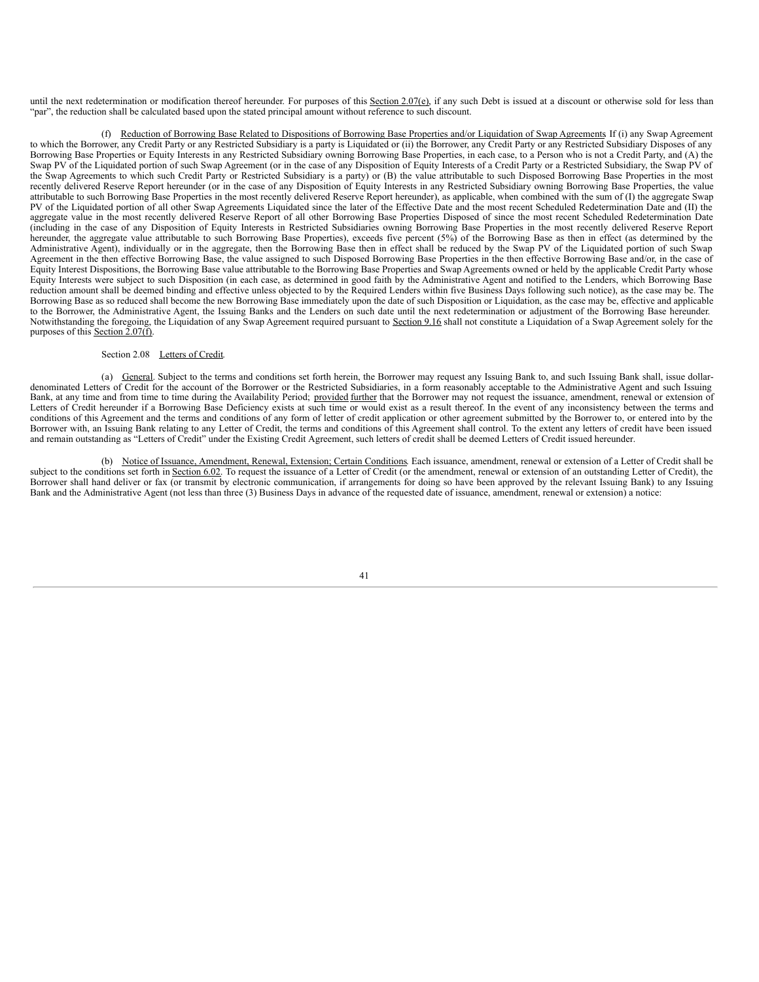until the next redetermination or modification thereof hereunder. For purposes of this Section 2.07(e), if any such Debt is issued at a discount or otherwise sold for less than "par", the reduction shall be calculated based upon the stated principal amount without reference to such discount.

(f) Reduction of Borrowing Base Related to Dispositions of Borrowing Base Properties and/or Liquidation of Swap Agreements If (i) any Swap Agreement to which the Borrower, any Credit Party or any Restricted Subsidiary is a party is Liquidated or (ii) the Borrower, any Credit Party or any Restricted Subsidiary Disposes of any Borrowing Base Properties or Equity Interests in any Restricted Subsidiary owning Borrowing Base Properties, in each case, to a Person who is not a Credit Party, and (A) the Swap PV of the Liquidated portion of such Swap Agreement (or in the case of any Disposition of Equity Interests of a Credit Party or a Restricted Subsidiary, the Swap PV of the Swap Agreements to which such Credit Party or Restricted Subsidiary is a party) or (B) the value attributable to such Disposed Borrowing Base Properties in the most recently delivered Reserve Report hereunder (or in the case of any Disposition of Equity Interests in any Restricted Subsidiary owning Borrowing Base Properties, the value attributable to such Borrowing Base Properties in the most recently delivered Reserve Report hereunder), as applicable, when combined with the sum of (I) the aggregate Swap PV of the Liquidated portion of all other Swap Agreements Liquidated since the later of the Effective Date and the most recent Scheduled Redetermination Date and (II) the aggregate value in the most recently delivered Reserve Report of all other Borrowing Base Properties Disposed of since the most recent Scheduled Redetermination Date (including in the case of any Disposition of Equity Interests in Restricted Subsidiaries owning Borrowing Base Properties in the most recently delivered Reserve Report hereunder, the aggregate value attributable to such Borrowing Base Properties), exceeds five percent (5%) of the Borrowing Base as then in effect (as determined by the Administrative Agent), individually or in the aggregate, then the Borrowing Base then in effect shall be reduced by the Swap PV of the Liquidated portion of such Swap Agreement in the then effective Borrowing Base, the value assigned to such Disposed Borrowing Base Properties in the then effective Borrowing Base and/or, in the case of Equity Interest Dispositions, the Borrowing Base value attributable to the Borrowing Base Properties and Swap Agreements owned or held by the applicable Credit Party whose Equity Interests were subject to such Disposition (in each case, as determined in good faith by the Administrative Agent and notified to the Lenders, which Borrowing Base reduction amount shall be deemed binding and effective unless objected to by the Required Lenders within five Business Days following such notice), as the case may be. The Borrowing Base as so reduced shall become the new Borrowing Base immediately upon the date of such Disposition or Liquidation, as the case may be, effective and applicable to the Borrower, the Administrative Agent, the Issuing Banks and the Lenders on such date until the next redetermination or adjustment of the Borrowing Base hereunder. Notwithstanding the foregoing, the Liquidation of any Swap Agreement required pursuant to Section 9.16 shall not constitute a Liquidation of a Swap Agreement solely for the purposes of this Section 2.07(f).

## Section 2.08 Letters of Credit.

(a) General. Subject to the terms and conditions set forth herein, the Borrower may request any Issuing Bank to, and such Issuing Bank shall, issue dollardenominated Letters of Credit for the account of the Borrower or the Restricted Subsidiaries, in a form reasonably acceptable to the Administrative Agent and such Issuing Bank, at any time and from time to time during the Availability Period; provided further that the Borrower may not request the issuance, amendment, renewal or extension of Letters of Credit hereunder if a Borrowing Base Deficiency exists at such time or would exist as a result thereof. In the event of any inconsistency between the terms and conditions of this Agreement and the terms and conditions of any form of letter of credit application or other agreement submitted by the Borrower to, or entered into by the Borrower with, an Issuing Bank relating to any Letter of Credit, the terms and conditions of this Agreement shall control. To the extent any letters of credit have been issued and remain outstanding as "Letters of Credit" under the Existing Credit Agreement, such letters of credit shall be deemed Letters of Credit issued hereunder.

(b) Notice of Issuance, Amendment, Renewal, Extension; Certain Conditions. Each issuance, amendment, renewal or extension of a Letter of Credit shall be subject to the conditions set forth in Section 6.02. To request the issuance of a Letter of Credit (or the amendment, renewal or extension of an outstanding Letter of Credit), the Borrower shall hand deliver or fax (or transmit by electronic communication, if arrangements for doing so have been approved by the relevant Issuing Bank) to any Issuing Bank and the Administrative Agent (not less than three (3) Business Days in advance of the requested date of issuance, amendment, renewal or extension) a notice:

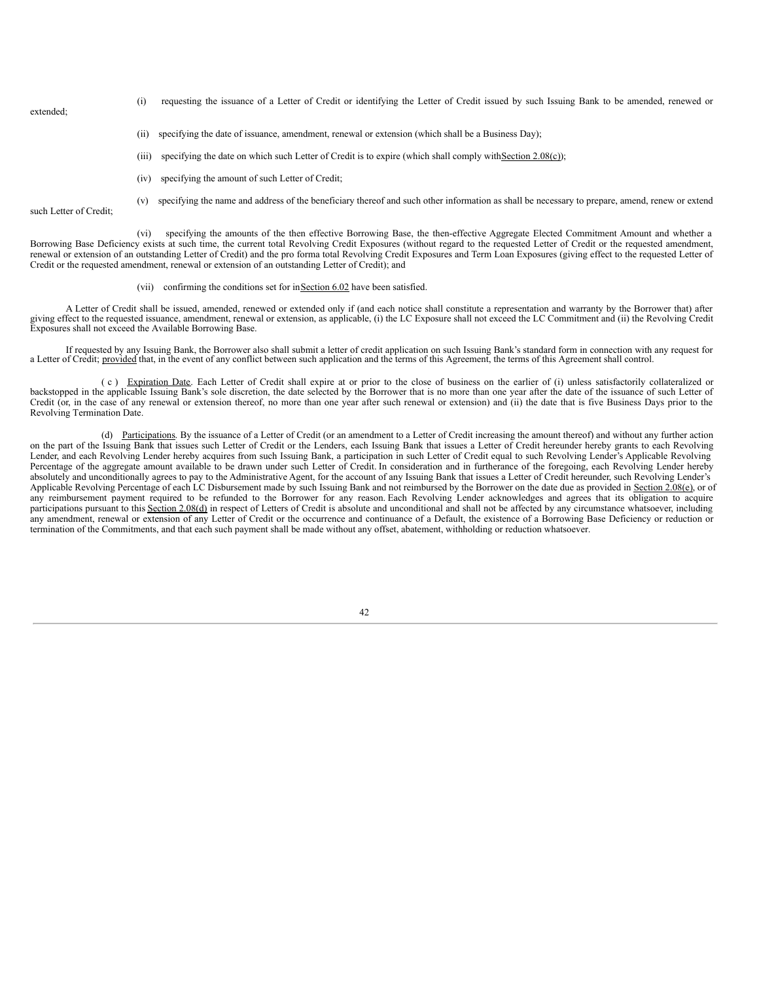extended;

(i) requesting the issuance of a Letter of Credit or identifying the Letter of Credit issued by such Issuing Bank to be amended, renewed or

(v) specifying the name and address of the beneficiary thereof and such other information as shall be necessary to prepare, amend, renew or extend

- (ii) specifying the date of issuance, amendment, renewal or extension (which shall be a Business Day);
- (iii) specifying the date on which such Letter of Credit is to expire (which shall comply with Section 2.08(c));
- (iv) specifying the amount of such Letter of Credit;

Credit or the requested amendment, renewal or extension of an outstanding Letter of Credit); and

such Letter of Credit<sup>;</sup>

(vi) specifying the amounts of the then effective Borrowing Base, the then-effective Aggregate Elected Commitment Amount and whether a Borrowing Base Deficiency exists at such time, the current total Revolving Credit Exposures (without regard to the requested Letter of Credit or the requested amendment,

(vii) confirming the conditions set for in $Section 6.02$  have been satisfied.

A Letter of Credit shall be issued, amended, renewed or extended only if (and each notice shall constitute a representation and warranty by the Borrower that) after giving effect to the requested issuance, amendment, renew

renewal or extension of an outstanding Letter of Credit) and the pro forma total Revolving Credit Exposures and Term Loan Exposures (giving effect to the requested Letter of

If requested by any Issuing Bank, the Borrower also shall submit a letter of credit application on such Issuing Bank's standard form in connection with any request for a Letter of Credit; provided that, in the event of any conflict between such application and the terms of this Agreement, the terms of this Agreement shall control.

( c ) Expiration Date. Each Letter of Credit shall expire at or prior to the close of business on the earlier of (i) unless satisfactorily collateralized or backstopped in the applicable Issuing Bank's sole discretion, the date selected by the Borrower that is no more than one year after the date of the issuance of such Letter of Credit (or, in the case of any renewal or extension thereof, no more than one year after such renewal or extension) and (ii) the date that is five Business Days prior to the Revolving Termination Date.

(d) Participations. By the issuance of a Letter of Credit (or an amendment to a Letter of Credit increasing the amount thereof) and without any further action on the part of the Issuing Bank that issues such Letter of Credit or the Lenders, each Issuing Bank that issues a Letter of Credit hereunder hereby grants to each Revolving Lender, and each Revolving Lender hereby acquires from such Issuing Bank, a participation in such Letter of Credit equal to such Revolving Lender's Applicable Revolving Percentage of the aggregate amount available to be drawn under such Letter of Credit. In consideration and in furtherance of the foregoing, each Revolving Lender hereby absolutely and unconditionally agrees to pay to the Administrative Agent, for the account of any Issuing Bank that issues a Letter of Credit hereunder, such Revolving Lender's Applicable Revolving Percentage of each LC Disbursement made by such Issuing Bank and not reimbursed by the Borrower on the date due as provided in Section 2.08(e), or of any reimbursement payment required to be refunded to the Borrower for any reason. Each Revolving Lender acknowledges and agrees that its obligation to acquire participations pursuant to this Section 2.08(d) in respect of Letters of Credit is absolute and unconditional and shall not be affected by any circumstance whatsoever, including any amendment, renewal or extension of any Letter of Credit or the occurrence and continuance of a Default, the existence of a Borrowing Base Deficiency or reduction or termination of the Commitments, and that each such payment shall be made without any offset, abatement, withholding or reduction whatsoever.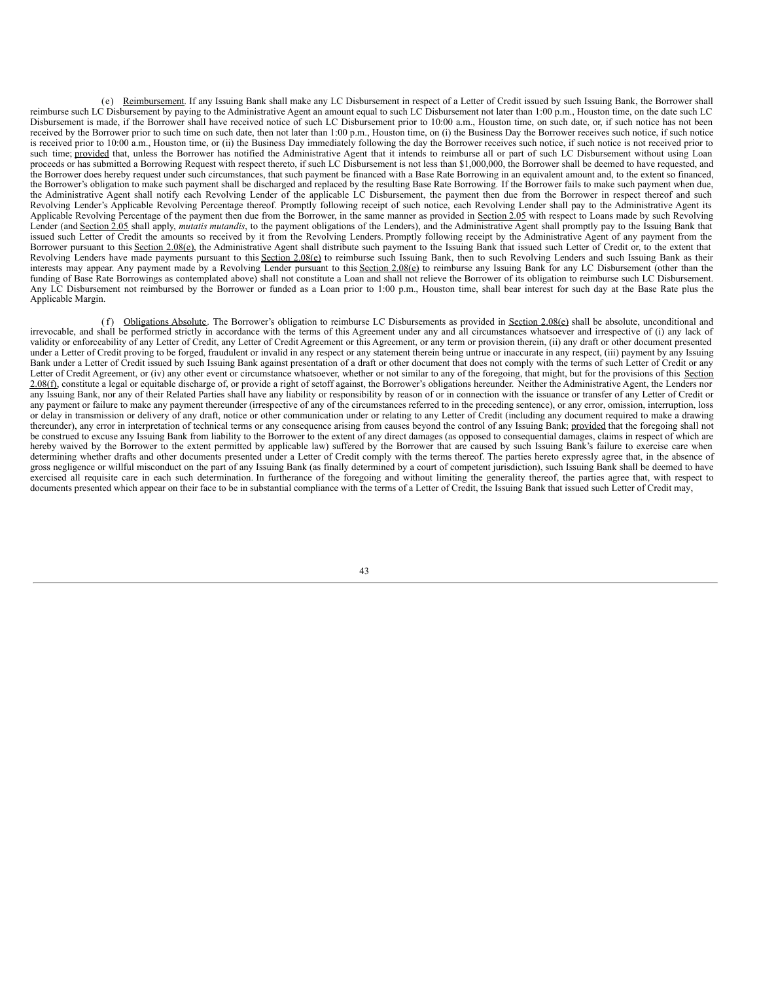(e) Reimbursement. If any Issuing Bank shall make any LC Disbursement in respect of a Letter of Credit issued by such Issuing Bank, the Borrower shall reimburse such LC Disbursement by paying to the Administrative Agent an amount equal to such LC Disbursement not later than 1:00 p.m., Houston time, on the date such LC Disbursement is made, if the Borrower shall have received notice of such LC Disbursement prior to 10:00 a.m., Houston time, on such date, or, if such notice has not been received by the Borrower prior to such time on such date, then not later than 1:00 p.m., Houston time, on (i) the Business Day the Borrower receives such notice, if such notice is received prior to 10:00 a.m., Houston time, or (ii) the Business Day immediately following the day the Borrower receives such notice, if such notice is not received prior to such time; provided that, unless the Borrower has notified the Administrative Agent that it intends to reimburse all or part of such LC Disbursement without using Loan proceeds or has submitted a Borrowing Request with respect thereto, if such LC Disbursement is not less than \$1,000,000, the Borrower shall be deemed to have requested, and the Borrower does hereby request under such circumstances, that such payment be financed with a Base Rate Borrowing in an equivalent amount and, to the extent so financed, the Borrower's obligation to make such payment shall be discharged and replaced by the resulting Base Rate Borrowing. If the Borrower fails to make such payment when due, the Administrative Agent shall notify each Revolving Lender of the applicable LC Disbursement, the payment then due from the Borrower in respect thereof and such Revolving Lender's Applicable Revolving Percentage thereof. Promptly following receipt of such notice, each Revolving Lender shall pay to the Administrative Agent its Applicable Revolving Percentage of the payment then due from the Borrower, in the same manner as provided in Section 2.05 with respect to Loans made by such Revolving Lender (and Section 2.05 shall apply, *mutatis mutandis*, to the payment obligations of the Lenders), and the Administrative Agent shall promptly pay to the Issuing Bank that issued such Letter of Credit the amounts so received by it from the Revolving Lenders. Promptly following receipt by the Administrative Agent of any payment from the Borrower pursuant to this Section 2.08(e), the Administrative Agent shall distribute such payment to the Issuing Bank that issued such Letter of Credit or, to the extent that Revolving Lenders have made payments pursuant to this Section 2.08(e) to reimburse such Issuing Bank, then to such Revolving Lenders and such Issuing Bank as their interests may appear. Any payment made by a Revolving Lender pursuant to this Section 2.08(e) to reimburse any Issuing Bank for any LC Disbursement (other than the funding of Base Rate Borrowings as contemplated above) shall not constitute a Loan and shall not relieve the Borrower of its obligation to reimburse such LC Disbursement. Any LC Disbursement not reimbursed by the Borrower or funded as a Loan prior to 1:00 p.m., Houston time, shall bear interest for such day at the Base Rate plus the Applicable Margin.

(f) Obligations Absolute. The Borrower's obligation to reimburse LC Disbursements as provided in Section 2.08(e) shall be absolute, unconditional and irrevocable, and shall be performed strictly in accordance with the terms of this Agreement under any and all circumstances whatsoever and irrespective of (i) any lack of validity or enforceability of any Letter of Credit, any Letter of Credit Agreement or this Agreement, or any term or provision therein, (ii) any draft or other document presented under a Letter of Credit proving to be forged, fraudulent or invalid in any respect or any statement therein being untrue or inaccurate in any respect, (iii) payment by any Issuing Bank under a Letter of Credit issued by such Issuing Bank against presentation of a draft or other document that does not comply with the terms of such Letter of Credit or any Letter of Credit Agreement, or (iv) any other event or circumstance whatsoever, whether or not similar to any of the foregoing, that might, but for the provisions of this Section 2.08(f), constitute a legal or equitable discharge of, or provide a right of setoff against, the Borrower's obligations hereunder. Neither the Administrative Agent, the Lenders nor any Issuing Bank, nor any of their Related Parties shall have any liability or responsibility by reason of or in connection with the issuance or transfer of any Letter of Credit or any payment or failure to make any payment thereunder (irrespective of any of the circumstances referred to in the preceding sentence), or any error, omission, interruption, loss or delay in transmission or delivery of any draft, notice or other communication under or relating to any Letter of Credit (including any document required to make a drawing thereunder), any error in interpretation of technical terms or any consequence arising from causes beyond the control of any Issuing Bank; provided that the foregoing shall not be construed to excuse any Issuing Bank from liability to the Borrower to the extent of any direct damages (as opposed to consequential damages, claims in respect of which are hereby waived by the Borrower to the extent permitted by applicable law) suffered by the Borrower that are caused by such Issuing Bank's failure to exercise care when determining whether drafts and other documents presented under a Letter of Credit comply with the terms thereof. The parties hereto expressly agree that, in the absence of gross negligence or willful misconduct on the part of any Issuing Bank (as finally determined by a court of competent jurisdiction), such Issuing Bank shall be deemed to have exercised all requisite care in each such determination. In furtherance of the foregoing and without limiting the generality thereof, the parties agree that, with respect to documents presented which appear on their face to be in substantial compliance with the terms of a Letter of Credit, the Issuing Bank that issued such Letter of Credit may,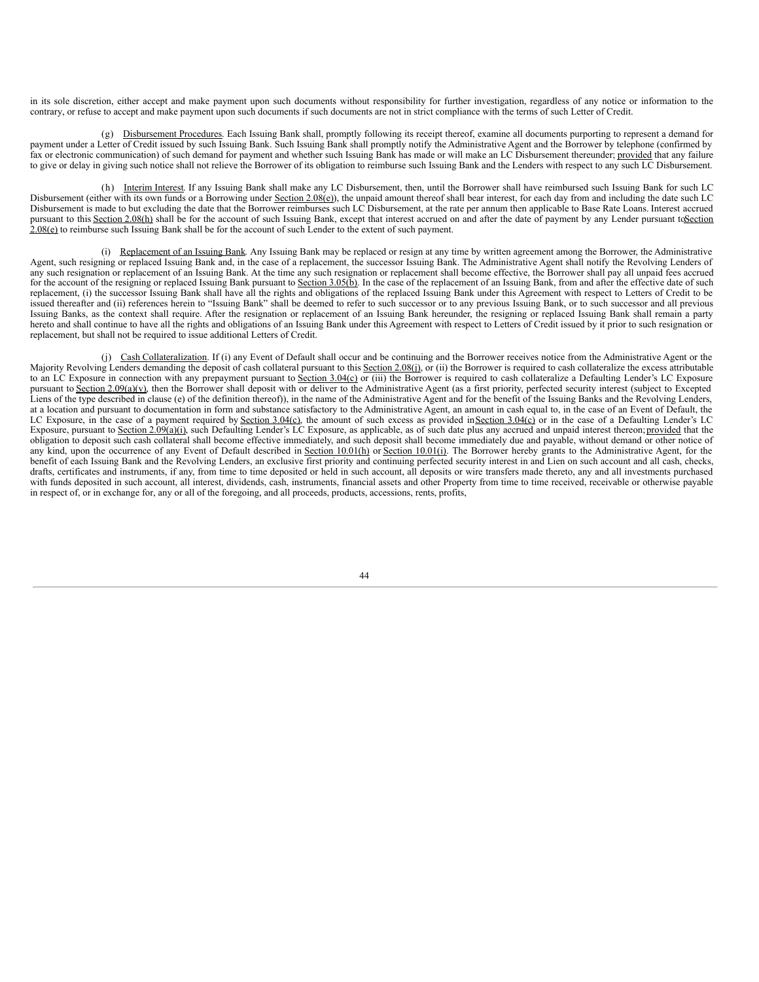in its sole discretion, either accept and make payment upon such documents without responsibility for further investigation, regardless of any notice or information to the contrary, or refuse to accept and make payment upon such documents if such documents are not in strict compliance with the terms of such Letter of Credit.

(g) Disbursement Procedures. Each Issuing Bank shall, promptly following its receipt thereof, examine all documents purporting to represent a demand for payment under a Letter of Credit issued by such Issuing Bank. Such Issuing Bank shall promptly notify the Administrative Agent and the Borrower by telephone (confirmed by fax or electronic communication) of such demand for payment and whether such Issuing Bank has made or will make an LC Disbursement thereunder; provided that any failure to give or delay in giving such notice shall not relieve the Borrower of its obligation to reimburse such Issuing Bank and the Lenders with respect to any such LC Disbursement.

(h) Interim Interest. If any Issuing Bank shall make any LC Disbursement, then, until the Borrower shall have reimbursed such Issuing Bank for such LC Disbursement (either with its own funds or a Borrowing under Section 2.08(e)), the unpaid amount thereof shall bear interest, for each day from and including the date such LC Disbursement is made to but excluding the date that the Borrower reimburses such LC Disbursement, at the rate per annum then applicable to Base Rate Loans. Interest accrued pursuant to this Section 2.08(h) shall be for the account of such Issuing Bank, except that interest accrued on and after the date of payment by any Lender pursuant to Section 2.08(e) to reimburse such Issuing Bank shall be for the account of such Lender to the extent of such payment.

(i) Replacement of an Issuing Bank. Any Issuing Bank may be replaced or resign at any time by written agreement among the Borrower, the Administrative Agent, such resigning or replaced Issuing Bank and, in the case of a replacement, the successor Issuing Bank. The Administrative Agent shall notify the Revolving Lenders of any such resignation or replacement of an Issuing Bank. At the time any such resignation or replacement shall become effective, the Borrower shall pay all unpaid fees accrued for the account of the resigning or replaced Issuing Bank pursuant to Section 3.05(b). In the case of the replacement of an Issuing Bank, from and after the effective date of such replacement, (i) the successor Issuing Bank shall have all the rights and obligations of the replaced Issuing Bank under this Agreement with respect to Letters of Credit to be issued thereafter and (ii) references herein to "Issuing Bank" shall be deemed to refer to such successor or to any previous Issuing Bank, or to such successor and all previous Issuing Banks, as the context shall require. After the resignation or replacement of an Issuing Bank hereunder, the resigning or replaced Issuing Bank shall remain a party hereto and shall continue to have all the rights and obligations of an Issuing Bank under this Agreement with respect to Letters of Credit issued by it prior to such resignation or replacement, but shall not be required to issue additional Letters of Credit.

(j) Cash Collateralization. If (i) any Event of Default shall occur and be continuing and the Borrower receives notice from the Administrative Agent or the Majority Revolving Lenders demanding the deposit of cash collateral pursuant to this Section 2.08(j), or (ii) the Borrower is required to cash collateralize the excess attributable to an LC Exposure in connection with any prepayment pursuant to Section 3.04(c) or (iii) the Borrower is required to cash collateralize a Defaulting Lender's LC Exposure pursuant to Section 2.09(a)(v), then the Borrower shall deposit with or deliver to the Administrative Agent (as a first priority, perfected security interest (subject to Excepted Liens of the type described in clause (e) of the definition thereof)), in the name of the Administrative Agent and for the benefit of the Issuing Banks and the Revolving Lenders, at a location and pursuant to documentation in form and substance satisfactory to the Administrative Agent, an amount in cash equal to, in the case of an Event of Default, the LC Exposure, in the case of a payment required by Section 3.04(c), the amount of such excess as provided in Section 3.04(c) or in the case of a Defaulting Lender's LC Exposure, pursuant to Section 2.09(a)(i), such Defaulting Lender's LC Exposure, as applicable, as of such date plus any accrued and unpaid interest thereon; provided that the obligation to deposit such cash collateral shall become effective immediately, and such deposit shall become immediately due and payable, without demand or other notice of any kind, upon the occurrence of any Event of Default described in Section 10.01(h) or Section 10.01(i). The Borrower hereby grants to the Administrative Agent, for the benefit of each Issuing Bank and the Revolving Lenders, an exclusive first priority and continuing perfected security interest in and Lien on such account and all cash, checks, drafts, certificates and instruments, if any, from time to time deposited or held in such account, all deposits or wire transfers made thereto, any and all investments purchased with funds deposited in such account, all interest, dividends, cash, instruments, financial assets and other Property from time to time received, receivable or otherwise payable in respect of, or in exchange for, any or all of the foregoing, and all proceeds, products, accessions, rents, profits,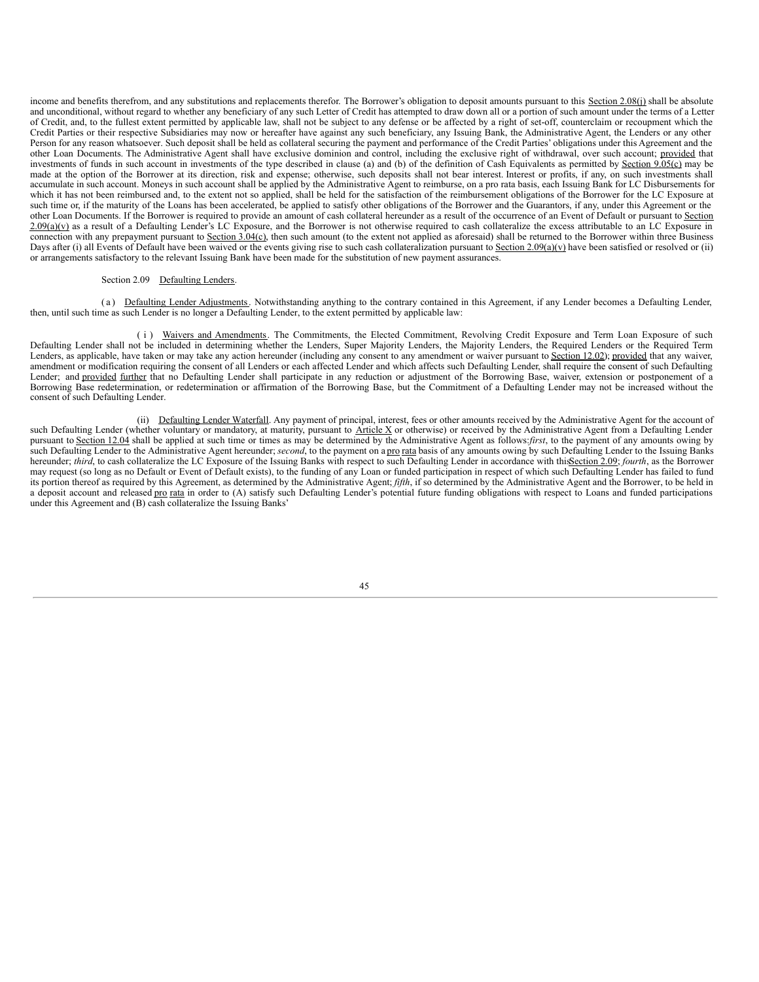income and benefits therefrom, and any substitutions and replacements therefor. The Borrower's obligation to deposit amounts pursuant to this Section 2.08(j) shall be absolute and unconditional, without regard to whether any beneficiary of any such Letter of Credit has attempted to draw down all or a portion of such amount under the terms of a Letter of Credit, and, to the fullest extent permitted by applicable law, shall not be subject to any defense or be affected by a right of set-off, counterclaim or recoupment which the Credit Parties or their respective Subsidiaries may now or hereafter have against any such beneficiary, any Issuing Bank, the Administrative Agent, the Lenders or any other Person for any reason whatsoever. Such deposit shall be held as collateral securing the payment and performance of the Credit Parties' obligations under this Agreement and the other Loan Documents. The Administrative Agent shall have exclusive dominion and control, including the exclusive right of withdrawal, over such account; provided that investments of funds in such account in investments of the type described in clause (a) and (b) of the definition of Cash Equivalents as permitted by Section 9.05(c) may be made at the option of the Borrower at its direction, risk and expense; otherwise, such deposits shall not bear interest. Interest or profits, if any, on such investments shall accumulate in such account. Moneys in such account shall be applied by the Administrative Agent to reimburse, on a pro rata basis, each Issuing Bank for LC Disbursements for which it has not been reimbursed and, to the extent not so applied, shall be held for the satisfaction of the reimbursement obligations of the Borrower for the LC Exposure at such time or, if the maturity of the Loans has been accelerated, be applied to satisfy other obligations of the Borrower and the Guarantors, if any, under this Agreement or the other Loan Documents. If the Borrower is required to provide an amount of cash collateral hereunder as a result of the occurrence of an Event of Default or pursuant to Section  $2.09(a)(v)$  as a result of a Defaulting Lender's LC Exposure, and the Borrower is not otherwise required to cash collateralize the excess attributable to an LC Exposure in connection with any prepayment pursuant to Section 3.04(c), then such amount (to the extent not applied as aforesaid) shall be returned to the Borrower within three Business Days after (i) all Events of Default have been waived or the events giving rise to such cash collateralization pursuant to Section 2.09(a)(v) have been satisfied or resolved or (ii) or arrangements satisfactory to the relevant Issuing Bank have been made for the substitution of new payment assurances.

## Section 2.09 Defaulting Lenders.

(a) Defaulting Lender Adjustments. Notwithstanding anything to the contrary contained in this Agreement, if any Lender becomes a Defaulting Lender, then, until such time as such Lender is no longer a Defaulting Lender, to the extent permitted by applicable law:

(i) Waivers and Amendments. The Commitments, the Elected Commitment, Revolving Credit Exposure and Term Loan Exposure of such Defaulting Lender shall not be included in determining whether the Lenders, Super Majority Lenders, the Majority Lenders, the Required Lenders or the Required Term Lenders, as applicable, have taken or may take any action hereunder (including any consent to any amendment or waiver pursuant to Section 12.02); provided that any waiver, amendment or modification requiring the consent of all Lenders or each affected Lender and which affects such Defaulting Lender, shall require the consent of such Defaulting Lender; and provided further that no Defaulting Lender shall participate in any reduction or adjustment of the Borrowing Base, waiver, extension or postponement of a Borrowing Base redetermination, or redetermination or affirmation of the Borrowing Base, but the Commitment of a Defaulting Lender may not be increased without the consent of such Defaulting Lender.

(ii) Defaulting Lender Waterfall. Any payment of principal, interest, fees or other amounts received by the Administrative Agent for the account of such Defaulting Lender (whether voluntary or mandatory, at maturity, pursuant to Article X or otherwise) or received by the Administrative Agent from a Defaulting Lender pursuant to Section 12.04 shall be applied at such time or times as may be determined by the Administrative Agent as follows:*first*, to the payment of any amounts owing by such Defaulting Lender to the Administrative Agent hereunder; *second*, to the payment on a pro rata basis of any amounts owing by such Defaulting Lender to the Issuing Banks hereunder; *third*, to cash collateralize the LC Exposure of the Issuing Banks with respect to such Defaulting Lender in accordance with thisSection 2.09; *fourth*, as the Borrower may request (so long as no Default or Event of Default exists), to the funding of any Loan or funded participation in respect of which such Defaulting Lender has failed to fund its portion thereof as required by this Agreement, as determined by the Administrative Agent; *fifth*, if so determined by the Administrative Agent and the Borrower, to be held in a deposit account and released pro rata in order to (A) satisfy such Defaulting Lender's potential future funding obligations with respect to Loans and funded participations under this Agreement and (B) cash collateralize the Issuing Banks'

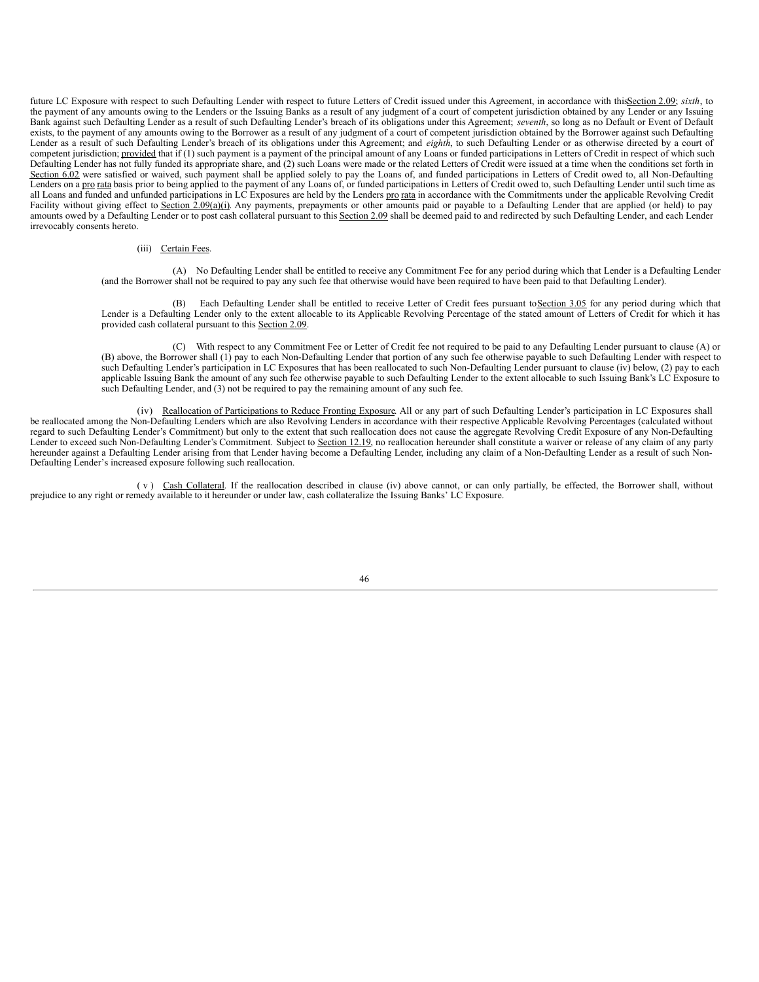future LC Exposure with respect to such Defaulting Lender with respect to future Letters of Credit issued under this Agreement, in accordance with thisSection 2.09; *sixth*, to the payment of any amounts owing to the Lenders or the Issuing Banks as a result of any judgment of a court of competent jurisdiction obtained by any Lender or any Issuing Bank against such Defaulting Lender as a result of such Defaulting Lender's breach of its obligations under this Agreement; *seventh*, so long as no Default or Event of Default or Event of Default exists, to the payment of any amounts owing to the Borrower as a result of any judgment of a court of competent jurisdiction obtained by the Borrower against such Defaulting Lender as a result of such Defaulting Lender's breach of its obligations under this Agreement; and *eighth*, to such Defaulting Lender or as otherwise directed by a court of competent jurisdiction; provided that if (1) such payment is a payment of the principal amount of any Loans or funded participations in Letters of Credit in respect of which such Defaulting Lender has not fully funded its appropriate share, and (2) such Loans were made or the related Letters of Credit were issued at a time when the conditions set forth in Section 6.02 were satisfied or waived, such payment shall be applied solely to pay the Loans of, and funded participations in Letters of Credit owed to, all Non-Defaulting Lenders on a pro rata basis prior to being applied to the payment of any Loans of, or funded participations in Letters of Credit owed to, such Defaulting Lender until such time as all Loans and funded and unfunded participations in LC Exposures are held by the Lenders pro rata in accordance with the Commitments under the applicable Revolving Credit Facility without giving effect to Section 2.09(a)(i). Any payments, prepayments or other amounts paid or payable to a Defaulting Lender that are applied (or held) to pay amounts owed by a Defaulting Lender or to post cash collateral pursuant to this Section 2.09 shall be deemed paid to and redirected by such Defaulting Lender, and each Lender irrevocably consents hereto.

### (iii) Certain Fees.

(A) No Defaulting Lender shall be entitled to receive any Commitment Fee for any period during which that Lender is a Defaulting Lender (and the Borrower shall not be required to pay any such fee that otherwise would have been required to have been paid to that Defaulting Lender).

(B) Each Defaulting Lender shall be entitled to receive Letter of Credit fees pursuant to Section 3.05 for any period during which that Lender is a Defaulting Lender only to the extent allocable to its Applicable Revolving Percentage of the stated amount of Letters of Credit for which it has provided cash collateral pursuant to this Section 2.09.

(C) With respect to any Commitment Fee or Letter of Credit fee not required to be paid to any Defaulting Lender pursuant to clause (A) or (B) above, the Borrower shall (1) pay to each Non-Defaulting Lender that portion of any such fee otherwise payable to such Defaulting Lender with respect to such Defaulting Lender's participation in LC Exposures that has been reallocated to such Non-Defaulting Lender pursuant to clause (iv) below, (2) pay to each applicable Issuing Bank the amount of any such fee otherwise payable to such Defaulting Lender to the extent allocable to such Issuing Bank's LC Exposure to such Defaulting Lender, and (3) not be required to pay the remaining amount of any such fee.

(iv) Reallocation of Participations to Reduce Fronting Exposure. All or any part of such Defaulting Lender's participation in LC Exposures shall be reallocated among the Non-Defaulting Lenders which are also Revolving Lenders in accordance with their respective Applicable Revolving Percentages (calculated without regard to such Defaulting Lender's Commitment) but only to the extent that such reallocation does not cause the aggregate Revolving Credit Exposure of any Non-Defaulting Lender to exceed such Non-Defaulting Lender's Commitment. Subject to Section 12.19, no reallocation hereunder shall constitute a waiver or release of any claim of any party hereunder against a Defaulting Lender arising from that Lender having become a Defaulting Lender, including any claim of a Non-Defaulting Lender as a result of such Non-Defaulting Lender's increased exposure following such reallocation.

( v ) Cash Collateral. If the reallocation described in clause (iv) above cannot, or can only partially, be effected, the Borrower shall, without prejudice to any right or remedy available to it hereunder or under law, cash collateralize the Issuing Banks' LC Exposure.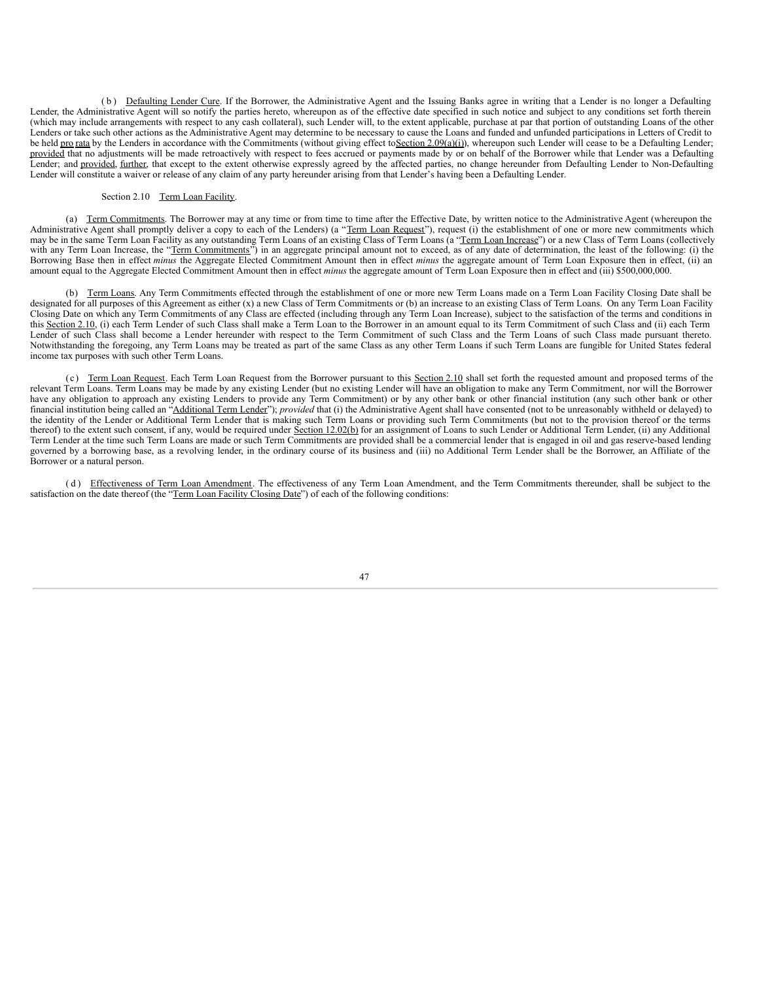(b) Defaulting Lender Cure. If the Borrower, the Administrative Agent and the Issuing Banks agree in writing that a Lender is no longer a Defaulting Lender, the Administrative Agent will so notify the parties hereto, whereupon as of the effective date specified in such notice and subject to any conditions set forth therein (which may include arrangements with respect to any cash collateral), such Lender will, to the extent applicable, purchase at par that portion of outstanding Loans of the other Lenders or take such other actions as the Administrative Agent may determine to be necessary to cause the Loans and funded and unfunded participations in Letters of Credit to be held pro rata by the Lenders in accordance with the Commitments (without giving effect toSection 2.09(a)(i)), whereupon such Lender will cease to be a Defaulting Lender; provided that no adjustments will be made retroactively with respect to fees accrued or payments made by or on behalf of the Borrower while that Lender was a Defaulting Lender; and provided, further, that except to the extent otherwise expressly agreed by the affected parties, no change hereunder from Defaulting Lender to Non-Defaulting Lender will constitute a waiver or release of any claim of any party hereunder arising from that Lender's having been a Defaulting Lender.

## Section 2.10 Term Loan Facility.

(a) Term Commitments. The Borrower may at any time or from time to time after the Effective Date, by written notice to the Administrative Agent (whereupon the Administrative Agent shall promptly deliver a copy to each of the Lenders) (a "Term Loan Request"), request (i) the establishment of one or more new commitments which may be in the same Term Loan Facility as any outstanding Term Loans of an existing Class of Term Loans (a "Term Loan Increase") or a new Class of Term Loans (collectively with any Term Loan Increase, the "Term Commitments") in an aggregate principal amount not to exceed, as of any date of determination, the least of the following: (i) the Borrowing Base then in effect *minus* the Aggregate Elected Commitment Amount then in effect *minus* the aggregate amount of Term Loan Exposure then in effect, (ii) an amount equal to the Aggregate Elected Commitment Amount then in effect *minus* the aggregate amount of Term Loan Exposure then in effect and (iii) \$500,000,000.

(b) Term Loans. Any Term Commitments effected through the establishment of one or more new Term Loans made on a Term Loan Facility Closing Date shall be designated for all purposes of this Agreement as either (x) a new Class of Term Commitments or (b) an increase to an existing Class of Term Loans. On any Term Loan Facility Closing Date on which any Term Commitments of any Class are effected (including through any Term Loan Increase), subject to the satisfaction of the terms and conditions in this Section 2.10, (i) each Term Lender of such Class shall make a Term Loan to the Borrower in an amount equal to its Term Commitment of such Class and (ii) each Term Lender of such Class shall become a Lender hereunder with respect to the Term Commitment of such Class and the Term Loans of such Class made pursuant thereto. Notwithstanding the foregoing, any Term Loans may be treated as part of the same Class as any other Term Loans if such Term Loans are fungible for United States federal income tax purposes with such other Term Loans.

(c) Term Loan Request. Each Term Loan Request from the Borrower pursuant to this Section 2.10 shall set forth the requested amount and proposed terms of the relevant Term Loans. Term Loans may be made by any existing Lender (but no existing Lender will have an obligation to make any Term Commitment, nor will the Borrower have any obligation to approach any existing Lenders to provide any Term Commitment) or by any other bank or other financial institution (any such other bank or other financial institution being called an "Additional Term Lender"); *provided* that (i) the Administrative Agent shall have consented (not to be unreasonably withheld or delayed) to the identity of the Lender or Additional Term Lender that is making such Term Loans or providing such Term Commitments (but not to the provision thereof or the terms thereof) to the extent such consent, if any, would be required under Section 12.02(b) for an assignment of Loans to such Lender or Additional Term Lender, (ii) any Additional Term Lender at the time such Term Loans are made or such Term Commitments are provided shall be a commercial lender that is engaged in oil and gas reserve-based lending governed by a borrowing base, as a revolving lender, in the ordinary course of its business and (iii) no Additional Term Lender shall be the Borrower, an Affiliate of the Borrower or a natural person.

(d) Effectiveness of Term Loan Amendment. The effectiveness of any Term Loan Amendment, and the Term Commitments thereunder, shall be subject to the satisfaction on the date thereof (the "Term Loan Facility Closing Date") of each of the following conditions: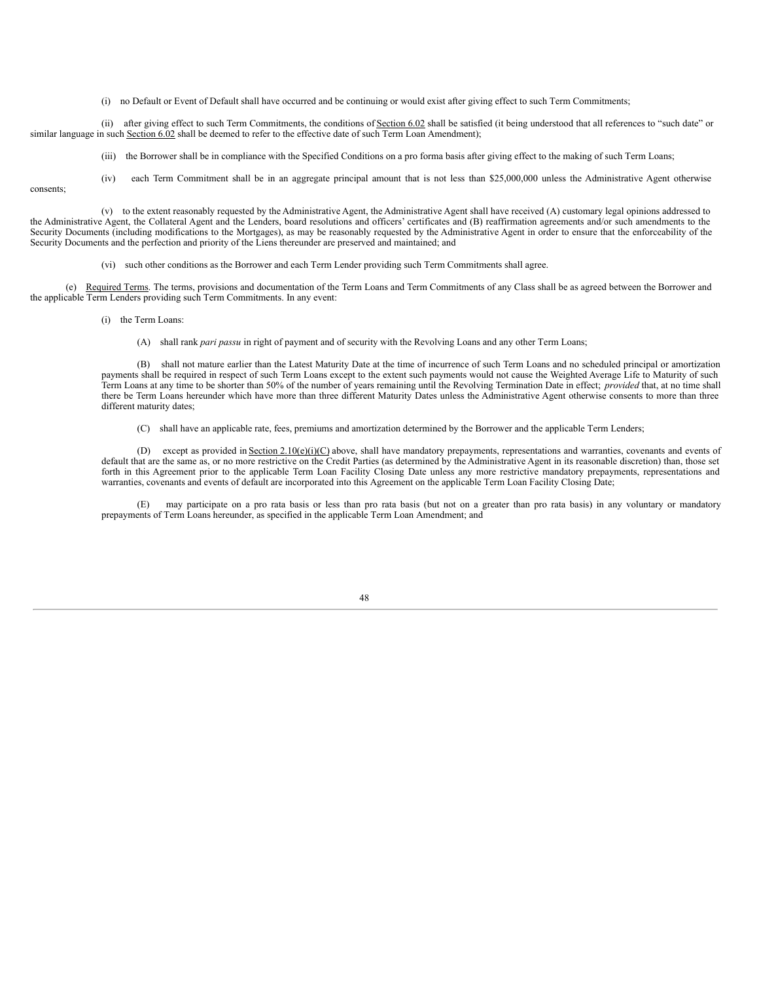(i) no Default or Event of Default shall have occurred and be continuing or would exist after giving effect to such Term Commitments;

(ii) after giving effect to such Term Commitments, the conditions of Section 6.02 shall be satisfied (it being understood that all references to "such date" or similar language in such Section  $6.02$  shall be deemed to refer to the effective date of such Term Loan Amendment);

(iii) the Borrower shall be in compliance with the Specified Conditions on a pro forma basis after giving effect to the making of such Term Loans;

(iv) each Term Commitment shall be in an aggregate principal amount that is not less than \$25,000,000 unless the Administrative Agent otherwise

consents;

(v) to the extent reasonably requested by the Administrative Agent, the Administrative Agent shall have received (A) customary legal opinions addressed to the Administrative Agent, the Collateral Agent and the Lenders, board resolutions and officers' certificates and (B) reaffirmation agreements and/or such amendments to the Security Documents (including modifications to the Mortgages), as may be reasonably requested by the Administrative Agent in order to ensure that the enforceability of the Security Documents and the perfection and priority of the Liens thereunder are preserved and maintained; and

(vi) such other conditions as the Borrower and each Term Lender providing such Term Commitments shall agree.

(e) Required Terms. The terms, provisions and documentation of the Term Loans and Term Commitments of any Class shall be as agreed between the Borrower and the applicable Term Lenders providing such Term Commitments. In any event:

- (i) the Term Loans:
	- (A) shall rank *pari passu* in right of payment and of security with the Revolving Loans and any other Term Loans;

(B) shall not mature earlier than the Latest Maturity Date at the time of incurrence of such Term Loans and no scheduled principal or amortization payments shall be required in respect of such Term Loans except to the extent such payments would not cause the Weighted Average Life to Maturity of such Term Loans at any time to be shorter than 50% of the number of years remaining until the Revolving Termination Date in effect; *provided* that, at no time shall there be Term Loans hereunder which have more than three different Maturity Dates unless the Administrative Agent otherwise consents to more than three different maturity dates;

(C) shall have an applicable rate, fees, premiums and amortization determined by the Borrower and the applicable Term Lenders;

(D) except as provided in Section 2.10(e)(i)(C) above, shall have mandatory prepayments, representations and warranties, covenants and events of default that are the same as, or no more restrictive on the Credit Parties (as determined by the Administrative Agent in its reasonable discretion) than, those set forth in this Agreement prior to the applicable Term Loan Facility Closing Date unless any more restrictive mandatory prepayments, representations and warranties, covenants and events of default are incorporated into this Agreement on the applicable Term Loan Facility Closing Date;

(E) may participate on a pro rata basis or less than pro rata basis (but not on a greater than pro rata basis) in any voluntary or mandatory prepayments of Term Loans hereunder, as specified in the applicable Term Loan Amendment; and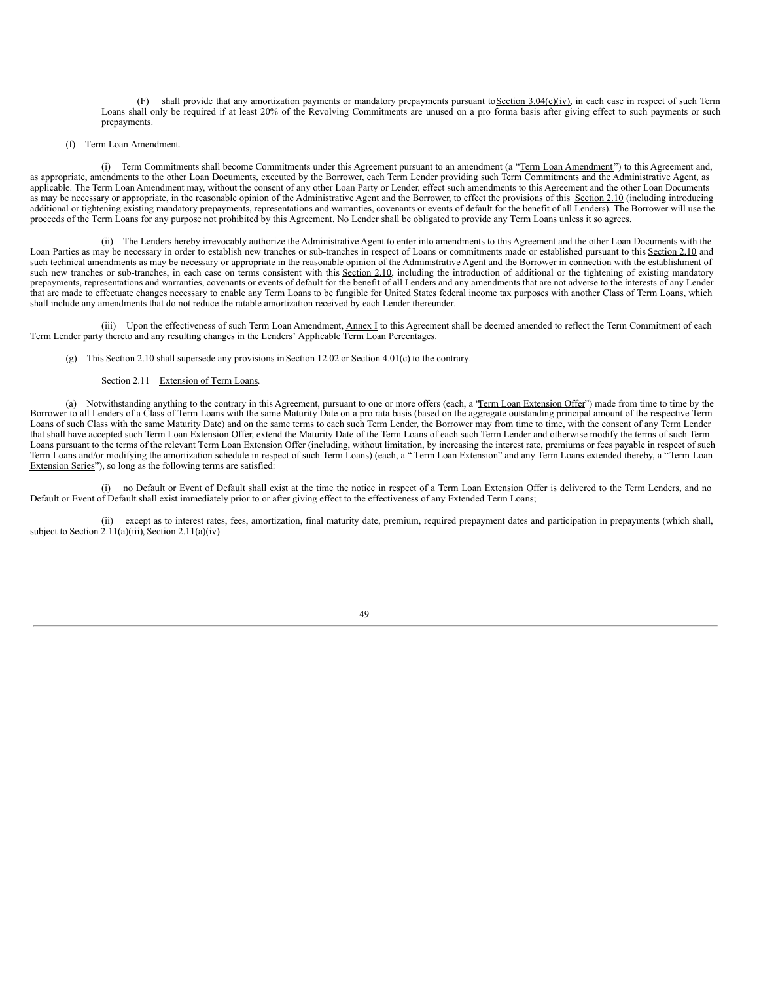(F) shall provide that any amortization payments or mandatory prepayments pursuant to Section 3.04(c)(iv), in each case in respect of such Term Loans shall only be required if at least 20% of the Revolving Commitments are unused on a pro forma basis after giving effect to such payments or such prepayments.

## (f) Term Loan Amendment.

(i) Term Commitments shall become Commitments under this Agreement pursuant to an amendment (a "Term Loan Amendment") to this Agreement and, as appropriate, amendments to the other Loan Documents, executed by the Borrower, each Term Lender providing such Term Commitments and the Administrative Agent, as applicable. The Term Loan Amendment may, without the consent of any other Loan Party or Lender, effect such amendments to this Agreement and the other Loan Documents as may be necessary or appropriate, in the reasonable opinion of the Administrative Agent and the Borrower, to effect the provisions of this  $Section 2.10$  (including introducing additional or tightening existing mandatory prepayments, representations and warranties, covenants or events of default for the benefit of all Lenders). The Borrower will use the proceeds of the Term Loans for any purpose not prohibited by this Agreement. No Lender shall be obligated to provide any Term Loans unless it so agrees.

(ii) The Lenders hereby irrevocably authorize the Administrative Agent to enter into amendments to this Agreement and the other Loan Documents with the Loan Parties as may be necessary in order to establish new tranches or sub-tranches in respect of Loans or commitments made or established pursuant to this Section 2.10 and such technical amendments as may be necessary or appropriate in the reasonable opinion of the Administrative Agent and the Borrower in connection with the establishment of such new tranches or sub-tranches, in each case on terms consistent with this Section 2.10, including the introduction of additional or the tightening of existing mandatory prepayments, representations and warranties, covenants or events of default for the benefit of all Lenders and any amendments that are not adverse to the interests of any Lender that are made to effectuate changes necessary to enable any Term Loans to be fungible for United States federal income tax purposes with another Class of Term Loans, which shall include any amendments that do not reduce the ratable amortization received by each Lender thereunder.

(iii) Upon the effectiveness of such Term Loan Amendment, **Annex I** to this Agreement shall be deemed amended to reflect the Term Commitment of each Term Lender party thereto and any resulting changes in the Lenders' Applicable Term Loan Percentages.

(g) This Section 2.10 shall supersede any provisions in Section 12.02 or Section 4.01(c) to the contrary.

# Section 2.11 Extension of Term Loans.

(a) Notwithstanding anything to the contrary in this Agreement, pursuant to one or more offers (each, a "Term Loan Extension Offer") made from time to time by the Borrower to all Lenders of a Class of Term Loans with the same Maturity Date on a pro rata basis (based on the aggregate outstanding principal amount of the respective Term Loans of such Class with the same Maturity Date) and on the same terms to each such Term Lender, the Borrower may from time to time, with the consent of any Term Lender that shall have accepted such Term Loan Extension Offer, extend the Maturity Date of the Term Loans of each such Term Lender and otherwise modify the terms of such Term Loans pursuant to the terms of the relevant Term Loan Extension Offer (including, without limitation, by increasing the interest rate, premiums or fees payable in respect of such Term Loans and/or modifying the amortization schedule in respect of such Term Loans) (each, a "Term Loan Extension" and any Term Loans extended thereby, a "Term Loan Extension Series"), so long as the following terms are satisfied:

(i) no Default or Event of Default shall exist at the time the notice in respect of a Term Loan Extension Offer is delivered to the Term Lenders, and no Default or Event of Default shall exist immediately prior to or after giving effect to the effectiveness of any Extended Term Loans;

(ii) except as to interest rates, fees, amortization, final maturity date, premium, required prepayment dates and participation in prepayments (which shall, subject to Section 2.11(a)(iii), Section 2.11(a)(iv)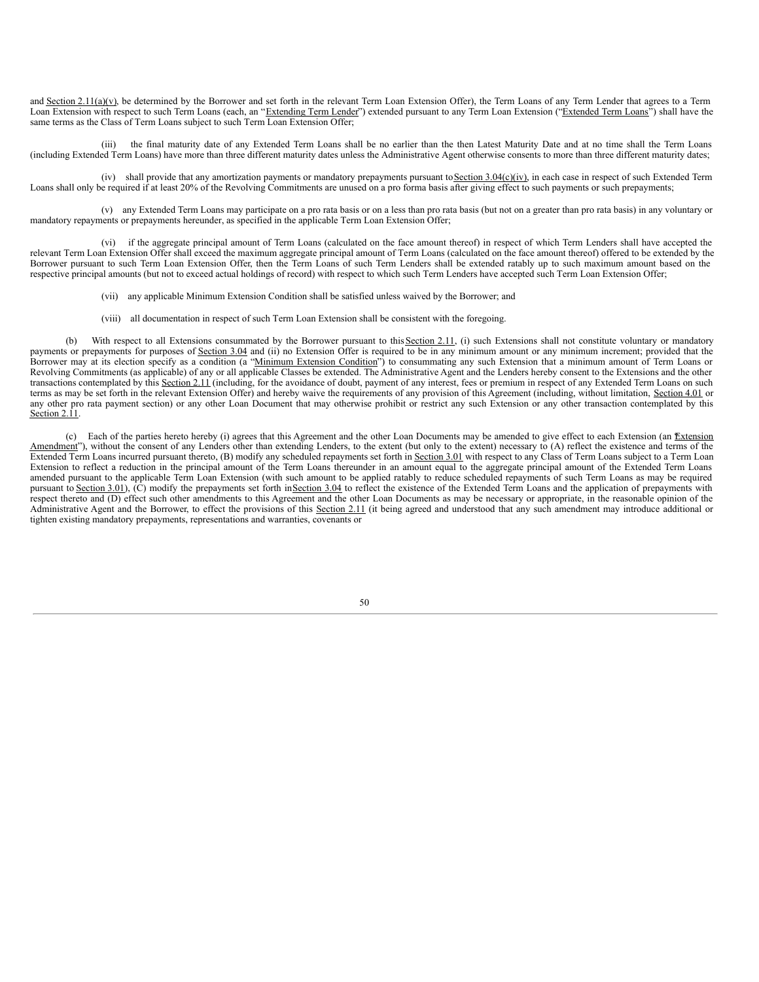and  $Section 2.11(a)(v)$ , be determined by the Borrower and set forth in the relevant Term Loan Extension Offer), the Term Loans of any Term Lender that agrees to a Term Loan Extension with respect to such Term Loans (each, an "Extending Term Lender") extended pursuant to any Term Loan Extension ("Extended Term Loans") shall have the same terms as the Class of Term Loans subject to such Term Loan Extension Offer;

(iii) the final maturity date of any Extended Term Loans shall be no earlier than the then Latest Maturity Date and at no time shall the Term Loans (including Extended Term Loans) have more than three different maturity dates unless the Administrative Agent otherwise consents to more than three different maturity dates;

(iv) shall provide that any amortization payments or mandatory prepayments pursuant to Section 3.04(c)(iv), in each case in respect of such Extended Term Loans shall only be required if at least 20% of the Revolving Commitments are unused on a pro forma basis after giving effect to such payments or such prepayments;

(v) any Extended Term Loans may participate on a pro rata basis or on a less than pro rata basis (but not on a greater than pro rata basis) in any voluntary or mandatory repayments or prepayments hereunder, as specified in the applicable Term Loan Extension Offer;

(vi) if the aggregate principal amount of Term Loans (calculated on the face amount thereof) in respect of which Term Lenders shall have accepted the relevant Term Loan Extension Offer shall exceed the maximum aggregate principal amount of Term Loans (calculated on the face amount thereof) offered to be extended by the Borrower pursuant to such Term Loan Extension Offer, then the Term Loans of such Term Lenders shall be extended ratably up to such maximum amount based on the respective principal amounts (but not to exceed actual holdings of record) with respect to which such Term Lenders have accepted such Term Loan Extension Offer;

- (vii) any applicable Minimum Extension Condition shall be satisfied unless waived by the Borrower; and
- (viii) all documentation in respect of such Term Loan Extension shall be consistent with the foregoing.

(b) With respect to all Extensions consummated by the Borrower pursuant to this Section 2.11, (i) such Extensions shall not constitute voluntary or mandatory payments or prepayments for purposes of Section 3.04 and (ii) no Extension Offer is required to be in any minimum amount or any minimum increment; provided that the Borrower may at its election specify as a condition (a "<u>Minimum Extension Condition</u>") to consummating any such Extension that a minimum amount of Term Loans or Revolving Commitments (as applicable) of any or all applicable Classes be extended. The Administrative Agent and the Lenders hereby consent to the Extensions and the other transactions contemplated by this Section 2.11 (including, for the avoidance of doubt, payment of any interest, fees or premium in respect of any Extended Term Loans on such terms as may be set forth in the relevant Extension Offer) and hereby waive the requirements of any provision of this Agreement (including, without limitation, Section 4.01 or any other pro rata payment section) or any other Loan Document that may otherwise prohibit or restrict any such Extension or any other transaction contemplated by this Section 2.11.

(c) Each of the parties hereto hereby (i) agrees that this Agreement and the other Loan Documents may be amended to give effect to each Extension (an "Extension Amendment"), without the consent of any Lenders other than extending Lenders, to the extent (but only to the extent) necessary to (A) reflect the existence and terms of the Extended Term Loans incurred pursuant thereto, (B) modify any scheduled repayments set forth in Section 3.01 with respect to any Class of Term Loans subject to a Term Loan Extension to reflect a reduction in the principal amount of the Term Loans thereunder in an amount equal to the aggregate principal amount of the Extended Term Loans amended pursuant to the applicable Term Loan Extension (with such amount to be applied ratably to reduce scheduled repayments of such Term Loans as may be required pursuant to Section 3.01), (C) modify the prepayments set forth inSection 3.04 to reflect the existence of the Extended Term Loans and the application of prepayments with respect thereto and (D) effect such other amendments to this Agreement and the other Loan Documents as may be necessary or appropriate, in the reasonable opinion of the Administrative Agent and the Borrower, to effect the provisions of this Section 2.11 (it being agreed and understood that any such amendment may introduce additional or tighten existing mandatory prepayments, representations and warranties, covenants or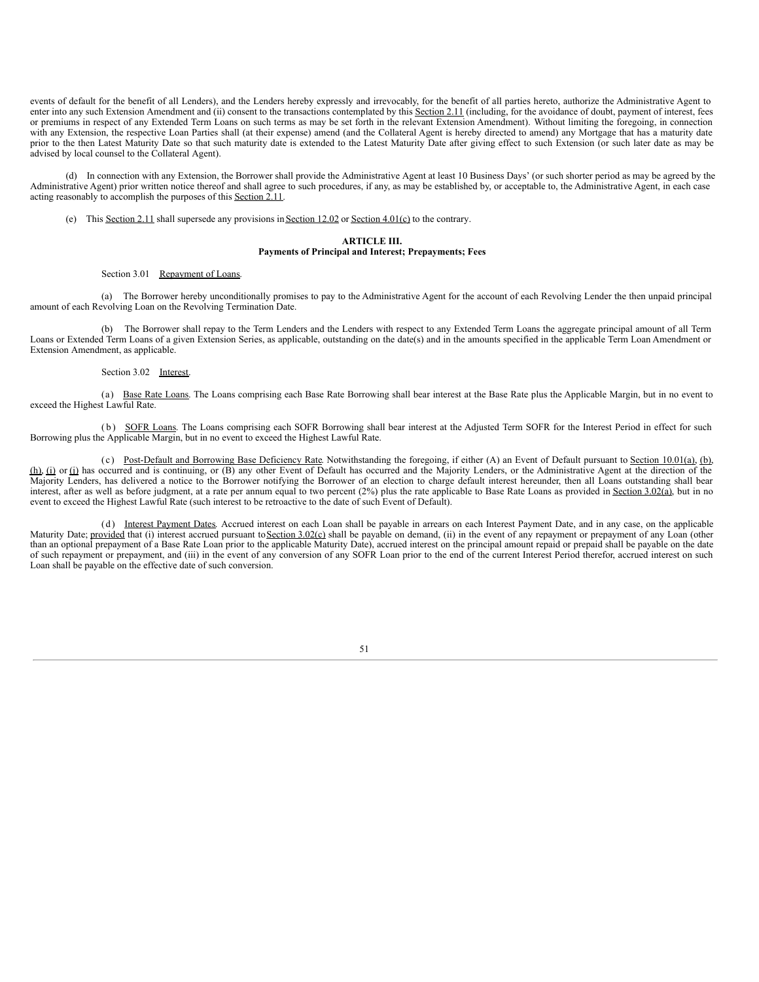events of default for the benefit of all Lenders), and the Lenders hereby expressly and irrevocably, for the benefit of all parties hereto, authorize the Administrative Agent to enter into any such Extension Amendment and (ii) consent to the transactions contemplated by this Section 2.11 (including, for the avoidance of doubt, payment of interest, fees or premiums in respect of any Extended Term Loans on such terms as may be set forth in the relevant Extension Amendment). Without limiting the foregoing, in connection with any Extension, the respective Loan Parties shall (at their expense) amend (and the Collateral Agent is hereby directed to amend) any Mortgage that has a maturity date prior to the then Latest Maturity Date so that such maturity date is extended to the Latest Maturity Date after giving effect to such Extension (or such later date as may be advised by local counsel to the Collateral Agent).

(d) In connection with any Extension, the Borrower shall provide the Administrative Agent at least 10 Business Days' (or such shorter period as may be agreed by the Administrative Agent) prior written notice thereof and shall agree to such procedures, if any, as may be established by, or acceptable to, the Administrative Agent, in each case acting reasonably to accomplish the purposes of this Section 2.11.

(e) This Section 2.11 shall supersede any provisions in Section 12.02 or Section 4.01(c) to the contrary.

#### **ARTICLE III. Payments of Principal and Interest; Prepayments; Fees**

#### Section 3.01 Repayment of Loans.

(a) The Borrower hereby unconditionally promises to pay to the Administrative Agent for the account of each Revolving Lender the then unpaid principal amount of each Revolving Loan on the Revolving Termination Date.

(b) The Borrower shall repay to the Term Lenders and the Lenders with respect to any Extended Term Loans the aggregate principal amount of all Term Loans or Extended Term Loans of a given Extension Series, as applicable, outstanding on the date(s) and in the amounts specified in the applicable Term Loan Amendment or Extension Amendment, as applicable.

### Section 3.02 Interest.

(a) Base Rate Loans. The Loans comprising each Base Rate Borrowing shall bear interest at the Base Rate plus the Applicable Margin, but in no event to exceed the Highest Lawful Rate.

(b) SOFR Loans. The Loans comprising each SOFR Borrowing shall bear interest at the Adjusted Term SOFR for the Interest Period in effect for such Borrowing plus the Applicable Margin, but in no event to exceed the Highest Lawful Rate.

(c) Post-Default and Borrowing Base Deficiency Rate. Notwithstanding the foregoing, if either (A) an Event of Default pursuant to Section 10.01(a), (b), (h), (i) or (j) has occurred and is continuing, or (B) any other Event of Default has occurred and the Majority Lenders, or the Administrative Agent at the direction of the Majority Lenders, has delivered a notice to the Borrower notifying the Borrower of an election to charge default interest hereunder, then all Loans outstanding shall bear interest, after as well as before judgment, at a rate per annum equal to two percent (2%) plus the rate applicable to Base Rate Loans as provided in Section 3.02(a), but in no event to exceed the Highest Lawful Rate (such interest to be retroactive to the date of such Event of Default).

(d) Interest Payment Dates. Accrued interest on each Loan shall be payable in arrears on each Interest Payment Date, and in any case, on the applicable Maturity Date; provided that (i) interest accrued pursuant to Section 3.02(c) shall be payable on demand, (ii) in the event of any repayment or prepayment of any Loan (other than an optional prepayment of a Base Rate Loan prior to the applicable Maturity Date), accrued interest on the principal amount repaid or prepaid shall be payable on the date of such repayment or prepayment, and (iii) in the event of any conversion of any SOFR Loan prior to the end of the current Interest Period therefor, accrued interest on such Loan shall be payable on the effective date of such conversion.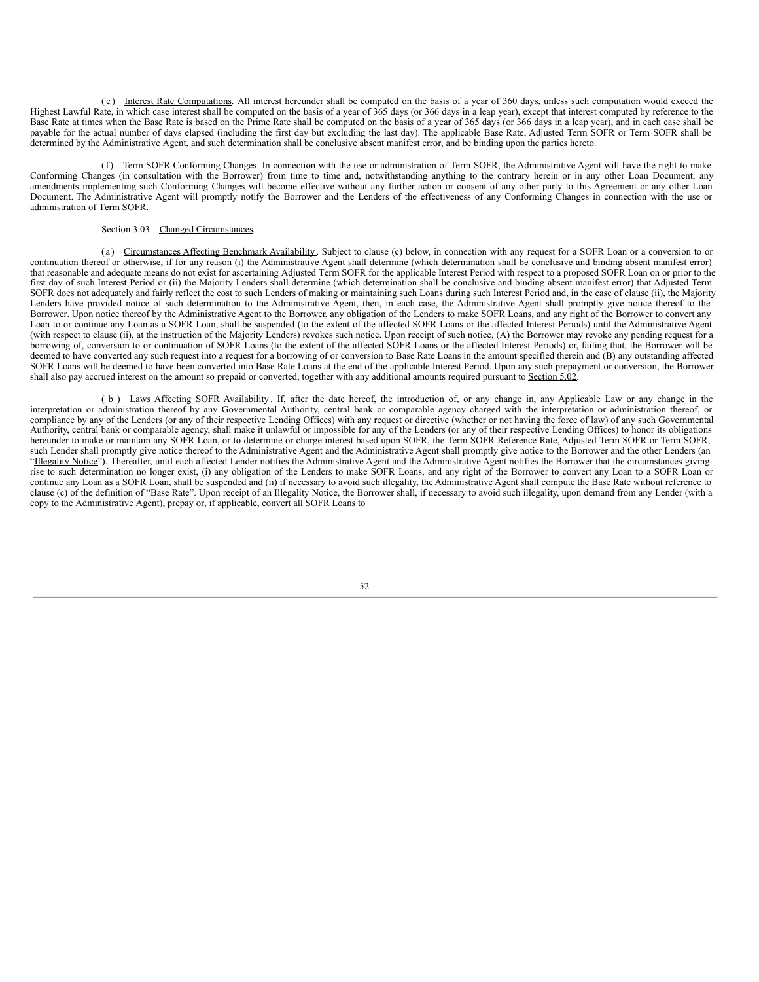( e ) Interest Rate Computations. All interest hereunder shall be computed on the basis of a year of 360 days, unless such computation would exceed the Highest Lawful Rate, in which case interest shall be computed on the basis of a year of 365 days (or 366 days in a leap year), except that interest computed by reference to the Base Rate at times when the Base Rate is based on the Prime Rate shall be computed on the basis of a year of 365 days (or 366 days in a leap year), and in each case shall be payable for the actual number of days elapsed (including the first day but excluding the last day). The applicable Base Rate, Adjusted Term SOFR or Term SOFR shall be determined by the Administrative Agent, and such determination shall be conclusive absent manifest error, and be binding upon the parties hereto.

(f) Term SOFR Conforming Changes. In connection with the use or administration of Term SOFR, the Administrative Agent will have the right to make Conforming Changes (in consultation with the Borrower) from time to time and, notwithstanding anything to the contrary herein or in any other Loan Document, any amendments implementing such Conforming Changes will become effective without any further action or consent of any other party to this Agreement or any other Loan Document. The Administrative Agent will promptly notify the Borrower and the Lenders of the effectiveness of any Conforming Changes in connection with the use or administration of Term SOFR.

# Section 3.03 Changed Circumstances.

(a) Circumstances Affecting Benchmark Availability. Subject to clause (c) below, in connection with any request for a SOFR Loan or a conversion to or continuation thereof or otherwise, if for any reason (i) the Administrative Agent shall determine (which determination shall be conclusive and binding absent manifest error) that reasonable and adequate means do not exist for ascertaining Adjusted Term SOFR for the applicable Interest Period with respect to a proposed SOFR Loan on or prior to the first day of such Interest Period or (ii) the Majority Lenders shall determine (which determination shall be conclusive and binding absent manifest error) that Adjusted Term SOFR does not adequately and fairly reflect the cost to such Lenders of making or maintaining such Loans during such Interest Period and, in the case of clause (ii), the Majority Lenders have provided notice of such determination to the Administrative Agent, then, in each case, the Administrative Agent shall promptly give notice thereof to the Borrower. Upon notice thereof by the Administrative Agent to the Borrower, any obligation of the Lenders to make SOFR Loans, and any right of the Borrower to convert any Loan to or continue any Loan as a SOFR Loan, shall be suspended (to the extent of the affected SOFR Loans or the affected Interest Periods) until the Administrative Agent (with respect to clause (ii), at the instruction of the Majority Lenders) revokes such notice. Upon receipt of such notice, (A) the Borrower may revoke any pending request for a borrowing of, conversion to or continuation of SOFR Loans (to the extent of the affected SOFR Loans or the affected Interest Periods) or, failing that, the Borrower will be deemed to have converted any such request into a request for a borrowing of or conversion to Base Rate Loans in the amount specified therein and (B) any outstanding affected SOFR Loans will be deemed to have been converted into Base Rate Loans at the end of the applicable Interest Period. Upon any such prepayment or conversion, the Borrower shall also pay accrued interest on the amount so prepaid or converted, together with any additional amounts required pursuant to Section 5.02.

( b ) Laws Affecting SOFR Availability . If, after the date hereof, the introduction of, or any change in, any Applicable Law or any change in the interpretation or administration thereof by any Governmental Authority, central bank or comparable agency charged with the interpretation or administration thereof, or compliance by any of the Lenders (or any of their respective Lending Offices) with any request or directive (whether or not having the force of law) of any such Governmental Authority, central bank or comparable agency, shall make it unlawful or impossible for any of the Lenders (or any of their respective Lending Offices) to honor its obligations hereunder to make or maintain any SOFR Loan, or to determine or charge interest based upon SOFR, the Term SOFR Reference Rate, Adjusted Term SOFR or Term SOFR, such Lender shall promptly give notice thereof to the Administrative Agent and the Administrative Agent shall promptly give notice to the Borrower and the other Lenders (an "Illegality Notice"). Thereafter, until each affected Lender notifies the Administrative Agent and the Administrative Agent notifies the Borrower that the circumstances giving rise to such determination no longer exist, (i) any obligation of the Lenders to make SOFR Loans, and any right of the Borrower to convert any Loan to a SOFR Loan or continue any Loan as a SOFR Loan, shall be suspended and (ii) if necessary to avoid such illegality, the Administrative Agent shall compute the Base Rate without reference to clause (c) of the definition of "Base Rate". Upon receipt of an Illegality Notice, the Borrower shall, if necessary to avoid such illegality, upon demand from any Lender (with a copy to the Administrative Agent), prepay or, if applicable, convert all SOFR Loans to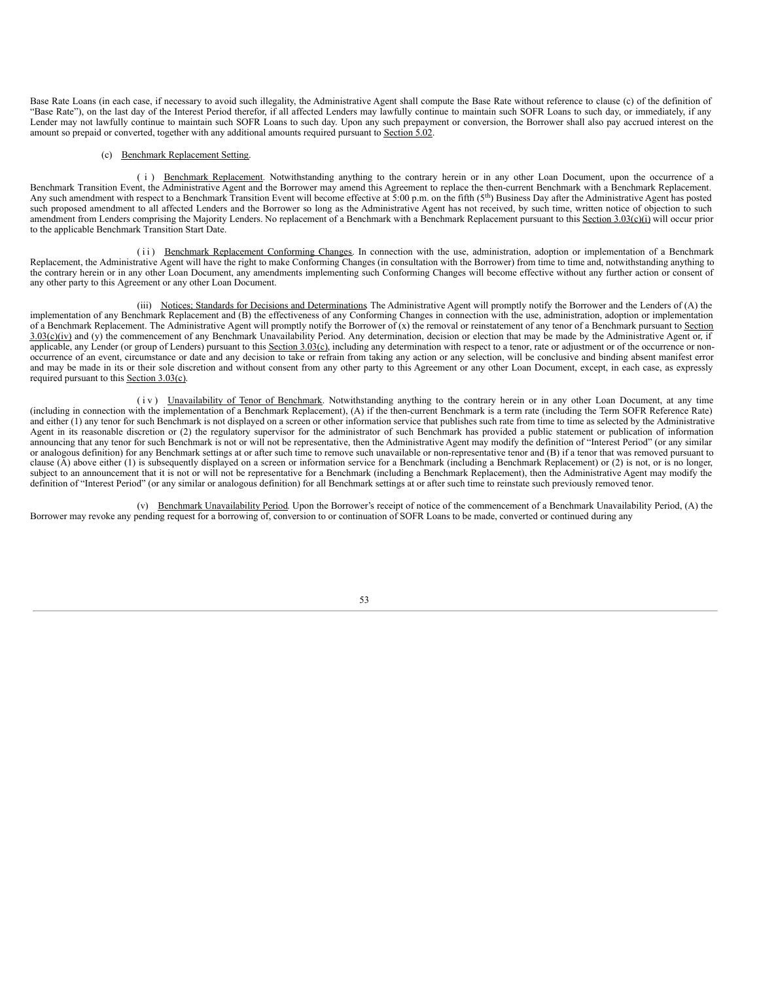Base Rate Loans (in each case, if necessary to avoid such illegality, the Administrative Agent shall compute the Base Rate without reference to clause (c) of the definition of "Base Rate"), on the last day of the Interest Period therefor, if all affected Lenders may lawfully continue to maintain such SOFR Loans to such day, or immediately, if any Lender may not lawfully continue to maintain such SOFR Loans to such day. Upon any such prepayment or conversion, the Borrower shall also pay accrued interest on the amount so prepaid or converted, together with any additional amounts required pursuant to Section 5.02.

# (c) Benchmark Replacement Setting.

( i ) Benchmark Replacement. Notwithstanding anything to the contrary herein or in any other Loan Document, upon the occurrence of a Benchmark Transition Event, the Administrative Agent and the Borrower may amend this Agreement to replace the then-current Benchmark with a Benchmark Replacement. Any such amendment with respect to a Benchmark Transition Event will become effective at 5:00 p.m. on the fifth (5<sup>th</sup>) Business Day after the Administrative Agent has posted such proposed amendment to all affected Lenders and the Borrower so long as the Administrative Agent has not received, by such time, written notice of objection to such amendment from Lenders comprising the Majority Lenders. No replacement of a Benchmark with a Benchmark Replacement pursuant to this Section 3.03(c)(i) will occur prior to the applicable Benchmark Transition Start Date.

(ii) Benchmark Replacement Conforming Changes. In connection with the use, administration, adoption or implementation of a Benchmark Replacement, the Administrative Agent will have the right to make Conforming Changes (in consultation with the Borrower) from time to time and, notwithstanding anything to the contrary herein or in any other Loan Document, any amendments implementing such Conforming Changes will become effective without any further action or consent of any other party to this Agreement or any other Loan Document.

(iii) Notices; Standards for Decisions and Determinations. The Administrative Agent will promptly notify the Borrower and the Lenders of (A) the implementation of any Benchmark Replacement and (B) the effectiveness of any Conforming Changes in connection with the use, administration, adoption or implementation of a Benchmark Replacement. The Administrative Agent will promptly notify the Borrower of (x) the removal or reinstatement of any tenor of a Benchmark pursuant to Section  $3.03(c)(iv)$  and (y) the commencement of any Benchmark Unavailability Period. Any determination, decision or election that may be made by the Administrative Agent or, if applicable, any Lender (or group of Lenders) pursuant to this Section  $3.03(c)$ , including any determination with respect to a tenor, rate or adjustment or of the occurrence or nonoccurrence of an event, circumstance or date and any decision to take or refrain from taking any action or any selection, will be conclusive and binding absent manifest error and may be made in its or their sole discretion and without consent from any other party to this Agreement or any other Loan Document, except, in each case, as expressly required pursuant to this Section 3.03(c).

(iv) Unavailability of Tenor of Benchmark. Notwithstanding anything to the contrary herein or in any other Loan Document, at any time (including in connection with the implementation of a Benchmark Replacement), (A) if the then-current Benchmark is a term rate (including the Term SOFR Reference Rate) and either (1) any tenor for such Benchmark is not displayed on a screen or other information service that publishes such rate from time to time as selected by the Administrative Agent in its reasonable discretion or (2) the regulatory supervisor for the administrator of such Benchmark has provided a public statement or publication of information announcing that any tenor for such Benchmark is not or will not be representative, then the Administrative Agent may modify the definition of "Interest Period" (or any similar or analogous definition) for any Benchmark settings at or after such time to remove such unavailable or non-representative tenor and (B) if a tenor that was removed pursuant to clause (A) above either (1) is subsequently displayed on a screen or information service for a Benchmark (including a Benchmark Replacement) or (2) is not, or is no longer, subject to an announcement that it is not or will not be representative for a Benchmark (including a Benchmark Replacement), then the Administrative Agent may modify the definition of "Interest Period" (or any similar or analogous definition) for all Benchmark settings at or after such time to reinstate such previously removed tenor.

(v) Benchmark Unavailability Period. Upon the Borrower's receipt of notice of the commencement of a Benchmark Unavailability Period, (A) the Borrower may revoke any pending request for a borrowing of, conversion to or continuation of SOFR Loans to be made, converted or continued during any

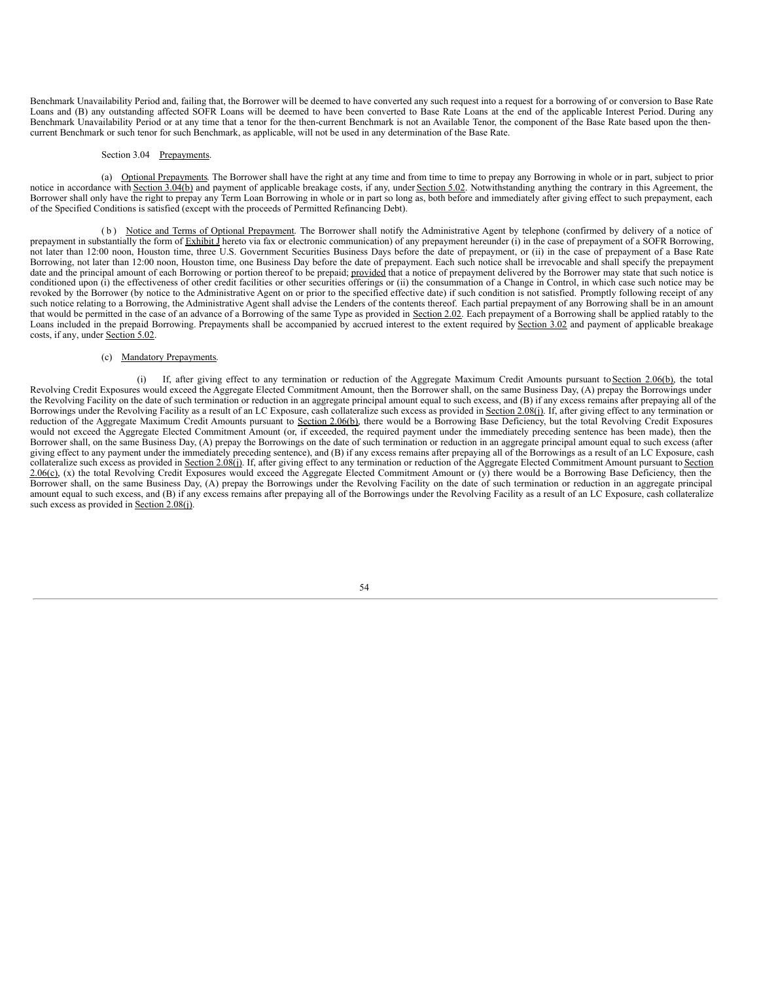Benchmark Unavailability Period and, failing that, the Borrower will be deemed to have converted any such request into a request for a borrowing of or conversion to Base Rate Loans and (B) any outstanding affected SOFR Loans will be deemed to have been converted to Base Rate Loans at the end of the applicable Interest Period. During any Benchmark Unavailability Period or at any time that a tenor for the then-current Benchmark is not an Available Tenor, the component of the Base Rate based upon the thencurrent Benchmark or such tenor for such Benchmark, as applicable, will not be used in any determination of the Base Rate.

## Section 3.04 Prepayments.

(a) Optional Prepayments. The Borrower shall have the right at any time and from time to time to prepay any Borrowing in whole or in part, subject to prior notice in accordance with Section 3.04(b) and payment of applicable breakage costs, if any, under Section 5.02. Notwithstanding anything the contrary in this Agreement, the Borrower shall only have the right to prepay any Term Loan Borrowing in whole or in part so long as, both before and immediately after giving effect to such prepayment, each of the Specified Conditions is satisfied (except with the proceeds of Permitted Refinancing Debt).

(b) Notice and Terms of Optional Prepayment. The Borrower shall notify the Administrative Agent by telephone (confirmed by delivery of a notice of prepayment in substantially the form of Exhibit J hereto via fax or electronic communication) of any prepayment hereunder (i) in the case of prepayment of a SOFR Borrowing, not later than 12:00 noon, Houston time, three U.S. Government Securities Business Days before the date of prepayment, or (ii) in the case of prepayment of a Base Rate Borrowing, not later than 12:00 noon, Houston time, one Business Day before the date of prepayment. Each such notice shall be irrevocable and shall specify the prepayment date and the principal amount of each Borrowing or portion thereof to be prepaid; provided that a notice of prepayment delivered by the Borrower may state that such notice is conditioned upon (i) the effectiveness of other credit facilities or other securities offerings or (ii) the consummation of a Change in Control, in which case such notice may be revoked by the Borrower (by notice to the Administrative Agent on or prior to the specified effective date) if such condition is not satisfied. Promptly following receipt of any such notice relating to a Borrowing, the Administrative Agent shall advise the Lenders of the contents thereof. Each partial prepayment of any Borrowing shall be in an amount that would be permitted in the case of an advance of a Borrowing of the same Type as provided in Section 2.02. Each prepayment of a Borrowing shall be applied ratably to the Loans included in the prepaid Borrowing. Prepayments shall be accompanied by accrued interest to the extent required by Section 3.02 and payment of applicable breakage costs, if any, under Section 5.02.

### (c) Mandatory Prepayments.

(i) If, after giving effect to any termination or reduction of the Aggregate Maximum Credit Amounts pursuant toSection 2.06(b), the total Revolving Credit Exposures would exceed the Aggregate Elected Commitment Amount, then the Borrower shall, on the same Business Day, (A) prepay the Borrowings under the Revolving Facility on the date of such termination or reduction in an aggregate principal amount equal to such excess, and (B) if any excess remains after prepaying all of the Borrowings under the Revolving Facility as a result of an LC Exposure, cash collateralize such excess as provided in Section 2.08(j). If, after giving effect to any termination or reduction of the Aggregate Maximum Credit Amounts pursuant to Section 2.06(b), there would be a Borrowing Base Deficiency, but the total Revolving Credit Exposures would not exceed the Aggregate Elected Commitment Amount (or, if exceeded, the required payment under the immediately preceding sentence has been made), then the Borrower shall, on the same Business Day, (A) prepay the Borrowings on the date of such termination or reduction in an aggregate principal amount equal to such excess (after giving effect to any payment under the immediately preceding sentence), and (B) if any excess remains after prepaying all of the Borrowings as a result of an LC Exposure, cash collateralize such excess as provided in Section 2.08(j). If, after giving effect to any termination or reduction of the Aggregate Elected Commitment Amount pursuant to Section 2.06(c), (x) the total Revolving Credit Exposures would exceed the Aggregate Elected Commitment Amount or (y) there would be a Borrowing Base Deficiency, then the Borrower shall, on the same Business Day, (A) prepay the Borrowings under the Revolving Facility on the date of such termination or reduction in an aggregate principal amount equal to such excess, and (B) if any excess remains after prepaying all of the Borrowings under the Revolving Facility as a result of an LC Exposure, cash collateralize such excess as provided in Section 2.08(j).

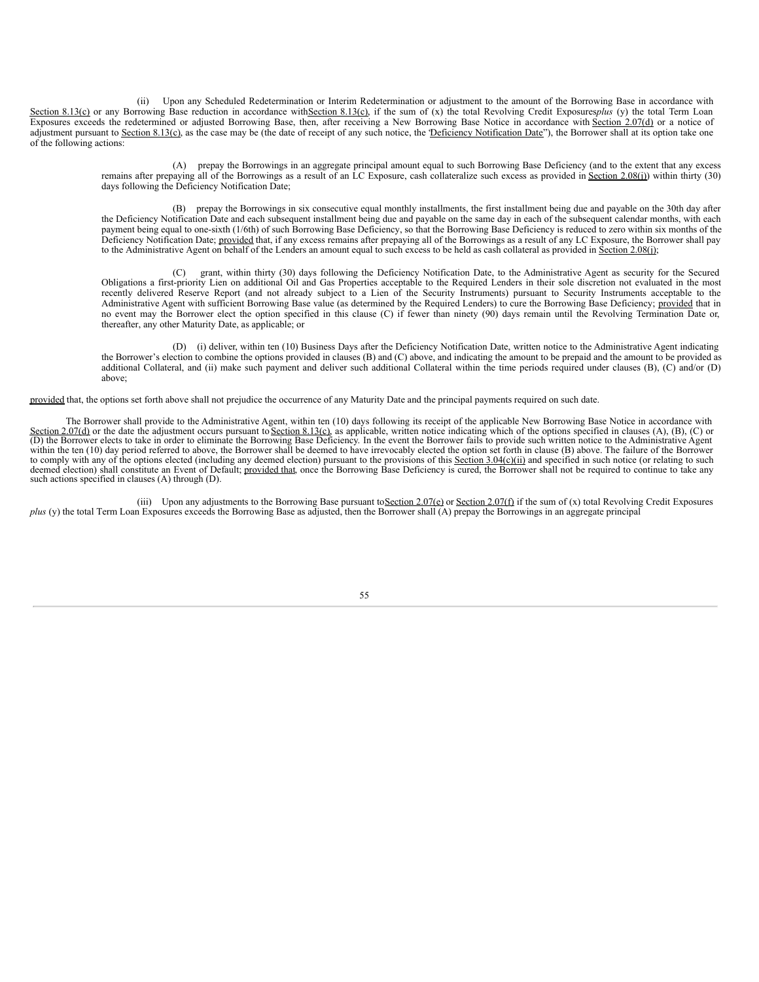(ii) Upon any Scheduled Redetermination or Interim Redetermination or adjustment to the amount of the Borrowing Base in accordance with Section 8.13(c) or any Borrowing Base reduction in accordance withSection 8.13(c), if the sum of (x) the total Revolving Credit Exposures*plus* (y) the total Term Loan Exposures exceeds the redetermined or adjusted Borrowing Base, then, after receiving a New Borrowing Base Notice in accordance with Section 2.07(d) or a notice of adjustment pursuant to Section 8.13(c), as the case may be (the date of receipt of any such notice, the Deficiency Notification Date"), the Borrower shall at its option take one of the following actions:

> (A) prepay the Borrowings in an aggregate principal amount equal to such Borrowing Base Deficiency (and to the extent that any excess remains after prepaying all of the Borrowings as a result of an LC Exposure, cash collateralize such excess as provided in Section 2.08(j)) within thirty (30) days following the Deficiency Notification Date;

> (B) prepay the Borrowings in six consecutive equal monthly installments, the first installment being due and payable on the 30th day after the Deficiency Notification Date and each subsequent installment being due and payable on the same day in each of the subsequent calendar months, with each payment being equal to one-sixth (1/6th) of such Borrowing Base Deficiency, so that the Borrowing Base Deficiency is reduced to zero within six months of the Deficiency Notification Date; provided that, if any excess remains after prepaying all of the Borrowings as a result of any LC Exposure, the Borrower shall pay to the Administrative Agent on behalf of the Lenders an amount equal to such excess to be held as cash collateral as provided in Section 2.08(j);

> (C) grant, within thirty (30) days following the Deficiency Notification Date, to the Administrative Agent as security for the Secured Obligations a first-priority Lien on additional Oil and Gas Properties acceptable to the Required Lenders in their sole discretion not evaluated in the most recently delivered Reserve Report (and not already subject to a Lien of the Security Instruments) pursuant to Security Instruments acceptable to the Administrative Agent with sufficient Borrowing Base value (as determined by the Required Lenders) to cure the Borrowing Base Deficiency; provided that in no event may the Borrower elect the option specified in this clause (C) if fewer than ninety (90) days remain until the Revolving Termination Date or, thereafter, any other Maturity Date, as applicable; or

> (D) (i) deliver, within ten (10) Business Days after the Deficiency Notification Date, written notice to the Administrative Agent indicating the Borrower's election to combine the options provided in clauses (B) and (C) above, and indicating the amount to be prepaid and the amount to be provided as additional Collateral, and (ii) make such payment and deliver such additional Collateral within the time periods required under clauses (B), (C) and/or (D) above;

provided that, the options set forth above shall not prejudice the occurrence of any Maturity Date and the principal payments required on such date.

The Borrower shall provide to the Administrative Agent, within ten (10) days following its receipt of the applicable New Borrowing Base Notice in accordance with Section 2.07(d) or the date the adjustment occurs pursuant to Section 8.13(c), as applicable, written notice indicating which of the options specified in clauses (A), (B), (C) or (D) the Borrower elects to take in order t within the ten (10) day period referred to above, the Borrower shall be deemed to have irrevocably elected the option set forth in clause (B) above. The failure of the Borrower to comply with any of the options elected (including any deemed election) pursuant to the provisions of this Section 3.04(c)(ii) and specified in such notice (or relating to such deemed election) shall constitute an Event such actions specified in clauses (A) through (D).

(iii) Upon any adjustments to the Borrowing Base pursuant to Section 2.07(e) or Section 2.07(f) if the sum of (x) total Revolving Credit Exposures *plus* (y) the total Term Loan Exposures exceeds the Borrowing Base as adjusted, then the Borrower shall (A) prepay the Borrowings in an aggregate principal

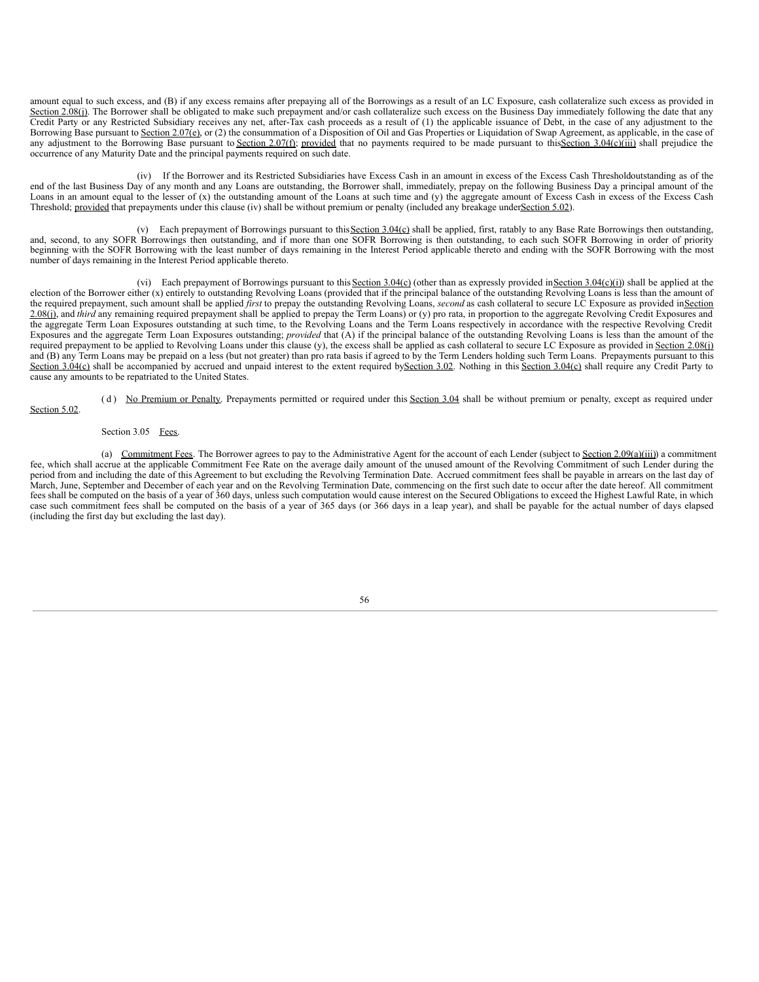amount equal to such excess, and (B) if any excess remains after prepaying all of the Borrowings as a result of an LC Exposure, cash collateralize such excess as provided in Section 2.08(j). The Borrower shall be obligated to make such prepayment and/or cash collateralize such excess on the Business Day immediately following the date that any Credit Party or any Restricted Subsidiary receives any net, after-Tax cash proceeds as a result of (1) the applicable issuance of Debt, in the case of any adjustment to the Borrowing Base pursuant to Section 2.07(e), or (2) the consummation of a Disposition of Oil and Gas Properties or Liquidation of Swap Agreement, as applicable, in the case of any adjustment to the Borrowing Base pursuant to Section 2.07(f); provided that no payments required to be made pursuant to thisSection 3.04(c)(iii) shall prejudice the occurrence of any Maturity Date and the principal payments required on such date.

(iv) If the Borrower and its Restricted Subsidiaries have Excess Cash in an amount in excess of the Excess Cash Thresholdoutstanding as of the end of the last Business Day of any month and any Loans are outstanding, the Borrower shall, immediately, prepay on the following Business Day a principal amount of the Loans in an amount equal to the lesser of (x) the outstanding amount of the Loans at such time and (y) the aggregate amount of Excess Cash in excess of the Excess Cash Threshold; provided that prepayments under this clause (iv) shall be without premium or penalty (included any breakage underSection 5.02).

(v) Each prepayment of Borrowings pursuant to this Section  $3.04(c)$  shall be applied, first, ratably to any Base Rate Borrowings then outstanding, and, second, to any SOFR Borrowings then outstanding, and if more than one SOFR Borrowing is then outstanding, to each such SOFR Borrowing in order of priority beginning with the SOFR Borrowing with the least number of days remaining in the Interest Period applicable thereto and ending with the SOFR Borrowing with the most number of days remaining in the Interest Period applicable thereto.

(vi) Each prepayment of Borrowings pursuant to this Section 3.04(c) (other than as expressly provided in Section 3.04(c)(i)) shall be applied at the election of the Borrower either (x) entirely to outstanding Revolving Loans (provided that if the principal balance of the outstanding Revolving Loans is less than the amount of the required prepayment, such amount shall be applied *first* to prepay the outstanding Revolving Loans, *second* as cash collateral to secure LC Exposure as provided inSection 2.08(j), and *third* any remaining required prepayment shall be applied to prepay the Term Loans) or (y) pro rata, in proportion to the aggregate Revolving Credit Exposures and the aggregate Term Loan Exposures outstanding at such time, to the Revolving Loans and the Term Loans respectively in accordance with the respective Revolving Credit Exposures and the aggregate Term Loan Exposures outstanding; *provided* that (A) if the principal balance of the outstanding Revolving Loans is less than the amount of the required prepayment to be applied to Revolving Loans under this clause (y), the excess shall be applied as cash collateral to secure LC Exposure as provided in Section 2.08(j) and (B) any Term Loans may be prepaid on a less (but not greater) than pro rata basis if agreed to by the Term Lenders holding such Term Loans. Prepayments pursuant to this Section 3.04(c) shall be accompanied by accrued and unpaid interest to the extent required bySection 3.02. Nothing in this Section 3.04(c) shall require any Credit Party to cause any amounts to be repatriated to the United States.

( d ) No Premium or Penalty. Prepayments permitted or required under this Section 3.04 shall be without premium or penalty, except as required under

# Section 5.02.

### Section 3.05 Fees.

(a) Commitment Fees. The Borrower agrees to pay to the Administrative Agent for the account of each Lender (subject to Section 2.09(a)(iii)) a commitment fee, which shall accrue at the applicable Commitment Fee Rate on the average daily amount of the unused amount of the Revolving Commitment of such Lender during the period from and including the date of this Agreement to but excluding the Revolving Termination Date. Accrued commitment fees shall be payable in arrears on the last day of March, June, September and December of each year and on the Revolving Termination Date, commencing on the first such date to occur after the date hereof. All commitment fees shall be computed on the basis of a year of 360 days, unless such computation would cause interest on the Secured Obligations to exceed the Highest Lawful Rate, in which case such commitment fees shall be computed on the basis of a year of 365 days (or 366 days in a leap year), and shall be payable for the actual number of days elapsed (including the first day but excluding the last day).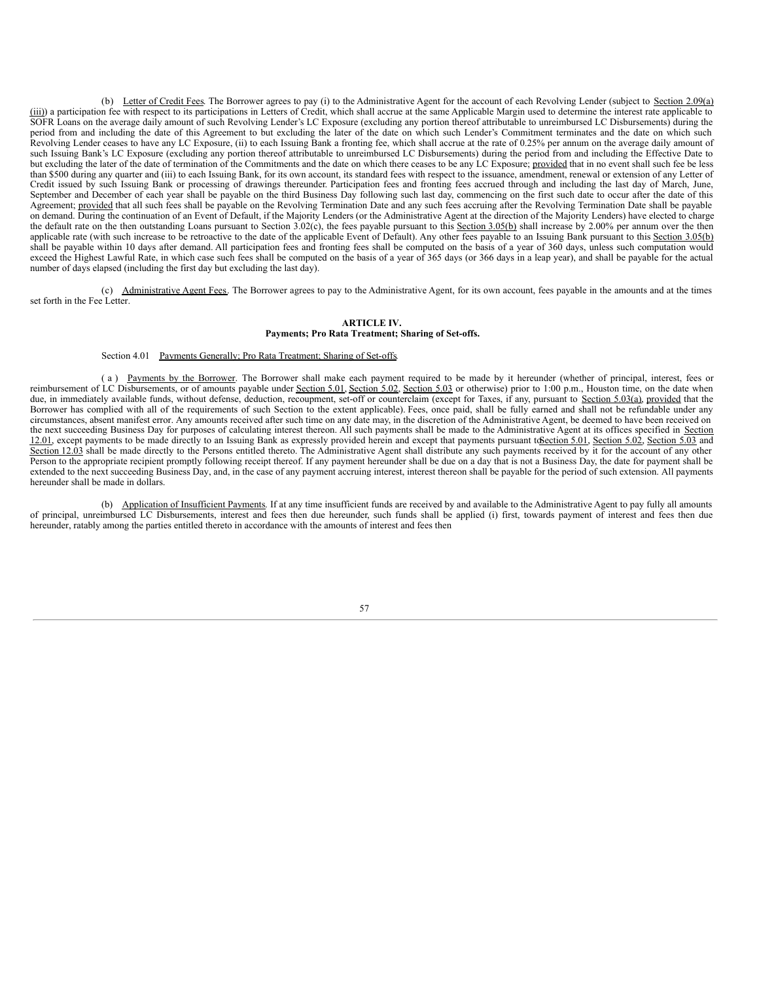(b) Letter of Credit Fees. The Borrower agrees to pay (i) to the Administrative Agent for the account of each Revolving Lender (subject to Section 2.09(a) (iii)) a participation fee with respect to its participations in Letters of Credit, which shall accrue at the same Applicable Margin used to determine the interest rate applicable to SOFR Loans on the average daily amount of such Revolving Lender's LC Exposure (excluding any portion thereof attributable to unreimbursed LC Disbursements) during the period from and including the date of this Agreement to but excluding the later of the date on which such Lender's Commitment terminates and the date on which such Revolving Lender ceases to have any LC Exposure, (ii) to each Issuing Bank a fronting fee, which shall accrue at the rate of 0.25% per annum on the average daily amount of such Issuing Bank's LC Exposure (excluding any portion thereof attributable to unreimbursed LC Disbursements) during the period from and including the Effective Date to but excluding the later of the date of termination of the Commitments and the date on which there ceases to be any LC Exposure; provided that in no event shall such fee be less than \$500 during any quarter and (iii) to each Issuing Bank, for its own account, its standard fees with respect to the issuance, amendment, renewal or extension of any Letter of Credit issued by such Issuing Bank or processing of drawings thereunder. Participation fees and fronting fees accrued through and including the last day of March, June, September and December of each year shall be payable on the third Business Day following such last day, commencing on the first such date to occur after the date of this Agreement; provided that all such fees shall be payable on the Revolving Termination Date and any such fees accruing after the Revolving Termination Date shall be payable on demand. During the continuation of an Event of Default, if the Majority Lenders (or the Administrative Agent at the direction of the Majority Lenders) have elected to charge the default rate on the then outstanding Loans pursuant to Section 3.02(c), the fees payable pursuant to this Section 3.05(b) shall increase by 2.00% per annum over the then applicable rate (with such increase to be retroactive to the date of the applicable Event of Default). Any other fees payable to an Issuing Bank pursuant to this Section 3.05(b) shall be payable within 10 days after demand. All participation fees and fronting fees shall be computed on the basis of a year of 360 days, unless such computation would exceed the Highest Lawful Rate, in which case such fees shall be computed on the basis of a year of 365 days (or 366 days in a leap year), and shall be payable for the actual number of days elapsed (including the first day but excluding the last day).

(c) Administrative Agent Fees. The Borrower agrees to pay to the Administrative Agent, for its own account, fees payable in the amounts and at the times set forth in the Fee Letter.

### **ARTICLE IV. Payments; Pro Rata Treatment; Sharing of Set-offs.**

### Section 4.01 Payments Generally; Pro Rata Treatment; Sharing of Set-offs.

(a) Payments by the Borrower. The Borrower shall make each payment required to be made by it hereunder (whether of principal, interest, fees or reimbursement of LC Disbursements, or of amounts payable under Section 5.01, Section 5.02, Section 5.03 or otherwise) prior to 1:00 p.m., Houston time, on the date when due, in immediately available funds, without defense, deduction, recoupment, set-off or counterclaim (except for Taxes, if any, pursuant to Section 5.03(a), provided that the Borrower has complied with all of the requirements of such Section to the extent applicable). Fees, once paid, shall be fully earned and shall not be refundable under any circumstances, absent manifest error. Any amounts received after such time on any date may, in the discretion of the Administrative Agent, be deemed to have been received on the next succeeding Business Day for purposes of calculating interest thereon. All such payments shall be made to the Administrative Agent at its offices specified in Section 12.01, except payments to be made directly to an Issuing Bank as expressly provided herein and except that payments pursuant to Section 5.01, Section 5.02, Section 5.03 and Section 12.03 shall be made directly to the Persons entitled thereto. The Administrative Agent shall distribute any such payments received by it for the account of any other Person to the appropriate recipient promptly following receipt thereof. If any payment hereunder shall be due on a day that is not a Business Day, the date for payment shall be extended to the next succeeding Business Day, and, in the case of any payment accruing interest, interest thereon shall be payable for the period of such extension. All payments hereunder shall be made in dollars.

(b) Application of Insufficient Payments. If at any time insufficient funds are received by and available to the Administrative Agent to pay fully all amounts of principal, unreimbursed LC Disbursements, interest and fees then due hereunder, such funds shall be applied (i) first, towards payment of interest and fees then due hereunder, ratably among the parties entitled thereto in accordance with the amounts of interest and fees then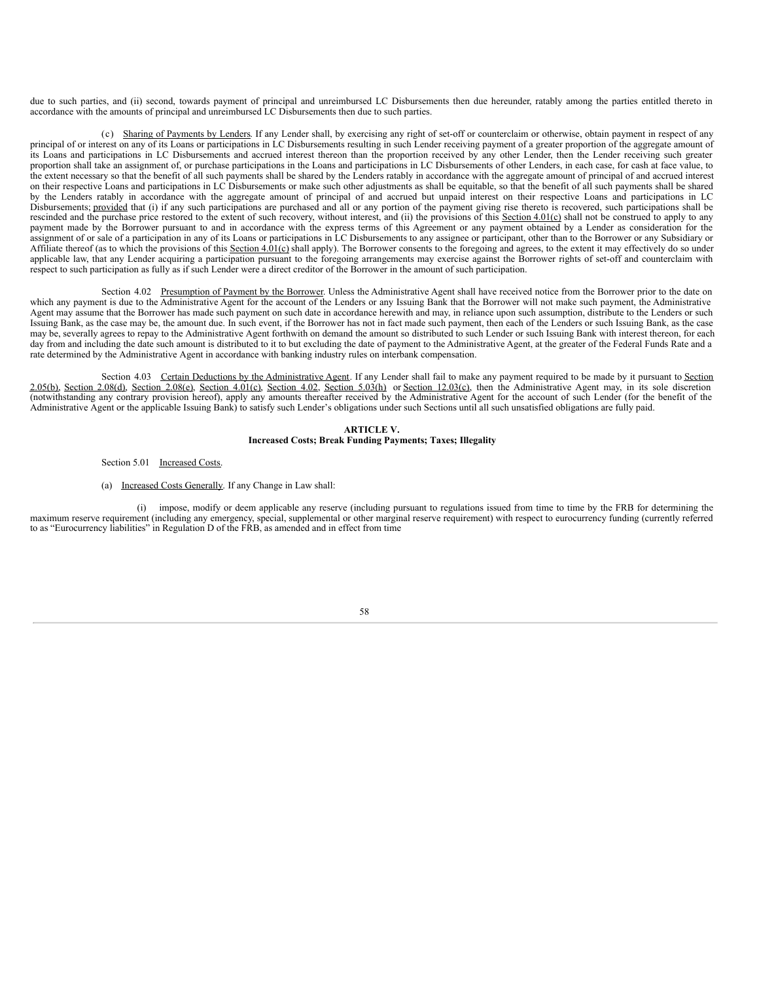due to such parties, and (ii) second, towards payment of principal and unreimbursed LC Disbursements then due hereunder, ratably among the parties entitled thereto in accordance with the amounts of principal and unreimbursed LC Disbursements then due to such parties.

(c) Sharing of Payments by Lenders. If any Lender shall, by exercising any right of set-off or counterclaim or otherwise, obtain payment in respect of any principal of or interest on any of its Loans or participations in LC Disbursements resulting in such Lender receiving payment of a greater proportion of the aggregate amount of its Loans and participations in LC Disbursements and accrued interest thereon than the proportion received by any other Lender, then the Lender receiving such greater proportion shall take an assignment of, or purchase participations in the Loans and participations in LC Disbursements of other Lenders, in each case, for cash at face value, to the extent necessary so that the benefit of all such payments shall be shared by the Lenders ratably in accordance with the aggregate amount of principal of and accrued interest on their respective Loans and participations in LC Disbursements or make such other adjustments as shall be equitable, so that the benefit of all such payments shall be shared by the Lenders ratably in accordance with the aggregate amount of principal of and accrued but unpaid interest on their respective Loans and participations in LC Disbursements; provided that (i) if any such participations are purchased and all or any portion of the payment giving rise thereto is recovered, such participations shall be rescinded and the purchase price restored to the extent of such recovery, without interest, and (ii) the provisions of this Section 4.01(c) shall not be construed to apply to any payment made by the Borrower pursuant to and in accordance with the express terms of this Agreement or any payment obtained by a Lender as consideration for the assignment of or sale of a participation in any of its Loans or participations in LC Disbursements to any assignee or participant, other than to the Borrower or any Subsidiary or Affiliate thereof (as to which the provisions of this Section  $4.01(c)$  shall apply). The Borrower consents to the foregoing and agrees, to the extent it may effectively do so under applicable law, that any Lender acquiring a participation pursuant to the foregoing arrangements may exercise against the Borrower rights of set-off and counterclaim with respect to such participation as fully as if such Lender were a direct creditor of the Borrower in the amount of such participation.

Section 4.02 Presumption of Payment by the Borrower. Unless the Administrative Agent shall have received notice from the Borrower prior to the date on which any payment is due to the Administrative Agent for the account of the Lenders or any Issuing Bank that the Borrower will not make such payment, the Administrative Agent may assume that the Borrower has made such payment on such date in accordance herewith and may, in reliance upon such assumption, distribute to the Lenders or such Issuing Bank, as the case may be, the amount due. In such event, if the Borrower has not in fact made such payment, then each of the Lenders or such Issuing Bank, as the case may be, severally agrees to repay to the Administrative Agent forthwith on demand the amount so distributed to such Lender or such Issuing Bank with interest thereon, for each day from and including the date such amount is distributed to it to but excluding the date of payment to the Administrative Agent, at the greater of the Federal Funds Rate and a rate determined by the Administrative Agent in accordance with banking industry rules on interbank compensation.

Section 4.03 Certain Deductions by the Administrative Agent. If any Lender shall fail to make any payment required to be made by it pursuant to Section 2.05(b), Section 2.08(d), Section 2.08(e), Section 4.01(c), Section 4.02, Section 5.03(h) or Section 12.03(c), then the Administrative Agent may, in its sole discretion (notwithstanding any contrary provision hereof), apply any amounts thereafter received by the Administrative Agent for the account of such Lender (for the benefit of the Administrative Agent or the applicable Issuing Bank) to satisfy such Lender's obligations under such Sections until all such unsatisfied obligations are fully paid.

### **ARTICLE V. Increased Costs; Break Funding Payments; Taxes; Illegality**

## Section 5.01 Increased Costs.

(a) Increased Costs Generally. If any Change in Law shall:

(i) impose, modify or deem applicable any reserve (including pursuant to regulations issued from time to time by the FRB for determining the maximum reserve requirement (including any emergency, special, supplemental or other marginal reserve requirement) with respect to eurocurrency funding (currently referred to as "Eurocurrency liabilities" in Regulation D of the FRB, as amended and in effect from time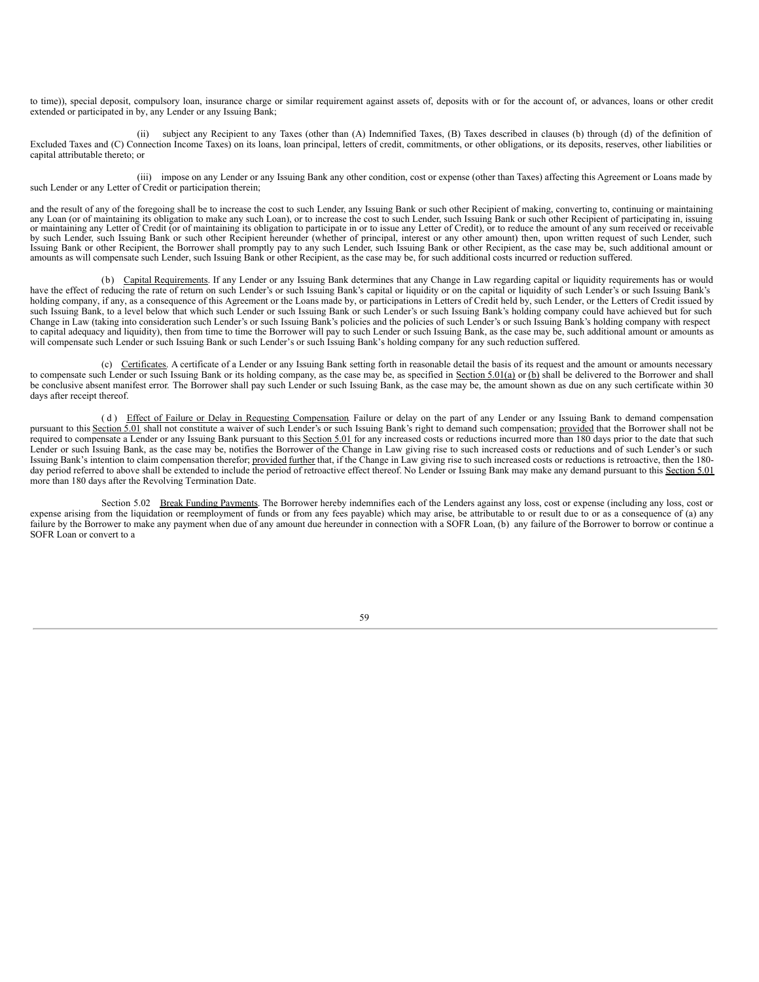to time)), special deposit, compulsory loan, insurance charge or similar requirement against assets of, deposits with or for the account of, or advances, loans or other credit extended or participated in by, any Lender or any Issuing Bank;

(ii) subject any Recipient to any Taxes (other than (A) Indemnified Taxes, (B) Taxes described in clauses (b) through (d) of the definition of Excluded Taxes and (C) Connection Income Taxes) on its loans, loan principal, letters of credit, commitments, or other obligations, or its deposits, reserves, other liabilities or capital attributable thereto; or

(iii) impose on any Lender or any Issuing Bank any other condition, cost or expense (other than Taxes) affecting this Agreement or Loans made by such Lender or any Letter of Credit or participation therein;

and the result of any of the foregoing shall be to increase the cost to such Lender, any Issuing Bank or such other Recipient of making, converting to, continuing or maintaining any Loan (or of maintaining its obligation to make any such Loan), or to increase the cost to such Lender, such Issuing Bank or such other Recipient of participating in, issuing or maintaining any Letter of Credit (or of maintaining its obligation to participate in or to issue any Letter of Credit), or to reduce the amount of any sum received or receivable by such Lender, such Issuing Bank or such other Recipient hereunder (whether of principal, interest or any other amount) then, upon written request of such Lender, such Issuing Bank or other Recipient, as the case may be,

(b) Capital Requirements. If any Lender or any Issuing Bank determines that any Change in Law regarding capital or liquidity requirements has or would have the effect of reducing the rate of return on such Lender's or such Issuing Bank's capital or liquidity or on the capital or liquidity of such Lender's or such Issuing Bank's holding company, if any, as a consequence of this Agreement or the Loans made by, or participations in Letters of Credit held by, such Lender, or the Letters of Credit issued by such Issuing Bank, to a level below that which such Lender or such Issuing Bank or such Issuing Bank's holding company could have achieved but for such Change in Law (taking into consideration such Lender's or such Issuing Bank's policies and the policies of such Lender's or such Issuing Bank's holding company with respect to capital adequacy and liquidity), then from time to time the Borrower will pay to such Lender or such Issuing Bank, as the case may be, such additional amount or amounts as will compensate such Lender or such Issuing Bank or such Lender's or such Issuing Bank's holding company for any such reduction suffered.

(c) Certificates. A certificate of a Lender or any Issuing Bank setting forth in reasonable detail the basis of its request and the amount or amounts necessary to compensate such Lender or such Issuing Bank or its holding company, as the case may be, as specified in Section 5.01(a) or (b) shall be delivered to the Borrower and shall be conclusive absent manifest error. The Borrower shall pay such Lender or such Issuing Bank, as the case may be, the amount shown as due on any such certificate within 30 days after receipt thereof.

(d) Effect of Failure or Delay in Requesting Compensation. Failure or delay on the part of any Lender or any Issuing Bank to demand compensation pursuant to this Section 5.01 shall not constitute a waiver of such Lender's or such Issuing Bank's right to demand such compensation; provided that the Borrower shall not be required to compensate a Lender or any Issuing Bank pursuant to this Section 5.01 for any increased costs or reductions incurred more than 180 days prior to the date that such Lender or such Issuing Bank, as the case may be, notifies the Borrower of the Change in Law giving rise to such increased costs or reductions and of such Lender's or such Issuing Bank's intention to claim compensation therefor; provided further that, if the Change in Law giving rise to such increased costs or reductions is retroactive, then the 180day period referred to above shall be extended to include the period of retroactive effect thereof. No Lender or Issuing Bank may make any demand pursuant to this Section 5.01 more than 180 days after the Revolving Termination Date.

Section 5.02 Break Funding Payments. The Borrower hereby indemnifies each of the Lenders against any loss, cost or expense (including any loss, cost or expense arising from the liquidation or reemployment of funds or from any fees payable) which may arise, be attributable to or result due to or as a consequence of (a) any failure by the Borrower to make any payment when due of any amount due hereunder in connection with a SOFR Loan, (b) any failure of the Borrower to borrow or continue a SOFR Loan or convert to a

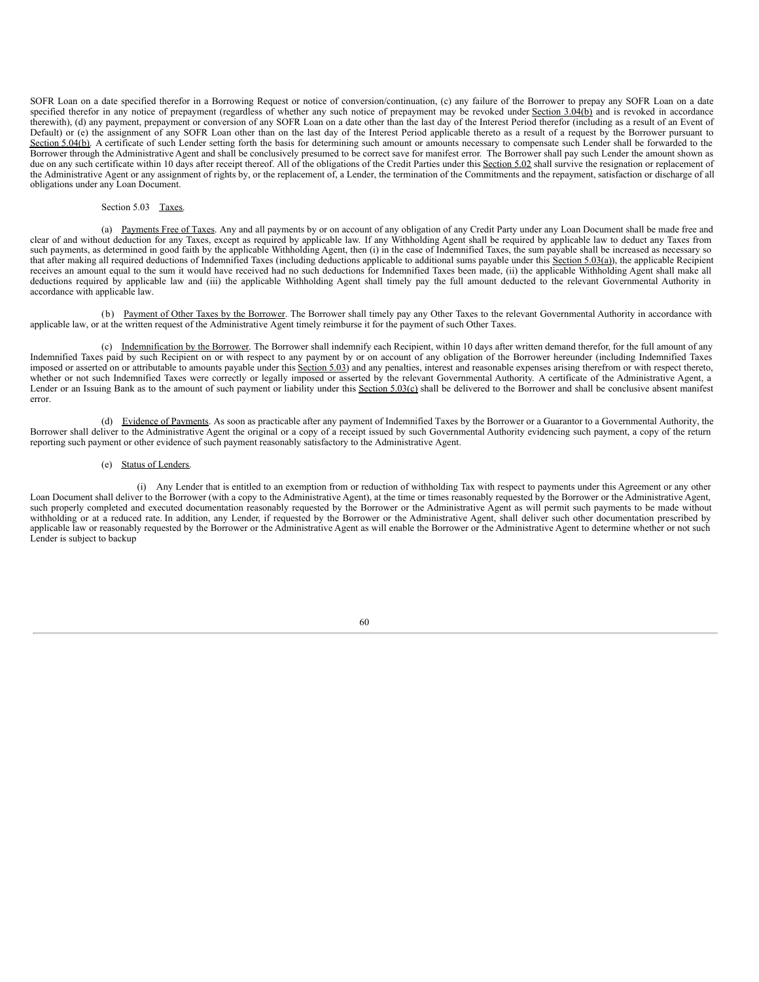SOFR Loan on a date specified therefor in a Borrowing Request or notice of conversion/continuation, (c) any failure of the Borrower to prepay any SOFR Loan on a date specified therefor in any notice of prepayment (regardless of whether any such notice of prepayment may be revoked under Section 3.04(b) and is revoked in accordance therewith), (d) any payment, prepayment or conversion of any SOFR Loan on a date other than the last day of the Interest Period therefor (including as a result of an Event of Default) or (e) the assignment of any SOFR Loan other than on the last day of the Interest Period applicable thereto as a result of a request by the Borrower pursuant to Section 5.04(b). A certificate of such Lender setting forth the basis for determining such amount or amounts necessary to compensate such Lender shall be forwarded to the Borrower through the Administrative Agent and shall be conclusively presumed to be correct save for manifest error. The Borrower shall pay such Lender the amount shown as due on any such certificate within 10 days after receipt thereof. All of the obligations of the Credit Parties under this Section 5.02 shall survive the resignation or replacement of the Administrative Agent or any assignment of rights by, or the replacement of, a Lender, the termination of the Commitments and the repayment, satisfaction or discharge of all obligations under any Loan Document.

## Section 5.03 Taxes.

(a) Payments Free of Taxes. Any and all payments by or on account of any obligation of any Credit Party under any Loan Document shall be made free and clear of and without deduction for any Taxes, except as required by applicable law. If any Withholding Agent shall be required by applicable law to deduct any Taxes from such payments, as determined in good faith by the applicable Withholding Agent, then (i) in the case of Indemnified Taxes, the sum payable shall be increased as necessary so that after making all required deductions of Indemnified Taxes (including deductions applicable to additional sums payable under this Section 5.03(a)), the applicable Recipient receives an amount equal to the sum it would have received had no such deductions for Indemnified Taxes been made, (ii) the applicable Withholding Agent shall make all deductions required by applicable law and (iii) the applicable Withholding Agent shall timely pay the full amount deducted to the relevant Governmental Authority in accordance with applicable law.

(b) Payment of Other Taxes by the Borrower. The Borrower shall timely pay any Other Taxes to the relevant Governmental Authority in accordance with applicable law, or at the written request of the Administrative Agent timely reimburse it for the payment of such Other Taxes.

(c) Indemnification by the Borrower. The Borrower shall indemnify each Recipient, within 10 days after written demand therefor, for the full amount of any Indemnified Taxes paid by such Recipient on or with respect to any payment by or on account of any obligation of the Borrower hereunder (including Indemnified Taxes imposed or asserted on or attributable to amounts payable under this Section 5.03) and any penalties, interest and reasonable expenses arising therefrom or with respect thereto, whether or not such Indemnified Taxes were correctly or legally imposed or asserted by the relevant Governmental Authority. A certificate of the Administrative Agent, a Lender or an Issuing Bank as to the amount of such payment or liability under this Section 5.03(c) shall be delivered to the Borrower and shall be conclusive absent manifest error.

(d) Evidence of Payments. As soon as practicable after any payment of Indemnified Taxes by the Borrower or a Guarantor to a Governmental Authority, the Borrower shall deliver to the Administrative Agent the original or a copy of a receipt issued by such Governmental Authority evidencing such payment, a copy of the return reporting such payment or other evidence of such payment reasonably satisfactory to the Administrative Agent.

## (e) Status of Lenders.

(i) Any Lender that is entitled to an exemption from or reduction of withholding Tax with respect to payments under this Agreement or any other Loan Document shall deliver to the Borrower (with a copy to the Administrative Agent), at the time or times reasonably requested by the Borrower or the Administrative Agent, such properly completed and executed documentation reasonably requested by the Borrower or the Administrative Agent as will permit such payments to be made without withholding or at a reduced rate. In addition, any Lender, if requested by the Borrower or the Administrative Agent, shall deliver such other documentation prescribed by applicable law or reasonably requested by the Borrower or the Administrative Agent as will enable the Borrower or the Administrative Agent to determine whether or not such Lender is subject to backup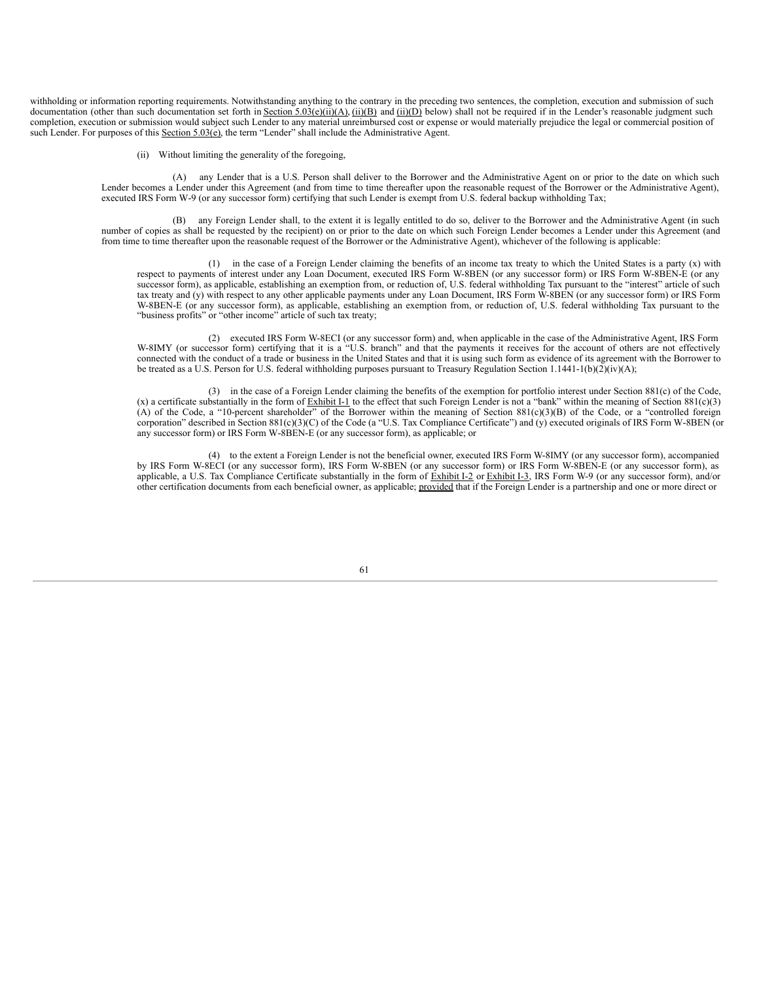withholding or information reporting requirements. Notwithstanding anything to the contrary in the preceding two sentences, the completion, execution and submission of such documentation (other than such documentation set forth in Section 5.03(e)(ii)(A), (ii)(B) and (ii)(D) below) shall not be required if in the Lender's reasonable judgment such completion, execution or submission would subject such Lender to any material unreimbursed cost or expense or would materially prejudice the legal or commercial position of such Lender. For purposes of this Section 5.03(e), the term "Lender" shall include the Administrative Agent.

(ii) Without limiting the generality of the foregoing,

(A) any Lender that is a U.S. Person shall deliver to the Borrower and the Administrative Agent on or prior to the date on which such Lender becomes a Lender under this Agreement (and from time to time thereafter upon the reasonable request of the Borrower or the Administrative Agent), executed IRS Form W-9 (or any successor form) certifying that such Lender is exempt from U.S. federal backup withholding Tax;

(B) any Foreign Lender shall, to the extent it is legally entitled to do so, deliver to the Borrower and the Administrative Agent (in such number of copies as shall be requested by the recipient) on or prior to the date on which such Foreign Lender becomes a Lender under this Agreement (and from time to time thereafter upon the reasonable request of the Borrower or the Administrative Agent), whichever of the following is applicable:

(1) in the case of a Foreign Lender claiming the benefits of an income tax treaty to which the United States is a party (x) with respect to payments of interest under any Loan Document, executed IRS Form W-8BEN (or any successor form) or IRS Form W-8BEN-E (or any successor form), as applicable, establishing an exemption from, or reduction of, U.S. federal withholding Tax pursuant to the "interest" article of such tax treaty and (y) with respect to any other applicable payments under any Loan Document, IRS Form W-8BEN (or any successor form) or IRS Form W-8BEN-E (or any successor form), as applicable, establishing an exemption from, or reduction of, U.S. federal withholding Tax pursuant to the "business profits" or "other income" article of such tax treaty;

(2) executed IRS Form W-8ECI (or any successor form) and, when applicable in the case of the Administrative Agent, IRS Form W-8IMY (or successor form) certifying that it is a "U.S. branch" and that the payments it receives for the account of others are not effectively connected with the conduct of a trade or business in the United States and that it is using such form as evidence of its agreement with the Borrower to be treated as a U.S. Person for U.S. federal withholding purposes pursuant to Treasury Regulation Section 1.1441-1(b)(2)(iv)(A);

(3) in the case of a Foreign Lender claiming the benefits of the exemption for portfolio interest under Section 881(c) of the Code, (x) a certificate substantially in the form of  $\frac{\overline{Exhibit I-1}}{\overline{Exhibit I-1}}$  to the effect that such Foreign Lender is not a "bank" within the meaning of Section 881(c)(3) (A) of the Code, a "10-percent shareholder" of the Borrower within the meaning of Section 881(c)(3)(B) of the Code, or a "controlled foreign corporation" described in Section 881(c)(3)(C) of the Code (a "U.S. Tax Compliance Certificate") and (y) executed originals of IRS Form W-8BEN (or any successor form) or IRS Form W-8BEN-E (or any successor form), as applicable; or

(4) to the extent a Foreign Lender is not the beneficial owner, executed IRS Form W-8IMY (or any successor form), accompanied by IRS Form W-8ECI (or any successor form), IRS Form W-8BEN (or any successor form) or IRS Form W-8BEN-E (or any successor form), as applicable, a U.S. Tax Compliance Certificate substantially in the form of Exhibit I-2 or Exhibit I-3, IRS Form W-9 (or any successor form), and/or other certification documents from each beneficial owner, as applicable; provided that if the Foreign Lender is a partnership and one or more direct or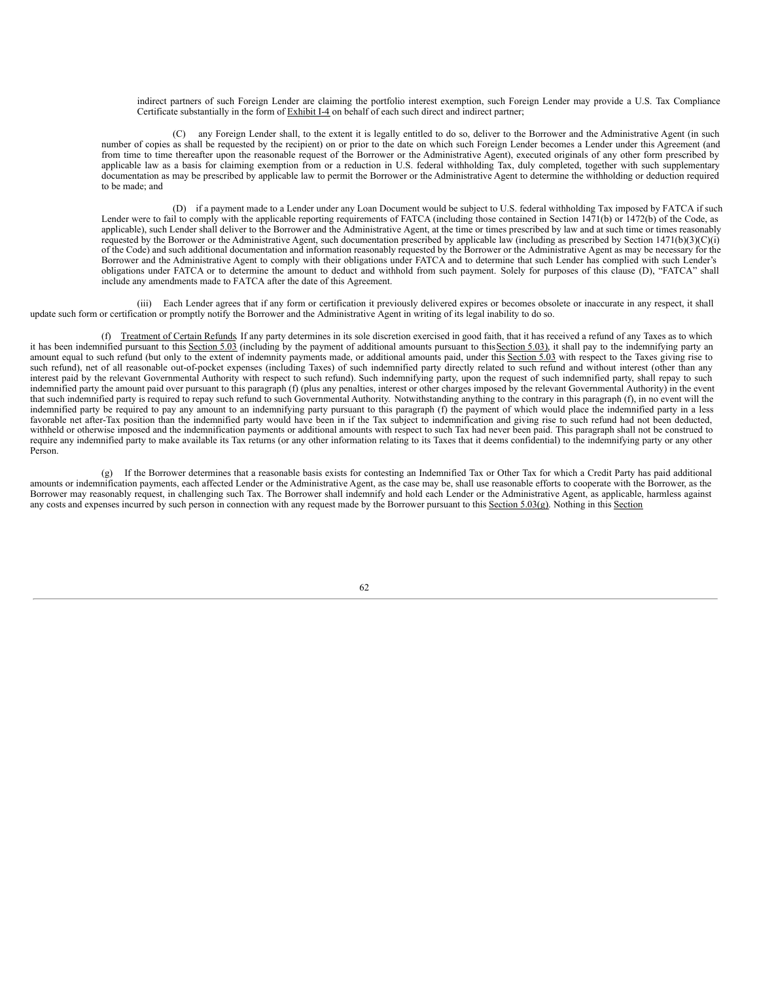indirect partners of such Foreign Lender are claiming the portfolio interest exemption, such Foreign Lender may provide a U.S. Tax Compliance Certificate substantially in the form of Exhibit I-4 on behalf of each such direct and indirect partner;

(C) any Foreign Lender shall, to the extent it is legally entitled to do so, deliver to the Borrower and the Administrative Agent (in such number of copies as shall be requested by the recipient) on or prior to the date on which such Foreign Lender becomes a Lender under this Agreement (and from time to time thereafter upon the reasonable request of the Borrower or the Administrative Agent), executed originals of any other form prescribed by applicable law as a basis for claiming exemption from or a reduction in U.S. federal withholding Tax, duly completed, together with such supplementary documentation as may be prescribed by applicable law to permit the Borrower or the Administrative Agent to determine the withholding or deduction required to be made; and

(D) if a payment made to a Lender under any Loan Document would be subject to U.S. federal withholding Tax imposed by FATCA if such Lender were to fail to comply with the applicable reporting requirements of FATCA (including those contained in Section 1471(b) or 1472(b) of the Code, as applicable), such Lender shall deliver to the Borrower and the Administrative Agent, at the time or times prescribed by law and at such time or times reasonably requested by the Borrower or the Administrative Agent, such documentation prescribed by applicable law (including as prescribed by Section 1471(b)(3)(C)(i) of the Code) and such additional documentation and information reasonably requested by the Borrower or the Administrative Agent as may be necessary for the Borrower and the Administrative Agent to comply with their obligations under FATCA and to determine that such Lender has complied with such Lender's obligations under FATCA or to determine the amount to deduct and withhold from such payment. Solely for purposes of this clause (D), "FATCA" shall include any amendments made to FATCA after the date of this Agreement.

(iii) Each Lender agrees that if any form or certification it previously delivered expires or becomes obsolete or inaccurate in any respect, it shall update such form or certification or promptly notify the Borrower and the Administrative Agent in writing of its legal inability to do so.

(f) Treatment of Certain Refunds. If any party determines in its sole discretion exercised in good faith, that it has received a refund of any Taxes as to which it has been indemnified pursuant to this Section 5.03 (including by the payment of additional amounts pursuant to this Section 5.03), it shall pay to the indemnifying party an amount equal to such refund (but only to the extent of indemnity payments made, or additional amounts paid, under this Section 5.03 with respect to the Taxes giving rise to such refund), net of all reasonable out-of-pocket expenses (including Taxes) of such indemnified party directly related to such refund and without interest (other than any interest paid by the relevant Governmental Authority with respect to such refund). Such indemnifying party, upon the request of such indemnified party, shall repay to such indemnified party the amount paid over pursuant to this paragraph (f) (plus any penalties, interest or other charges imposed by the relevant Governmental Authority) in the event that such indemnified party is required to repay such refund to such Governmental Authority. Notwithstanding anything to the contrary in this paragraph (f), in no event will the indemnified party be required to pay any amount to an indemnifying party pursuant to this paragraph (f) the payment of which would place the indemnified party in a less favorable net after-Tax position than the indemnified party would have been in if the Tax subject to indemnification and giving rise to such refund had not been deducted, withheld or otherwise imposed and the indemnification payments or additional amounts with respect to such Tax had never been paid. This paragraph shall not be construed to require any indemnified party to make available its Tax returns (or any other information relating to its Taxes that it deems confidential) to the indemnifying party or any other Person.

(g) If the Borrower determines that a reasonable basis exists for contesting an Indemnified Tax or Other Tax for which a Credit Party has paid additional amounts or indemnification payments, each affected Lender or the Administrative Agent, as the case may be, shall use reasonable efforts to cooperate with the Borrower, as the Borrower may reasonably request, in challenging such Tax. The Borrower shall indemnify and hold each Lender or the Administrative Agent, as applicable, harmless against any costs and expenses incurred by such person in connection with any request made by the Borrower pursuant to this Section 5.03(g). Nothing in this Section

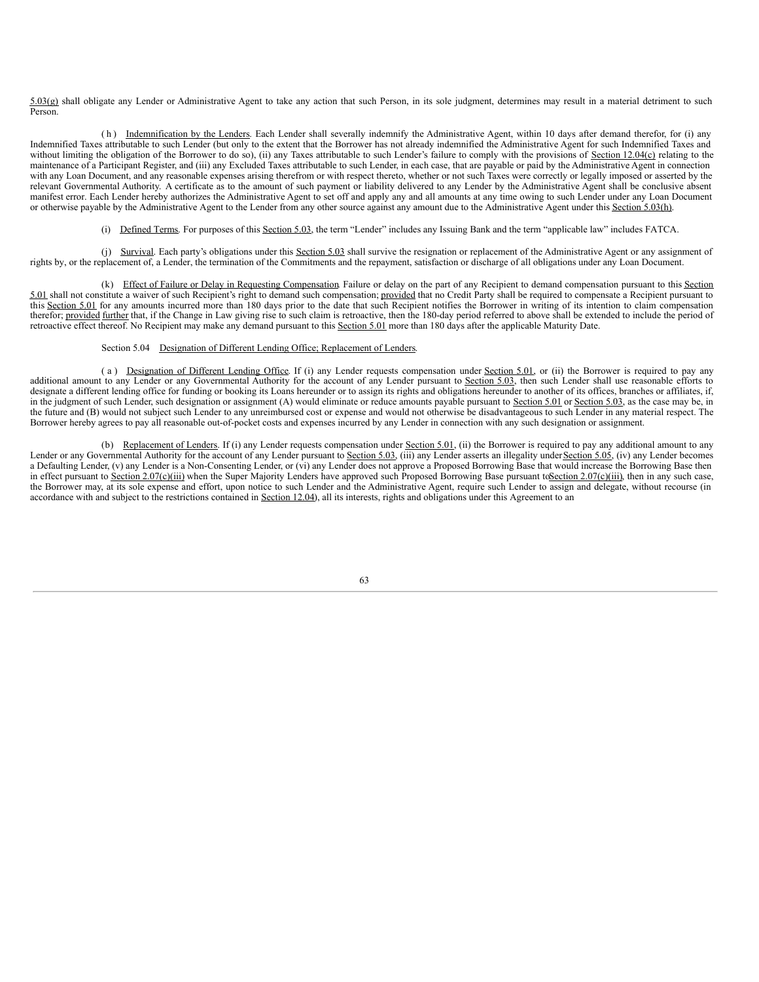5.03(g) shall obligate any Lender or Administrative Agent to take any action that such Person, in its sole judgment, determines may result in a material detriment to such Person.

(h) Indemnification by the Lenders. Each Lender shall severally indemnify the Administrative Agent, within 10 days after demand therefor, for (i) any Indemnified Taxes attributable to such Lender (but only to the extent that the Borrower has not already indemnified the Administrative Agent for such Indemnified Taxes and without limiting the obligation of the Borrower to do so), (ii) any Taxes attributable to such Lender's failure to comply with the provisions of Section 12.04(c) relating to the maintenance of a Participant Register, and (iii) any Excluded Taxes attributable to such Lender, in each case, that are payable or paid by the Administrative Agent in connection with any Loan Document, and any reasonable expenses arising therefrom or with respect thereto, whether or not such Taxes were correctly or legally imposed or asserted by the relevant Governmental Authority. A certificate as to the amount of such payment or liability delivered to any Lender by the Administrative Agent shall be conclusive absent manifest error. Each Lender hereby authorizes the Administrative Agent to set off and apply any and all amounts at any time owing to such Lender under any Loan Document or otherwise payable by the Administrative Agent to the Lender from any other source against any amount due to the Administrative Agent under this Section 5.03(h).

(i) Defined Terms. For purposes of this Section 5.03, the term "Lender" includes any Issuing Bank and the term "applicable law" includes FATCA.

(j) Survival. Each party's obligations under this Section 5.03 shall survive the resignation or replacement of the Administrative Agent or any assignment of rights by, or the replacement of, a Lender, the termination of the Commitments and the repayment, satisfaction or discharge of all obligations under any Loan Document.

(k) Effect of Failure or Delay in Requesting Compensation. Failure or delay on the part of any Recipient to demand compensation pursuant to this Section 5.01 shall not constitute a waiver of such Recipient's right to demand such compensation; provided that no Credit Party shall be required to compensate a Recipient pursuant to this Section 5.01 for any amounts incurred more than 180 days prior to the date that such Recipient notifies the Borrower in writing of its intention to claim compensation therefor; provided further that, if the Change in Law giving rise to such claim is retroactive, then the 180-day period referred to above shall be extended to include the period of retroactive effect thereof. No Recipient may make any demand pursuant to this Section 5.01 more than 180 days after the applicable Maturity Date.

## Section 5.04 Designation of Different Lending Office; Replacement of Lenders.

(a) Designation of Different Lending Office. If (i) any Lender requests compensation under Section 5.01, or (ii) the Borrower is required to pay any additional amount to any Lender or any Governmental Authority for the account of any Lender pursuant to Section 5.03, then such Lender shall use reasonable efforts to designate a different lending office for funding or booking its Loans hereunder or to assign its rights and obligations hereunder to another of its offices, branches or affiliates, if, in the judgment of such Lender, such designation or assignment (A) would eliminate or reduce amounts payable pursuant to Section 5.01 or Section 5.03, as the case may be, in the future and (B) would not subject such Lender to any unreimbursed cost or expense and would not otherwise be disadvantageous to such Lender in any material respect. The Borrower hereby agrees to pay all reasonable out-of-pocket costs and expenses incurred by any Lender in connection with any such designation or assignment.

(b) Replacement of Lenders. If (i) any Lender requests compensation under Section 5.01, (ii) the Borrower is required to pay any additional amount to any Lender or any Governmental Authority for the account of any Lender pursuant to Section 5.03, (iii) any Lender asserts an illegality under Section 5.05, (iv) any Lender becomes a Defaulting Lender, (v) any Lender is a Non-Consenting Lender, or (vi) any Lender does not approve a Proposed Borrowing Base that would increase the Borrowing Base then in effect pursuant to Section 2.07(c)(iii) when the Super Majority Lenders have approved such Proposed Borrowing Base pursuant toSection 2.07(c)(iii), then in any such case, the Borrower may, at its sole expense and effort, upon notice to such Lender and the Administrative Agent, require such Lender to assign and delegate, without recourse (in accordance with and subject to the restrictions contained in Section 12.04), all its interests, rights and obligations under this Agreement to an

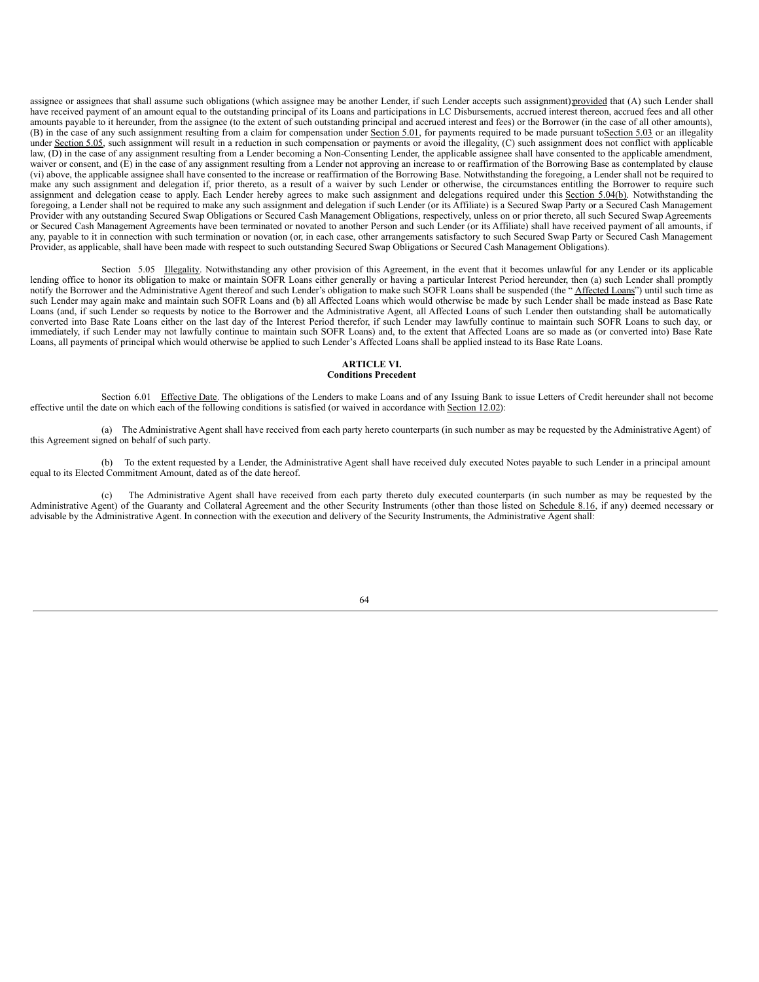assignee or assignees that shall assume such obligations (which assignee may be another Lender, if such Lender accepts such assignment);provided that (A) such Lender shall have received payment of an amount equal to the outstanding principal of its Loans and participations in LC Disbursements, accrued interest thereon, accrued fees and all other amounts payable to it hereunder, from the assignee (to the extent of such outstanding principal and accrued interest and fees) or the Borrower (in the case of all other amounts), (B) in the case of any such assignment resulting from a claim for compensation under Section 5.01, for payments required to be made pursuant toSection 5.03 or an illegality under Section 5.05, such assignment will result in a reduction in such compensation or payments or avoid the illegality, (C) such assignment does not conflict with applicable law, (D) in the case of any assignment resulting from a Lender becoming a Non-Consenting Lender, the applicable assignee shall have consented to the applicable amendment, waiver or consent, and (E) in the case of any assignment resulting from a Lender not approving an increase to or reaffirmation of the Borrowing Base as contemplated by clause (vi) above, the applicable assignee shall have consented to the increase or reaffirmation of the Borrowing Base. Notwithstanding the foregoing, a Lender shall not be required to make any such assignment and delegation if, prior thereto, as a result of a waiver by such Lender or otherwise, the circumstances entitling the Borrower to require such assignment and delegation cease to apply. Each Lender hereby agrees to make such assignment and delegations required under this Section 5.04(b). Notwithstanding the foregoing, a Lender shall not be required to make any such assignment and delegation if such Lender (or its Affiliate) is a Secured Swap Party or a Secured Cash Management Provider with any outstanding Secured Swap Obligations or Secured Cash Management Obligations, respectively, unless on or prior thereto, all such Secured Swap Agreements or Secured Cash Management Agreements have been terminated or novated to another Person and such Lender (or its Affiliate) shall have received payment of all amounts, if any, payable to it in connection with such termination or novation (or, in each case, other arrangements satisfactory to such Secured Swap Party or Secured Cash Management Provider, as applicable, shall have been made with respect to such outstanding Secured Swap Obligations or Secured Cash Management Obligations).

Section 5.05 Illegality. Notwithstanding any other provision of this Agreement, in the event that it becomes unlawful for any Lender or its applicable lending office to honor its obligation to make or maintain SOFR Loans either generally or having a particular Interest Period hereunder, then (a) such Lender shall promptly notify the Borrower and the Administrative Agent thereof and such Lender's obligation to make such SOFR Loans shall be suspended (the "Affected Loans") until such time as such Lender may again make and maintain such SOFR Loans and (b) all Affected Loans which would otherwise be made by such Lender shall be made instead as Base Rate Loans (and, if such Lender so requests by notice to the Borrower and the Administrative Agent, all Affected Loans of such Lender then outstanding shall be automatically converted into Base Rate Loans either on the last day of the Interest Period therefor, if such Lender may lawfully continue to maintain such SOFR Loans to such day, or immediately, if such Lender may not lawfully continue to maintain such SOFR Loans) and, to the extent that Affected Loans are so made as (or converted into) Base Rate Loans, all payments of principal which would otherwise be applied to such Lender's Affected Loans shall be applied instead to its Base Rate Loans.

## **ARTICLE VI. Conditions Precedent**

Section 6.01 Effective Date. The obligations of the Lenders to make Loans and of any Issuing Bank to issue Letters of Credit hereunder shall not become effective until the date on which each of the following conditions is satisfied (or waived in accordance with Section 12.02):

(a) The Administrative Agent shall have received from each party hereto counterparts (in such number as may be requested by the Administrative Agent) of this Agreement signed on behalf of such party.

(b) To the extent requested by a Lender, the Administrative Agent shall have received duly executed Notes payable to such Lender in a principal amount equal to its Elected Commitment Amount, dated as of the date hereof.

(c) The Administrative Agent shall have received from each party thereto duly executed counterparts (in such number as may be requested by the Administrative Agent) of the Guaranty and Collateral Agreement and the other Security Instruments (other than those listed on Schedule 8.16, if any) deemed necessary or advisable by the Administrative Agent. In connection with the execution and delivery of the Security Instruments, the Administrative Agent shall: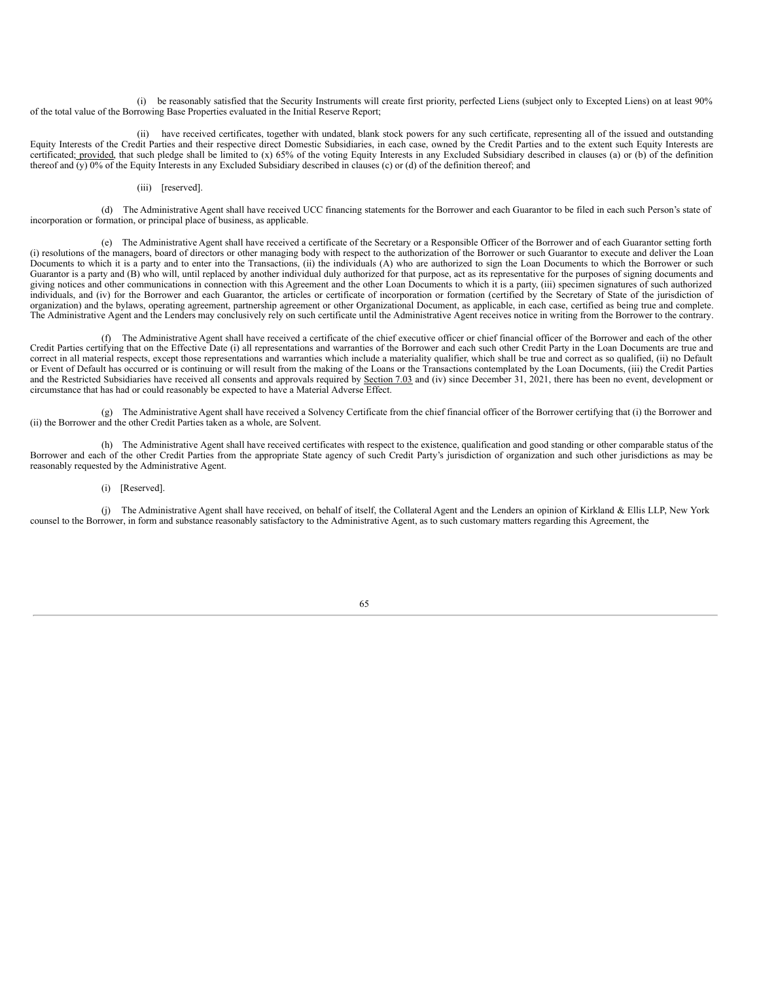(i) be reasonably satisfied that the Security Instruments will create first priority, perfected Liens (subject only to Excepted Liens) on at least 90% of the total value of the Borrowing Base Properties evaluated in the Initial Reserve Report;

(ii) have received certificates, together with undated, blank stock powers for any such certificate, representing all of the issued and outstanding Equity Interests of the Credit Parties and their respective direct Domestic Subsidiaries, in each case, owned by the Credit Parties and to the extent such Equity Interests are certificated; provided, that such pledge shall be limited to (x)  $65%$  of the voting Equity Interests in any Excluded Subsidiary described in clauses (a) or (b) of the definition thereof and  $(y)$  0% of the Equity Interests in any Excluded Subsidiary described in clauses (c) or (d) of the definition thereof; and

## (iii) [reserved].

(d) The Administrative Agent shall have received UCC financing statements for the Borrower and each Guarantor to be filed in each such Person's state of incorporation or formation, or principal place of business, as applicable.

(e) The Administrative Agent shall have received a certificate of the Secretary or a Responsible Officer of the Borrower and of each Guarantor setting forth (i) resolutions of the managers, board of directors or other managing body with respect to the authorization of the Borrower or such Guarantor to execute and deliver the Loan Documents to which it is a party and to enter into the Transactions, (ii) the individuals (A) who are authorized to sign the Loan Documents to which the Borrower or such Guarantor is a party and (B) who will, until replaced by another individual duly authorized for that purpose, act as its representative for the purposes of signing documents and giving notices and other communications in connection with this Agreement and the other Loan Documents to which it is a party, (iii) specimen signatures of such authorized individuals, and (iv) for the Borrower and each Guarantor, the articles or certificate of incorporation or formation (certified by the Secretary of State of the jurisdiction of organization) and the bylaws, operating agreement, partnership agreement or other Organizational Document, as applicable, in each case, certified as being true and complete. The Administrative Agent and the Lenders may conclusively rely on such certificate until the Administrative Agent receives notice in writing from the Borrower to the contrary.

(f) The Administrative Agent shall have received a certificate of the chief executive officer or chief financial officer of the Borrower and each of the other Credit Parties certifying that on the Effective Date (i) all representations and warranties of the Borrower and each such other Credit Party in the Loan Documents are true and correct in all material respects, except those representations and warranties which include a materiality qualifier, which shall be true and correct as so qualified, (ii) no Default or Event of Default has occurred or is continuing or will result from the making of the Loans or the Transactions contemplated by the Loan Documents, (iii) the Credit Parties and the Restricted Subsidiaries have received all consents and approvals required by Section 7.03 and (iv) since December 31, 2021, there has been no event, development or circumstance that has had or could reasonably be expected to have a Material Adverse Effect.

(g) The Administrative Agent shall have received a Solvency Certificate from the chief financial officer of the Borrower certifying that (i) the Borrower and (ii) the Borrower and the other Credit Parties taken as a whole, are Solvent.

(h) The Administrative Agent shall have received certificates with respect to the existence, qualification and good standing or other comparable status of the Borrower and each of the other Credit Parties from the appropriate State agency of such Credit Party's jurisdiction of organization and such other jurisdictions as may be reasonably requested by the Administrative Agent.

#### (i) [Reserved].

(j) The Administrative Agent shall have received, on behalf of itself, the Collateral Agent and the Lenders an opinion of Kirkland & Ellis LLP, New York counsel to the Borrower, in form and substance reasonably satisfactory to the Administrative Agent, as to such customary matters regarding this Agreement, the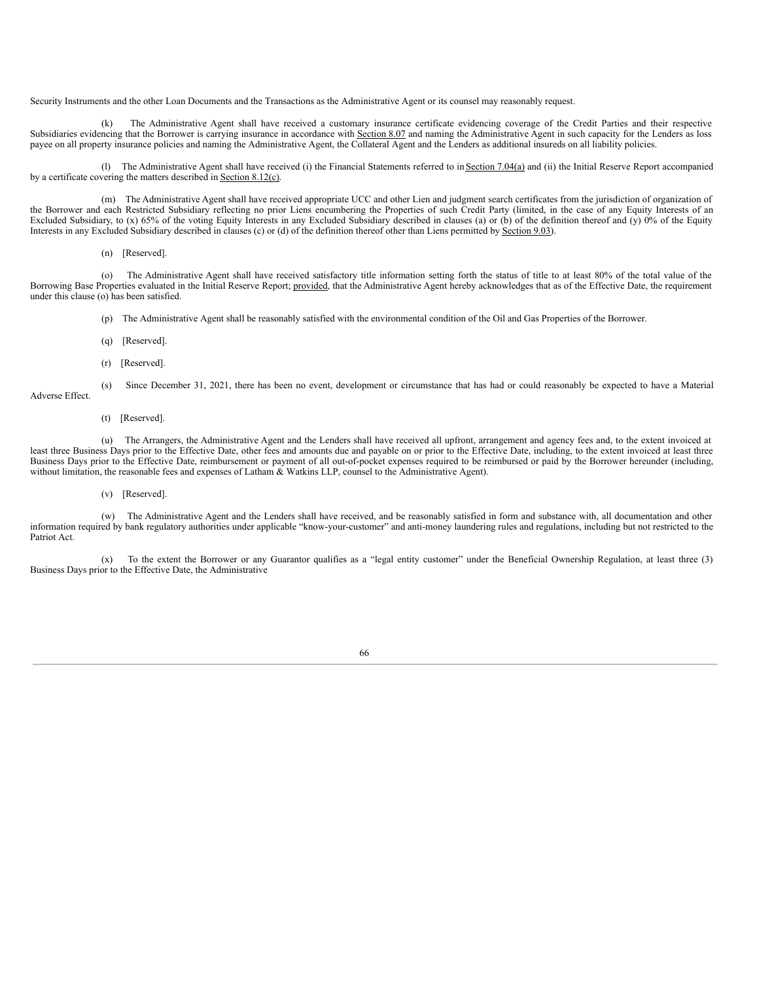Security Instruments and the other Loan Documents and the Transactions as the Administrative Agent or its counsel may reasonably request.

(k) The Administrative Agent shall have received a customary insurance certificate evidencing coverage of the Credit Parties and their respective Subsidiaries evidencing that the Borrower is carrying insurance in accordance with Section 8.07 and naming the Administrative Agent in such capacity for the Lenders as loss payee on all property insurance policies and naming the Administrative Agent, the Collateral Agent and the Lenders as additional insureds on all liability policies.

(I) The Administrative Agent shall have received (i) the Financial Statements referred to in Section 7.04(a) and (ii) the Initial Reserve Report accompanied by a certificate covering the matters described in Section 8.12(c).

(m) The Administrative Agent shall have received appropriate UCC and other Lien and judgment search certificates from the jurisdiction of organization of the Borrower and each Restricted Subsidiary reflecting no prior Liens encumbering the Properties of such Credit Party (limited, in the case of any Equity Interests of an Excluded Subsidiary, to (x) 65% of the voting Equity Interests in any Excluded Subsidiary described in clauses (a) or (b) of the definition thereof and (y) 0% of the Equity Interests in any Excluded Subsidiary described in clauses (c) or (d) of the definition thereof other than Liens permitted by Section 9.03).

(n) [Reserved].

(o) The Administrative Agent shall have received satisfactory title information setting forth the status of title to at least 80% of the total value of the Borrowing Base Properties evaluated in the Initial Reserve Report; provided, that the Administrative Agent hereby acknowledges that as of the Effective Date, the requirement under this clause (o) has been satisfied.

- (p) The Administrative Agent shall be reasonably satisfied with the environmental condition of the Oil and Gas Properties of the Borrower.
- (q) [Reserved].
- (r) [Reserved].

(s) Since December 31, 2021, there has been no event, development or circumstance that has had or could reasonably be expected to have a Material Adverse Effect.

(t) [Reserved].

(u) The Arrangers, the Administrative Agent and the Lenders shall have received all upfront, arrangement and agency fees and, to the extent invoiced at least three Business Days prior to the Effective Date, other fees and amounts due and payable on or prior to the Effective Date, including, to the extent invoiced at least three Business Days prior to the Effective Date, reimbursement or payment of all out-of-pocket expenses required to be reimbursed or paid by the Borrower hereunder (including, without limitation, the reasonable fees and expenses of Latham & Watkins LLP, counsel to the Administrative Agent).

(v) [Reserved].

(w) The Administrative Agent and the Lenders shall have received, and be reasonably satisfied in form and substance with, all documentation and other information required by bank regulatory authorities under applicable "know-your-customer" and anti-money laundering rules and regulations, including but not restricted to the Patriot Act.

(x) To the extent the Borrower or any Guarantor qualifies as a "legal entity customer" under the Beneficial Ownership Regulation, at least three (3) Business Days prior to the Effective Date, the Administrative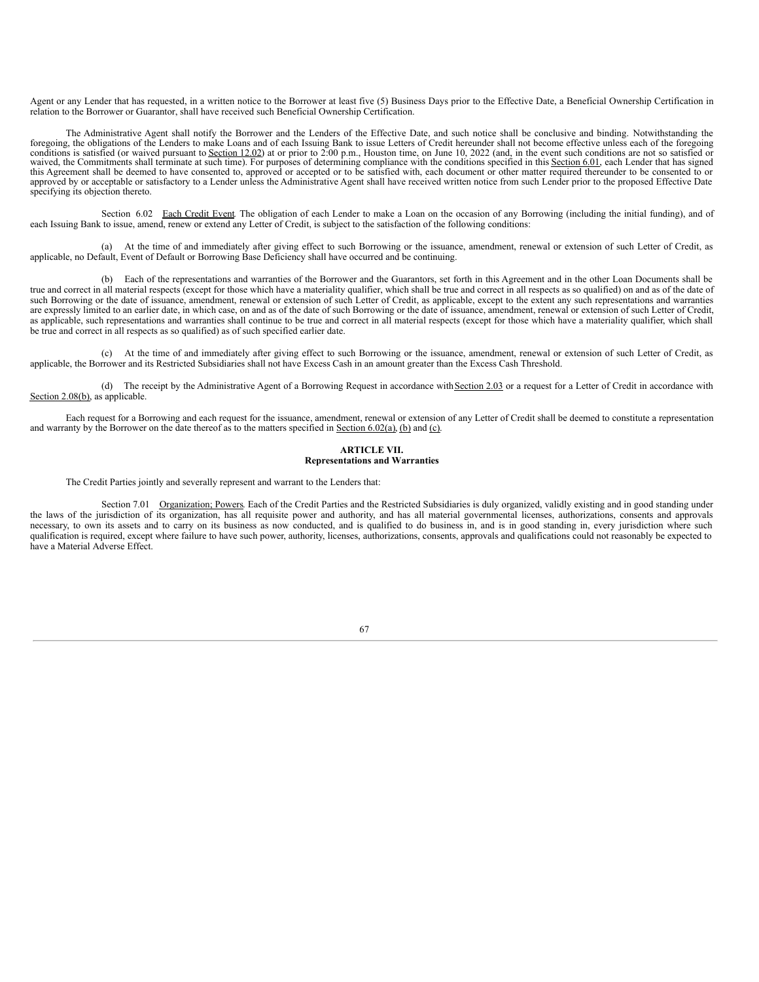Agent or any Lender that has requested, in a written notice to the Borrower at least five (5) Business Days prior to the Effective Date, a Beneficial Ownership Certification in relation to the Borrower or Guarantor, shall have received such Beneficial Ownership Certification.

The Administrative Agent shall notify the Borrower and the Lenders of the Effective Date, and such notice shall be conclusive and binding. Notwithstanding the foregoing, the obligations of the Lenders to make Loans and of each Issuing Bank to issue Letters of Credit hereunder shall not become effective unless each of the foregoing conditions is satisfied (or waived pursuant to Section 12.02) at or prior to 2:00 p.m., Houston time, on June 10, 2022 (and, in the event such conditions are not so satisfied or waived, the Commitments shall terminate at such time). For purposes of determining compliance with the conditions specified in this Section 6.01, each Lender that has signed this Agreement shall be deemed to have consented to, approved or accepted or to be satisfied with, each document or other matter required thereunder to be consented to or approved by or acceptable or satisfactory to a Lender unless the Administrative Agent shall have received written notice from such Lender prior to the proposed Effective Date specifying its objection thereto.

Section 6.02 Each Credit Event. The obligation of each Lender to make a Loan on the occasion of any Borrowing (including the initial funding), and of each Issuing Bank to issue, amend, renew or extend any Letter of Credit, is subject to the satisfaction of the following conditions:

(a) At the time of and immediately after giving effect to such Borrowing or the issuance, amendment, renewal or extension of such Letter of Credit, as applicable, no Default, Event of Default or Borrowing Base Deficiency shall have occurred and be continuing.

(b) Each of the representations and warranties of the Borrower and the Guarantors, set forth in this Agreement and in the other Loan Documents shall be true and correct in all material respects (except for those which have a materiality qualifier, which shall be true and correct in all respects as so qualified) on and as of the date of such Borrowing or the date of issuance, amendment, renewal or extension of such Letter of Credit, as applicable, except to the extent any such representations and warranties are expressly limited to an earlier date, in which case, on and as of the date of such Borrowing or the date of issuance, amendment, renewal or extension of such Letter of Credit, as applicable, such representations and warranties shall continue to be true and correct in all material respects (except for those which have a materiality qualifier, which shall be true and correct in all respects as so qualified) as of such specified earlier date.

(c) At the time of and immediately after giving effect to such Borrowing or the issuance, amendment, renewal or extension of such Letter of Credit, as applicable, the Borrower and its Restricted Subsidiaries shall not have Excess Cash in an amount greater than the Excess Cash Threshold.

(d) The receipt by the Administrative Agent of a Borrowing Request in accordance with Section 2.03 or a request for a Letter of Credit in accordance with Section 2.08(b), as applicable.

Each request for a Borrowing and each request for the issuance, amendment, renewal or extension of any Letter of Credit shall be deemed to constitute a representation and warranty by the Borrower on the date thereof as to the matters specified in Section 6.02(a), (b) and (c).

#### **ARTICLE VII. Representations and Warranties**

The Credit Parties jointly and severally represent and warrant to the Lenders that:

Section 7.01 Organization; Powers. Each of the Credit Parties and the Restricted Subsidiaries is duly organized, validly existing and in good standing under the laws of the jurisdiction of its organization, has all requisite power and authority, and has all material governmental licenses, authorizations, consents and approvals necessary, to own its assets and to carry on its business as now conducted, and is qualified to do business in, and is in good standing in, every jurisdiction where such qualification is required, except where failure to have such power, authority, licenses, authorizations, consents, approvals and qualifications could not reasonably be expected to have a Material Adverse Effect.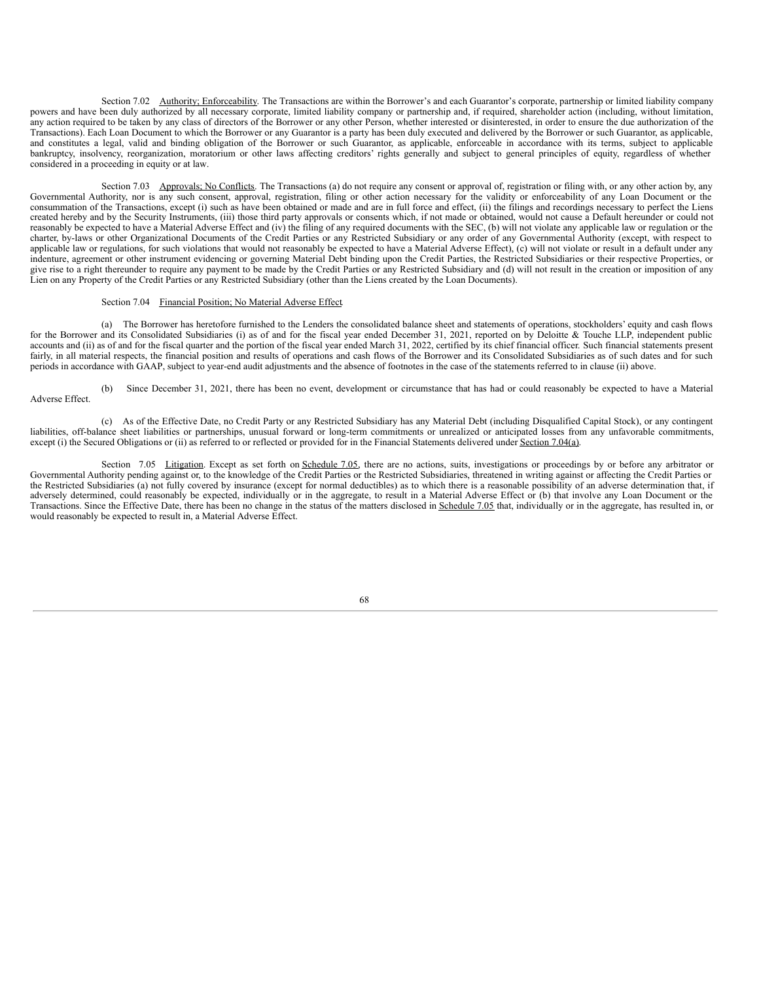Section 7.02 Authority; Enforceability. The Transactions are within the Borrower's and each Guarantor's corporate, partnership or limited liability company powers and have been duly authorized by all necessary corporate, limited liability company or partnership and, if required, shareholder action (including, without limitation, any action required to be taken by any class of directors of the Borrower or any other Person, whether interested or disinterested, in order to ensure the due authorization of the Transactions). Each Loan Document to which the Borrower or any Guarantor is a party has been duly executed and delivered by the Borrower or such Guarantor, as applicable, and constitutes a legal, valid and binding obligation of the Borrower or such Guarantor, as applicable, enforceable in accordance with its terms, subject to applicable bankruptcy, insolvency, reorganization, moratorium or other laws affecting creditors' rights generally and subject to general principles of equity, regardless of whether considered in a proceeding in equity or at law.

Section 7.03 Approvals; No Conflicts. The Transactions (a) do not require any consent or approval of, registration or filing with, or any other action by, any Governmental Authority, nor is any such consent, approval, registration, filing or other action necessary for the validity or enforceability of any Loan Document or the consummation of the Transactions, except (i) such as have been obtained or made and are in full force and effect, (ii) the filings and recordings necessary to perfect the Liens created hereby and by the Security Instruments, (iii) those third party approvals or consents which, if not made or obtained, would not cause a Default hereunder or could not reasonably be expected to have a Material Adverse Effect and (iv) the filing of any required documents with the SEC, (b) will not violate any applicable law or regulation or the charter, by-laws or other Organizational Documents of the Credit Parties or any Restricted Subsidiary or any order of any Governmental Authority (except, with respect to applicable law or regulations, for such violations that would not reasonably be expected to have a Material Adverse Effect), (c) will not violate or result in a default under any indenture, agreement or other instrument evidencing or governing Material Debt binding upon the Credit Parties, the Restricted Subsidiaries or their respective Properties, or give rise to a right thereunder to require any payment to be made by the Credit Parties or any Restricted Subsidiary and (d) will not result in the creation or imposition of any Lien on any Property of the Credit Parties or any Restricted Subsidiary (other than the Liens created by the Loan Documents).

#### Section 7.04 Financial Position; No Material Adverse Effect.

(a) The Borrower has heretofore furnished to the Lenders the consolidated balance sheet and statements of operations, stockholders' equity and cash flows for the Borrower and its Consolidated Subsidiaries (i) as of and for the fiscal year ended December 31, 2021, reported on by Deloitte & Touche LLP, independent public accounts and (ii) as of and for the fiscal quarter and the portion of the fiscal year ended March 31, 2022, certified by its chief financial officer. Such financial statements present fairly, in all material respects, the financial position and results of operations and cash flows of the Borrower and its Consolidated Subsidiaries as of such dates and for such periods in accordance with GAAP, subject to year-end audit adjustments and the absence of footnotes in the case of the statements referred to in clause (ii) above.

(b) Since December 31, 2021, there has been no event, development or circumstance that has had or could reasonably be expected to have a Material Adverse Effect.

(c) As of the Effective Date, no Credit Party or any Restricted Subsidiary has any Material Debt (including Disqualified Capital Stock), or any contingent liabilities, off-balance sheet liabilities or partnerships, unusual forward or long-term commitments or unrealized or anticipated losses from any unfavorable commitments, except (i) the Secured Obligations or (ii) as referred to or reflected or provided for in the Financial Statements delivered under Section 7.04(a).

Section 7.05 Litigation. Except as set forth on Schedule 7.05, there are no actions, suits, investigations or proceedings by or before any arbitrator or Governmental Authority pending against or, to the knowledge of the Credit Parties or the Restricted Subsidiaries, threatened in writing against or affecting the Credit Parties or the Restricted Subsidiaries (a) not fully covered by insurance (except for normal deductibles) as to which there is a reasonable possibility of an adverse determination that, if adversely determined, could reasonably be expected, individually or in the aggregate, to result in a Material Adverse Effect or (b) that involve any Loan Document or the Transactions. Since the Effective Date, there has been no change in the status of the matters disclosed in Schedule 7.05 that, individually or in the aggregate, has resulted in, or would reasonably be expected to result in, a Material Adverse Effect.

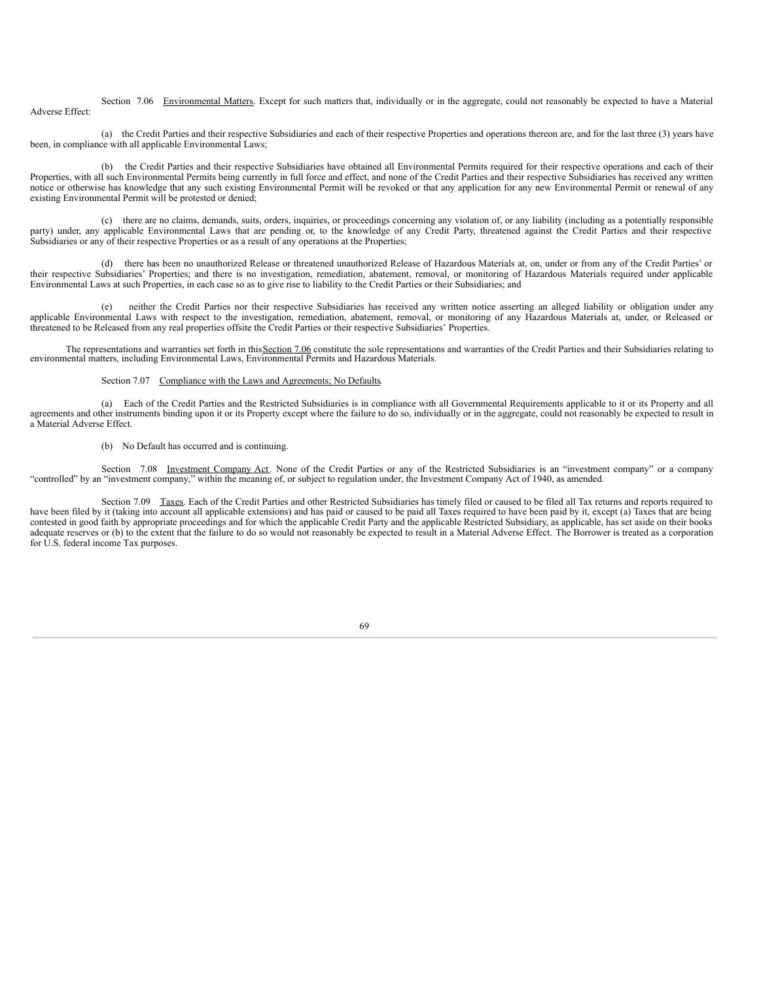Section 7.06 Environmental Matters. Except for such matters that, individually or in the aggregate, could not reasonably be expected to have a Material Adverse Effect:

(a) the Credit Parties and their respective Subsidiaries and each of their respective Properties and operations thereon are, and for the last three (3) years have been, in compliance with all applicable Environmental Laws;

(b) the Credit Parties and their respective Subsidiaries have obtained all Environmental Permits required for their respective operations and each of their Properties, with all such Environmental Permits being currently in full force and effect, and none of the Credit Parties and their respective Subsidiaries has received any written notice or otherwise has knowledge that any such existing Environmental Permit will be revoked or that any application for any new Environmental Permit or renewal of any existing Environmental Permit will be protested or denied;

(c) there are no claims, demands, suits, orders, inquiries, or proceedings concerning any violation of, or any liability (including as a potentially responsible party) under, any applicable Environmental Laws that are pending or, to the knowledge of any Credit Party, threatened against the Credit Parties and their respective Subsidiaries or any of their respective Properties or as a result of any operations at the Properties;

(d) there has been no unauthorized Release or threatened unauthorized Release of Hazardous Materials at, on, under or from any of the Credit Parties' or their respective Subsidiaries' Properties; and there is no investigation, remediation, abatement, removal, or monitoring of Hazardous Materials required under applicable Environmental Laws at such Properties, in each case so as to give rise to liability to the Credit Parties or their Subsidiaries; and

(e) neither the Credit Parties nor their respective Subsidiaries has received any written notice asserting an alleged liability or obligation under any applicable Environmental Laws with respect to the investigation, remediation, abatement, removal, or monitoring of any Hazardous Materials at, under, or Released or threatened to be Released from any real properties offsite the Credit Parties or their respective Subsidiaries' Properties.

The representations and warranties set forth in this Section 7.06 constitute the sole representations and warranties of the Credit Parties and their Subsidiaries relating to environmental matters, including Environmental L

#### Section 7.07 Compliance with the Laws and Agreements; No Defaults.

(a) Each of the Credit Parties and the Restricted Subsidiaries is in compliance with all Governmental Requirements applicable to it or its Property and all agreements and other instruments binding upon it or its Property except where the failure to do so, individually or in the aggregate, could not reasonably be expected to result in a Material Adverse Effect.

#### (b) No Default has occurred and is continuing.

Section 7.08 Investment Company Act. None of the Credit Parties or any of the Restricted Subsidiaries is an "investment company" or a company "controlled" by an "investment company," within the meaning of, or subject to regulation under, the Investment Company Act of 1940, as amended.

Section 7.09 Taxes. Each of the Credit Parties and other Restricted Subsidiaries has timely filed or caused to be filed all Tax returns and reports required to have been filed by it (taking into account all applicable extensions) and has paid or caused to be paid all Taxes required to have been paid by it, except (a) Taxes that are being contested in good faith by appropriate proceedings and for which the applicable Credit Party and the applicable Restricted Subsidiary, as applicable, has set aside on their books adequate reserves or (b) to the extent that the failure to do so would not reasonably be expected to result in a Material Adverse Effect. The Borrower is treated as a corporation for U.S. federal income Tax purposes.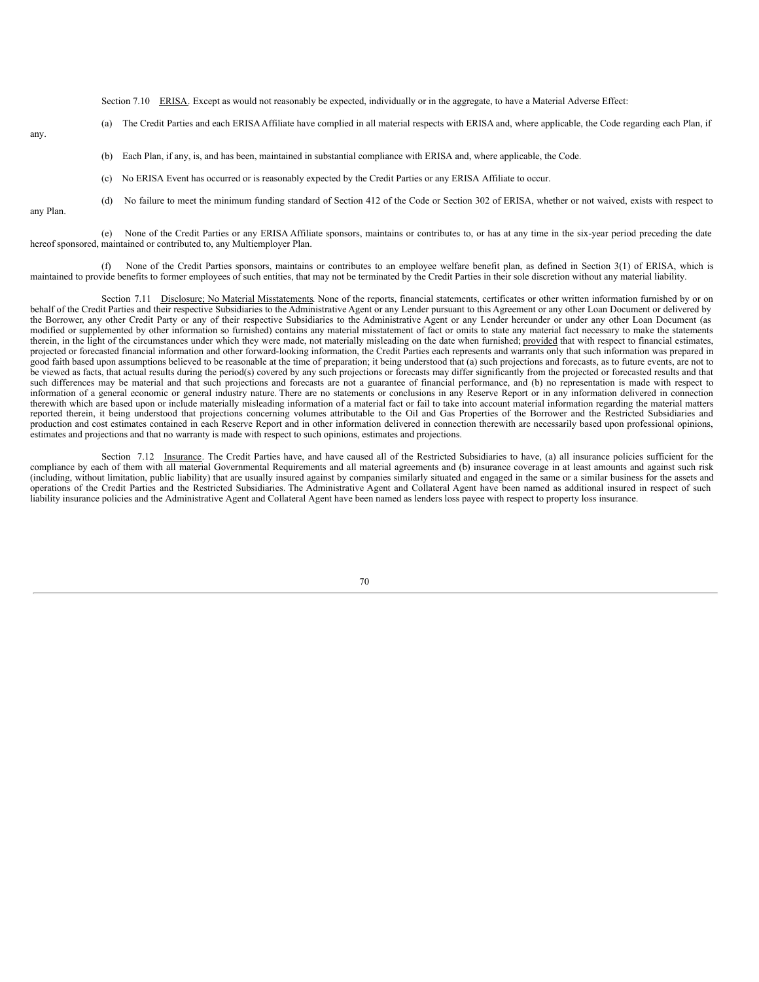Section 7.10 ERISA. Except as would not reasonably be expected, individually or in the aggregate, to have a Material Adverse Effect:

(a) The Credit Parties and each ERISAAffiliate have complied in all material respects with ERISA and, where applicable, the Code regarding each Plan, if

(b) Each Plan, if any, is, and has been, maintained in substantial compliance with ERISA and, where applicable, the Code.

- (c) No ERISA Event has occurred or is reasonably expected by the Credit Parties or any ERISA Affiliate to occur.
- (d) No failure to meet the minimum funding standard of Section 412 of the Code or Section 302 of ERISA, whether or not waived, exists with respect to

(e) None of the Credit Parties or any ERISA Affiliate sponsors, maintains or contributes to, or has at any time in the six-year period preceding the date hereof sponsored, maintained or contributed to, any Multiemployer Plan.

(f) None of the Credit Parties sponsors, maintains or contributes to an employee welfare benefit plan, as defined in Section 3(1) of ERISA, which is maintained to provide benefits to former employees of such entities, that may not be terminated by the Credit Parties in their sole discretion without any material liability.

Section 7.11 Disclosure; No Material Misstatements. None of the reports, financial statements, certificates or other written information furnished by or on behalf of the Credit Parties and their respective Subsidiaries to the Administrative Agent or any Lender pursuant to this Agreement or any other Loan Document or delivered by the Borrower, any other Credit Party or any of their respective Subsidiaries to the Administrative Agent or any Lender hereunder or under any other Loan Document (as modified or supplemented by other information so furnished) contains any material misstatement of fact or omits to state any material fact necessary to make the statements therein, in the light of the circumstances under which they were made, not materially misleading on the date when furnished; provided that with respect to financial estimates, projected or forecasted financial information and other forward-looking information, the Credit Parties each represents and warrants only that such information was prepared in good faith based upon assumptions believed to be reasonable at the time of preparation; it being understood that (a) such projections and forecasts, as to future events, are not to be viewed as facts, that actual results during the period(s) covered by any such projections or forecasts may differ significantly from the projected or forecasted results and that such differences may be material and that such projections and forecasts are not a guarantee of financial performance, and (b) no representation is made with respect to information of a general economic or general industry nature. There are no statements or conclusions in any Reserve Report or in any information delivered in connection therewith which are based upon or include materially misleading information of a material fact or fail to take into account material information regarding the material matters reported therein, it being understood that projections concerning volumes attributable to the Oil and Gas Properties of the Borrower and the Restricted Subsidiaries and production and cost estimates contained in each Reserve Report and in other information delivered in connection therewith are necessarily based upon professional opinions, estimates and projections and that no warranty is made with respect to such opinions, estimates and projections.

Section 7.12 Insurance. The Credit Parties have, and have caused all of the Restricted Subsidiaries to have, (a) all insurance policies sufficient for the compliance by each of them with all material Governmental Requirements and all material agreements and (b) insurance coverage in at least amounts and against such risk (including, without limitation, public liability) that are usually insured against by companies similarly situated and engaged in the same or a similar business for the assets and operations of the Credit Parties and the Restricted Subsidiaries. The Administrative Agent and Collateral Agent have been named as additional insured in respect of such liability insurance policies and the Administrative Agent and Collateral Agent have been named as lenders loss payee with respect to property loss insurance.

70

any.

any Plan.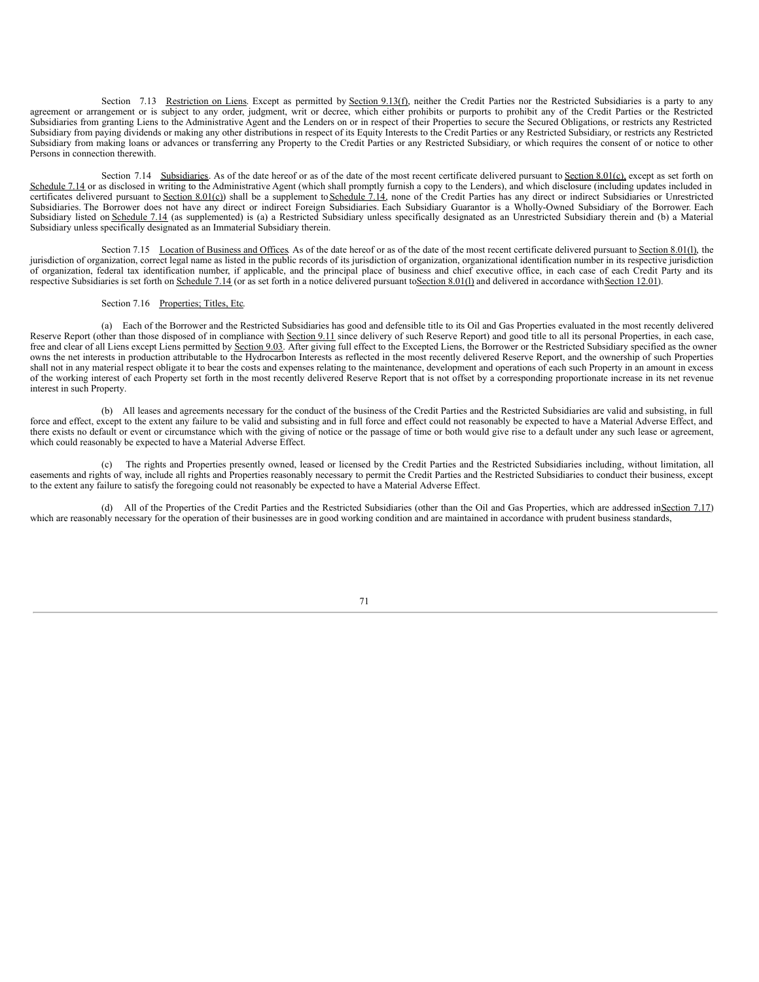Section 7.13 Restriction on Liens. Except as permitted by Section 9.13(f), neither the Credit Parties nor the Restricted Subsidiaries is a party to any agreement or arrangement or is subject to any order, judgment, writ or decree, which either prohibits or purports to prohibit any of the Credit Parties or the Restricted Subsidiaries from granting Liens to the Administrative Agent and the Lenders on or in respect of their Properties to secure the Secured Obligations, or restricts any Restricted Subsidiary from paying dividends or making any other distributions in respect of its Equity Interests to the Credit Parties or any Restricted Subsidiary, or restricts any Restricted Subsidiary from making loans or advances or transferring any Property to the Credit Parties or any Restricted Subsidiary, or which requires the consent of or notice to other Persons in connection therewith.

Section 7.14 Subsidiaries. As of the date hereof or as of the date of the most recent certificate delivered pursuant to Section 8.01(c), except as set forth on Schedule 7.14 or as disclosed in writing to the Administrative Agent (which shall promptly furnish a copy to the Lenders), and which disclosure (including updates included in certificates delivered pursuant to Section 8.01(c)) shall be a supplement to Schedule 7.14, none of the Credit Parties has any direct or indirect Subsidiaries or Unrestricted Subsidiaries. The Borrower does not have any direct or indirect Foreign Subsidiaries. Each Subsidiary Guarantor is a Wholly-Owned Subsidiary of the Borrower. Each Subsidiary listed on Schedule 7.14 (as supplemented) is (a) a Restricted Subsidiary unless specifically designated as an Unrestricted Subsidiary therein and (b) a Material Subsidiary unless specifically designated as an Immaterial Subsidiary therein.

Section 7.15 Location of Business and Offices. As of the date hereof or as of the date of the most recent certificate delivered pursuant to Section 8.01(1), the jurisdiction of organization, correct legal name as listed in the public records of its jurisdiction of organization, organizational identification number in its respective jurisdiction of organization, federal tax identification number, if applicable, and the principal place of business and chief executive office, in each case of each Credit Party and its respective Subsidiaries is set forth on Schedule 7.14 (or as set forth in a notice delivered pursuant to Section 8.01(l) and delivered in accordance with Section 12.01).

#### Section 7.16 Properties; Titles, Etc.

(a) Each of the Borrower and the Restricted Subsidiaries has good and defensible title to its Oil and Gas Properties evaluated in the most recently delivered Reserve Report (other than those disposed of in compliance with Section 9.11 since delivery of such Reserve Report) and good title to all its personal Properties, in each case, free and clear of all Liens except Liens permitted by Section 9.03. After giving full effect to the Excepted Liens, the Borrower or the Restricted Subsidiary specified as the owner owns the net interests in production attributable to the Hydrocarbon Interests as reflected in the most recently delivered Reserve Report, and the ownership of such Properties shall not in any material respect obligate it to bear the costs and expenses relating to the maintenance, development and operations of each such Property in an amount in excess of the working interest of each Property set forth in the most recently delivered Reserve Report that is not offset by a corresponding proportionate increase in its net revenue interest in such Property.

(b) All leases and agreements necessary for the conduct of the business of the Credit Parties and the Restricted Subsidiaries are valid and subsisting, in full force and effect, except to the extent any failure to be valid and subsisting and in full force and effect could not reasonably be expected to have a Material Adverse Effect, and there exists no default or event or circumstance which with the giving of notice or the passage of time or both would give rise to a default under any such lease or agreement, which could reasonably be expected to have a Material Adverse Effect.

(c) The rights and Properties presently owned, leased or licensed by the Credit Parties and the Restricted Subsidiaries including, without limitation, all easements and rights of way, include all rights and Properties reasonably necessary to permit the Credit Parties and the Restricted Subsidiaries to conduct their business, except to the extent any failure to satisfy the foregoing could not reasonably be expected to have a Material Adverse Effect.

(d) All of the Properties of the Credit Parties and the Restricted Subsidiaries (other than the Oil and Gas Properties, which are addressed inSection 7.17) which are reasonably necessary for the operation of their businesses are in good working condition and are maintained in accordance with prudent business standards,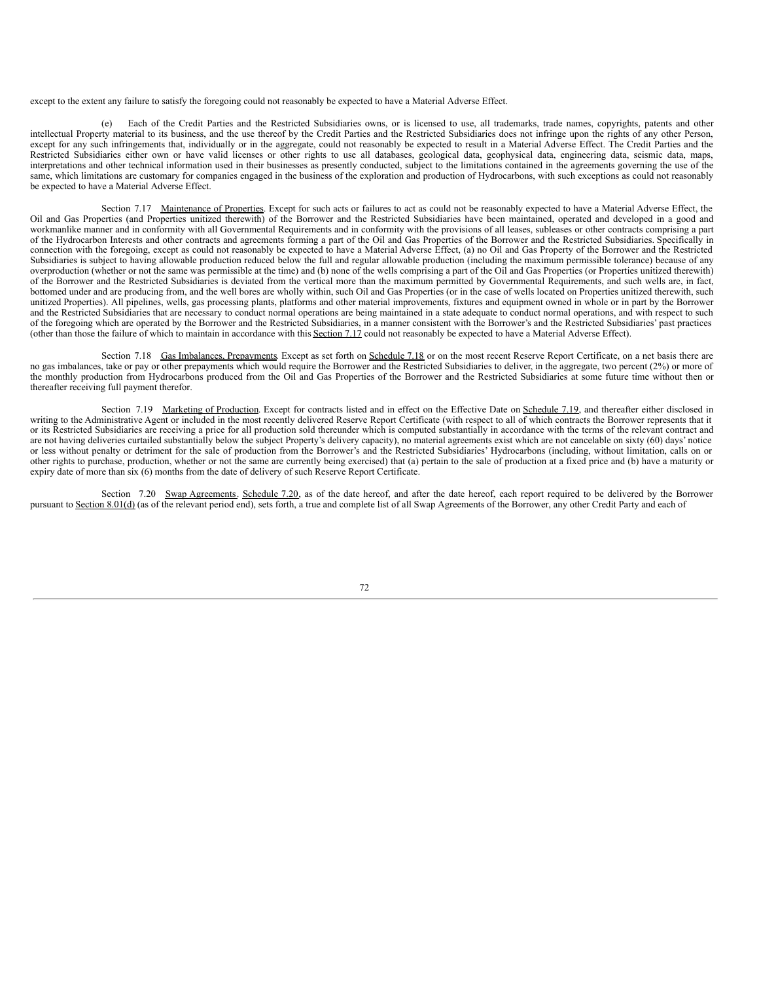except to the extent any failure to satisfy the foregoing could not reasonably be expected to have a Material Adverse Effect.

(e) Each of the Credit Parties and the Restricted Subsidiaries owns, or is licensed to use, all trademarks, trade names, copyrights, patents and other intellectual Property material to its business, and the use thereof by the Credit Parties and the Restricted Subsidiaries does not infringe upon the rights of any other Person, except for any such infringements that, individually or in the aggregate, could not reasonably be expected to result in a Material Adverse Effect. The Credit Parties and the Restricted Subsidiaries either own or have valid licenses or other rights to use all databases, geological data, geophysical data, engineering data, seismic data, maps, interpretations and other technical information used in their businesses as presently conducted, subject to the limitations contained in the agreements governing the use of the same, which limitations are customary for companies engaged in the business of the exploration and production of Hydrocarbons, with such exceptions as could not reasonably be expected to have a Material Adverse Effect.

Section 7.17 Maintenance of Properties. Except for such acts or failures to act as could not be reasonably expected to have a Material Adverse Effect, the Oil and Gas Properties (and Properties unitized therewith) of the Borrower and the Restricted Subsidiaries have been maintained, operated and developed in a good and workmanlike manner and in conformity with all Governmental Requirements and in conformity with the provisions of all leases, subleases or other contracts comprising a part of the Hydrocarbon Interests and other contracts and agreements forming a part of the Oil and Gas Properties of the Borrower and the Restricted Subsidiaries. Specifically in connection with the foregoing, except as could not reasonably be expected to have a Material Adverse Effect, (a) no Oil and Gas Property of the Borrower and the Restricted Subsidiaries is subject to having allowable production reduced below the full and regular allowable production (including the maximum permissible tolerance) because of any overproduction (whether or not the same was permissible at the time) and (b) none of the wells comprising a part of the Oil and Gas Properties (or Properties unitized therewith) of the Borrower and the Restricted Subsidiaries is deviated from the vertical more than the maximum permitted by Governmental Requirements, and such wells are, in fact, bottomed under and are producing from, and the well bores are wholly within, such Oil and Gas Properties (or in the case of wells located on Properties unitized therewith, such unitized Properties). All pipelines, wells, gas processing plants, platforms and other material improvements, fixtures and equipment owned in whole or in part by the Borrower and the Restricted Subsidiaries that are necessary to conduct normal operations are being maintained in a state adequate to conduct normal operations, and with respect to such of the foregoing which are operated by the Borrower and the Restricted Subsidiaries, in a manner consistent with the Borrower's and the Restricted Subsidiaries' past practices (other than those the failure of which to maintain in accordance with this Section 7.17 could not reasonably be expected to have a Material Adverse Effect).

Section 7.18 Gas Imbalances, Prepayments. Except as set forth on Schedule 7.18 or on the most recent Reserve Report Certificate, on a net basis there are no gas imbalances, take or pay or other prepayments which would require the Borrower and the Restricted Subsidiaries to deliver, in the aggregate, two percent (2%) or more of the monthly production from Hydrocarbons produced from the Oil and Gas Properties of the Borrower and the Restricted Subsidiaries at some future time without then or thereafter receiving full payment therefor.

Section 7.19 Marketing of Production. Except for contracts listed and in effect on the Effective Date on Schedule 7.19, and thereafter either disclosed in writing to the Administrative Agent or included in the most recently delivered Reserve Report Certificate (with respect to all of which contracts the Borrower represents that it or its Restricted Subsidiaries are receiving a price for all production sold thereunder which is computed substantially in accordance with the terms of the relevant contract and are not having deliveries curtailed substantially below the subject Property's delivery capacity), no material agreements exist which are not cancelable on sixty (60) days' notice or less without penalty or detriment for the sale of production from the Borrower's and the Restricted Subsidiaries' Hydrocarbons (including, without limitation, calls on or other rights to purchase, production, whether or not the same are currently being exercised) that (a) pertain to the sale of production at a fixed price and (b) have a maturity or expiry date of more than six (6) months from the date of delivery of such Reserve Report Certificate.

Section 7.20 Swap Agreements. Schedule 7.20, as of the date hereof, and after the date hereof, each report required to be delivered by the Borrower pursuant to Section 8.01(d) (as of the relevant period end), sets forth, a true and complete list of all Swap Agreements of the Borrower, any other Credit Party and each of

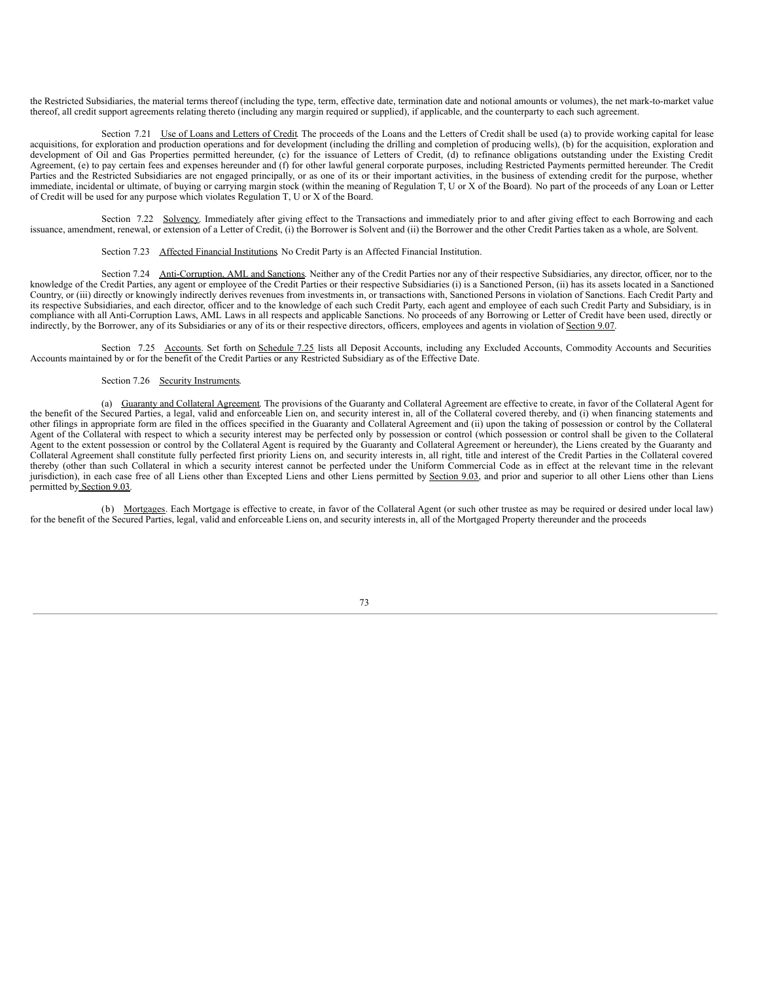the Restricted Subsidiaries, the material terms thereof (including the type, term, effective date, termination date and notional amounts or volumes), the net mark-to-market value thereof, all credit support agreements relating thereto (including any margin required or supplied), if applicable, and the counterparty to each such agreement.

Section 7.21 Use of Loans and Letters of Credit. The proceeds of the Loans and the Letters of Credit shall be used (a) to provide working capital for lease acquisitions, for exploration and production operations and for development (including the drilling and completion of producing wells), (b) for the acquisition, exploration and development of Oil and Gas Properties permitted hereunder, (c) for the issuance of Letters of Credit, (d) to refinance obligations outstanding under the Existing Credit Agreement, (e) to pay certain fees and expenses hereunder and (f) for other lawful general corporate purposes, including Restricted Payments permitted hereunder. The Credit Agreement, (e) to pay certain fees and expenses h Parties and the Restricted Subsidiaries are not engaged principally, or as one of its or their important activities, in the business of extending credit for the purpose, whether immediate, incidental or ultimate, of buying or carrying margin stock (within the meaning of Regulation T, U or X of the Board). No part of the proceeds of any Loan or Letter of Credit will be used for any purpose which violates Regulation T, U or X of the Board.

Section 7.22 Solvency. Immediately after giving effect to the Transactions and immediately prior to and after giving effect to each Borrowing and each issuance, amendment, renewal, or extension of a Letter of Credit, (i) the Borrower is Solvent and (ii) the Borrower and the other Credit Parties taken as a whole, are Solvent.

#### Section 7.23 Affected Financial Institutions. No Credit Party is an Affected Financial Institution.

Section 7.24 Anti-Corruption, AML and Sanctions. Neither any of the Credit Parties nor any of their respective Subsidiaries, any director, officer, nor to the knowledge of the Credit Parties, any agent or employee of the Credit Parties or their respective Subsidiaries (i) is a Sanctioned Person, (ii) has its assets located in a Sanctioned Country, or (iii) directly or knowingly indirectly derives revenues from investments in, or transactions with, Sanctioned Persons in violation of Sanctions. Each Credit Party and its respective Subsidiaries, and each director, officer and to the knowledge of each such Credit Party, each agent and employee of each such Credit Party and Subsidiary, is in compliance with all Anti-Corruption Laws, AML Laws in all respects and applicable Sanctions. No proceeds of any Borrowing or Letter of Credit have been used, directly or indirectly, by the Borrower, any of its Subsidiaries or any of its or their respective directors, officers, employees and agents in violation of Section 9.07.

Section 7.25 Accounts. Set forth on Schedule 7.25 lists all Deposit Accounts, including any Excluded Accounts, Commodity Accounts and Securities Accounts maintained by or for the benefit of the Credit Parties or any Restricted Subsidiary as of the Effective Date.

## Section 7.26 Security Instruments.

(a) Guaranty and Collateral Agreement. The provisions of the Guaranty and Collateral Agreement are effective to create, in favor of the Collateral Agent for the benefit of the Secured Parties, a legal, valid and enforceable Lien on, and security interest in, all of the Collateral covered thereby, and (i) when financing statements and other filings in appropriate form are filed in the offices specified in the Guaranty and Collateral Agreement and (ii) upon the taking of possession or control by the Collateral Agent of the Collateral with respect to which a security interest may be perfected only by possession or control (which possession or control shall be given to the Collateral Agent to the extent possession or control by the Collateral Agent is required by the Guaranty and Collateral Agreement or hereunder), the Liens created by the Guaranty and Collateral Agreement shall constitute fully perfected first priority Liens on, and security interests in, all right, title and interest of the Credit Parties in the Collateral covered thereby (other than such Collateral in which a security interest cannot be perfected under the Uniform Commercial Code as in effect at the relevant time in the relevant jurisdiction), in each case free of all Liens other than Excepted Liens and other Liens permitted by Section 9.03, and prior and superior to all other Liens other than Liens permitted by Section 9.03.

(b) Mortgages. Each Mortgage is effective to create, in favor of the Collateral Agent (or such other trustee as may be required or desired under local law) for the benefit of the Secured Parties, legal, valid and enforceable Liens on, and security interests in, all of the Mortgaged Property thereunder and the proceeds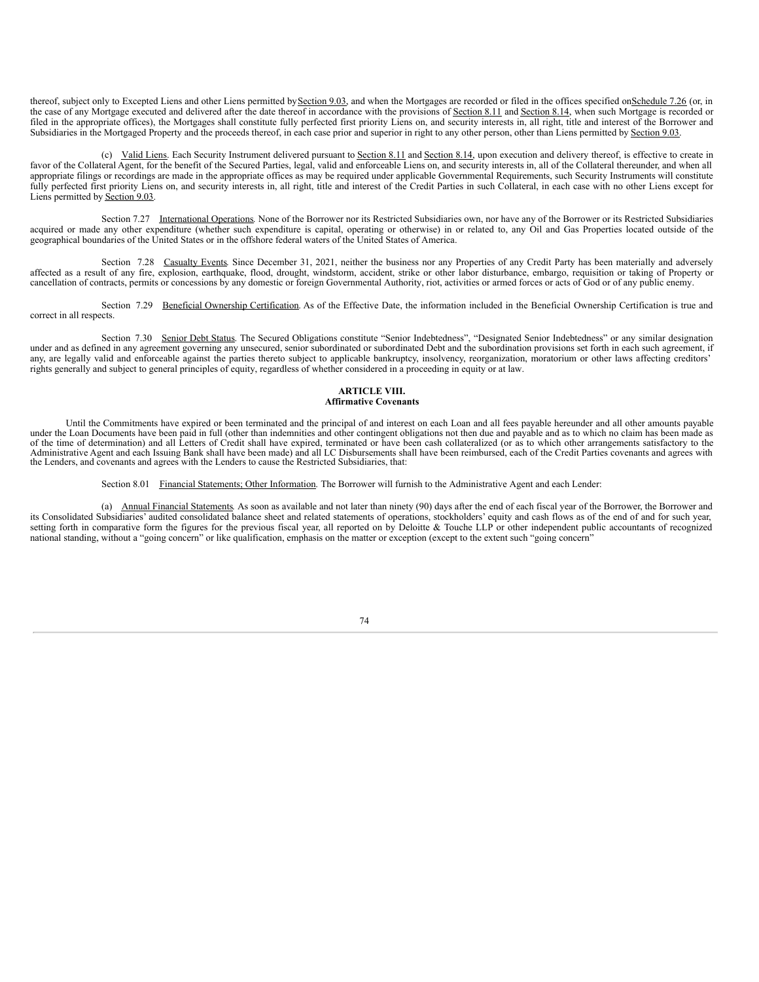thereof, subject only to Excepted Liens and other Liens permitted by Section 9.03, and when the Mortgages are recorded or filed in the offices specified on Schedule 7.26 (or, in the case of any Mortgage executed and delivered after the date thereof in accordance with the provisions of Section 8.11 and Section 8.14, when such Mortgage is recorded or filed in the appropriate offices), the Mortgages shall constitute fully perfected first priority Liens on, and security interests in, all right, title and interest of the Borrower and Subsidiaries in the Mortgaged Property and the proceeds thereof, in each case prior and superior in right to any other person, other than Liens permitted by Section 9.03.

(c) Valid Liens. Each Security Instrument delivered pursuant to Section 8.11 and Section 8.14, upon execution and delivery thereof, is effective to create in favor of the Collateral Agent, for the benefit of the Secured Parties, legal, valid and enforceable Liens on, and security interests in, all of the Collateral thereunder, and when all appropriate filings or recordings are made in the appropriate offices as may be required under applicable Governmental Requirements, such Security Instruments will constitute fully perfected first priority Liens on, and security interests in, all right, title and interest of the Credit Parties in such Collateral, in each case with no other Liens except for Liens permitted by Section 9.03.

Section 7.27 International Operations. None of the Borrower nor its Restricted Subsidiaries own, nor have any of the Borrower or its Restricted Subsidiaries acquired or made any other expenditure (whether such expenditure is capital, operating or otherwise) in or related to, any Oil and Gas Properties located outside of the geographical boundaries of the United States or in the offshore federal waters of the United States of America.

Section 7.28 Casualty Events. Since December 31, 2021, neither the business nor any Properties of any Credit Party has been materially and adversely affected as a result of any fire, explosion, earthquake, flood, drought, windstorm, accident, strike or other labor disturbance, embargo, requisition or taking of Property or cancellation of contracts, permits or concessions by any domestic or foreign Governmental Authority, riot, activities or armed forces or acts of God or of any public enemy.

Section 7.29 Beneficial Ownership Certification. As of the Effective Date, the information included in the Beneficial Ownership Certification is true and correct in all respects.

Section 7.30 Senior Debt Status. The Secured Obligations constitute "Senior Indebtedness", "Designated Senior Indebtedness" or any similar designation under and as defined in any agreement governing any unsecured, senior subordinated or subordinated Debt and the subordination provisions set forth in each such agreement, if any, are legally valid and enforceable against the parties thereto subject to applicable bankruptcy, insolvency, reorganization, moratorium or other laws affecting creditors' rights generally and subject to general principles of equity, regardless of whether considered in a proceeding in equity or at law.

#### **ARTICLE VIII. Affirmative Covenants**

Until the Commitments have expired or been terminated and the principal of and interest on each Loan and all fees payable hereunder and all other amounts payable<br>under the Loan Documents have been paid in full (other than Administrative Agent and each Issuing Bank shall have been made) and all LC Disbursements shall have been reimbursed, each of the Credit Parties covenants and agrees with the Lenders, and covenants and agrees with the Lenders to cause the Restricted Subsidiaries, that:

Section 8.01 Financial Statements; Other Information. The Borrower will furnish to the Administrative Agent and each Lender:

(a) Annual Financial Statements. As soon as available and not later than ninety (90) days after the end of each fiscal year of the Borrower, the Borrower and its Consolidated Subsidiaries' audited consolidated balance sheet and related statements of operations, stockholders' equity and cash flows as of the end of and for such year, setting forth in comparative form the figures for the previous fiscal year, all reported on by Deloitte & Touche LLP or other independent public accountants of recognized national standing, without a "going concern" or like qualification, emphasis on the matter or exception (except to the extent such "going concern"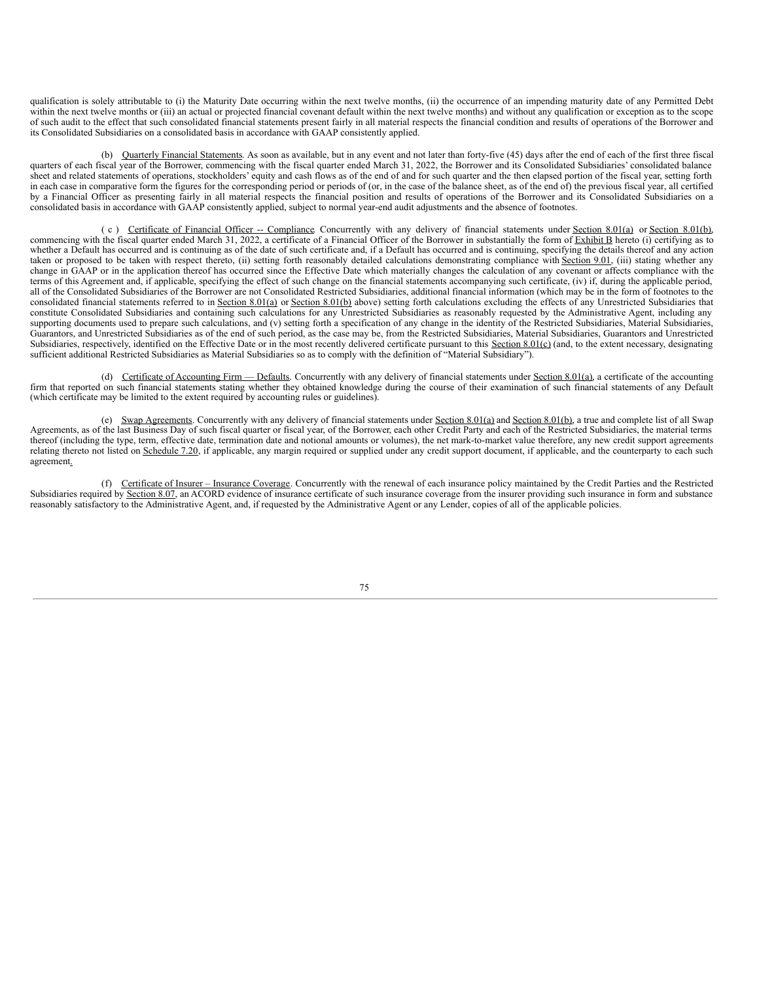qualification is solely attributable to (i) the Maturity Date occurring within the next twelve months, (ii) the occurrence of an impending maturity date of any Permitted Debt within the next twelve months or (iii) an actual or projected financial covenant default within the next twelve months) and without any qualification or exception as to the scope of such audit to the effect that such consolidated financial statements present fairly in all material respects the financial condition and results of operations of the Borrower and its Consolidated Subsidiaries on a consolidated basis in accordance with GAAP consistently applied.

(b) Quarterly Financial Statements. As soon as available, but in any event and not later than forty-five (45) days after the end of each of the first three fiscal quarters of each fiscal year of the Borrower, commencing with the fiscal quarter ended March 31, 2022, the Borrower and its Consolidated Subsidiaries' consolidated balance sheet and related statements of operations, stockholders' equity and cash flows as of the end of and for such quarter and the then elapsed portion of the fiscal year, setting forth in each case in comparative form the figures for the corresponding period or periods of (or, in the case of the balance sheet, as of the end of) the previous fiscal year, all certified by a Financial Officer as presenting fairly in all material respects the financial position and results of operations of the Borrower and its Consolidated Subsidiaries on a consolidated basis in accordance with GAAP consistently applied, subject to normal year-end audit adjustments and the absence of footnotes.

(c) Certificate of Financial Officer -- Compliance. Concurrently with any delivery of financial statements under Section 8.01(a) or Section 8.01(b), commencing with the fiscal quarter ended March 31, 2022, a certificate of a Financial Officer of the Borrower in substantially the form of Exhibit B hereto (i) certifying as to whether a Default has occurred and is continuing as of the date of such certificate and, if a Default has occurred and is continuing, specifying the details thereof and any action taken or proposed to be taken with respect thereto, (ii) setting forth reasonably detailed calculations demonstrating compliance with Section 9.01, (iii) stating whether any change in GAAP or in the application thereof has occurred since the Effective Date which materially changes the calculation of any covenant or affects compliance with the terms of this Agreement and, if applicable, specifying the effect of such change on the financial statements accompanying such certificate, (iv) if, during the applicable period, all of the Consolidated Subsidiaries of the Borrower are not Consolidated Restricted Subsidiaries, additional financial information (which may be in the form of footnotes to the consolidated financial statements referred to in Section 8.01(a) or Section 8.01(b) above) setting forth calculations excluding the effects of any Unrestricted Subsidiaries that constitute Consolidated Subsidiaries and containing such calculations for any Unrestricted Subsidiaries as reasonably requested by the Administrative Agent, including any supporting documents used to prepare such calculations, and (v) setting forth a specification of any change in the identity of the Restricted Subsidiaries, Material Subsidiaries, Guarantors, and Unrestricted Subsidiaries as of the end of such period, as the case may be, from the Restricted Subsidiaries, Material Subsidiaries, Guarantors and Unrestricted Subsidiaries, respectively, identified on the Effective Date or in the most recently delivered certificate pursuant to this Section 8.01(c) (and, to the extent necessary, designating sufficient additional Restricted Subsidiaries as Material Subsidiaries so as to comply with the definition of "Material Subsidiary").

(d) Certificate of Accounting Firm — Defaults. Concurrently with any delivery of financial statements under Section 8.01(a), a certificate of the accounting firm that reported on such financial statements stating whether they obtained knowledge during the course of their examination of such financial statements of any Default (which certificate may be limited to the extent required by accounting rules or guidelines).

(e) Swap Agreements. Concurrently with any delivery of financial statements under Section 8.01(a) and Section 8.01(b), a true and complete list of all Swap Agreements, as of the last Business Day of such fiscal quarter or fiscal year, of the Borrower, each other Credit Party and each of the Restricted Subsidiaries, the material terms thereof (including the type, term, effective date, termination date and notional amounts or volumes), the net mark-to-market value therefore, any new credit support agreements relating thereto not listed on Schedule 7.20, if applicable, any margin required or supplied under any credit support document, if applicable, and the counterparty to each such agreement.

(f) Certificate of Insurer – Insurance Coverage. Concurrently with the renewal of each insurance policy maintained by the Credit Parties and the Restricted Subsidiaries required by Section 8.07, an ACORD evidence of insurance certificate of such insurance coverage from the insurer providing such insurance in form and substance reasonably satisfactory to the Administrative Agent, and, if requested by the Administrative Agent or any Lender, copies of all of the applicable policies.

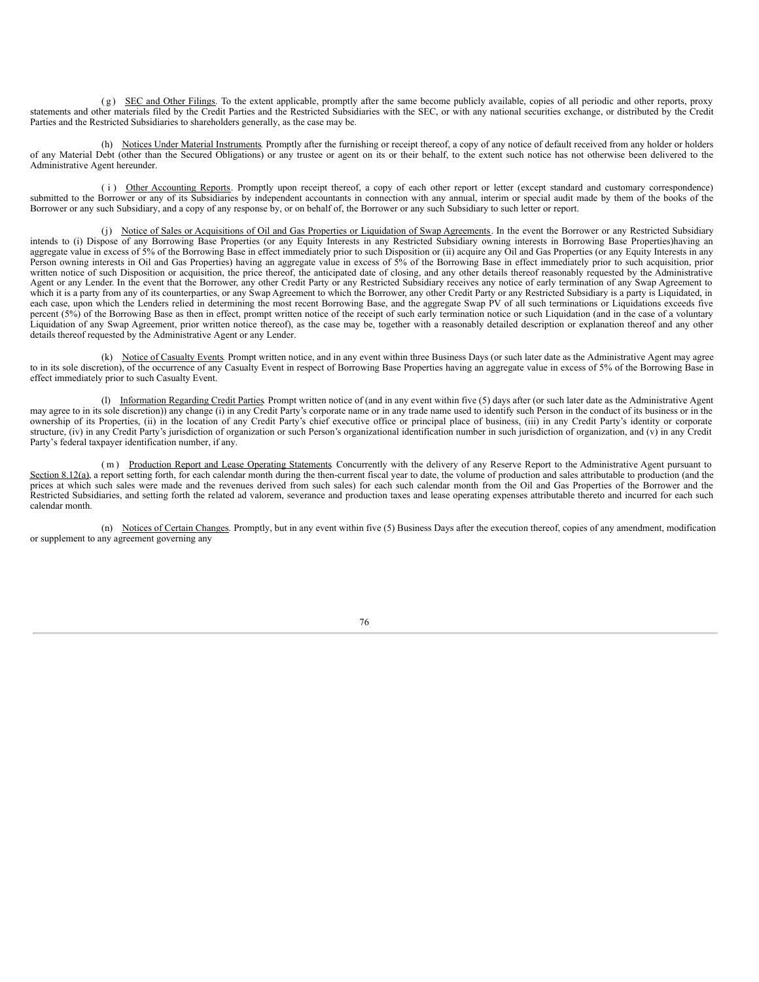(g) SEC and Other Filings. To the extent applicable, promptly after the same become publicly available, copies of all periodic and other reports, proxy statements and other materials filed by the Credit Parties and the Restricted Subsidiaries with the SEC, or with any national securities exchange, or distributed by the Credit Parties and the Restricted Subsidiaries to shareholders generally, as the case may be.

(h) Notices Under Material Instruments. Promptly after the furnishing or receipt thereof, a copy of any notice of default received from any holder or holders of any Material Debt (other than the Secured Obligations) or any trustee or agent on its or their behalf, to the extent such notice has not otherwise been delivered to the Administrative Agent hereunder.

(i) Other Accounting Reports. Promptly upon receipt thereof, a copy of each other report or letter (except standard and customary correspondence) submitted to the Borrower or any of its Subsidiaries by independent accountants in connection with any annual, interim or special audit made by them of the books of the Borrower or any such Subsidiary, and a copy of any response by, or on behalf of, the Borrower or any such Subsidiary to such letter or report.

(j) Notice of Sales or Acquisitions of Oil and Gas Properties or Liquidation of Swap Agreements. In the event the Borrower or any Restricted Subsidiary intends to (i) Dispose of any Borrowing Base Properties (or any Equity Interests in any Restricted Subsidiary owning interests in Borrowing Base Properties)having an aggregate value in excess of 5% of the Borrowing Base in effect immediately prior to such Disposition or (ii) acquire any Oil and Gas Properties (or any Equity Interests in any Person owning interests in Oil and Gas Properties) having an aggregate value in excess of 5% of the Borrowing Base in effect immediately prior to such acquisition, prior written notice of such Disposition or acquisition, the price thereof, the anticipated date of closing, and any other details thereof reasonably requested by the Administrative Agent or any Lender. In the event that the Borrower, any other Credit Party or any Restricted Subsidiary receives any notice of early termination of any Swap Agreement to which it is a party from any of its counterparties, or any Swap Agreement to which the Borrower, any other Credit Party or any Restricted Subsidiary is a party is Liquidated, in each case, upon which the Lenders relied in determining the most recent Borrowing Base, and the aggregate Swap PV of all such terminations or Liquidations exceeds five percent (5%) of the Borrowing Base as then in effect, prompt written notice of the receipt of such early termination notice or such Liquidation (and in the case of a voluntary Liquidation of any Swap Agreement, prior written notice thereof), as the case may be, together with a reasonably detailed description or explanation thereof and any other details thereof requested by the Administrative Agent or any Lender.

(k) Notice of Casualty Events. Prompt written notice, and in any event within three Business Days (or such later date as the Administrative Agent may agree to in its sole discretion), of the occurrence of any Casualty Event in respect of Borrowing Base Properties having an aggregate value in excess of 5% of the Borrowing Base in effect immediately prior to such Casualty Event.

(l) Information Regarding Credit Parties. Prompt written notice of (and in any event within five (5) days after (or such later date as the Administrative Agent may agree to in its sole discretion)) any change (i) in any Credit Party's corporate name or in any trade name used to identify such Person in the conduct of its business or in the ownership of its Properties, (ii) in the location of any Credit Party's chief executive office or principal place of business, (iii) in any Credit Party's identity or corporate structure, (iv) in any Credit Party's jurisdiction of organization or such Person's organizational identification number in such jurisdiction of organization, and (v) in any Credit Party's federal taxpayer identification number, if any.

(m) Production Report and Lease Operating Statements. Concurrently with the delivery of any Reserve Report to the Administrative Agent pursuant to Section 8.12(a), a report setting forth, for each calendar month during the then-current fiscal year to date, the volume of production and sales attributable to production (and the prices at which such sales were made and the revenues derived from such sales) for each such calendar month from the Oil and Gas Properties of the Borrower and the Restricted Subsidiaries, and setting forth the related ad valorem, severance and production taxes and lease operating expenses attributable thereto and incurred for each such calendar month.

(n) Notices of Certain Changes. Promptly, but in any event within five (5) Business Days after the execution thereof, copies of any amendment, modification or supplement to any agreement governing any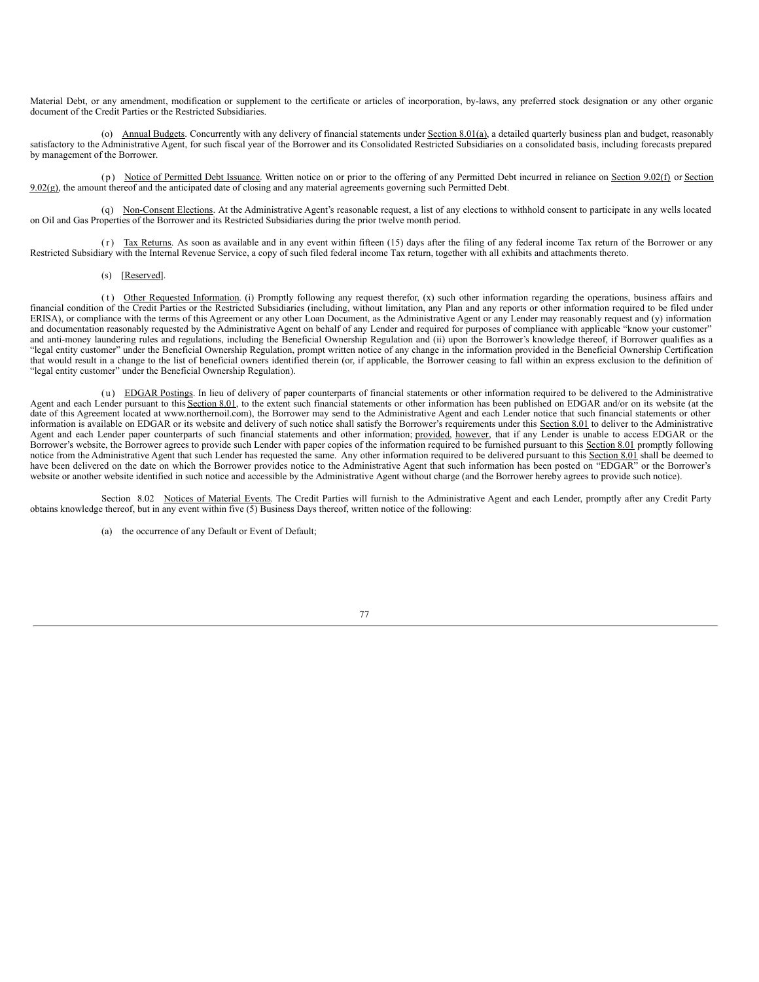Material Debt, or any amendment, modification or supplement to the certificate or articles of incorporation, by-laws, any preferred stock designation or any other organic document of the Credit Parties or the Restricted Subsidiaries.

(o) Annual Budgets. Concurrently with any delivery of financial statements under Section 8.01(a), a detailed quarterly business plan and budget, reasonably satisfactory to the Administrative Agent, for such fiscal year of the Borrower and its Consolidated Restricted Subsidiaries on a consolidated basis, including forecasts prepared by management of the Borrower.

(p) Notice of Permitted Debt Issuance. Written notice on or prior to the offering of any Permitted Debt incurred in reliance on Section 9.02(f) or Section 9.02(g), the amount thereof and the anticipated date of closing and any material agreements governing such Permitted Debt.

(q) Non-Consent Elections. At the Administrative Agent's reasonable request, a list of any elections to withhold consent to participate in any wells located on Oil and Gas Properties of the Borrower and its Restricted Subsidiaries during the prior twelve month period.

(r) Tax Returns. As soon as available and in any event within fifteen (15) days after the filing of any federal income Tax return of the Borrower or any Restricted Subsidiary with the Internal Revenue Service, a copy of such filed federal income Tax return, together with all exhibits and attachments thereto.

#### (s) [Reserved].

( t ) Other Requested Information. (i) Promptly following any request therefor, (x) such other information regarding the operations, business affairs and financial condition of the Credit Parties or the Restricted Subsidiaries (including, without limitation, any Plan and any reports or other information required to be filed under ERISA), or compliance with the terms of this Agreement or any other Loan Document, as the Administrative Agent or any Lender may reasonably request and (y) information and documentation reasonably requested by the Administrative Agent on behalf of any Lender and required for purposes of compliance with applicable "know your customer" and anti-money laundering rules and regulations, including the Beneficial Ownership Regulation and (ii) upon the Borrower's knowledge thereof, if Borrower qualifies as a "legal entity customer" under the Beneficial Ownership Regulation, prompt written notice of any change in the information provided in the Beneficial Ownership Certification that would result in a change to the list of beneficial owners identified therein (or, if applicable, the Borrower ceasing to fall within an express exclusion to the definition of "legal entity customer" under the Beneficial Ownership Regulation).

(u) EDGAR Postings. In lieu of delivery of paper counterparts of financial statements or other information required to be delivered to the Administrative Agent and each Lender pursuant to this Section 8.01, to the extent such financial statements or other information has been published on EDGAR and/or on its website (at the date of this Agreement located at www.northernoil.com), the Borrower may send to the Administrative Agent and each Lender notice that such financial statements or other information is available on EDGAR or its website and delivery of such notice shall satisfy the Borrower's requirements under this Section 8.01 to deliver to the Administrative Agent and each Lender paper counterparts of such financial statements and other information; provided, however, that if any Lender is unable to access EDGAR or the Borrower's website, the Borrower agrees to provide such Lender with paper copies of the information required to be furnished pursuant to this Section 8.01 promptly following notice from the Administrative Agent that such Lender has requested the same. Any other information required to be delivered pursuant to this Section 8.01 shall be deemed to have been delivered on the date on which the Borrower provides notice to the Administrative Agent that such information has been posted on "EDGAR" or the Borrower's website or another website identified in such notice and accessible by the Administrative Agent without charge (and the Borrower hereby agrees to provide such notice).

Section 8.02 Notices of Material Events. The Credit Parties will furnish to the Administrative Agent and each Lender, promptly after any Credit Party obtains knowledge thereof, but in any event within five (5) Business Days thereof, written notice of the following:

(a) the occurrence of any Default or Event of Default;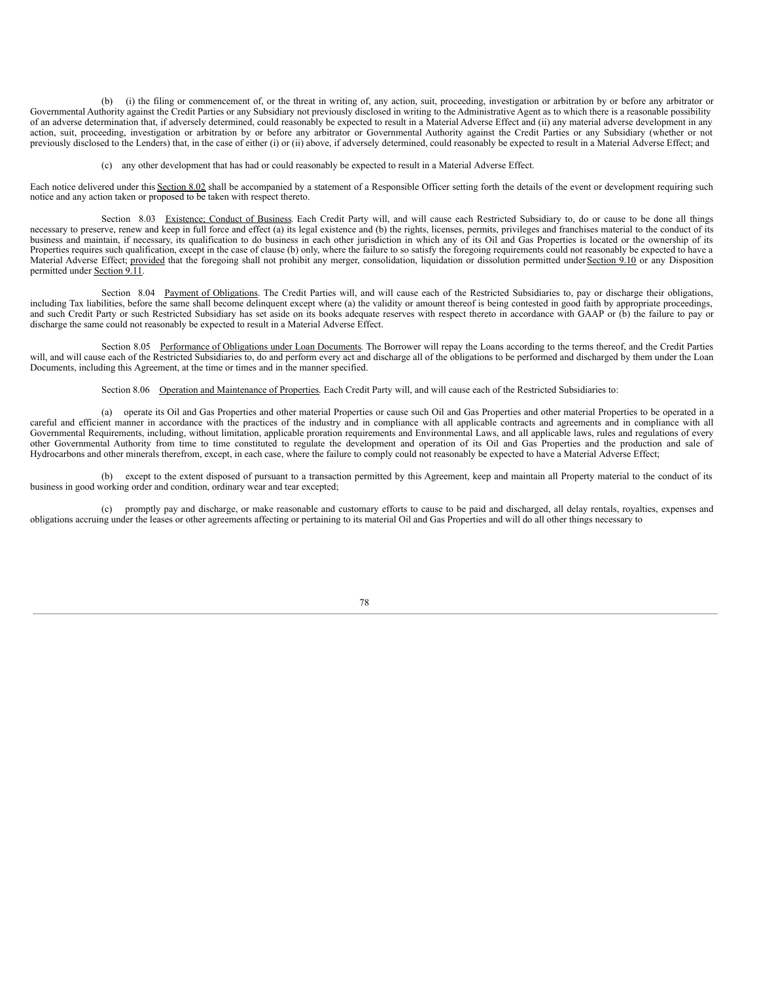(i) the filing or commencement of, or the threat in writing of, any action, suit, proceeding, investigation or arbitration by or before any arbitrator or Governmental Authority against the Credit Parties or any Subsidiary not previously disclosed in writing to the Administrative Agent as to which there is a reasonable possibility of an adverse determination that, if adversely determined, could reasonably be expected to result in a Material Adverse Effect and (ii) any material adverse development in any action, suit, proceeding, investigation or arbitration by or before any arbitrator or Governmental Authority against the Credit Parties or any Subsidiary (whether or not previously disclosed to the Lenders) that, in the case of either (i) or (ii) above, if adversely determined, could reasonably be expected to result in a Material Adverse Effect; and

(c) any other development that has had or could reasonably be expected to result in a Material Adverse Effect.

Each notice delivered under this Section 8.02 shall be accompanied by a statement of a Responsible Officer setting forth the details of the event or development requiring such notice and any action taken or proposed to be taken with respect thereto.

Section 8.03 Existence; Conduct of Business. Each Credit Party will, and will cause each Restricted Subsidiary to, do or cause to be done all things necessary to preserve, renew and keep in full force and effect (a) its legal existence and (b) the rights, licenses, permits, privileges and franchises material to the conduct of its business and maintain, if necessary, its qualification to do business in each other jurisdiction in which any of its Oil and Gas Properties is located or the ownership of its Properties requires such qualification, except in the case of clause (b) only, where the failure to so satisfy the foregoing requirements could not reasonably be expected to have a Material Adverse Effect; provided that the foregoing shall not prohibit any merger, consolidation, liquidation or dissolution permitted under Section 9.10 or any Disposition permitted under Section 9.11.

Section 8.04 Payment of Obligations. The Credit Parties will, and will cause each of the Restricted Subsidiaries to, pay or discharge their obligations, including Tax liabilities, before the same shall become delinquent except where (a) the validity or amount thereof is being contested in good faith by appropriate proceedings, and such Credit Party or such Restricted Subsidiary has set aside on its books adequate reserves with respect thereto in accordance with GAAP or (b) the failure to pay or discharge the same could not reasonably be expected to result in a Material Adverse Effect.

Section 8.05 Performance of Obligations under Loan Documents. The Borrower will repay the Loans according to the terms thereof, and the Credit Parties will, and will cause each of the Restricted Subsidiaries to, do and perform every act and discharge all of the obligations to be performed and discharged by them under the Loan Documents, including this Agreement, at the time or times and in the manner specified.

Section 8.06 Operation and Maintenance of Properties. Each Credit Party will, and will cause each of the Restricted Subsidiaries to:

(a) operate its Oil and Gas Properties and other material Properties or cause such Oil and Gas Properties and other material Properties to be operated in a careful and efficient manner in accordance with the practices of the industry and in compliance with all applicable contracts and agreements and in compliance with all Governmental Requirements, including, without limitation, applicable proration requirements and Environmental Laws, and all applicable laws, rules and regulations of every other Governmental Authority from time to time constituted to regulate the development and operation of its Oil and Gas Properties and the production and sale of Hydrocarbons and other minerals therefrom, except, in each case, where the failure to comply could not reasonably be expected to have a Material Adverse Effect;

(b) except to the extent disposed of pursuant to a transaction permitted by this Agreement, keep and maintain all Property material to the conduct of its business in good working order and condition, ordinary wear and tear excepted;

(c) promptly pay and discharge, or make reasonable and customary efforts to cause to be paid and discharged, all delay rentals, royalties, expenses and obligations accruing under the leases or other agreements affecting or pertaining to its material Oil and Gas Properties and will do all other things necessary to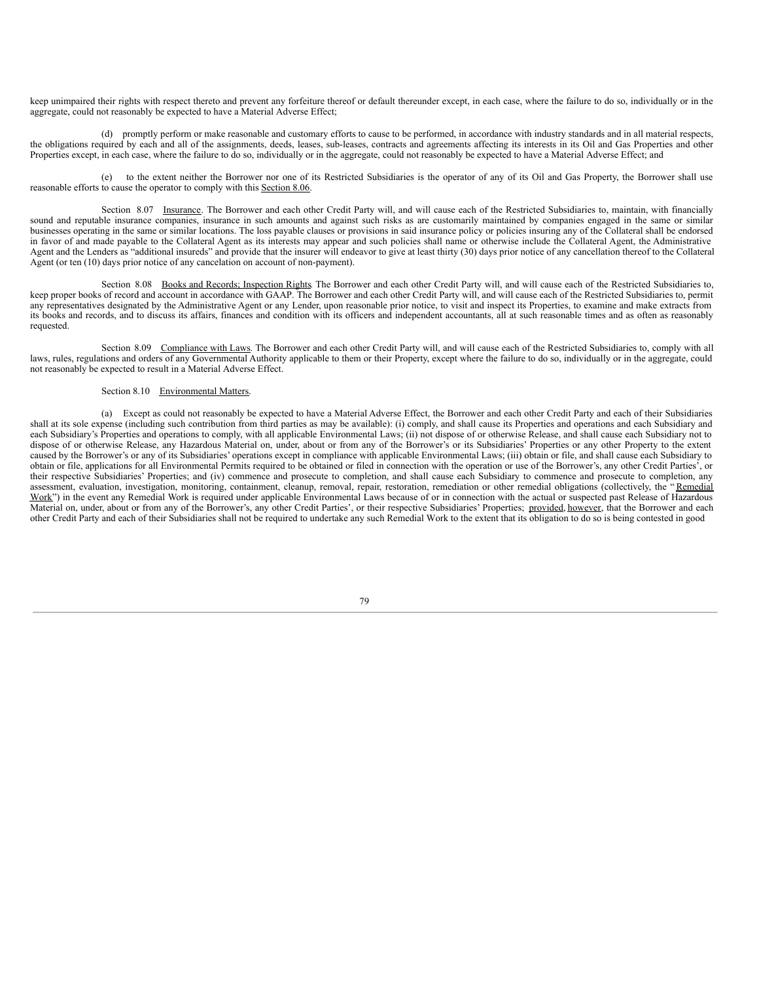keep unimpaired their rights with respect thereto and prevent any forfeiture thereof or default thereunder except, in each case, where the failure to do so, individually or in the aggregate, could not reasonably be expected to have a Material Adverse Effect;

(d) promptly perform or make reasonable and customary efforts to cause to be performed, in accordance with industry standards and in all material respects, the obligations required by each and all of the assignments, deeds, leases, sub-leases, contracts and agreements affecting its interests in its Oil and Gas Properties and other Properties except, in each case, where the failure to do so, individually or in the aggregate, could not reasonably be expected to have a Material Adverse Effect; and

(e) to the extent neither the Borrower nor one of its Restricted Subsidiaries is the operator of any of its Oil and Gas Property, the Borrower shall use reasonable efforts to cause the operator to comply with this Section 8.06.

Section 8.07 Insurance. The Borrower and each other Credit Party will, and will cause each of the Restricted Subsidiaries to, maintain, with financially sound and reputable insurance companies, insurance in such amounts and against such risks as are customarily maintained by companies engaged in the same or similar businesses operating in the same or similar locations. The loss payable clauses or provisions in said insurance policy or policies insuring any of the Collateral shall be endorsed in favor of and made payable to the Collateral Agent as its interests may appear and such policies shall name or otherwise include the Collateral Agent, the Administrative Agent and the Lenders as "additional insureds" and provide that the insurer will endeavor to give at least thirty (30) days prior notice of any cancellation thereof to the Collateral Agent (or ten (10) days prior notice of any cancelation on account of non-payment).

Section 8.08 Books and Records; Inspection Rights. The Borrower and each other Credit Party will, and will cause each of the Restricted Subsidiaries to, keep proper books of record and account in accordance with GAAP. The Borrower and each other Credit Party will, and will cause each of the Restricted Subsidiaries to, permit any representatives designated by the Administrative Agent or any Lender, upon reasonable prior notice, to visit and inspect its Properties, to examine and make extracts from its books and records, and to discuss its affairs, finances and condition with its officers and independent accountants, all at such reasonable times and as often as reasonably requested.

Section 8.09 Compliance with Laws. The Borrower and each other Credit Party will, and will cause each of the Restricted Subsidiaries to, comply with all laws, rules, regulations and orders of any Governmental Authority applicable to them or their Property, except where the failure to do so, individually or in the aggregate, could not reasonably be expected to result in a Material Adverse Effect.

### Section 8.10 Environmental Matters.

(a) Except as could not reasonably be expected to have a Material Adverse Effect, the Borrower and each other Credit Party and each of their Subsidiaries shall at its sole expense (including such contribution from third parties as may be available): (i) comply, and shall cause its Properties and operations and each Subsidiary and each Subsidiary's Properties and operations to comply, with all applicable Environmental Laws; (ii) not dispose of or otherwise Release, and shall cause each Subsidiary not to dispose of or otherwise Release, any Hazardous Material on, under, about or from any of the Borrower's or its Subsidiaries' Properties or any other Property to the extent caused by the Borrower's or any of its Subsidiaries' operations except in compliance with applicable Environmental Laws; (iii) obtain or file, and shall cause each Subsidiary to obtain or file, applications for all Environmental Permits required to be obtained or filed in connection with the operation or use of the Borrower's, any other Credit Parties', or their respective Subsidiaries' Properties; and (iv) commence and prosecute to completion, and shall cause each Subsidiary to commence and prosecute to completion, any assessment, evaluation, investigation, monitoring, containment, cleanup, removal, repair, restoration, remediation or other remedial obligations (collectively, the "Remedial Work") in the event any Remedial Work is required under applicable Environmental Laws because of or in connection with the actual or suspected past Release of Hazardous Material on, under, about or from any of the Borrower's, any other Credit Parties', or their respective Subsidiaries' Properties; provided, however, that the Borrower and each other Credit Party and each of their Subsidiaries shall not be required to undertake any such Remedial Work to the extent that its obligation to do so is being contested in good

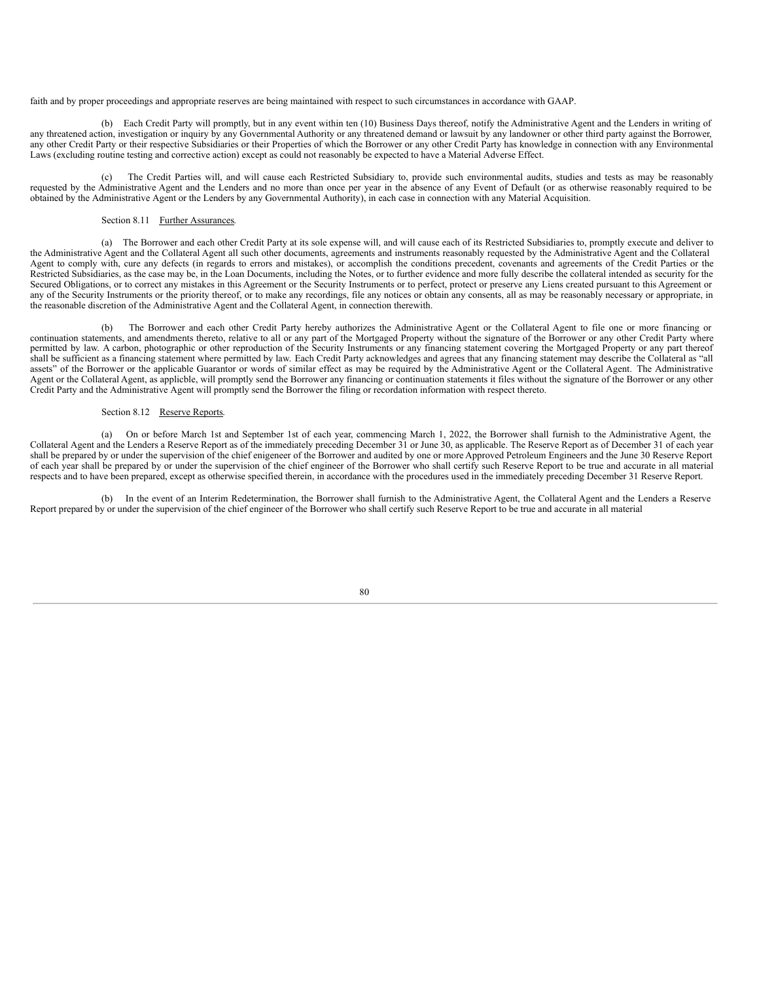faith and by proper proceedings and appropriate reserves are being maintained with respect to such circumstances in accordance with GAAP.

(b) Each Credit Party will promptly, but in any event within ten (10) Business Days thereof, notify the Administrative Agent and the Lenders in writing of any threatened action, investigation or inquiry by any Governmental Authority or any threatened demand or lawsuit by any landowner or other third party against the Borrower, any other Credit Party or their respective Subsidiaries or their Properties of which the Borrower or any other Credit Party has knowledge in connection with any Environmental Laws (excluding routine testing and corrective action) except as could not reasonably be expected to have a Material Adverse Effect.

(c) The Credit Parties will, and will cause each Restricted Subsidiary to, provide such environmental audits, studies and tests as may be reasonably requested by the Administrative Agent and the Lenders and no more than once per year in the absence of any Event of Default (or as otherwise reasonably required to be obtained by the Administrative Agent or the Lenders by any Governmental Authority), in each case in connection with any Material Acquisition.

## Section 8.11 Further Assurances.

(a) The Borrower and each other Credit Party at its sole expense will, and will cause each of its Restricted Subsidiaries to, promptly execute and deliver to the Administrative Agent and the Collateral Agent all such other documents, agreements and instruments reasonably requested by the Administrative Agent and the Collateral Agent to comply with, cure any defects (in regards to errors and mistakes), or accomplish the conditions precedent, covenants and agreements of the Credit Parties or the Restricted Subsidiaries, as the case may be, in the Loan Documents, including the Notes, or to further evidence and more fully describe the collateral intended as security for the Secured Obligations, or to correct any mistakes in this Agreement or the Security Instruments or to perfect, protect or preserve any Liens created pursuant to this Agreement or any of the Security Instruments or the priority thereof, or to make any recordings, file any notices or obtain any consents, all as may be reasonably necessary or appropriate, in the reasonable discretion of the Administrative Agent and the Collateral Agent, in connection therewith.

(b) The Borrower and each other Credit Party hereby authorizes the Administrative Agent or the Collateral Agent to file one or more financing or continuation statements, and amendments thereto, relative to all or any part of the Mortgaged Property without the signature of the Borrower or any other Credit Party where permitted by law. A carbon, photographic or other reproduction of the Security Instruments or any financing statement covering the Mortgaged Property or any part thereof shall be sufficient as a financing statement where permitted by law. Each Credit Party acknowledges and agrees that any financing statement may describe the Collateral as "all assets" of the Borrower or the applicable Guarantor or words of similar effect as may be required by the Administrative Agent or the Collateral Agent. The Administrative Agent or the Collateral Agent, as applicble, will promptly send the Borrower any financing or continuation statements it files without the signature of the Borrower or any other Credit Party and the Administrative Agent will promptly send the Borrower the filing or recordation information with respect thereto.

## Section 8.12 Reserve Reports.

(a) On or before March 1st and September 1st of each year, commencing March 1, 2022, the Borrower shall furnish to the Administrative Agent, the Collateral Agent and the Lenders a Reserve Report as of the immediately preceding December 31 or June 30, as applicable. The Reserve Report as of December 31 of each year shall be prepared by or under the supervision of the chief enigeneer of the Borrower and audited by one or more Approved Petroleum Engineers and the June 30 Reserve Report of each year shall be prepared by or under the supervision of the chief engineer of the Borrower who shall certify such Reserve Report to be true and accurate in all material respects and to have been prepared, except as otherwise specified therein, in accordance with the procedures used in the immediately preceding December 31 Reserve Report.

(b) In the event of an Interim Redetermination, the Borrower shall furnish to the Administrative Agent, the Collateral Agent and the Lenders a Reserve Report prepared by or under the supervision of the chief engineer of the Borrower who shall certify such Reserve Report to be true and accurate in all material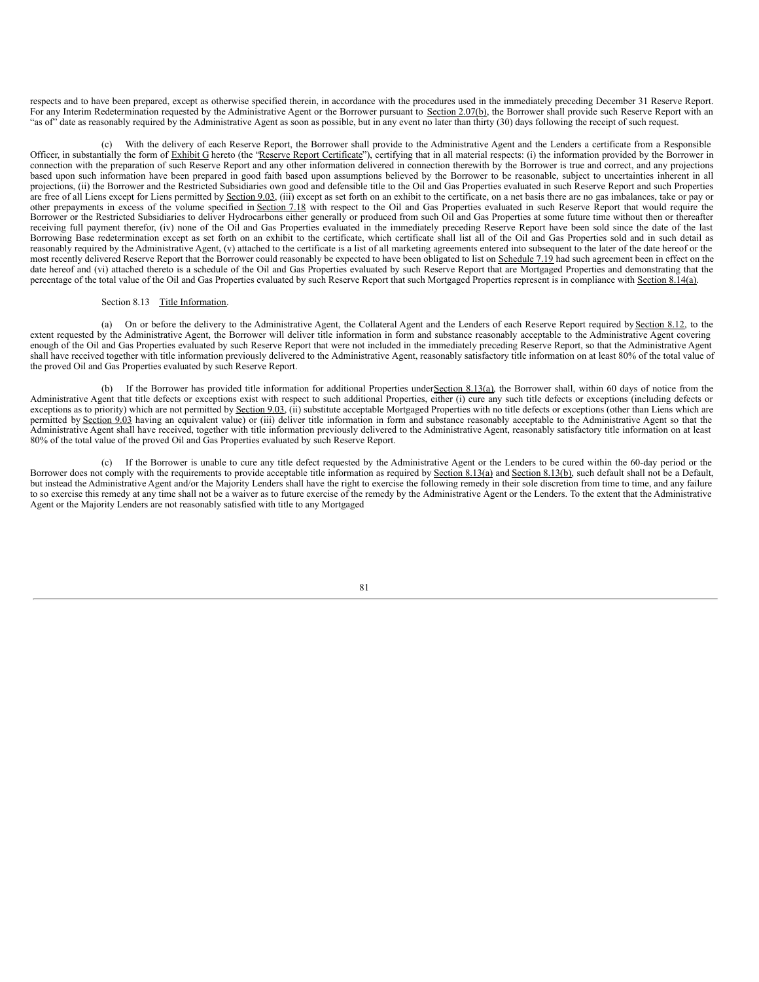respects and to have been prepared, except as otherwise specified therein, in accordance with the procedures used in the immediately preceding December 31 Reserve Report. For any Interim Redetermination requested by the Administrative Agent or the Borrower pursuant to Section 2.07(b), the Borrower shall provide such Reserve Report with an "as of" date as reasonably required by the Administrative Agent as soon as possible, but in any event no later than thirty (30) days following the receipt of such request.

(c) With the delivery of each Reserve Report, the Borrower shall provide to the Administrative Agent and the Lenders a certificate from a Responsible Officer, in substantially the form of Exhibit G hereto (the "Reserve Report Certificate"), certifying that in all material respects: (i) the information provided by the Borrower in connection with the preparation of such Reserve Report and any other information delivered in connection therewith by the Borrower is true and correct, and any projections based upon such information have been prepared in good faith based upon assumptions believed by the Borrower to be reasonable, subject to uncertainties inherent in all projections, (ii) the Borrower and the Restricted Subsidiaries own good and defensible title to the Oil and Gas Properties evaluated in such Reserve Report and such Properties are free of all Liens except for Liens permitted by Section 9.03, (iii) except as set forth on an exhibit to the certificate, on a net basis there are no gas imbalances, take or pay or other prepayments in excess of the volume specified in Section 7.18 with respect to the Oil and Gas Properties evaluated in such Reserve Report that would require the Borrower or the Restricted Subsidiaries to deliver Hydrocarbons either generally or produced from such Oil and Gas Properties at some future time without then or thereafter receiving full payment therefor, (iv) none of the Oil and Gas Properties evaluated in the immediately preceding Reserve Report have been sold since the date of the last Borrowing Base redetermination except as set forth on an exhibit to the certificate, which certificate shall list all of the Oil and Gas Properties sold and in such detail as reasonably required by the Administrative Agent, (v) attached to the certificate is a list of all marketing agreements entered into subsequent to the later of the date hereof or the most recently delivered Reserve Report that the Borrower could reasonably be expected to have been obligated to list on Schedule 7.19 had such agreement been in effect on the date hereof and (vi) attached thereto is a schedule of the Oil and Gas Properties evaluated by such Reserve Report that are Mortgaged Properties and demonstrating that the percentage of the total value of the Oil and Gas Properties evaluated by such Reserve Report that such Mortgaged Properties represent is in compliance with Section 8.14(a).

### Section 8.13 Title Information.

(a) On or before the delivery to the Administrative Agent, the Collateral Agent and the Lenders of each Reserve Report required by Section 8.12, to the extent requested by the Administrative Agent, the Borrower will deliver title information in form and substance reasonably acceptable to the Administrative Agent covering enough of the Oil and Gas Properties evaluated by such Reserve Report that were not included in the immediately preceding Reserve Report, so that the Administrative Agent shall have received together with title information previously delivered to the Administrative Agent, reasonably satisfactory title information on at least 80% of the total value of the proved Oil and Gas Properties evaluated by such Reserve Report.

(b) If the Borrower has provided title information for additional Properties underSection 8.13(a), the Borrower shall, within 60 days of notice from the Administrative Agent that title defects or exceptions exist with respect to such additional Properties, either (i) cure any such title defects or exceptions (including defects or exceptions as to priority) which are not permitted by Section 9.03, (ii) substitute acceptable Mortgaged Properties with no title defects or exceptions (other than Liens which are permitted by Section 9.03 having an equivalent value) or (iii) deliver title information in form and substance reasonably acceptable to the Administrative Agent so that the Administrative Agent shall have received, together with title information previously delivered to the Administrative Agent, reasonably satisfactory title information on at least 80% of the total value of the proved Oil and Gas Properties evaluated by such Reserve Report.

(c) If the Borrower is unable to cure any title defect requested by the Administrative Agent or the Lenders to be cured within the 60-day period or the Borrower does not comply with the requirements to provide acceptable title information as required by Section 8.13(a) and Section 8.13(b), such default shall not be a Default, but instead the Administrative Agent and/or the Majority Lenders shall have the right to exercise the following remedy in their sole discretion from time to time, and any failure to so exercise this remedy at any time shall not be a waiver as to future exercise of the remedy by the Administrative Agent or the Lenders. To the extent that the Administrative Agent or the Majority Lenders are not reasonably satisfied with title to any Mortgaged

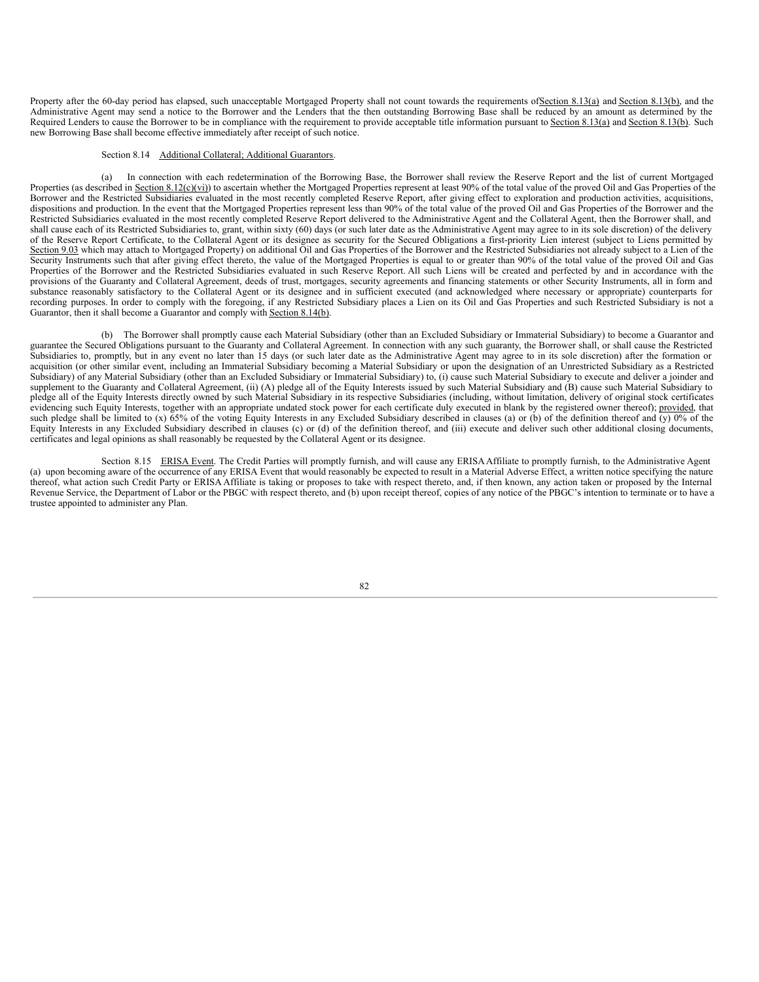Property after the 60-day period has elapsed, such unacceptable Mortgaged Property shall not count towards the requirements ofSection 8.13(a) and Section 8.13(b), and the Administrative Agent may send a notice to the Borrower and the Lenders that the then outstanding Borrowing Base shall be reduced by an amount as determined by the Required Lenders to cause the Borrower to be in compliance with the requirement to provide acceptable title information pursuant to Section 8.13(a) and Section 8.13(b). Such new Borrowing Base shall become effective immediately after receipt of such notice.

### Section 8.14 Additional Collateral; Additional Guarantors.

(a) In connection with each redetermination of the Borrowing Base, the Borrower shall review the Reserve Report and the list of current Mortgaged Properties (as described in Section 8.12(c)(vi)) to ascertain whether the Mortgaged Properties represent at least 90% of the total value of the proved Oil and Gas Properties of the Borrower and the Restricted Subsidiaries evaluated in the most recently completed Reserve Report, after giving effect to exploration and production activities, acquisitions, dispositions and production. In the event that the Mortgaged Properties represent less than 90% of the total value of the proved Oil and Gas Properties of the Borrower and the Restricted Subsidiaries evaluated in the most recently completed Reserve Report delivered to the Administrative Agent and the Collateral Agent, then the Borrower shall, and shall cause each of its Restricted Subsidiaries to, grant, within sixty (60) days (or such later date as the Administrative Agent may agree to in its sole discretion) of the delivery of the Reserve Report Certificate, to the Collateral Agent or its designee as security for the Secured Obligations a first-priority Lien interest (subject to Liens permitted by Section 9.03 which may attach to Mortgaged Property) on additional Oil and Gas Properties of the Borrower and the Restricted Subsidiaries not already subject to a Lien of the Security Instruments such that after giving effect thereto, the value of the Mortgaged Properties is equal to or greater than 90% of the total value of the proved Oil and Gas Properties of the Borrower and the Restricted Subsidiaries evaluated in such Reserve Report. All such Liens will be created and perfected by and in accordance with the provisions of the Guaranty and Collateral Agreement, deeds of trust, mortgages, security agreements and financing statements or other Security Instruments, all in form and substance reasonably satisfactory to the Collateral Agent or its designee and in sufficient executed (and acknowledged where necessary or appropriate) counterparts for recording purposes. In order to comply with the foregoing, if any Restricted Subsidiary places a Lien on its Oil and Gas Properties and such Restricted Subsidiary is not a Guarantor, then it shall become a Guarantor and comply with Section 8.14(b).

(b) The Borrower shall promptly cause each Material Subsidiary (other than an Excluded Subsidiary or Immaterial Subsidiary) to become a Guarantor and guarantee the Secured Obligations pursuant to the Guaranty and Collateral Agreement. In connection with any such guaranty, the Borrower shall, or shall cause the Restricted guarantee the Secured Obligations pursuant to the Subsidiaries to, promptly, but in any event no later than 15 days (or such later date as the Administrative Agent may agree to in its sole discretion) after the formation or acquisition (or other similar event, including an Immaterial Subsidiary becoming a Material Subsidiary or upon the designation of an Unrestricted Subsidiary as a Restricted Subsidiary) of any Material Subsidiary (other than an Excluded Subsidiary or Immaterial Subsidiary) to, (i) cause such Material Subsidiary to execute and deliver a joinder and supplement to the Guaranty and Collateral Agreement, (ii) (A) pledge all of the Equity Interests issued by such Material Subsidiary and (B) cause such Material Subsidiary to pledge all of the Equity Interests directly owned by such Material Subsidiary in its respective Subsidiaries (including, without limitation, delivery of original stock certificates evidencing such Equity Interests, together with an appropriate undated stock power for each certificate duly executed in blank by the registered owner thereof); provided, that such pledge shall be limited to (x) 65% of the voting Equity Interests in any Excluded Subsidiary described in clauses (a) or (b) of the definition thereof and (y) 0% of the Equity Interests in any Excluded Subsidiary described in clauses (c) or (d) of the definition thereof, and (iii) execute and deliver such other additional closing documents, certificates and legal opinions as shall reasonably be requested by the Collateral Agent or its designee.

Section 8.15 ERISA Event. The Credit Parties will promptly furnish, and will cause any ERISA Affiliate to promptly furnish, to the Administrative Agent (a) upon becoming aware of the occurrence of any ERISA Event that would reasonably be expected to result in a Material Adverse Effect, a written notice specifying the nature thereof, what action such Credit Party or ERISA Affiliate is taking or proposes to take with respect thereto, and, if then known, any action taken or proposed by the Internal Revenue Service, the Department of Labor or the PBGC with respect thereto, and (b) upon receipt thereof, copies of any notice of the PBGC's intention to terminate or to have a trustee appointed to administer any Plan.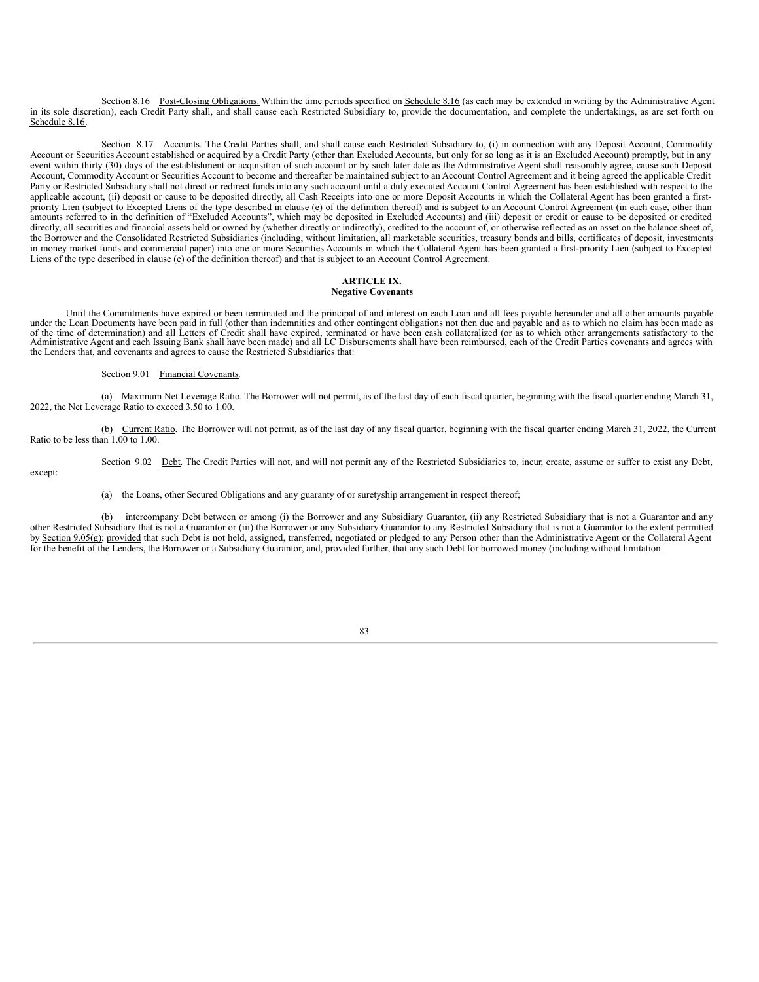Section 8.16 Post-Closing Obligations. Within the time periods specified on Schedule 8.16 (as each may be extended in writing by the Administrative Agent in its sole discretion), each Credit Party shall, and shall cause each Restricted Subsidiary to, provide the documentation, and complete the undertakings, as are set forth on Schedule 8.16.

Section 8.17 Accounts. The Credit Parties shall, and shall cause each Restricted Subsidiary to, (i) in connection with any Deposit Account, Commodity Account or Securities Account established or acquired by a Credit Party (other than Excluded Accounts, but only for so long as it is an Excluded Account) promptly, but in any event within thirty (30) days of the establishment or acquisition of such account or by such later date as the Administrative Agent shall reasonably agree, cause such Deposit Account, Commodity Account or Securities Account to become and thereafter be maintained subject to an Account Control Agreement and it being agreed the applicable Credit Party or Restricted Subsidiary shall not direct or redirect funds into any such account until a duly executed Account Control Agreement has been established with respect to the applicable account, (ii) deposit or cause to be deposited directly, all Cash Receipts into one or more Deposit Accounts in which the Collateral Agent has been granted a firstpriority Lien (subject to Excepted Liens of the type described in clause (e) of the definition thereof) and is subject to an Account Control Agreement (in each case, other than amounts referred to in the definition of "Excluded Accounts", which may be deposited in Excluded Accounts) and (iii) deposit or credit or cause to be deposited or credited directly, all securities and financial assets held or owned by (whether directly or indirectly), credited to the account of, or otherwise reflected as an asset on the balance sheet of, the Borrower and the Consolidated Restricted Subsidiaries (including, without limitation, all marketable securities, treasury bonds and bills, certificates of deposit, investments in money market funds and commercial paper) into one or more Securities Accounts in which the Collateral Agent has been granted a first-priority Lien (subject to Excepted Liens of the type described in clause (e) of the definition thereof) and that is subject to an Account Control Agreement.

### **ARTICLE IX. Negative Covenants**

Until the Commitments have expired or been terminated and the principal of and interest on each Loan and all fees payable hereunder and all other amounts payable under the Loan Documents have been paid in full (other than indemnities and other contingent obligations not then due and payable and as to which no claim has been made as<br>of the time of determination) and all Letters of C Administrative Agent and each Issuing Bank shall have been made) and all LC Disbursements shall have been reimbursed, each of the Credit Parties covenants and agrees with the Lenders that, and covenants and agrees to cause the Restricted Subsidiaries that:

## Section 9.01 Financial Covenants.

except:

(a) Maximum Net Leverage Ratio. The Borrower will not permit, as of the last day of each fiscal quarter, beginning with the fiscal quarter ending March 31, 2022, the Net Leverage Ratio to exceed 3.50 to 1.00.

(b) Current Ratio. The Borrower will not permit, as of the last day of any fiscal quarter, beginning with the fiscal quarter ending March 31, 2022, the Current Ratio to be less than 1.00 to 1.00.

Section 9.02 Debt. The Credit Parties will not, and will not permit any of the Restricted Subsidiaries to, incur, create, assume or suffer to exist any Debt,

(a) the Loans, other Secured Obligations and any guaranty of or suretyship arrangement in respect thereof;

(b) intercompany Debt between or among (i) the Borrower and any Subsidiary Guarantor, (ii) any Restricted Subsidiary that is not a Guarantor and any other Restricted Subsidiary that is not a Guarantor or (iii) the Borrower or any Subsidiary Guarantor to any Restricted Subsidiary that is not a Guarantor to the extent permitted by Section 9.05(g); provided that such Debt is not held, assigned, transferred, negotiated or pledged to any Person other than the Administrative Agent or the Collateral Agent for the benefit of the Lenders, the Borrower or a Subsidiary Guarantor, and, provided further, that any such Debt for borrowed money (including without limitation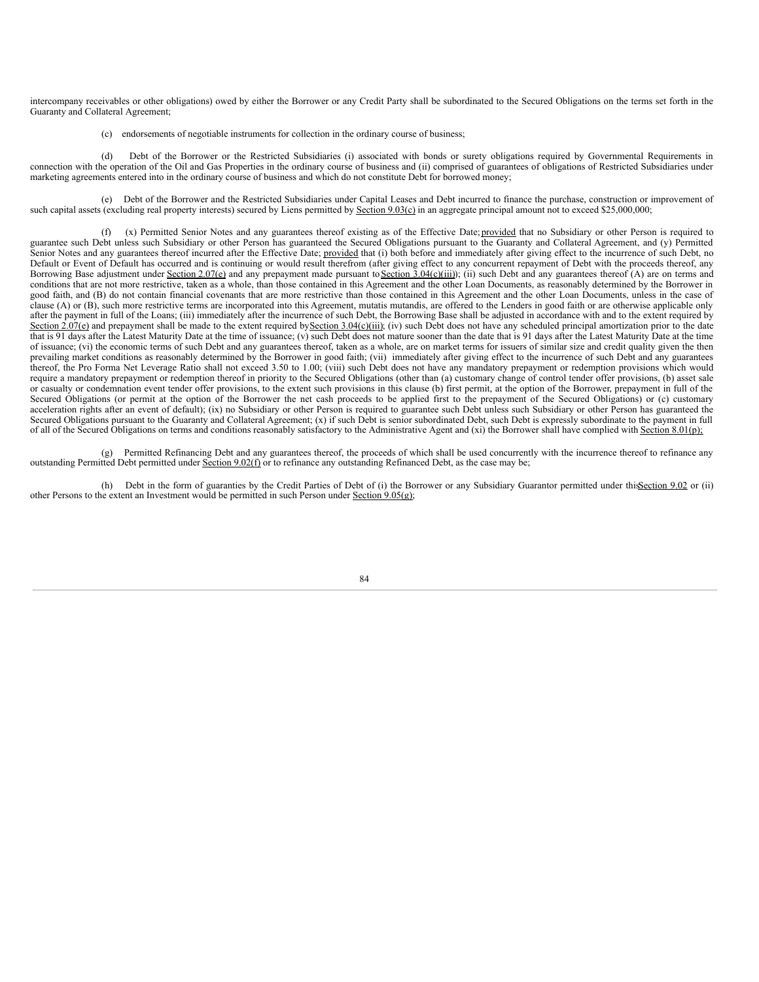intercompany receivables or other obligations) owed by either the Borrower or any Credit Party shall be subordinated to the Secured Obligations on the terms set forth in the Guaranty and Collateral Agreement;

(c) endorsements of negotiable instruments for collection in the ordinary course of business;

Debt of the Borrower or the Restricted Subsidiaries (i) associated with bonds or surety obligations required by Governmental Requirements in connection with the operation of the Oil and Gas Properties in the ordinary course of business and (ii) comprised of guarantees of obligations of Restricted Subsidiaries under marketing agreements entered into in the ordinary course of business and which do not constitute Debt for borrowed money;

(e) Debt of the Borrower and the Restricted Subsidiaries under Capital Leases and Debt incurred to finance the purchase, construction or improvement of such capital assets (excluding real property interests) secured by Liens permitted by Section 9.03(c) in an aggregate principal amount not to exceed \$25,000,000;

(x) Permitted Senior Notes and any guarantees thereof existing as of the Effective Date; provided that no Subsidiary or other Person is required to guarantee such Debt unless such Subsidiary or other Person has guaranteed the Secured Obligations pursuant to the Guaranty and Collateral Agreement, and (y) Permitted Senior Notes and any guarantees thereof incurred after the Effective Date; provided that (i) both before and immediately after giving effect to the incurrence of such Debt, no Default or Event of Default has occurred and is continuing or would result therefrom (after giving effect to any concurrent repayment of Debt with the proceeds thereof, any Borrowing Base adjustment under Section 2.07(e) and any prepayment made pursuant to Section 3.04(c)(iii)); (ii) such Debt and any guarantees thereof (A) are on terms and conditions that are not more restrictive, taken as a whole, than those contained in this Agreement and the other Loan Documents, as reasonably determined by the Borrower in good faith, and (B) do not contain financial covenants that are more restrictive than those contained in this Agreement and the other Loan Documents, unless in the case of clause (A) or (B), such more restrictive terms are incorporated into this Agreement, mutatis mutandis, are offered to the Lenders in good faith or are otherwise applicable only after the payment in full of the Loans; (iii) immediately after the incurrence of such Debt, the Borrowing Base shall be adjusted in accordance with and to the extent required by Section  $2.07(e)$  and prepayment shall be made to the extent required by Section 3.04(c)(iii); (iv) such Debt does not have any scheduled principal amortization prior to the date that is 91 days after the Latest Maturity Date at the time of issuance; (v) such Debt does not mature sooner than the date that is 91 days after the Latest Maturity Date at the time of issuance; (vi) the economic terms of such Debt and any guarantees thereof, taken as a whole, are on market terms for issuers of similar size and credit quality given the then prevailing market conditions as reasonably determined by the Borrower in good faith; (vii) immediately after giving effect to the incurrence of such Debt and any guarantees thereof, the Pro Forma Net Leverage Ratio shall not exceed 3.50 to 1.00; (viii) such Debt does not have any mandatory prepayment or redemption provisions which would require a mandatory prepayment or redemption thereof in priority to the Secured Obligations (other than (a) customary change of control tender offer provisions, (b) asset sale or casualty or condemnation event tender offer provisions, to the extent such provisions in this clause (b) first permit, at the option of the Borrower, prepayment in full of the Secured Obligations (or permit at the option of the Borrower the net cash proceeds to be applied first to the prepayment of the Secured Obligations) or (c) customary acceleration rights after an event of default); (ix) no Subsidiary or other Person is required to guarantee such Debt unless such Subsidiary or other Person has guaranteed the Secured Obligations pursuant to the Guaranty and Collateral Agreement; (x) if such Debt is eenior subordinated Debt, such Debt is expressly subordinate to the payment in full of all of the Secured Obligations on terms and conditions reasonably satisfactory to the Administrative Agent and (xi) the Borrower shall have complied with Section 8.01(p);

(g) Permitted Refinancing Debt and any guarantees thereof, the proceeds of which shall be used concurrently with the incurrence thereof to refinance any outstanding Permitted Debt permitted under Section 9.02(f) or to refinance any outstanding Refinanced Debt, as the case may be;

(h) Debt in the form of guaranties by the Credit Parties of Debt of (i) the Borrower or any Subsidiary Guarantor permitted under thisSection 9.02 or (ii) other Persons to the extent an Investment would be permitted in such Person under Section 9.05(g);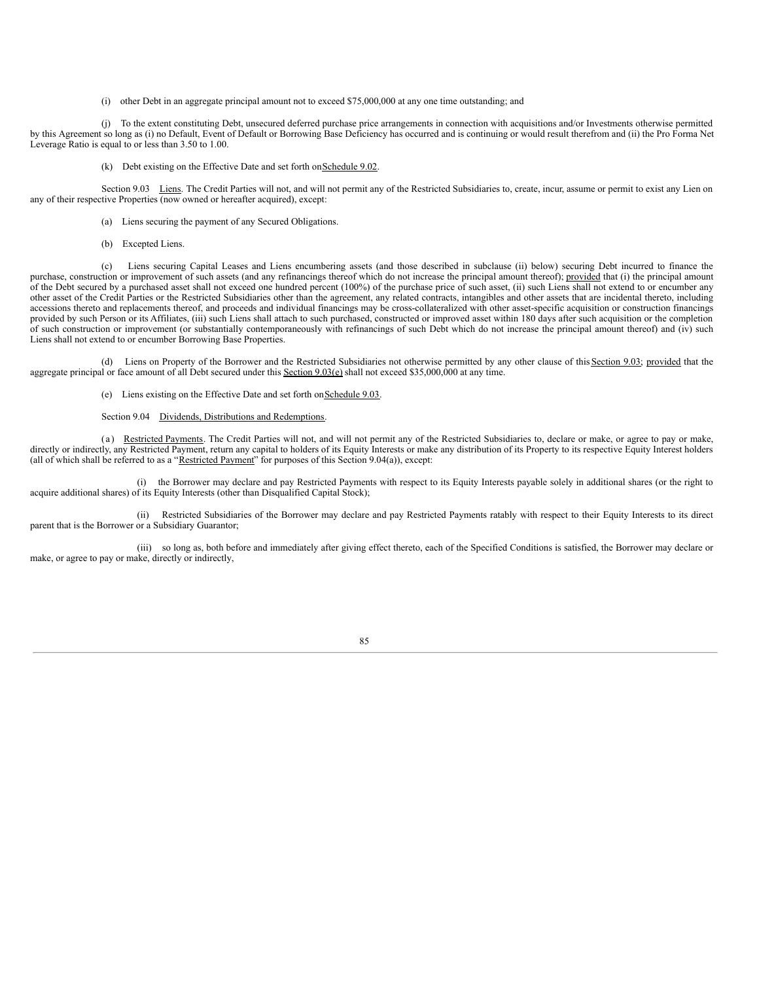(i) other Debt in an aggregate principal amount not to exceed \$75,000,000 at any one time outstanding; and

(j) To the extent constituting Debt, unsecured deferred purchase price arrangements in connection with acquisitions and/or Investments otherwise permitted by this Agreement so long as (i) no Default, Event of Default or Borrowing Base Deficiency has occurred and is continuing or would result therefrom and (ii) the Pro Forma Net Leverage Ratio is equal to or less than 3.50 to 1.00.

(k) Debt existing on the Effective Date and set forth onSchedule 9.02.

Section 9.03 Liens. The Credit Parties will not, and will not permit any of the Restricted Subsidiaries to, create, incur, assume or permit to exist any Lien on any of their respective Properties (now owned or hereafter acquired), except:

- (a) Liens securing the payment of any Secured Obligations.
- (b) Excepted Liens.

(c) Liens securing Capital Leases and Liens encumbering assets (and those described in subclause (ii) below) securing Debt incurred to finance the purchase, construction or improvement of such assets (and any refinancings thereof which do not increase the principal amount thereof); provided that (i) the principal amount of the Debt secured by a purchased asset shall not exceed one hundred percent (100%) of the purchase price of such asset, (ii) such Liens shall not extend to or encumber any other asset of the Credit Parties or the Restricted Subsidiaries other than the agreement, any related contracts, intangibles and other assets that are incidental thereto, including accessions thereto and replacements thereof, and proceeds and individual financings may be cross-collateralized with other asset-specific acquisition or construction financings provided by such Person or its Affiliates, (iii) such Liens shall attach to such purchased, constructed or improved asset within 180 days after such acquisition or the completion of such construction or improvement (or substantially contemporaneously with refinancings of such Debt which do not increase the principal amount thereof) and (iv) such Liens shall not extend to or encumber Borrowing Base Properties.

(d) Liens on Property of the Borrower and the Restricted Subsidiaries not otherwise permitted by any other clause of this Section 9.03; provided that the aggregate principal or face amount of all Debt secured under this Section 9.03(e) shall not exceed \$35,000,000 at any time.

(e) Liens existing on the Effective Date and set forth on Schedule 9.03.

## Section 9.04 Dividends, Distributions and Redemptions.

(a) Restricted Payments. The Credit Parties will not, and will not permit any of the Restricted Subsidiaries to, declare or make, or agree to pay or make, directly or indirectly, any Restricted Payment, return any capital to holders of its Equity Interests or make any distribution of its Property to its respective Equity Interest holders (all of which shall be referred to as a "Restricted Payment" for purposes of this Section 9.04(a)), except:

(i) the Borrower may declare and pay Restricted Payments with respect to its Equity Interests payable solely in additional shares (or the right to acquire additional shares) of its Equity Interests (other than Disqualified Capital Stock);

(ii) Restricted Subsidiaries of the Borrower may declare and pay Restricted Payments ratably with respect to their Equity Interests to its direct parent that is the Borrower or a Subsidiary Guarantor;

(iii) so long as, both before and immediately after giving effect thereto, each of the Specified Conditions is satisfied, the Borrower may declare or make, or agree to pay or make, directly or indirectly,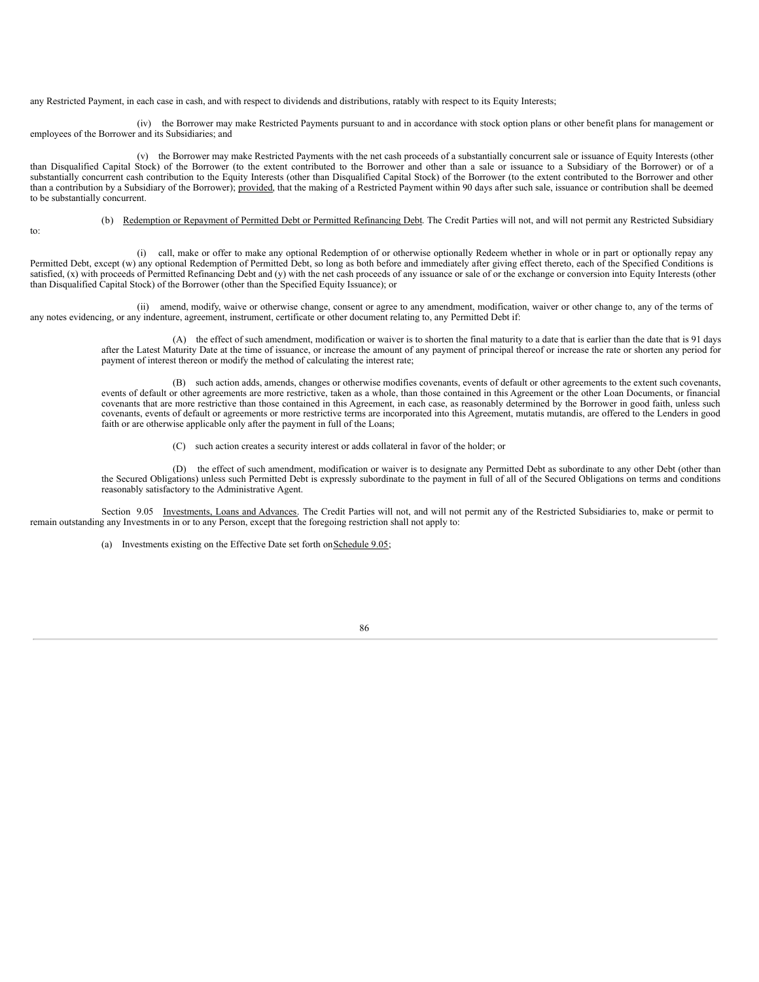any Restricted Payment, in each case in cash, and with respect to dividends and distributions, ratably with respect to its Equity Interests;

(iv) the Borrower may make Restricted Payments pursuant to and in accordance with stock option plans or other benefit plans for management or employees of the Borrower and its Subsidiaries; and

(v) the Borrower may make Restricted Payments with the net cash proceeds of a substantially concurrent sale or issuance of Equity Interests (other than Disqualified Capital Stock) of the Borrower (to the extent contributed to the Borrower and other than a sale or issuance to a Subsidiary of the Borrower) or of a substantially concurrent cash contribution to the Equity Interests (other than Disqualified Capital Stock) of the Borrower (to the extent contributed to the Borrower and other than a contribution by a Subsidiary of the Borrower); provided, that the making of a Restricted Payment within 90 days after such sale, issuance or contribution shall be deemed to be substantially concurrent.

(b) Redemption or Repayment of Permitted Debt or Permitted Refinancing Debt. The Credit Parties will not, and will not permit any Restricted Subsidiary

to:

(i) call, make or offer to make any optional Redemption of or otherwise optionally Redeem whether in whole or in part or optionally repay any Permitted Debt, except (w) any optional Redemption of Permitted Debt, so long as both before and immediately after giving effect thereto, each of the Specified Conditions is satisfied, (x) with proceeds of Permitted Refinancing Debt and (y) with the net cash proceeds of any issuance or sale of or the exchange or conversion into Equity Interests (other than Disqualified Capital Stock) of the Borrower (other than the Specified Equity Issuance); or

(ii) amend, modify, waive or otherwise change, consent or agree to any amendment, modification, waiver or other change to, any of the terms of any notes evidencing, or any indenture, agreement, instrument, certificate or other document relating to, any Permitted Debt if:

> (A) the effect of such amendment, modification or waiver is to shorten the final maturity to a date that is earlier than the date that is 91 days after the Latest Maturity Date at the time of issuance, or increase the amount of any payment of principal thereof or increase the rate or shorten any period for payment of interest thereon or modify the method of calculating the interest rate;

> (B) such action adds, amends, changes or otherwise modifies covenants, events of default or other agreements to the extent such covenants, events of default or other agreements are more restrictive, taken as a whole, than those contained in this Agreement or the other Loan Documents, or financial covenants that are more restrictive than those contained in this Agreement, in each case, as reasonably determined by the Borrower in good faith, unless such covenants, events of default or agreements or more restrictive terms are incorporated into this Agreement, mutatis mutandis, are offered to the Lenders in good faith or are otherwise applicable only after the payment in full of the Loans;

> > (C) such action creates a security interest or adds collateral in favor of the holder; or

(D) the effect of such amendment, modification or waiver is to designate any Permitted Debt as subordinate to any other Debt (other than the Secured Obligations) unless such Permitted Debt is expressly subordinate to the payment in full of all of the Secured Obligations on terms and conditions reasonably satisfactory to the Administrative Agent.

Section 9.05 Investments, Loans and Advances. The Credit Parties will not, and will not permit any of the Restricted Subsidiaries to, make or permit to remain outstanding any Investments in or to any Person, except that the foregoing restriction shall not apply to:

(a) Investments existing on the Effective Date set forth onSchedule 9.05;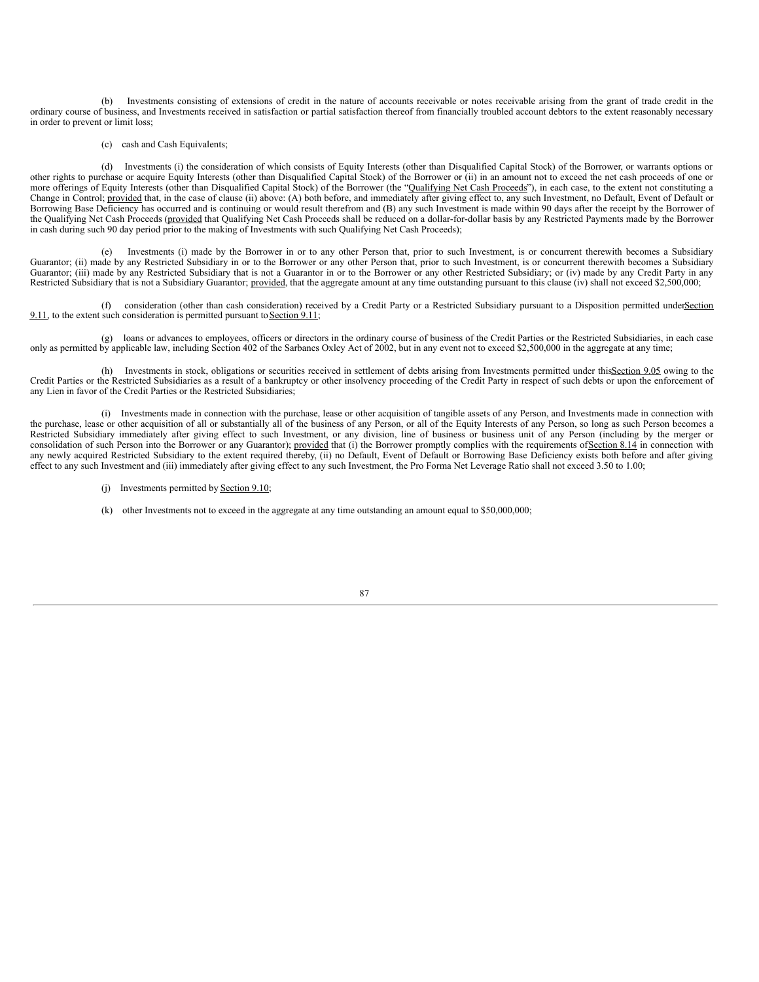(b) Investments consisting of extensions of credit in the nature of accounts receivable or notes receivable arising from the grant of trade credit in the ordinary course of business, and Investments received in satisfaction or partial satisfaction thereof from financially troubled account debtors to the extent reasonably necessary in order to prevent or limit loss;

(c) cash and Cash Equivalents;

(d) Investments (i) the consideration of which consists of Equity Interests (other than Disqualified Capital Stock) of the Borrower, or warrants options or other rights to purchase or acquire Equity Interests (other than Disqualified Capital Stock) of the Borrower or (ii) in an amount not to exceed the net cash proceeds of one or more offerings of Equity Interests (other than Disqualified Capital Stock) of the Borrower (the "Qualifying Net Cash Proceeds"), in each case, to the extent not constituting a Change in Control; provided that, in the case of clause (ii) above: (A) both before, and immediately after giving effect to, any such Investment, no Default, Event of Default or Borrowing Base Deficiency has occurred and is continuing or would result therefrom and (B) any such Investment is made within 90 days after the receipt by the Borrower of the Qualifying Net Cash Proceeds (provided that Qualifying Net Cash Proceeds shall be reduced on a dollar-for-dollar basis by any Restricted Payments made by the Borrower in cash during such 90 day period prior to the making of Investments with such Qualifying Net Cash Proceeds);

Investments (i) made by the Borrower in or to any other Person that, prior to such Investment, is or concurrent therewith becomes a Subsidiary Guarantor; (ii) made by any Restricted Subsidiary in or to the Borrower or any other Person that, prior to such Investment, is or concurrent therewith becomes a Subsidiary Guarantor; (iii) made by any Restricted Subsidiary that is not a Guarantor in or to the Borrower or any other Restricted Subsidiary; or (iv) made by any Credit Party in any Restricted Subsidiary that is not a Subsidiary Guarantor; provided, that the aggregate amount at any time outstanding pursuant to this clause (iv) shall not exceed \$2,500,000;

(f) consideration (other than cash consideration) received by a Credit Party or a Restricted Subsidiary pursuant to a Disposition permitted underSection  $9.11$ , to the extent such consideration is permitted pursuant to Section  $9.11$ ;

(g) loans or advances to employees, officers or directors in the ordinary course of business of the Credit Parties or the Restricted Subsidiaries, in each case only as permitted by applicable law, including Section 402 of the Sarbanes Oxley Act of 2002, but in any event not to exceed \$2,500,000 in the aggregate at any time;

(h) Investments in stock, obligations or securities received in settlement of debts arising from Investments permitted under thisSection 9.05 owing to the Credit Parties or the Restricted Subsidiaries as a result of a bankruptcy or other insolvency proceeding of the Credit Party in respect of such debts or upon the enforcement of any Lien in favor of the Credit Parties or the Restricted Subsidiaries;

(i) Investments made in connection with the purchase, lease or other acquisition of tangible assets of any Person, and Investments made in connection with the purchase, lease or other acquisition of all or substantially all of the business of any Person, or all of the Equity Interests of any Person, so long as such Person becomes a Restricted Subsidiary immediately after giving effect to such Investment, or any division, line of business or business unit of any Person (including by the merger or consolidation of such Person into the Borrower or any Guarantor); provided that (i) the Borrower promptly complies with the requirements of Section 8.14 in connection with any newly acquired Restricted Subsidiary to the extent required thereby, (ii) no Default, Event of Default or Borrowing Base Deficiency exists both before and after giving effect to any such Investment and (iii) immediately after giving effect to any such Investment, the Pro Forma Net Leverage Ratio shall not exceed 3.50 to 1.00;

(j) Investments permitted by Section 9.10;

(k) other Investments not to exceed in the aggregate at any time outstanding an amount equal to \$50,000,000;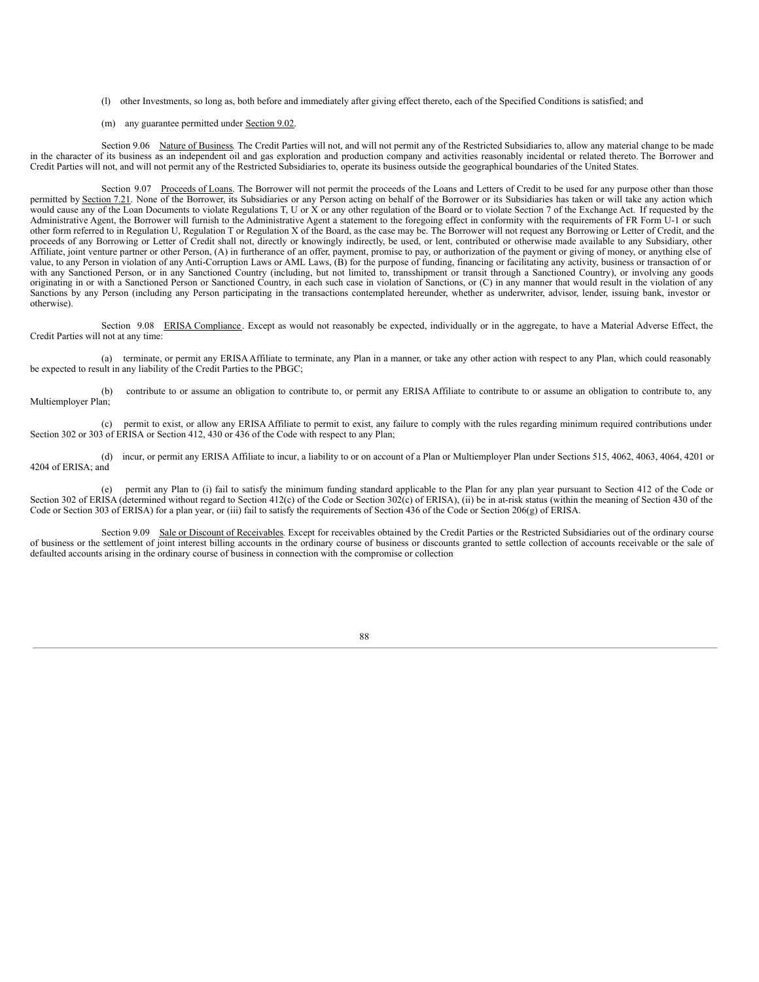(l) other Investments, so long as, both before and immediately after giving effect thereto, each of the Specified Conditions is satisfied; and

#### (m) any guarantee permitted under Section 9.02.

Section 9.06 Nature of Business. The Credit Parties will not, and will not permit any of the Restricted Subsidiaries to, allow any material change to be made in the character of its business as an independent oil and gas exploration and production company and activities reasonably incidental or related thereto. The Borrower and Credit Parties will not, and will not permit any of the Restricted Subsidiaries to, operate its business outside the geographical boundaries of the United States.

Section 9.07 Proceeds of Loans. The Borrower will not permit the proceeds of the Loans and Letters of Credit to be used for any purpose other than those permitted by Section 7.21. None of the Borrower, its Subsidiaries or any Person acting on behalf of the Borrower or its Subsidiaries has taken or will take any action which would cause any of the Loan Documents to violate Regulations T, U or X or any other regulation of the Board or to violate Section 7 of the Exchange Act. If requested by the Administrative Agent, the Borrower will furnish to the Administrative Agent a statement to the foregoing effect in conformity with the requirements of FR Form U-1 or such other form referred to in Regulation U, Regulation T or Regulation X of the Board, as the case may be. The Borrower will not request any Borrowing or Letter of Credit, and the proceeds of any Borrowing or Letter of Credit shall not, directly or knowingly indirectly, be used, or lent, contributed or otherwise made available to any Subsidiary, other Affiliate, joint venture partner or other Person, (A) in furtherance of an offer, payment, promise to pay, or authorization of the payment or giving of money, or anything else of value, to any Person in violation of any Anti-Corruption Laws or AML Laws, (B) for the purpose of funding, financing or facilitating any activity, business or transaction of or with any Sanctioned Person, or in any Sanctioned Country (including, but not limited to, transshipment or transit through a Sanctioned Country), or involving any goods originating in or with a Sanctioned Person or Sanctioned Country, in each such case in violation of Sanctions, or (C) in any manner that would result in the violation of any Sanctions by any Person (including any Person participating in the transactions contemplated hereunder, whether as underwriter, advisor, lender, issuing bank, investor or otherwise).

Section 9.08 ERISA Compliance. Except as would not reasonably be expected, individually or in the aggregate, to have a Material Adverse Effect, the Credit Parties will not at any time:

(a) terminate, or permit any ERISAAffiliate to terminate, any Plan in a manner, or take any other action with respect to any Plan, which could reasonably be expected to result in any liability of the Credit Parties to the PBGC;

(b) contribute to or assume an obligation to contribute to, or permit any ERISA Affiliate to contribute to or assume an obligation to contribute to, any Multiemployer Plan;

(c) permit to exist, or allow any ERISA Affiliate to permit to exist, any failure to comply with the rules regarding minimum required contributions under Section 302 or 303 of ERISA or Section 412, 430 or 436 of the Code with respect to any Plan;

(d) incur, or permit any ERISA Affiliate to incur, a liability to or on account of a Plan or Multiemployer Plan under Sections 515, 4062, 4063, 4064, 4201 or 4204 of ERISA; and

(e) permit any Plan to (i) fail to satisfy the minimum funding standard applicable to the Plan for any plan year pursuant to Section 412 of the Code or Section 302 of ERISA (determined without regard to Section 412(c) of the Code or Section 302(c) of ERISA), (ii) be in at-risk status (within the meaning of Section 430 of the Code or Section 303 of ERISA) for a plan year, or (iii) fail to satisfy the requirements of Section 436 of the Code or Section 206(g) of ERISA.

Section 9.09 Sale or Discount of Receivables. Except for receivables obtained by the Credit Parties or the Restricted Subsidiaries out of the ordinary course of business or the settlement of joint interest billing accounts in the ordinary course of business or discounts granted to settle collection of accounts receivable or the sale of defaulted accounts arising in the ordinary course of business in connection with the compromise or collection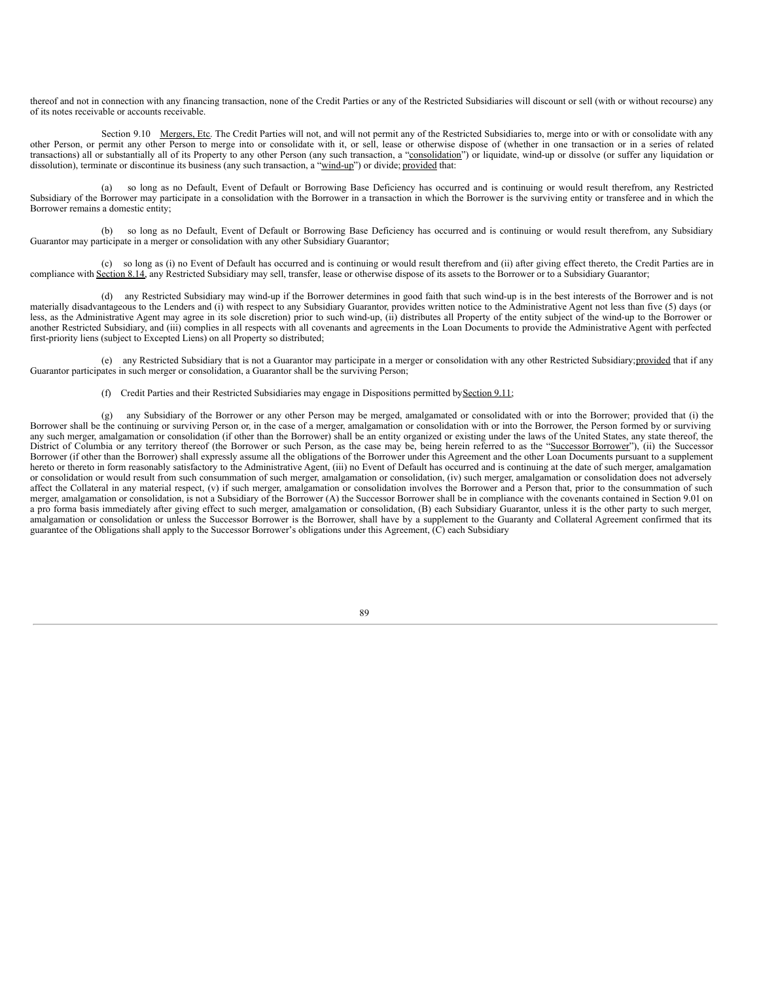thereof and not in connection with any financing transaction, none of the Credit Parties or any of the Restricted Subsidiaries will discount or sell (with or without recourse) any of its notes receivable or accounts receivable.

Section 9.10 Mergers, Etc. The Credit Parties will not, and will not permit any of the Restricted Subsidiaries to, merge into or with or consolidate with any other Person, or permit any other Person to merge into or consolidate with it, or sell, lease or otherwise dispose of (whether in one transaction or in a series of related transactions) all or substantially all of its Property to any other Person (any such transaction, a "consolidation") or liquidate, wind-up or dissolve (or suffer any liquidation or dissolution), terminate or discontinue its business (any such transaction, a "wind-up") or divide; provided that:

(a) so long as no Default, Event of Default or Borrowing Base Deficiency has occurred and is continuing or would result therefrom, any Restricted Subsidiary of the Borrower may participate in a consolidation with the Borrower in a transaction in which the Borrower is the surviving entity or transferee and in which the Borrower remains a domestic entity;

(b) so long as no Default, Event of Default or Borrowing Base Deficiency has occurred and is continuing or would result therefrom, any Subsidiary Guarantor may participate in a merger or consolidation with any other Subsidiary Guarantor;

(c) so long as (i) no Event of Default has occurred and is continuing or would result therefrom and (ii) after giving effect thereto, the Credit Parties are in compliance with Section 8.14, any Restricted Subsidiary may sell, transfer, lease or otherwise dispose of its assets to the Borrower or to a Subsidiary Guarantor;

(d) any Restricted Subsidiary may wind-up if the Borrower determines in good faith that such wind-up is in the best interests of the Borrower and is not materially disadvantageous to the Lenders and (i) with respect to any Subsidiary Guarantor, provides written notice to the Administrative Agent not less than five (5) days (or less, as the Administrative Agent may agree in its sole discretion) prior to such wind-up, (ii) distributes all Property of the entity subject of the wind-up to the Borrower or another Restricted Subsidiary, and (iii) complies in all respects with all covenants and agreements in the Loan Documents to provide the Administrative Agent with perfected first-priority liens (subject to Excepted Liens) on all Property so distributed;

(e) any Restricted Subsidiary that is not a Guarantor may participate in a merger or consolidation with any other Restricted Subsidiary; provided that if any Guarantor participates in such merger or consolidation, a Guarantor shall be the surviving Person;

## (f) Credit Parties and their Restricted Subsidiaries may engage in Dispositions permitted bySection 9.11;

(g) any Subsidiary of the Borrower or any other Person may be merged, amalgamated or consolidated with or into the Borrower; provided that (i) the Borrower shall be the continuing or surviving Person or, in the case of a merger, amalgamation or consolidation with or into the Borrower, the Person formed by or surviving any such merger, amalgamation or consolidation (if other than the Borrower) shall be an entity organized or existing under the laws of the United States, any state thereof, the District of Columbia or any territory thereof (the Borrower or such Person, as the case may be, being herein referred to as the "Successor Borrower"), (ii) the Successor Borrower (if other than the Borrower) shall expressly assume all the obligations of the Borrower under this Agreement and the other Loan Documents pursuant to a supplement hereto or thereto in form reasonably satisfactory to the Administrative Agent, (iii) no Event of Default has occurred and is continuing at the date of such merger, amalgamation or consolidation or would result from such consummation of such merger, amalgamation or consolidation, (iv) such merger, amalgamation or consolidation does not adversely affect the Collateral in any material respect, (v) if such merger, amalgamation or consolidation involves the Borrower and a Person that, prior to the consummation of such merger, amalgamation or consolidation, is not a Subsidiary of the Borrower (A) the Successor Borrower shall be in compliance with the covenants contained in Section 9.01 on a pro forma basis immediately after giving effect to such merger, amalgamation or consolidation, (B) each Subsidiary Guarantor, unless it is the other party to such merger, amalgamation or consolidation or unless the Successor Borrower is the Borrower, shall have by a supplement to the Guaranty and Collateral Agreement confirmed that its guarantee of the Obligations shall apply to the Successor Borrower's obligations under this Agreement, (C) each Subsidiary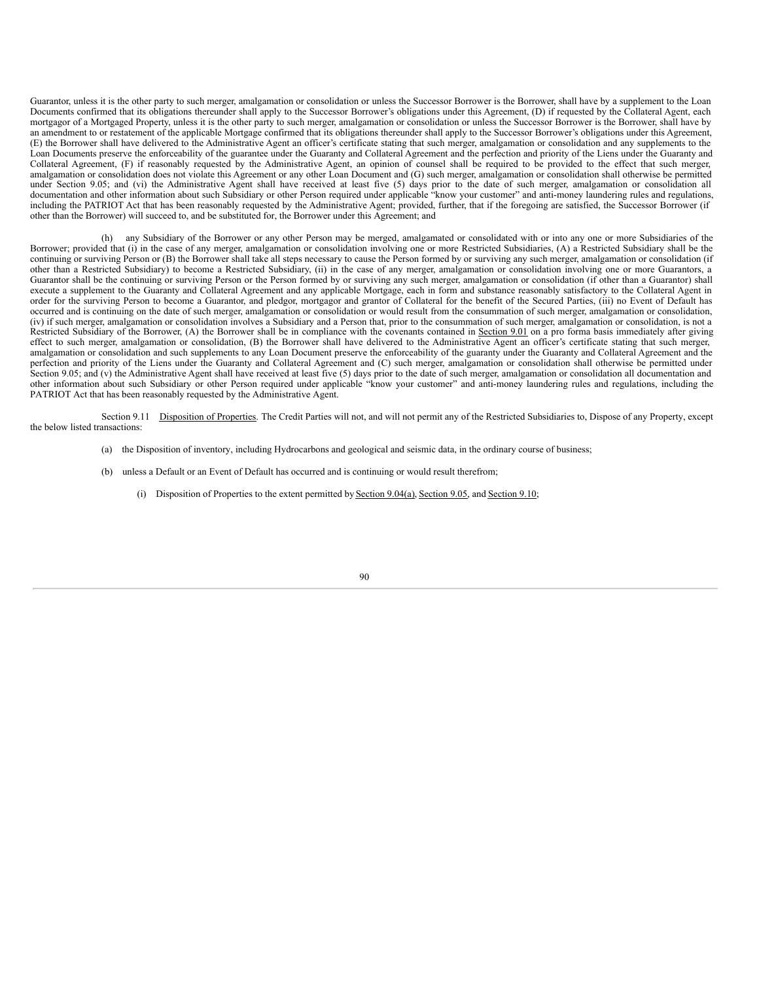Guarantor, unless it is the other party to such merger, amalgamation or consolidation or unless the Successor Borrower is the Borrower, shall have by a supplement to the Loan Documents confirmed that its obligations thereunder shall apply to the Successor Borrower's obligations under this Agreement, (D) if requested by the Collateral Agent, each mortgagor of a Mortgaged Property, unless it is the other party to such merger, amalgamation or consolidation or unless the Successor Borrower is the Borrower, shall have by an amendment to or restatement of the applicable Mortgage confirmed that its obligations thereunder shall apply to the Successor Borrower's obligations under this Agreement, (E) the Borrower shall have delivered to the Administrative Agent an officer's certificate stating that such merger, amalgamation or consolidation and any supplements to the Loan Documents preserve the enforceability of the guarantee under the Guaranty and Collateral Agreement and the perfection and priority of the Liens under the Guaranty and Collateral Agreement, (F) if reasonably requested by the Administrative Agent, an opinion of counsel shall be required to be provided to the effect that such merger, amalgamation or consolidation does not violate this Agreement or any other Loan Document and (G) such merger, amalgamation or consolidation shall otherwise be permitted under Section 9.05; and (vi) the Administrative Agent shall have received at least five (5) days prior to the date of such merger, amalgamation or consolidation all documentation and other information about such Subsidiary or other Person required under applicable "know your customer" and anti-money laundering rules and regulations, including the PATRIOT Act that has been reasonably requested by the Administrative Agent; provided, further, that if the foregoing are satisfied, the Successor Borrower (if other than the Borrower) will succeed to, and be substituted for, the Borrower under this Agreement; and

(h) any Subsidiary of the Borrower or any other Person may be merged, amalgamated or consolidated with or into any one or more Subsidiaries of the Borrower; provided that (i) in the case of any merger, amalgamation or consolidation involving one or more Restricted Subsidiaries, (A) a Restricted Subsidiary shall be the continuing or surviving Person or (B) the Borrower shall take all steps necessary to cause the Person formed by or surviving any such merger, amalgamation or consolidation (if other than a Restricted Subsidiary) to become a Restricted Subsidiary, (ii) in the case of any merger, amalgamation or consolidation involving one or more Guarantors, a Guarantor shall be the continuing or surviving Person or the Person formed by or surviving any such merger, amalgamation or consolidation (if other than a Guarantor) shall execute a supplement to the Guaranty and Collateral Agreement and any applicable Mortgage, each in form and substance reasonably satisfactory to the Collateral Agent in order for the surviving Person to become a Guarantor, and pledgor, mortgagor and grantor of Collateral for the benefit of the Secured Parties, (iii) no Event of Default has occurred and is continuing on the date of such merger, amalgamation or consolidation or would result from the consummation of such merger, amalgamation or consolidation, (iv) if such merger, amalgamation or consolidation involves a Subsidiary and a Person that, prior to the consummation of such merger, amalgamation or consolidation, is not a Restricted Subsidiary of the Borrower, (A) the Borrower shall be in compliance with the covenants contained in Section 9.01 on a pro forma basis immediately after giving effect to such merger, amalgamation or consolidation, (B) the Borrower shall have delivered to the Administrative Agent an officer's certificate stating that such merger, amalgamation or consolidation and such supplements to any Loan Document preserve the enforceability of the guaranty under the Guaranty and Collateral Agreement and the perfection and priority of the Liens under the Guaranty and Collateral Agreement and (C) such merger, amalgamation or consolidation shall otherwise be permitted under Section 9.05; and (v) the Administrative Agent shall have received at least five (5) days prior to the date of such merger, amalgamation or consolidation all documentation and other information about such Subsidiary or other Person required under applicable "know your customer" and anti-money laundering rules and regulations, including the PATRIOT Act that has been reasonably requested by the Administrative Agent.

Section 9.11 Disposition of Properties. The Credit Parties will not, and will not permit any of the Restricted Subsidiaries to, Dispose of any Property, except the below listed transactions:

- (a) the Disposition of inventory, including Hydrocarbons and geological and seismic data, in the ordinary course of business;
- (b) unless a Default or an Event of Default has occurred and is continuing or would result therefrom;
	- (i) Disposition of Properties to the extent permitted by Section 9.04(a), Section 9.05, and Section 9.10;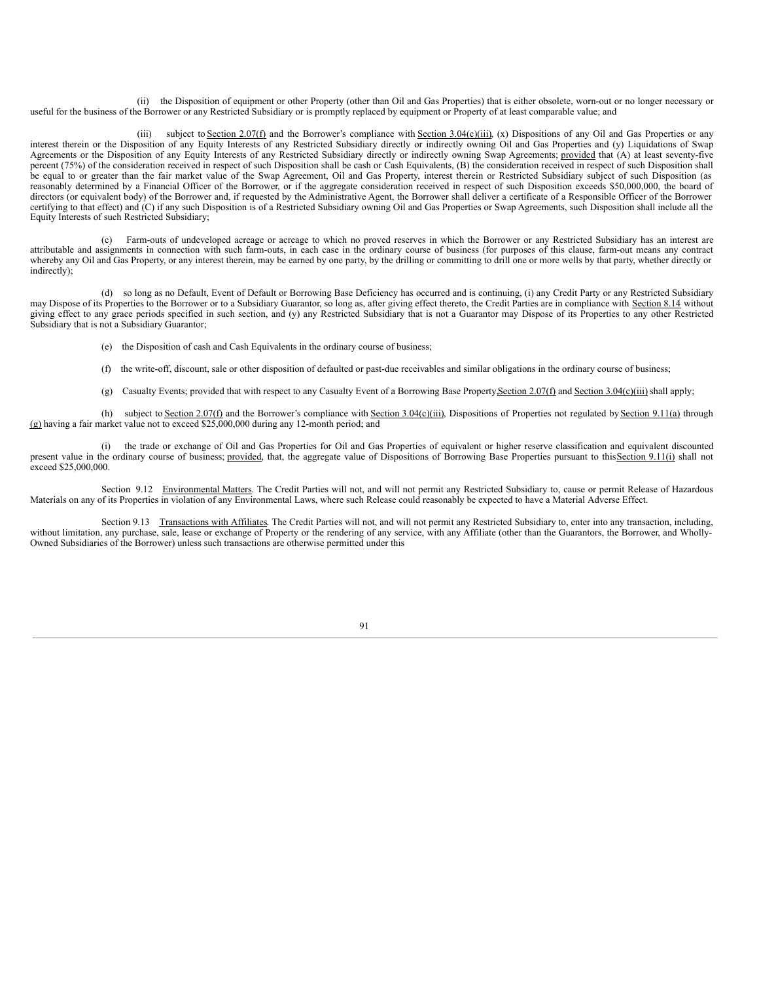(ii) the Disposition of equipment or other Property (other than Oil and Gas Properties) that is either obsolete, worn-out or no longer necessary or useful for the business of the Borrower or any Restricted Subsidiary or is promptly replaced by equipment or Property of at least comparable value; and

(iii) subject to Section 2.07(f) and the Borrower's compliance with Section 3.04(c)(iii), (x) Dispositions of any Oil and Gas Properties or any interest therein or the Disposition of any Equity Interests of any Restricted Subsidiary directly or indirectly owning Oil and Gas Properties and (y) Liquidations of Swap Agreements or the Disposition of any Equity Interests of any Restricted Subsidiary directly or indirectly owning Swap Agreements; provided that (A) at least seventy-five percent (75%) of the consideration received in respect of such Disposition shall be cash or Cash Equivalents, (B) the consideration received in respect of such Disposition shall be equal to or greater than the fair market value of the Swap Agreement, Oil and Gas Property, interest therein or Restricted Subsidiary subject of such Disposition (as reasonably determined by a Financial Officer of the Borrower, or if the aggregate consideration received in respect of such Disposition exceeds \$50,000,000, the board of directors (or equivalent body) of the Borrower and, if requested by the Administrative Agent, the Borrower shall deliver a certificate of a Responsible Officer of the Borrower certifying to that effect) and (C) if any such Disposition is of a Restricted Subsidiary owning Oil and Gas Properties or Swap Agreements, such Disposition shall include all the Equity Interests of such Restricted Subsidiary;

(c) Farm-outs of undeveloped acreage or acreage to which no proved reserves in which the Borrower or any Restricted Subsidiary has an interest are attributable and assignments in connection with such farm-outs, in each case in the ordinary course of business (for purposes of this clause, farm-out means any contract whereby any Oil and Gas Property, or any interest therein, may be earned by one party, by the drilling or committing to drill one or more wells by that party, whether directly or indirectly);

(d) so long as no Default, Event of Default or Borrowing Base Deficiency has occurred and is continuing, (i) any Credit Party or any Restricted Subsidiary may Dispose of its Properties to the Borrower or to a Subsidiary Guarantor, so long as, after giving effect thereto, the Credit Parties are in compliance with Section 8.14 without giving effect to any grace periods specified in such section, and (y) any Restricted Subsidiary that is not a Guarantor may Dispose of its Properties to any other Restricted Subsidiary that is not a Subsidiary Guarantor;

(e) the Disposition of cash and Cash Equivalents in the ordinary course of business;

- (f) the write-off, discount, sale or other disposition of defaulted or past-due receivables and similar obligations in the ordinary course of business;
- (g) Casualty Events; provided that with respect to any Casualty Event of a Borrowing Base Property,Section 2.07(f) and Section 3.04(c)(iii)shall apply;

(h) subject to Section 2.07(f) and the Borrower's compliance with Section 3.04(c)(iii), Dispositions of Properties not regulated by Section 9.11(a) through (g) having a fair market value not to exceed \$25,000,000 during any 12-month period; and

(i) the trade or exchange of Oil and Gas Properties for Oil and Gas Properties of equivalent or higher reserve classification and equivalent discounted present value in the ordinary course of business; provided, that, the aggregate value of Dispositions of Borrowing Base Properties pursuant to this Section 9.11(i) shall not exceed \$25,000,000.

Section 9.12 Environmental Matters. The Credit Parties will not, and will not permit any Restricted Subsidiary to, cause or permit Release of Hazardous Materials on any of its Properties in violation of any Environmental Laws, where such Release could reasonably be expected to have a Material Adverse Effect.

Section 9.13 Transactions with Affiliates. The Credit Parties will not, and will not permit any Restricted Subsidiary to, enter into any transaction, including, without limitation, any purchase, sale, lease or exchange of Property or the rendering of any service, with any Affiliate (other than the Guarantors, the Borrower, and Wholly-Owned Subsidiaries of the Borrower) unless such transactions are otherwise permitted under this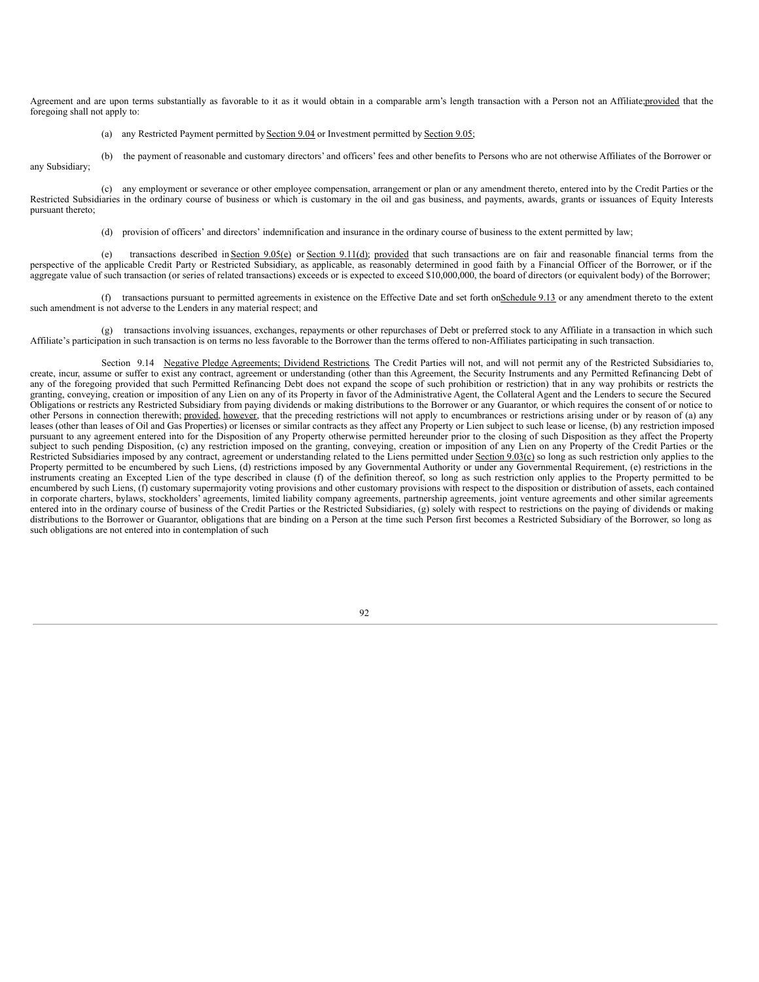Agreement and are upon terms substantially as favorable to it as it would obtain in a comparable arm's length transaction with a Person not an Affiliate;provided that the foregoing shall not apply to:

(a) any Restricted Payment permitted by Section 9.04 or Investment permitted by Section 9.05;

(b) the payment of reasonable and customary directors' and officers' fees and other benefits to Persons who are not otherwise Affiliates of the Borrower or any Subsidiary;

(c) any employment or severance or other employee compensation, arrangement or plan or any amendment thereto, entered into by the Credit Parties or the Restricted Subsidiaries in the ordinary course of business or which is customary in the oil and gas business, and payments, awards, grants or issuances of Equity Interests pursuant thereto;

(d) provision of officers' and directors' indemnification and insurance in the ordinary course of business to the extent permitted by law;

(e) transactions described in Section 9.05(e) or Section 9.11(d); provided that such transactions are on fair and reasonable financial terms from the perspective of the applicable Credit Party or Restricted Subsidiary, as applicable, as reasonably determined in good faith by a Financial Officer of the Borrower, or if the aggregate value of such transaction (or series of related transactions) exceeds or is expected to exceed \$10,000,000, the board of directors (or equivalent body) of the Borrower;

(f) transactions pursuant to permitted agreements in existence on the Effective Date and set forth onSchedule 9.13 or any amendment thereto to the extent such amendment is not adverse to the Lenders in any material respect; and

(g) transactions involving issuances, exchanges, repayments or other repurchases of Debt or preferred stock to any Affiliate in a transaction in which such Affiliate's participation in such transaction is on terms no less favorable to the Borrower than the terms offered to non-Affiliates participating in such transaction.

Section 9.14 Negative Pledge Agreements; Dividend Restrictions. The Credit Parties will not, and will not permit any of the Restricted Subsidiaries to, create, incur, assume or suffer to exist any contract, agreement or understanding (other than this Agreement, the Security Instruments and any Permitted Refinancing Debt of any of the foregoing provided that such Permitted Refinancing Debt does not expand the scope of such prohibition or restriction) that in any way prohibits or restricts the granting, conveying, creation or imposition of any Lien on any of its Property in favor of the Administrative Agent, the Collateral Agent and the Lenders to secure the Secured Obligations or restricts any Restricted Subsidiary from paying dividends or making distributions to the Borrower or any Guarantor, or which requires the consent of or notice to other Persons in connection therewith; provided, however, that the preceding restrictions will not apply to encumbrances or restrictions arising under or by reason of (a) any leases (other than leases of Oil and Gas Properties) or licenses or similar contracts as they affect any Property or Lien subject to such lease or license, (b) any restriction imposed pursuant to any agreement entered into for the Disposition of any Property otherwise permitted hereunder prior to the closing of such Disposition as they affect the Property subject to such pending Disposition, (c) any restriction imposed on the granting, conveying, creation or imposition of any Lien on any Property of the Credit Parties or the Restricted Subsidiaries imposed by any contract, agreement or understanding related to the Liens permitted under Section 9.03(c) so long as such restriction only applies to the Property permitted to be encumbered by such Liens, (d) restrictions imposed by any Governmental Authority or under any Governmental Requirement, (e) restrictions in the instruments creating an Excepted Lien of the type described in clause (f) of the definition thereof, so long as such restriction only applies to the Property permitted to be encumbered by such Liens, (f) customary supermajority voting provisions and other customary provisions with respect to the disposition or distribution of assets, each contained in corporate charters, bylaws, stockholders' agreements, limited liability company agreements, partnership agreements, joint venture agreements and other similar agreements entered into in the ordinary course of business of the Credit Parties or the Restricted Subsidiaries, (g) solely with respect to restrictions on the paying of dividends or making distributions to the Borrower or Guarantor, obligations that are binding on a Person at the time such Person first becomes a Restricted Subsidiary of the Borrower, so long as such obligations are not entered into in contemplation of such

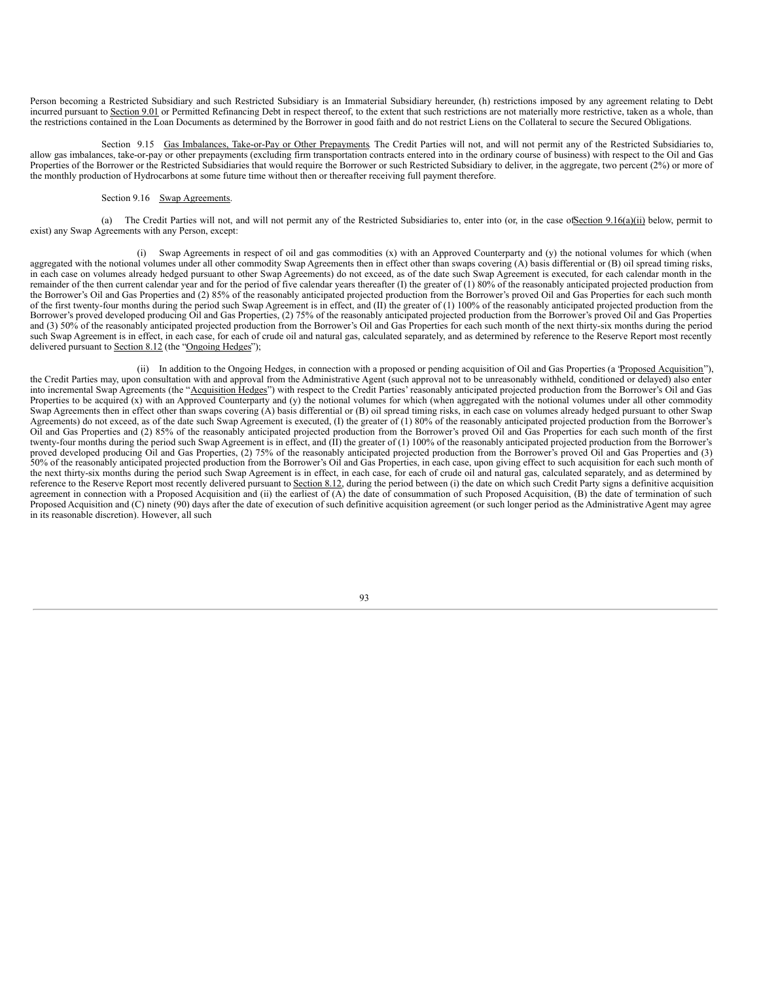Person becoming a Restricted Subsidiary and such Restricted Subsidiary is an Immaterial Subsidiary hereunder, (h) restrictions imposed by any agreement relating to Debt incurred pursuant to Section 9.01 or Permitted Refinancing Debt in respect thereof, to the extent that such restrictions are not materially more restrictive, taken as a whole, than the restrictions contained in the Loan Documents as determined by the Borrower in good faith and do not restrict Liens on the Collateral to secure the Secured Obligations.

Section 9.15 Gas Imbalances, Take-or-Pay or Other Prepayments. The Credit Parties will not, and will not permit any of the Restricted Subsidiaries to, allow gas imbalances, take-or-pay or other prepayments (excluding firm transportation contracts entered into in the ordinary course of business) with respect to the Oil and Gas Properties of the Borrower or the Restricted Subsidiaries that would require the Borrower or such Restricted Subsidiary to deliver, in the aggregate, two percent (2%) or more of the monthly production of Hydrocarbons at some future time without then or thereafter receiving full payment therefore.

# Section 9.16 Swap Agreements.

(a) The Credit Parties will not, and will not permit any of the Restricted Subsidiaries to, enter into (or, in the case ofSection 9.16(a)(ii) below, permit to exist) any Swap Agreements with any Person, except:

(i) Swap Agreements in respect of oil and gas commodities (x) with an Approved Counterparty and (y) the notional volumes for which (when aggregated with the notional volumes under all other commodity Swap Agreements then in effect other than swaps covering (A) basis differential or (B) oil spread timing risks, in each case on volumes already hedged pursuant to other Swap Agreements) do not exceed, as of the date such Swap Agreement is executed, for each calendar month in the remainder of the then current calendar year and for the period of five calendar years thereafter (I) the greater of (1) 80% of the reasonably anticipated projected production from the Borrower's Oil and Gas Properties and (2) 85% of the reasonably anticipated projected production from the Borrower's proved Oil and Gas Properties for each such month of the first twenty-four months during the period such Swap Agreement is in effect, and (II) the greater of (1) 100% of the reasonably anticipated projected production from the Borrower's proved developed producing Oil and Gas Properties, (2) 75% of the reasonably anticipated projected production from the Borrower's proved Oil and Gas Properties and (3) 50% of the reasonably anticipated projected production from the Borrower's Oil and Gas Properties for each such month of the next thirty-six months during the period such Swap Agreement is in effect, in each case, for each of crude oil and natural gas, calculated separately, and as determined by reference to the Reserve Report most recently delivered pursuant to Section 8.12 (the "Ongoing Hedges");

(ii) In addition to the Ongoing Hedges, in connection with a proposed or pending acquisition of Oil and Gas Properties (a "Proposed Acquisition"), the Credit Parties may, upon consultation with and approval from the Administrative Agent (such approval not to be unreasonably withheld, conditioned or delayed) also enter into incremental Swap Agreements (the "Acquisition Hedges") with respect to the Credit Parties' reasonably anticipated projected production from the Borrower's Oil and Gas Properties to be acquired  $(x)$  with an Approved Counterparty and  $(y)$  the notional volumes for which (when aggregated with the notional volumes under all other commodity Swap Agreements then in effect other than swaps covering (A) basis differential or (B) oil spread timing risks, in each case on volumes already hedged pursuant to other Swap Agreements) do not exceed, as of the date such Swap Agreement is executed, (I) the greater of (1) 80% of the reasonably anticipated projected production from the Borrower's Oil and Gas Properties and (2) 85% of the reasonably anticipated projected production from the Borrower's proved Oil and Gas Properties for each such month of the first twenty-four months during the period such Swap Agreement is in effect, and (II) the greater of (1) 100% of the reasonably anticipated projected production from the Borrower's proved developed producing Oil and Gas Properties, (2) 75% of the reasonably anticipated projected production from the Borrower's proved Oil and Gas Properties and (3) 50% of the reasonably anticipated projected production from the Borrower's Oil and Gas Properties, in each case, upon giving effect to such acquisition for each such month of the next thirty-six months during the period such Swap Agreement is in effect, in each case, for each of crude oil and natural gas, calculated separately, and as determined by reference to the Reserve Report most recently delivered pursuant to Section 8.12, during the period between (i) the date on which such Credit Party signs a definitive acquisition agreement in connection with a Proposed Acquisition and (ii) the earliest of (A) the date of consummation of such Proposed Acquisition, (B) the date of termination of such Proposed Acquisition and (C) ninety (90) days after the date of execution of such definitive acquisition agreement (or such longer period as the Administrative Agent may agree in its reasonable discretion). However, all such

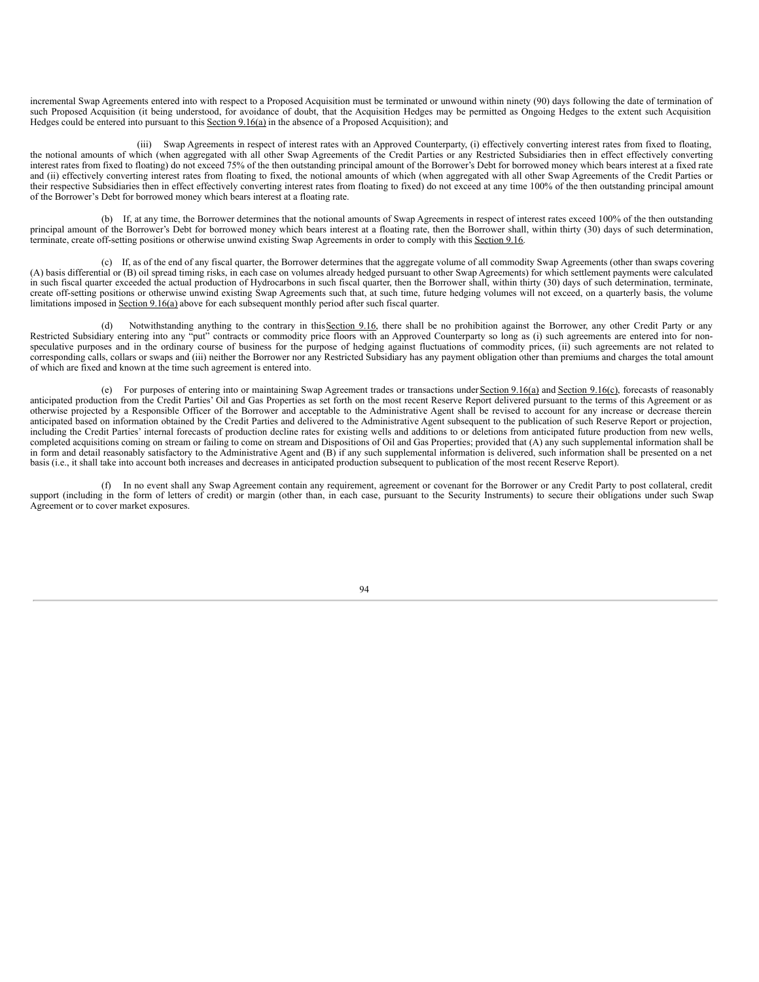incremental Swap Agreements entered into with respect to a Proposed Acquisition must be terminated or unwound within ninety (90) days following the date of termination of such Proposed Acquisition (it being understood, for avoidance of doubt, that the Acquisition Hedges may be permitted as Ongoing Hedges to the extent such Acquisition Hedges could be entered into pursuant to this Section 9.16(a) in the absence of a Proposed Acquisition); and

(iii) Swap Agreements in respect of interest rates with an Approved Counterparty, (i) effectively converting interest rates from fixed to floating, the notional amounts of which (when aggregated with all other Swap Agreements of the Credit Parties or any Restricted Subsidiaries then in effect effectively converting interest rates from fixed to floating) do not exceed 75% of the then outstanding principal amount of the Borrower's Debt for borrowed money which bears interest at a fixed rate and (ii) effectively converting interest rates from floating to fixed, the notional amounts of which (when aggregated with all other Swap Agreements of the Credit Parties or their respective Subsidiaries then in effect effectively converting interest rates from floating to fixed) do not exceed at any time 100% of the then outstanding principal amount of the Borrower's Debt for borrowed money which bears interest at a floating rate.

(b) If, at any time, the Borrower determines that the notional amounts of Swap Agreements in respect of interest rates exceed 100% of the then outstanding principal amount of the Borrower's Debt for borrowed money which bears interest at a floating rate, then the Borrower shall, within thirty (30) days of such determination, terminate, create off-setting positions or otherwise unwind existing Swap Agreements in order to comply with this Section 9.16.

(c) If, as of the end of any fiscal quarter, the Borrower determines that the aggregate volume of all commodity Swap Agreements (other than swaps covering (A) basis differential or (B) oil spread timing risks, in each case on volumes already hedged pursuant to other Swap Agreements) for which settlement payments were calculated in such fiscal quarter exceeded the actual production of Hydrocarbons in such fiscal quarter, then the Borrower shall, within thirty (30) days of such determination, terminate, create off-setting positions or otherwise unwind existing Swap Agreements such that, at such time, future hedging volumes will not exceed, on a quarterly basis, the volume limitations imposed in Section 9.16(a) above for each subsequent monthly period after such fiscal quarter.

(d) Notwithstanding anything to the contrary in this Section 9.16, there shall be no prohibition against the Borrower, any other Credit Party or any Restricted Subsidiary entering into any "put" contracts or commodity price floors with an Approved Counterparty so long as (i) such agreements are entered into for nonspeculative purposes and in the ordinary course of business for the purpose of hedging against fluctuations of commodity prices, (ii) such agreements are not related to corresponding calls, collars or swaps and (iii) neither the Borrower nor any Restricted Subsidiary has any payment obligation other than premiums and charges the total amount of which are fixed and known at the time such agreement is entered into.

(e) For purposes of entering into or maintaining Swap Agreement trades or transactions under Section 9.16(a) and Section 9.16(c), forecasts of reasonably anticipated production from the Credit Parties' Oil and Gas Properties as set forth on the most recent Reserve Report delivered pursuant to the terms of this Agreement or as otherwise projected by a Responsible Officer of the Borrower and acceptable to the Administrative Agent shall be revised to account for any increase or decrease therein anticipated based on information obtained by the Credit Parties and delivered to the Administrative Agent subsequent to the publication of such Reserve Report or projection, including the Credit Parties' internal forecasts of production decline rates for existing wells and additions to or deletions from anticipated future production from new wells, completed acquisitions coming on stream or failing to come on stream and Dispositions of Oil and Gas Properties; provided that (A) any such supplemental information shall be in form and detail reasonably satisfactory to the Administrative Agent and  $(B)$  if any such supplemental information is delivered, such information shall be presented on a net basis (i.e., it shall take into account both increases and decreases in anticipated production subsequent to publication of the most recent Reserve Report).

(f) In no event shall any Swap Agreement contain any requirement, agreement or covenant for the Borrower or any Credit Party to post collateral, credit support (including in the form of letters of credit) or margin (other than, in each case, pursuant to the Security Instruments) to secure their obligations under such Swap Agreement or to cover market exposures.

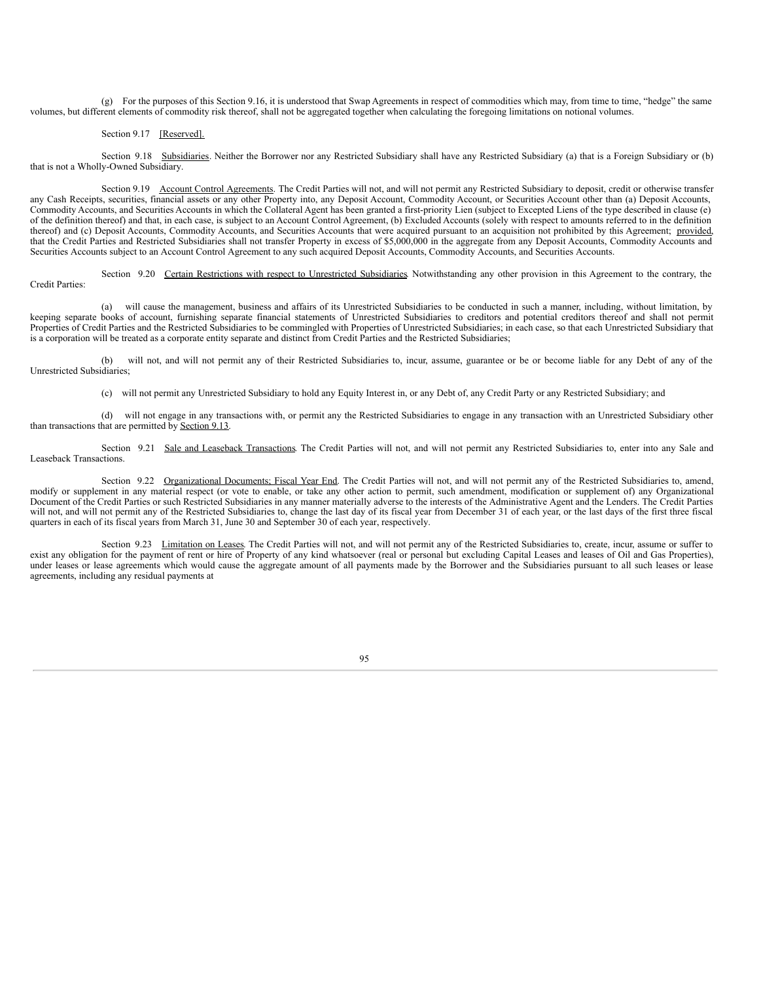(g) For the purposes of this Section 9.16, it is understood that Swap Agreements in respect of commodities which may, from time to time, "hedge" the same volumes, but different elements of commodity risk thereof, shall not be aggregated together when calculating the foregoing limitations on notional volumes.

#### Section 9.17 [Reserved].

Section 9.18 Subsidiaries. Neither the Borrower nor any Restricted Subsidiary shall have any Restricted Subsidiary (a) that is a Foreign Subsidiary or (b) that is not a Wholly-Owned Subsidiary.

Section 9.19 Account Control Agreements. The Credit Parties will not, and will not permit any Restricted Subsidiary to deposit, credit or otherwise transfer any Cash Receipts, securities, financial assets or any other Property into, any Deposit Account, Commodity Account, or Securities Account other than (a) Deposit Accounts, Commodity Accounts, and Securities Accounts in which the Collateral Agent has been granted a first-priority Lien (subject to Excepted Liens of the type described in clause (e) of the definition thereof) and that, in each case, is subject to an Account Control Agreement, (b) Excluded Accounts (solely with respect to amounts referred to in the definition thereof) and (c) Deposit Accounts, Commodity Accounts, and Securities Accounts that were acquired pursuant to an acquisition not prohibited by this Agreement; provided, that the Credit Parties and Restricted Subsidiaries shall not transfer Property in excess of \$5,000,000 in the aggregate from any Deposit Accounts, Commodity Accounts and Securities Accounts subject to an Account Control Agreement to any such acquired Deposit Accounts, Commodity Accounts, and Securities Accounts.

Section 9.20 Certain Restrictions with respect to Unrestricted Subsidiaries. Notwithstanding any other provision in this Agreement to the contrary, the Credit Parties:

(a) will cause the management, business and affairs of its Unrestricted Subsidiaries to be conducted in such a manner, including, without limitation, by keeping separate books of account, furnishing separate financial statements of Unrestricted Subsidiaries to creditors and potential creditors thereof and shall not permit Properties of Credit Parties and the Restricted Subsidiaries to be commingled with Properties of Unrestricted Subsidiaries; in each case, so that each Unrestricted Subsidiary that is a corporation will be treated as a corporate entity separate and distinct from Credit Parties and the Restricted Subsidiaries;

(b) will not, and will not permit any of their Restricted Subsidiaries to, incur, assume, guarantee or be or become liable for any Debt of any of the Unrestricted Subsidiaries;

(c) will not permit any Unrestricted Subsidiary to hold any Equity Interest in, or any Debt of, any Credit Party or any Restricted Subsidiary; and

(d) will not engage in any transactions with, or permit any the Restricted Subsidiaries to engage in any transaction with an Unrestricted Subsidiary other than transactions that are permitted by Section 9.13.

Section 9.21 Sale and Leaseback Transactions. The Credit Parties will not, and will not permit any Restricted Subsidiaries to, enter into any Sale and Leaseback Transactions.

Section 9.22 Organizational Documents; Fiscal Year End. The Credit Parties will not, and will not permit any of the Restricted Subsidiaries to, amend, modify or supplement in any material respect (or vote to enable, or take any other action to permit, such amendment, modification or supplement of) any Organizational Document of the Credit Parties or such Restricted Subsidiaries in any manner materially adverse to the interests of the Administrative Agent and the Lenders. The Credit Parties will not, and will not permit any of the Restricted Subsidiaries to, change the last day of its fiscal year from December 31 of each year, or the last days of the first three fiscal quarters in each of its fiscal years from March 31, June 30 and September 30 of each year, respectively.

Section 9.23 Limitation on Leases. The Credit Parties will not, and will not permit any of the Restricted Subsidiaries to, create, incur, assume or suffer to exist any obligation for the payment of rent or hire of Property of any kind whatsoever (real or personal but excluding Capital Leases and leases of Oil and Gas Properties), under leases or lease agreements which would cause the aggregate amount of all payments made by the Borrower and the Subsidiaries pursuant to all such leases or lease agreements, including any residual payments at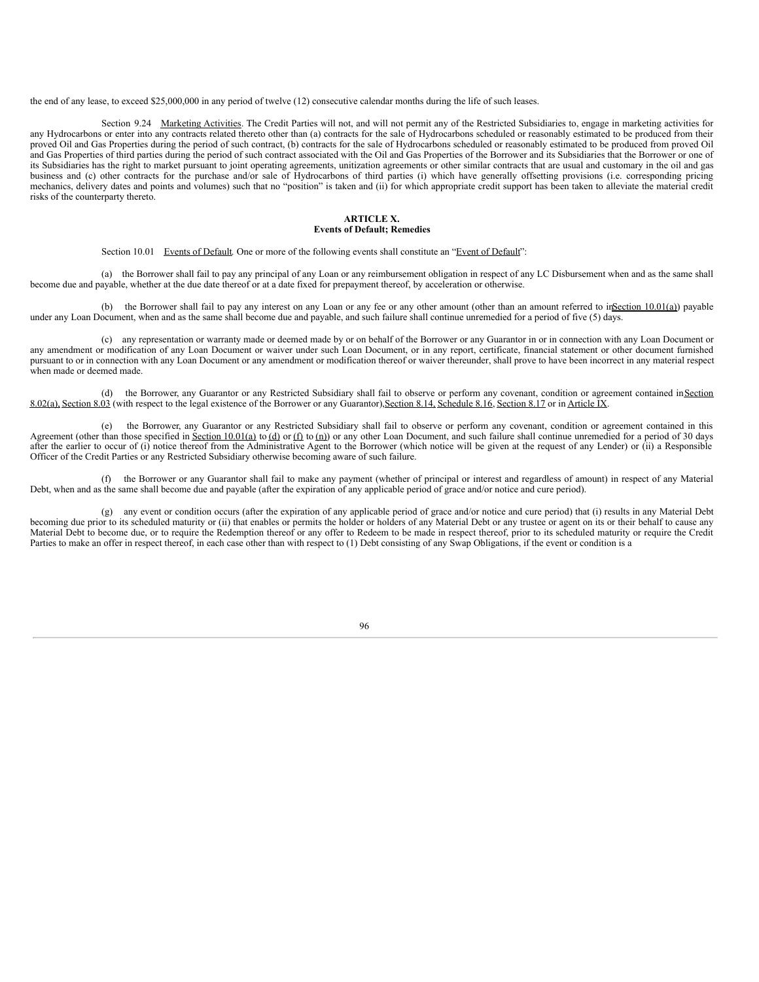the end of any lease, to exceed \$25,000,000 in any period of twelve (12) consecutive calendar months during the life of such leases.

Section 9.24 Marketing Activities. The Credit Parties will not, and will not permit any of the Restricted Subsidiaries to, engage in marketing activities for any Hydrocarbons or enter into any contracts related thereto other than (a) contracts for the sale of Hydrocarbons scheduled or reasonably estimated to be produced from their proved Oil and Gas Properties during the period of such contract, (b) contracts for the sale of Hydrocarbons scheduled or reasonably estimated to be produced from proved Oil and Gas Properties of third parties during the period of such contract associated with the Oil and Gas Properties of the Borrower and its Subsidiaries that the Borrower or one of its Subsidiaries has the right to market pursuant to joint operating agreements, unitization agreements or other similar contracts that are usual and customary in the oil and gas business and (c) other contracts for the purchase and/or sale of Hydrocarbons of third parties (i) which have generally offsetting provisions (i.e. corresponding pricing mechanics, delivery dates and points and volumes) such that no "position" is taken and (ii) for which appropriate credit support has been taken to alleviate the material credit risks of the counterparty thereto.

## **ARTICLE X. Events of Default; Remedies**

Section 10.01 Events of Default. One or more of the following events shall constitute an "Event of Default":

(a) the Borrower shall fail to pay any principal of any Loan or any reimbursement obligation in respect of any LC Disbursement when and as the same shall become due and payable, whether at the due date thereof or at a date fixed for prepayment thereof, by acceleration or otherwise.

(b) the Borrower shall fail to pay any interest on any Loan or any fee or any other amount (other than an amount referred to inSection 10.01(a)) payable under any Loan Document, when and as the same shall become due and payable, and such failure shall continue unremedied for a period of five (5) days.

(c) any representation or warranty made or deemed made by or on behalf of the Borrower or any Guarantor in or in connection with any Loan Document or any amendment or modification of any Loan Document or waiver under such Loan Document, or in any report, certificate, financial statement or other document furnished pursuant to or in connection with any Loan Document or any amendment or modification thereof or waiver thereunder, shall prove to have been incorrect in any material respect when made or deemed made.

(d) the Borrower, any Guarantor or any Restricted Subsidiary shall fail to observe or perform any covenant, condition or agreement contained inSection 8.02(a), Section 8.03 (with respect to the legal existence of the Borrower or any Guarantor), Section 8.14, Schedule 8.16, Section 8.17 or in Article IX.

(e) the Borrower, any Guarantor or any Restricted Subsidiary shall fail to observe or perform any covenant, condition or agreement contained in this Agreement (other than those specified in Section 10.01(a) to (d) or (f) to (n)) or any other Loan Document, and such failure shall continue unremedied for a period of 30 days after the earlier to occur of (i) notice thereof from the Administrative Agent to the Borrower (which notice will be given at the request of any Lender) or (ii) a Responsible Officer of the Credit Parties or any Restricted Subsidiary otherwise becoming aware of such failure.

(f) the Borrower or any Guarantor shall fail to make any payment (whether of principal or interest and regardless of amount) in respect of any Material Debt, when and as the same shall become due and payable (after the expiration of any applicable period of grace and/or notice and cure period).

(g) any event or condition occurs (after the expiration of any applicable period of grace and/or notice and cure period) that (i) results in any Material Debt becoming due prior to its scheduled maturity or (ii) that enables or permits the holder or holders of any Material Debt or any trustee or agent on its or their behalf to cause any Material Debt to become due, or to require the Redemption thereof or any offer to Redeem to be made in respect thereof, prior to its scheduled maturity or require the Credit Parties to make an offer in respect thereof, in each case other than with respect to (1) Debt consisting of any Swap Obligations, if the event or condition is a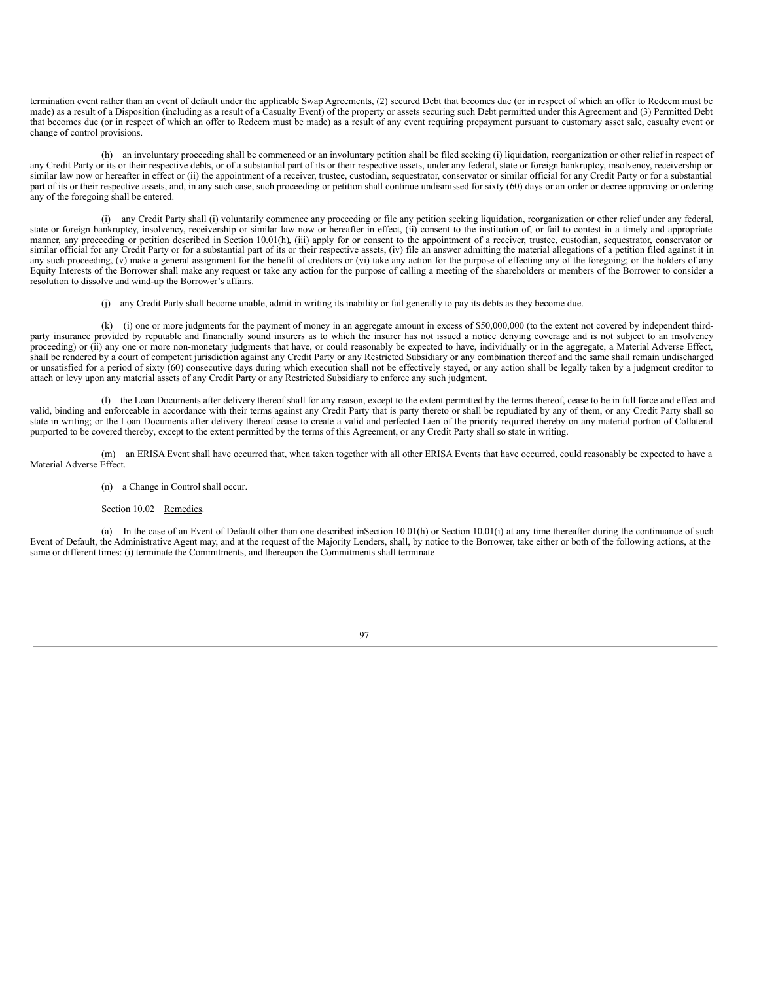termination event rather than an event of default under the applicable Swap Agreements, (2) secured Debt that becomes due (or in respect of which an offer to Redeem must be made) as a result of a Disposition (including as a result of a Casualty Event) of the property or assets securing such Debt permitted under this Agreement and (3) Permitted Debt that becomes due (or in respect of which an offer to Redeem must be made) as a result of any event requiring prepayment pursuant to customary asset sale, casualty event or change of control provisions.

(h) an involuntary proceeding shall be commenced or an involuntary petition shall be filed seeking (i) liquidation, reorganization or other relief in respect of any Credit Party or its or their respective debts, or of a substantial part of its or their respective assets, under any federal, state or foreign bankruptcy, insolvency, receivership or similar law now or hereafter in effect or (ii) the appointment of a receiver, trustee, custodian, sequestrator, conservator or similar official for any Credit Party or for a substantial part of its or their respective assets, and, in any such case, such proceeding or petition shall continue undismissed for sixty (60) days or an order or decree approving or ordering any of the foregoing shall be entered.

(i) any Credit Party shall (i) voluntarily commence any proceeding or file any petition seeking liquidation, reorganization or other relief under any federal, state or foreign bankruptcy, insolvency, receivership or similar law now or hereafter in effect, (ii) consent to the institution of, or fail to contest in a timely and appropriate manner, any proceeding or petition described in Section 10.01(h), (iii) apply for or consent to the appointment of a receiver, trustee, custodian, sequestrator, conservator or similar official for any Credit Party or for a substantial part of its or their respective assets, (iv) file an answer admitting the material allegations of a petition filed against it in any such proceeding, (v) make a general assignment for the benefit of creditors or (vi) take any action for the purpose of effecting any of the foregoing; or the holders of any Equity Interests of the Borrower shall make any request or take any action for the purpose of calling a meeting of the shareholders or members of the Borrower to consider a resolution to dissolve and wind-up the Borrower's affairs.

(j) any Credit Party shall become unable, admit in writing its inability or fail generally to pay its debts as they become due.

(k) (i) one or more judgments for the payment of money in an aggregate amount in excess of \$50,000,000 (to the extent not covered by independent thirdparty insurance provided by reputable and financially sound insurers as to which the insurer has not issued a notice denying coverage and is not subject to an insolvency proceeding) or (ii) any one or more non-monetary judgments that have, or could reasonably be expected to have, individually or in the aggregate, a Material Adverse Effect, shall be rendered by a court of competent jurisdiction against any Credit Party or any Restricted Subsidiary or any combination thereof and the same shall remain undischarged or unsatisfied for a period of sixty (60) consecutive days during which execution shall not be effectively stayed, or any action shall be legally taken by a judgment creditor to attach or levy upon any material assets of any Credit Party or any Restricted Subsidiary to enforce any such judgment.

(l) the Loan Documents after delivery thereof shall for any reason, except to the extent permitted by the terms thereof, cease to be in full force and effect and valid, binding and enforceable in accordance with their terms against any Credit Party that is party thereto or shall be repudiated by any of them, or any Credit Party shall so state in writing; or the Loan Documents after delivery thereof cease to create a valid and perfected Lien of the priority required thereby on any material portion of Collateral purported to be covered thereby, except to the extent permitted by the terms of this Agreement, or any Credit Party shall so state in writing.

(m) an ERISA Event shall have occurred that, when taken together with all other ERISA Events that have occurred, could reasonably be expected to have a Material Adverse Effect.

(n) a Change in Control shall occur.

### Section 10.02 Remedies.

(a) In the case of an Event of Default other than one described in Section 10.01(h) or Section 10.01(i) at any time thereafter during the continuance of such Event of Default, the Administrative Agent may, and at the request of the Majority Lenders, shall, by notice to the Borrower, take either or both of the following actions, at the same or different times: (i) terminate the Commitments, and thereupon the Commitments shall terminate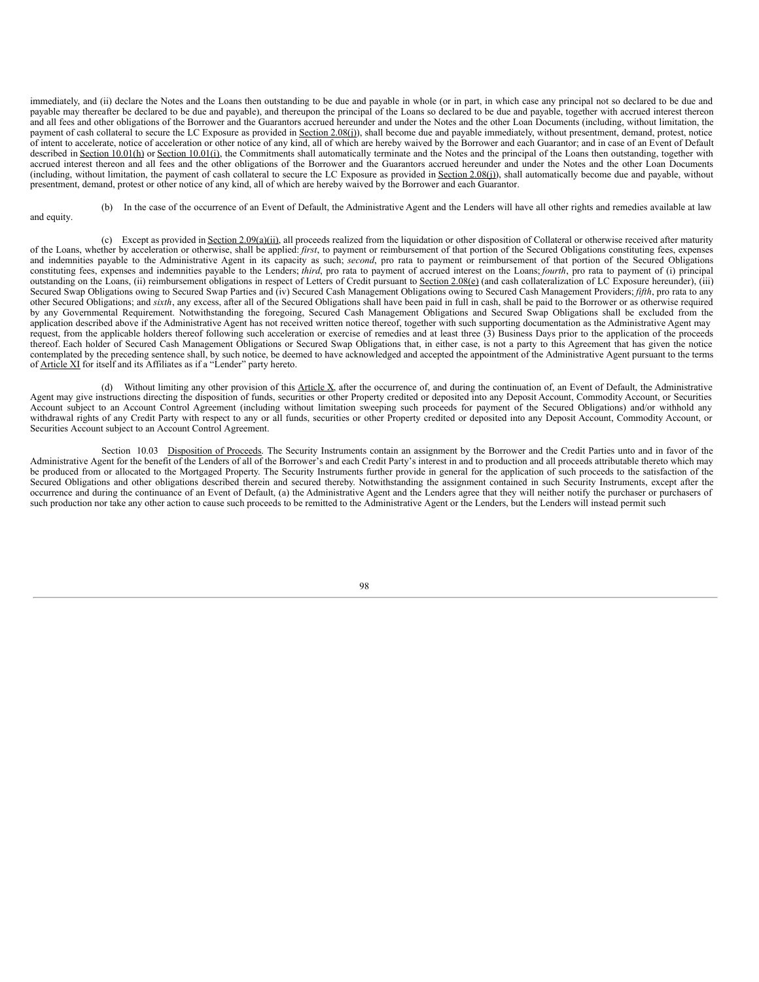immediately, and (ii) declare the Notes and the Loans then outstanding to be due and payable in whole (or in part, in which case any principal not so declared to be due and payable may thereafter be declared to be due and payable), and thereupon the principal of the Loans so declared to be due and payable, together with accrued interest thereon and all fees and other obligations of the Borrower and the Guarantors accrued hereunder and under the Notes and the other Loan Documents (including, without limitation, the payment of cash collateral to secure the LC Exposure as provided in Section 2.08(j)), shall become due and payable immediately, without presentment, demand, protest, notice of intent to accelerate, notice of acceleration or other notice of any kind, all of which are hereby waived by the Borrower and each Guarantor; and in case of an Event of Default described in Section 10.01(h) or Section 10.01(i), the Commitments shall automatically terminate and the Notes and the principal of the Loans then outstanding, together with accrued interest thereon and all fees and the other obligations of the Borrower and the Guarantors accrued hereunder and under the Notes and the other Loan Documents (including, without limitation, the payment of cash collateral to secure the LC Exposure as provided in Section 2.08(j)), shall automatically become due and payable, without presentment, demand, protest or other notice of any kind, all of which are hereby waived by the Borrower and each Guarantor.

(b) In the case of the occurrence of an Event of Default, the Administrative Agent and the Lenders will have all other rights and remedies available at law and equity.

(c) Except as provided in Section 2.09(a)(ii), all proceeds realized from the liquidation or other disposition of Collateral or otherwise received after maturity of the Loans, whether by acceleration or otherwise, shall be applied: *first*, to payment or reimbursement of that portion of the Secured Obligations constituting fees, expenses and indemnities payable to the Administrative Agent in its capacity as such; *second*, pro rata to payment or reimbursement of that portion of the Secured Obligations constituting fees, expenses and indemnities payable to the Lenders; *third*, pro rata to payment of accrued interest on the Loans; *fourth*, pro rata to payment of (i) principal outstanding on the Loans, (ii) reimbursement obligations in respect of Letters of Credit pursuant to Section 2.08(e) (and cash collateralization of LC Exposure hereunder), (iii) Secured Swap Obligations owing to Secured Swap Parties and (iv) Secured Cash Management Obligations owing to Secured Cash Management Providers; *fifth*, pro rata to any other Secured Obligations; and *sixth*, any excess, after all of the Secured Obligations shall have been paid in full in cash, shall be paid to the Borrower or as otherwise required by any Governmental Requirement. Notwithstanding the foregoing, Secured Cash Management Obligations and Secured Swap Obligations shall be excluded from the application described above if the Administrative Agent has not received written notice thereof, together with such supporting documentation as the Administrative Agent may request, from the applicable holders thereof following such acceleration or exercise of remedies and at least three  $(3)$  Business Days prior to the application of the proceeds thereof. Each holder of Secured Cash Management Obligations or Secured Swap Obligations that, in either case, is not a party to this Agreement that has given the notice contemplated by the preceding sentence shall, by such notice, be deemed to have acknowledged and accepted the appointment of the Administrative Agent pursuant to the terms of Article XI for itself and its Affiliates as if a "Lender" party hereto.

(d) Without limiting any other provision of this **Article X**, after the occurrence of, and during the continuation of, an Event of Default, the Administrative Agent may give instructions directing the disposition of funds, securities or other Property credited or deposited into any Deposit Account, Commodity Account, or Securities Account subject to an Account Control Agreement (including without limitation sweeping such proceeds for payment of the Secured Obligations) and/or withhold any withdrawal rights of any Credit Party with respect to any or all funds, securities or other Property credited or deposited into any Deposit Account, Commodity Account, or Securities Account subject to an Account Control Agreement.

Section 10.03 Disposition of Proceeds. The Security Instruments contain an assignment by the Borrower and the Credit Parties unto and in favor of the Administrative Agent for the benefit of the Lenders of all of the Borrower's and each Credit Party's interest in and to production and all proceeds attributable thereto which may be produced from or allocated to the Mortgaged Property. The Security Instruments further provide in general for the application of such proceeds to the satisfaction of the Secured Obligations and other obligations described therein and secured thereby. Notwithstanding the assignment contained in such Security Instruments, except after the occurrence and during the continuance of an Event of Default, (a) the Administrative Agent and the Lenders agree that they will neither notify the purchaser or purchasers of such production nor take any other action to cause such proceeds to be remitted to the Administrative Agent or the Lenders, but the Lenders will instead permit such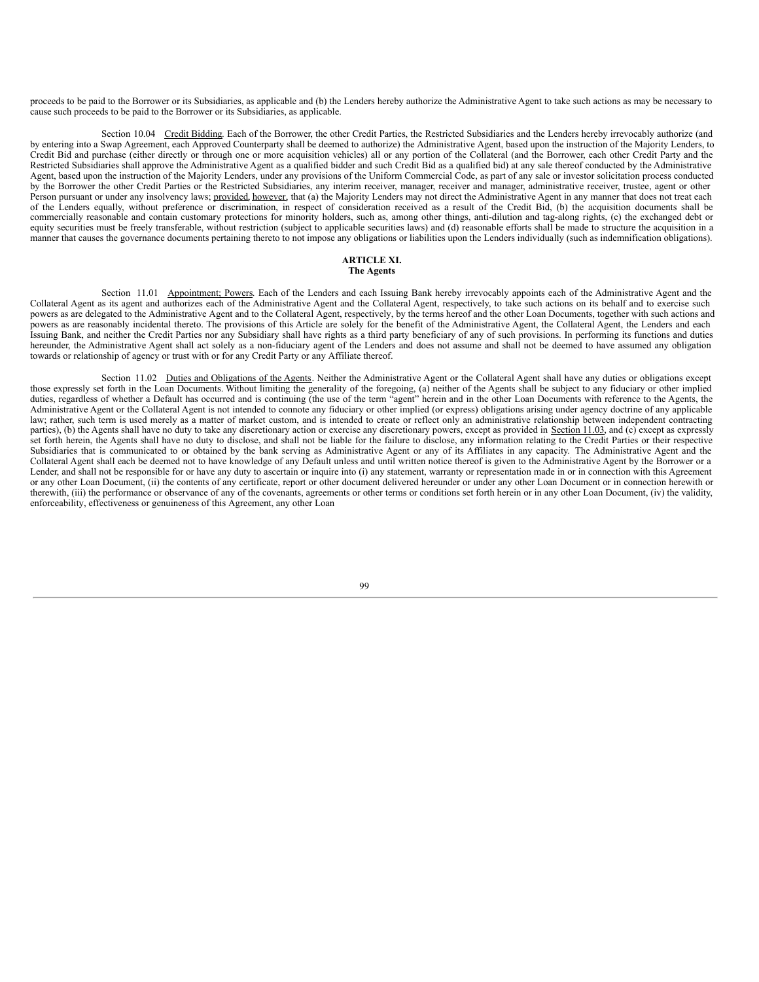proceeds to be paid to the Borrower or its Subsidiaries, as applicable and (b) the Lenders hereby authorize the Administrative Agent to take such actions as may be necessary to cause such proceeds to be paid to the Borrower or its Subsidiaries, as applicable.

Section 10.04 Credit Bidding. Each of the Borrower, the other Credit Parties, the Restricted Subsidiaries and the Lenders hereby irrevocably authorize (and by entering into a Swap Agreement, each Approved Counterparty shall be deemed to authorize) the Administrative Agent, based upon the instruction of the Majority Lenders, to Credit Bid and purchase (either directly or through one or more acquisition vehicles) all or any portion of the Collateral (and the Borrower, each other Credit Party and the Restricted Subsidiaries shall approve the Administrative Agent as a qualified bidder and such Credit Bid as a qualified bid) at any sale thereof conducted by the Administrative Agent, based upon the instruction of the Majority Lenders, under any provisions of the Uniform Commercial Code, as part of any sale or investor solicitation process conducted by the Borrower the other Credit Parties or the Restricted Subsidiaries, any interim receiver, manager, receiver and manager, administrative receiver, trustee, agent or other Person pursuant or under any insolvency laws; provided, however, that (a) the Majority Lenders may not direct the Administrative Agent in any manner that does not treat each of the Lenders equally, without preference or discrimination, in respect of consideration received as a result of the Credit Bid, (b) the acquisition documents shall be commercially reasonable and contain customary protections for minority holders, such as, among other things, anti-dilution and tag-along rights, (c) the exchanged debt or equity securities must be freely transferable, without restriction (subject to applicable securities laws) and (d) reasonable efforts shall be made to structure the acquisition in a manner that causes the governance documents pertaining thereto to not impose any obligations or liabilities upon the Lenders individually (such as indemnification obligations).

#### **ARTICLE XI. The Agents**

Section 11.01 Appointment; Powers. Each of the Lenders and each Issuing Bank hereby irrevocably appoints each of the Administrative Agent and the Collateral Agent as its agent and authorizes each of the Administrative Agent and the Collateral Agent, respectively, to take such actions on its behalf and to exercise such powers as are delegated to the Administrative Agent and to the Collateral Agent, respectively, by the terms hereof and the other Loan Documents, together with such actions and powers as are reasonably incidental thereto. The provisions of this Article are solely for the benefit of the Administrative Agent, the Collateral Agent, the Lenders and each Issuing Bank, and neither the Credit Parties nor any Subsidiary shall have rights as a third party beneficiary of any of such provisions. In performing its functions and duties hereunder, the Administrative Agent shall act solely as a non-fiduciary agent of the Lenders and does not assume and shall not be deemed to have assumed any obligation towards or relationship of agency or trust with or for any Credit Party or any Affiliate thereof.

Section 11.02 Duties and Obligations of the Agents. Neither the Administrative Agent or the Collateral Agent shall have any duties or obligations except those expressly set forth in the Loan Documents. Without limiting the generality of the foregoing, (a) neither of the Agents shall be subject to any fiduciary or other implied duties, regardless of whether a Default has occurred and is continuing (the use of the term "agent" herein and in the other Loan Documents with reference to the Agents, the Administrative Agent or the Collateral Agent is not intended to connote any fiduciary or other implied (or express) obligations arising under agency doctrine of any applicable law; rather, such term is used merely as a matter of market custom, and is intended to create or reflect only an administrative relationship between independent contracting parties), (b) the Agents shall have no duty to take any discretionary action or exercise any discretionary powers, except as provided in Section 11.03, and (c) except as expressly set forth herein, the Agents shall have no duty to disclose, and shall not be liable for the failure to disclose, any information relating to the Credit Parties or their respective Subsidiaries that is communicated to or obtained by the bank serving as Administrative Agent or any of its Affiliates in any capacity. The Administrative Agent and the Collateral Agent shall each be deemed not to have knowledge of any Default unless and until written notice thereof is given to the Administrative Agent by the Borrower or a Lender, and shall not be responsible for or have any duty to ascertain or inquire into (i) any statement, warranty or representation made in or in connection with this Agreement or any other Loan Document, (ii) the contents of any certificate, report or other document delivered hereunder or under any other Loan Document or in connection herewith or therewith, (iii) the performance or observance of any of the covenants, agreements or other terms or conditions set forth herein or in any other Loan Document, (iv) the validity, enforceability, effectiveness or genuineness of this Agreement, any other Loan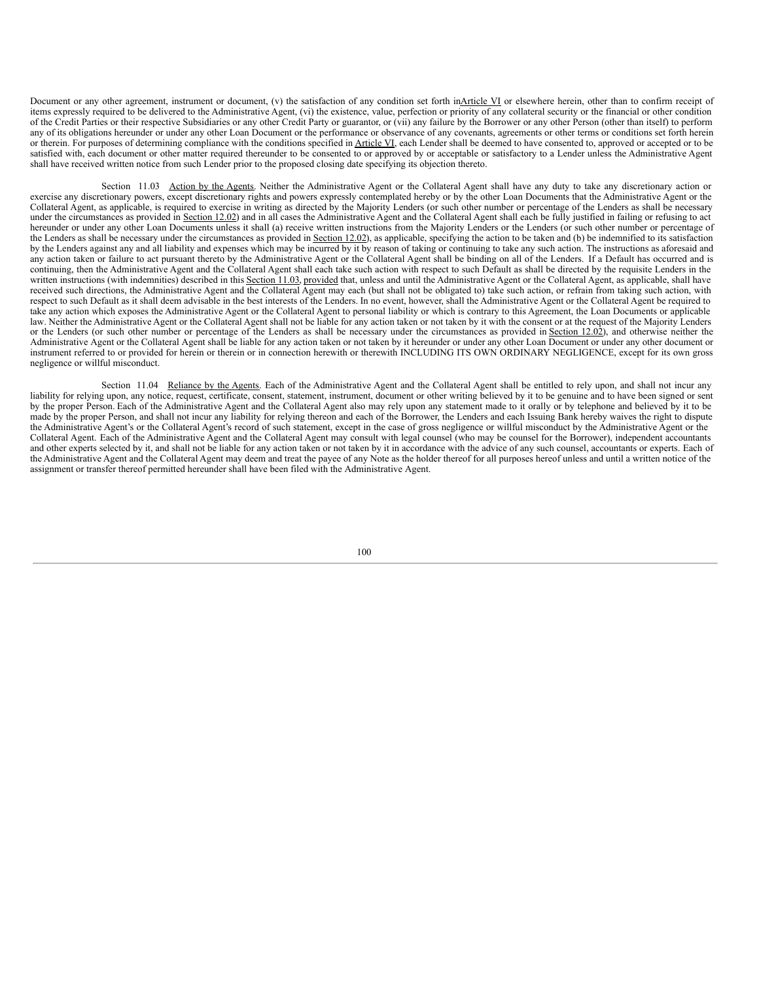Document or any other agreement, instrument or document, (v) the satisfaction of any condition set forth inArticle VI or elsewhere herein, other than to confirm receipt of items expressly required to be delivered to the Administrative Agent, (vi) the existence, value, perfection or priority of any collateral security or the financial or other condition of the Credit Parties or their respective Subsidiaries or any other Credit Party or guarantor, or (vii) any failure by the Borrower or any other Person (other than itself) to perform any of its obligations hereunder or under any other Loan Document or the performance or observance of any covenants, agreements or other terms or conditions set forth herein or therein. For purposes of determining compliance with the conditions specified in Article VI, each Lender shall be deemed to have consented to, approved or accepted or to be satisfied with, each document or other matter required thereunder to be consented to or approved by or acceptable or satisfactory to a Lender unless the Administrative Agent shall have received written notice from such Lender prior to the proposed closing date specifying its objection thereto.

Section 11.03 Action by the Agents. Neither the Administrative Agent or the Collateral Agent shall have any duty to take any discretionary action or exercise any discretionary powers, except discretionary rights and powers expressly contemplated hereby or by the other Loan Documents that the Administrative Agent or the Collateral Agent, as applicable, is required to exercise in writing as directed by the Majority Lenders (or such other number or percentage of the Lenders as shall be necessary under the circumstances as provided in Section 12.02) and in all cases the Administrative Agent and the Collateral Agent shall each be fully justified in failing or refusing to act hereunder or under any other Loan Documents unless it shall (a) receive written instructions from the Majority Lenders or the Lenders (or such other number or percentage of the Lenders as shall be necessary under the circumstances as provided in Section 12.02), as applicable, specifying the action to be taken and (b) be indemnified to its satisfaction by the Lenders against any and all liability and expenses which may be incurred by it by reason of taking or continuing to take any such action. The instructions as aforesaid and any action taken or failure to act pursuant thereto by the Administrative Agent or the Collateral Agent shall be binding on all of the Lenders. If a Default has occurred and is continuing, then the Administrative Agent and the Collateral Agent shall each take such action with respect to such Default as shall be directed by the requisite Lenders in the written instructions (with indemnities) described in this Section 11.03, provided that, unless and until the Administrative Agent or the Collateral Agent, as applicable, shall have received such directions, the Administrative Agent and the Collateral Agent may each (but shall not be obligated to) take such action, or refrain from taking such action, with respect to such Default as it shall deem advisable in the best interests of the Lenders. In no event, however, shall the Administrative Agent or the Collateral Agent be required to take any action which exposes the Administrative Agent or the Collateral Agent to personal liability or which is contrary to this Agreement, the Loan Documents or applicable law. Neither the Administrative Agent or the Collateral Agent shall not be liable for any action taken or not taken by it with the consent or at the request of the Majority Lenders or the Lenders (or such other number or percentage of the Lenders as shall be necessary under the circumstances as provided in Section 12.02), and otherwise neither the Administrative Agent or the Collateral Agent shall be liable for any action taken or not taken by it hereunder or under any other Loan Document or under any other document or instrument referred to or provided for herein or therein or in connection herewith or therewith INCLUDING ITS OWN ORDINARY NEGLIGENCE, except for its own gross negligence or willful misconduct.

Section 11.04 Reliance by the Agents. Each of the Administrative Agent and the Collateral Agent shall be entitled to rely upon, and shall not incur any liability for relying upon, any notice, request, certificate, consent, statement, instrument, document or other writing believed by it to be genuine and to have been signed or sent by the proper Person. Each of the Administrative Agent and the Collateral Agent also may rely upon any statement made to it orally or by telephone and believed by it to be made by the proper Person, and shall not incur any liability for relying thereon and each of the Borrower, the Lenders and each Issuing Bank hereby waives the right to dispute the Administrative Agent's or the Collateral Agent's record of such statement, except in the case of gross negligence or willful misconduct by the Administrative Agent or the Collateral Agent. Each of the Administrative Agent and the Collateral Agent may consult with legal counsel (who may be counsel for the Borrower), independent accountants and other experts selected by it, and shall not be liable for any action taken or not taken by it in accordance with the advice of any such counsel, accountants or experts. Each of the Administrative Agent and the Collateral Agent may deem and treat the payee of any Note as the holder thereof for all purposes hereof unless and until a written notice of the assignment or transfer thereof permitted hereunder shall have been filed with the Administrative Agent.

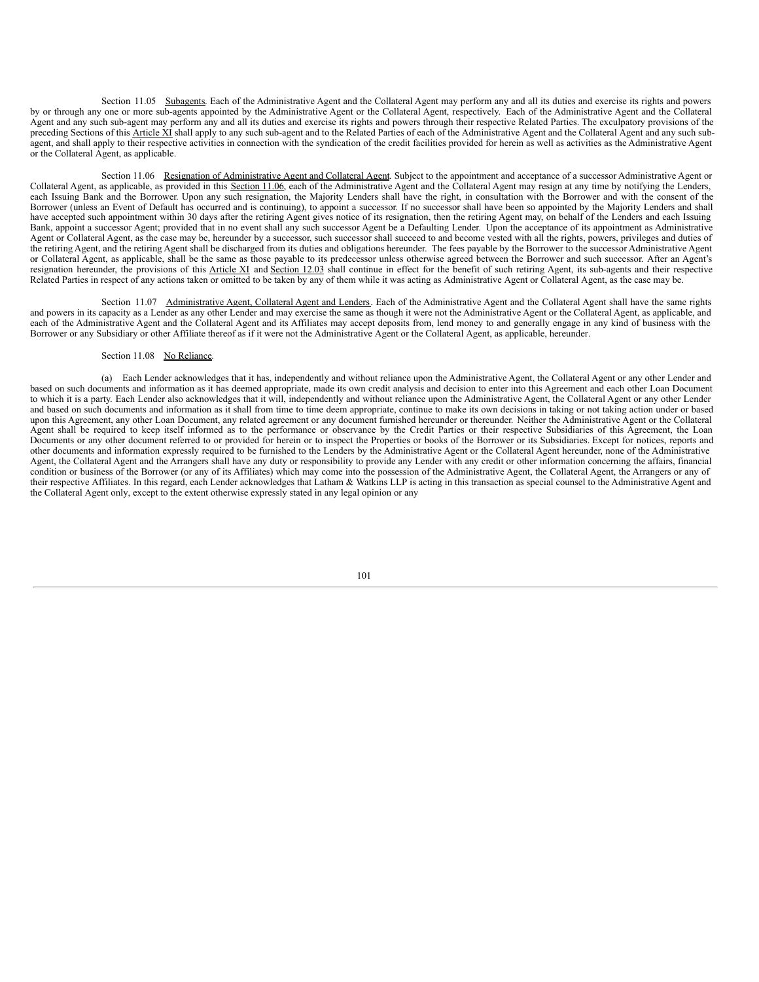Section 11.05 Subagents. Each of the Administrative Agent and the Collateral Agent may perform any and all its duties and exercise its rights and powers by or through any one or more sub-agents appointed by the Administrative Agent or the Collateral Agent, respectively. Each of the Administrative Agent and the Collateral Agent and any such sub-agent may perform any and all its duties and exercise its rights and powers through their respective Related Parties. The exculpatory provisions of the preceding Sections of this Article XI shall apply to any such sub-agent and to the Related Parties of each of the Administrative Agent and the Collateral Agent and any such subagent, and shall apply to their respective activities in connection with the syndication of the credit facilities provided for herein as well as activities as the Administrative Agent or the Collateral Agent, as applicable.

Section 11.06 Resignation of Administrative Agent and Collateral Agent. Subject to the appointment and acceptance of a successor Administrative Agent or Collateral Agent, as applicable, as provided in this Section 11.06, each of the Administrative Agent and the Collateral Agent may resign at any time by notifying the Lenders, each Issuing Bank and the Borrower. Upon any such resignation, the Majority Lenders shall have the right, in consultation with the Borrower and with the consent of the Borrower (unless an Event of Default has occurred and is continuing), to appoint a successor. If no successor shall have been so appointed by the Majority Lenders and shall have accepted such appointment within 30 days after the retiring Agent gives notice of its resignation, then the retiring Agent may, on behalf of the Lenders and each Issuing Bank, appoint a successor Agent; provided that in no event shall any such successor Agent be a Defaulting Lender. Upon the acceptance of its appointment as Administrative Agent or Collateral Agent, as the case may be, hereunder by a successor, such successor shall succeed to and become vested with all the rights, powers, privileges and duties of the retiring Agent, and the retiring Agent shall be discharged from its duties and obligations hereunder. The fees payable by the Borrower to the successor Administrative Agent or Collateral Agent, as applicable, shall be the same as those payable to its predecessor unless otherwise agreed between the Borrower and such successor. After an Agent's resignation hereunder, the provisions of this Article XI and Section 12.03 shall continue in effect for the benefit of such retiring Agent, its sub-agents and their respective Related Parties in respect of any actions taken or omitted to be taken by any of them while it was acting as Administrative Agent or Collateral Agent, as the case may be.

Section 11.07 Administrative Agent, Collateral Agent and Lenders. Each of the Administrative Agent and the Collateral Agent shall have the same rights and powers in its capacity as a Lender as any other Lender and may exercise the same as though it were not the Administrative Agent or the Collateral Agent, as applicable, and each of the Administrative Agent and the Collateral Agent and its Affiliates may accept deposits from, lend money to and generally engage in any kind of business with the Borrower or any Subsidiary or other Affiliate thereof as if it were not the Administrative Agent or the Collateral Agent, as applicable, hereunder.

#### Section 11.08 No Reliance.

(a) Each Lender acknowledges that it has, independently and without reliance upon the Administrative Agent, the Collateral Agent or any other Lender and based on such documents and information as it has deemed appropriate, made its own credit analysis and decision to enter into this Agreement and each other Loan Document to which it is a party. Each Lender also acknowledges that it will, independently and without reliance upon the Administrative Agent, the Collateral Agent or any other Lender and based on such documents and information as it shall from time to time deem appropriate, continue to make its own decisions in taking or not taking action under or based upon this Agreement, any other Loan Document, any related agreement or any document furnished hereunder or thereunder. Neither the Administrative Agent or the Collateral Agent shall be required to keep itself informed as to the performance or observance by the Credit Parties or their respective Subsidiaries of this Agreement, the Loan Documents or any other document referred to or provided for herein or to inspect the Properties or books of the Borrower or its Subsidiaries. Except for notices, reports and other documents and information expressly required to be furnished to the Lenders by the Administrative Agent or the Collateral Agent hereunder, none of the Administrative Agent, the Collateral Agent and the Arrangers shall have any duty or responsibility to provide any Lender with any credit or other information concerning the affairs, financial condition or business of the Borrower (or any of its Affiliates) which may come into the possession of the Administrative Agent, the Collateral Agent, the Arrangers or any of their respective Affiliates. In this regard, each Lender acknowledges that Latham & Watkins LLP is acting in this transaction as special counsel to the Administrative Agent and the Collateral Agent only, except to the extent otherwise expressly stated in any legal opinion or any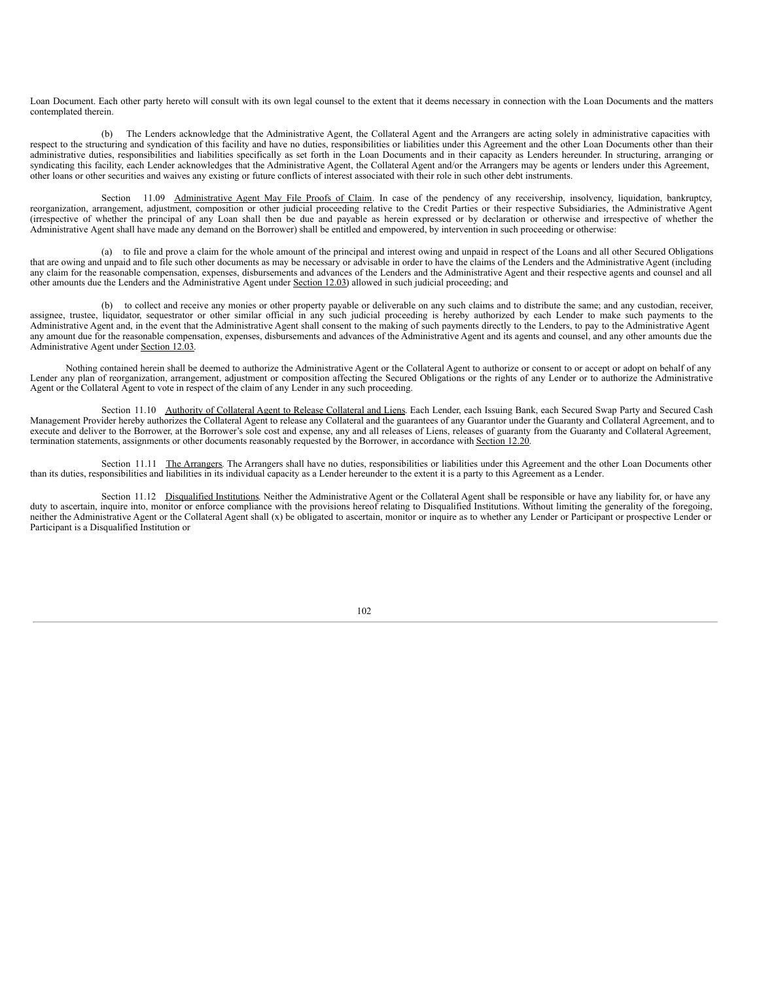Loan Document. Each other party hereto will consult with its own legal counsel to the extent that it deems necessary in connection with the Loan Documents and the matters contemplated therein.

(b) The Lenders acknowledge that the Administrative Agent, the Collateral Agent and the Arrangers are acting solely in administrative capacities with respect to the structuring and syndication of this facility and have no duties, responsibilities or liabilities under this Agreement and the other Loan Documents other than their administrative duties, responsibilities and liabilities specifically as set forth in the Loan Documents and in their capacity as Lenders hereunder. In structuring, arranging or syndicating this facility, each Lender acknowledges that the Administrative Agent, the Collateral Agent and/or the Arrangers may be agents or lenders under this Agreement, other loans or other securities and waives any existing or future conflicts of interest associated with their role in such other debt instruments.

Section 11.09 Administrative Agent May File Proofs of Claim. In case of the pendency of any receivership, insolvency, liquidation, bankruptcy, reorganization, arrangement, adjustment, composition or other judicial proceeding relative to the Credit Parties or their respective Subsidiaries, the Administrative Agent (irrespective of whether the principal of any Loan shall then be due and payable as herein expressed or by declaration or otherwise and irrespective of whether the Administrative Agent shall have made any demand on the Borrower) shall be entitled and empowered, by intervention in such proceeding or otherwise:

(a) to file and prove a claim for the whole amount of the principal and interest owing and unpaid in respect of the Loans and all other Secured Obligations that are owing and unpaid and to file such other documents as may be necessary or advisable in order to have the claims of the Lenders and the Administrative Agent (including any claim for the reasonable compensation, expenses, disbursements and advances of the Lenders and the Administrative Agent and their respective agents and counsel and all other amounts due the Lenders and the Administrative Agent under Section 12.03) allowed in such judicial proceeding; and

(b) to collect and receive any monies or other property payable or deliverable on any such claims and to distribute the same; and any custodian, receiver, assignee, trustee, liquidator, sequestrator or other similar official in any such judicial proceeding is hereby authorized by each Lender to make such payments to the Administrative Agent and, in the event that the Administrative Agent shall consent to the making of such payments directly to the Lenders, to pay to the Administrative Agent any amount due for the reasonable compensation, expenses, disbursements and advances of the Administrative Agent and its agents and counsel, and any other amounts due the Administrative Agent under Section 12.03.

Nothing contained herein shall be deemed to authorize the Administrative Agent or the Collateral Agent to authorize or consent to or accept or adopt on behalf of any Lender any plan of reorganization, arrangement, adjustment or composition affecting the Secured Obligations or the rights of any Lender or to authorize the Administrative Agent or the Collateral Agent to vote in respect of

Section 11.10 Authority of Collateral Agent to Release Collateral and Liens. Each Lender, each Issuing Bank, each Secured Swap Party and Secured Cash Management Provider hereby authorizes the Collateral Agent to release any Collateral and the guarantees of any Guarantor under the Guaranty and Collateral Agreement, and to execute and deliver to the Borrower, at the Borrower's sole cost and expense, any and all releases of Liens, releases of guaranty from the Guaranty and Collateral Agreement, termination statements, assignments or other documents reasonably requested by the Borrower, in accordance with Section 12.20.

Section 11.11 The Arrangers. The Arrangers shall have no duties, responsibilities or liabilities under this Agreement and the other Loan Documents other than its duties, responsibilities and liabilities in its individual capacity as a Lender hereunder to the extent it is a party to this Agreement as a Lender.

Section 11.12 Disqualified Institutions. Neither the Administrative Agent or the Collateral Agent shall be responsible or have any liability for, or have any duty to ascertain, inquire into, monitor or enforce compliance with the provisions hereof relating to Disqualified Institutions. Without limiting the generality of the foregoing, neither the Administrative Agent or the Collateral Agent shall (x) be obligated to ascertain, monitor or inquire as to whether any Lender or Participant or prospective Lender or Participant is a Disqualified Institution or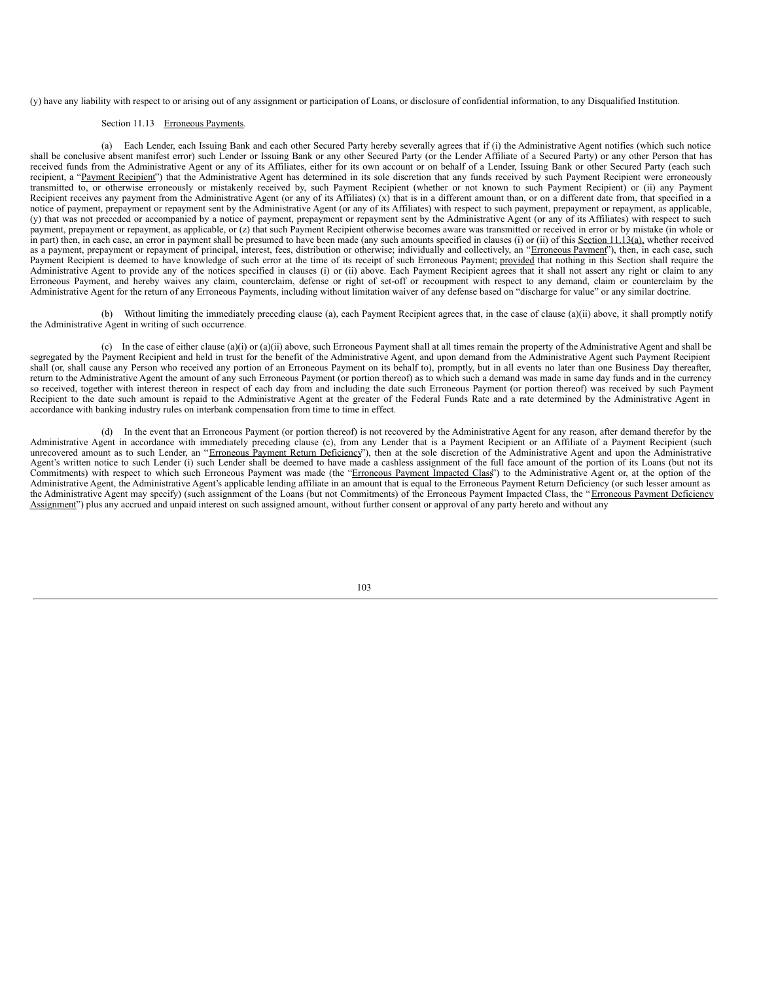(y) have any liability with respect to or arising out of any assignment or participation of Loans, or disclosure of confidential information, to any Disqualified Institution.

## Section 11.13 Erroneous Payments.

(a) Each Lender, each Issuing Bank and each other Secured Party hereby severally agrees that if (i) the Administrative Agent notifies (which such notice shall be conclusive absent manifest error) such Lender or Issuing Bank or any other Secured Party (or the Lender Affiliate of a Secured Party) or any other Person that has received funds from the Administrative Agent or any of its Affiliates, either for its own account or on behalf of a Lender, Issuing Bank or other Secured Party (each such recipient, a "Payment Recipient") that the Administrative Agent has determined in its sole discretion that any funds received by such Payment Recipient were erroneously transmitted to, or otherwise erroneously or mistakenly received by, such Payment Recipient (whether or not known to such Payment Recipient) or (ii) any Payment Recipient receives any payment from the Administrative Agent (or any of its Affiliates) (x) that is in a different amount than, or on a different date from, that specified in a notice of payment, prepayment or repayment sent by the Administrative Agent (or any of its Affiliates) with respect to such payment, prepayment or repayment, as applicable, (y) that was not preceded or accompanied by a notice of payment, prepayment or repayment sent by the Administrative Agent (or any of its Affiliates) with respect to such payment, prepayment or repayment, as applicable, or (z) that such Payment Recipient otherwise becomes aware was transmitted or received in error or by mistake (in whole or in part) then, in each case, an error in payment shall be presumed to have been made (any such amounts specified in clauses (i) or (ii) of this Section 11.13(a), whether received as a payment, prepayment or repayment of principal, interest, fees, distribution or otherwise; individually and collectively, an "Erroneous Payment"), then, in each case, such Payment Recipient is deemed to have knowledge of such error at the time of its receipt of such Erroneous Payment; provided that nothing in this Section shall require the Administrative Agent to provide any of the notices specified in clauses (i) or (ii) above. Each Payment Recipient agrees that it shall not assert any right or claim to any Erroneous Payment, and hereby waives any claim, counterclaim, defense or right of set-off or recoupment with respect to any demand, claim or counterclaim by the Administrative Agent for the return of any Erroneous Payments, including without limitation waiver of any defense based on "discharge for value" or any similar doctrine.

(b) Without limiting the immediately preceding clause (a), each Payment Recipient agrees that, in the case of clause (a)(ii) above, it shall promptly notify the Administrative Agent in writing of such occurrence.

(c) In the case of either clause (a)(i) or (a)(ii) above, such Erroneous Payment shall at all times remain the property of the Administrative Agent and shall be segregated by the Payment Recipient and held in trust for the benefit of the Administrative Agent, and upon demand from the Administrative Agent such Payment Recipient shall (or, shall cause any Person who received any portion of an Erroneous Payment on its behalf to), promptly, but in all events no later than one Business Day thereafter, return to the Administrative Agent the amount of any such Erroneous Payment (or portion thereof) as to which such a demand was made in same day funds and in the currency so received, together with interest thereon in respect of each day from and including the date such Erroneous Payment (or portion thereof) was received by such Payment Recipient to the date such amount is repaid to the Administrative Agent at the greater of the Federal Funds Rate and a rate determined by the Administrative Agent in accordance with banking industry rules on interbank compensation from time to time in effect.

(d) In the event that an Erroneous Payment (or portion thereof) is not recovered by the Administrative Agent for any reason, after demand therefor by the Administrative Agent in accordance with immediately preceding clause (c), from any Lender that is a Payment Recipient or an Affiliate of a Payment Recipient (such unrecovered amount as to such Lender, an "Erroneous Payment Return Deficiency"), then at the sole discretion of the Administrative Agent and upon the Administrative Agent's written notice to such Lender (i) such Lender shall be deemed to have made a cashless assignment of the full face amount of the portion of its Loans (but not its Commitments) with respect to which such Erroneous Payment was made (the "Erroneous Payment Impacted Class") to the Administrative Agent or, at the option of the Administrative Agent, the Administrative Agent's applicable lending affiliate in an amount that is equal to the Erroneous Payment Return Deficiency (or such lesser amount as the Administrative Agent may specify) (such assignment of the Loans (but not Commitments) of the Erroneous Payment Impacted Class, the "Erroneous Payment Deficiency Assignment") plus any accrued and unpaid interest on such assigned amount, without further consent or approval of any party hereto and without any

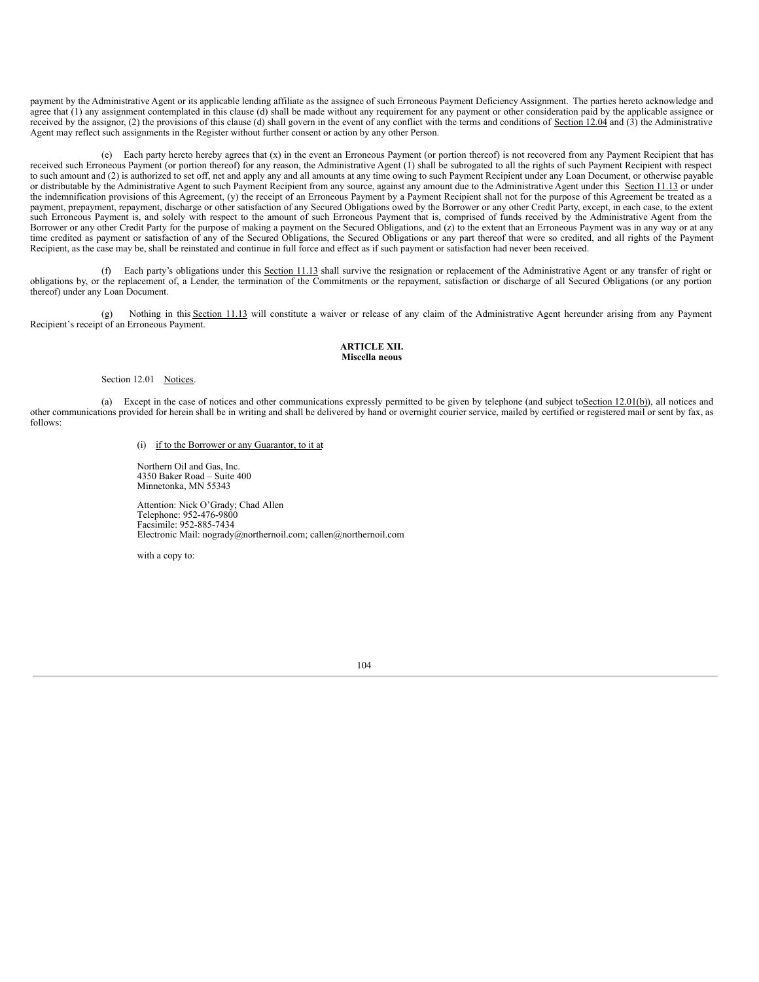payment by the Administrative Agent or its applicable lending affiliate as the assignee of such Erroneous Payment Deficiency Assignment. The parties hereto acknowledge and agree that (1) any assignment contemplated in this clause (d) shall be made without any requirement for any payment or other consideration paid by the applicable assignee or received by the assignor, (2) the provisions of this clause (d) shall govern in the event of any conflict with the terms and conditions of Section 12.04 and (3) the Administrative Agent may reflect such assignments in the Register without further consent or action by any other Person.

(e) Each party hereto hereby agrees that (x) in the event an Erroneous Payment (or portion thereof) is not recovered from any Payment Recipient that has received such Erroneous Payment (or portion thereof) for any reason, the Administrative Agent (1) shall be subrogated to all the rights of such Payment Recipient with respect to such amount and (2) is authorized to set off, net and apply any and all amounts at any time owing to such Payment Recipient under any Loan Document, or otherwise payable or distributable by the Administrative Agent to such Payment Recipient from any source, against any amount due to the Administrative Agent under this Section 11.13 or under the indemnification provisions of this Agreement, (y) the receipt of an Erroneous Payment by a Payment Recipient shall not for the purpose of this Agreement be treated as a payment, prepayment, repayment, discharge or other satisfaction of any Secured Obligations owed by the Borrower or any other Credit Party, except, in each case, to the extent such Erroneous Payment is, and solely with respect to the amount of such Erroneous Payment that is, comprised of funds received by the Administrative Agent from the Borrower or any other Credit Party for the purpose of making a payment on the Secured Obligations, and (z) to the extent that an Erroneous Payment was in any way or at any time credited as payment or satisfaction of any of the Secured Obligations, the Secured Obligations or any part thereof that were so credited, and all rights of the Payment Recipient, as the case may be, shall be reinstated and continue in full force and effect as if such payment or satisfaction had never been received.

(f) Each party's obligations under this Section 11.13 shall survive the resignation or replacement of the Administrative Agent or any transfer of right or obligations by, or the replacement of, a Lender, the termination of the Commitments or the repayment, satisfaction or discharge of all Secured Obligations (or any portion thereof) under any Loan Document.

(g) Nothing in this Section 11.13 will constitute a waiver or release of any claim of the Administrative Agent hereunder arising from any Payment Recipient's receipt of an Erroneous Payment.

#### **ARTICLE XII. Miscella neous**

Section 12.01 Notices.

(a) Except in the case of notices and other communications expressly permitted to be given by telephone (and subject toSection 12.01(b)), all notices and other communications provided for herein shall be in writing and shall be delivered by hand or overnight courier service, mailed by certified or registered mail or sent by fax, as follows:

(i) if to the Borrower or any Guarantor, to it at

Northern Oil and Gas, Inc. 4350 Baker Road – Suite 400 Minnetonka, MN 55343

Attention: Nick O'Grady; Chad Allen Telephone: 952-476-9800 Facsimile: 952-885-7434 Electronic Mail: nogrady@northernoil.com; callen@northernoil.com

with a copy to: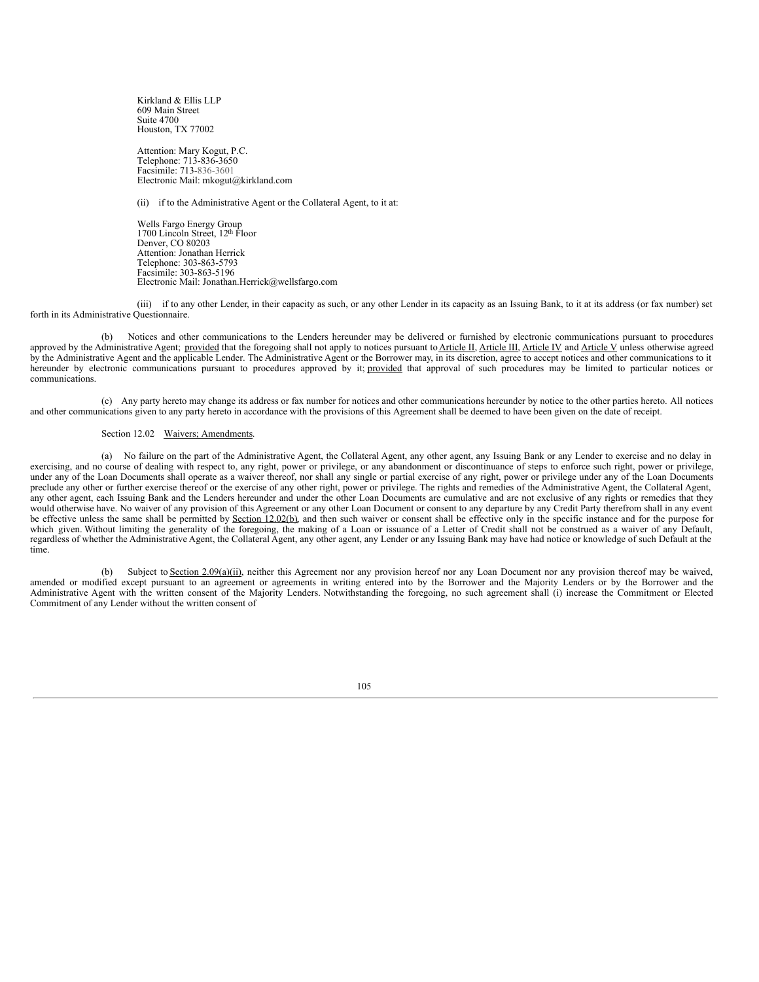Kirkland & Ellis LLP 609 Main Street Suite 4700 Houston, TX 77002

Attention: Mary Kogut, P.C. Telephone: 713-836-3650 Facsimile: 713-836-3601 Electronic Mail: mkogut@kirkland.com

(ii) if to the Administrative Agent or the Collateral Agent, to it at:

Wells Fargo Energy Group 1700 Lincoln Street, 12<sup>th</sup> Floor Denver, CO 80203 Attention: Jonathan Herrick Telephone: 303-863-5793 Facsimile: 303-863-5196 Electronic Mail: Jonathan.Herrick@wellsfargo.com

(iii) if to any other Lender, in their capacity as such, or any other Lender in its capacity as an Issuing Bank, to it at its address (or fax number) set forth in its Administrative Questionnaire.

Notices and other communications to the Lenders hereunder may be delivered or furnished by electronic communications pursuant to procedures approved by the Administrative Agent; provided that the foregoing shall not apply to notices pursuant to Article II, Article III, Article IV and Article V unless otherwise agreed by the Administrative Agent and the applicable Lender. The Administrative Agent or the Borrower may, in its discretion, agree to accept notices and other communications to it hereunder by electronic communications pursuant to procedures approved by it; provided that approval of such procedures may be limited to particular notices or communications.

(c) Any party hereto may change its address or fax number for notices and other communications hereunder by notice to the other parties hereto. All notices and other communications given to any party hereto in accordance with the provisions of this Agreement shall be deemed to have been given on the date of receipt.

### Section 12.02 Waivers; Amendments.

(a) No failure on the part of the Administrative Agent, the Collateral Agent, any other agent, any Issuing Bank or any Lender to exercise and no delay in exercising, and no course of dealing with respect to, any right, power or privilege, or any abandonment or discontinuance of steps to enforce such right, power or privilege, under any of the Loan Documents shall operate as a waiver thereof, nor shall any single or partial exercise of any right, power or privilege under any of the Loan Documents preclude any other or further exercise thereof or the exercise of any other right, power or privilege. The rights and remedies of the Administrative Agent, the Collateral Agent, any other agent, each Issuing Bank and the Lenders hereunder and under the other Loan Documents are cumulative and are not exclusive of any rights or remedies that they would otherwise have. No waiver of any provision of this Agreement or any other Loan Document or consent to any departure by any Credit Party therefrom shall in any event be effective unless the same shall be permitted by Section 12.02(b), and then such waiver or consent shall be effective only in the specific instance and for the purpose for which given. Without limiting the generality of the foregoing, the making of a Loan or issuance of a Letter of Credit shall not be construed as a waiver of any Default, regardless of whether the Administrative Agent, the Collateral Agent, any other agent, any Lender or any Issuing Bank may have had notice or knowledge of such Default at the time.

Subject to Section 2.09(a)(ii), neither this Agreement nor any provision hereof nor any Loan Document nor any provision thereof may be waived, amended or modified except pursuant to an agreement or agreements in writing entered into by the Borrower and the Majority Lenders or by the Borrower and the Administrative Agent with the written consent of the Majority Lenders. Notwithstanding the foregoing, no such agreement shall (i) increase the Commitment or Elected Commitment of any Lender without the written consent of

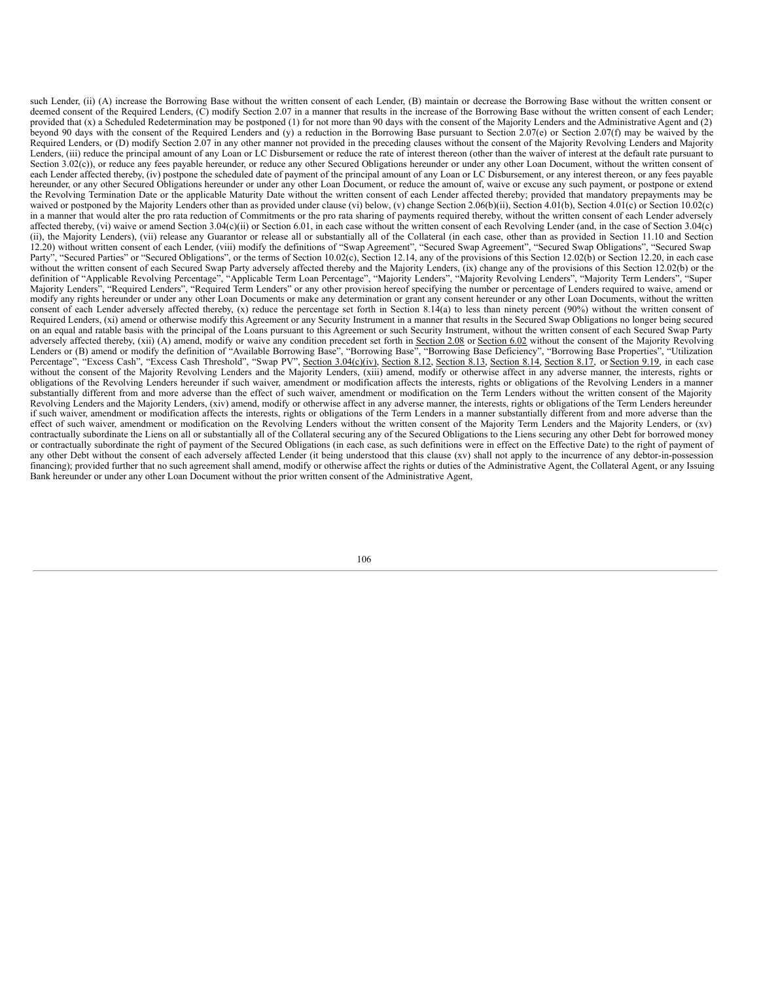such Lender, (ii) (A) increase the Borrowing Base without the written consent of each Lender, (B) maintain or decrease the Borrowing Base without the written consent or deemed consent of the Required Lenders, (C) modify Section 2.07 in a manner that results in the increase of the Borrowing Base without the written consent of each Lender; provided that (x) a Scheduled Redetermination may be postponed (1) for not more than 90 days with the consent of the Majority Lenders and the Administrative Agent and (2) beyond 90 days with the consent of the Required Lenders and (y) a reduction in the Borrowing Base pursuant to Section 2.07(e) or Section 2.07(f) may be waived by the Required Lenders, or (D) modify Section 2.07 in any other manner not provided in the preceding clauses without the consent of the Majority Revolving Lenders and Majority Lenders, (iii) reduce the principal amount of any Loan or LC Disbursement or reduce the rate of interest thereon (other than the waiver of interest at the default rate pursuant to Section 3.02(c)), or reduce any fees payable hereunder, or reduce any other Secured Obligations hereunder or under any other Loan Document, without the written consent of each Lender affected thereby, (iv) postpone the scheduled date of payment of the principal amount of any Loan or LC Disbursement, or any interest thereon, or any fees payable hereunder, or any other Secured Obligations hereunder or under any other Loan Document, or reduce the amount of, waive or excuse any such payment, or postpone or extend the Revolving Termination Date or the applicable Maturity Date without the written consent of each Lender affected thereby; provided that mandatory prepayments may be waived or postponed by the Majority Lenders other than as provided under clause (vi) below, (v) change Section 2.06(b)(ii), Section 4.01(b), Section 4.01(c) or Section 10.02(c) in a manner that would alter the pro rata reduction of Commitments or the pro rata sharing of payments required thereby, without the written consent of each Lender adversely affected thereby, (vi) waive or amend Section 3.04(c)(ii) or Section 6.01, in each case without the written consent of each Revolving Lender (and, in the case of Section 3.04(c) (ii), the Majority Lenders), (vii) release any Guarantor or release all or substantially all of the Collateral (in each case, other than as provided in Section 11.10 and Section 12.20) without written consent of each Lender, (viii) modify the definitions of "Swap Agreement", "Secured Swap Agreement", "Secured Swap Obligations", "Secured Swap Party", "Secured Parties" or "Secured Obligations", or the terms of Section 10.02(c), Section 12.14, any of the provisions of this Section 12.02(b) or Section 12.20, in each case without the written consent of each Secured Swap Party adversely affected thereby and the Majority Lenders, (ix) change any of the provisions of this Section 12.02(b) or the definition of "Applicable Revolving Percentage", "Applicable Term Loan Percentage", "Majority Lenders", "Majority Revolving Lenders", "Majority Term Lenders", "Super Majority Lenders", "Required Lenders", "Required Term Lenders" or any other provision hereof specifying the number or percentage of Lenders required to waive, amend or modify any rights hereunder or under any other Loan Documents or make any determination or grant any consent hereunder or any other Loan Documents, without the written consent of each Lender adversely affected thereby, (x) reduce the percentage set forth in Section 8.14(a) to less than ninety percent (90%) without the written consent of Required Lenders, (xi) amend or otherwise modify this Agreement or any Security Instrument in a manner that results in the Secured Swap Obligations no longer being secured on an equal and ratable basis with the principal of the Loans pursuant to this Agreement or such Security Instrument, without the written consent of each Secured Swap Party adversely affected thereby, (xii) (A) amend, modify or waive any condition precedent set forth in Section 2.08 or Section 6.02 without the consent of the Majority Revolving Lenders or (B) amend or modify the definition of "Available Borrowing Base", "Borrowing Base Deficiency", "Borrowing Base Properties", "Utilization Percentage", "Excess Cash", "Excess Cash Threshold", "Swap PV", Section 3.04(c)(iv), Section 8.12, Section 8.13, Section 8.14, Section 8.17, or Section 9.19, in each case without the consent of the Majority Revolving Lenders and the Majority Lenders, (xiii) amend, modify or otherwise affect in any adverse manner, the interests, rights or obligations of the Revolving Lenders hereunder if such waiver, amendment or modification affects the interests, rights or obligations of the Revolving Lenders in a manner substantially different from and more adverse than the effect of such waiver, amendment or modification on the Term Lenders without the written consent of the Majority Revolving Lenders and the Majority Lenders, (xiv) amend, modify or otherwise affect in any adverse manner, the interests, rights or obligations of the Term Lenders hereunder if such waiver, amendment or modification affects the interests, rights or obligations of the Term Lenders in a manner substantially different from and more adverse than the effect of such waiver, amendment or modification on the Revolving Lenders without the written consent of the Majority Term Lenders and the Majority Lenders, or (xv) contractually subordinate the Liens on all or substantially all of the Collateral securing any of the Secured Obligations to the Liens securing any other Debt for borrowed money or contractually subordinate the right of payment of the Secured Obligations (in each case, as such definitions were in effect on the Effective Date) to the right of payment of any other Debt without the consent of each adversely affected Lender (it being understood that this clause (xv) shall not apply to the incurrence of any debtor-in-possession financing); provided further that no such agreement shall amend, modify or otherwise affect the rights or duties of the Administrative Agent, the Collateral Agent, or any Issuing Bank hereunder or under any other Loan Document without the prior written consent of the Administrative Agent,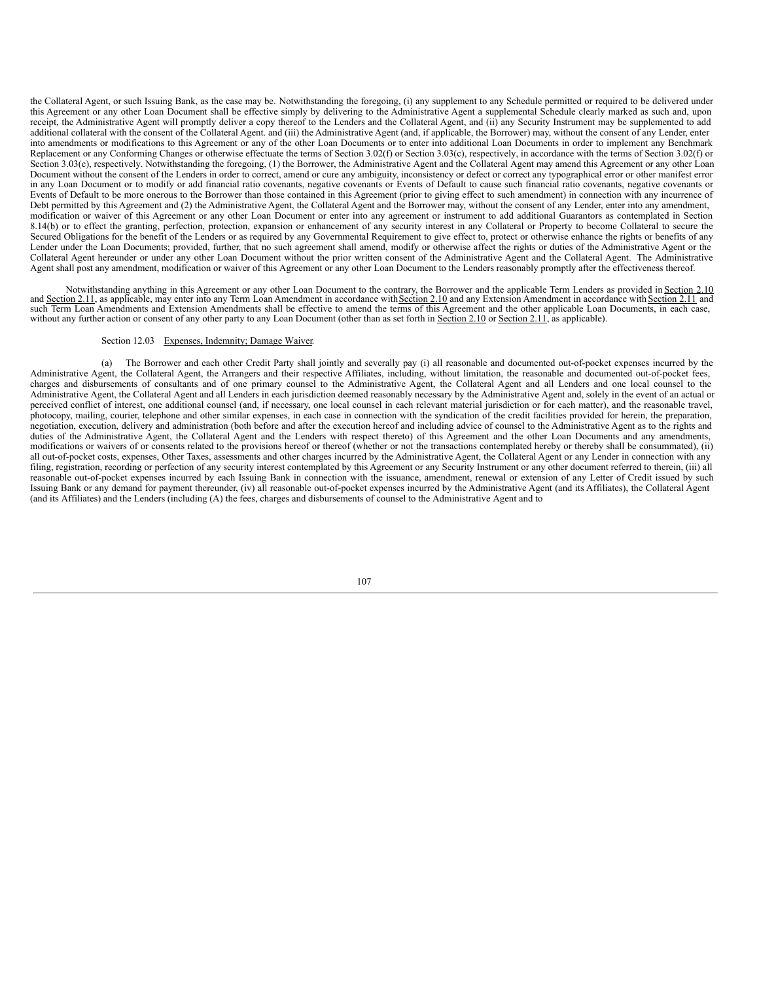the Collateral Agent, or such Issuing Bank, as the case may be. Notwithstanding the foregoing, (i) any supplement to any Schedule permitted or required to be delivered under this Agreement or any other Loan Document shall be effective simply by delivering to the Administrative Agent a supplemental Schedule clearly marked as such and, upon receipt, the Administrative Agent will promptly deliver a copy thereof to the Lenders and the Collateral Agent, and (ii) any Security Instrument may be supplemented to add additional collateral with the consent of the Collateral Agent. and (iii) the Administrative Agent (and, if applicable, the Borrower) may, without the consent of any Lender, enter into amendments or modifications to this Agreement or any of the other Loan Documents or to enter into additional Loan Documents in order to implement any Benchmark Replacement or any Conforming Changes or otherwise effectuate the terms of Section 3.02(f) or Section 3.03(c), respectively, in accordance with the terms of Section 3.02(f) or Section 3.03(c), respectively. Notwithstanding the foregoing, (1) the Borrower, the Administrative Agent and the Collateral Agent may amend this Agreement or any other Loan Document without the consent of the Lenders in order to correct, amend or cure any ambiguity, inconsistency or defect or correct any typographical error or other manifest error in any Loan Document or to modify or add financial ratio covenants, negative covenants or Events of Default to cause such financial ratio covenants, negative covenants or Events of Default to be more onerous to the Borrower than those contained in this Agreement (prior to giving effect to such amendment) in connection with any incurrence of Debt permitted by this Agreement and (2) the Administrative Agent, the Collateral Agent and the Borrower may, without the consent of any Lender, enter into any amendment, modification or waiver of this Agreement or any other Loan Document or enter into any agreement or instrument to add additional Guarantors as contemplated in Section 8.14(b) or to effect the granting, perfection, protection, expansion or enhancement of any security interest in any Collateral or Property to become Collateral to secure the Secured Obligations for the benefit of the Lenders or as required by any Governmental Requirement to give effect to, protect or otherwise enhance the rights or benefits of any Lender under the Loan Documents; provided, further, that no such agreement shall amend, modify or otherwise affect the rights or duties of the Administrative Agent or the Collateral Agent hereunder or under any other Loan Document without the prior written consent of the Administrative Agent and the Collateral Agent. The Administrative Agent shall post any amendment, modification or waiver of this Agreement or any other Loan Document to the Lenders reasonably promptly after the effectiveness thereof.

Notwithstanding anything in this Agreement or any other Loan Document to the contrary, the Borrower and the applicable Term Lenders as provided in Section 2.10 and  $Section 2.11$ , as applicable, may enter into any Term Loan Amendment in accordance with Section 2.10 and any Extension Amendment in accordance with  $\frac{1}{\sqrt{2}}$ such Term Loan Amendments and Extension Amendments shall be effective to amend the terms of this Agreement and the other applicable Loan Documents, in each case, without any further action or consent of any other party to

#### Section 12.03 Expenses, Indemnity; Damage Waiver.

(a) The Borrower and each other Credit Party shall jointly and severally pay (i) all reasonable and documented out-of-pocket expenses incurred by the Administrative Agent, the Collateral Agent, the Arrangers and their respective Affiliates, including, without limitation, the reasonable and documented out-of-pocket fees, charges and disbursements of consultants and of one primary counsel to the Administrative Agent, the Collateral Agent and all Lenders and one local counsel to the Administrative Agent, the Collateral Agent and all Lenders in each jurisdiction deemed reasonably necessary by the Administrative Agent and, solely in the event of an actual or perceived conflict of interest, one additional counsel (and, if necessary, one local counsel in each relevant material jurisdiction or for each matter), and the reasonable travel, photocopy, mailing, courier, telephone and other similar expenses, in each case in connection with the syndication of the credit facilities provided for herein, the preparation, negotiation, execution, delivery and administration (both before and after the execution hereof and including advice of counsel to the Administrative Agent as to the rights and duties of the Administrative Agent, the Collateral Agent and the Lenders with respect thereto) of this Agreement and the other Loan Documents and any amendments, modifications or waivers of or consents related to the provisions hereof or thereof (whether or not the transactions contemplated hereby or thereby shall be consummated), (ii) all out-of-pocket costs, expenses, Other Taxes, assessments and other charges incurred by the Administrative Agent, the Collateral Agent or any Lender in connection with any filing, registration, recording or perfection of any security interest contemplated by this Agreement or any Security Instrument or any other document referred to therein, (iii) all reasonable out-of-pocket expenses incurred by each Issuing Bank in connection with the issuance, amendment, renewal or extension of any Letter of Credit issued by such Issuing Bank or any demand for payment thereunder, (iv) all reasonable out-of-pocket expenses incurred by the Administrative Agent (and its Affiliates), the Collateral Agent (and its Affiliates) and the Lenders (including (A) the fees, charges and disbursements of counsel to the Administrative Agent and to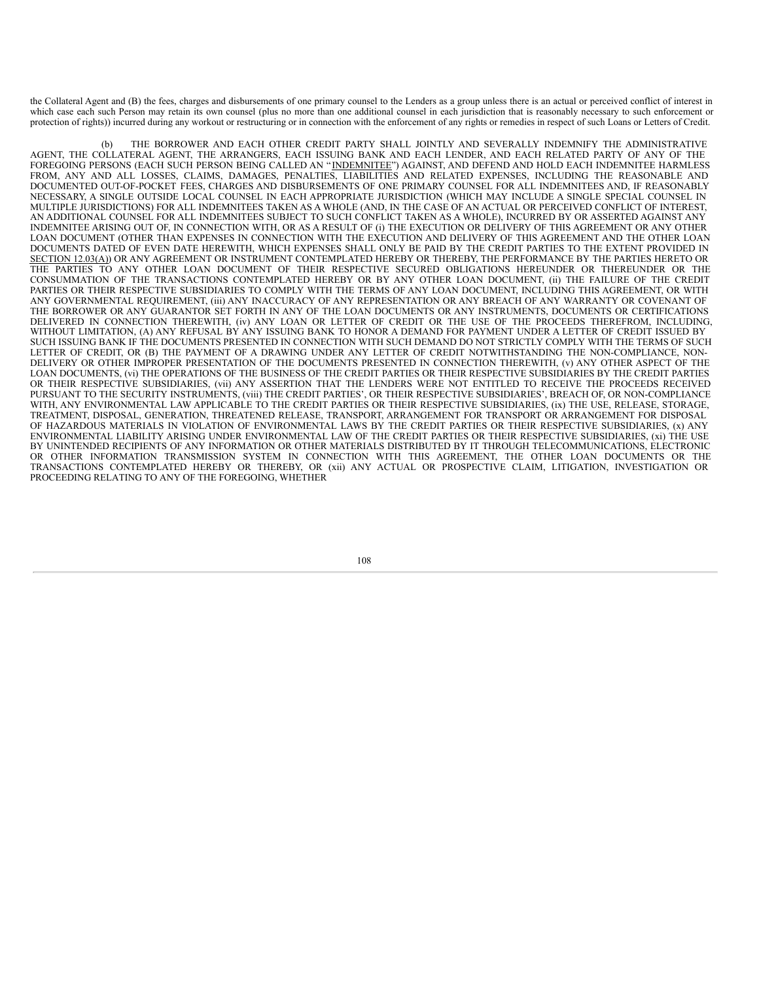the Collateral Agent and (B) the fees, charges and disbursements of one primary counsel to the Lenders as a group unless there is an actual or perceived conflict of interest in which case each such Person may retain its own counsel (plus no more than one additional counsel in each jurisdiction that is reasonably necessary to such enforcement or protection of rights)) incurred during any workout or restructuring or in connection with the enforcement of any rights or remedies in respect of such Loans or Letters of Credit.

(b) THE BORROWER AND EACH OTHER CREDIT PARTY SHALL JOINTLY AND SEVERALLY INDEMNIFY THE ADMINISTRATIVE AGENT, THE COLLATERAL AGENT, THE ARRANGERS, EACH ISSUING BANK AND EACH LENDER, AND EACH RELATED PARTY OF ANY OF THE FOREGOING PERSONS (EACH SUCH PERSON BEING CALLED AN " INDEMNITEE") AGAINST, AND DEFEND AND HOLD EACH INDEMNITEE HARMLESS FROM, ANY AND ALL LOSSES, CLAIMS, DAMAGES, PENALTIES, LIABILITIES AND RELATED EXPENSES, INCLUDING THE REASONABLE AND DOCUMENTED OUT-OF-POCKET FEES, CHARGES AND DISBURSEMENTS OF ONE PRIMARY COUNSEL FOR ALL INDEMNITEES AND, IF REASONABLY NECESSARY, A SINGLE OUTSIDE LOCAL COUNSEL IN EACH APPROPRIATE JURISDICTION (WHICH MAY INCLUDE A SINGLE SPECIAL COUNSEL IN MULTIPLE JURISDICTIONS) FOR ALL INDEMNITEES TAKEN AS A WHOLE (AND, IN THE CASE OF AN ACTUAL OR PERCEIVED CONFLICT OF INTEREST, AN ADDITIONAL COUNSEL FOR ALL INDEMNITEES SUBJECT TO SUCH CONFLICT TAKEN AS A WHOLE), INCURRED BY OR ASSERTED AGAINST ANY INDEMNITEE ARISING OUT OF, IN CONNECTION WITH, OR AS A RESULT OF (i) THE EXECUTION OR DELIVERY OF THIS AGREEMENT OR ANY OTHER LOAN DOCUMENT (OTHER THAN EXPENSES IN CONNECTION WITH THE EXECUTION AND DELIVERY OF THIS AGREEMENT AND THE OTHER LOAN DOCUMENTS DATED OF EVEN DATE HEREWITH, WHICH EXPENSES SHALL ONLY BE PAID BY THE CREDIT PARTIES TO THE EXTENT PROVIDED IN SECTION 12.03(A)) OR ANY AGREEMENT OR INSTRUMENT CONTEMPLATED HEREBY OR THEREBY, THE PERFORMANCE BY THE PARTIES HERETO OR THE PARTIES TO ANY OTHER LOAN DOCUMENT OF THEIR RESPECTIVE SECURED OBLIGATIONS HEREUNDER OR THEREUNDER OR THE CONSUMMATION OF THE TRANSACTIONS CONTEMPLATED HEREBY OR BY ANY OTHER LOAN DOCUMENT, (ii) THE FAILURE OF THE CREDIT PARTIES OR THEIR RESPECTIVE SUBSIDIARIES TO COMPLY WITH THE TERMS OF ANY LOAN DOCUMENT, INCLUDING THIS AGREEMENT, OR WITH ANY GOVERNMENTAL REQUIREMENT, (iii) ANY INACCURACY OF ANY REPRESENTATION OR ANY BREACH OF ANY WARRANTY OR COVENANT OF THE BORROWER OR ANY GUARANTOR SET FORTH IN ANY OF THE LOAN DOCUMENTS OR ANY INSTRUMENTS, DOCUMENTS OR CERTIFICATIONS DELIVERED IN CONNECTION THEREWITH, (iv) ANY LOAN OR LETTER OF CREDIT OR THE USE OF THE PROCEEDS THEREFROM, INCLUDING, WITHOUT LIMITATION, (A) ANY REFUSAL BY ANY ISSUING BANK TO HONOR A DEMAND FOR PAYMENT UNDER A LETTER OF CREDIT ISSUED BY SUCH ISSUING BANK IF THE DOCUMENTS PRESENTED IN CONNECTION WITH SUCH DEMAND DO NOT STRICTLY COMPLY WITH THE TERMS OF SUCH LETTER OF CREDIT, OR (B) THE PAYMENT OF A DRAWING UNDER ANY LETTER OF CREDIT NOTWITHSTANDING THE NON-COMPLIANCE, NON-DELIVERY OR OTHER IMPROPER PRESENTATION OF THE DOCUMENTS PRESENTED IN CONNECTION THEREWITH, (v) ANY OTHER ASPECT OF THE LOAN DOCUMENTS, (vi) THE OPERATIONS OF THE BUSINESS OF THE CREDIT PARTIES OR THEIR RESPECTIVE SUBSIDIARIES BY THE CREDIT PARTIES OR THEIR RESPECTIVE SUBSIDIARIES, (vii) ANY ASSERTION THAT THE LENDERS WERE NOT ENTITLED TO RECEIVE THE PROCEEDS RECEIVED PURSUANT TO THE SECURITY INSTRUMENTS, (viii) THE CREDIT PARTIES', OR THEIR RESPECTIVE SUBSIDIARIES', BREACH OF, OR NON-COMPLIANCE WITH, ANY ENVIRONMENTAL LAW APPLICABLE TO THE CREDIT PARTIES OR THEIR RESPECTIVE SUBSIDIARIES, (ix) THE USE, RELEASE, STORAGE, TREATMENT, DISPOSAL, GENERATION, THREATENED RELEASE, TRANSPORT, ARRANGEMENT FOR TRANSPORT OR ARRANGEMENT FOR DISPOSAL OF HAZARDOUS MATERIALS IN VIOLATION OF ENVIRONMENTAL LAWS BY THE CREDIT PARTIES OR THEIR RESPECTIVE SUBSIDIARIES, (x) ANY ENVIRONMENTAL LIABILITY ARISING UNDER ENVIRONMENTAL LAW OF THE CREDIT PARTIES OR THEIR RESPECTIVE SUBSIDIARIES, (xi) THE USE BY UNINTENDED RECIPIENTS OF ANY INFORMATION OR OTHER MATERIALS DISTRIBUTED BY IT THROUGH TELECOMMUNICATIONS, ELECTRONIC OR OTHER INFORMATION TRANSMISSION SYSTEM IN CONNECTION WITH THIS AGREEMENT, THE OTHER LOAN DOCUMENTS OR THE TRANSACTIONS CONTEMPLATED HEREBY OR THEREBY, OR (xii) ANY ACTUAL OR PROSPECTIVE CLAIM, LITIGATION, INVESTIGATION OR PROCEEDING RELATING TO ANY OF THE FOREGOING, WHETHER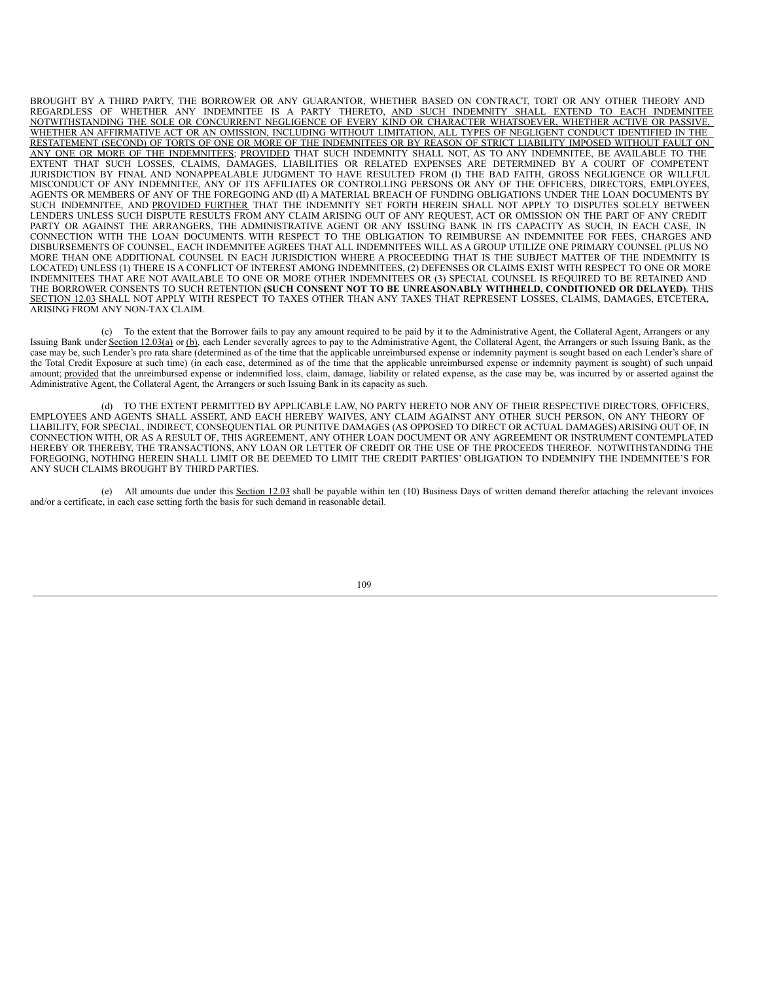BROUGHT BY A THIRD PARTY, THE BORROWER OR ANY GUARANTOR, WHETHER BASED ON CONTRACT, TORT OR ANY OTHER THEORY AND REGARDLESS OF WHETHER ANY INDEMNITEE IS A PARTY THERETO, AND SUCH INDEMNITY SHALL EXTEND TO EACH INDEMNITEE NOTWITHSTANDING THE SOLE OR CONCURRENT NEGLIGENCE OF EVERY KIND OR CHARACTER WHATSOEVER, WHETHER ACTIVE OR PASSIVE, WHETHER AN AFFIRMATIVE ACT OR AN OMISSION, INCLUDING WITHOUT LIMITATION, ALL TYPES OF NEGLIGENT CONDUCT IDENTIFIED IN THE RESTATEMENT (SECOND) OF TORTS OF ONE OR MORE OF THE INDEMNITEES OR BY REASON OF STRICT LIABILITY IMPOSED WITHOUT FAULT ON ANY ONE OR MORE OF THE INDEMNITEES; PROVIDED THAT SUCH INDEMNITY SHALL NOT, AS TO ANY INDEMNITEE, BE AVAILABLE TO THE EXTENT THAT SUCH LOSSES, CLAIMS, DAMAGES, LIABILITIES OR RELATED EXPENSES ARE DETERMINED BY A COURT OF COMPETENT JURISDICTION BY FINAL AND NONAPPEALABLE JUDGMENT TO HAVE RESULTED FROM (I) THE BAD FAITH, GROSS NEGLIGENCE OR WILLFUL MISCONDUCT OF ANY INDEMNITEE, ANY OF ITS AFFILIATES OR CONTROLLING PERSONS OR ANY OF THE OFFICERS, DIRECTORS, EMPLOYEES, AGENTS OR MEMBERS OF ANY OF THE FOREGOING AND (II) A MATERIAL BREACH OF FUNDING OBLIGATIONS UNDER THE LOAN DOCUMENTS BY SUCH INDEMNITEE, AND PROVIDED FURTHER THAT THE INDEMNITY SET FORTH HEREIN SHALL NOT APPLY TO DISPUTES SOLELY BETWEEN LENDERS UNLESS SUCH DISPUTE RESULTS FROM ANY CLAIM ARISING OUT OF ANY REQUEST, ACT OR OMISSION ON THE PART OF ANY CREDIT PARTY OR AGAINST THE ARRANGERS, THE ADMINISTRATIVE AGENT OR ANY ISSUING BANK IN ITS CAPACITY AS SUCH, IN EACH CASE, IN CONNECTION WITH THE LOAN DOCUMENTS. WITH RESPECT TO THE OBLIGATION TO REIMBURSE AN INDEMNITEE FOR FEES, CHARGES AND DISBURSEMENTS OF COUNSEL, EACH INDEMNITEE AGREES THAT ALL INDEMNITEES WILL AS A GROUP UTILIZE ONE PRIMARY COUNSEL (PLUS NO MORE THAN ONE ADDITIONAL COUNSEL IN EACH JURISDICTION WHERE A PROCEEDING THAT IS THE SUBJECT MATTER OF THE INDEMNITY IS LOCATED) UNLESS (1) THERE IS A CONFLICT OF INTEREST AMONG INDEMNITEES, (2) DEFENSES OR CLAIMS EXIST WITH RESPECT TO ONE OR MORE INDEMNITEES THAT ARE NOT AVAILABLE TO ONE OR MORE OTHER INDEMNITEES OR (3) SPECIAL COUNSEL IS REQUIRED TO BE RETAINED AND THE BORROWER CONSENTS TO SUCH RETENTION **(SUCH CONSENT NOT TO BE UNREASONABLY WITHHELD, CONDITIONED OR DELAYED)**. THIS SECTION 12.03 SHALL NOT APPLY WITH RESPECT TO TAXES OTHER THAN ANY TAXES THAT REPRESENT LOSSES, CLAIMS, DAMAGES, ETCETERA, ARISING FROM ANY NON-TAX CLAIM.

(c) To the extent that the Borrower fails to pay any amount required to be paid by it to the Administrative Agent, the Collateral Agent, Arrangers or any Issuing Bank under Section 12.03(a) or (b), each Lender severally agrees to pay to the Administrative Agent, the Collateral Agent, the Arrangers or such Issuing Bank, as the case may be, such Lender's pro rata share (determined as of the time that the applicable unreimbursed expense or indemnity payment is sought based on each Lender's share of the Total Credit Exposure at such time) (in each case, determined as of the time that the applicable unreimbursed expense or indemnity payment is sought) of such unpaid amount; provided that the unreimbursed expense or indemnified loss, claim, damage, liability or related expense, as the case may be, was incurred by or asserted against the Administrative Agent, the Collateral Agent, the Arrangers or such Issuing Bank in its capacity as such.

(d) TO THE EXTENT PERMITTED BY APPLICABLE LAW, NO PARTY HERETO NOR ANY OF THEIR RESPECTIVE DIRECTORS, OFFICERS, EMPLOYEES AND AGENTS SHALL ASSERT, AND EACH HEREBY WAIVES, ANY CLAIM AGAINST ANY OTHER SUCH PERSON, ON ANY THEORY OF LIABILITY, FOR SPECIAL, INDIRECT, CONSEQUENTIAL OR PUNITIVE DAMAGES (AS OPPOSED TO DIRECT OR ACTUAL DAMAGES) ARISING OUT OF, IN CONNECTION WITH, OR AS A RESULT OF, THIS AGREEMENT, ANY OTHER LOAN DOCUMENT OR ANY AGREEMENT OR INSTRUMENT CONTEMPLATED HEREBY OR THEREBY, THE TRANSACTIONS, ANY LOAN OR LETTER OF CREDIT OR THE USE OF THE PROCEEDS THEREOF. NOTWITHSTANDING THE FOREGOING, NOTHING HEREIN SHALL LIMIT OR BE DEEMED TO LIMIT THE CREDIT PARTIES' OBLIGATION TO INDEMNIFY THE INDEMNITEE'S FOR ANY SUCH CLAIMS BROUGHT BY THIRD PARTIES.

(e) All amounts due under this Section 12.03 shall be payable within ten (10) Business Days of written demand therefor attaching the relevant invoices and/or a certificate, in each case setting forth the basis for such demand in reasonable detail.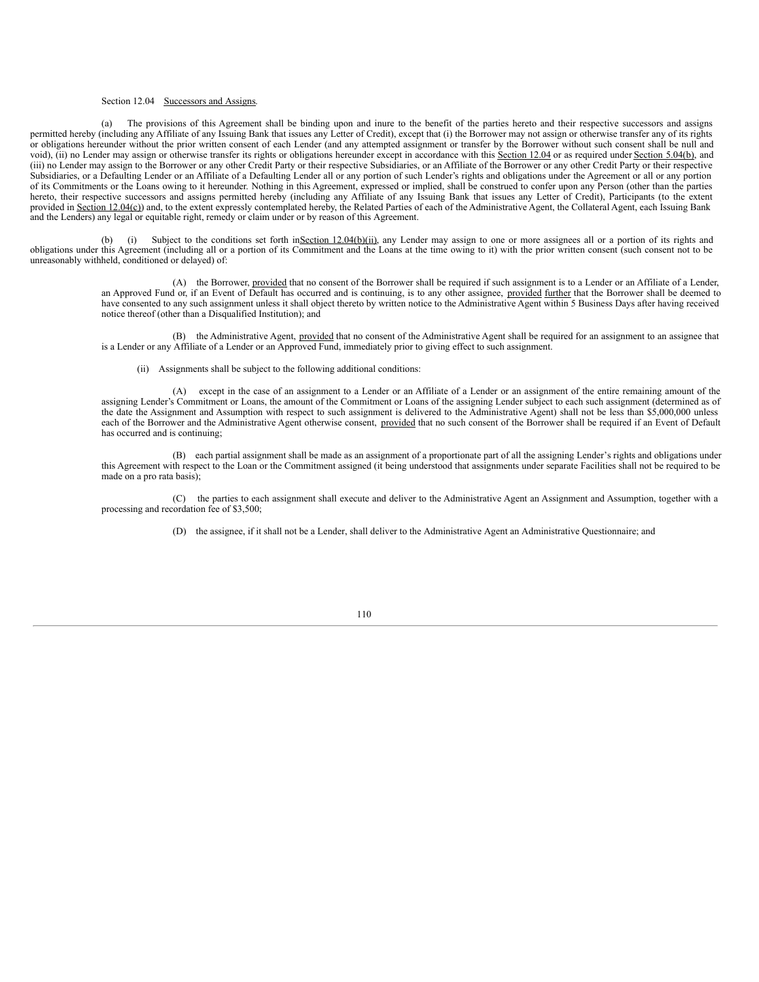#### Section 12.04 Successors and Assigns.

(a) The provisions of this Agreement shall be binding upon and inure to the benefit of the parties hereto and their respective successors and assigns permitted hereby (including any Affiliate of any Issuing Bank that issues any Letter of Credit), except that (i) the Borrower may not assign or otherwise transfer any of its rights or obligations hereunder without the prior written consent of each Lender (and any attempted assignment or transfer by the Borrower without such consent shall be null and void), (ii) no Lender may assign or otherwise transfer its rights or obligations hereunder except in accordance with this Section 12.04 or as required under Section 5.04(b), and (iii) no Lender may assign to the Borrower or any other Credit Party or their respective Subsidiaries, or an Affiliate of the Borrower or any other Credit Party or their respective Subsidiaries, or a Defaulting Lender or an Affiliate of a Defaulting Lender all or any portion of such Lender's rights and obligations under the Agreement or all or any portion of its Commitments or the Loans owing to it hereunder. Nothing in this Agreement, expressed or implied, shall be construed to confer upon any Person (other than the parties hereto, their respective successors and assigns permitted hereby (including any Affiliate of any Issuing Bank that issues any Letter of Credit), Participants (to the extent provided in Section 12.04(c)) and, to the extent expressly contemplated hereby, the Related Parties of each of the Administrative Agent, the Collateral Agent, each Issuing Bank and the Lenders) any legal or equitable right, remedy or claim under or by reason of this Agreement.

(b) (i) Subject to the conditions set forth inSection 12.04(b)(ii), any Lender may assign to one or more assignees all or a portion of its rights and obligations under this Agreement (including all or a portion of its Commitment and the Loans at the time owing to it) with the prior written consent (such consent not to be unreasonably withheld, conditioned or delayed) of:

> (A) the Borrower, provided that no consent of the Borrower shall be required if such assignment is to a Lender or an Affiliate of a Lender, an Approved Fund or, if an Event of Default has occurred and is continuing, is to any other assignee, provided further that the Borrower shall be deemed to have consented to any such assignment unless it shall object thereto by written notice to the Administrative Agent within 5 Business Days after having received notice thereof (other than a Disqualified Institution); and

> (B) the Administrative Agent, provided that no consent of the Administrative Agent shall be required for an assignment to an assignee that is a Lender or any Affiliate of a Lender or an Approved Fund, immediately prior to giving effect to such assignment.

(ii) Assignments shall be subject to the following additional conditions:

(A) except in the case of an assignment to a Lender or an Affiliate of a Lender or an assignment of the entire remaining amount of the assigning Lender's Commitment or Loans, the amount of the Commitment or Loans of the assigning Lender subject to each such assignment (determined as of the date the Assignment and Assumption with respect to such assignment is delivered to the Administrative Agent) shall not be less than \$5,000,000 unless each of the Borrower and the Administrative Agent otherwise consent, provided that no such consent of the Borrower shall be required if an Event of Default has occurred and is continuing;

(B) each partial assignment shall be made as an assignment of a proportionate part of all the assigning Lender's rights and obligations under this Agreement with respect to the Loan or the Commitment assigned (it being understood that assignments under separate Facilities shall not be required to be made on a pro rata basis);

(C) the parties to each assignment shall execute and deliver to the Administrative Agent an Assignment and Assumption, together with a processing and recordation fee of \$3,500;

(D) the assignee, if it shall not be a Lender, shall deliver to the Administrative Agent an Administrative Questionnaire; and

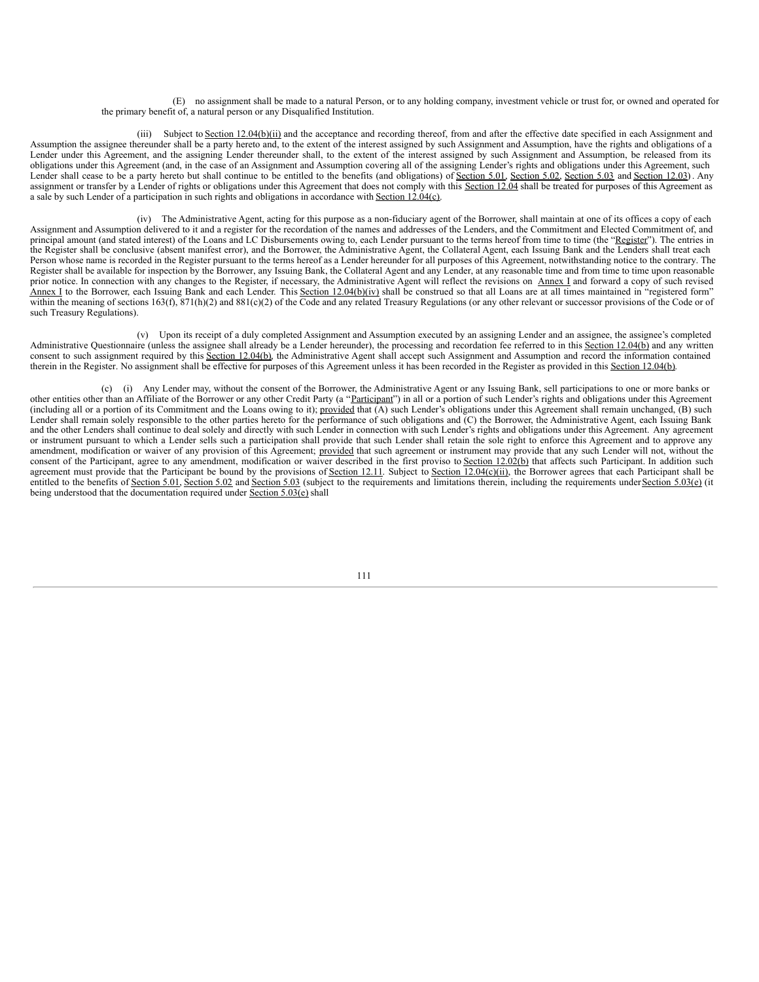(E) no assignment shall be made to a natural Person, or to any holding company, investment vehicle or trust for, or owned and operated for the primary benefit of, a natural person or any Disqualified Institution.

(iii) Subject to Section 12.04(b)(ii) and the acceptance and recording thereof, from and after the effective date specified in each Assignment and Assumption the assignee thereunder shall be a party hereto and, to the extent of the interest assigned by such Assignment and Assumption, have the rights and obligations of a Lender under this Agreement, and the assigning Lender thereunder shall, to the extent of the interest assigned by such Assignment and Assumption, be released from its obligations under this Agreement (and, in the case of an Assignment and Assumption covering all of the assigning Lender's rights and obligations under this Agreement, such Lender shall cease to be a party hereto but shall continue to be entitled to the benefits (and obligations) of Section 5.01, Section 5.02, Section 5.03 and Section 12.03). Any assignment or transfer by a Lender of rights or obligations under this Agreement that does not comply with this Section 12.04 shall be treated for purposes of this Agreement as a sale by such Lender of a participation in such rights and obligations in accordance with Section 12.04(c).

(iv) The Administrative Agent, acting for this purpose as a non-fiduciary agent of the Borrower, shall maintain at one of its offices a copy of each Assignment and Assumption delivered to it and a register for the recordation of the names and addresses of the Lenders, and the Commitment and Elected Commitment of, and principal amount (and stated interest) of the Loans and LC Disbursements owing to, each Lender pursuant to the terms hereof from time to time (the "Register"). The entries in the Register shall be conclusive (absent manifest error), and the Borrower, the Administrative Agent, the Collateral Agent, each Issuing Bank and the Lenders shall treat each Person whose name is recorded in the Register pursuant to the terms hereof as a Lender hereunder for all purposes of this Agreement, notwithstanding notice to the contrary. The Register shall be available for inspection by the Borrower, any Issuing Bank, the Collateral Agent and any Lender, at any reasonable time and from time to time upon reasonable prior notice. In connection with any changes to the Register, if necessary, the Administrative Agent will reflect the revisions on Annex I and forward a copy of such revised Annex I to the Borrower, each Issuing Bank and each Lender. This Section 12.04(b)(iv) shall be construed so that all Loans are at all times maintained in "registered form" within the meaning of sections  $163(f)$ ,  $871(h)(2)$  and  $881(c)(2)$  of the Code and any related Treasury Regulations (or any other relevant or successor provisions of the Code or of such Treasury Regulations).

(v) Upon its receipt of a duly completed Assignment and Assumption executed by an assigning Lender and an assignee, the assignee's completed Administrative Questionnaire (unless the assignee shall already be a Lender hereunder), the processing and recordation fee referred to in this Section 12.04(b) and any written consent to such assignment required by this Section 12.04(b), the Administrative Agent shall accept such Assignment and Assumption and record the information contained therein in the Register. No assignment shall be effective for purposes of this Agreement unless it has been recorded in the Register as provided in this Section 12.04(b).

(c) (i) Any Lender may, without the consent of the Borrower, the Administrative Agent or any Issuing Bank, sell participations to one or more banks or other entities other than an Affiliate of the Borrower or any other Credit Party (a "Participant") in all or a portion of such Lender's rights and obligations under this Agreement (including all or a portion of its Commitment and the Loans owing to it); provided that (A) such Lender's obligations under this Agreement shall remain unchanged, (B) such Lender shall remain solely responsible to the other parties hereto for the performance of such obligations and (C) the Borrower, the Administrative Agent, each Issuing Bank and the other Lenders shall continue to deal solely and directly with such Lender in connection with such Lender's rights and obligations under this Agreement. Any agreement or instrument pursuant to which a Lender sells such a participation shall provide that such Lender shall retain the sole right to enforce this Agreement and to approve any amendment, modification or waiver of any provision of this Agreement; provided that such agreement or instrument may provide that any such Lender will not, without the consent of the Participant, agree to any amendment, modification or waiver described in the first proviso to Section 12.02(b) that affects such Participant. In addition such agreement must provide that the Participant be bound by the provisions of Section 12.11. Subject to Section 12.04(c)(ii), the Borrower agrees that each Participant shall be entitled to the benefits of Section 5.01, Section 5.02 and Section 5.03 (subject to the requirements and limitations therein, including the requirements under Section 5.03(e) (it being understood that the documentation required under Section 5.03(e) shall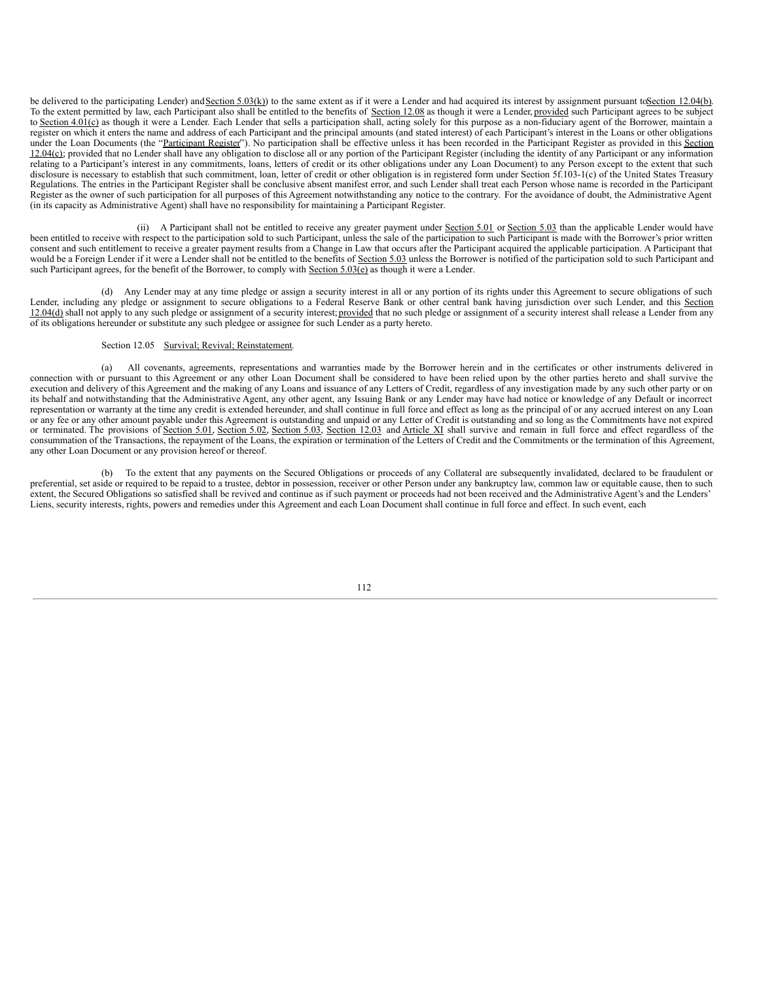be delivered to the participating Lender) and Section 5.03(k)) to the same extent as if it were a Lender and had acquired its interest by assignment pursuant toSection 12.04(b). To the extent permitted by law, each Participant also shall be entitled to the benefits of Section 12.08 as though it were a Lender, provided such Participant agrees to be subject to Section 4.01(c) as though it were a Lender. Each Lender that sells a participation shall, acting solely for this purpose as a non-fiduciary agent of the Borrower, maintain a register on which it enters the name and address of each Participant and the principal amounts (and stated interest) of each Participant's interest in the Loans or other obligations under the Loan Documents (the "Participant Register"). No participation shall be effective unless it has been recorded in the Participant Register as provided in this Section 12.04(c); provided that no Lender shall have any obligation to disclose all or any portion of the Participant Register (including the identity of any Participant or any information relating to a Participant's interest in any commitments, loans, letters of credit or its other obligations under any Loan Document) to any Person except to the extent that such disclosure is necessary to establish that such commitment, loan, letter of credit or other obligation is in registered form under Section 5f.103-1(c) of the United States Treasury Regulations. The entries in the Participant Register shall be conclusive absent manifest error, and such Lender shall treat each Person whose name is recorded in the Participant Register as the owner of such participation for all purposes of this Agreement notwithstanding any notice to the contrary. For the avoidance of doubt, the Administrative Agent (in its capacity as Administrative Agent) shall have no responsibility for maintaining a Participant Register.

(ii) A Participant shall not be entitled to receive any greater payment under Section 5.01 or Section 5.03 than the applicable Lender would have been entitled to receive with respect to the participation sold to such Participant, unless the sale of the participation to such Participant is made with the Borrower's prior written consent and such entitlement to receive a greater payment results from a Change in Law that occurs after the Participant acquired the applicable participation. A Participant that would be a Foreign Lender if it were a Lender shall not be entitled to the benefits of Section 5.03 unless the Borrower is notified of the participation sold to such Participant and such Participant agrees, for the benefit of the Borrower, to comply with Section 5.03(e) as though it were a Lender.

(d) Any Lender may at any time pledge or assign a security interest in all or any portion of its rights under this Agreement to secure obligations of such Lender, including any pledge or assignment to secure obligations to a Federal Reserve Bank or other central bank having jurisdiction over such Lender, and this Section 12.04(d) shall not apply to any such pledge or assignment of a security interest; provided that no such pledge or assignment of a security interest shall release a Lender from any of its obligations hereunder or substitute any such pledgee or assignee for such Lender as a party hereto.

#### Section 12.05 Survival; Revival; Reinstatement.

(a) All covenants, agreements, representations and warranties made by the Borrower herein and in the certificates or other instruments delivered in connection with or pursuant to this Agreement or any other Loan Document shall be considered to have been relied upon by the other parties hereto and shall survive the execution and delivery of this Agreement and the making of any Loans and issuance of any Letters of Credit, regardless of any investigation made by any such other party or on its behalf and notwithstanding that the Administrative Agent, any other agent, any Issuing Bank or any Lender may have had notice or knowledge of any Default or incorrect representation or warranty at the time any credit is extended hereunder, and shall continue in full force and effect as long as the principal of or any accrued interest on any Loan or any fee or any other amount payable under this Agreement is outstanding and unpaid or any Letter of Credit is outstanding and so long as the Commitments have not expired or terminated. The provisions of Section 5.01, Section 5.02, Section 5.03, Section 12.03 and Article XI shall survive and remain in full force and effect regardless of the consummation of the Transactions, the repayment of the Loans, the expiration or termination of the Letters of Credit and the Commitments or the termination of this Agreement, any other Loan Document or any provision hereof or thereof.

(b) To the extent that any payments on the Secured Obligations or proceeds of any Collateral are subsequently invalidated, declared to be fraudulent or preferential, set aside or required to be repaid to a trustee, debtor in possession, receiver or other Person under any bankruptcy law, common law or equitable cause, then to such extent, the Secured Obligations so satisfied shall be revived and continue as if such payment or proceeds had not been received and the Administrative Agent's and the Lenders' Liens, security interests, rights, powers and remedies under this Agreement and each Loan Document shall continue in full force and effect. In such event, each

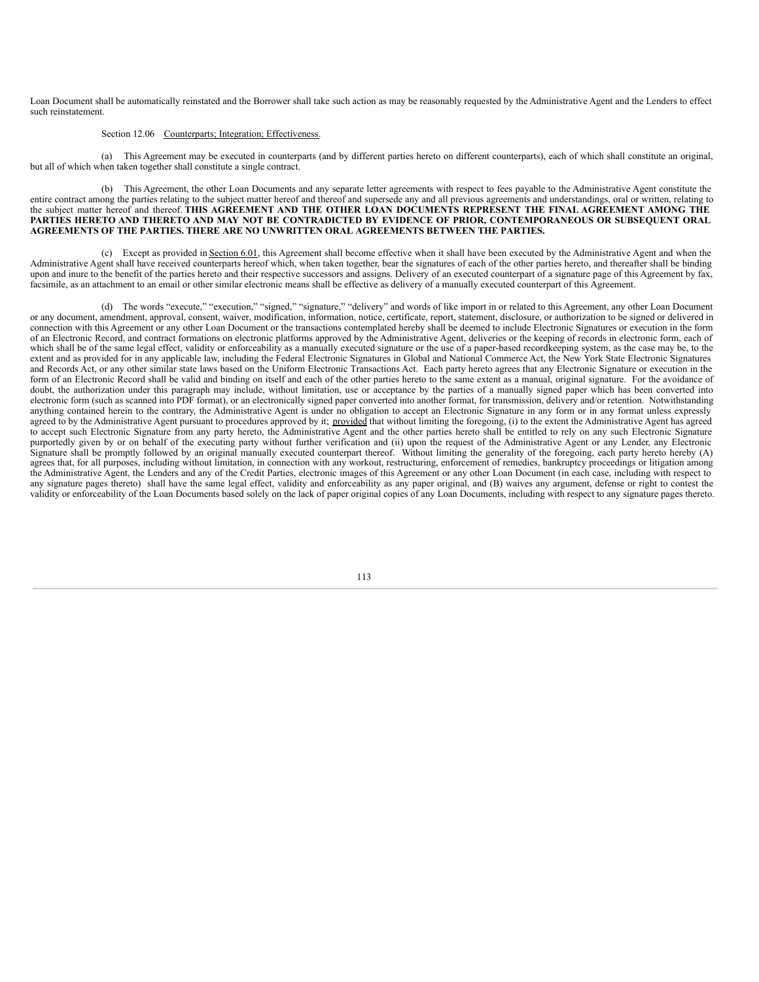Loan Document shall be automatically reinstated and the Borrower shall take such action as may be reasonably requested by the Administrative Agent and the Lenders to effect such reinstatement.

#### Section 12.06 Counterparts; Integration; Effectiveness.

(a) This Agreement may be executed in counterparts (and by different parties hereto on different counterparts), each of which shall constitute an original, but all of which when taken together shall constitute a single contract.

(b) This Agreement, the other Loan Documents and any separate letter agreements with respect to fees payable to the Administrative Agent constitute the entire contract among the parties relating to the subject matter hereof and thereof and supersede any and all previous agreements and understandings, oral or written, relating to the subject matter hereof and thereof. **THIS AGREEMENT AND THE OTHER LOAN DOCUMENTS REPRESENT THE FINAL AGREEMENT AMONG THE** PARTIES HERETO AND THERETO AND MAY NOT BE CONTRADICTED BY EVIDENCE OF PRIOR, CONTEMPORANEOUS OR SUBSEOUENT ORAL **AGREEMENTS OF THE PARTIES. THERE ARE NO UNWRITTEN ORAL AGREEMENTS BETWEEN THE PARTIES.**

(c) Except as provided in Section 6.01, this Agreement shall become effective when it shall have been executed by the Administrative Agent and when the Administrative Agent shall have received counterparts hereof which, when taken together, bear the signatures of each of the other parties hereto, and thereafter shall be binding upon and inure to the benefit of the parties hereto and their respective successors and assigns. Delivery of an executed counterpart of a signature page of this Agreement by fax, facsimile, as an attachment to an email or other similar electronic means shall be effective as delivery of a manually executed counterpart of this Agreement.

(d) The words "execute," "execution," "signed," "signature," "delivery" and words of like import in or related to this Agreement, any other Loan Document or any document, amendment, approval, consent, waiver, modification, information, notice, certificate, report, statement, disclosure, or authorization to be signed or delivered in connection with this Agreement or any other Loan Document or the transactions contemplated hereby shall be deemed to include Electronic Signatures or execution in the form of an Electronic Record, and contract formations on electronic platforms approved by the Administrative Agent, deliveries or the keeping of records in electronic form, each of which shall be of the same legal effect, validity or enforceability as a manually executed signature or the use of a paper-based recordkeeping system, as the case may be, to the extent and as provided for in any applicable law, including the Federal Electronic Signatures in Global and National Commerce Act, the New York State Electronic Signatures and Records Act, or any other similar state laws based on the Uniform Electronic Transactions Act. Each party hereto agrees that any Electronic Signature or execution in the form of an Electronic Record shall be valid and binding on itself and each of the other parties hereto to the same extent as a manual, original signature. For the avoidance of doubt, the authorization under this paragraph may include, without limitation, use or acceptance by the parties of a manually signed paper which has been converted into electronic form (such as scanned into PDF format), or an electronically signed paper converted into another format, for transmission, delivery and/or retention. Notwithstanding anything contained herein to the contrary, the Administrative Agent is under no obligation to accept an Electronic Signature in any form or in any format unless expressly agreed to by the Administrative Agent pursuant to procedures approved by it; provided that without limiting the foregoing, (i) to the extent the Administrative Agent has agreed to accept such Electronic Signature from any party hereto, the Administrative Agent and the other parties hereto shall be entitled to rely on any such Electronic Signature purportedly given by or on behalf of the executing party without further verification and (ii) upon the request of the Administrative Agent or any Lender, any Electronic Signature shall be promptly followed by an original manually executed counterpart thereof. Without limiting the generality of the foregoing, each party hereto hereby (A) agrees that, for all purposes, including without limitation, in connection with any workout, restructuring, enforcement of remedies, bankruptcy proceedings or litigation among the Administrative Agent, the Lenders and any of the Credit Parties, electronic images of this Agreement or any other Loan Document (in each case, including with respect to any signature pages thereto) shall have the same legal effect, validity and enforceability as any paper original, and (B) waives any argument, defense or right to contest the validity or enforceability of the Loan Documents based solely on the lack of paper original copies of any Loan Documents, including with respect to any signature pages thereto.

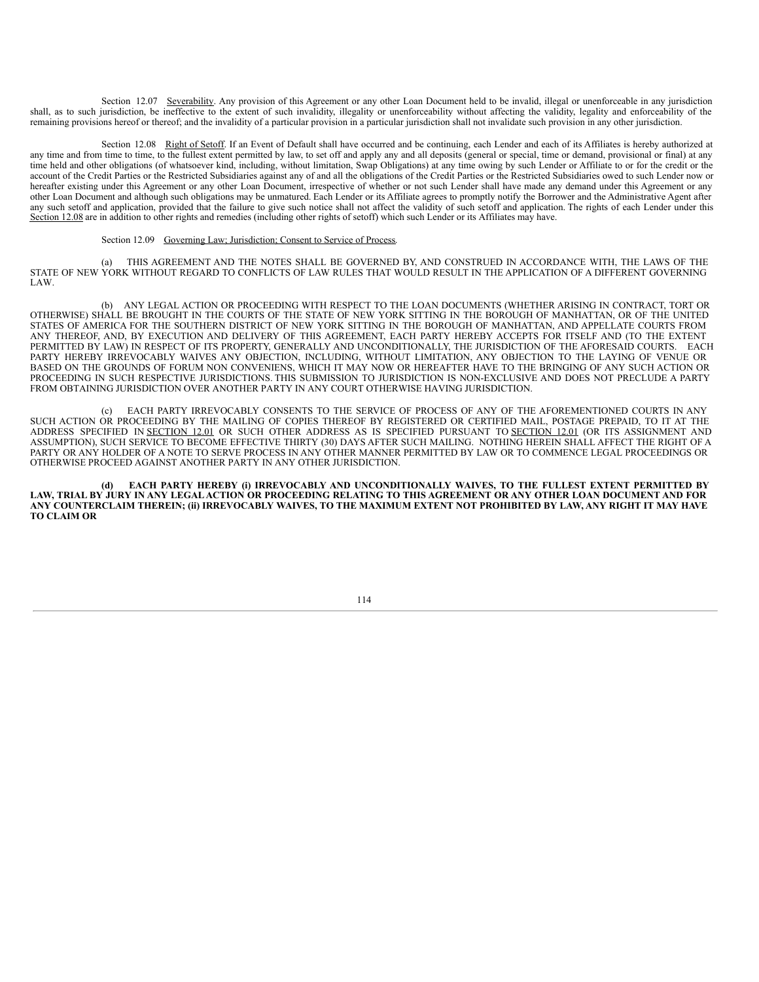Section 12.07 Severability. Any provision of this Agreement or any other Loan Document held to be invalid, illegal or unenforceable in any jurisdiction shall, as to such jurisdiction, be ineffective to the extent of such invalidity, illegality or unenforceability without affecting the validity, legality and enforceability of the remaining provisions hereof or thereof; and the invalidity of a particular provision in a particular jurisdiction shall not invalidate such provision in any other jurisdiction.

Section 12.08 Right of Setoff. If an Event of Default shall have occurred and be continuing, each Lender and each of its Affiliates is hereby authorized at any time and from time to time, to the fullest extent permitted by law, to set off and apply any and all deposits (general or special, time or demand, provisional or final) at any time held and other obligations (of whatsoever kind, including, without limitation, Swap Obligations) at any time owing by such Lender or Affiliate to or for the credit or the account of the Credit Parties or the Restricted Subsidiaries against any of and all the obligations of the Credit Parties or the Restricted Subsidiaries owed to such Lender now or hereafter existing under this Agreement or any other Loan Document, irrespective of whether or not such Lender shall have made any demand under this Agreement or any other Loan Document and although such obligations may be unmatured. Each Lender or its Affiliate agrees to promptly notify the Borrower and the Administrative Agent after any such setoff and application, provided that the failure to give such notice shall not affect the validity of such setoff and application. The rights of each Lender under this Section 12.08 are in addition to other rights and remedies (including other rights of setoff) which such Lender or its Affiliates may have.

#### Section 12.09 Governing Law; Jurisdiction; Consent to Service of Process.

(a) THIS AGREEMENT AND THE NOTES SHALL BE GOVERNED BY, AND CONSTRUED IN ACCORDANCE WITH, THE LAWS OF THE STATE OF NEW YORK WITHOUT REGARD TO CONFLICTS OF LAW RULES THAT WOULD RESULT IN THE APPLICATION OF A DIFFERENT GOVERNING LAW.

(b) ANY LEGAL ACTION OR PROCEEDING WITH RESPECT TO THE LOAN DOCUMENTS (WHETHER ARISING IN CONTRACT, TORT OR OTHERWISE) SHALL BE BROUGHT IN THE COURTS OF THE STATE OF NEW YORK SITTING IN THE BOROUGH OF MANHATTAN, OR OF THE UNITED STATES OF AMERICA FOR THE SOUTHERN DISTRICT OF NEW YORK SITTING IN THE BOROUGH OF MANHATTAN, AND APPELLATE COURTS FROM ANY THEREOF, AND, BY EXECUTION AND DELIVERY OF THIS AGREEMENT, EACH PARTY HEREBY ACCEPTS FOR ITSELF AND (TO THE EXTENT PERMITTED BY LAW) IN RESPECT OF ITS PROPERTY, GENERALLY AND UNCONDITIONALLY, THE JURISDICTION OF THE AFORESAID COURTS. EACH PARTY HEREBY IRREVOCABLY WAIVES ANY OBJECTION, INCLUDING, WITHOUT LIMITATION, ANY OBJECTION TO THE LAYING OF VENUE OR BASED ON THE GROUNDS OF FORUM NON CONVENIENS, WHICH IT MAY NOW OR HEREAFTER HAVE TO THE BRINGING OF ANY SUCH ACTION OR PROCEEDING IN SUCH RESPECTIVE JURISDICTIONS. THIS SUBMISSION TO JURISDICTION IS NON-EXCLUSIVE AND DOES NOT PRECLUDE A PARTY FROM OBTAINING JURISDICTION OVER ANOTHER PARTY IN ANY COURT OTHERWISE HAVING JURISDICTION.

(c) EACH PARTY IRREVOCABLY CONSENTS TO THE SERVICE OF PROCESS OF ANY OF THE AFOREMENTIONED COURTS IN ANY SUCH ACTION OR PROCEEDING BY THE MAILING OF COPIES THEREOF BY REGISTERED OR CERTIFIED MAIL, POSTAGE PREPAID, TO IT AT THE ADDRESS SPECIFIED IN SECTION 12.01 OR SUCH OTHER ADDRESS AS IS SPECIFIED PURSUANT TO SECTION 12.01 (OR ITS ASSIGNMENT AND ASSUMPTION), SUCH SERVICE TO BECOME EFFECTIVE THIRTY (30) DAYS AFTER SUCH MAILING. NOTHING HEREIN SHALL AFFECT THE RIGHT OF A PARTY OR ANY HOLDER OF A NOTE TO SERVE PROCESS IN ANY OTHER MANNER PERMITTED BY LAW OR TO COMMENCE LEGAL PROCEEDINGS OR OTHERWISE PROCEED AGAINST ANOTHER PARTY IN ANY OTHER JURISDICTION.

**(d) EACH PARTY HEREBY (i) IRREVOCABLY AND UNCONDITIONALLY WAIVES, TO THE FULLEST EXTENT PERMITTED BY** LAW. TRIAL BY JURY IN ANY LEGAL ACTION OR PROCEEDING RELATING TO THIS AGREEMENT OR ANY OTHER LOAN DOCUMENT AND FOR ANY COUNTERCLAIM THEREIN; (ii) IRREVOCABLY WAIVES, TO THE MAXIMUM EXTENT NOT PROHIBITED BY LAW, ANY RIGHT IT MAY HAVE **TO CLAIM OR**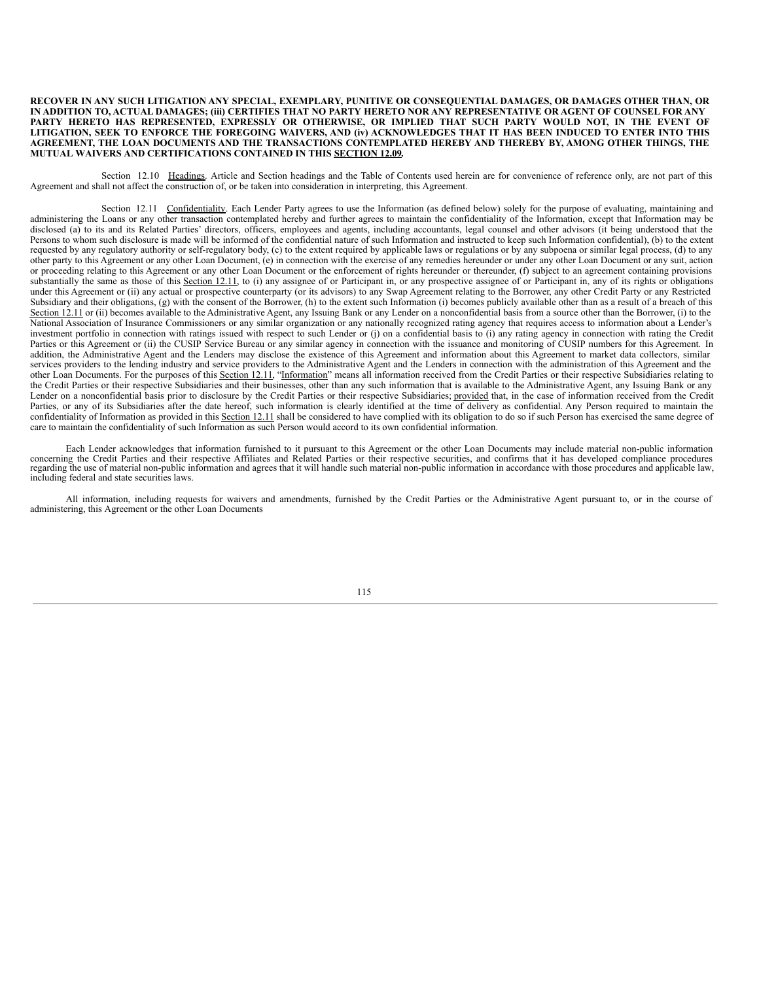RECOVER IN ANY SUCH LITIGATION ANY SPECIAL, EXEMPLARY, PUNITIVE OR CONSEQUENTIAL DAMAGES, OR DAMAGES OTHER THAN, OR IN ADDITION TO, ACTUAL DAMAGES; (iii) CERTIFIES THAT NO PARTY HERETO NOR ANY REPRESENTATIVE OR AGENT OF COUNSEL FOR ANY PARTY HERETO HAS REPRESENTED, EXPRESSLY OR OTHERWISE, OR IMPLIED THAT SUCH PARTY WOULD NOT, IN THE EVENT OF LITIGATION, SEEK TO ENFORCE THE FOREGOING WAIVERS, AND (iv) ACKNOWLEDGES THAT IT HAS BEEN INDUCED TO ENTER INTO THIS **AGREEMENT, THE LOAN DOCUMENTS AND THE TRANSACTIONS CONTEMPLATED HEREBY AND THEREBY BY, AMONG OTHER THINGS, THE MUTUAL WAIVERS AND CERTIFICATIONS CONTAINED IN THIS SECTION 12.09.**

Section 12.10 Headings. Article and Section headings and the Table of Contents used herein are for convenience of reference only, are not part of this Agreement and shall not affect the construction of, or be taken into consideration in interpreting, this Agreement.

Section 12.11 Confidentiality. Each Lender Party agrees to use the Information (as defined below) solely for the purpose of evaluating, maintaining and administering the Loans or any other transaction contemplated hereby and further agrees to maintain the confidentiality of the Information, except that Information may be disclosed (a) to its and its Related Parties' directors, officers, employees and agents, including accountants, legal counsel and other advisors (it being understood that the Persons to whom such disclosure is made will be informed of the confidential nature of such Information and instructed to keep such Information confidential), (b) to the extent requested by any regulatory authority or self-regulatory body, (c) to the extent required by applicable laws or regulations or by any subpoena or similar legal process, (d) to any other party to this Agreement or any other Loan Document, (e) in connection with the exercise of any remedies hereunder or under any other Loan Document or any suit, action or proceeding relating to this Agreement or any other Loan Document or the enforcement of rights hereunder or thereunder, (f) subject to an agreement containing provisions substantially the same as those of this Section 12.11, to (i) any assignee of or Participant in, or any prospective assignee of or Participant in, any of its rights or obligations under this Agreement or (ii) any actual or prospective counterparty (or its advisors) to any Swap Agreement relating to the Borrower, any other Credit Party or any Restricted Subsidiary and their obligations, (g) with the consent of the Borrower, (h) to the extent such Information (i) becomes publicly available other than as a result of a breach of this Section 12.11 or (ii) becomes available to the Administrative Agent, any Issuing Bank or any Lender on a nonconfidential basis from a source other than the Borrower, (i) to the National Association of Insurance Commissioners or any similar organization or any nationally recognized rating agency that requires access to information about a Lender's investment portfolio in connection with ratings issued with respect to such Lender or (j) on a confidential basis to (i) any rating agency in connection with rating the Credit Parties or this Agreement or (ii) the CUSIP Service Bureau or any similar agency in connection with the issuance and monitoring of CUSIP numbers for this Agreement. In addition, the Administrative Agent and the Lenders may disclose the existence of this Agreement and information about this Agreement to market data collectors, similar services providers to the lending industry and service providers to the Administrative Agent and the Lenders in connection with the administration of this Agreement and the other Loan Documents. For the purposes of this Section 12.11, "Information" means all information received from the Credit Parties or their respective Subsidiaries relating to the Credit Parties or their respective Subsidiaries and their businesses, other than any such information that is available to the Administrative Agent, any Issuing Bank or any Lender on a nonconfidential basis prior to disclosure by the Credit Parties or their respective Subsidiaries; provided that, in the case of information received from the Credit Parties, or any of its Subsidiaries after the date hereof, such information is clearly identified at the time of delivery as confidential. Any Person required to maintain the confidentiality of Information as provided in this Section 12.11 shall be considered to have complied with its obligation to do so if such Person has exercised the same degree of care to maintain the confidentiality of such Information as such Person would accord to its own confidential information.

Each Lender acknowledges that information furnished to it pursuant to this Agreement or the other Loan Documents may include material non-public information concerning the Credit Parties and their respective Affiliates and Related Parties or their respective securities, and confirms that it has developed compliance procedures regarding the use of material non-public information and agrees that it will handle such material non-public information in accordance with those procedures and applicable law, including federal and state securities laws.

All information, including requests for waivers and amendments, furnished by the Credit Parties or the Administrative Agent pursuant to, or in the course of administering, this Agreement or the other Loan Documents

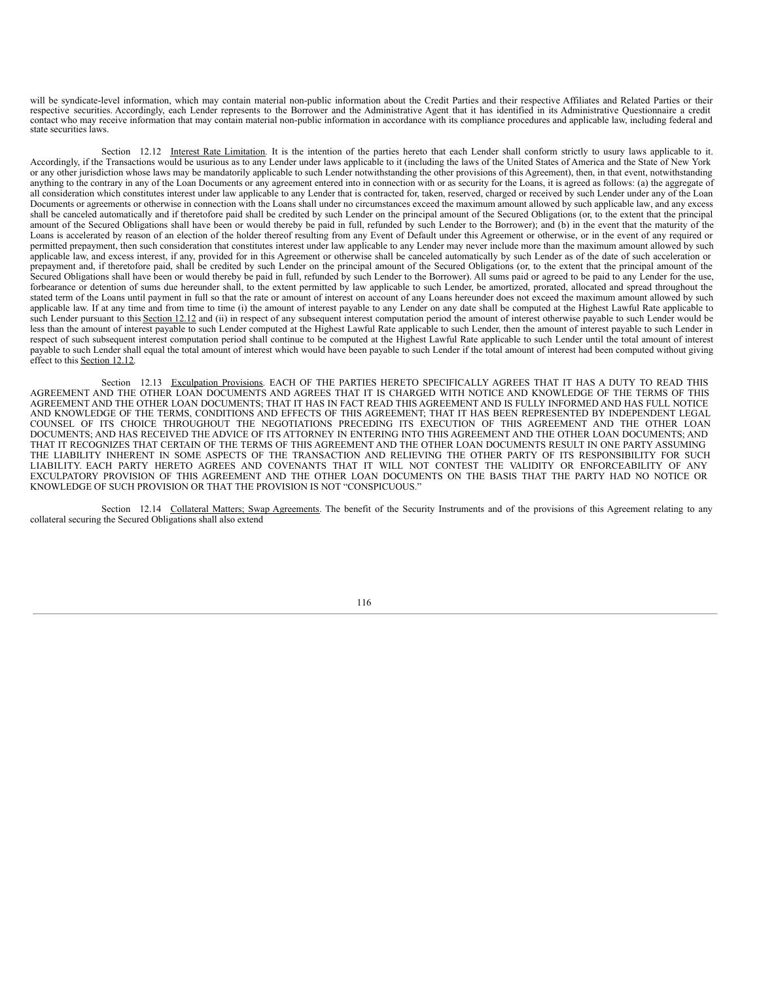will be syndicate-level information, which may contain material non-public information about the Credit Parties and their respective Affiliates and Related Parties or their respective securities. Accordingly, each Lender represents to the Borrower and the Administrative Agent that it has identified in its Administrative Questionnaire a credit contact who may receive information that may contain material non-public information in accordance with its compliance procedures and applicable law, including federal and state securities laws.

Section 12.12 Interest Rate Limitation. It is the intention of the parties hereto that each Lender shall conform strictly to usury laws applicable to it. Accordingly, if the Transactions would be usurious as to any Lender under laws applicable to it (including the laws of the United States of America and the State of New York or any other jurisdiction whose laws may be mandatorily applicable to such Lender notwithstanding the other provisions of this Agreement), then, in that event, notwithstanding anything to the contrary in any of the Loan Documents or any agreement entered into in connection with or as security for the Loans, it is agreed as follows: (a) the aggregate of all consideration which constitutes interest under law applicable to any Lender that is contracted for, taken, reserved, charged or received by such Lender under any of the Loan Documents or agreements or otherwise in connection with the Loans shall under no circumstances exceed the maximum amount allowed by such applicable law, and any excess shall be canceled automatically and if theretofore paid shall be credited by such Lender on the principal amount of the Secured Obligations (or, to the extent that the principal amount of the Secured Obligations shall have been or would thereby be paid in full, refunded by such Lender to the Borrower); and (b) in the event that the maturity of the Loans is accelerated by reason of an election of the holder thereof resulting from any Event of Default under this Agreement or otherwise, or in the event of any required or permitted prepayment, then such consideration that constitutes interest under law applicable to any Lender may never include more than the maximum amount allowed by such applicable law, and excess interest, if any, provided for in this Agreement or otherwise shall be canceled automatically by such Lender as of the date of such acceleration or prepayment and, if theretofore paid, shall be credited by such Lender on the principal amount of the Secured Obligations (or, to the extent that the principal amount of the Secured Obligations shall have been or would thereby be paid in full, refunded by such Lender to the Borrower). All sums paid or agreed to be paid to any Lender for the use, forbearance or detention of sums due hereunder shall, to the extent permitted by law applicable to such Lender, be amortized, prorated, allocated and spread throughout the stated term of the Loans until payment in full so that the rate or amount of interest on account of any Loans hereunder does not exceed the maximum amount allowed by such applicable law. If at any time and from time to time (i) the amount of interest payable to any Lender on any date shall be computed at the Highest Lawful Rate applicable to such Lender pursuant to this Section 12.12 and (ii) in respect of any subsequent interest computation period the amount of interest otherwise payable to such Lender would be less than the amount of interest payable to such Lender computed at the Highest Lawful Rate applicable to such Lender, then the amount of interest payable to such Lender in respect of such subsequent interest computation period shall continue to be computed at the Highest Lawful Rate applicable to such Lender until the total amount of interest payable to such Lender shall equal the total amount of interest which would have been payable to such Lender if the total amount of interest had been computed without giving effect to this Section 12.12.

Section 12.13 Exculpation Provisions. EACH OF THE PARTIES HERETO SPECIFICALLY AGREES THAT IT HAS A DUTY TO READ THIS AGREEMENT AND THE OTHER LOAN DOCUMENTS AND AGREES THAT IT IS CHARGED WITH NOTICE AND KNOWLEDGE OF THE TERMS OF THIS AGREEMENT AND THE OTHER LOAN DOCUMENTS; THAT IT HAS IN FACT READ THIS AGREEMENT AND IS FULLY INFORMED AND HAS FULL NOTICE AND KNOWLEDGE OF THE TERMS, CONDITIONS AND EFFECTS OF THIS AGREEMENT; THAT IT HAS BEEN REPRESENTED BY INDEPENDENT LEGAL COUNSEL OF ITS CHOICE THROUGHOUT THE NEGOTIATIONS PRECEDING ITS EXECUTION OF THIS AGREEMENT AND THE OTHER LOAN DOCUMENTS; AND HAS RECEIVED THE ADVICE OF ITS ATTORNEY IN ENTERING INTO THIS AGREEMENT AND THE OTHER LOAN DOCUMENTS; AND THAT IT RECOGNIZES THAT CERTAIN OF THE TERMS OF THIS AGREEMENT AND THE OTHER LOAN DOCUMENTS RESULT IN ONE PARTY ASSUMING THE LIABILITY INHERENT IN SOME ASPECTS OF THE TRANSACTION AND RELIEVING THE OTHER PARTY OF ITS RESPONSIBILITY FOR SUCH LIABILITY. EACH PARTY HERETO AGREES AND COVENANTS THAT IT WILL NOT CONTEST THE VALIDITY OR ENFORCEABILITY OF ANY EXCULPATORY PROVISION OF THIS AGREEMENT AND THE OTHER LOAN DOCUMENTS ON THE BASIS THAT THE PARTY HAD NO NOTICE OR KNOWLEDGE OF SUCH PROVISION OR THAT THE PROVISION IS NOT "CONSPICUOUS."

Section 12.14 Collateral Matters; Swap Agreements. The benefit of the Security Instruments and of the provisions of this Agreement relating to any collateral securing the Secured Obligations shall also extend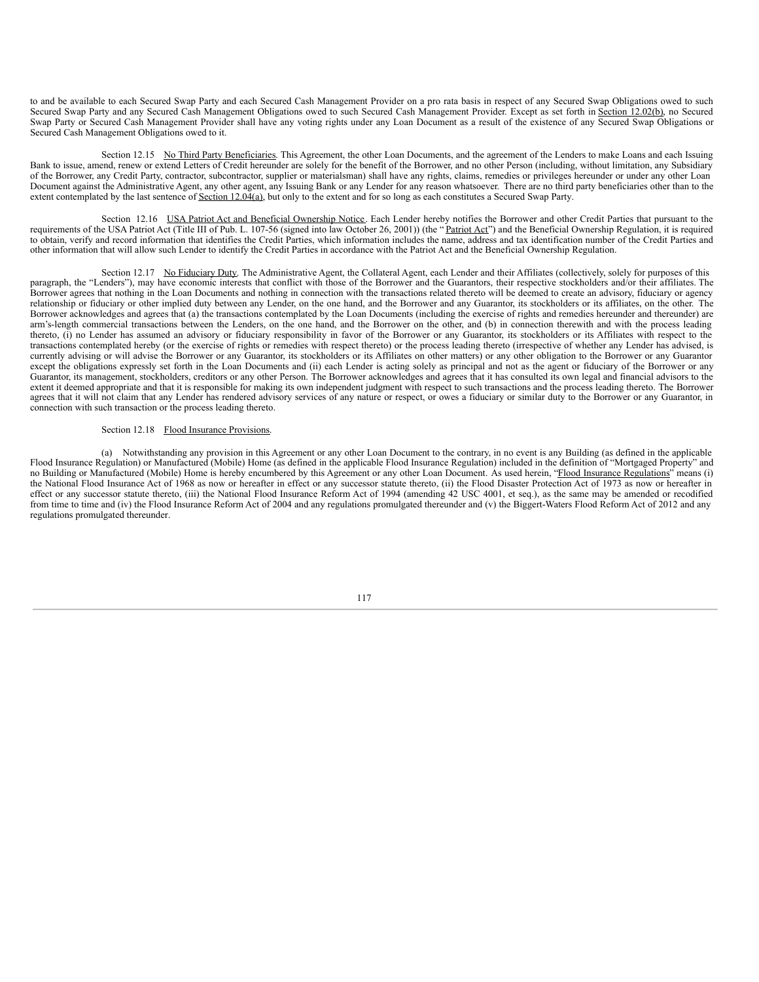to and be available to each Secured Swap Party and each Secured Cash Management Provider on a pro rata basis in respect of any Secured Swap Obligations owed to such Secured Swap Party and any Secured Cash Management Obligations owed to such Secured Cash Management Provider. Except as set forth in Section 12.02(b), no Secured Swap Party or Secured Cash Management Provider shall have any voting rights under any Loan Document as a result of the existence of any Secured Swap Obligations or Secured Cash Management Obligations owed to it.

Section 12.15 No Third Party Beneficiaries. This Agreement, the other Loan Documents, and the agreement of the Lenders to make Loans and each Issuing Bank to issue, amend, renew or extend Letters of Credit hereunder are solely for the benefit of the Borrower, and no other Person (including, without limitation, any Subsidiary of the Borrower, any Credit Party, contractor, subcontractor, supplier or materialsman) shall have any rights, claims, remedies or privileges hereunder or under any other Loan Document against the Administrative Agent, any other agent, any Issuing Bank or any Lender for any reason whatsoever. There are no third party beneficiaries other than to the extent contemplated by the last sentence of Section 12.04(a), but only to the extent and for so long as each constitutes a Secured Swap Party.

Section 12.16 USA Patriot Act and Beneficial Ownership Notice. Each Lender hereby notifies the Borrower and other Credit Parties that pursuant to the requirements of the USA Patriot Act (Title III of Pub. L. 107-56 (signed into law October 26, 2001)) (the "Patriot Act") and the Beneficial Ownership Regulation, it is required to obtain, verify and record information that identifies the Credit Parties, which information includes the name, address and tax identification number of the Credit Parties and other information that will allow such Lender to identify the Credit Parties in accordance with the Patriot Act and the Beneficial Ownership Regulation.

Section 12.17 No Fiduciary Duty. The Administrative Agent, the Collateral Agent, each Lender and their Affiliates (collectively, solely for purposes of this paragraph, the "Lenders"), may have economic interests that conflict with those of the Borrower and the Guarantors, their respective stockholders and/or their affiliates. The Borrower agrees that nothing in the Loan Documents and nothing in connection with the transactions related thereto will be deemed to create an advisory, fiduciary or agency relationship or fiduciary or other implied duty between any Lender, on the one hand, and the Borrower and any Guarantor, its stockholders or its affiliates, on the other. The Borrower acknowledges and agrees that (a) the transactions contemplated by the Loan Documents (including the exercise of rights and remedies hereunder and thereunder) are arm's-length commercial transactions between the Lenders, on the one hand, and the Borrower on the other, and (b) in connection therewith and with the process leading thereto, (i) no Lender has assumed an advisory or fiduciary responsibility in favor of the Borrower or any Guarantor, its stockholders or its Affiliates with respect to the transactions contemplated hereby (or the exercise of rights or remedies with respect thereto) or the process leading thereto (irrespective of whether any Lender has advised, is currently advising or will advise the Borrower or any Guarantor, its stockholders or its Affiliates on other matters) or any other obligation to the Borrower or any Guarantor except the obligations expressly set forth in the Loan Documents and (ii) each Lender is acting solely as principal and not as the agent or fiduciary of the Borrower or any Guarantor, its management, stockholders, creditors or any other Person. The Borrower acknowledges and agrees that it has consulted its own legal and financial advisors to the extent it deemed appropriate and that it is responsible for making its own independent judgment with respect to such transactions and the process leading thereto. The Borrower agrees that it will not claim that any Lender has rendered advisory services of any nature or respect, or owes a fiduciary or similar duty to the Borrower or any Guarantor, in connection with such transaction or the process leading thereto.

#### Section 12.18 Flood Insurance Provisions.

(a) Notwithstanding any provision in this Agreement or any other Loan Document to the contrary, in no event is any Building (as defined in the applicable Flood Insurance Regulation) or Manufactured (Mobile) Home (as defined in the applicable Flood Insurance Regulation) included in the definition of "Mortgaged Property" and no Building or Manufactured (Mobile) Home is hereby encumbered by this Agreement or any other Loan Document. As used herein, "Flood Insurance Regulations" means (i) the National Flood Insurance Act of 1968 as now or hereafter in effect or any successor statute thereto, (ii) the Flood Disaster Protection Act of 1973 as now or hereafter in effect or any successor statute thereto, (iii) the National Flood Insurance Reform Act of 1994 (amending 42 USC 4001, et seq.), as the same may be amended or recodified from time to time and (iv) the Flood Insurance Reform Act of 2004 and any regulations promulgated thereunder and (v) the Biggert-Waters Flood Reform Act of 2012 and any regulations promulgated thereunder.

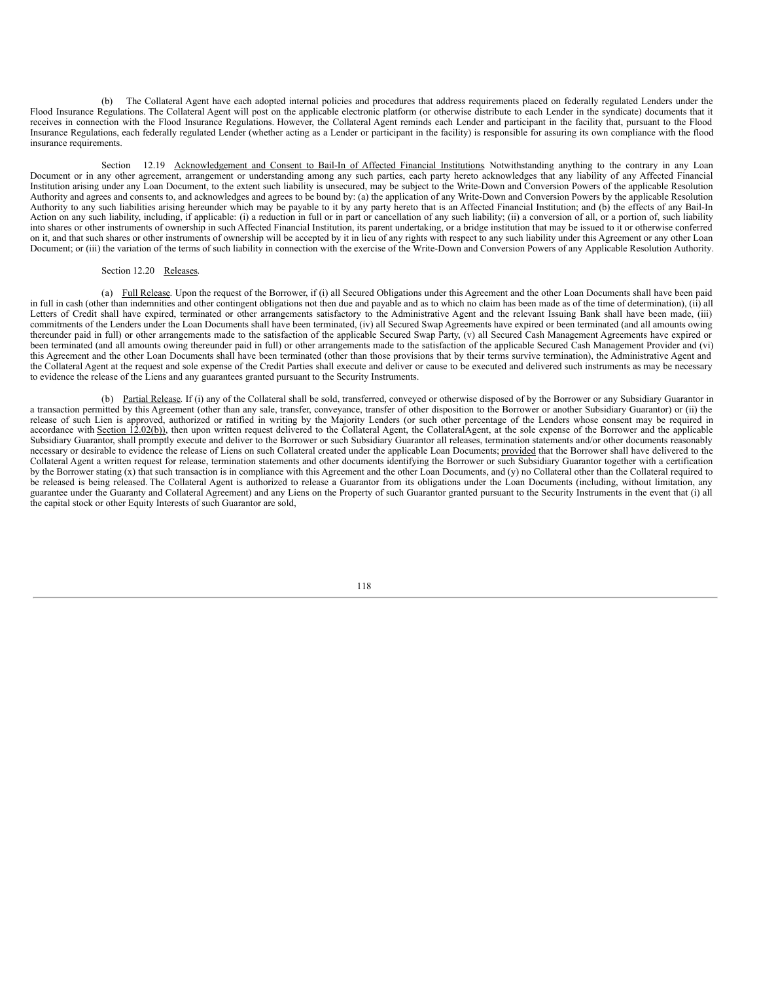(b) The Collateral Agent have each adopted internal policies and procedures that address requirements placed on federally regulated Lenders under the Flood Insurance Regulations. The Collateral Agent will post on the applicable electronic platform (or otherwise distribute to each Lender in the syndicate) documents that it receives in connection with the Flood Insurance Regulations. However, the Collateral Agent reminds each Lender and participant in the facility that, pursuant to the Flood Insurance Regulations, each federally regulated Lender (whether acting as a Lender or participant in the facility) is responsible for assuring its own compliance with the flood insurance requirements.

Section 12.19 Acknowledgement and Consent to Bail-In of Affected Financial Institutions. Notwithstanding anything to the contrary in any Loan Document or in any other agreement, arrangement or understanding among any such parties, each party hereto acknowledges that any liability of any Affected Financial Institution arising under any Loan Document, to the extent such liability is unsecured, may be subject to the Write-Down and Conversion Powers of the applicable Resolution Authority and agrees and consents to, and acknowledges and agrees to be bound by: (a) the application of any Write-Down and Conversion Powers by the applicable Resolution Authority to any such liabilities arising hereunder which may be payable to it by any party hereto that is an Affected Financial Institution; and (b) the effects of any Bail-In Action on any such liability, including, if applicable: (i) a reduction in full or in part or cancellation of any such liability; (ii) a conversion of all, or a portion of, such liability into shares or other instruments of ownership in such Affected Financial Institution, its parent undertaking, or a bridge institution that may be issued to it or otherwise conferred on it, and that such shares or other instruments of ownership will be accepted by it in lieu of any rights with respect to any such liability under this Agreement or any other Loan Document; or (iii) the variation of the terms of such liability in connection with the exercise of the Write-Down and Conversion Powers of any Applicable Resolution Authority.

#### Section 12.20 Releases.

(a) Full Release. Upon the request of the Borrower, if (i) all Secured Obligations under this Agreement and the other Loan Documents shall have been paid in full in cash (other than indemnities and other contingent obligations not then due and payable and as to which no claim has been made as of the time of determination), (ii) all Letters of Credit shall have expired, terminated or other arrangements satisfactory to the Administrative Agent and the relevant Issuing Bank shall have been made, (iii) commitments of the Lenders under the Loan Documents shall have been terminated, (iv) all Secured Swap Agreements have expired or been terminated (and all amounts owing thereunder paid in full) or other arrangements made to the satisfaction of the applicable Secured Swap Party, (v) all Secured Cash Management Agreements have expired or been terminated (and all amounts owing thereunder paid in full) or other arrangements made to the satisfaction of the applicable Secured Cash Management Provider and (vi) this Agreement and the other Loan Documents shall have been terminated (other than those provisions that by their terms survive termination), the Administrative Agent and the Collateral Agent at the request and sole expense of the Credit Parties shall execute and deliver or cause to be executed and delivered such instruments as may be necessary to evidence the release of the Liens and any guarantees granted pursuant to the Security Instruments.

(b) Partial Release. If (i) any of the Collateral shall be sold, transferred, conveyed or otherwise disposed of by the Borrower or any Subsidiary Guarantor in a transaction permitted by this Agreement (other than any sale, transfer, conveyance, transfer of other disposition to the Borrower or another Subsidiary Guarantor) or (ii) the release of such Lien is approved, authorized or ratified in writing by the Majority Lenders (or such other percentage of the Lenders whose consent may be required in accordance with Section 12.02(b)), then upon written request delivered to the Collateral Agent, the CollateralAgent, at the sole expense of the Borrower and the applicable Subsidiary Guarantor, shall promptly execute and deliver to the Borrower or such Subsidiary Guarantor all releases, termination statements and/or other documents reasonably necessary or desirable to evidence the release of Liens on such Collateral created under the applicable Loan Documents; provided that the Borrower shall have delivered to the Collateral Agent a written request for release, termination statements and other documents identifying the Borrower or such Subsidiary Guarantor together with a certification by the Borrower stating (x) that such transaction is in compliance with this Agreement and the other Loan Documents, and (y) no Collateral other than the Collateral required to be released is being released. The Collateral Agent is authorized to release a Guarantor from its obligations under the Loan Documents (including, without limitation, any guarantee under the Guaranty and Collateral Agreement) and any Liens on the Property of such Guarantor granted pursuant to the Security Instruments in the event that (i) all the capital stock or other Equity Interests of such Guarantor are sold,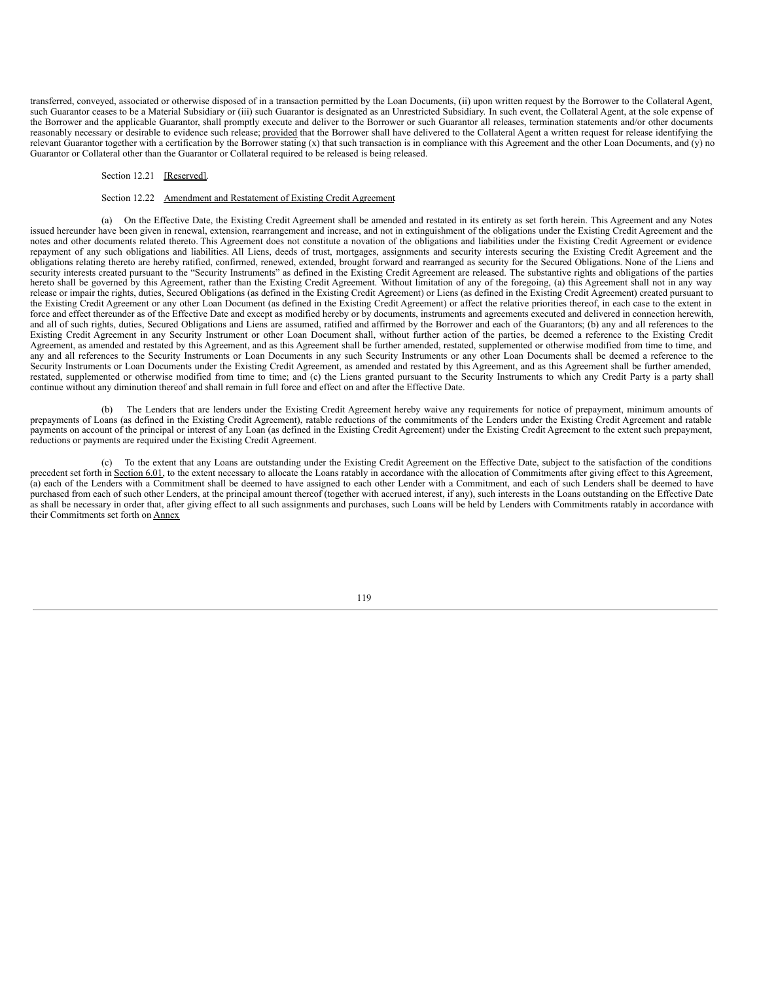transferred, conveyed, associated or otherwise disposed of in a transaction permitted by the Loan Documents, (ii) upon written request by the Borrower to the Collateral Agent, such Guarantor ceases to be a Material Subsidiary or (iii) such Guarantor is designated as an Unrestricted Subsidiary. In such event, the Collateral Agent, at the sole expense of the Borrower and the applicable Guarantor, shall promptly execute and deliver to the Borrower or such Guarantor all releases, termination statements and/or other documents reasonably necessary or desirable to evidence such release; provided that the Borrower shall have delivered to the Collateral Agent a written request for release identifying the relevant Guarantor together with a certification by the Borrower stating (x) that such transaction is in compliance with this Agreement and the other Loan Documents, and (y) no Guarantor or Collateral other than the Guarantor or Collateral required to be released is being released.

#### Section 12.21 [Reserved].

#### Section 12.22 Amendment and Restatement of Existing Credit Agreement.

(a) On the Effective Date, the Existing Credit Agreement shall be amended and restated in its entirety as set forth herein. This Agreement and any Notes issued hereunder have been given in renewal, extension, rearrangement and increase, and not in extinguishment of the obligations under the Existing Credit Agreement and the notes and other documents related thereto. This Agreement does not constitute a novation of the obligations and liabilities under the Existing Credit Agreement or evidence repayment of any such obligations and liabilities. All Liens, deeds of trust, mortgages, assignments and security interests securing the Existing Credit Agreement and the obligations relating thereto are hereby ratified, confirmed, renewed, extended, brought forward and rearranged as security for the Secured Obligations. None of the Liens and security interests created pursuant to the "Security Instruments" as defined in the Existing Credit Agreement are released. The substantive rights and obligations of the parties hereto shall be governed by this Agreement, rather than the Existing Credit Agreement. Without limitation of any of the foregoing, (a) this Agreement shall not in any way release or impair the rights, duties, Secured Obligations (as defined in the Existing Credit Agreement) or Liens (as defined in the Existing Credit Agreement) created pursuant to the Existing Credit Agreement or any other Loan Document (as defined in the Existing Credit Agreement) or affect the relative priorities thereof, in each case to the extent in force and effect thereunder as of the Effective Date and except as modified hereby or by documents, instruments and agreements executed and delivered in connection herewith, and all of such rights, duties, Secured Obligations and Liens are assumed, ratified and affirmed by the Borrower and each of the Guarantors; (b) any and all references to the Existing Credit Agreement in any Security Instrument or other Loan Document shall, without further action of the parties, be deemed a reference to the Existing Credit Agreement, as amended and restated by this Agreement, and as this Agreement shall be further amended, restated, supplemented or otherwise modified from time to time, and any and all references to the Security Instruments or Loan Documents in any such Security Instruments or any other Loan Documents shall be deemed a reference to the Security Instruments or Loan Documents under the Existing Credit Agreement, as amended and restated by this Agreement, and as this Agreement shall be further amended, restated, supplemented or otherwise modified from time to time; and (c) the Liens granted pursuant to the Security Instruments to which any Credit Party is a party shall continue without any diminution thereof and shall remain in full force and effect on and after the Effective Date.

(b) The Lenders that are lenders under the Existing Credit Agreement hereby waive any requirements for notice of prepayment, minimum amounts of prepayments of Loans (as defined in the Existing Credit Agreement), ratable reductions of the commitments of the Lenders under the Existing Credit Agreement and ratable payments on account of the principal or interest of any Loan (as defined in the Existing Credit Agreement) under the Existing Credit Agreement to the extent such prepayment, reductions or payments are required under the Existing Credit Agreement.

(c) To the extent that any Loans are outstanding under the Existing Credit Agreement on the Effective Date, subject to the satisfaction of the conditions precedent set forth in Section 6.01, to the extent necessary to allocate the Loans ratably in accordance with the allocation of Commitments after giving effect to this Agreement, (a) each of the Lenders with a Commitment shall be deemed to have assigned to each other Lender with a Commitment, and each of such Lenders shall be deemed to have purchased from each of such other Lenders, at the principal amount thereof (together with accrued interest, if any), such interests in the Loans outstanding on the Effective Date as shall be necessary in order that, after giving effect to all such assignments and purchases, such Loans will be held by Lenders with Commitments ratably in accordance with their Commitments set forth on Annex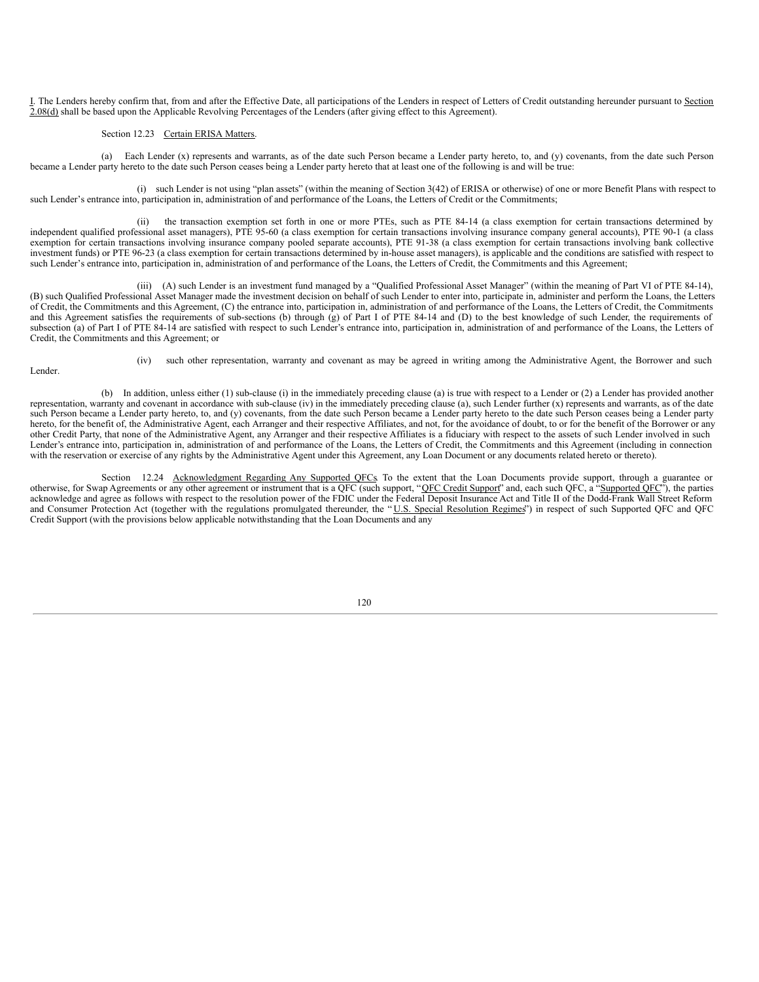I. The Lenders hereby confirm that, from and after the Effective Date, all participations of the Lenders in respect of Letters of Credit outstanding hereunder pursuant to Section 2.08(d) shall be based upon the Applicable Revolving Percentages of the Lenders (after giving effect to this Agreement).

#### Section 12.23 Certain ERISA Matters.

(a) Each Lender (x) represents and warrants, as of the date such Person became a Lender party hereto, to, and (y) covenants, from the date such Person became a Lender party hereto to the date such Person ceases being a Lender party hereto that at least one of the following is and will be true:

(i) such Lender is not using "plan assets" (within the meaning of Section 3(42) of ERISA or otherwise) of one or more Benefit Plans with respect to such Lender's entrance into, participation in, administration of and performance of the Loans, the Letters of Credit or the Commitments;

(ii) the transaction exemption set forth in one or more PTEs, such as PTE 84-14 (a class exemption for certain transactions determined by independent qualified professional asset managers), PTE 95-60 (a class exemption for certain transactions involving insurance company general accounts), PTE 90-1 (a class exemption for certain transactions involving insurance company pooled separate accounts), PTE 91-38 (a class exemption for certain transactions involving bank collective investment funds) or PTE 96-23 (a class exemption for certain transactions determined by in-house asset managers), is applicable and the conditions are satisfied with respect to such Lender's entrance into, participation in, administration of and performance of the Loans, the Letters of Credit, the Commitments and this Agreement;

(iii) (A) such Lender is an investment fund managed by a "Qualified Professional Asset Manager" (within the meaning of Part VI of PTE 84-14), (B) such Qualified Professional Asset Manager made the investment decision on behalf of such Lender to enter into, participate in, administer and perform the Loans, the Letters of Credit, the Commitments and this Agreement, (C) the entrance into, participation in, administration of and performance of the Loans, the Letters of Credit, the Commitments and this Agreement satisfies the requirements of sub-sections (b) through (g) of Part I of PTE 84-14 and (D) to the best knowledge of such Lender, the requirements of subsection (a) of Part I of PTE 84-14 are satisfied with respect to such Lender's entrance into, participation in, administration of and performance of the Loans, the Letters of Credit, the Commitments and this Agreement; or

Lender.

(iv) such other representation, warranty and covenant as may be agreed in writing among the Administrative Agent, the Borrower and such

(b) In addition, unless either (1) sub-clause (i) in the immediately preceding clause (a) is true with respect to a Lender or (2) a Lender has provided another representation, warranty and covenant in accordance with sub-clause (iv) in the immediately preceding clause (a), such Lender further (x) represents and warrants, as of the date such Person became a Lender party hereto, to, and (y) covenants, from the date such Person became a Lender party hereto to the date such Person ceases being a Lender party hereto, for the benefit of, the Administrative Agent, each Arranger and their respective Affiliates, and not, for the avoidance of doubt, to or for the benefit of the Borrower or any other Credit Party, that none of the Administrative Agent, any Arranger and their respective Affiliates is a fiduciary with respect to the assets of such Lender involved in such Lender's entrance into, participation in, administration of and performance of the Loans, the Letters of Credit, the Commitments and this Agreement (including in connection with the reservation or exercise of any rights by the Administrative Agent under this Agreement, any Loan Document or any documents related hereto or thereto).

Section 12.24 Acknowledgment Regarding Any Supported QFCs To the extent that the Loan Documents provide support, through a guarantee or otherwise, for Swap Agreements or any other agreement or instrument that is a QFC (such support, "OFC Credit Support" and, each such QFC, a "Supported QFC"), the parties acknowledge and agree as follows with respect to the resolution power of the FDIC under the Federal Deposit Insurance Act and Title II of the Dodd-Frank Wall Street Reform and Consumer Protection Act (together with the regulations promulgated thereunder, the "U.S. Special Resolution Regimes") in respect of such Supported QFC and QFC Credit Support (with the provisions below applicable notwithstanding that the Loan Documents and any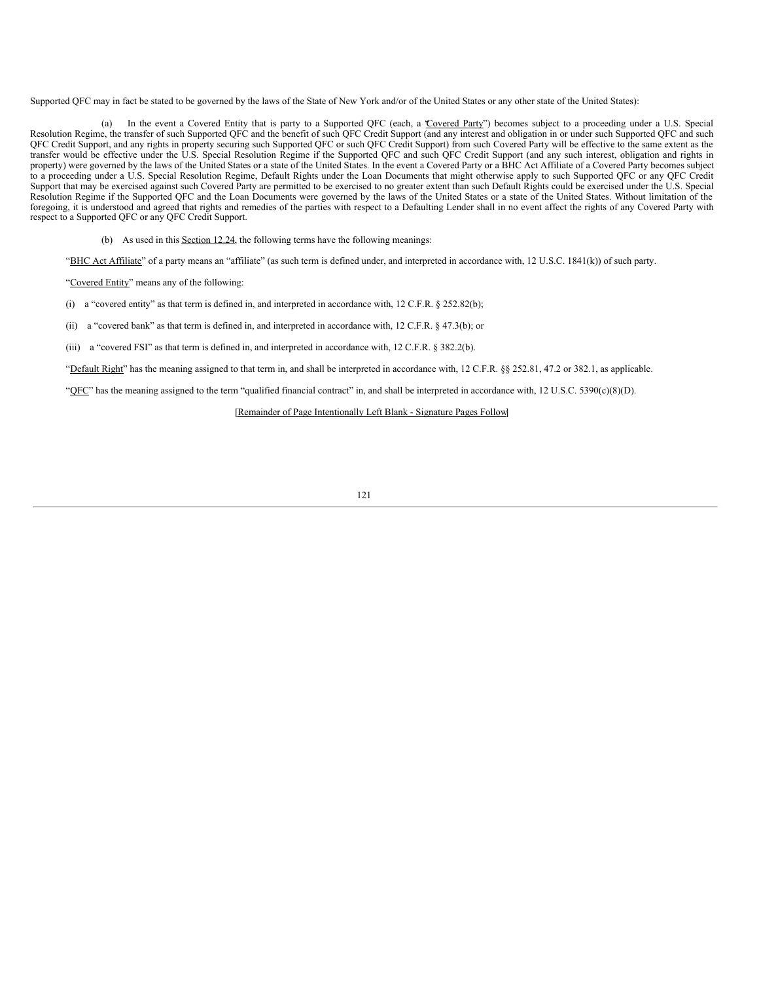Supported QFC may in fact be stated to be governed by the laws of the State of New York and/or of the United States or any other state of the United States):

(a) In the event a Covered Entity that is party to a Supported QFC (each, a 'Covered Party'') becomes subject to a proceeding under a U.S. Special Resolution Regime, the transfer of such Supported QFC and the benefit of such QFC Credit Support (and any interest and obligation in or under such Supported QFC and such QFC Credit Support, and any rights in property securing such Supported QFC or such QFC Credit Support) from such Covered Party will be effective to the same extent as the transfer would be effective under the U.S. Special Resolution Regime if the Supported QFC and such QFC Credit Support (and any such interest, obligation and rights in property) were governed by the laws of the United States or a state of the United States. In the event a Covered Party or a BHC Act Affiliate of a Covered Party becomes subject to a proceeding under a U.S. Special Resolution Regime, Default Rights under the Loan Documents that might otherwise apply to such Supported QFC or any QFC Credit Support that may be exercised against such Covered Party are permitted to be exercised to no greater extent than such Default Rights could be exercised under the U.S. Special Resolution Regime if the Supported QFC and the Loan Documents were governed by the laws of the United States or a state of the United States. Without limitation of the foregoing, it is understood and agreed that rights and remedies of the parties with respect to a Defaulting Lender shall in no event affect the rights of any Covered Party with respect to a Supported QFC or any QFC Credit Support.

(b) As used in this Section 12.24, the following terms have the following meanings:

"BHC Act Affiliate" of a party means an "affiliate" (as such term is defined under, and interpreted in accordance with, 12 U.S.C. 1841(k)) of such party.

"Covered Entity" means any of the following:

(i) a "covered entity" as that term is defined in, and interpreted in accordance with, 12 C.F.R. § 252.82(b);

(ii) a "covered bank" as that term is defined in, and interpreted in accordance with, 12 C.F.R. § 47.3(b); or

(iii) a "covered FSI" as that term is defined in, and interpreted in accordance with, 12 C.F.R. § 382.2(b).

"Default Right" has the meaning assigned to that term in, and shall be interpreted in accordance with, 12 C.F.R. §§ 252.81, 47.2 or 382.1, as applicable.

" $QFC$ " has the meaning assigned to the term "qualified financial contract" in, and shall be interpreted in accordance with, 12 U.S.C. 5390(c)(8)(D).

[Remainder of Page Intentionally Left Blank - Signature Pages Follow]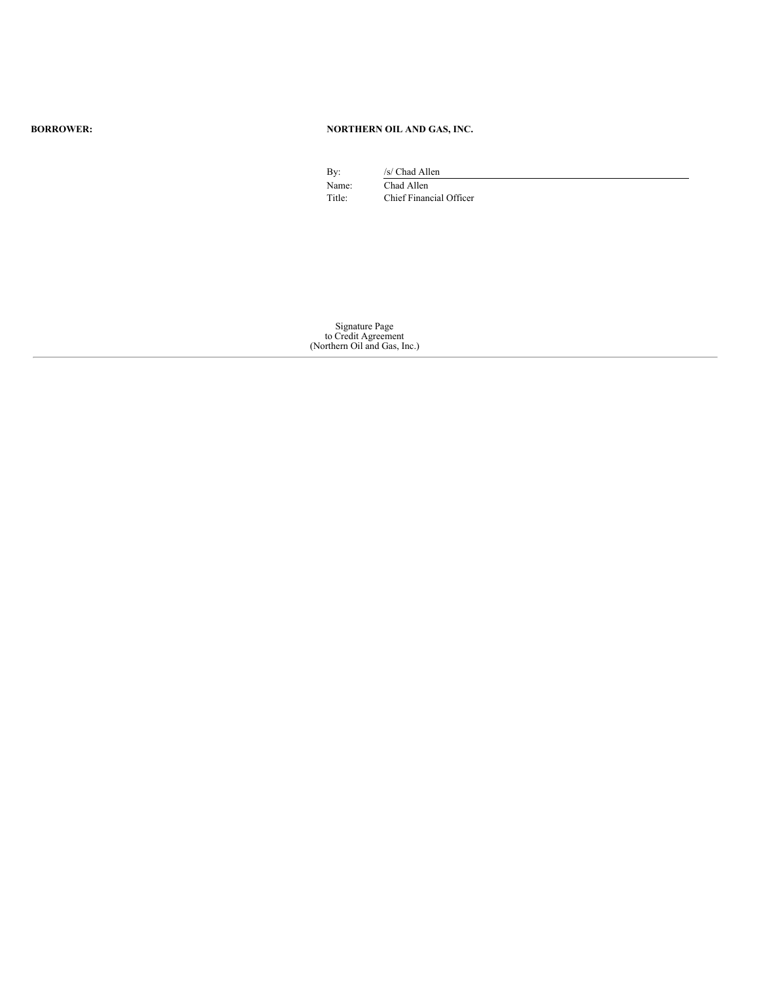# **BORROWER: NORTHERN OIL AND GAS, INC.**

By: /s/ Chad Allen

Name: Chad Allen<br>Title: Chief Finance Chief Financial Officer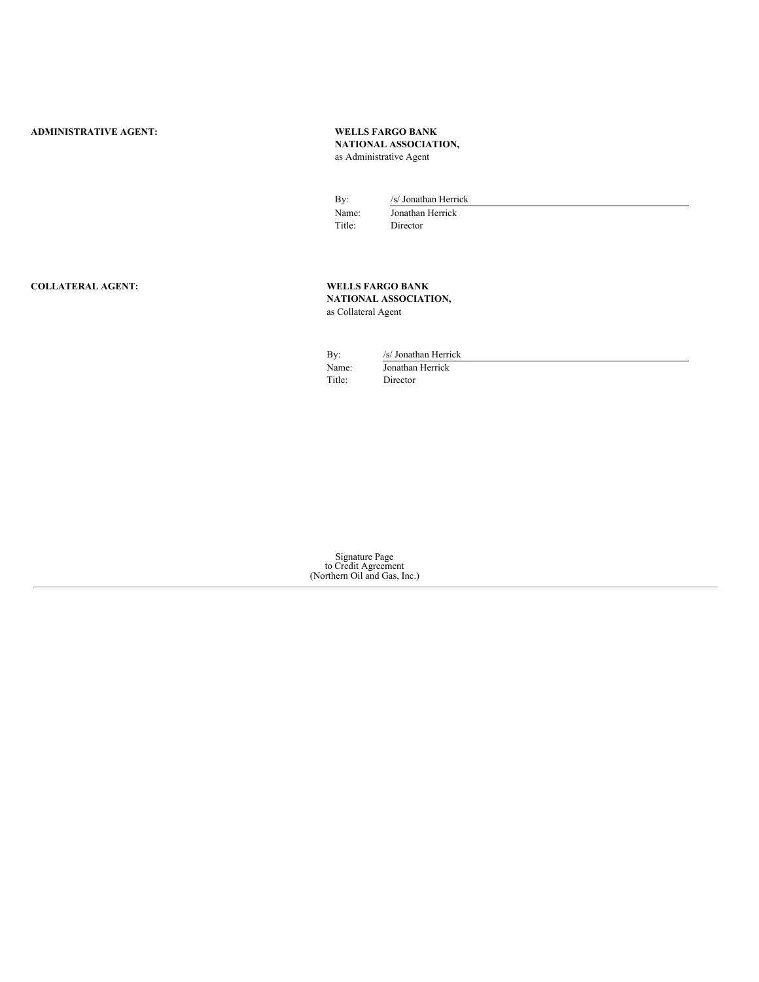# **ADMINISTRATIVE AGENT: WELLS FARGO BANK**

**NATIONAL ASSOCIATION,** as Administrative Agent

By: /s/ Jonathan Herrick Name: Jonathan Herrick Title: Director

**COLLATERAL AGENT: WELLS FARGO BANK NATIONAL ASSOCIATION,** as Collateral Agent

By: /s/ Jonathan Herrick

Name: Jonathan Herrick Title: Director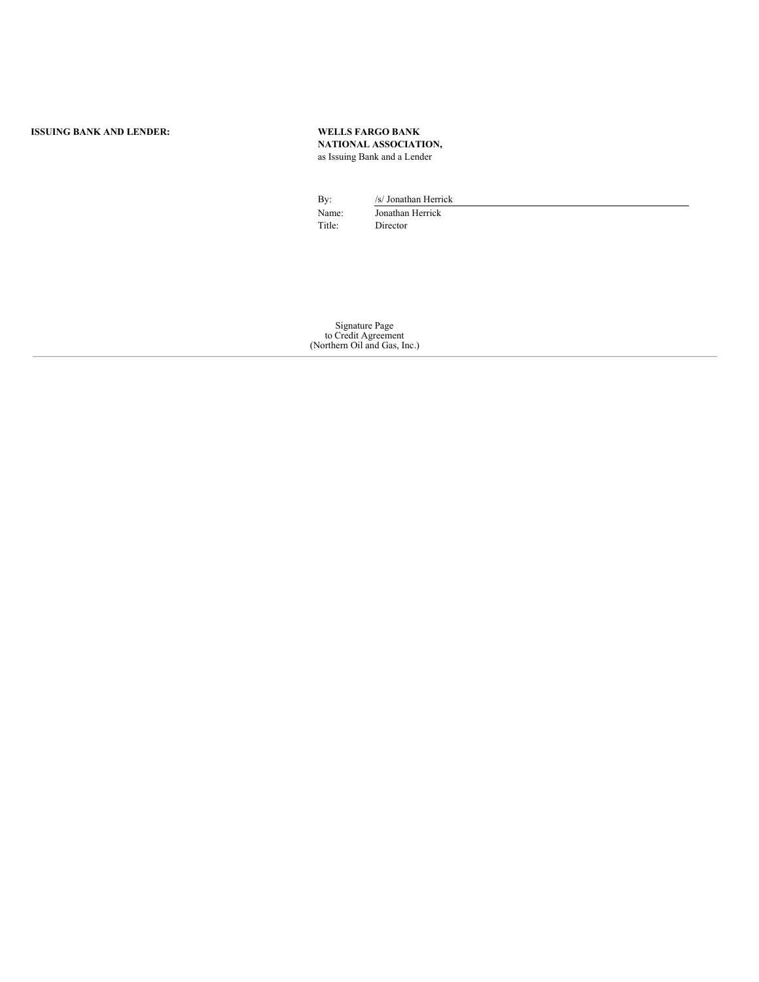**ISSUING BANK AND LENDER: WELLS FARGO BANK**

**NATIONAL ASSOCIATION,** as Issuing Bank and a Lender

By: /s/ Jonathan Herrick Name: Jonathan Herrick<br>Title: Director Director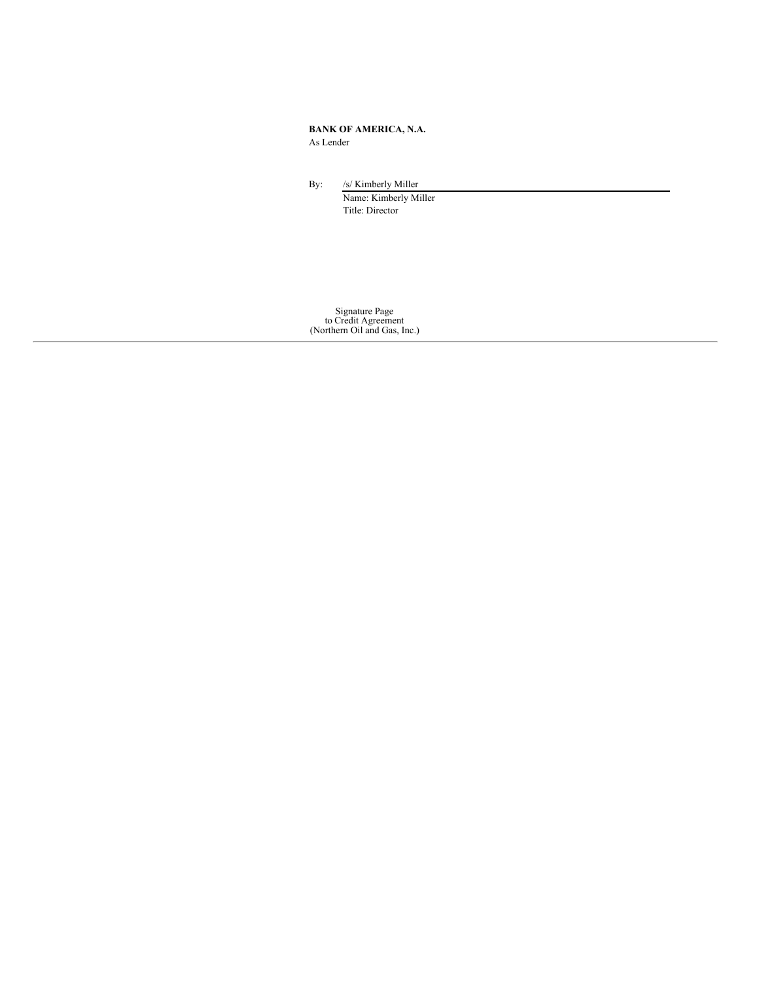**BANK OF AMERICA, N.A.** As Lender

By: /s/ Kimberly Miller Name: Kimberly Miller

Title: Director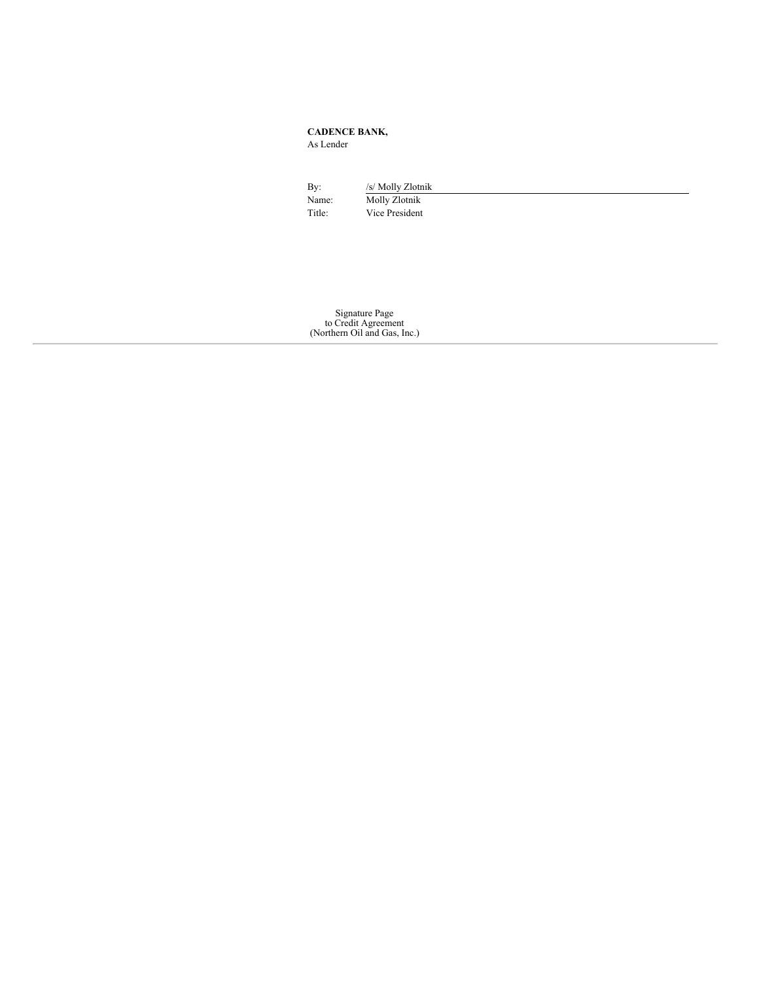# **CADENCE BANK,**

As Lender

By: /s/ Molly Zlotnik

Name: Molly Zlotnik Title: Vice President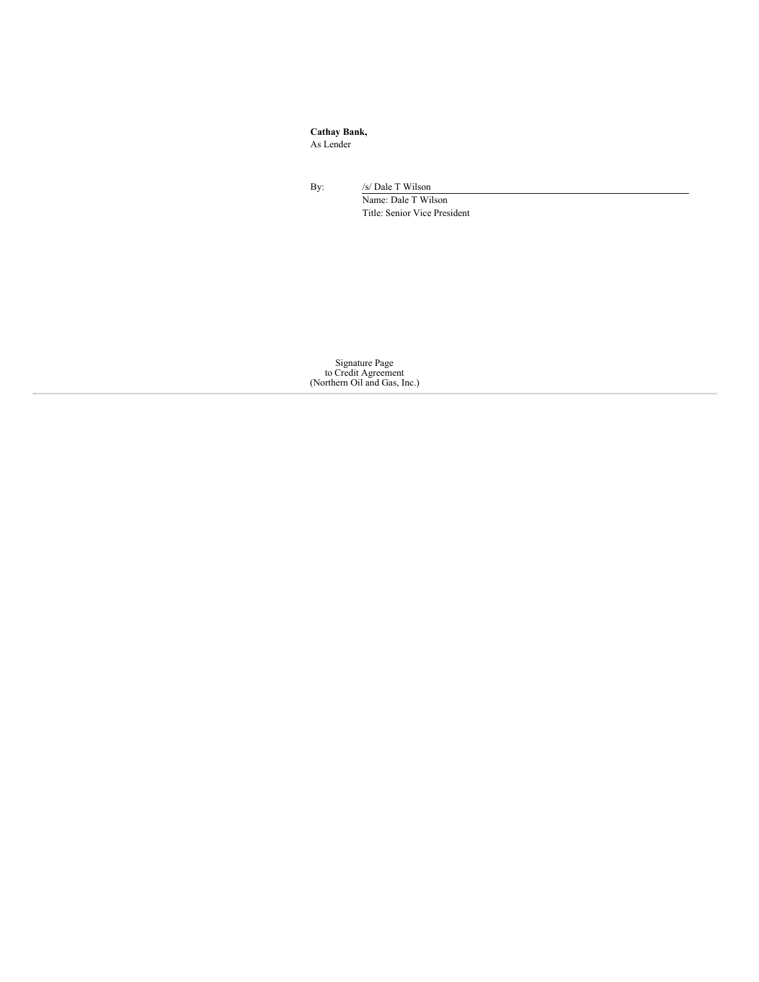# **Cathay Bank,**

As Lender

By: /s/ Dale T Wilson Name: Dale T Wilson Title: Senior Vice President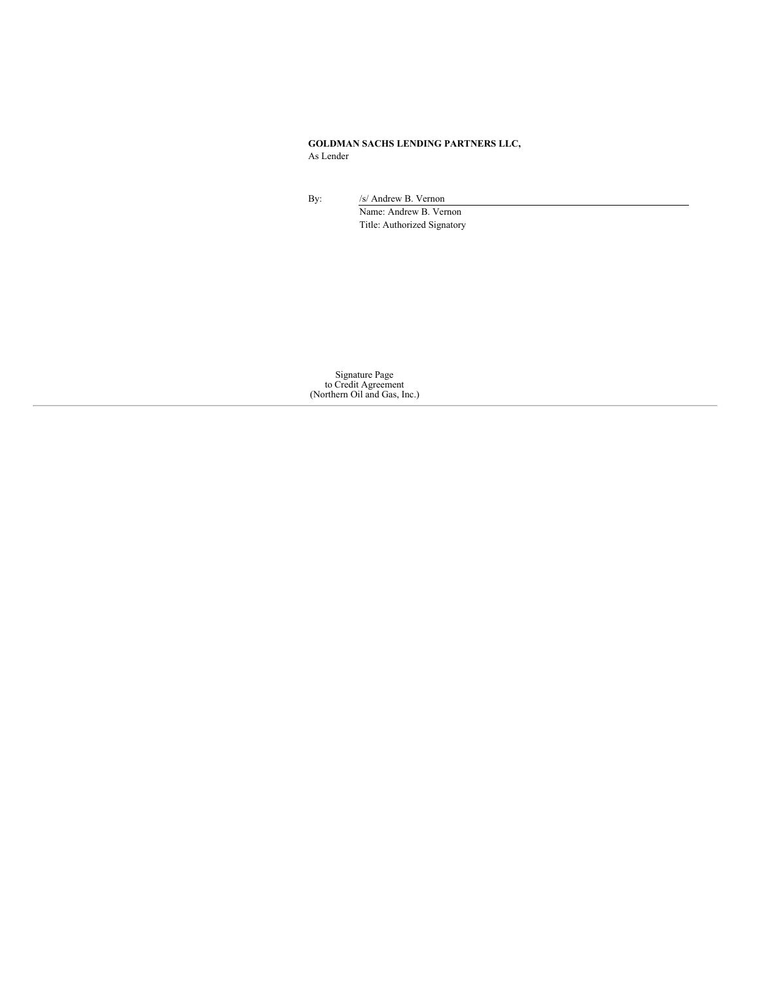# **GOLDMAN SACHS LENDING PARTNERS LLC,** As Lender

By: /s/ Andrew B. Vernon

Name: Andrew B. Vernon Title: Authorized Signatory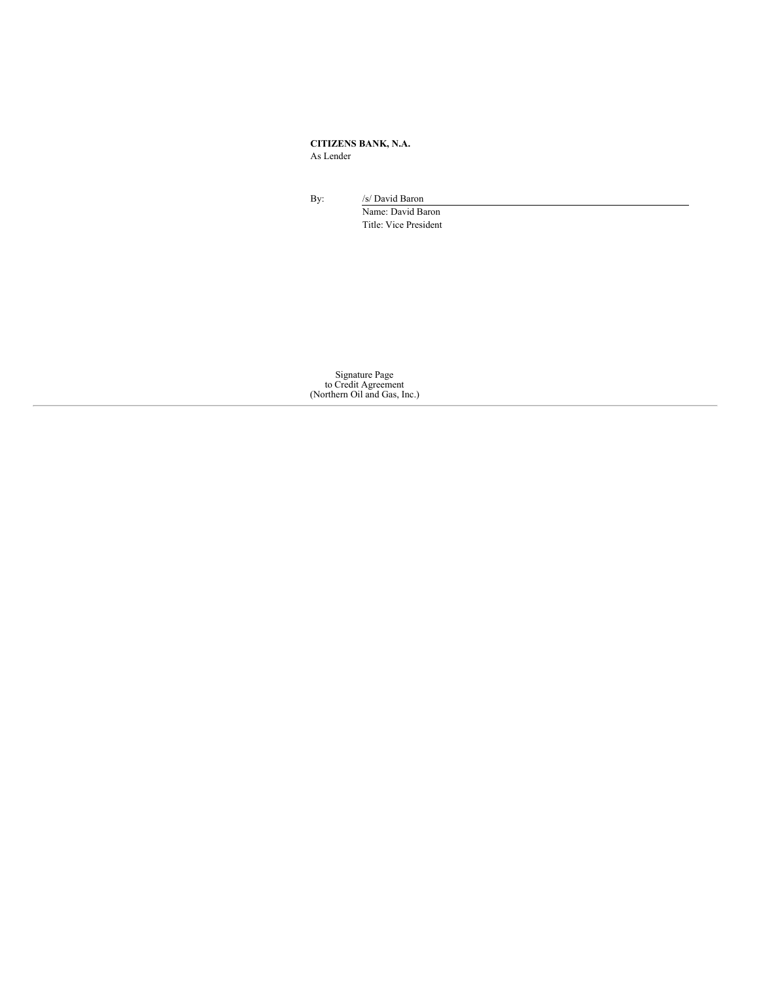## **CITIZENS BANK, N.A.** As Lender

By: /s/ David Baron Name: David Baron Title: Vice President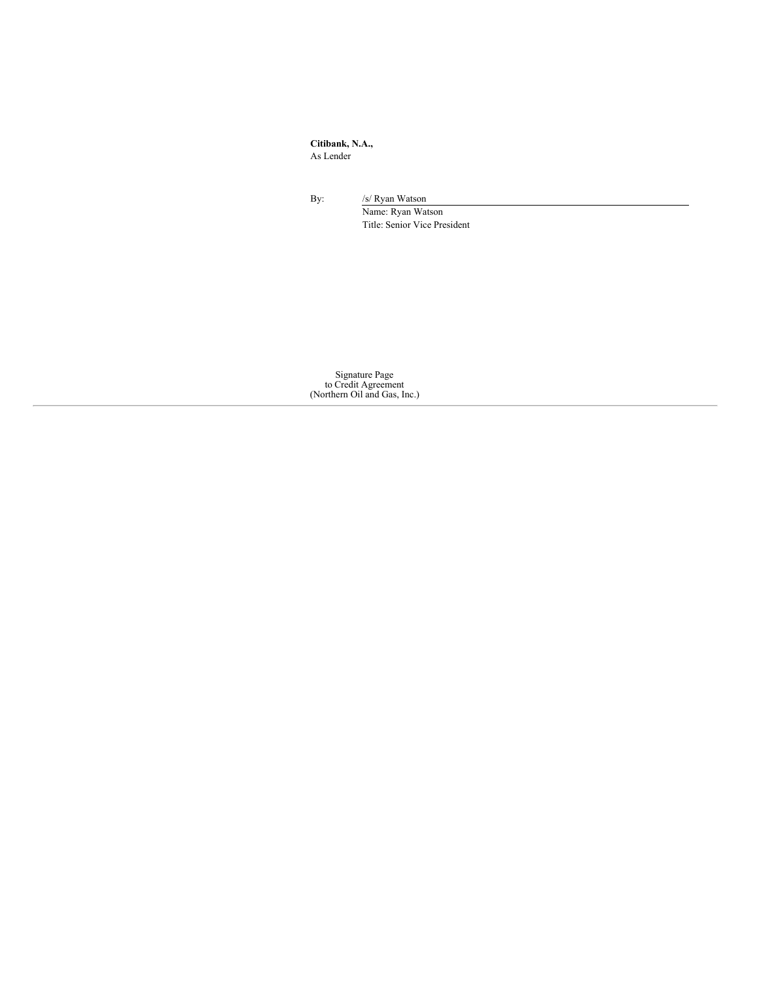**Citibank, N.A.,** As Lender

By: /s/ Ryan Watson Name: Ryan Watson

Title: Senior Vice President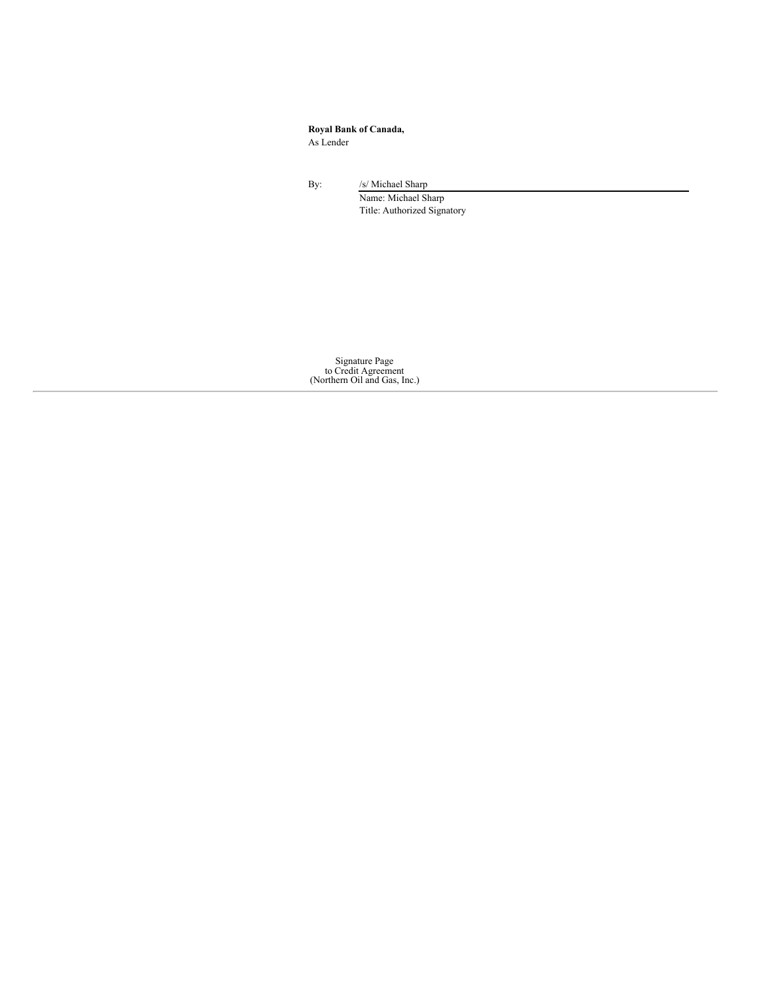# **Royal Bank of Canada,**

As Lender

By: /s/ Michael Sharp Name: Michael Sharp Title: Authorized Signatory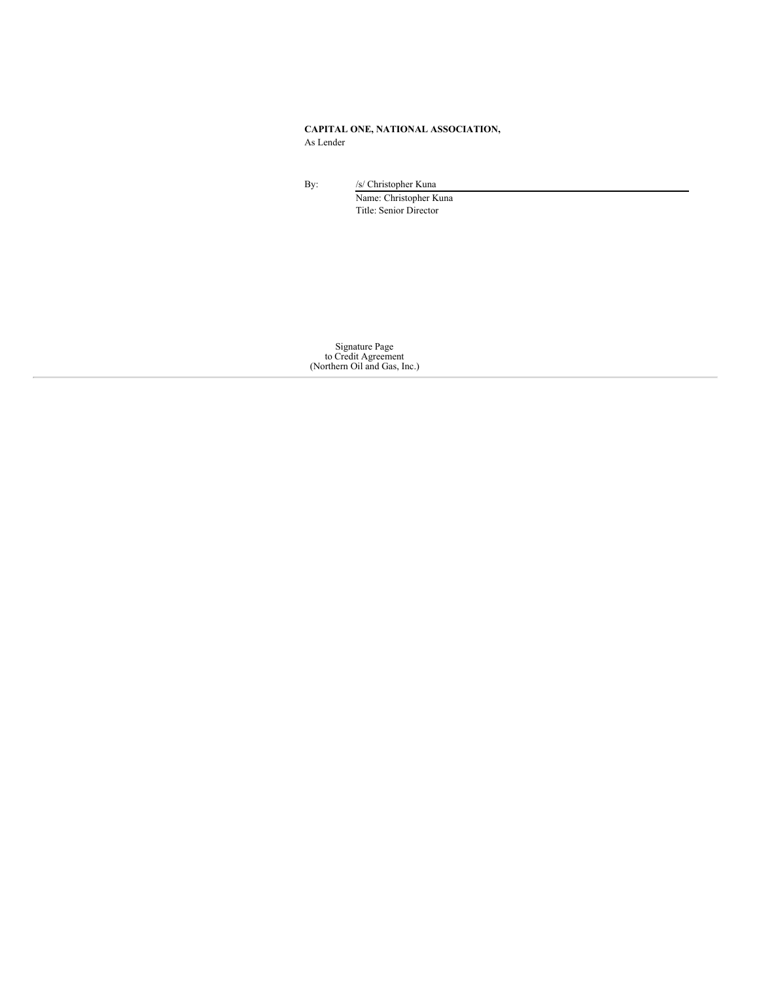## **CAPITAL ONE, NATIONAL ASSOCIATION,** As Lender

By: /s/ Christopher Kuna

Name: Christopher Kuna Title: Senior Director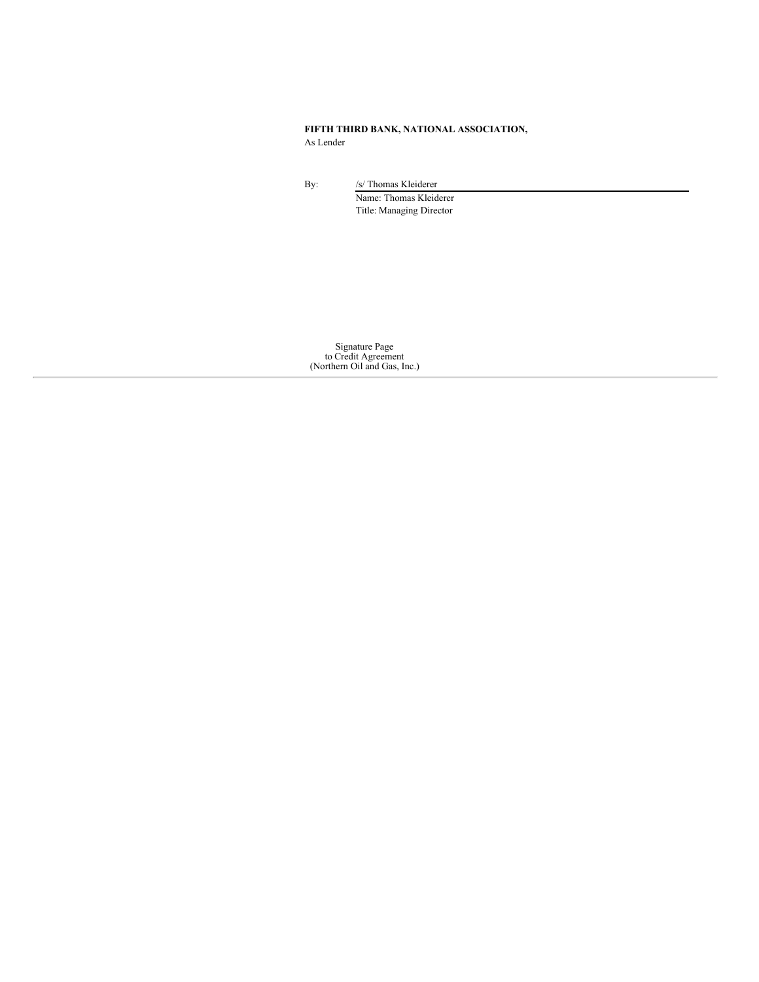## **FIFTH THIRD BANK, NATIONAL ASSOCIATION,** As Lender

By: /s/ Thomas Kleiderer

Name: Thomas Kleiderer Title: Managing Director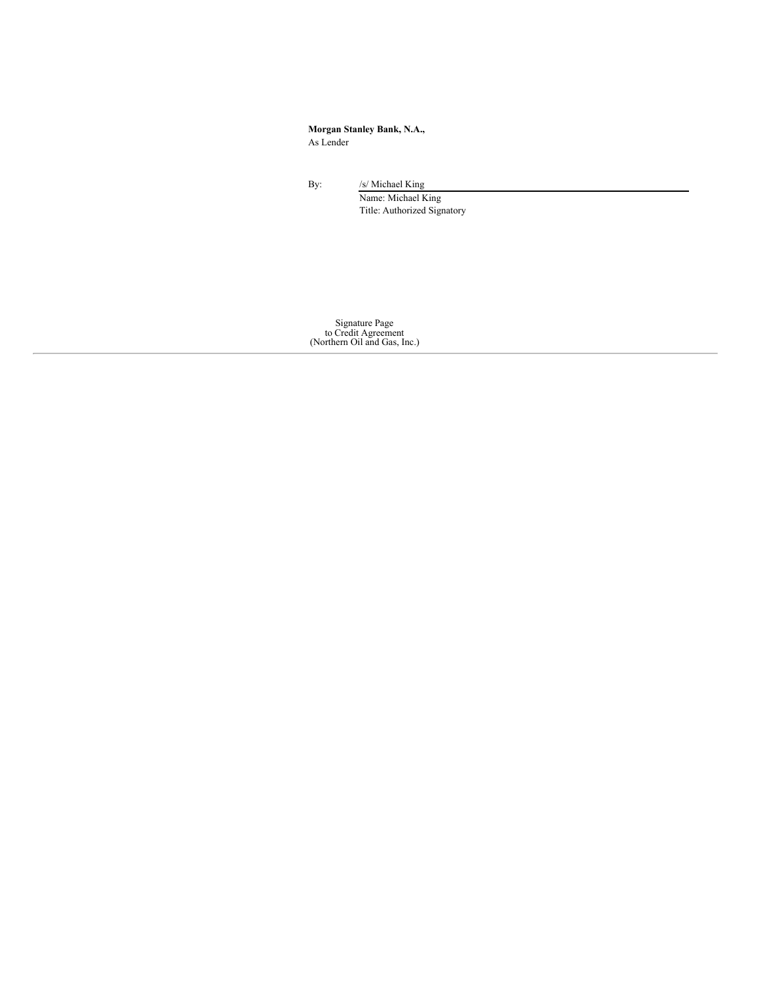**Morgan Stanley Bank, N.A.,** As Lender

By: /s/ Michael King Name: Michael King Title: Authorized Signatory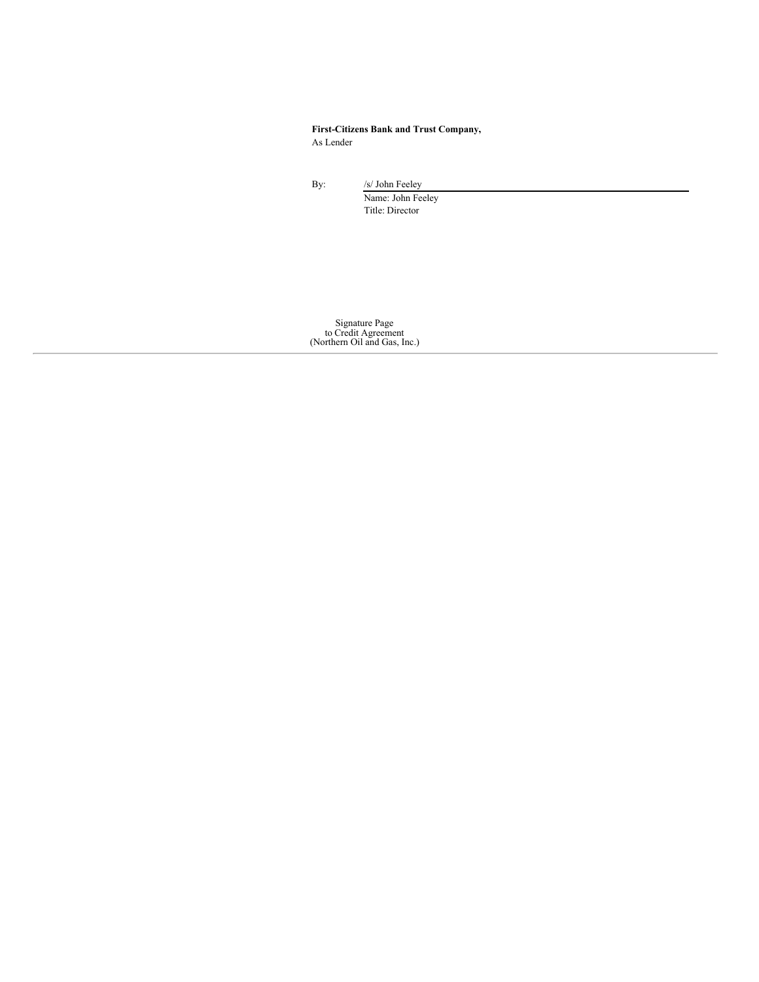## **First-Citizens Bank and Trust Company,** As Lender

By: /s/ John Feeley Name: John Feeley Title: Director

Signature Page to Credit Agreement (Northern Oil and Gas, Inc.)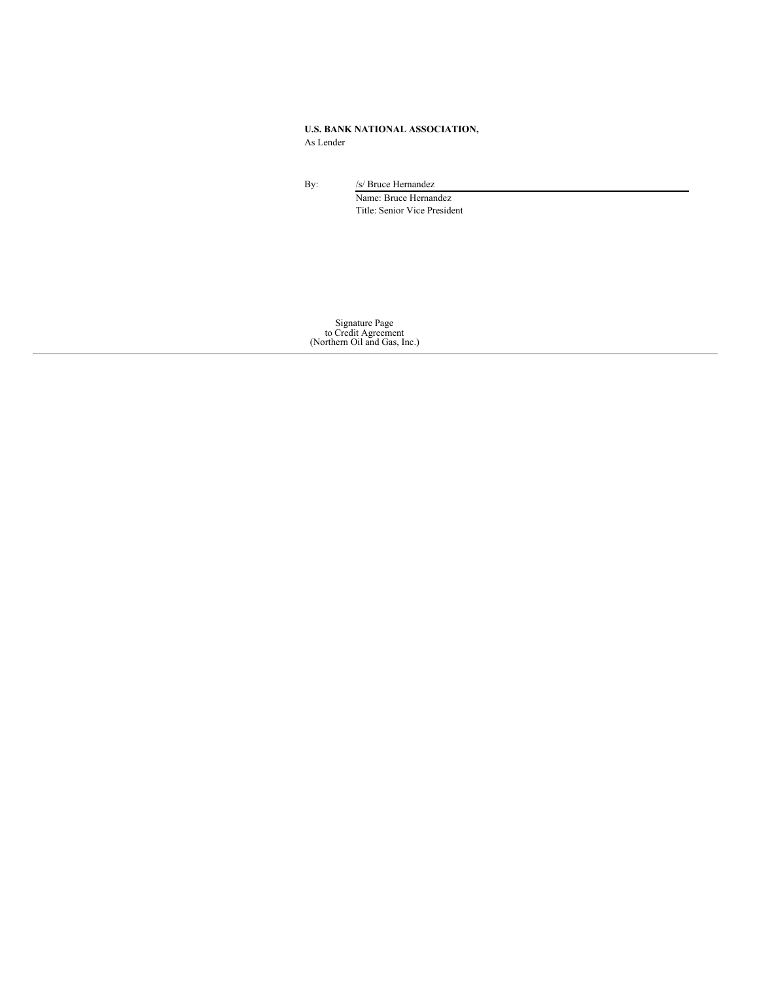**U.S. BANK NATIONAL ASSOCIATION,** As Lender

By: /s/ Bruce Hernandez Name: Bruce Hernandez Title: Senior Vice President

Signature Page to Credit Agreement (Northern Oil and Gas, Inc.)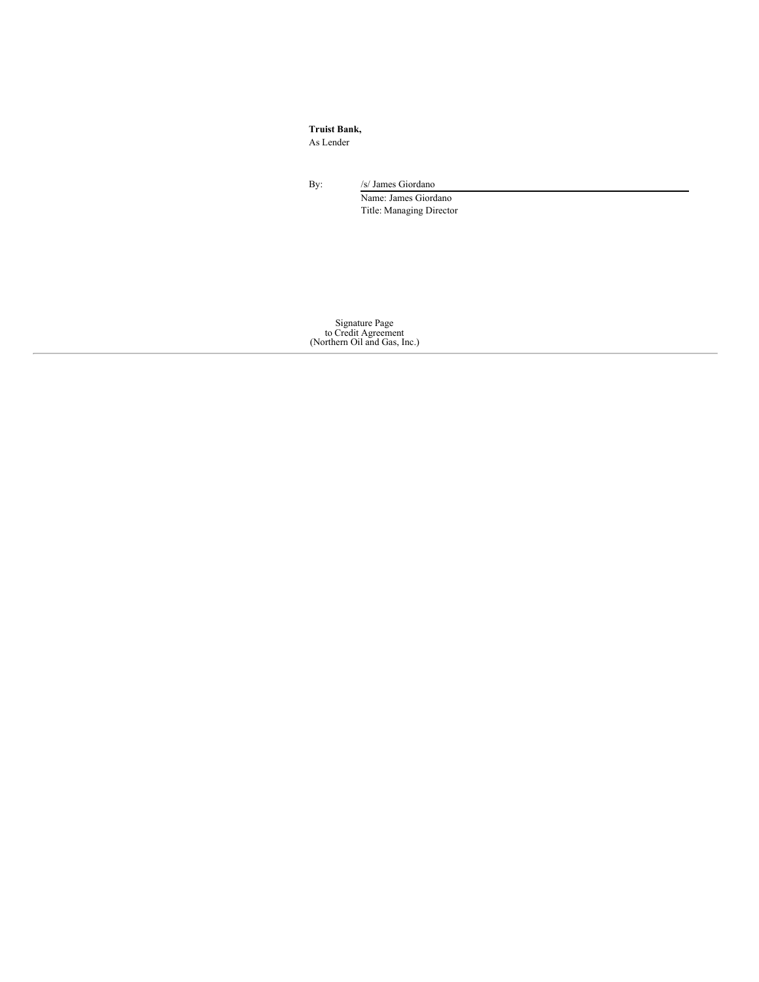# **Truist Bank,**

As Lender

By: /s/ James Giordano Name: James Giordano Title: Managing Director

Signature Page to Credit Agreement (Northern Oil and Gas, Inc.)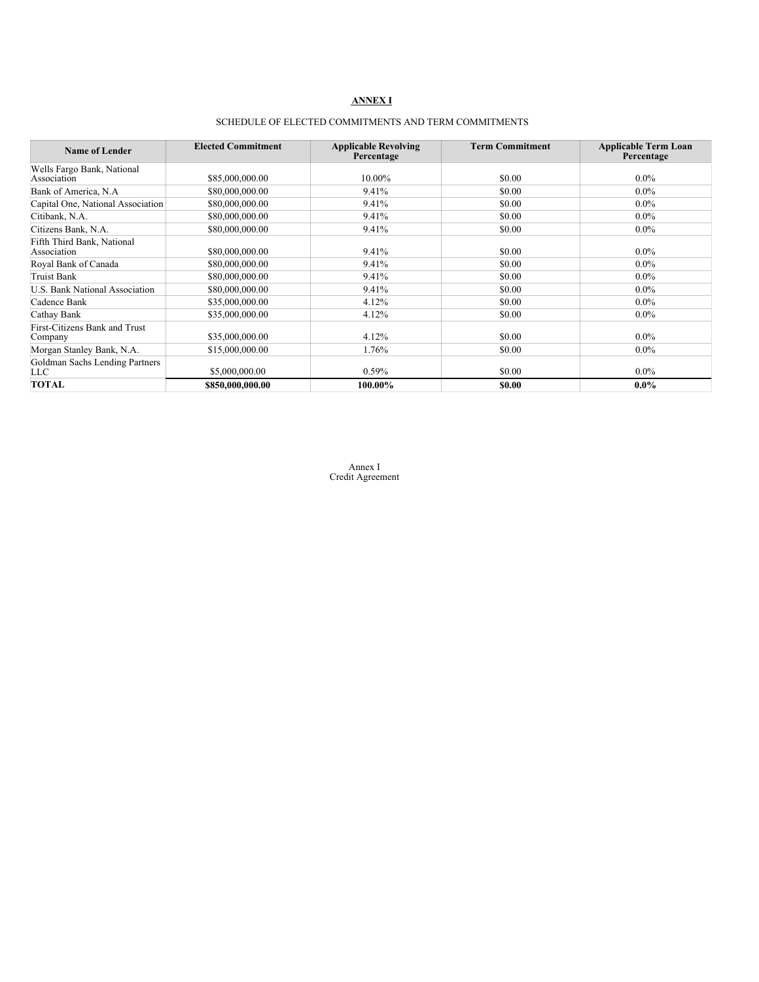# **ANNEX I**

# SCHEDULE OF ELECTED COMMITMENTS AND TERM COMMITMENTS

| <b>Name of Lender</b>                     | <b>Elected Commitment</b> | <b>Applicable Revolving</b><br>Percentage | <b>Term Commitment</b> | <b>Applicable Term Loan</b><br>Percentage |
|-------------------------------------------|---------------------------|-------------------------------------------|------------------------|-------------------------------------------|
| Wells Fargo Bank, National                |                           |                                           |                        |                                           |
| Association                               | \$85,000,000.00           | 10.00%                                    | \$0.00                 | $0.0\%$                                   |
| Bank of America, N.A.                     | \$80,000,000.00           | 9.41%                                     | \$0.00                 | $0.0\%$                                   |
| Capital One, National Association         | \$80,000,000.00           | 9.41%                                     | \$0.00                 | $0.0\%$                                   |
| Citibank, N.A.                            | \$80,000,000.00           | 9.41%                                     | \$0.00                 | $0.0\%$                                   |
| Citizens Bank, N.A.                       | \$80,000,000.00           | 9.41%                                     | \$0.00                 | $0.0\%$                                   |
| Fifth Third Bank, National<br>Association | \$80,000,000.00           | 9.41%                                     | \$0.00                 | $0.0\%$                                   |
| Royal Bank of Canada                      | \$80,000,000.00           | 9.41%                                     | \$0.00                 | $0.0\%$                                   |
| <b>Truist Bank</b>                        | \$80,000,000.00           | 9.41%                                     | \$0.00                 | $0.0\%$                                   |
| <b>U.S. Bank National Association</b>     | \$80,000,000.00           | 9.41%                                     | \$0.00                 | $0.0\%$                                   |
| Cadence Bank                              | \$35,000,000.00           | 4.12%                                     | \$0.00                 | $0.0\%$                                   |
| Cathay Bank                               | \$35,000,000.00           | 4.12%                                     | \$0.00                 | $0.0\%$                                   |
| First-Citizens Bank and Trust<br>Company  | \$35,000,000.00           | 4.12%                                     | \$0.00                 | $0.0\%$                                   |
| Morgan Stanley Bank, N.A.                 | \$15,000,000.00           | 1.76%                                     | \$0.00                 | $0.0\%$                                   |
| Goldman Sachs Lending Partners<br>LLC     | \$5,000,000.00            | $0.59\%$                                  | \$0.00                 | $0.0\%$                                   |
| <b>TOTAL</b>                              | \$850,000,000.00          | 100.00%                                   | \$0.00                 | $0.0\%$                                   |

Annex I Credit Agreement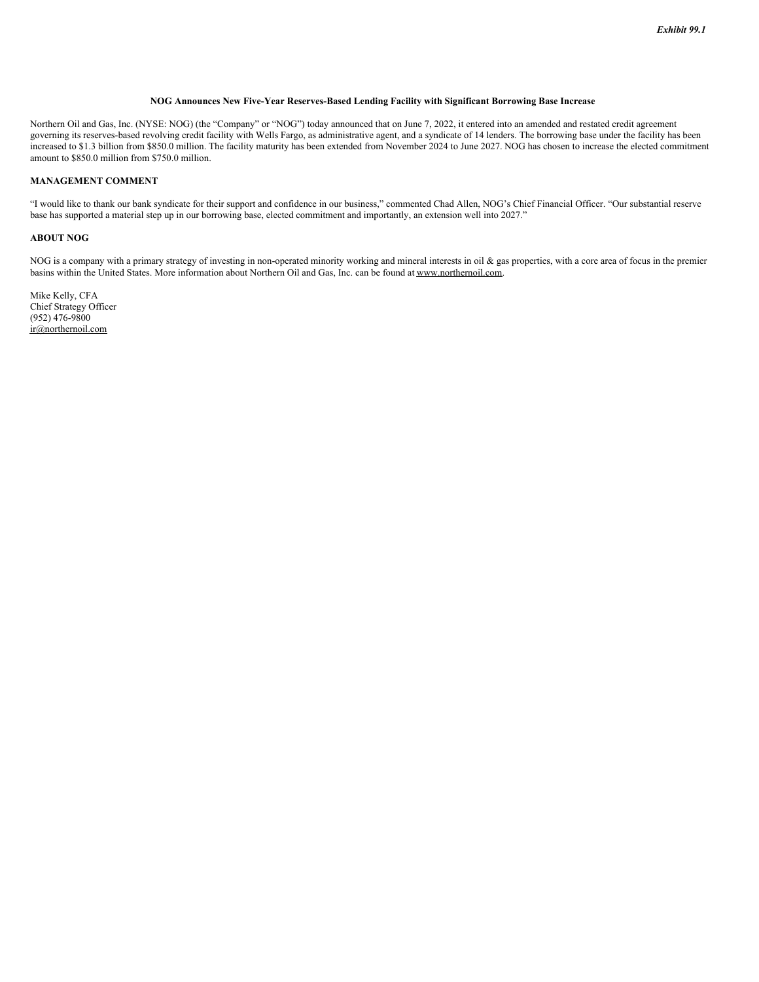#### **NOG Announces New Five-Year Reserves-Based Lending Facility with Significant Borrowing Base Increase**

Northern Oil and Gas, Inc. (NYSE: NOG) (the "Company" or "NOG") today announced that on June 7, 2022, it entered into an amended and restated credit agreement governing its reserves-based revolving credit facility with Wells Fargo, as administrative agent, and a syndicate of 14 lenders. The borrowing base under the facility has been increased to \$1.3 billion from \$850.0 million. The facility maturity has been extended from November 2024 to June 2027. NOG has chosen to increase the elected commitment amount to \$850.0 million from \$750.0 million.

## **MANAGEMENT COMMENT**

"I would like to thank our bank syndicate for their support and confidence in our business," commented Chad Allen, NOG's Chief Financial Officer. "Our substantial reserve base has supported a material step up in our borrowing base, elected commitment and importantly, an extension well into 2027."

#### **ABOUT NOG**

NOG is a company with a primary strategy of investing in non-operated minority working and mineral interests in oil & gas properties, with a core area of focus in the premier basins within the United States. More information about Northern Oil and Gas, Inc. can be found at www.northernoil.com.

Mike Kelly, CFA Chief Strategy Officer (952) 476-9800 ir@northernoil.com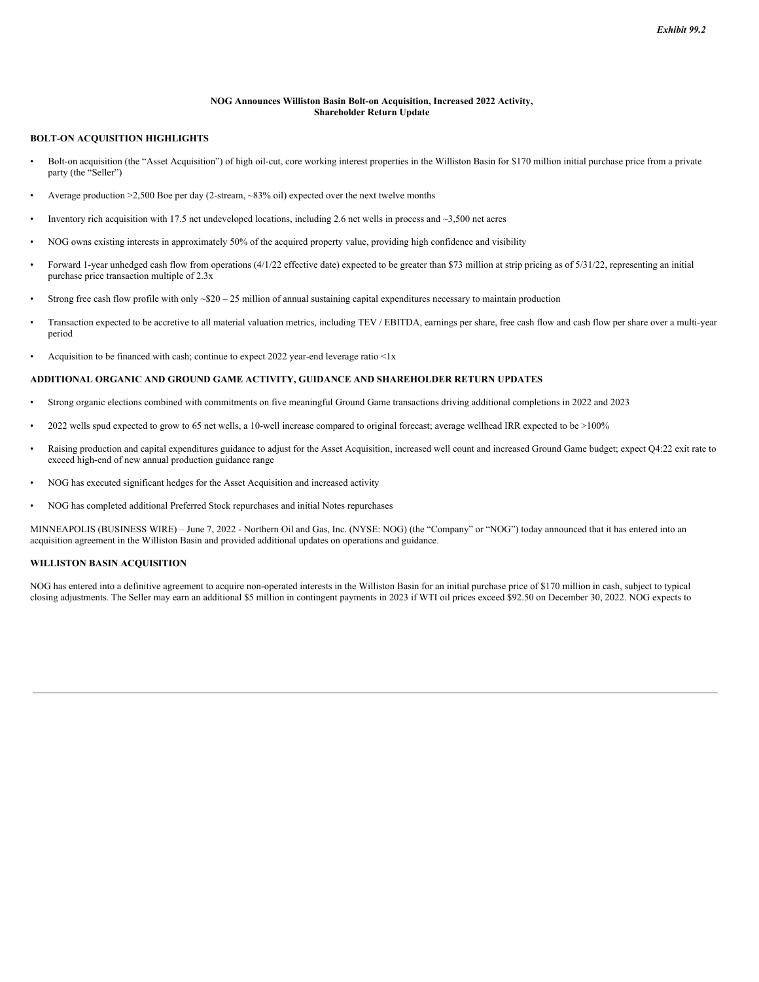### **NOG Announces Williston Basin Bolt-on Acquisition, Increased 2022 Activity, Shareholder Return Update**

## **BOLT-ON ACQUISITION HIGHLIGHTS**

- Bolt-on acquisition (the "Asset Acquisition") of high oil-cut, core working interest properties in the Williston Basin for \$170 million initial purchase price from a private party (the "Seller")
- Average production >2,500 Boe per day (2-stream, ~83% oil) expected over the next twelve months
- Inventory rich acquisition with 17.5 net undeveloped locations, including 2.6 net wells in process and  $\sim$ 3,500 net acres
- NOG owns existing interests in approximately 50% of the acquired property value, providing high confidence and visibility
- Forward 1-year unhedged cash flow from operations (4/1/22 effective date) expected to be greater than \$73 million at strip pricing as of 5/31/22, representing an initial purchase price transaction multiple of 2.3x
- Strong free cash flow profile with only ~\$20 25 million of annual sustaining capital expenditures necessary to maintain production
- Transaction expected to be accretive to all material valuation metrics, including TEV / EBITDA, earnings per share, free cash flow and cash flow per share over a multi-year period
- Acquisition to be financed with cash; continue to expect 2022 year-end leverage ratio  $\leq 1x$

### **ADDITIONAL ORGANIC AND GROUND GAME ACTIVITY, GUIDANCE AND SHAREHOLDER RETURN UPDATES**

- Strong organic elections combined with commitments on five meaningful Ground Game transactions driving additional completions in 2022 and 2023
- 2022 wells spud expected to grow to 65 net wells, a 10-well increase compared to original forecast; average wellhead IRR expected to be >100%
- Raising production and capital expenditures guidance to adjust for the Asset Acquisition, increased well count and increased Ground Game budget; expect Q4:22 exit rate to exceed high-end of new annual production guidance range
- NOG has executed significant hedges for the Asset Acquisition and increased activity
- NOG has completed additional Preferred Stock repurchases and initial Notes repurchases

MINNEAPOLIS (BUSINESS WIRE) – June 7, 2022 - Northern Oil and Gas, Inc. (NYSE: NOG) (the "Company" or "NOG") today announced that it has entered into an acquisition agreement in the Williston Basin and provided additional updates on operations and guidance.

## **WILLISTON BASIN ACQUISITION**

NOG has entered into a definitive agreement to acquire non-operated interests in the Williston Basin for an initial purchase price of \$170 million in cash, subject to typical closing adjustments. The Seller may earn an additional \$5 million in contingent payments in 2023 if WTI oil prices exceed \$92.50 on December 30, 2022. NOG expects to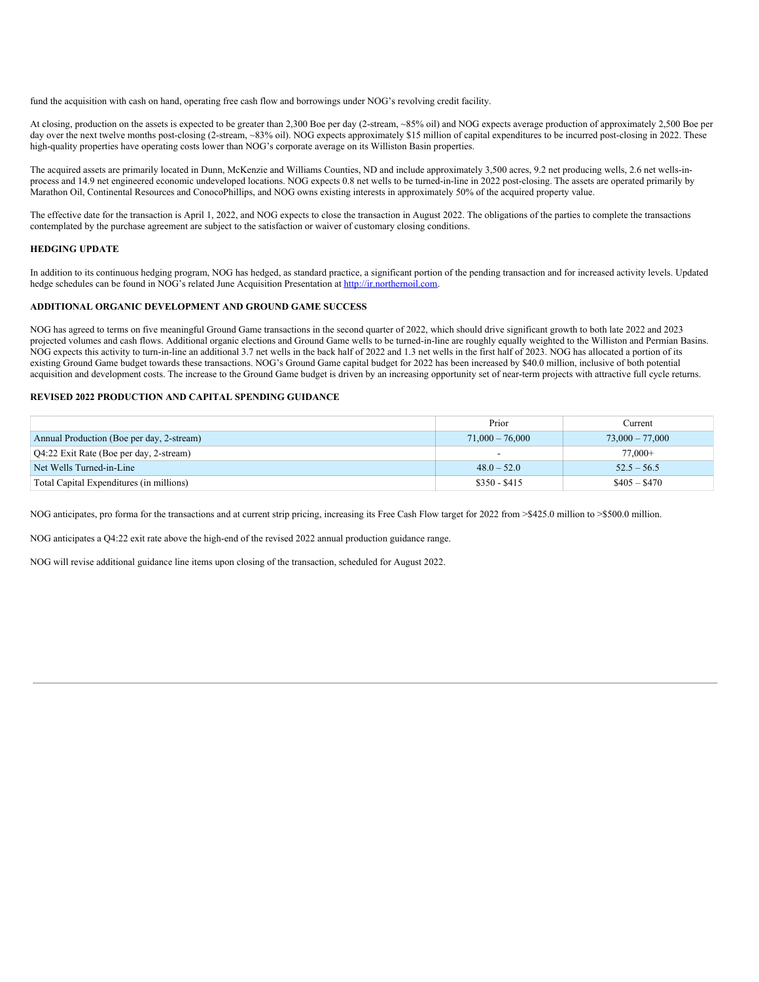fund the acquisition with cash on hand, operating free cash flow and borrowings under NOG's revolving credit facility.

At closing, production on the assets is expected to be greater than 2,300 Boe per day (2-stream, ~85% oil) and NOG expects average production of approximately 2,500 Boe per day over the next twelve months post-closing (2-stream, ~83% oil). NOG expects approximately \$15 million of capital expenditures to be incurred post-closing in 2022. These high-quality properties have operating costs lower than NOG's corporate average on its Williston Basin properties.

The acquired assets are primarily located in Dunn, McKenzie and Williams Counties, ND and include approximately 3,500 acres, 9.2 net producing wells, 2.6 net wells-inprocess and 14.9 net engineered economic undeveloped locations. NOG expects 0.8 net wells to be turned-in-line in 2022 post-closing. The assets are operated primarily by Marathon Oil, Continental Resources and ConocoPhillips, and NOG owns existing interests in approximately 50% of the acquired property value.

The effective date for the transaction is April 1, 2022, and NOG expects to close the transaction in August 2022. The obligations of the parties to complete the transactions contemplated by the purchase agreement are subject to the satisfaction or waiver of customary closing conditions.

## **HEDGING UPDATE**

In addition to its continuous hedging program, NOG has hedged, as standard practice, a significant portion of the pending transaction and for increased activity levels. Updated hedge schedules can be found in NOG's related June Acquisition Presentation at http://ir.northernoil.com.

## **ADDITIONAL ORGANIC DEVELOPMENT AND GROUND GAME SUCCESS**

NOG has agreed to terms on five meaningful Ground Game transactions in the second quarter of 2022, which should drive significant growth to both late 2022 and 2023 projected volumes and cash flows. Additional organic elections and Ground Game wells to be turned-in-line are roughly equally weighted to the Williston and Permian Basins. NOG expects this activity to turn-in-line an additional 3.7 net wells in the back half of 2022 and 1.3 net wells in the first half of 2023. NOG has allocated a portion of its existing Ground Game budget towards these transactions. NOG's Ground Game capital budget for 2022 has been increased by \$40.0 million, inclusive of both potential acquisition and development costs. The increase to the Ground Game budget is driven by an increasing opportunity set of near-term projects with attractive full cycle returns.

## **REVISED 2022 PRODUCTION AND CAPITAL SPENDING GUIDANCE**

|                                           | Prior                    | Current           |
|-------------------------------------------|--------------------------|-------------------|
| Annual Production (Boe per day, 2-stream) | $71,000 - 76,000$        | $73.000 - 77.000$ |
| Q4:22 Exit Rate (Boe per day, 2-stream)   | $\overline{\phantom{0}}$ | $77.000+$         |
| Net Wells Turned-in-Line                  | $48.0 - 52.0$            | $52.5 - 56.5$     |
| Total Capital Expenditures (in millions)  | $$350 - $415$            | $\$405 - \$470$   |

NOG anticipates, pro forma for the transactions and at current strip pricing, increasing its Free Cash Flow target for 2022 from >\$425.0 million to >\$500.0 million.

NOG anticipates a Q4:22 exit rate above the high-end of the revised 2022 annual production guidance range.

NOG will revise additional guidance line items upon closing of the transaction, scheduled for August 2022.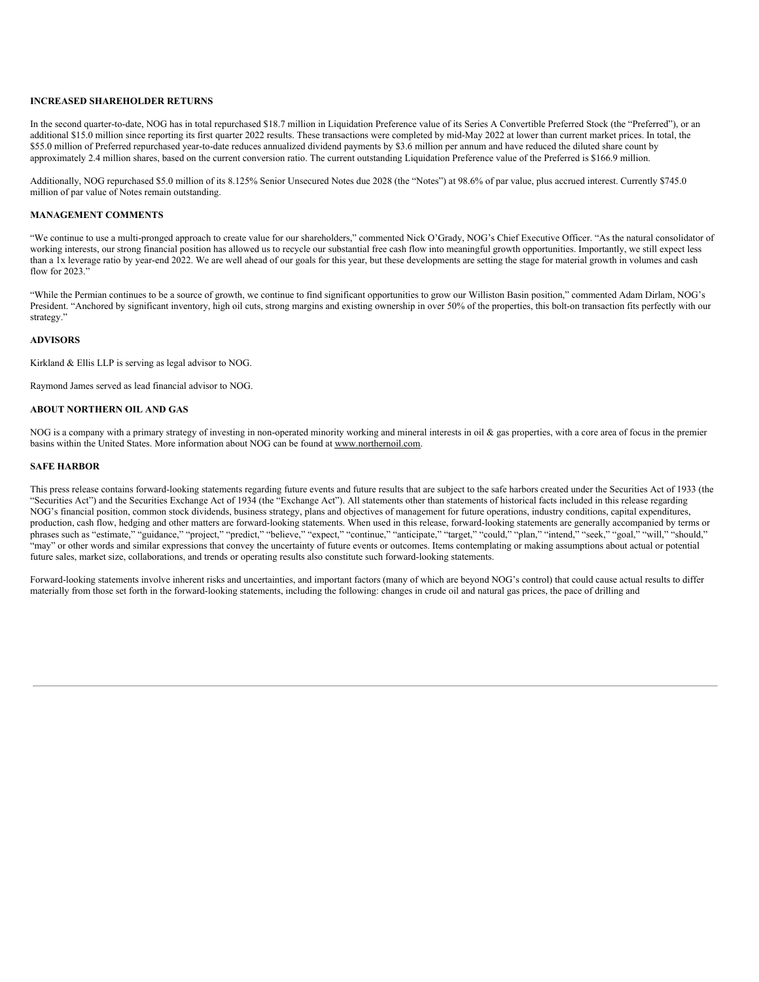#### **INCREASED SHAREHOLDER RETURNS**

In the second quarter-to-date, NOG has in total repurchased \$18.7 million in Liquidation Preference value of its Series A Convertible Preferred Stock (the "Preferred"), or an additional \$15.0 million since reporting its first quarter 2022 results. These transactions were completed by mid-May 2022 at lower than current market prices. In total, the \$55.0 million of Preferred repurchased year-to-date reduces annualized dividend payments by \$3.6 million per annum and have reduced the diluted share count by approximately 2.4 million shares, based on the current conversion ratio. The current outstanding Liquidation Preference value of the Preferred is \$166.9 million.

Additionally, NOG repurchased \$5.0 million of its 8.125% Senior Unsecured Notes due 2028 (the "Notes") at 98.6% of par value, plus accrued interest. Currently \$745.0 million of par value of Notes remain outstanding.

#### **MANAGEMENT COMMENTS**

"We continue to use a multi-pronged approach to create value for our shareholders," commented Nick O'Grady, NOG's Chief Executive Officer. "As the natural consolidator of working interests, our strong financial position has allowed us to recycle our substantial free cash flow into meaningful growth opportunities. Importantly, we still expect less than a 1x leverage ratio by year-end 2022. We are well ahead of our goals for this year, but these developments are setting the stage for material growth in volumes and cash flow for 2023."

"While the Permian continues to be a source of growth, we continue to find significant opportunities to grow our Williston Basin position," commented Adam Dirlam, NOG's President. "Anchored by significant inventory, high oil cuts, strong margins and existing ownership in over 50% of the properties, this bolt-on transaction fits perfectly with our strategy."

#### **ADVISORS**

Kirkland & Ellis LLP is serving as legal advisor to NOG.

Raymond James served as lead financial advisor to NOG.

## **ABOUT NORTHERN OIL AND GAS**

NOG is a company with a primary strategy of investing in non-operated minority working and mineral interests in oil & gas properties, with a core area of focus in the premier basins within the United States. More information about NOG can be found at www.northernoil.com.

#### **SAFE HARBOR**

This press release contains forward-looking statements regarding future events and future results that are subject to the safe harbors created under the Securities Act of 1933 (the "Securities Act") and the Securities Exchange Act of 1934 (the "Exchange Act"). All statements other than statements of historical facts included in this release regarding NOG's financial position, common stock dividends, business strategy, plans and objectives of management for future operations, industry conditions, capital expenditures, production, cash flow, hedging and other matters are forward-looking statements. When used in this release, forward-looking statements are generally accompanied by terms or phrases such as "estimate," "guidance," "project," "predict," "believe," "expect," "continue," "anticipate," "target," "could," "plan," "intend," "seek," "goal," "will," "should," "may" or other words and similar expressions that convey the uncertainty of future events or outcomes. Items contemplating or making assumptions about actual or potential future sales, market size, collaborations, and trends or operating results also constitute such forward-looking statements.

Forward-looking statements involve inherent risks and uncertainties, and important factors (many of which are beyond NOG's control) that could cause actual results to differ materially from those set forth in the forward-looking statements, including the following: changes in crude oil and natural gas prices, the pace of drilling and